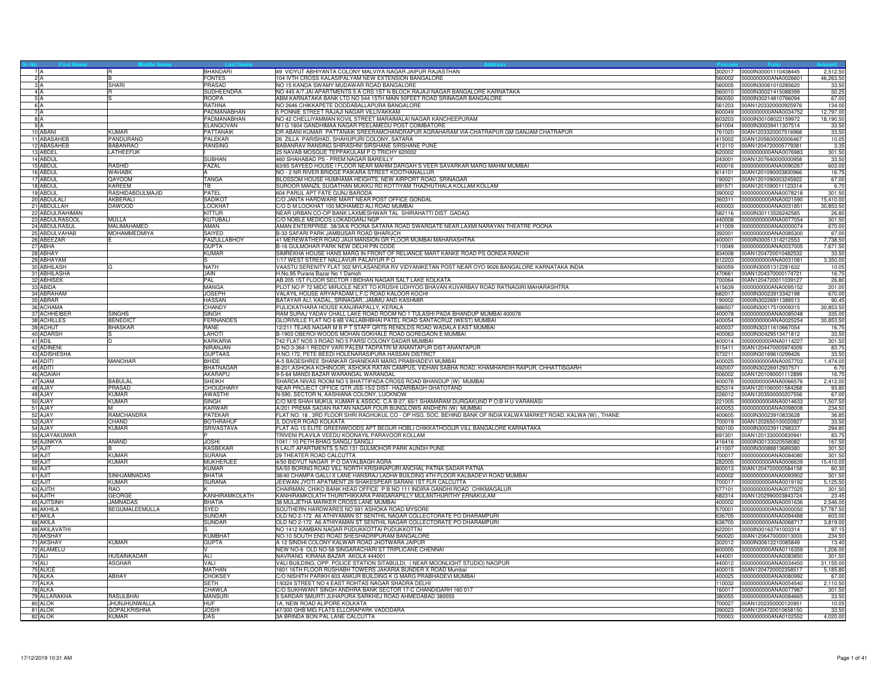|           |                                 |                            | <b>BHANDARI</b>                 | 49 VIDYUT ABHIYANTA COLONY MALVIYA NAGAR JAIPUR RAJASTHAN<br>302017                                                                                                | 0000lN30001110438445                                       | 2,512.5            |
|-----------|---------------------------------|----------------------------|---------------------------------|--------------------------------------------------------------------------------------------------------------------------------------------------------------------|------------------------------------------------------------|--------------------|
| 2A        |                                 |                            | <b>FONTES</b>                   | 104 IVTH CROSS KALASIPALYAM NEW EXTENSION BANGALORE<br>560002                                                                                                      | 0000000000ANA0026601                                       | 46,263.50          |
| 3A        |                                 | <b>SHARI</b>               | <b>PRASAD</b>                   | NO 15 KANDA SWAMY MUDAWAR ROAD BANGALORE                                                                                                                           | 560005 0000IN30061010285620                                | 33.5               |
| 4 A<br>5A |                                 |                            | SUDHEENDRA<br><b>ROOPA</b>      | NO 445 A/7 JAI APARTMENTS 5 A CRS 1ST N BLOCK RAJAJI NAGAR BANGALORE KARNATAKA<br>ABM KARNATAKA BANK LTD NO 544 15TH MAIN 50FEET ROAD SRINAGAR BANGALORE<br>560050 | 560010 0000IN30021415088399<br>0000IN30214810766094        | 50.25<br>67.00     |
| 6A        |                                 |                            | <b>RATHNA</b>                   | NO 2646 CHIKKAPETE DODDABALLAPURA BANGALORE<br>561203                                                                                                              | 00AN1203320000925976                                       | 134.00             |
| 7A        |                                 |                            | PADMANABHAN                     | 5 PONNIE STREET RAJAJI NAGAR VILLIVAKKAM<br>600049                                                                                                                 | 0000000000ANA0034752                                       | 12,797.00          |
| 8A        |                                 |                            | PADMANABHAN                     | NO 42 CHELLIYAMMAN KOVIL STREET MARAIMALAI NAGAR KANCHEEPURAM<br>603203                                                                                            | 0000IN30108022159972                                       | 18,190.50          |
| 9A        |                                 |                            | ELANGOVAN                       | M I G 1604 GANDHIMAA NAGAR PEELAMEDU POST COIMBATORE                                                                                                               | 641004 0000IN30039411307514                                | 33.50              |
|           | 10 ABAN                         | <b>KUMAR</b>               | PATTANAIK                       | DR ABANI KUMAR PATTANAIK SREERAMCHANDRAPUR AGRAHARAM VIA-CHATRAPUR GM GANJAM CHATRAPUR<br>761020                                                                   | 00AN1203320007516968                                       | 33.50              |
|           | 11 ABASAHEB                     | PANDURANG                  | <b>PALEKAR</b>                  | 26 ZILLA PARISHAD, SHAHUPURI COLONY, SATARA                                                                                                                        | 415002 00AN1205600000006467                                | 10.05              |
|           | 12 ABASAHEB                     | <b>BABANRAO</b>            | <b>RANSING</b>                  | BABANRAV RANSING SHIRASHNI SIRSHANE SIRSHANE PUNE                                                                                                                  | 413110 00AN1204720005779381                                | 3.35               |
|           | 13 ABDEL<br>14 ABDUL            | <b>LATHEEFUK</b>           | <b>SUBHAN</b>                   | 25 NAVAB MOSQUE TEPPAKULAM P O TRICHY 620002<br>460 SHAHABAD PS - PREM NAGAR BAREILLY                                                                              | 620002 0000000000ANA0076983<br>243001 00AN1207640000000958 | 301.50<br>33.50    |
|           | 15 ABDUL                        | <b>RASHID</b>              | FAZAL                           | 63/65 SAYEED HOUSE I FLOOR NEAR MAHIM DARGAH S VEER SAVARKAR MARG MAHIM MUMBAI<br>400016                                                                           | 0000000000ANA0090267                                       | 603.00             |
|           | 16 ABDUL                        | <b>WAHABK</b>              |                                 | NO - 2 NR RIVER BRIDGE PAIKARA STREET KOOTHANALLUR<br>614101                                                                                                       | 00AN1201090003830966                                       | 16.75              |
|           | 17 ABDUL                        | QAYOOM                     | <b>TANGA</b>                    | BLOSSOM HOUSE HUMHAMA HEIGHTS, NEW AIRPORT ROAD, SRINAGAR<br>190021                                                                                                | 00AN1201090003245922                                       | 67.00              |
|           | 18 ABDUL                        | <b>KAREEM</b>              | TВ                              | SUROOR MANZIL SUGATHAN MUKKU RD KOTTIYAM THAZHUTHALA KOLLAM KOLLAM<br>691571                                                                                       | 00AN1201090011123314                                       | 6.70               |
|           | 19 ABDUL                        | <b>RASHIDABDULMAJID</b>    | PATEL                           | 604 PARUL APT FATE GUNJ BARODA<br>390002                                                                                                                           | 0000000000ANA0078218                                       | 301.50             |
|           | 20 ABDULALI                     | AKBERALI                   | SADIKO <sup>-</sup>             | C/O JANTA HARDWARE MART NEAR POST OFFICE GONDAL<br>360311                                                                                                          | 0000000000ANA0021590                                       | 15,410.00          |
|           | 21 ABDULLAH                     | <b>DAWOOD</b>              | <b>LOCKHAT</b>                  | C/O D M LOCKHAT 100 MOHAMED ALI ROAD MUMBAI<br>400003                                                                                                              | 0000000000ANA0031851                                       | 30,853.50          |
|           | 22 ABDULRAHIMAN                 |                            | <b>KITTUR</b>                   | NEAR URBAN CO-OP BANK LAXMESHWAR TAL SHIRAHATTI DIST GADAG                                                                                                         | 582116 0000IN30113526242585                                | 26.80              |
|           | 23 ABDULRASOOL<br>24 ABDULRASUL | MULLA<br>MALIMAHAMED       | <b>KUTUBALI</b><br>AMAN         | C/O NOBLE MEDICOS LOKADGANJ NGP<br>440008<br>AMAN ENTERPRISE 38/3A/6 POONA SATARA ROAD SWARGATE NEAR LAXMI NARAYAN THEATRE POONA<br>411009                         | 0000000000ANA0077054<br>0000000000ANA0000074               | 301.50<br>670.00   |
|           | 25 ABDULVAHAB                   | MOHAMMEDMIYA               | <b>SAIYED</b>                   | B-33 SAFARI PARK JAMBUSAR ROAD BHARUCH<br>392001                                                                                                                   | 0000000000ANA0085300                                       | 67.00              |
|           | 26 ABEEZAR                      |                            | <b>FAIZULLABHOY</b>             | 41 MEREWATHER ROAD JAIJI MANSION GR FLOOR MUMBAI MAHARASHTRA<br>400001                                                                                             | 0000IN30051314212553                                       | 7,738.50           |
|           | 27 ABHA                         |                            | <b>GUPTA</b>                    | B-16 GULMOHAR PARK NEW DELHI PIN CODE<br>110049                                                                                                                    | 0000000000ANA0037005                                       | 7,671.50           |
|           | 28 ABHAY                        |                            | <b>KUMAR</b>                    | SIMREKHA HOUSE HANS MARG IN FRONT OF RELIANCE MART KANKE ROAD PS GONDA RANCHI<br>834008                                                                            | 00AN1204720010482532                                       | 33.50              |
|           | 29 ABHAYAM                      |                            |                                 | 1/17 WEST STREET NALLAVUR PALAIYUR P O<br>612203                                                                                                                   | 0000000000ANA0031081                                       | 3,350.00           |
|           | 30 ABHILASH                     |                            | <b>NATH</b>                     | VAASTU SERENITY FLAT 302 MYLASANDRA RV VIDYANIKETAN POST NEAR OYO 9026 BANGALORE KARNATAKA INDIA<br>560059                                                         | 0000IN30051312281632                                       | 10.05              |
|           | 31 ABHILASHA<br>32 ABHISEK      |                            | <b>JAIN</b><br>PAL              | H.No.95 Purana Bazar No 1 Damoh<br>470661<br>AB 205 1ST FLOOR SECTOR I BIDHAN NAGAR SALT LAKE KOLKATA                                                              | 00AN1204370000174721<br>700064 00AN1204720011039127        | 16.75<br>26.80     |
|           | 33 ABIDA                        |                            | MANGA                           | PLOT NO P 72 MIDC MIRJOLE NEXT TO KRUSHI UDHYOG BHAVAN KUVARBAV ROAD RATNAGIRI MAHARASHTRA<br>415639                                                               | 0000000000ANA0095152                                       | 201.00             |
|           | 34 ABRAHAM                      |                            | <b>JOSEPH</b>                   | VALAYIL HOUSE ARYAPADAM L.F.C ROAD KALOOR KOCHI<br>682017                                                                                                          | 0000IN30023913342198                                       | 670.00             |
|           | 35 ABRAR                        |                            | <b>HASSAN</b>                   | BATAYAR ALI, KADAL, SRINAGAR, JAMMU AND KASHMIR<br>190002                                                                                                          | 0000lN30226911388513                                       | 90.4               |
|           | 36 ACHAMA                       |                            | CHANDY                          | PULICKATHARA HOUSE KANJIRAPALLY, KERALA<br>686507                                                                                                                  | 0000lN30017510009315                                       | 30,853.50          |
|           | 37 ACHHEIBER                    | <b>SINGHS</b>              | <b>SINGH</b>                    | RAM SURAJ YADAV CHALL LAKE ROAD ROOM NO 1 TULASHI PADA BHANDUP MUMBAI 400078                                                                                       | 400078 0000000000ANA0085048                                | 335.00             |
|           | 38 ACHILLES                     | <b>BENEDICT</b>            | <b>FERNANDES</b>                | GLORIVILLE FLAT NO 6 6B VALLABHBHAI PATEL ROAD SANTACRUZ (WEST) MUMBAI<br>400054                                                                                   | 0000000000ANA0025254                                       | 30,853.50          |
|           | 39 ACHUT<br>40 ADARSH           | <b>BHASKAR</b>             | RANE<br><b>LAHOTI</b>           | 12/211 TEJAS NAGAR M B P T STAFF QRTS RENOLDS ROAD WADALA EAST MUMBAI<br>400037<br>B-1903 OBEROI WOODS MOHAN GOKHALE ROAD GOREGAON E MUMBAI<br>400063              | 0000lN30311610667054<br>0000lN30429513471812               | 16.75<br>33.5      |
|           | 41 ADIL                         | n                          | <b>KARKARIA</b>                 | 742 FLAT NOS 3 ROAD NO 5 PARSI COLONY DADAR MUMBAI                                                                                                                 | 400014 0000000000ANA0114227                                | 301.50             |
|           | 42 ADINENI                      |                            | NIRANJAN                        | D NO 3-364-1 REDDY VARI PALEM TADPATRI M ANANTAPUR DIST ANANTAPUR                                                                                                  | 515411 00AN1204470005974009                                | 83.7               |
|           | 43 ADISHESHA                    |                            | <b>GUPTAAS</b>                  | H.NO.172, PETE BEEDI HOLENARASIPURA HASSAN DISTRICT                                                                                                                | 573211 0000lN30169610299426                                | 33.50              |
|           | 44 ADITI                        | <b>MANOHAR</b>             | <b>BHIDE</b>                    | A-5 BAGESHREE SHANKAR GHANEKAR MARG PRABHADEVI MUMBAI                                                                                                              | 400025 0000000000ANA0057703                                | 1,474.00           |
|           | 45 ADITI                        |                            | <b>BHATNAGAR</b>                | B-201, ASHOKA KOHINOOR, ASHOKA RATAN CAMPUS, VIDHAN SABHA ROAD, KHAMHARDIH RAIPUR, CHHATTISGARH<br>492007                                                          | 0000lN30226912937571                                       | 6.70               |
|           | 46 AGAIAH<br>47 AJAM            | <b>BABULAL</b>             | <b>AKARAPU</b><br><b>SHEIKH</b> | 9-5-64 MANDI BAZAR WARANGAL WARANGAL<br>506002<br>SHARDA NIVAS ROOM NO 5 BHATTIPADA CROSS ROAD BHANDUP (W) MUMBAI<br>400078                                        | 00AN1201090001112899<br>0000000000ANA0066576               | 16.75<br>2,412.00  |
|           | 48 AJAY                         | <b>PRASAD</b>              | <b>CHOUDHARY</b>                | NEAR PROJECT OFFICE QTR JSS-15/2 DIST- HAZARIBAGH GHATOTAND                                                                                                        | 825314 00AN1201060001584268                                | 93.80              |
|           | 49 AJAY                         | <b>KUMAR</b>               | <b>AWASTHI</b>                  | N-590, SECTOR N, AASHIANA COLONY, LUCKNOW<br>226012                                                                                                                | 00AN1203500000207556                                       | 67.00              |
|           | 50 AJAY                         | <b>KUMAR</b>               | <b>SINGH</b>                    | C/O M/S SHAH MUKUL KUMAR & ASSOC. C.A B-27, 65/1 SHAMARAM DURGAKUND P O:B H U VARANASI<br>221005                                                                   | 0000000000ANA0014633                                       | 1,507.50           |
|           | 51 AJAY                         | M                          | <b>KARWAR</b>                   | A/201 PREMA SADAN RATAN NAGAR FOUR BUNGLOWS ANDHERI (W) MUMBAI                                                                                                     | 400053 0000000000ANA0098008                                | 234.50             |
|           | 52 AJAY                         | RAMCHANDRA                 | <b>PATEKAR</b>                  | FLAT NO. 18, 3RD FLOOR SHRI RAGHUKUL CO - OP HSG. SOC. BEHIND BANK OF INDIA KALWA MARKET ROAD, KALWA (W), THANE                                                    | 400605 0000lN30023910833628                                | 36.8               |
|           | 53 AJAY                         | CHAND                      | <b>BOTHRAHUR</b>                | 3, DOVER ROAD KOLKATA                                                                                                                                              | 700019 00AN1202650100020927                                | 33.50              |
|           | 54 AJAY<br>55 AJAYAKUMAR        | <b>KUMAR</b>               | <b>SRIVASTAVA</b>               | FLAT AG 15 ELITE GREENWOODS APT BEGUR HOBLI CHIKKATHOGUR VILL BANGALORE KARNATAKA<br>560100<br>TRIVENI PLAVILA VEEDU KOONAYIL PARAVOOR KOLLAM<br>691301            | 0000lN30023911298337<br>00AN1201330000830941               | 294.80<br>83.7     |
|           | 56 AJINKYA                      | <b>ANAND</b>               | <b>JOSHI</b>                    | 1041 / 10 PETH BHAG SANGLI SANGLI                                                                                                                                  | 416416 0000lN30133020558082                                | 167.50             |
|           | 57 AJIT                         |                            | <b>KASBEKAR</b>                 | 5 LALIT APARTMENTS S.NO.131 GULMOHOR PARK AUNDH PUNE<br>411007                                                                                                     | 0000IN30088813689380                                       | 301.50             |
|           | 58 AJIT                         | <b>KUMAR</b>               | <b>SURANA</b>                   | 29 THEATER ROAD CALCUTTA<br>700017                                                                                                                                 | 0000000000ANA0084080                                       | 301.50             |
|           | 59 AJIT                         | <b>KUMAR</b>               | <b>MUKHERJEE</b>                | 4/50 BIDYUT NAGAR P O DAYALBAGH AGRA<br>282005                                                                                                                     | 0000000000ANA0006639                                       | 15,410.00          |
|           | 60 AJIT                         |                            | <b>KUMAR</b>                    | 5A/55 BORING ROAD VILL NORTH KRISHNAPURI ANCHAL PATNA SADAR PATNA                                                                                                  | 800013 00AN1204720000584158                                | 60.30              |
|           | 61 AJIT                         | <b>SINHJAMNADAS</b>        | <b>BHATIA</b>                   | 38/40 CHAMPA GALLI X LANE HANSRAJ LADHA BUILDING 4TH FLOOR KALBADEVI ROAD MUMBAI                                                                                   | 400002 0000000000ANA0093902                                | 301.50             |
|           | 62 AJIT<br>63 AJITH             | <b>KUMAR</b><br><b>RAO</b> | <b>SURANA</b>                   | JEEWAN JYOTI APATMENT 29 SHAKESPEAR SARANI 1ST FLR CALCUTTA<br>CHAIRMAN, CHIKO BANK HEAD OFFICE P B NO 111 INDIRA GANDHI ROAD CHIKMAGALUR<br>577101                | 700017 0000000000ANA0019192<br>0000000000ANA0077025        | 5,125.50<br>301.50 |
|           | 64 AJITH                        | <b>GEORGE</b>              | KANHIRAMKOLATH                  | KANHIRAMKOLATH THURITHIKKARA PANGARAPILLY MULANTHURITHY ERNAKULAM<br>682314                                                                                        | 00AN1202990003843724                                       | 23.4               |
|           | 65 AJITSINH                     | <b>JAMNADAS</b>            | <b>BHATIA</b>                   | 38 MULJETHA MARKER CROSS LANE MUMBAI<br>400002                                                                                                                     | 0000000000ANA0051636                                       | 2,546.00           |
|           | 66 AKHILA                       | <b>BEGUMALEEMULLA</b>      | <b>SYED</b>                     | SOUTHERN HARDWARES NO 591 ASHOKA ROAD MYSORE<br>570001                                                                                                             | 0000000000ANA0000050                                       | 57,787.50          |
|           | 67 AKILA                        |                            | <b>SUNDAF</b>                   | OLD NO 2-172 A6 ATHIYAMAN ST SENTHIL NAGAR COLLECTORATE PO DHARAMPURI<br>636705                                                                                    | 0000000000ANA0094488                                       | 603.00             |
|           | 68 AKILA                        |                            | <b>SUNDAR</b>                   | OLD NO 2-172 A6 ATHIYAMAN ST SENTHIL NAGAR COLLECTORATE PO DHARAMPURI<br>636705                                                                                    | 0000000000ANA0068717                                       | 3,819,00           |
|           | 69 AKILAVATHI<br>70 AKSHAY      |                            | <b>KUMBHAT</b>                  | NO 1412 KAMBAN NAGAR PUDUKKOTTAI PUDUKKOTTAI<br>622001                                                                                                             | 0000lN30163741003314                                       | 97.1               |
|           | 71 AKSHAY                       | <b>KUMAR</b>               | <b>GUPTA</b>                    | NO-10 SOUTH END ROAD SHESHADRIPURAM BANGALORE<br>560020<br>A 12 SINDHI COLONY KALWAR ROAD JHOTWARA JAIPUR                                                          | 00AN1206470000013003<br>302012 0000lN30612210085849        | 234.5<br>13.4      |
|           | 72 ALAMELU                      |                            |                                 | NEW NO-6 OLD NO-58 SINGARACHARI ST TRIPLICANE CHENNAI                                                                                                              | 600005 0000000000ANA0116359                                | 1,206.00           |
|           | 73 ALI                          | <b>HUSAINKADAR</b>         | ALI                             | NAVRANG KIRANA BAZAR AKOLA 444001<br>444001                                                                                                                        | 0000000000ANA0083850                                       | 301.50             |
|           | <b>74 ALI</b>                   | <b>ASGHAR</b>              | VALI                            | VALI BUILDING, OPP. POLICE STATION SITABULDI, (NEAR MOONLIGHT STUDIO) NAGPUR<br>440012                                                                             | 0000000000ANA0034450                                       | 31,155.00          |
|           | 75 ALICI                        |                            | <b>MATHAN</b>                   | 1601 16TH FLOOR RUSHABH TOWERS JAKARIA BUNDER X ROAD Mumbai<br>400015                                                                                              | 00AN1204720002358517                                       | 5,185.8            |
|           | 76 ALKA                         | <b>ABHAY</b>               | <b>CHOKSEY</b>                  | C/O NISHITH PARIKH 603 ANKUR BUILDING K G MARG PRABHADEVI MUMBAI                                                                                                   | 400025 0000000000ANA0080992                                | 67.0               |
|           | 77 ALKA                         |                            | <b>SETH</b>                     | 1/6324 STREET NO 4 EAST ROHTAS NAGAR SHADRA DELHI                                                                                                                  | 110032 0000000000ANA0054540                                | 2,110.50           |
|           | 78 ALKA<br>79 ALLARAKHA         | <b>RASULBHAI</b>           | CHAWLA<br><b>MANSURI</b>        | C/O SUKHWANT SINGH ANDHRA BANK SECTOR 17-C CHANDIGARH 160 017<br>160017<br>5 SARDAR SMURTI JUHAPURA SARKHEJ ROAD AHMEDABAD 380055<br>380055                        | 0000000000ANA0077967<br>0000000000ANA0084665               | 301.50<br>33.50    |
|           | 80 ALOK                         | <b>JHUNJHUNWALLA</b>       | <b>HUF</b>                      | 1A. NEW ROAD ALIPORE KOLKATA<br>700027                                                                                                                             | 00AN1202350000120951                                       | 10.05              |
|           | 81 ALOK                         | <b>GOPALKRISHNA</b>        | <b>JOSHI</b>                    | 47/300 GHB MIG FLATS ELLORAPARK VADODARA                                                                                                                           | 390023 00AN1204720010658150                                | 33.5               |
|           | 82 ALOK                         | <b>KUMAR</b>               | DAS                             | 3A BRINDA BON PAL LANE CALCUTTA                                                                                                                                    | 700003 0000000000ANA0102552                                | 4,020.00           |
|           |                                 |                            |                                 |                                                                                                                                                                    |                                                            |                    |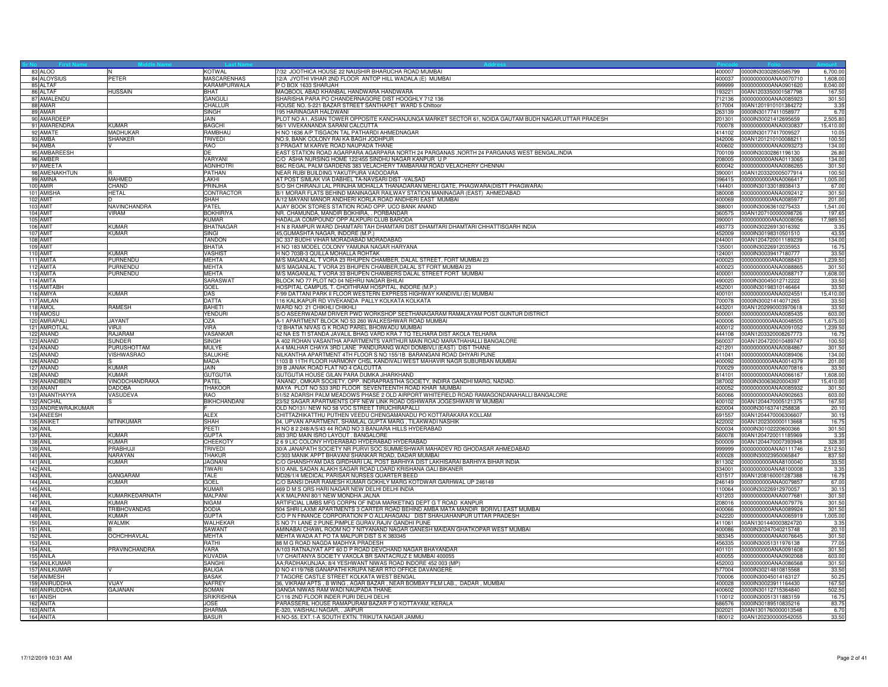| 83 ALOO              |                     | <b>KOTWAL</b>             | 7/32 JOOTHICA HOUSE 22 NAUSHIR BHARUCHA ROAD MUMBAI                                                    | 400007           | 0000IN30302850585799                         | 6,700.00      |
|----------------------|---------------------|---------------------------|--------------------------------------------------------------------------------------------------------|------------------|----------------------------------------------|---------------|
| 84 ALOYSIUS          | PETER               | <b>MASCARENHAS</b>        | 12/A JYOTHI VIHAR 2ND FLOOR ANTOP HILL WADALA (E) MUMBAI                                               | 400037           | 0000000000ANA0070710                         | 1.608.0       |
| 85 ALTAF             |                     | KARAMPURWALA              | P O BOX 1633 SHARJAH                                                                                   | 999999           | 0000000000ANA0901620                         | 8,040.00      |
| 86 ALTAF             | <b>HUSSAIN</b>      | BHAT                      | MAQBOOL ABAD KHANBAL HANDWARA HANDWARA                                                                 | 193221           | 00AN1203350001587798                         | 167.50        |
| 87 AMALENDU          |                     | GANGULI                   | SHARISHA PARA PO CHANDERNAGORE DIST HOOGHLY 712 136                                                    | 712136           | 0000000000ANA0085923                         | 301.50        |
| 88 AMAR              |                     | CHALLUR                   | HOUSE NO. 5-221 BAZAR STREET SANTHAPET WARD 5 Chittoor                                                 | 517004           | 00AN1201910101384272                         | 3.35          |
| 89 AMAR              |                     | <b>SINGH</b>              | 195 HARINAGAR HALDWANI                                                                                 | 263139           | 0000IN30177411058977                         | 6.70          |
| 90 AMARDEEP          |                     | <b>JAIN</b>               | PLOT NO A1, ASIAN TOWER OPPOSITE KANCHANJUNGA MARKET SECTOR 61, NOIDA GAUTAM BUDH NAGAR, UTTAR PRADESH | 201301           | 0000IN30021412695659                         | 2,505.80      |
| 91 AMARENDRA         | KUMAR               | <b>BAGCHI</b>             | 56/1 VIVEKANANDA SARANI CALCUTTA                                                                       | 700078           | 0000000000ANA0030837                         | 15,410.00     |
| 92 AMATE             | MADHUKAR            | RAMBHAU                   | H NO 1636 A/P TISGAON TAL PATHARDI AHMEDNAGAR                                                          | 414102           | 0000IN30177417009527                         | 10.05         |
| 93 AMBA              | <b>SHANKER</b>      | <b>TRIVEDI</b>            | NO.9, BANK COLONY RAI KA BAGH JODHPUR                                                                  | 342006           | 00AN1201210100088211                         | 100.50        |
| 94 AMBA              |                     | RAO                       | 3 PRAGAT M KARVE ROAD NAUPADA THANE                                                                    | 400602           | 0000000000ANA0093273                         | 134.00        |
| 95 AMBAREESH         |                     | DF                        | EAST STATION ROAD AGARPARA AGARPARA NORTH 24 PARGANAS , NORTH 24 PARGANAS WEST BENGAL, INDIA           |                  | 700109 0000IN30302861196130                  | 26.80         |
| 96 AMBER             |                     | VARYANI                   | C/O ASHA NURSING HOME 122/455 SINDHU NAGAR KANPUR U P                                                  | 208005           | 0000000000ANA0113065                         | 134.00        |
| 97 AMEETA            |                     | <b>AGNIHOTRI</b>          | B6C REGAL PALM GARDENS 383 VELACHERY TAMBARAM ROAD VELACHERY CHENNAI                                   | 600042           | 0000000000ANA0086265                         | 301.50        |
| 98 AMENAKHTUN        |                     | PATHAN                    | NEAR RUBI BUILDING YAKUTPURA VADODARA                                                                  | 390001           | 00AN1203320005077914                         | 100.50        |
| 99 AMINA             | MAHMED              | LAKHI                     | AT POST SIMLAK VIA DABHEL TA-NAVSARI DIST -VALSAD                                                      | 396415           | 0000000000ANA0066417                         | 1,005.00      |
| 100 AMIR             | CHAND               | PRINJHA                   | S/O SH CHIRANJI LAL PRINJHA MOHALLA THANADARAN MEHLI GATE, PHAGWARA(DISTT PHAGWARA)                    | 144401           | 0000IN30133018938413                         | 67.00         |
| 101 AMISHA           | <b>HETAL</b>        | CONTRACTOR                | B/1 MORAR FLATS BEHIND MANINAGAR RAILWAY STATION MANINAGAR (EAST) AHMEDABAD                            | 380008           | 0000000000ANA0092412                         | 301.50        |
| 102 AMIT             |                     | <b>SHAH</b>               | A/12 MAYANI MANOR ANDHERI KORLA ROAD ANDHERI EAST MUMBAI                                               | 400069           | 0000000000ANA0085977                         | 201.00        |
| 103 AMIT             | NAVINCHANDRA        | PATEL                     | AJAY BOOK STORES STATION ROAD OPP. UCO BANK ANAND                                                      | 388001           | 0000lN30063610275433                         | 1,541.00      |
| 104 AMIT             | <b>VIRAM</b>        | <b>BOKHIRIYA</b>          | NR. CHAMUNDA, MANDIR BOKHIRA, . PORBANDAR                                                              | 360575           | 00AN1207100000098726                         | 197.6         |
| 105 AMIT             |                     | <b>KUMAR</b>              | HADALJA COMPOUND' OPP ALKPURI CLUB BARODA                                                              | 390001           | 0000000000ANA0008056                         | 17,989.50     |
| 106 AMIT<br>107 AMIT | KUMAR<br>KUMAR      | <b>BHATNAGAR</b><br>SINGI | H N 8 RAMPUR WARD DHAMTARI TAH DHAMTARI DIST DHAMTARI DHAMTARI CHHATTISGARH INDIA                      | 493773<br>452009 | 0000lN30226913016392                         | 3.35<br>43.55 |
|                      |                     |                           | 45, GUMASHTA NAGAR, INDORE (M.P.)                                                                      | 244001           | 0000lN30198310501510                         |               |
| 108 AMIT<br>109 AMIT |                     | TANDON<br><b>BHATIA</b>   | 3C 337 BUDHI VIHAR MORADABAD MORADABAD<br>H NO 183 MODEL COLONY YAMUNA NAGAR HARYANA                   | 135001           | 00AN1204720011189239<br>0000IN30226912035953 | 134.00        |
| 110 AMIT             | KUMAR               | <b>VASHIST</b>            | H NO 703B-3 QUILLA MOHALLA ROHTAK                                                                      | 124001           | 0000lN30039417180777                         | 16.7<br>33.50 |
| 111 AMITA            | PURNENDU            | MEHTA                     | M/S MAGANLAL T VORA 23 RHUPEN CHAMBER, DALAL STREET, FORT MUMBAI 23                                    | 400023           | 0000000000ANA0088431                         | 1,239.50      |
| 112 AMITA            | PURNENDU            | <b>MEHTA</b>              | M/S MAGANLAL T VORA 23 BHUPEN CHAMBER, DALAL ST FORT MUMBAI 23                                         | 400023           | 0000000000ANA0088865                         | 301.50        |
| 113 AMITA            | PURNENDU            | <b>MEHTA</b>              | M/S MAGANLAL T VORA 33 BHUPEN CHAMBERS DALAL STREET FORT MUMBAI                                        | 400001           | 0000000000ANA0088717                         | 1,608.00      |
| 114 AMITA            |                     | SARASWAT                  | BLOCK NO 77 PLOT NO 04 NEHRU NAGAR BHILAI                                                              | 490020           | 0000lN30045012712222                         | 33.50         |
| 115 AMITABH          |                     | GOEL                      | HOSPITAL CAMPUS, T. CHOITHRAM HOSPITAL, INDORE (M.P.)                                                  | 452001           | 0000lN30198310146464                         | 33.50         |
| 116 AMIYA            | KUMAR               | DAS                       | F/99 DATTANI PARK II FLOOR WESTERN EXPRESS HIGHWAY KANDIVILI (E) MUMBAI                                | 400101           | 0000000000ANA0024551                         | 15,410.00     |
| 117 AMLAN            |                     | <b>DATTA</b>              | 116 KALIKAPUR RD VIVEKANDA PALLY KOLKATA KOLKATA                                                       | 700078           | 0000IN30021414071265                         | 33.5          |
| 118 AMOL             | RAMESH              | <b>BAHETI</b>             | WARD NO. 21 CHIKHLI CHIKHLI                                                                            | 443201           | 00AN1202990003970618                         | 33.5          |
| 119 AMOSU            |                     | YENDURI                   | S/O ASEERWADAM DRIVER PWD WORKSHOP SEETHANAGARAM RAMALAYAM POST GUNTUR DISTRICT                        | 500001           | 0000000000ANA0085435                         | 603.00        |
| 120 AMRAPALI         | <b>JAYANT</b>       | <b>OZA</b>                | A-1 APARTMENT BLOCK NO 53 260 WALKESHWAR ROAD MUMBAI                                                   | 400006           | 0000000000ANA0048505                         | 1,675.00      |
| 121 AMROTLAL         | VIR.II              | VIRA                      | 12 BHATIA NIVAS G K ROAD PAREL BHOIWADU MUMBAI                                                         | 400012           | 0000000000ANA0091052                         | 1,239.50      |
| 122 ANAND            | RAJARAM             | VASANKAR                  | 42 NA ES TI STANDA JAVALIL BHAG VARD KRA 7 TQ TELHARA DIST AKOLA TELHARA                               | 444108           | 00AN1203320008267773                         | 16.7          |
| 123 ANAND            | SUNDER              | <b>SINGH</b>              | A 402 ROHAN VASANTHA APARTMENTS VARTHUR MAIN ROAD MARATHAHALLI BANGALORE                               | 560037           | 00AN1204720010489747                         | 100.50        |
| 124 ANAND            | PURUSHOTTAM         | <b>MULYE</b>              | A-4 MALHAR CHAYA 3RD LANE PANDURANG WADI DOMBIVLI (EAST) DIST THANE                                    | 421201           | 0000000000ANA0084867                         | 301.50        |
| 125 ANAND            | VISHWASRAO          | SALUKHE                   | NILKANTHA APARTMENT 4TH FLOOR S NO 155/1B BARANGANI ROAD DHYARI PUNE                                   | 411041           | 0000000000ANA0089406                         | 134.00        |
| 126 ANAND            |                     | <b>MADA</b>               | 1103 B 11TH FLOOR HARMONY CHSL KANDIVALI WEST MAHAVIR NAGR SUBURBAN MUMBAI                             | 400092           | 0000000000ANA0014379                         | 201.00        |
| 127 ANAND            | <b>KUMAR</b>        | JAIN                      | 39 B JANAK ROAD FLAT NO 4 CALCUTTA                                                                     | 700029           | 0000000000ANA0070816                         | 33.50         |
| 128 ANAND            | <b>KUMAR</b>        | <b>GUTGUTIA</b>           | GUTGUTIA HOUSE GILAN PARA DUMKA JHARKHAND                                                              | 814101           | 0000000000ANA0066167                         | 1,608.00      |
| 129 ANANDIBEN        | VINODCHANDRAKA      | PATEL                     | 'ANAND', OMKAR SOCIETY, OPP. INDRAPRASTHA SOCIETY, INDIRA GANDHI MARG, NADIAD.                         | 387002           | 0000IN30063620004397                         | 15,410.00     |
| 130 ANANT            | <b>DADOBA</b>       | <b>THAKOOR</b>            | MAYA PLOT NO 533 3RD FLOOR SEVENTEENTH ROAD KHAR MUMBAI                                                | 400052           | 0000000000ANA0085932                         | 301.50        |
| 131 ANANTHAYYA       | VASUDEVA            | <b>RAO</b>                | 51/52 ADARSH PALM MEADOWS PHASE 2 OLD AIRPORT WHITEFIELD ROAD RAMAGONDANAHALLI BANGALORE               | 560066           | 0000000000ANA0902663                         | 603.00        |
| 132 ANCHAL           |                     | BIKHCHANDANI              | 23/52 SAGAR APARTMENTS OFF NEW LINK ROAD OSHIWARA JOGESHWARI W MUMBAI                                  | 400102           | 00AN1204470005121375                         | 167.50        |
| 133 ANDREWRAJKUMAR   |                     |                           | OLD NO131/ NEW NO 58 VOC STREET TIRUCHIRAPALLI                                                         | 620004           | 0000IN30163741258838                         | 20.1          |
| 134 ANEESH           |                     | <b>ALEX</b>               | CHITTAZHIKATTHU PUTHEN VEEDU CHENGAMANADU PO KOTTARAKARA KOLLAM                                        | 691557           | 00AN1204470006306607                         | 30.15         |
| 135 ANIKET           | NITINKUMAR          | SHAH                      | 04, UPVAN APARTMENT, SHAMLAL GUPTA MARG, TILAKWADI NASHIK                                              | 422002           | 00AN1202300000113668                         | 16.75         |
| 136 ANIL             |                     | PEETI                     | H NO 8 2 248/A/5/43 44 ROAD NO 3 BANJARA HILLS HYDERABAD                                               | 500034           | 0000IN30102220600366                         | 301.50        |
| 137 ANIL             | KUMAR               | <b>GUPTA</b>              | 283 3RD MAIN ISRO LAYOUT . BANGALORE                                                                   | 560078           | 00AN1204720011185969                         | 3.35          |
| 138 ANIL             | KIIMAR              | <b>CHEEKOTY</b>           | 2 6 9 LIC COLONY HYDERABAD HYDERABAD HYDERABAD                                                         | 500009           | 00AN1204470007393948                         | 328.30        |
| 139 ANIL             | PRABHUJI            | TRIVEDI                   | 30/A JANAPATH SOCIETY NR PURVI SOC SUMMESHWAR MAHADEV RD GHODASAR AHMEDABAD                            | 999999           | 0000000000ANA0111746                         | 2,512.50      |
| <b>140 ANIL</b>      | NARAYAN             | THAKUR                    | C/303 MANIK APPT BHAVANI SHANKAR ROAD, DADAR MUMBAI                                                    | 400028           | 0000IN30023950065847                         | 837.50        |
| <b>141 ANIL</b>      | KUMAR               | <b>JAGNANI</b>            | C/O GHANSHYAM DAS GIRDHARI LAL POST BARHIYA DIST LAKHISARAI BARHIYA BIHAR INDIA                        | 811302           | 0000000000ANA8100040                         | 33.50         |
| 142 ANIL             |                     | TIWARI                    | 510 ANIL SADAN ALAKH SAGAR ROAD LOARD KRISHANA GALI BIKANER                                            | 334001           | 0000000000ANA8100008                         | 3.35          |
| 143 ANIL             | GANGARAM            | <b>TALE</b>               | MD26/1/4 MEDICAL PARISAR NURSES QUARTER BEED                                                           | 431517           | 00AN1208160001287388                         | 16.75         |
| 144 ANIL             | KUMAR               | GOEL                      | C/O BANSI DHAR RAMESH KUMAR GOKHLY MARG KOTDWAR GARHWAL UP 246149                                      | 246149           | 0000000000ANA0079857                         | 67.00         |
| 145 ANIL             |                     | <b>KUMAR</b>              | 469 D M S QRS HARI NAGAR NEW DELHI DELHI INDIA                                                         | 110064           | 0000IN30226912970057                         | 30.15         |
| 146 ANIL             | KUMARKEDARNATH      | MALPANI                   | A K MALPANI 80/1 NEW MONDHA JALNA                                                                      | 431203           | 0000000000ANA0077681                         | 301.50        |
| 147 ANIL             | KUMAR               | NIGAM                     | ARTIFICIAL LIMBS MFG CORPN OF INDIA MARKETING DEPT G T ROAD KANPUR                                     | 208016           | 0000000000ANA0079776                         | 301.50        |
| 148 ANIL             | <b>TRIBHOVANDAS</b> | <b>DODIA</b>              | 504 SHRI LAXMI APARTMENTS 3 CARTER ROAD BEHIND AMBA MATA MANDIR BORIVLI EAST MUMBAI                    | 400066           | 0000000000ANA0089924                         | 301.50        |
| 149 ANIL             | <b>KUMAR</b>        | <b>GUPTA</b>              | C/O P N FINANCE CORPORATION P O ALLAHAGANJ DIST SHAHJAHANPUR UTTAR PRADESH                             | 242220           | 0000000000ANA0065919                         | 1,005.00      |
| 150 ANIL             | <b>WALMIK</b>       | WALHEKAR                  | S NO 71 LANE 2 PUNE, PIMPLE GURAV, RAJIV GANDHI PUNE                                                   | 411061           | 00AN1301440003824720                         | 3.35          |
| 151 ANIL             |                     | SAWANT                    | AMINABAI CHAWL ROOM NO 7 NITYANAND NAGAR GANESH MAIDAN GHATKOPAR WEST MUMBAI                           | 400086           | 0000IN30247040215748                         | 20.1          |
| 152 ANIL             | OCHCHHAVLAL         | <b>MEHTA</b>              | MEHTA WADA AT PO TA MALPUR DIST S K 383345                                                             | 383345           | 0000000000ANA0076645                         | 301.50        |
| <b>153 ANIL</b>      |                     | RATHI                     | 88 M G ROAD NAGDA MADHYA PRADESH                                                                       |                  | 456335 0000IN30051311976138                  | 77.05         |
| 154 ANIL             | PRAVINCHANDRA       | VARA                      | A/103 RATNAJYAT APT 60 D P ROAD DEVCHAND NAGAR BHAYANDAR                                               | 401101           | 0000000000ANA0091608                         | 301.50        |
| 155 ANILA            |                     | <b>KUVADIA</b>            | 1/7 CHAITANYA SOCIETY VAKOLA BR SANTACRUZ E MUMBAI 400055                                              | 400055           | 0000000000ANA0902068                         | 603.00        |
| 156 ANILKUMAR        |                     | SANGHI                    | AA;RADHAKUNJAA; 8/4 YESHWANT NIWAS ROAD INDORE 452 003 (MP)                                            | 452003           | 0000000000ANA0086568                         | 301.50        |
| 157 ANILKUMAR        |                     | <b>BALIGA</b>             | D NO 4119/76B GANAPATHI KRUPA NEAR RTO OFFICE DAVANGERE                                                | 577004           | 0000IN30214810815568                         | 33.5          |
| 158 ANIMESH          |                     | <b>BASAK</b>              | 7 TAGORE CASTLE STREET KOLKATA WEST BENGAL                                                             | 700006           | 0000lN30045014163127                         | 50.25         |
| 159 ANIRUDDHA        | VI.IAY              | NAFREY                    | 36, VIKRAM APTS, B WING, AGAR BAZAR, NEAR BOMBAY FILM LAB., DADAR, MUMBAI                              | 400028           | 0000IN30023911164430                         | 167.50        |
| 160 ANIRUDDHA        | GAJANAN             | SOMAN                     | GANGA NIWAS RAM WADI NAUPADA THANE                                                                     | 400602           | 0000IN30112715364840                         | 502.50        |
| 161 ANISH            |                     | <b>SRIKRISHNA</b>         | C/116 2ND FLOOR INDER PURI DELHI DELHI                                                                 | 110012           | 0000IN30051311883159                         | 16.7          |
| 162 ANITA            |                     | <b>JOSE</b>               | PARASSERIL HOUSE RAMAPURAM BAZAR P O KOTTAYAM, KERALA                                                  | 686576           | 0000IN30189510835216                         | 83.7          |
| 163 ANITA            |                     | <b>SHARMA</b>             | E-320, VAISHALI NAGAR, . JAIPUR                                                                        |                  | 302021 00AN1301760000013548                  | 6.70          |
| 164 ANITA            |                     | <b>BASUR</b>              | H.NO-55, EXT.1-A SOUTH EXTN. TRIKUTA NAGAR JAMMU                                                       |                  | 180012 00AN1202300000542055                  | 33.50         |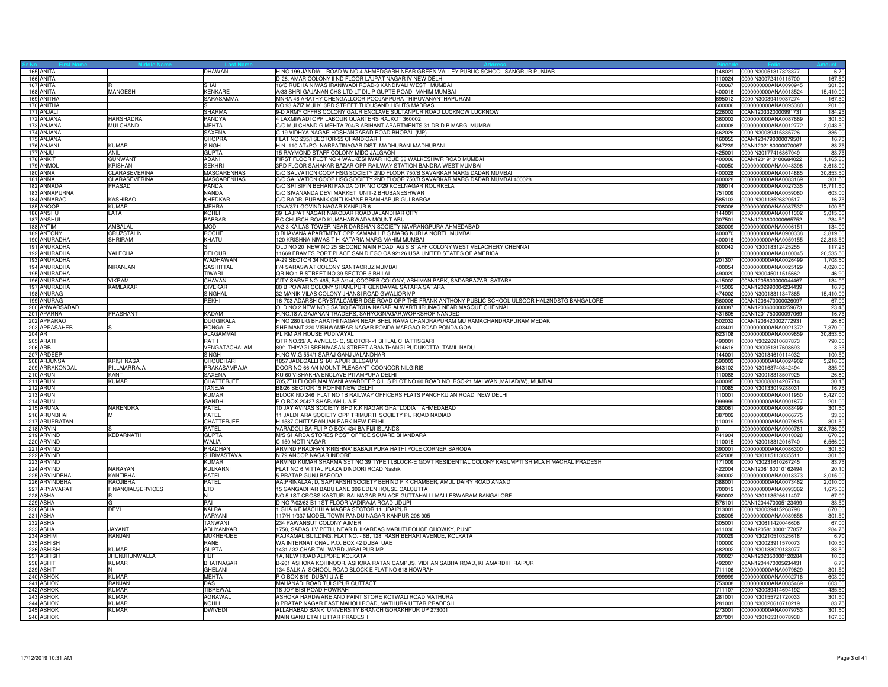|        | 165 ANITA                    |                              | DHAWAN                      | H NO 199 JANDIALI ROAD W NO 4 AHMEDGARH NEAR GREEN VALLEY PUBLIC SCHOOL SANGRUR PUNJAB<br>148021                                     | 0000IN30051317323377                                       | 6.70               |
|--------|------------------------------|------------------------------|-----------------------------|--------------------------------------------------------------------------------------------------------------------------------------|------------------------------------------------------------|--------------------|
|        | 166 ANITA                    |                              |                             | D-28, AMAR COLONY II ND FLOOR LAJPAT NAGAR IV NEW DELHI                                                                              | 110024 0000IN30072410115700                                | 167.50             |
|        | 167 ANITA                    |                              | <b>SHAH</b>                 | 16/C RUDHA NIWAS IRANIWADI ROAD-3 KANDIVALI WEST MUMBAI                                                                              | 400067 0000000000ANA0090945                                | 301.50             |
|        | 168 ANITA                    | MANGESH                      | KENKARE<br><b>SARASAMMA</b> | A/33 SHRI GAJANAN CHS LTD LT DILIP GUPTE ROAD MAHIM MUMBAI<br>MNRA 46 ARATHY CHENGALLOOR POOJAPPURA THIRUVANANTHAPURAM               | 400016 0000000000ANA0013524<br>0000IN30039419037274        | 15,410.00          |
|        | 169 ANITHA<br>170 ANITHA     |                              |                             | 695012<br>NO 93 AZIZ MULK 3RD STREET THOUSAND LIGHTS MADRAS<br>600006                                                                | 0000000000ANA0095380                                       | 167.50<br>201.00   |
|        | 171 ANJALI                   |                              | SHARMA                      | 9-D ARMY OFFRS COLONY GAUR ENCLAVE SULTANPUR ROAD LUCKNOW LUCKNOW<br>226002                                                          | 00AN1203320000991731                                       | 184.2              |
|        | 172 ANJANA                   | <b>HARSHADRAI</b>            | PANDYA                      | 4 LAXMIWADI OPP LABOUR QUARTERS RAJKOT 360002<br>360002                                                                              | 0000000000ANA0087669                                       | 301.50             |
|        | 173 ANJANA                   | <b>MULCHAND</b>              | <b>MEHTA</b>                | C/O MULCHAND G MEHTA 704/B ARIHANT APARTMENTS 31 DR D B MARG MUMBAI                                                                  | 400008 0000000000ANA0012772                                | 2,043.50           |
|        | 174 ANJANA                   |                              | <b>SAXENA</b>               | C-19 VIDHYA NAGAR HOSHANGABAD ROAD BHOPAL (MP)                                                                                       | 462026 0000IN30039415335726                                | 335.00             |
|        | 175 ANJANA                   |                              | CHOPRA                      | FLAT NO 235/I SECTOR-55 CHANDIGARH<br>160055                                                                                         | 00AN1204790000079501                                       | 16.7               |
|        | 176 ANJANI                   | <b>KUMAR</b>                 | <b>SINGH</b>                | H N- 110 AT+PO- NARPATINAGAR DIST- MADHUBANI MADHUBANI<br>847239                                                                     | 00AN1202180000070067                                       | 83.7               |
|        | 177 ANJU                     | <b>ANIL</b>                  | <b>GUPTA</b>                | 15 RAYMOND STAFF COLONY MIDC JALGAON                                                                                                 | 425001 0000IN30177416367049                                | 83.7               |
|        | 178 ANKIT                    | <b>GUNWANT</b>               | ADANI                       | FIRST FLOOR PLOT NO 4 WALKESHWAR HOUE 38 WALKESHWR ROAD MUMBAI                                                                       | 400006 00AN1201910100684022                                | 1,165.80           |
|        | 179 ANMOI                    | <b>KRISHAN</b>               | <b>SEKHRI</b>               | 3RD FLOOR SAHAKAR BAZAR OPP RAILWAY STATION BANDRA WEST MUMBAI<br>400050                                                             | 0000000000ANA0048398                                       | 3,618.00           |
|        | 180 ANNA                     | CLARASEVERINA                | MASCARENHAS                 | C/O SALVATION COOP HSG SOCIETY 2ND FLOOR 750/B SAVARKAR MARG DADAR MUMBAI<br>400028                                                  | 0000000000ANA0014885                                       | 30,853.5           |
|        | 181 ANNA                     | <b>CLARASEVERINA</b>         | <b>MASCARENHAS</b>          | C/O SALVATION COOP HSG SOCIETY 2ND FLOOR 750/B SAVARKAR MARG DADAR MUMBAI 400028<br>400028                                           | 0000000000ANA0083169                                       | 301.5              |
|        | 182 ANNADA                   | PRASAD                       | PANDA<br><b>NANDA</b>       | C/O SRI BIPIN BEHARI PANDA QTR NO C/29 KOELNAGAR ROURKELA<br>769014<br>C/O SIVANANDA DEVI MARKET UNIT-2 BHUBANESHWAR                 | 0000000000ANA0027335                                       | 15,711.50          |
|        | 183 ANNAPURNA<br>184 ANNARAO | <b>KASHIRAO</b>              | KHEDKAR                     | C/O BADRI PURANIK ONTI KHANE BRAMHAPUR GULBARGA<br>585103                                                                            | 751009 0000000000ANA0059060<br>0000IN30113526820517        | 603.00<br>16.75    |
|        | 185 ANOOP                    | <b>KUMAR</b>                 | <b>MEHRA</b>                | 124A/371 GOVIND NAGAR KANPUR 6<br>208006                                                                                             | 0000000000ANA0087532                                       | 100.5              |
|        | 186 ANSHU                    | LATA                         | KOHLI                       | 39 LAJPAT NAGAR NAKODAR ROAD JALANDHAR CITY<br>144001                                                                                | 0000000000ANA0011302                                       | 3,015.0            |
|        | 187 ANSHUL                   |                              | <b>BABBAR</b>               | RC CHURCH ROAD KUMAHARWADA MOUNT ABU<br>307501                                                                                       | 00AN1203600000665752                                       | 234.50             |
|        | 188 ANTIM                    | AMBALAL                      | <b>MODI</b>                 | A/2-3 KAILAS TOWER NEAR DARSHAN SOCIETY NAVRANGPURA AHMEDABAD                                                                        | 380009 0000000000ANA0006151                                | 134.00             |
|        | 189 ANTONY                   | CRUZSTALIN                   | ROCHE                       | 3 BHAVANA APARTMENT OPP KAMANI L B S MARG KURLA NORTH MUMBAI<br>400070                                                               | 0000000000ANA0900338                                       | 3,819.00           |
|        | 190 ANURADHA                 | SHRIRAM                      | KHATU                       | 120 KRISHNA NIWAS T H KATARIA MARG MAHIM MUMBAI<br>400016                                                                            | 0000000000ANA0059155                                       | 22,813.5           |
|        | 191 ANURADHA                 |                              |                             | OLD NO 20 NEW NO 25 SECOND MAIN ROAD AG S STAFF COLONY WEST VELACHERY CHENNAI<br>600042                                              | 0000IN30018312425255                                       | 117.2              |
|        | 192 ANURADHA                 | VALECHA                      | <b>DELOURI</b>              | 11669 FRAMES PORT PLACE SAN DIEGO CA 92126 USA UNITED STATES OF AMERICA                                                              | 0000000000ANA8100045                                       | 20,535.5           |
|        | 193 ANURADHA                 |                              | WADHAWAN                    | A-29 SECTOR 34 NOIDA<br>201307                                                                                                       | 0000000000ANA0026499                                       | 1,708.50           |
|        | 194 ANURADHA                 | NIRANJAN                     | SASHITTAL                   | F/4 SARASWAT COLONY SANTACRUZ MUMBAL<br>400054                                                                                       | 0000000000ANA0025129                                       | 4.020.00           |
|        | 195 ANURADHA                 |                              | TIWARI                      | QR NO 1 B STREET NO 39 SECTOR 5 BHILAI<br>490020                                                                                     | 0000IN30045011515662                                       | 46.90              |
|        | 196 ANURADHA                 | <b>VIKRAM</b>                | <b>CHAVAN</b>               | CITY-SARVE NO-465, B/5 A/1/4, COOPER COLONY, ABHIMAN PARK, SADARBAZAR, SATARA                                                        | 415002 00AN1205600000044467                                | 134.00             |
|        | 197 ANURADHA                 | <b>KAMLAKAR</b>              | <b>DIVEKAR</b>              | 80 B POWAR COLONY SHANUPURI GENDAMAL SATARA SATARA<br>415002<br>32 MANIK VILAS COLONY JHANSI ROAD GWALIOR MP<br>474002               | 00AN1202990004234439<br>0000IN30018311347865               | 16.7<br>15,410.00  |
|        | 198 ANURAG<br>199 ANURAG     |                              | SINGHAL<br><b>REKHI</b>     | 6-703 ADARSH CRYSTALCAMBRIDGE ROAD OPP THE FRANK ANTHONY PUBLIC SCHOOL ULSOOR HAL2NDSTG BANGALORE<br>560008                          | 00AN1206470000026097                                       | 67.00              |
|        | 200 ANWARSADAD               |                              |                             | OLD NO 2 NEW NO 3 SADIQ BATCHA NAGAR ALWARTHIRUNAG NEAR MASQUE CHENNAI<br>600087                                                     | 00AN1203600000259673                                       | 23.45              |
|        | 201 APARNA                   | <b>PRASHANT</b>              | <b>KADAM</b>                | H.NO.18 A, GAJANAN TRADERS, SAHYOGNAGAR, WORKSHOP NANDED<br>431605                                                                   | 00AN1201750000097069                                       | 16.75              |
|        | 202 APPARAO                  |                              | <b>DUGGIRALA</b>            | H NO 280 LIG BHARATHI NAGAR NEAR BHEL RAMA CHANDRAPURAM MU RAMACHANDRAPURAM MEDAK<br>502032                                          | 00AN1206420002772931                                       | 26.80              |
|        | 203 APPASAHEB                |                              | <b>BONGALE</b>              | SHRIMANT 220 VISHWAMBAR NAGAR PONDA MARGAO ROAD PONDA GOA<br>403401                                                                  | 0000000000ANA0021372                                       | 7,370.00           |
| 204 AR |                              |                              | ALAGAMMAI                   | PL RM AR HOUSE PUDIVAYAL<br>623108                                                                                                   | 0000000000ANA0009659                                       | 30,853.5           |
|        | 205 ARATI                    |                              | RATH                        | QTR NO.33/ A, AVNEUC- C, SECTOR- -1 BHILAI, CHATTISGARH                                                                              | 490001 0000IN30226910687873                                | 790.60             |
|        | 206 ARB                      |                              | VENGATACHALAM               | 89/1 THIYAGI SRENIVASAN STREET ARANTHANGI PUDUKOTTAI TAMIL NADU                                                                      | 614616 0000IN30051317608693                                | 3.35               |
|        | 207 ARDEEP                   |                              | SINGH                       | H.NO W.G 554/1 SARAJ GANJ JALANDHAR                                                                                                  | 144001 0000IN30184610114032                                | 100.50             |
|        | 208 ARJUNSA                  | <b>KRISHNASA</b>             | CHOUDHARI                   | 1857 JADEGALLI SHAHAPUR BELGAUM<br>590003                                                                                            | 0000000000ANA0024902                                       | 3,216.00           |
|        | 209 ARRAKONDAL               | PILLAIARRAJA                 | PRAKASAMRAJA                | DOOR NO 66 A/4 MOUNT PLEASANT COONOOR NILGIRIS<br>643102                                                                             | 0000IN30163740842494                                       | 335.0              |
|        | 210 ARUN                     | <b>KANT</b>                  | SAXENA                      | KU 60 VISHAKHA ENCLAVE PITAMPURA DELHI<br>110088                                                                                     | 0000IN30018313507925                                       | 26.80              |
|        | 211 ARUN                     | <b>KUMAR</b>                 | CHATTERJEE                  | 705,7TH FLOOR, MALWANI AMARDEEP C.H.S PLOT NO.60, ROAD NO. RSC-21 MALWANI, MALAD(W), MUMBAI                                          | 400095 0000IN30088814207714                                | 30.1               |
|        | 212 ARUN                     |                              | TANEJA<br>KIIMAR            | B8/26 SECTOR 15 ROHINI NEW DELHI<br>110085<br>BLOCK NO 246 FLAT NO 1B RAILWAY OFFICERS FLATS PANCHKUIAN ROAD NEW DELHI<br>110001     | 0000IN30133019288031                                       | 16.7               |
|        | 213 ARUN<br>214 ARUN         |                              | GANDHI                      | POBOX 20427 SHARJAH UAE<br>999999                                                                                                    | 0000000000ANA0011950<br>0000000000ANA0901877               | 5,427.00<br>201.00 |
|        | 215 ARUNA                    | NARENDRA                     | PATEL                       | 10 JAY AVINAS SOCIETY BHD K.K NAGAR GHATLODIA AHMEDABAD<br>380061                                                                    | 0000000000ANA0088499                                       | 301.50             |
|        | 216 ARUNBHAI                 |                              | PATEL                       | 11 JALDHARA SOCIETY OPP TRIMURTI SOCIETY PIJ ROAD NADIAD                                                                             | 387002 0000000000ANA0066775                                | 33.50              |
|        | 217 ARUPRATAN                |                              | CHATTERJEE                  | H 1587 CHITTARANJAN PARK NEW DELHI                                                                                                   | 110019 0000000000ANA0079815                                | 301.50             |
|        | 218 ARVIN                    |                              | PATEL                       | VARADOLI BA FIJI P O BOX 434 BA FIJI ISLANDS                                                                                         | 0000000000ANA0900781                                       | 308,736.00         |
|        | 219 ARVIND                   | <b>KEDARNATH</b>             | GUPTA                       | M/S SHARDA STORES POST OFFICE SQUARE BHANDARA<br>441904                                                                              | 0000000000ANA0010028                                       | 670.0              |
|        | 220 ARVIND                   |                              | <b>WALIA</b>                | C 150 MOTI NAGAR<br>110015                                                                                                           | 0000IN30018312016740                                       | 6,566.0            |
|        | 221 ARVIND                   |                              | PRADHAN                     | ARVIND PRADHAN 'KRISHNA' BABAJI PURA HATHI POLE CORNER BARODA<br>390001                                                              | 0000000000ANA0086300                                       | 301.50             |
|        | 222 ARVIND                   |                              | SHRIVASTAVA                 | N 79 ANOOP NAGAR INDORE                                                                                                              | 452008 0000IN30115113035511                                | 301.50             |
|        | 223 ARVIND                   |                              | <b>KUMAR</b>                | ARVIND KUMAR SHARMA SET NO 39 TYPE III, BLOCK-E GOVT RESIDENTIAL COLONY KASUMPTI SHIMLA HIMACHAL PRADESH<br>171009                   | 0000lN30231610267245                                       | 83.75              |
|        | 224 ARVIND                   | NARAYAN                      | <b>KULKARNI</b>             | FLAT NO 6 MITTAL PLAZA DINDORI ROAD Nashik<br>422004                                                                                 | 00AN1208160010162494                                       | 20.1               |
|        | 225 ARVINDBHA                | KANTIBHAI                    | PATEL                       | 390002<br>5 PRATAP GUNJ BARODA                                                                                                       | 0000000000ANA0018373                                       | 3,015.0            |
|        | 226 ARVINDBHAI               | RAOJIBHAI                    | PATEL                       | AA;PRINALAA; D, SAPTARSHI SOCIETY BEHIND P K CHAMBER, AMUL DAIRY ROAD ANAND<br>388001                                                | 0000000000ANA0073462                                       | 2,010.00           |
|        | 227 ARYAVARAT                | <b>FINANCIALSERVICES</b>     | LTD                         | 15 GANGADHAR BABU LANE 306 EDEN HOUSE CALCUTTA<br>NO 5 1ST CROSS KASTURI BAI NAGAR PALACE GUTTAHALLI MALLESWARAM BANGALORE<br>560003 | 700012 0000000000ANA0093362<br>0000IN30113526611407        | 1,675.00           |
|        | 228 ASHA<br>229 ASHA         | R                            | N<br>PAI                    | D NO 7/02/63 B1 1ST FLOOR VADIRAJA ROAD UDUPI<br>576101                                                                              | 00AN1204470005123499                                       | 67.00<br>33.5      |
|        | 230 ASHA                     | <b>DEVI</b>                  | <b>KALRA</b>                | 1 GHA 6 F MACHHLA MAGRA SECTOR 11 UDAIPUR<br>313001                                                                                  | 0000IN30039415268798                                       | 670.00             |
|        | 231 ASHA                     |                              | VARYANI                     | 117/H-1/337 MODEL TOWN PANDU NAGAR KANPUR 208 005<br>208005                                                                          | 0000000000ANA0089658                                       | 301.50             |
|        | 232 ASHA                     |                              | TANWANI                     | 234 PAWANSUT COLONY AJMER<br>305001                                                                                                  | 0000IN30611420046606                                       | 67.00              |
|        | 233 ASHA                     | <b>JAYANT</b>                | <b>ABHYANKAR</b>            | 1758, SADASHIV PETH, NEAR BHIKARDAS MARUTI POLICE CHOWKY, PUNE<br>411030                                                             | 00AN1205810000177857                                       | 284.75             |
|        | 234 ASHIM                    | RANJAN                       | <b>MUKHERJEE</b>            | RAJKAMAL BUILDING, FLAT NO. - 6B, 128, RASH BEHARI AVENUE, KOLKATA<br>700029                                                         | 0000IN30210510325618                                       | 6.70               |
|        | 235 ASHISH                   |                              | <b>RANE</b>                 | WA INTERNATIONAL P.O. BOX 42 DUBAI UAE                                                                                               | 100000 0000IN30023911570073                                | 100.50             |
|        | 236 ASHISH                   | KUMAR                        | <b>GUPTA</b>                | 1431 / 32 CHARITAL WARD JABALPUR MP<br>482002                                                                                        | 0000IN30133020183077                                       | 33.50              |
|        | 237 ASHISH                   | <b>JHUNJHUNWALLA</b>         | <b>HUF</b>                  | 1A, NEW ROAD ALIPORE KOLKATA<br>700027                                                                                               | 00AN1202350000120284                                       | 10.05              |
|        | 238 ASHIT                    | <b>KUMAR</b>                 | <b>BHATNAGAR</b>            | B-201,ASHOKA KOHINOOR, ASHOKA RATAN CAMPUS, VIDHAN SABHA ROAD, KHAMARDIH, RAIPUR<br>492007                                           | 00AN1204470005634431                                       | 6.70               |
|        | 239 ASHIT                    |                              | <b>GHELANI</b>              | 134 SALKIA SCHOOL ROAD BLOCK E FLAT NO 618 HOWRAH<br>711106                                                                          | 0000000000ANA0079629                                       | 301.50             |
|        | 240 ASHOK                    | <b>KUMAR</b>                 | <b>MEHTA</b>                | POBOX 819 DUBAIU A E<br>999999                                                                                                       | 0000000000ANA0902716                                       | 603.00             |
|        | 241 ASHOK                    | RANJAN                       | <b>DAS</b>                  | MAHANADI ROAD TULSIPUR CUTTACT<br>753008                                                                                             | 0000000000ANA0085469                                       | 603.00             |
|        | 242 ASHOK                    | <b>KUMAR</b>                 | TIBREWAL                    | 18 JOY BIBI ROAD HOWRAH<br>711107<br>ASHOKA HARDWARE AND PAINT STORE KOTWALI ROAD MATHURA                                            | 0000IN30039414694192                                       | 435.50             |
|        | 243 ASHOK                    | KUMAR                        | <b>AGRAWAL</b><br>KOHLI     | 281001<br>8 PRATAP NAGAR EAST MAHOLI ROAD, MATHURA UTTAR PRADESH                                                                     | 0000IN30155721720033                                       | 301.50             |
|        | 244 ASHOK<br>245 ASHOK       | <b>KUMAR</b><br><b>KUMAR</b> | <b>DWIVEDI</b>              | ALLAHABAD BANK UNIVERSITY BRANCH GORAKHPUR UP 273001                                                                                 | 281001 0000IN30020610710219<br>273001 0000000000ANA0079753 | 83.75<br>301.50    |
|        | 246 ASHOK                    |                              |                             | MAIN GANJ ETAH UTTAR PRADESH                                                                                                         | 207001 0000IN30165310078938                                | 167.50             |
|        |                              |                              |                             |                                                                                                                                      |                                                            |                    |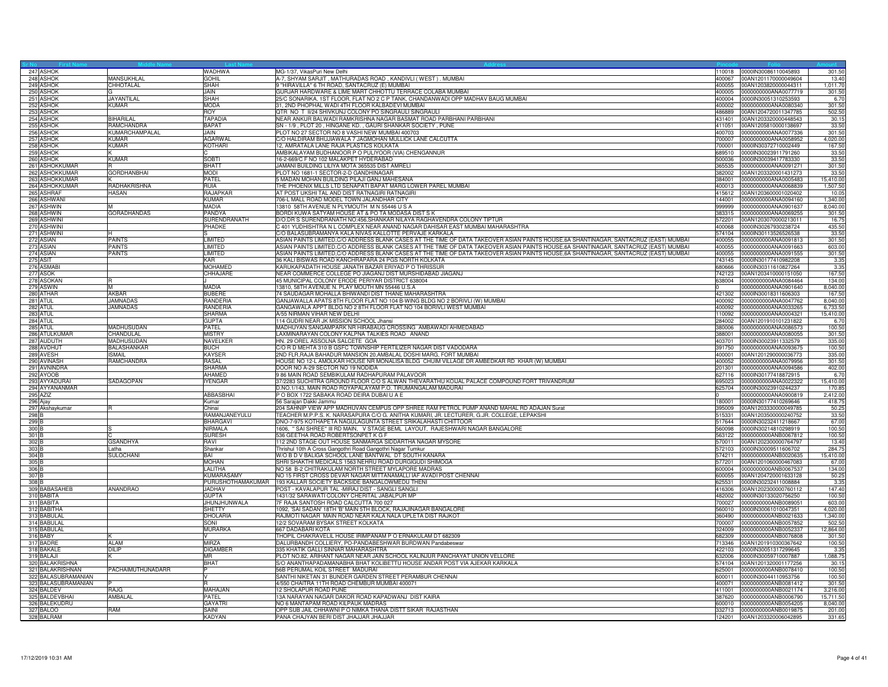|                           | 247 ASHOK                        |                                  | WADHWA<br>GOHIL                | MG-1/37, VikasPuri New Delhi                                                                                                                                                                   | 110018           | 0000IN30086110045893                                       | 301.5                |
|---------------------------|----------------------------------|----------------------------------|--------------------------------|------------------------------------------------------------------------------------------------------------------------------------------------------------------------------------------------|------------------|------------------------------------------------------------|----------------------|
|                           | 248 ASHOK<br>249 ASHOK           | <b>MANSUKHLAL</b><br>CHHOTALAL   | <b>SHAH</b>                    | A-7, SHYAM SARJIT, MATHURADAS ROAD, KANDIVLI (WEST). MUMBAI<br>9 "HIRAVILLA" 6 TH ROAD, SANTACRUZ (E) MUMBAI                                                                                   | 400067<br>400055 | 00AN1201170000049604<br>00AN1203820000044311               | 13.4<br>1,011.7      |
|                           | 250 ASHOK                        |                                  | <b>JAIN</b>                    | GURJAR HARDWARE & LIME MART CHHOTTU TERRACE COLABA MUMBAI                                                                                                                                      | 400005           | 0000000000ANA0077719                                       | 301.50               |
|                           | 251 ASHOK                        | JAYANTILAL                       | <b>SHAH</b>                    | 25/C SONARIKA, 1ST FLOOR, FLAT NO 2 C P TANK, CHANDANWADI OPP MADHAV BAUG MUMBAI                                                                                                               | 400004           | 0000IN30051310253593                                       | 6.70                 |
|                           | 252 ASHOK                        | <b>KUMAR</b>                     | <b>MODA</b>                    | 31, 2ND PHOPHAL WADI 4TH FLOOR KALBADEVI MUMBAI                                                                                                                                                | 400002           | 0000000000ANA0080340                                       | 301.50               |
|                           | 253 ASHOK                        |                                  | <b>ROY</b>                     | QTR NO T II/24 SHIVKUNJ COLONY PO SINGRAULI SINGRAULI                                                                                                                                          | 486889           | 00AN1204720011347785                                       | 502.50               |
|                           | 254 ASHOK                        | <b>BIHARILAL</b>                 | TAPADIA<br><b>BAPAT</b>        | NEAR ANKUR BALWADI RAMKRISHNA NAGAR BASMAT ROAD PARBHANI PARBHANI                                                                                                                              | 431401<br>411051 | 00AN1203320000448543                                       | 30.1                 |
|                           | 255 ASHOK<br>256 ASHOK           | RAMCHANDRA<br>KUMARCHAMPALAL     | JAIN                           | SN - 1/9, PLOT 20, HINGANE KD., GAURI SHANKAR SOCIETY, PUNE<br>PLOT NO 27 SECTOR NO 8 VASHI NEW MUMBAI 400703                                                                                  | 400703           | 00AN1205810000138697<br>0000000000ANA0077336               | 33.50<br>301.50      |
|                           | 257 ASHOK                        | <b>KUMAR</b>                     | AGARWAL                        | C/O HALDIRAM BHUJIAWALA 7 JAGMOHAN MULLICK LANE CALCUTTA                                                                                                                                       | 700007           | 0000000000ANA0058952                                       | 4,020.00             |
|                           | 258 ASHOK                        | <b>KUMAR</b>                     | <b>KOTHARI</b>                 | 12, AMRATALA LANE RAJA PLASTICS KOLKATA                                                                                                                                                        | 700001           | 0000IN30372710002449                                       | 167.50               |
|                           | 259 ASHOK                        |                                  |                                | AMBIKALAYAM BUDHANOOR P O PULIYOOR (VIA) CHENGANNUR                                                                                                                                            | 689510           | 0000IN30023911791260                                       | 33.50                |
|                           | 260 ASHOK                        | <b>KUMAR</b>                     | <b>SOBTI</b>                   | 16-2-669/C F NO 102 MALAKPET HYDERABAD                                                                                                                                                         | 500036           | 0000IN30039417783330                                       | 33.50                |
|                           | 261 ASHOKKUMAR<br>262 ASHOKKUMAR | <b>GORDHANBHAI</b>               | <b>BHATT</b><br><b>MODI</b>    | JAMANI BUILDING LILIYA MOTA 365535 DIST AMRELI<br>PLOT NO 1681-1 SECTOR-2-D GANDHINAGAR                                                                                                        | 365535<br>382002 | 0000000000ANA0091271<br>00AN1203320001431273               | 301.50<br>33.5       |
|                           | 263 ASHOKKUMAR                   |                                  | PATEL                          | 5 MADAN MOHAN BUILDING PILAJI GANJ MAHESANA                                                                                                                                                    | 384001           | 0000000000ANA0005483                                       | 15,410.00            |
|                           | 264 ASHOKKUMAR                   | RADHAKRISHNA                     | <b>RUIA</b>                    | THE PHOENIX MILLS LTD SENAPATI BAPAT MARG LOWER PAREL MUMBAI                                                                                                                                   | 400013           | 0000000000ANA0068839                                       | 1,507.5              |
|                           | 265 ASHRAF                       | <b>HASAN</b>                     | <b>RAJAPKAR</b>                | AT POST UKSHI TAL AND DIST RATNAGIRI RATNAGIRI                                                                                                                                                 | 415612           | 00AN1203600001020402                                       | 10.05                |
|                           | 266 ASHWAN                       |                                  | <b>KUMAR</b>                   | 706-L MALL ROAD MODEL TOWN JALANDHAR CITY                                                                                                                                                      | 144001           | 0000000000ANA0094160                                       | 1,340.0              |
|                           | 267 ASHWIN<br>268 ASHWIN         | <b>GORADHANDAS</b>               | <b>MADIA</b><br>PANDYA         | 13810 58TH AVENUE N PLYMOUTH M N 55446 U S A<br>BORDI KUWA SATYAM HOUSE AT & PO TA MODASA DIST S K                                                                                             | 999999           | 0000000000ANA0901637<br>383315 0000000000ANA0069255        | 8,040.0<br>301.50    |
|                           | 269 ASHWIN                       |                                  | SURENDRANATH                   | D/O:DR S SURENDRANATH NO:456,SHANKAR NILAYA RAGHAVENDRA COLONY TIPTUR                                                                                                                          |                  | 572201 00AN1203070000213011                                | 16.7                 |
|                           | 270 ASHWINI                      |                                  | PHADKE                         | C 401 YUDHISHTRA N L COMPLEX NEAR ANAND NAGAR DAHISAR EAST MUMBAI MAHARASHTRA                                                                                                                  | 400068           | 0000IN30267930238724                                       | 435.50               |
|                           | 271 ASHWINI                      |                                  |                                | C/O BALASUBRAMANYA KALA NIVAS KALLOTTE PERVAJE KARKALA                                                                                                                                         | 574104           | 0000IN30113526526538                                       | 33.5                 |
|                           | 272 ASIAN                        | <b>PAINTS</b>                    | LIMITED                        | ASIAN PAINTS LIMITED,C/O ADDRESS BLANK CASES AT THE TIME OF DATA TAKEOVER ASIAN PAINTS HOUSE,6A SHANTINAGAR, SANTACRUZ (EAST) MUMBAI                                                           | 400055           | 0000000000ANA0091813                                       | 301.50               |
|                           | 273 ASIAN                        | <b>PAINTS</b>                    | <b>LIMITED</b>                 | ASIAN PAINTS LIMITED, C/O ADDRESS BLANK CASES AT THE TIME OF DATA TAKEOVER ASIAN PAINTS HOUSE, 6A SHANTINAGAR, SANTACRUZ (EAST) MUMBAI                                                         | 400055           | 0000000000ANA0091663                                       | 603.00               |
|                           | 274 ASIAN<br>275 ASIT            | <b>PAINTS</b>                    | LIMITED<br>KAR                 | ASIAN PAINTS LIMITED, C/O ADDRESS BLANK CASES AT THE TIME OF DATA TAKEOVER ASIAN PAINTS HOUSE, 6A SHANTINAGAR, SANTACRUZ (EAST) MUMBAI<br>36 KALI BISWAS ROAD KANCHRAPARA 24 PGS NORTH KOLKATA | 400055<br>743145 | 0000000000ANA0091555<br>0000IN30177410982208               | 301.50<br>3.35       |
|                           | 276 ASMABI                       |                                  | MOHAMED                        | KARUKAPADATH HOUSE JANATH BAZAR ERIYAD P O THRISSUR                                                                                                                                            | 680666           | 0000lN30311610827264                                       | 3.35                 |
|                           | 277 ASOK                         |                                  | CHHAJARE                       | NEAR COMMERCE COLLEGE PO JIAGANJ DIST MURSHIDABAD JIAGANJ                                                                                                                                      | 742123           | 00AN1203410000151050                                       | 167.50               |
|                           | 278 ASOKAN                       | R                                |                                | 45 MUNICIPAL COLONY ERODE PERIYAR DISTRICT 638004                                                                                                                                              |                  | 638004 0000000000ANA0084464                                | 134.00               |
|                           | 279 ASWIN                        | M                                | MADIA                          | 13810, 58TH AVENUE N. PLAY MOUTH MN 55446 U.S.A                                                                                                                                                |                  | 0000000000ANA0901640                                       | 8,040.00             |
|                           | 280 ATHAR                        | <b>AKBAR</b><br>JAMNADAS         | <b>BUBERE</b><br>RANDERIA      | 74 SAUDAGAR MOHALLA BHIWANDI DIST THANE MAHARASHTRA<br>GANJAWALLA APATS 8TH FLOOR FLAT NO 104 B-WING BLDG NO 2 BORIVLI (W) MUMBAI                                                              | 421302<br>400092 | 0000IN30018311606303                                       | 167.50<br>8,040.0    |
|                           | 281 ATUL<br>282 ATUL             | <b>JAMNADAS</b>                  | RANDERIA                       | GANGAWALA APPT BLDG NO 2 8TH FLOOR FLAT NO 104 BORIVLI WEST MUMBAI                                                                                                                             | 400092           | 0000000000ANA0047762<br>0000000000ANA0033265               | 6,733.5              |
| 283 ATUI                  |                                  |                                  | SHARMA                         | A/55 NIRMAN VIHAR NEW DELHI                                                                                                                                                                    | 110092           | 0000000000ANA0004321                                       | 15,410.00            |
|                           | 284 ATUL                         |                                  | <b>GUPTA</b>                   | 114 GUDRI NEAR JK MISSION SCHOOL Jhansi                                                                                                                                                        | 284002           | 00AN1201910101231822                                       | 6.70                 |
|                           | 285 ATUL                         | <b>MADHUSUDAN</b>                | PATEL                          | MADHUYAN SANGAMPARK NR HIRABAUG CROSSING AMBAWADI AHMEDABAD                                                                                                                                    | 380006           | 0000000000ANA0086573                                       | 100.50               |
|                           | 286 ATULKUMAR                    | <b>CHANDULAL</b>                 | <b>MISTRY</b>                  | LAXMINARAYAN COLONY KALPNA TALKIES ROAD ANAND                                                                                                                                                  | 388001           | 0000000000ANA0080055                                       | 301.5                |
|                           | 287 AUDUTH<br>288 AVDHUT         | MADHUSUDAN<br><b>BALASHANKAR</b> | NAVELKER<br><b>BUCH</b>        | HN. 29 OREL ASSOLNA SALCETE GOA<br>C/O R D MEHTA 310 B GSFC TOWNSHIP FERTILIZER NAGAR DIST VADODARA                                                                                            | 403701<br>391750 | 0000IN30023911332579<br>0000000000ANA0093675               | 335.0<br>100.50      |
|                           | 289 AVESH                        | <b>ISMAIL</b>                    | KAYSER                         | 2ND FLR, RAJA BAHADUR MANSION 20, AMBALAL DOSHI MARG, FORT MUMBAI                                                                                                                              |                  | 400001 00AN1201290000036773                                | 335.00               |
|                           | 290 AVINASH                      | RAMCHANDRA                       | RASAL                          | HOUSE NO 12-L AMOLKAR HOUSE NR MONALISA BLDG CHUIM VILLAGE DR AMBEDKAR RD KHAR (W) MUMBAI                                                                                                      | 400052           | 0000000000ANA0079956                                       | 301.50               |
|                           | 291 AVNINDRA                     |                                  | <b>SHARMA</b>                  | DOOR NO A-29 SECTOR NO 19 NODIDA                                                                                                                                                               | 201301           | 0000000000ANA0094586                                       | 402.00               |
|                           | 292 AYOOB                        |                                  | <b>AHAMED</b>                  | 9 86 MAIN ROAD SEMBIKULAM RADHAPURAM PALAVOOR                                                                                                                                                  | 627116           | 0000lN30177418872915                                       | 6.70                 |
|                           | 293 AYYADURAI<br>294 AYYANANMAR  | SADAGOPAN                        | <b>IYENGAR</b>                 | 37/2283 SUCHITRA GROUND FLOOR C/O S ALWAN THEVARATHU KOIJAL PALACE COMPOUND FORT TRIVANDRUM<br>D.NO.1/143, MAIN ROAD ROYAPALAYAM P.O. TIRUMANGALAM MADURAI                                     | 695023<br>625704 | 0000000000ANA0022322<br>0000IN30023910244237               | 15,410.00<br>170.85  |
|                           | 295 AZIZ                         |                                  | ABBASBHAI                      | POBOX 1722 SABAKA ROAD DEIRA DUBAI U A E                                                                                                                                                       |                  | 0000000000ANA0900819                                       | 2,412.00             |
| 296 Ajay                  |                                  |                                  | Kumar                          | 56 Sarajan Dakki Jammu                                                                                                                                                                         | 180001           | 0000IN30177410269646                                       | 418.7                |
|                           | 297 Akshaykumar                  | R                                | Chinai                         | 204 SAHNIP VIEW APP MADHUVAN CEMPUS OPP SHREE RAM PETROL PUMP ANAND MAHAL RD ADAJAN Surat                                                                                                      | 395009           | 00AN1203330000049785                                       | 50.2                 |
| 298 <sub>B</sub>          |                                  |                                  | RAMANJANEYULU                  | TEACHER M.P.P.S. K. NARASAPURA C/O G. ANITHA KUMARI, JR. LECTURER, G.JR. COLLEGE, LEPAKSHI                                                                                                     | 515331           | 00AN1203500000240752                                       | 33.50                |
| 299 <sub>B</sub><br>300 E |                                  |                                  | BHARGAVI<br>NIRMALA            | DNO-7-975 KOTHAPETA NAGULAGUNTA STREET SRIKALAHASTI CHITTOOR<br>1606, " SAI SHREE" III RD MAIN, V STAGE BEML LAYOUT, RAJESHWARI NAGAR BANGALORE                                                | 517644<br>560098 | 0000IN30232411218667<br>0000IN30214810298919               | 67.00<br>100.50      |
| 301 E                     |                                  |                                  | <b>SURESH</b>                  | 536 GEETHA ROAD ROBERTSONPET K G F                                                                                                                                                             | 563122           | 0000000000ANB0067812                                       | 100.5                |
| 302 B                     |                                  | <b>GSANDHYA</b>                  | RAVI                           | 112 2ND STAGE OUT HOUSE SANMARGA SIDDARTHA NAGAR MYSORE                                                                                                                                        | 570011           | 00AN1202300000764797                                       | 13.40                |
| 303 B                     |                                  | Latha                            | Shankar                        | Thrishul 10th A Cross Gangothri Road Gangothri Nagar Tumkur                                                                                                                                    | 572103           | 0000IN30009511606702                                       | 284.7                |
| 304 B                     |                                  | SULOCHANI                        | BAI                            | W/O B D V BALIGA SCHOOL LANE BANTWAL DT SOUTH KANARA                                                                                                                                           | 574211           | 0000000000ANB0020635                                       | 15,410.00            |
| 305 E                     |                                  |                                  | <b>MOHAN</b><br><b>LALITHA</b> | SHRI SHAKTHI MEDICALS 1563 NEHRU ROAD DURGIGUDI SHIMOGA                                                                                                                                        | 577201           | 00AN1201060000467083                                       | 67.0                 |
| 306 B<br>307 <sub>B</sub> |                                  |                                  | <b>KUMARASAMY</b>              | NO 58 B-2 CHITRAKULAM NORTH STREET MYLAPORE MADRAS<br>NO 15 FIRST CROSS DEVAR NAGAR MITTANAMALLI IAF AVADI POST CHENNAI                                                                        |                  | 600004 0000000000ANB0067537<br>600055 00AN1204720001633128 | 134.00<br>50.25      |
| 308 F                     |                                  |                                  | PURUSHOTHAMAKUMAR              | 193 KALLAR SOCIETY BACKSIDE BANGALOWMEDU THENI                                                                                                                                                 |                  | 625531 0000IN30232411008884                                | 3.35                 |
|                           | 309 BABASAHEB                    | <b>ANANDRAO</b>                  | <b>JADHAV</b>                  | POST - KAVALAPUR TAL -MIRAJ DIST - SANGLI SANGLI                                                                                                                                               | 416306           | 00AN1202300000760112                                       | 147.40               |
|                           | 310 BABITA                       |                                  | <b>GUPTA</b>                   | 1431/32 SARAWATI COLONY CHERITAL JABALPUR MP                                                                                                                                                   | 482002           | 0000IN30133020756250                                       | 100.5                |
|                           | 311 BABITA<br>312 BABITHA        |                                  | JHUNJHUNWALA<br>SHETTY         | 7F RAJA SANTOSH ROAD CALCUTTA 700 027<br>1092, 'SAI SADAN' 18TH 'B' MAIN 5TH BLOCK, RAJAJINAGAR BANGALORE                                                                                      | 700027<br>560010 | 0000000000ANB0089051<br>0000IN30061010047351               | 603.00<br>4,020.00   |
|                           | 313 BABULAI                      |                                  | <b>DHOLARIA</b>                | RAJMOTI NAGAR MAIN ROAD NEAR KALA NALA UPLETA DIST RAJKOT                                                                                                                                      | 360490           | 0000000000ANB0021633                                       | 1,340.00             |
|                           | 314 BABULAI                      |                                  | SONI                           | 12/2 SOVARAM BYSAK STREET KOLKATA                                                                                                                                                              | 700007           | 0000000000ANB0057852                                       | 502.5                |
|                           | 315 BABULAI                      |                                  | <b>MURARKA</b>                 | 667 DADABARI KOTA                                                                                                                                                                              | 324009           | 0000000000ANB0052337                                       | 12,864.0             |
|                           | 316 BABY                         |                                  |                                | THOPIL CHAKRAVELIL HOUSE IRIMPANAM P O ERNAKULAM DT 682309                                                                                                                                     | 682309           | 0000000000ANB0076808                                       | 301.5                |
|                           | 317 BADRE                        | <b>ALAM</b>                      | <b>MIRZA</b>                   | DALURBANDH COLLIERY, PO-PANDABESHWAR BURDWAN Pandabeswar                                                                                                                                       | 713346           | 00AN1201910300367642                                       | 100.50               |
|                           | 318 BAKALE<br>319 BALAJI         | <b>DILIP</b>                     | <b>DIGAMBER</b><br><b>MR</b>   | 335 KHATIK GALLI SINNAR MAHARASHTRA<br>PLOT NO.82, ARIHANT NAGAR NEAR JAIN SCHOOL KALINJUR PANCHAYAT UNION VELLORE                                                                             | 422103<br>632006 | 0000IN30051317299645<br>0000IN30059710007887               | 3.35<br>1,088.7      |
|                           | 320 BALAKRISHNA                  |                                  | BHAT                           | S/O ANANTHAPADAMANABHA BHAT KOLIBETTU HOUSE ANDAR POST VIA AJEKAR KARKALA                                                                                                                      | 574104           | 00AN1201320001177256                                       | 30.1                 |
|                           | 321 BALAKRISHNAN                 | <b>PACHAIMUTHUNADARR</b>         |                                | 56B PERUMAL KOIL STREET MADURAI                                                                                                                                                                | 625001           | 0000000000ANB0078410                                       | 100.50               |
|                           | 322 BALASUBRAMANIAN              |                                  |                                | SANTHI NIKETAN 31 BUNDER GARDEN STREET PERAMBUR CHENNAI                                                                                                                                        | 600011           | 0000IN30044110953756                                       | 100.50               |
|                           | 323 BALASUBRAMANIAN              |                                  |                                | 4/550 CHAITRA 11TH ROAD CHEMBUR MUMBAI 400071                                                                                                                                                  | 400071           | 0000000000ANB0081412                                       | 301.50               |
|                           | 324 BALDEV<br>325 BALDEVBHAI     | RAJG<br>AMBALAL                  | MAHA.JAN<br>PATEL              | 12 SHOLAPUR ROAD PUNE<br>13A NARAYAN NAGAR DAKOR ROAD KAPADWANJ DIST KAIRA                                                                                                                     | 411001<br>387620 | 0000000000ANB0021174<br>0000000000ANB0006790               | 3,216.00<br>15,711.5 |
|                           | 326 BALEKUDRU                    |                                  | <b>GAYATRI</b>                 | NO 6 MANTAPAM ROAD KILPAUK MADRAS                                                                                                                                                              | 600010           | 0000000000ANB0054205                                       | 8,040.0              |
|                           | 327 BALOO                        | <b>RAM</b>                       | SAINI                          | OPP SUB JAIL CHHAWNI P O NIMKA THANA DISTT SIKAR RAJASTHAN                                                                                                                                     |                  | 332713 0000000000ANB0019875                                | 201.00               |
|                           | 328 BALRAM                       |                                  | KADYAN                         | PANA CHAJYAN BERI DIST JHAJJAR JHAJJAR                                                                                                                                                         |                  | 124201 00AN1203320006042895                                | 331.65               |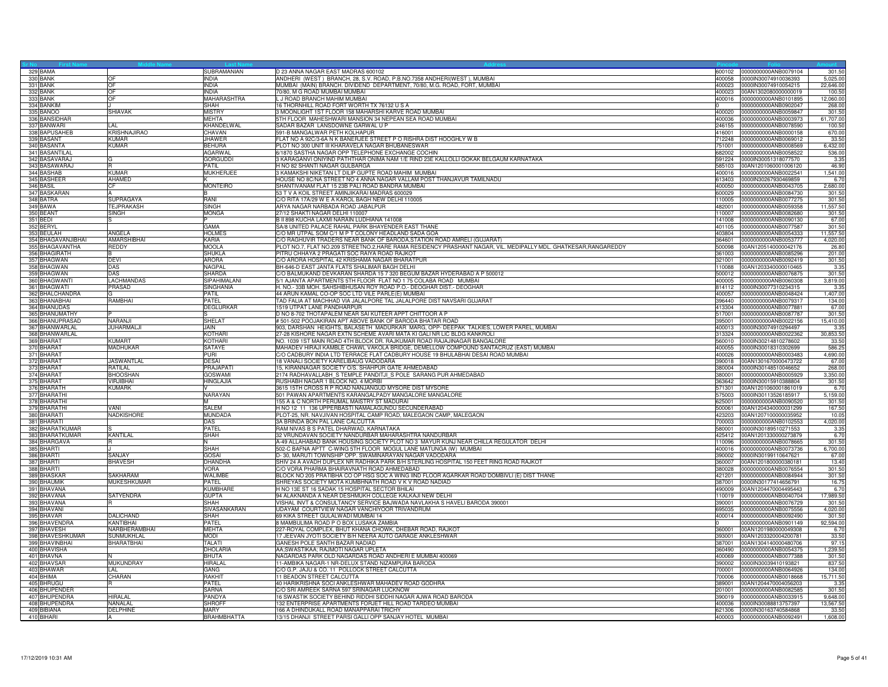| 329 BAMA                    |                                     | SUBRAMANIAN                     | D 23 ANNA NAGAR EAST MADRAS 600102                                                                               | 600102           | 0000000000ANB0079104                         | 301.5          |
|-----------------------------|-------------------------------------|---------------------------------|------------------------------------------------------------------------------------------------------------------|------------------|----------------------------------------------|----------------|
| 330 BANK                    | l∩⊧                                 | <b>INDIA</b>                    | ANDHERI (WEST) BRANCH, 28, S.V. ROAD, P.B.NO.7358 ANDHERI(WEST), MUMBAI                                          |                  | 400058 0000IN30074910036393                  | 5,025.0        |
| 331 BANK                    | <b>IOF</b>                          | <b>INDIA</b>                    | MUMBAI (MAIN) BRANCH. DIVIDEND DEPARTMENT, 70/80, M.G. ROAD, FORT, MUMBAI                                        | 400023           | 0000IN30074910054215                         | 22,646.0       |
| 332 BANK                    | <b>OF</b>                           | <b>INDIA</b>                    | 70/80, M G ROAD MUMBAI MUMBAI                                                                                    | 400023           | 00AN1302080000000019                         | 100.5          |
| 333 BANK                    | OF                                  | MAHARASHTRA                     | J ROAD BRANCH MAHIM MUMBAI                                                                                       | 400016           | 0000000000ANB0101895                         | 12,060.0       |
| 334 BANKIM                  |                                     | SHAH                            | 6 THORNHILL ROAD FORT WORTH TX 76132 U S A                                                                       |                  | 0000000000ANB0902047                         | 268.0          |
| 335 BANOO                   | <b>SHIAVAK</b>                      | <b>MISTRY</b>                   | 3 MOONLIGHT 1ST FLOOR 158 MAHARSHI KARVE ROAD MUMBAI                                                             | 400020           | 0000000000ANB0059847                         | 301.5          |
| 336 BANSIDHAR               |                                     | <b>MEHTA</b>                    | 5TH FLOOR MAHESHWARI MANSION 34 NEPEAN SEA ROAD MUMBAI                                                           | 400036           | 0000000000ANB0003973                         | 61,707.0       |
| 337 BANWARI                 | LAL                                 | KHANDELWAL                      | SADAR BAZAR LANSDOWNE GARWAL U P                                                                                 | 246155           | 0000000000ANB0078590                         | 100.5          |
| 338 BAPUSAHEB               | <b>KRISHNAJIRAO</b>                 | CHAVAN                          | 591-B MANGALWAR PETH KOLHAPUR                                                                                    | 416001           | 0000000000ANB0000158                         | 670.0          |
| 339 BASANT                  | KUMAR                               | <b>JHAWER</b>                   | LAT NO A 92C/3-6A N K BANERJEE STREET P O RISHRA DIST HOOGHLY W B                                                | 712248           | 0000000000ANB0069012                         | 33.5           |
| 340 BASANTA                 | <b>KUMAR</b>                        | <b>BEHURA</b>                   | PLOT NO 300 UNIT III KHARAVELA NAGAR BHUBANESWAR                                                                 | 751001           | 0000000000ANB0008569                         | 6,432.0        |
| 341 BASANTILAL              |                                     | <b>AGARWAL</b>                  | 6/1870 SASTHA NAGAR OPP TELEPHONE EXCHANGE COCHIN                                                                | 682002           | 0000000000ANB0058522                         | 536.0          |
| 342 BASAVARAJ               |                                     | <b>GORGUDDI</b><br><b>PATIL</b> | 3 KARAGANVI ONIYIND PATHTHAR ONIMA NAM 1/E RIND 23E KALLOLLI GOKAK BELGAUM KARNATAKA                             | 591224           | 0000IN30051318077570                         | 3.35           |
| 343 BASAWARAJ<br>344 BASHAB | KUMAR                               |                                 | H NO 82 SHANTI NAGAR GULBARGA<br>3 KAMAKSHI NIKETAN LT DILIP GUPTE ROAD MAHIM MUMBAI                             | 585103           | 00AN1201060001006120                         | 46.90          |
| 345 BASHEEF                 | AHAMED                              | MUKHERJEE                       | HOUSE NO 8C/NA STREET NO 4 ANNA NAGAR VALLAM POST THANJAVUR TAMILNADU                                            | 400016<br>613403 | 0000000000ANB0022541<br>0000IN30267930469859 | 1,541.0<br>6.7 |
| 346 BASIL                   | CF                                  | <b>MONTEIRO</b>                 | SHANTIVANAM FLAT 15 23B PALI ROAD BANDRA MUMBAI                                                                  | 400050           | 0000000000ANB0043705                         | 2,680.00       |
| 347 BASKARAN                |                                     | <sub>B</sub>                    | 53 T V A KOIL STREET AMINJIKARAI MADRAS 600029                                                                   | 600029           | 0000000000ANB0084730                         | 301.50         |
| 348 BATRA                   | <b>SUPRAGAYA</b>                    | RANI                            | C/O RITA 17A/29 W E A KAROL BAGH NEW DELHI 110005                                                                | 110005           | 0000000000ANB0077275                         | 301.50         |
| 349 BAWA                    | <b>TEJPRAKASH</b>                   | <b>SINGH</b>                    | ARYA NAGAR NARBADA ROAD JABALPUR                                                                                 | 482001           | 0000000000ANB0059358                         | 11,557.5       |
| 350 BEANT                   | <b>SINGH</b>                        | <b>MONGA</b>                    | 27/12 SHAKTI NAGAR DELHI 110007                                                                                  | 110007           | 0000000000ANB0082680                         | 301.5          |
| 351 BEDI                    |                                     |                                 | B II 898 KUCHA LAXMI NARAIN LUDHIANA 141008                                                                      | 141008           | 0000000000ANB0090130                         | 67.0           |
| 352 BERYL                   |                                     | GAMA                            | SA/8 UNITED PALACE RAHAL PARK BHAYENDER EAST THANE                                                               | 401105           | 0000000000ANB0077587                         | 301.5          |
| 353 BEULAH                  | ANGELA                              | <b>HOLMES</b>                   | C/O MR UTPAL SOM C/1 M P T COLONY HEADLAND SADA GOA                                                              | 403804           | 0000000000ANB0054333                         | 11,557.5       |
| 354 BHAGAVANJIBHAI          | <b>AMARSHIBHAI</b>                  | KARIA                           | O RAGHUVIR TRADERS NEAR BANK OF BARODA,STATION ROAD AMRELI (GUJARAT)                                             | 364601           | 0000000000ANB0053777                         | 4,020.0        |
| 355 BHAGAVANTHA             | REDDY                               | <b>MOOLA</b>                    | PLOT NO.7, FLAT NO.209 STREETNO.2, HARE RAMA RESIDENCY PRASHANT NAGAR, VIL. MEDIPALLY MDL. GHATKESAR, RANGAREDDY | 500098           | 00AN1205140000042176                         | 26.8           |
| 356 BHAGIRATH               |                                     | <b>SHUKLA</b>                   | PITRU CHHAYA 2 PRAGATI SOC RAIYA ROAD RAJKOT                                                                     | 361003           | 0000000000ANB0085296                         | 201.0          |
| 357 BHAGWAN                 | <b>DEVI</b>                         | <b>ARORA</b>                    | C/O ARORA HOSPITAL 42 KRISHAMA NAGAR BHARATPUR                                                                   | 321001           | 0000000000ANB0092419                         | 301.5          |
| 358 BHAGWAN                 | DAS                                 | NAGPAL                          | BH-646-D EAST JANTA FLATS SHALIMAR BAGH DELHI                                                                    | 110088           | 00AN1203340000010465                         | 3.35           |
| 359 BHAGWAN                 | DAS                                 | <b>SHARDA</b>                   | C/O BALMUKAND DEVKARAN SHARDA 15 7 320 BEGUM BAZAR HYDERABAD A P 500012                                          | 500012           | 0000000000ANB0076875                         | 301.5          |
| 360 BHAGWANTI               | <b>LACHMANDAS</b>                   | <b>SIPAHIMALANI</b>             | 5/1 AJANTA APARTMENTS 5TH FLOOR FLAT NO 1 75 COLABA ROAD MUMBAI                                                  | 400005           | 0000000000ANB0060308                         | 3,819.0        |
| 361 BHAGWATI                | <b>PRASAD</b>                       | SINGHANIA                       | H. NO.- 33B MOH. SAHSHIBHUSAN ROY ROAD P.O.- DEOGHAR DIST.- DEOGHAR                                              | 814112           | 0000IN30077310234315                         | 3.3            |
| 362 BHALCHANDRA             |                                     | PATIL                           | 44 ARUN KAMAL CO-OP SOC LTD VILE PARLE(E) MUMBAI                                                                 | 400057           | 0000000000ANB0048424                         | 1,407.0        |
| 363 BHANABHAI               | RAMBHAI                             | PATEL                           | TAD FALIA AT MACHHAD VIA JALALPORE TAL JALALPORE DIST NAVSARI GUJARAT                                            | 396440           | 0000000000ANB0079317                         | 134.0          |
| 364 BHANUDAS                |                                     | <b>DEGLURKAR</b>                | 1519 UTPAT LANE PANDHARPUR                                                                                       | 413304           | 0000000000ANB0077881                         | 67.0           |
| 365 BHANUMATHY              |                                     |                                 | D NO 8-702 THOTAPALEM NEAR SAI KUTEER APPT CHITTOOR A P                                                          | 517001           | 0000000000ANB0087787                         | 301.5          |
| 366 BHANUPRASAD             | NARAN.II                            | <b>SHELAT</b>                   | #501-502 POOJAKIRAN APT ABOVE BANK OF BARODA BHATAR ROAD                                                         | 395001           | 0000000000ANB0022156                         | 15,410.0       |
| 367 BHANWARLAL              | <b>JUHARMALJI</b>                   | JAIN                            | 903, DARSHAN HEIGHTS, BALASETH MADURKAR MARG, OPP- DEEPAK TALKIES, LOWER PAREL, MUMBAI                           | 400013           | 0000IN30074910294497                         | 3.35           |
| 368 BHANWARLAL              |                                     | KOTHARI                         | 27-28 KISHORE NAGAR EXTN SCHEME AVARI MATA KI GALI NR LIC BLDG KANKROLI                                          | 313324           | 0000000000ANB0022362                         | 30,853.5       |
| 369 BHARAT                  | <b>KUMART</b>                       | <b>KOTHARI</b>                  | NO. 1039 1ST MAIN ROAD 4TH BLOCK DR. RAJKUMAR ROAD RAJAJINAGAR BANGALORE                                         |                  | 560010 0000IN30214810278602                  | 33.50          |
| 370 BHARAT                  | <b>MADHUKAR</b>                     | <b>SATAYE</b>                   | MAHADEV HIRAJI KAMBLE CHAWL VAKOLA BRIDGE, DEMELLOW COMPOUND SANTACRUZ (EAST) MUMBAI                             | 400055           | 0000IN30018310302699                         | 586.2          |
| 371 BHARAT                  |                                     | PURI                            | C/O CADBURY INDIA LTD TERRACE FLAT CADBURY HOUSE 19 BHULABHAI DESAI ROAD MUMBAI                                  | 400026           | 0000000000ANB0003483                         | 4,690.0        |
| 372 BHARAT                  | <b>JASWANTLAL</b>                   | DESAI                           | <b>8 VANALI SOCIETY KARELIBAUG VADODARA</b>                                                                      | 390018           | 00AN1301670000473722                         | 67.0           |
| 373 BHARAT                  | RATILAL                             | PRAJAPATI                       | 5, KIRANNAGAR SOCIETY O/S. SHAHPUR GATE AHMEDABAD                                                                | 380004           | 0000IN30148510046652                         | 268.0          |
| 374 BHARAT<br>375 BHARAT    | <b>BHOOSHAN</b><br><b>VIRJIBHAI</b> | <b>GOSWAMI</b>                  | 2174 RADHAVALLABH_S TEMPLE PANDITJI_S POLE SARANG PUR AHMEDABAD                                                  | 380001<br>363642 | 0000000000ANB0005929<br>0000IN30015910388804 | 3,350.0        |
| 376 BHARATH                 | <b>KUMARK</b>                       | <b>HINGLAJIA</b>                | RUSHABH NAGAR 1 BLOCK NO. 4 MORBI                                                                                | 571301           | 00AN1201060001861019                         | 301.5<br>6.7   |
| 377 BHARATHI                |                                     | NARAYAN                         | 3615 15TH CROSS R P ROAD NANJANGUD MYSORE DIST MYSORE<br>501 PAWAN APARTMENTS KARANGALPADY MANGALORE MANGALORE   | 575003           | 0000IN30113526185917                         | 5,159.0        |
| 378 BHARATHI                |                                     | м                               | 55 A & C NORTH PERUMAL MAISTRY ST MADURAI                                                                        | 625001           | 0000000000ANB0090520                         | 301.5          |
| 379 BHARATHI                | VANI                                | <b>SALEM</b>                    | H NO 12 11 136 UPPERBASTI NAMALAGUNDU SECUNDERABAD                                                               | 500061           | 00AN1204340000031299                         | 167.5          |
| 380 BHARATI                 | <b>NADKISHORE</b>                   | <b>MUNDADA</b>                  | PLOT-25, NR. NAVJIVAN HOSPITAL CAMP ROAD, MALEGAON CAMP, MALEGAON                                                | 423203           | 00AN1207100000035952                         | 10.0           |
| 381 BHARATI                 |                                     | DAS                             | 3A BRINDA BON PAL LANE CALCUTTA                                                                                  | 700003           | 0000000000ANB0102553                         | 4,020.00       |
| 382 BHARATKUMAR             |                                     | PATE                            | RAM NIVAS B S PATEL DHARWAD, KARNATAKA                                                                           | 580001           | 0000IN30189510271553                         | 3.35           |
| 383 BHARATKUMAR             | KANTILAL                            | <b>SHAH</b>                     | 32 VRUNDAVAN SOCIETY NANDURBAR MAHARASHTRA NANDURBAR                                                             | 425412           | 00AN1201330000273879                         | 6.7            |
| 384 BHARGAVA                |                                     | N                               | A-49 ALLAHABAD BANK HOUSING SOCIETY PLOT NO 3 MAYUR KUNJ NEAR CHILLA REGULATOR DELHI                             | 110096           | 0000000000ANB0078665                         | 301.50         |
| 385 BHARTI                  |                                     | <b>SHAH</b>                     | 502-C BAFNA APTT C-WING 5TH FLOOR MOGUL LANE MATUNGA (W) MUMBAI                                                  | 400016           | 0000000000ANB0073736                         | 6,700.00       |
| 386 BHARTI                  | SAN.JAY                             | <b>GOSAI</b>                    | D-30, MARUTI TOWNSHIP OPP. SWAMINARAYAN NAGAR VADODARA                                                           | 390002           | 0000IN30199110647621                         | 67.00          |
| 387 BHARTI                  | <b>BHAVESH</b>                      | <b>DHANDHA</b>                  | SHIV 24 A AVADH DUPLEX NR RADHIKA PARK B/H STERLING HOSPITAL 150 FEET RING ROAD RAJKOT                           | 360007           | 00AN1201800000380181                         | 13.40          |
| 388 BHARTI                  |                                     | VORA                            | /O VORA PHARMA BHAIRAVNATH ROAD AHMEDABAD                                                                        | 380028           | 0000000000ANB0076554                         | 301.5          |
| 389 BHASKAF                 | SAKHARAM                            | WALIMBE                         | BLOCK NO 205 PRATIBHA CO OP HSG SOC A WING IIND FLOOR AGARKAR ROAD DOMBIVLI (E) DIST THANE                       | 421201           | 0000000000ANB0084944                         | 301.5          |
| 390 BHAUMIK                 | <b>MUKESHKUMAR</b>                  | PATEL                           | SHREYAS SOCIETY MOTA KUMBHNATH ROAD V K V ROAD NADIAD                                                            | 387001           | 0000IN30177414656791                         | 16.7           |
| 391 BHAVANA                 |                                     | KUMBHARE                        | H NO 13E ST 16 SADAK 15 HOSPITAL SECTOR BHILAI                                                                   | 490009           | 00AN1204470004495443                         | 6.7            |
| 392 BHAVANA                 | <b>SATYENDRA</b>                    | <b>GUPTA</b>                    | 94 ALAKNANDA A NEAR DESHMUKH COLLEGE KALKAJI NEW DELHI                                                           | 110019           | 0000000000ANB0040704                         | 17,989.50      |
| 393 BHAVANA                 |                                     | SHAH                            | /ISHAL INVT & CONSULTANCY SERVICE BAJWADA NAVLAKHA S HAVELI BARODA 390001                                        | 390001           | 0000000000ANB0076729                         | 301.5          |
| 394 BHAVANI                 |                                     | SIVASANKARAN                    | UDAYAM COURTVIEW NAGAR VANCHIYOOR TRIVANDRUM                                                                     | 695035           | 0000000000ANB0075556                         | 4,020.0        |
| 395 BHAVAR                  | <b>DALICHAND</b>                    | SHAH                            | 69 KIKA STREET GULALWADI MUMBAI 14                                                                               | 400014           | 0000000000ANB0092490                         | 301.5          |
| 396 BHAVENDRA               | KANTIBHAI                           | PATEL                           | 8 MAMBULIMA ROAD P O BOX LUSAKA ZAMBIA                                                                           |                  | 0000000000ANB0901149                         | 92,594.0       |
| 397 BHAVESH                 | NARBHERAMBHAI                       | <b>MEHTA</b>                    | 227-ROYAL COMPLEX, BHUT KHANA CHOWK, DHEBAR ROAD, RAJKOT                                                         | 360001           | 00AN1201980000049308                         | 6.7            |
| 398 BHAVESHKUMAR            | SUNMUKHLAL                          | <b>MODI</b>                     | 17 JEEVAN JYOTI SOCIETY B/H NEERA AUTO GARAGE ANKLESHWAR                                                         | 393001           | 00AN1203320004200781                         | 33.5           |
| 399 BHAVINBHAI              | <b>BHARATBHAI</b>                   | <b>TALATI</b>                   | GANESH POLE SANTH BAZAR NADIAD                                                                                   | 387001           | 00AN1304140000480706                         | 97.1           |
| 400 BHAVISHA                |                                     | <b>DHOLARIA</b>                 | AA;SWASTIKAA; RAJMOTI NAGAR UPLETA                                                                               | 360490           | 0000000000ANB0054375                         | 1,239.5        |
| 401 BHAVNA<br>402 BHAVSAF   | <b>MUKUNDRAY</b>                    | <b>BHUTA</b><br>HIRALAL         | NAGARDAS PARK OLD NAGARDAS ROAD ANDHERI E MUMBAI 400069                                                          | 400069<br>390002 | 0000000000ANB0077388<br>0000IN30039410193821 | 301.5<br>837.5 |
| 403 BHAWAR                  |                                     | GANG                            | 1-AMBIKA NAGAR-1 NR-DELUX STAND NIZAMPURA BARODA                                                                 | 700001           | 0000000000ANB0064926                         | 134.0          |
| 404 BHIMA                   | CHARAN                              | <b>RAKHIT</b>                   | C/O G.P. JAJU & CO. 11 POLLOCK STREET CALCUTTA<br>11 BEADON STREET CALCUTTA                                      | 700006           | 0000000000ANB0018668                         | 15,711.5       |
| 405 BHRUGU                  |                                     | PATEL                           | 40 HARIKRISHNA SOCI ANKLESHWAR MAHADEV ROAD GODHRA                                                               | 389001           | 00AN1204470004056203                         | 3.3            |
| 406 BHUPENDER               |                                     | <b>SARNA</b>                    | C/O SRI AMREEK SARNA 597 SRINAGAR LUCKNOW                                                                        | 201001           | 0000000000ANB0082585                         | 301.5          |
| 407 BHUPENDRA               | HIRALAL                             | PANDYA                          | 6 SWASTIK SOCIETY BEHIND RIDDHI SIDDHI NAGAR AJWA ROAD BARODA                                                    | 390019           | 0000000000ANB0033915                         | 9,648.0        |
| 408 BHUPENDRA               | NANALAL                             | <b>SHROFF</b>                   | 132 ENTERPRISE APARTMENTS FORJET HILL ROAD TARDEO MUMBAI                                                         | 400036           | 0000IN30088813757397                         | 13,567.5       |
| 409 BIBIANA                 | <b>DELPHINE</b>                     | <b>MARY</b>                     | 166 A DHINDUKALL ROAD MANAPPARAI TRICHY                                                                          | 621306           | 0000IN30163740584868                         | 33.5           |
| 410 BIHARI                  |                                     | BRAHMBHATTA                     | 13/15 DHANJI STREET PARSI GALLI OPP SANJAY HOTEL MUMBAI                                                          |                  | 400003 0000000000ANB0092491                  | 1,608.00       |
|                             |                                     |                                 |                                                                                                                  |                  |                                              |                |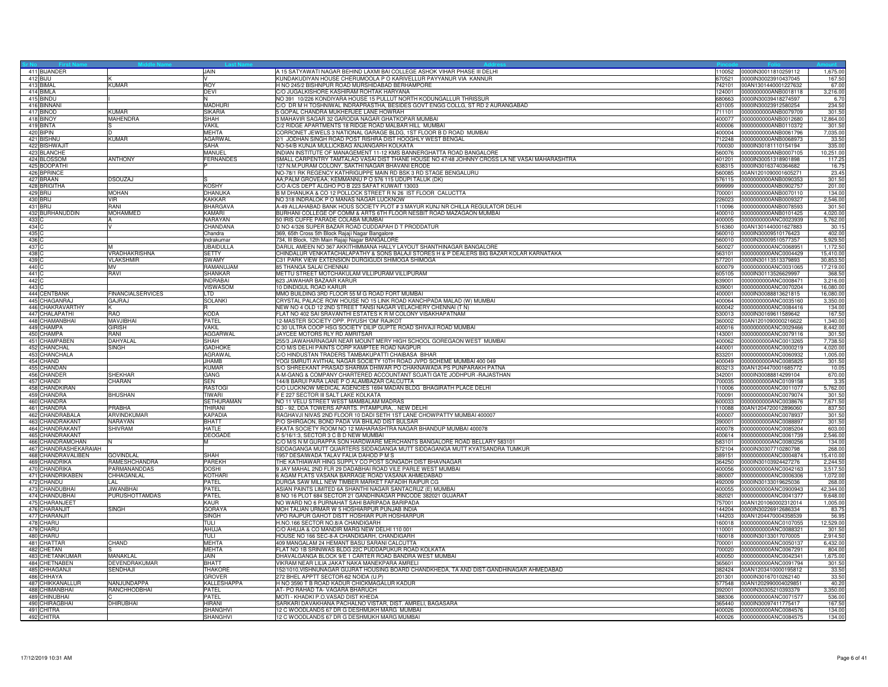|                  | 411 BIJANDER                  |                                    | JAIN                   | A 15 SATYAWATI NAGAR BEHIND LAXMI BAI COLLEGE ASHOK VIHAR PHASE III DELHI                                          |        | 110052 0000IN30011810259112                         | 1,675.00             |
|------------------|-------------------------------|------------------------------------|------------------------|--------------------------------------------------------------------------------------------------------------------|--------|-----------------------------------------------------|----------------------|
|                  | 412 BIJU                      |                                    |                        | KUNDAKUDIYAN HOUSE CHERUMOOLA P O KARIVELLUR PAYYANUR VIA KANNUR                                                   | 670521 | 0000IN30023910437045                                | 167.5                |
|                  | 413 BIMAL                     | <b>KUMAR</b>                       | <b>ROY</b>             | H NO 245/2 BISHNPUR ROAD MURSHIDABAD BERHAMPORE                                                                    | 742101 | 00AN1301440001227632                                | 67.0                 |
|                  | 414 BIMLA                     |                                    | <b>DEVI</b>            | C/O JUGALKISHORE KASHIRAM ROHTAK HARYANA                                                                           |        | 124001 0000000000ANB0018118                         | 3,216.00             |
|                  | 415 BINDU                     |                                    | M.                     | NO 391 10/226 KONDIYARA HOUSE 15 PULLUT NORTH KODUNGALLUR THRISSUR                                                 |        | 680663 0000IN30039418274597                         | 6.70                 |
|                  | 416 BINNANI                   |                                    | <b>MADHURI</b>         | C/O DR M H TOSHNIWAL INDRAPRASTHA, BESIDES GOVT ENGG COLLG, ST RD 2 AURANGABAD                                     |        | 431005 0000IN30023912580254                         | 234.50               |
|                  | 417 BINOD                     | KUMAR                              | <b>SIKARIA</b>         | 5 GOPAL CHANDRA MUKHERJEE LANE HOWRAH                                                                              | 711101 | 0000000000ANB0079709                                | 301.5                |
|                  | 418 BINOY                     | <b>MAHENDRA</b>                    | SHAH                   | 3 MAHAVIR SAGAR 32 GARODIA NAGAR GHATKOPAR MUMBAI                                                                  |        | 400077 0000000000ANB0012680                         | 12,864.00            |
|                  | 419 BINTA                     |                                    | VAKIL                  | C/2 RIDGE APARTMENTS 18 RIDGE ROAD MALBAR HILL MUMBAI                                                              |        | 400006 0000000000ANB0110372                         | 301.50               |
|                  | 420 BIPIN                     |                                    | <b>MEHTA</b>           | CORRONET JEWELS 3 NATIONAL GARAGE BLDG, 1ST FLOOR B D ROAD MUMBAI                                                  |        | 400004 0000000000ANB0061796                         | 7,035.00             |
|                  | 421 BISHNU                    | KUMAR                              | <b>AGARWAL</b><br>SAHA | 2/1 JODHAN SINGH ROAD POST RISHRA DIST HOOGHLY WEST BENGAL                                                         | 712248 | 0000000000ANB0068973<br>700030 0000IN30181110154194 | 33.50                |
|                  | 422 BISHWAJIT<br>423 BLANCHE  |                                    | MANUEL                 | NO-54/B KUNJA MULLICKBAG ANJANGARH KOLKATA<br>INDIAN INSTITUTE OF MANAGEMENT 11-12 KMS BANNERGHATTA ROAD BANGALORE |        | 560076 0000000000ANB0007105                         | 335.00<br>10,251.00  |
|                  | 424 BLOSSOM                   | <b>ANTHONY</b>                     | <b>FERNANDES</b>       | SMALL CARPENTRY TAMTALAO VASAI DIST THANE HOUSE NO 47/48 JOHNNY CROSS LA NE VASAI MAHARASHTRA                      |        | 401201 0000IN30051318901898                         | 117.25               |
|                  | 425 BOOPATHI                  |                                    |                        | 127 N.M.PURAM COLONY, SAKTHI NAGAR BHAVANI ERODE                                                                   | 638315 | 0000IN30163740364682                                | 16.7                 |
|                  | 426 BPRINCE                   |                                    |                        | NO-78/1 RK REGENCY KATHRIGUPPE MAIN RD BSK 3 RD STAGE BENGALURU                                                    | 560085 | 00AN1201090001605271                                | 23.45                |
|                  | 427 BRAAN                     | <b>DSOUZAJ</b>                     |                        | AA;PALM GROVEAA; KEMMANNU P O 576 115 UDUPI TALUK (DK)                                                             | 576115 | 0000000000ANB0090353                                | 301.50               |
|                  | 428 BRIGITHA                  |                                    | <b>KOSHY</b>           | C/O A/CS DEPT ALGHO PO B 223 SAFAT KUWAIT 13003                                                                    | 999999 | 0000000000ANB0902757                                | 201.00               |
|                  | 429 BRIJ                      | <b>MOHAN</b>                       | <b>DHANUKA</b>         | B M DHANUKA & CO 12 POLLOCK STREET R N 26 IST FLOOR CALUCTTA                                                       |        | 700001 0000000000ANB0070110                         | 134.00               |
|                  | 430 BRIJ                      | <b>VIR</b>                         | <b>KAKKAR</b>          | NO 318 INDRALOK P O MANAS NAGAR LUCKNOW                                                                            | 226023 | 0000000000ANB0009327                                | 2,546.00             |
|                  | 431 BRIJ                      | RANI                               | BHARGAVA               | A-49 ALLAHABAD BANK HOUS SOCIETY PLOT #3 MAYUR KUNJ NR CHILLA REGULATOR DELHI                                      | 110096 | 0000000000ANB0078593                                | 301.5                |
|                  | 432 BURHANUDDIN               | <b>MOHAMMED</b>                    | KAMARI                 | BURHANI COLLEGE OF COMM & ARTS 6TH FLOOR NESBIT ROAD MAZAGAON MUMBAI                                               |        | 400010 0000000000ANB0101425                         | 4,020.0              |
| 433 C            |                               |                                    | <b>NARAYAN</b>         | 50 IRIS CUFFE PARADE COLABA MUMBAI                                                                                 |        | 400005 0000000000ANC0023939                         | 5,762.00             |
| 434 C            |                               |                                    | CHANDANA               | D NO 4/326 SUPER BAZAR ROAD CUDDAPAH D T PRODDATUR                                                                 |        | 516360 00AN1301440001627883                         | 30.1                 |
| 435C             |                               |                                    | Chandra                | 369, 65th Cross 5th Block Rajaji Nagar Bangalore                                                                   |        | 560010 0000IN30009510176423                         | 402.0                |
| 436 <sup>C</sup> |                               |                                    | Indrakuma              | 734, III Block, 12th Main Rajaji Nagar BANGALORE                                                                   | 560010 | 0000IN30009510577357                                | 5,929.5              |
| 437 C            |                               |                                    | UBAIDULLA              | DARUL AMEEN NO 367 AKKITHIMMANA HALLY LAYOUT SHANTHINAGAR BANGALORE                                                | 560027 | 0000000000ANC0068951                                | 1,172.5              |
| 438 C            |                               | VRADHAKRISHNA                      | <b>SETTY</b>           | CHINDALUR VENKATACHALAPATHY & SONS BALAJI STORES H & P DEALERS BIG BAZAR KOLAR KARNATAKA                           | 563101 | 0000000000ANC0004429                                | 15,410.0             |
| 439 C            |                               | <b>VLAKSHMIR</b>                   | SWAMY                  | C31 PARK VIEW EXTENSION DURGIGUDI SHIMOGA SHIMOGA                                                                  |        | 577201 0000IN30113513379893                         | 30,853.50            |
| 440 C            |                               | <b>MV</b>                          | RAMANUJAM              | 85 THANGA SALAI CHENNAI                                                                                            | 600079 | 0000000000ANC0031065                                | 17,219.00            |
| 441 C            |                               | RAVI                               | SHANKAR                | METTU STREET MOTCHAKULAM VILLIPURAM VILLIPURAM                                                                     | 605105 | 0000IN30113526629997                                | 368.5                |
| 442 C            |                               |                                    | <b>INDRABAI</b>        | 623 JAWAHAR BAZAAR KARUR<br>10 DINDIGUL ROAD KARUR                                                                 | 639001 | 0000000000ANC0008471                                | 3,216.0              |
| 443 C            |                               |                                    | VISWASOM               | MMO BUILDING 3RD FLOOR 55 M G ROAD FORT MUMBAI                                                                     |        | 639001 0000000000ANC0070204                         | 16,080.0             |
|                  | 444 CENTBANK<br>445 CHAGANRAJ | <b>FINANCIALSERVICES</b><br>GAJRAJ | TD.<br><b>SOLANKI</b>  | CRYSTAL PALACE ROW HOUSE NO 15 LINK ROAD KANCHPADA MALAD (W) MUMBAI                                                | 400064 | 400001 0000IN30088813621815<br>0000000000ANC0035160 | 16,080.0<br>3,350.00 |
|                  | 446 CHAKRAVARTHY              |                                    |                        | NEW NO 4 OLD 12 2ND STREET TANSI NAGAR VELACHERY CHENNAI (T N)                                                     | 600042 | 0000000000ANC0084416                                | 134.00               |
|                  | 447 CHALAPATHI                | <b>RAO</b>                         | <b>KODA</b>            | FLAT NO 402 SAI SRAVANTHI ESTATES K R M COLONY VISAKHAPATNAM                                                       | 530013 | 0000IN30169611589642                                | 167.50               |
|                  | 448 CHAMANBHAI                | MAVJIBHAI                          | PATEL                  | 12-MASTER SOCIETY OPP. PIYUSH 'OM' RAJKOT                                                                          | 360002 | 00AN1201090000216622                                | 1,340.00             |
|                  | 449 CHAMPA                    | GIRISH                             | <b>VAKIL</b>           | C 30 ULTRA COOP HSG SOCIETY DILIP GUPTE ROAD SHIVAJI ROAD MUMBAI                                                   |        | 400016 0000000000ANC0029466                         | 8,442.00             |
|                  | 450 CHAMPA                    | RANI                               | <b>AGGARWAL</b>        | JAYCEE MOTORS RLY RD AMRITSAR                                                                                      | 143001 | 0000000000ANC0079116                                | 301.50               |
|                  | 451 CHAMPABEN                 | DAHYALAL                           | SHAH                   | 255/3 JAWAHARNAGAR NEAR MOUNT MERY HIGH SCHOOL GOREGAON WEST MUMBAI                                                | 400062 | 0000000000ANC0013265                                | 7,738.5              |
|                  | 452 CHANCHAL                  | <b>SINGH</b>                       | <b>GADHOKE</b>         | C/O M/S DELHI PAINTS CORP KAMPTEE ROAD NAGPUR                                                                      | 440001 | 0000000000ANC0000219                                | 4,020.0              |
|                  | 453 CHANCHALA                 |                                    | <b>AGRAWAL</b>         | C/O HINDUSTAN TRADERS TAMBAKUPATTI CHAIBASA BIHAR                                                                  |        | 833201 0000000000ANC0060932                         | 1,005.00             |
|                  | 454 CHAND                     |                                    | <b>JHAMB</b>           | YOGI SMRUTI AVITHAL NAGAR SOCIETY 10TH ROAD JVPD SCHEME MUMBAI 400 049                                             |        |                                                     | 301.50               |
|                  | 455 CHANDAN                   |                                    | <b>KUMAR</b>           | S/O SHREEKANT PRASAD SHARMA DHIWAR PO CHAKNAWADA PS PUNPARAKH PATNA                                                |        | 803213 00AN1204470001685772                         | 10.0                 |
|                  | 456 CHANDER                   | SHEKHAR                            | GANG                   | A-M-GANG & COMPANY CHARTERED ACCOUNTANT SOJATI GATE JODHPUR -RAJASTHAN                                             | 342001 | 0000IN30088814299104                                | 670.00               |
|                  | 457 CHANDI                    | CHARAN                             | <b>SEN</b>             | 144/8 BARUI PARA LANE P O ALAMBAZAR CALCUTTA                                                                       | 700035 | 0000000000ANC0109158                                | 3.3                  |
|                  | 458 CHANDKIRAN                |                                    | <b>RASTOGI</b>         | C/O LUCKNOW MEDICAL AGENCIES 1694 MADAN BLDG BHAGIRATH PLACE DELHI                                                 | 110006 | 0000000000ANC0011077                                | 5,762.00             |
|                  | 459 CHANDRA                   | <b>BHUSHAN</b>                     | <b>TIWARI</b>          | F E 227 SECTOR III SALT LAKE KOLKATA                                                                               | 700091 | 0000000000ANC0079074                                | 301.50               |
|                  | 460 CHANDRA<br>461 CHANDRA    | PRABHA                             | SETHURAMAN<br>THIRANI  | NO 11 VELU STREET WEST MAMBALAM MADRAS<br>SD - 92, DDA TOWERS APARTS. PITAMPURA, . NEW DELHI                       | 600033 | 0000000000ANC0038676<br>110088 00AN1204720012896060 | 7,671.5<br>837.50    |
|                  | 462 CHANDRABALA               | <b>ARVINDKUMAR</b>                 | <b>KAPADIA</b>         | RAGHAVJI NIVAS 2ND FLOOR 10 DADI SETH 1ST LANE CHOWPATTY MUMBAI 400007                                             |        | 400007 0000000000ANC0078937                         | 301.50               |
|                  | 463 CHANDRAKANT               | NARAYAN                            | BHATT                  | P/O SHIRGAON, BOND PADA VIA BHILAD DIST BULSAR                                                                     |        | 390001 0000000000ANC0088897                         | 301.50               |
|                  | 464 CHANDRAKANT               | <b>SHIVRAM</b>                     | <b>HATLE</b>           | EKATA SOCIETY ROOM NO 12 MAHARASHTRA NAGAR BHANDUP MUMBAI 400078                                                   | 400078 | 0000000000ANC0085204                                | 603.00               |
|                  | 465 CHANDRAKANT               |                                    | DEOGADE                | 35/16/1:3, SECTOR 3 C B D NEW MUMBAI                                                                               | 400614 | 0000000000ANC0061739                                | 2,546.00             |
|                  | 466 CHANDRAMOHAN              |                                    | M                      | C/O M/S N M GURAPPA SON HARDWARE MERCHANTS BANGALORE ROAD BELLARY 583101                                           | 583101 | 0000000000ANC0080256                                | 134.00               |
|                  | 467 CHANDRASHEKARAIAH         |                                    |                        | SIDDAGANGA MUTT QUARTERS SIDDAGANGA MUTT SIDDAGANGA MUTT KYATSANDRA TUMKUR                                         | 572104 | 0000IN30307710280798                                | 268.00               |
|                  | 468 CHANDRAVALIBEN            | <b>GOVINDLAL</b>                   | SHAH                   | 1957 DESAIWADA TALAV FALIA DAHOD P M S                                                                             |        | 389151 0000000000ANC0004874                         | 15,410.00            |
|                  | 469 CHANDRIKA                 | RAMESHCHANDRA                      | <b>PAREKH</b>          | THE KATHIAWAR HING SUPPLY CO POST SONGADH DIST BHAVNAGAR                                                           | 364250 | 0000IN30103924427276                                | 2.244.5              |
|                  | 470 CHANDRIKA                 | PARMANANDDAS                       | <b>DOSHI</b>           | 9 JAY MAHAL 2ND FLR 29 DADABHAI ROAD VILE PARLE WEST MUMBAI                                                        | 400056 | 0000000000ANC0042163                                | 3,517.5              |
|                  | 471 CHANDRIKABEN              | CHHAGANLAL                         | <b>KOTHARI</b>         | 6 AGAM FLATS VASANA BARRAGE ROAD VASANA AHMEDABAD                                                                  | 380007 | 0000000000ANC0006306                                | 1,072.0              |
|                  | 472 CHANDU                    | I AI                               | PATEL                  | DURGA SAW MILL NEW TIMBER MARKET FAFADIH RAIPUR CG                                                                 |        | 492009 0000IN30133019625036                         | 268.00               |
|                  | 473 CHANDUBHAI                | <b>JIWANBHAI</b>                   | PATEL                  | ASIAN PAINTS LIMITED 6A SHANTHI NAGAR SANTACRUZ (E) MUMBAI                                                         |        | 400055 0000000000ANC0900943                         | 42,344.00            |
|                  | 474 CHANDUBHAI                | <b>PURUSHOTTAMDAS</b>              | PATFI                  | B NO 16 PLOT 684 SECTOR 21 GANDHINAGAR PINCODE 382021 GUJARAT                                                      | 382021 | 0000000000ANC0041377                                | 9,648.00             |
|                  | 475 CHARANJEET                |                                    | KAUR                   | NO WARD NO 6 PURNAHAT SAHI BARIPADA BARIPADA                                                                       | 757001 | 00AN1201060002312014                                | 1,005.0              |
|                  | 476 CHARANJIT                 | <b>SINGH</b>                       | <b>GORAYA</b>          | MOH TALIAN URMAR W 5 HOSHIARPUR PUNJAB INDIA                                                                       | 144204 | 0000IN30226912686334                                | 83.7                 |
|                  | 477 CHARANJIT                 |                                    | SINGH                  | VPO RAJPUR GAHOT DISTT HOSHIAR PUR HOSHIARPUR                                                                      |        | 144203 00AN1204470004358539                         | 56.95                |
|                  | 478 CHARU<br>479 CHARU        |                                    | TULI<br>AHUJA          | H.NO.166 SECTOR NO.8/A CHANDIGARH<br>C/O AHUJA & CO MANDIR MARG NEW DELHI 110 001                                  | 110001 | 160018 0000000000ANC0107055<br>0000000000ANC0088321 | 12,529.00<br>301.50  |
|                  | 480 CHARU                     |                                    | TULI                   | HOUSE NO 166 SEC-8-A CHANDIGARH, CHANDIGARH                                                                        | 160018 | 0000IN30133017070005                                | 2,914.50             |
|                  | 481 CHATTAR                   | CHAND                              | <b>MEHTA</b>           | 409 MANGALAM 24 HEMANT BASU SARANI CALCUTTA                                                                        | 700001 | 0000000000ANC0050137                                | 6,432.0              |
|                  | 482 CHETAN                    |                                    | <b>MEHTA</b>           | FLAT NO 1B SRINIWAS BLDG 22C PUDDAPUKUR ROAD KOLKATA                                                               | 700020 | 0000000000ANC0067291                                | 804.00               |
|                  | 483 CHETANKUMAR               | MANAKLAL                           | JAIN                   | DHAVALGANGA BLOCK 9/E 1 CARTER ROAD BANDRA WEST MUMBAI                                                             |        | 400050 0000000000ANC0042341                         | 1,675.00             |
|                  | 484 CHETNABEN                 | DEVENDRAKUMAR                      | BHATT                  | VIKRAM NEAR LILIA JAKAT NAKA MANEKPARA AMRELI                                                                      | 365601 | 0000000000ANC0091794                                | 301.5                |
|                  | 485 CHHAGANJI                 | SENDHAJI                           | <b>THAKORE</b>         | 152/1010, VISHNUNAGAR GUJRAT HOUSING BOARD CHANDKHEDA, TA AND DIST-GANDHINAGAR AHMEDABAD                           | 382424 | 00AN1203410000195812                                | 33.50                |
|                  | 486 CHHAYA                    |                                    | <b>GROVER</b>          | 272 BHEL APPTT SECTOR-62 NOIDA (U.P)                                                                               | 201301 | 0000lN30167010262140                                | 33.50                |
|                  | 487 CHIKKANALLUR              | NANJUNDAPPA                        | <b>KALLESHAPPA</b>     | H NO 3590 T B ROAD KADUR CHICKMAGALUR KADUR                                                                        | 577548 | 00AN1202990004029851                                | 40.20                |
|                  | 488 CHIMANBHAI                | RANCHHODBHAI                       | PATEL                  | AT- PO RAHAD TA- VAGARA BHARUCH                                                                                    | 392001 | 0000IN30305210393379                                | 3,350.00             |
|                  | 489 CHINUBHAI                 |                                    | PATEL                  | MOTI - KHADKI P.O.VASAD DIST KHEDA                                                                                 | 388306 | 0000000000ANC0071577                                | 536.00               |
|                  | 490 CHIRAGBHAI                | <b>DHIRUBHAI</b>                   | <b>HIRANI</b>          | SARKARI DAVAKHANA PACHALNO VISTAR, DIST. AMRELI, BAGASARA                                                          |        | 365440 0000IN30097411775417                         | 167.50               |
|                  | 491 CHITRA                    |                                    | <b>SHANGHV</b>         | 12 C WOODLANDS 67 DR G DESHMUKH MARG MUMBAI                                                                        |        | 400026 0000000000ANC0084576                         | 134.00               |
|                  | 492 CHITRA                    |                                    | SHANGHVI               | 12 C WOODLANDS 67 DR G DESHMUKH MARG MUMBAI                                                                        |        | 400026 0000000000ANC0084575                         | 134.00               |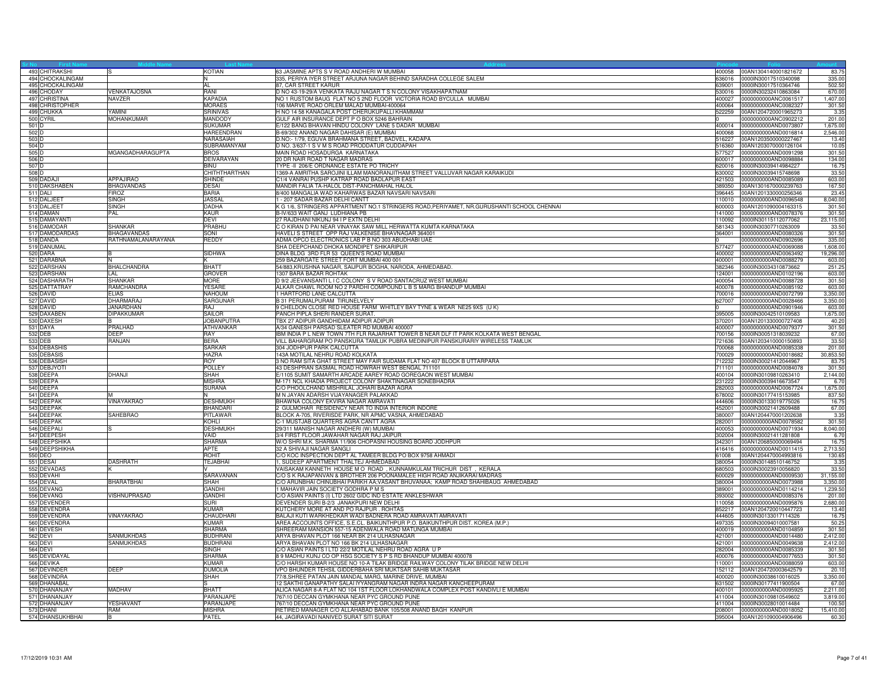|                  | 493 CHITRAKSHI   |                    | KOTIAN                            | 63 JASMINE APTS S V ROAD ANDHERI W MUMBAI                                                  | 400058           | 00AN1304140001821672                         | 83.7      |
|------------------|------------------|--------------------|-----------------------------------|--------------------------------------------------------------------------------------------|------------------|----------------------------------------------|-----------|
|                  | 494 CHOCKALINGAM |                    |                                   | 335, PERIYA IYER STREET ARJUNA NAGAR BEHIND SARADHA COLLEGE SALEM                          |                  | 636016 0000IN30017510340098                  | 335.00    |
|                  | 495 CHOCKALINGAM |                    | AL                                | 87, CAR STREET KARUR                                                                       |                  | 639001 0000IN30017510364746                  | 502.50    |
|                  | 496 CHODAY       | VENKATAJOSNA       | RANI                              | D NO 43-19-29/A VENKATA RAJU NAGAR T S N COLONY VISAKHAPATNAM                              |                  | 530016 0000IN30232410863084                  | 670.00    |
|                  | 497 CHRISTINA    | NAVZER             | <b>KAPADIA</b>                    | NO 1 RUSTOM BAUG FLAT NO 5 2ND FLOOR VICTORIA ROAD BYCULLA MUMBAI                          | 400027           | 0000000000ANC0061517                         | 1,407.00  |
|                  | 498 CHRISTOPHER  |                    | <b>MORAES</b>                     | 06 MARVE ROAD ORLEM MALAD MUMBAI-400064                                                    | 400064           | 0000000000ANC0082327                         | 301.50    |
|                  | 499 CHUKKA       | YAMINI             |                                   | H NO 14 58 KANAGALA POST CHERUKUPALLI KHAMMAM                                              |                  |                                              |           |
|                  | 500 CYRIL        | <b>MOHANKUMAR</b>  | <b>SRINIVAS</b><br><b>MANDODY</b> | GULF AIR INSURANCE DEPT P O BOX 5246 BAHRAIN                                               | 522259           | 00AN1204720001965273<br>0000000000ANC0902212 | 3.35      |
|                  |                  |                    |                                   |                                                                                            |                  |                                              | 201.00    |
| 501 D            |                  |                    | <b>SUKUMAR</b>                    | E/122 BANG BHAVAN HINDU COLONY LANE 5 DADAR MUMBAI                                         |                  | 400014 0000000000AND0073807                  | 1,675.00  |
| $502$ D          |                  |                    | <b>HAREENDRAN</b>                 | B-69/302 ANAND NAGAR DAHISAR (E) MUMBAI                                                    |                  |                                              | 2,546.00  |
| 503 D            |                  |                    | NARASAIAH                         | D.NO:- 1/79, EGUVA BRAHMANA STREET, BADVEL, KADAPA                                         | 516227           | 00AN1203500000227467                         | 13.4      |
| 504 <sub>D</sub> |                  |                    | SUBRAMANYAM                       | D NO. 3/637-1 S V M S ROAD PRODDATUR CUDDAPAH                                              | 516360           | 00AN1203070000126104                         | 10.0      |
| 505 D            |                  | MGANGADHARAGUPTA   | <b>BROS</b>                       | MAIN ROAD HOSADURGA KARNATAKA                                                              |                  | 577527 0000000000AND0091298                  | 301.50    |
| 506 D            |                  |                    | DEIVARAYAN                        | 20 DR NAIR ROAD T NAGAR MADRAS                                                             |                  |                                              | 134.00    |
| 507 D            |                  |                    | <b>BINU</b>                       | TYPE -II 206/E ORDNANCE ESTATE PO TRICHY                                                   | 620016           | 0000IN30039414984227                         | 16.75     |
| 508 D            |                  |                    | CHITHTHARTHAN                     | 1369-A AMRITHA SAROJINI ILLAM MANORANJITHAM STREET VALLUVAR NAGAR KARAIKUDI                | 630002           | 0000IN30039415748698                         | 33.50     |
|                  | 509 DADAJI       | <b>APPAJIRAO</b>   | <b>SHINDE</b>                     | C1/4 VANRAI PUSHP KATRAP ROAD BADLAPUR EAST                                                | 421503           | 0000000000AND0085089                         | 603.00    |
|                  | 510 DAKSHABEN    | <b>BHAGVANDAS</b>  | <b>DESAI</b>                      | MANDIR FALIA TA-HALOL DIST-PANCHMAHAL HALOL                                                | 389350           | 00AN1301670000239763                         | 167.50    |
|                  | 511 DALI         | <b>FIROZ</b>       | <b>BARIA</b>                      | 8/400 MANGALIA WAD KAHARWAS BAZAR NAVSARI NAVSARI                                          |                  | 396445 00AN1201330000256346                  | 23.45     |
|                  | 512 DALJEET      | <b>SINGH</b>       | <b>JASSAL</b>                     | 1 - 207 SADAR BAZAR DELHI CANTT                                                            | 110010           | 0000000000AND0096548                         | 8,040.00  |
|                  |                  |                    | <b>DADHA</b>                      | K G 1/6, STRINGERS APPARTMENT NO.1 STRINGERS ROAD, PERIYAMET, NR.GURUSHANTI SCHOOL CHENNAI | 600003           | 00AN1201090004163315                         |           |
|                  | 513 DALJEET      | SINGH              |                                   |                                                                                            |                  |                                              | 301.50    |
|                  | 514 DAMAN        | PAL                | KAUR                              | B-IV/633 WAIT GANJ LUDHIANA PB                                                             | 141000           | 0000000000AND0078376                         | 301.5     |
|                  | 515 DAMAYANTI    |                    | DEVI                              | 27 RAJDHANI NIKUNJ 94 I P EXTN DELHI                                                       |                  | 110092 0000IN30115112077062                  | 23,115.00 |
|                  | 516 DAMODAR      | <b>SHANKAR</b>     | PRABHU                            | C O KIRAN D PAI NEAR VINAYAK SAW MILL HERWATTA KUMTA KARNATAKA                             |                  | 581343 0000IN30307710263009                  | 33.50     |
|                  | 517 DAMODARDAS   | <b>BHAGAVANDAS</b> | SONI                              | HAVELIS STREET OPP RAJ VALKENISE BHAVNAGAR 364001                                          | 364001           | 0000000000AND0080326                         | 301.50    |
|                  | 518 DANDA        | RATHNAMALANARAYANA | REDDY                             | ADMA OPCO ELECTRONICS LAB P B NO 303 ABUDHABI UAE                                          |                  | 0000000000AND0902696                         | 335.00    |
|                  | 519 DANUMAL      |                    |                                   | SHA DEEPCHAND DHOKA MONDIPET SHIKARIPUR                                                    | 577427           | 0000000000AND0069088                         | 1,608.00  |
|                  | 520 DARA         |                    | <b>SIDHWA</b>                     | DINA BLDG 3RD FLR 53 QUEEN'S ROAD MUMBAI                                                   |                  | 400002 0000000000AND0063492                  | 19,296.00 |
|                  | 521 DARABNA      |                    |                                   | 259 BAZARGATE STREET FORT MUMBAI 400 001                                                   |                  |                                              | 603.00    |
|                  | 522 DARSHAN      | <b>BHALCHANDRA</b> | <b>BHATT</b>                      | 54/883, KRUSHNA NAGAR, SAIJPUR BOGHA, NARODA, AHMEDABAD.                                   | 382346           | 0000IN30034310873662                         | 251.25    |
|                  | 523 DARSHAN      | I AI               | <b>GROVER</b>                     | 1307 BARA BAZAR ROHTAK                                                                     | 124001           | 0000000000AND0102196                         | 603.00    |
|                  | 524 DASHARATH    | <b>SHANKAR</b>     | <b>MORF</b>                       | D 9/2 JEEVANSANTI LI C COLONY S V ROAD SANTACRUZ WEST MUMBAI                               |                  | 400054 0000000000AND0088728                  | 301.50    |
|                  | 525 DATTATRAY    | RAMCHANDRA         | YESARE                            | ALKAR CHAWL ROOM NO 2 PARDHI COMPOUND L B S MARG BHANDUP MUMBAI                            |                  | 400078 0000000000AND0085192                  | 603.00    |
|                  | 526 DAVID        | <b>ELIAS</b>       | NAHOUM                            | 1 HARTFORD LANE CALCUTTA                                                                   |                  |                                              | 3,350.00  |
|                  | 527 DAVID        | <b>HARMARAJ</b>    | SARGUNAR                          | 3 31 PERUMALPURAM TIRUNELVELY                                                              | 627007           | 0000000000AND0028466                         | 3,350.00  |
|                  | 528 DAVID        | <b>JANARDHAN</b>   | RAJ                               | 9 CHELDON CLOSE RED HOUSE FARM WHITLEY BAY TYNE & WEAR NE25 9XS (U K)                      |                  | 0000000000AND0901946                         | 603.00    |
|                  | 529 DAXABEN      | <b>DIPAKKUMAR</b>  | SAILOR                            | PANCH PIPLA SHERI RANDER SURAT.                                                            |                  |                                              |           |
|                  |                  |                    |                                   |                                                                                            | 395005           | 0000IN30042510109583                         | 1,675.00  |
|                  | 530 DAXESH       |                    | <b>JOBANPUTRA</b>                 | TBX 27 ADIPUR GANDHIDAM ADIPUR ADIPUR                                                      | 370201           | 00AN1201330000727408                         | 40.20     |
|                  | 531 DAYA         | PRALHAD            | ATHVANKAR                         | A/34 GANESH PARSAD SLEATER RD MUMBAI 400007                                                | 400007           | 0000000000AND0079377                         | 301.50    |
|                  | 532 DEB          | DEEP               | RAY                               | IBM INDIA P L NEW TOWN 7TH FLR RAJARHAT TOWER B NEAR DLF IT PARK KOLKATA WEST BENGAL       | 700156           | 0000IN30051318039232                         | 67.00     |
|                  | 533 DEB          | RANJAN             | <b>BERA</b>                       | VILL BAHARGRAM PO PANSKURA TAMLUK PUBRA MEDINIPUR PANSKURARIY WIRELESS TAMLUK              |                  | 721636 00AN1203410000150893                  | 33.50     |
|                  | 534 DEBASHIS     |                    | <b>SARKAR</b>                     | 304 JODHPUR PARK CALCUTTA                                                                  |                  | 700068 0000000000AND0085338                  | 201.00    |
|                  | 535 DEBASIS      |                    | HAZRA                             | 143A MOTILAL NEHRU ROAD KOLKATA                                                            |                  | 700029 0000000000AND0018682                  | 30,853.50 |
|                  | 536 DEBASISH     |                    | ROY                               | 3 NO RAM SITA GHAT STREET MAY FAIR SUDAMA FLAT NO 407 BLOCK B UTTARPARA                    |                  | 712232 0000IN30021412044967                  | 83.75     |
|                  | 537 DEBJYOTI     |                    | <b>POLLEY</b>                     | 43 DESHPRAN SASMAL ROAD HOWRAH WEST BENGAL 711101                                          | 711101           | 0000000000AND0084078                         | 301.50    |
|                  | 538 DEEPA        | DHANJI             | SHAH                              | E/1105 SUMIT SAMARTH ARCADE AAREY ROAD GOREGAON WEST MUMBAI                                |                  | 400104 0000IN30109810263410                  | 2,144.00  |
|                  | 539 DEEPA        |                    | <b>MISHRA</b>                     | M-171 NCL KHADIA PROJECT COLONY SHAKTINAGAR SONEBHADRA                                     | 231222           | 0000IN30039416673547                         | 6.70      |
|                  | 540 DEEPA        |                    | <b>SURANA</b>                     | C/O PHOOLCHAND MISHRILAL JOHARI BAZAR AGRA                                                 | 282003           | 0000000000AND0067724                         | 1,675.00  |
|                  | 541 DEEPA        |                    |                                   | M N JAYAN ADARSH VIJAYANAGER PALAKKAD                                                      | 678002           | 0000IN30177415153985                         | 837.50    |
|                  | 542 DEEPAK       | VINAYAKRAO         | <b>DESHMUKH</b>                   | BHAWNA COLONY EKVIRA NAGAR AMRAVATI                                                        | 444606           | 0000IN30133019775026                         | 16.7      |
|                  | 543 DEEPAK       |                    |                                   |                                                                                            |                  |                                              | 67.00     |
|                  | 544 DEEPAK       | SAHEBRAO           | BHANDARI                          | 2 GULMOHAR RESIDENCY NEAR TO INDIA INTERIOR INDORE                                         | 452001<br>380007 | 0000IN30021412609488<br>00AN1204470001202638 | 3.35      |
|                  |                  |                    | PITLAWAR                          | BLOCK A-705, RIVERISDE PARK, NR APMC VASNA, AHMEDABAD                                      |                  |                                              |           |
|                  | 545 DEEPAK       |                    | KOHLI                             | C-1 MUSTJAB QUARTERS AGRA CANTT AGRA                                                       |                  | 282001 0000000000AND0078582                  | 301.50    |
|                  | 546 DEEPALI      |                    | DESHMUKH                          | 29/311 MANISH NAGAR ANDHERI (W) MUMBAI                                                     | 400053           | 0000000000AND0071934                         | 8,040.00  |
|                  | 547 DEEPESH      |                    | VAID                              | 3/4 FIRST FLOOR JAWAHAR NAGAR RAJ JAIPUR                                                   | 302004           | 0000IN30021411281808                         | 6.7(      |
|                  | 548 DEEPSHIKA    |                    | <b>SHARMA</b>                     | W/O SHRI M.K. SHARMA 11/906 CHOPASNI HOUSING BOARD JODHPUR                                 | 342301           | 00AN1206850000069494                         | 16.75     |
|                  | 549 DEEPSHIKHA   |                    | <b>APTE</b>                       | 32 A SHIVAJI NAGAR SANGLI                                                                  |                  | 416416 0000000000AND0011415                  | 2,713.50  |
|                  | 550 DEO          |                    | <b>ROHIT</b>                      | C/O KOC INSPECTION DEPT AL TAMEER BLDG PO BOX 9758 AHMADI                                  | 61008            | 00AN1204470004993816                         | 130.65    |
|                  | 551 DESAI        | <b>DASHRATH</b>    | <b>TEJABHAI</b>                   | 1, SUDEEP APARTMENT THALTEJ AHMEDABAD                                                      | 380054           | 0000IN30148510146752                         | 3.35      |
|                  | 552 DEVADAS      |                    |                                   | VAISAKAM KANNETH HOUSE M O ROAD, KUNNAMKULAM TRICHUR DIST, KERALA                          | 680503           | 0000IN30023910056820                         | 33.50     |
|                  | 553 DEVAHI       |                    | SARAVANAN                         | C/O S K RAJAPANVAN & BROTHER 206 POONAMALEE HIGH ROAD ANJIKARAI MADRAS                     | 600029           | 0000000000AND0009530                         | 31,155.00 |
|                  | 554 DEVAL        | BHARATBHAI         | SHAH                              | C/O ARUNBHAI CHINUBHAI PARIKH AA;VASANT BHUVANAA; KAMP ROAD SHAHIBAUG AHMEDABAD            |                  | 380004 0000000000AND0073988                  | 3,350.00  |
|                  | 555 DEVANG       |                    | GANDHI                            | 1 MAHAVIR JAIN SOCIETY GODHRA P M S                                                        |                  | 389001 0000000000AND0114214                  | 1,239.50  |
|                  | 556 DEVANG       | VISHNUPRASAD       | GANDHI                            | C/O ASIAN PAINTS (I) LTD 2602 GIDC IND ESTATE ANKLESHWAR                                   | 393002           | 0000000000AND0085376                         | 201.00    |
|                  | 557 DEVENDER     |                    | SURI                              | DEVENDER SURI B-2/3 JANAKPURI NEW DELHI                                                    | 110058           | 0000000000AND0095876                         | 2,680.00  |
|                  | 558 DEVENDRA     |                    | KIMAR                             | KUTCHERY MORE AT AND PO RAJPUR. ROHTAS                                                     | 852217           | 00AN1204720010447723                         | 13.40     |
|                  | 559 DEVENDRA     | VINAYAKRAO         | CHAUDHARI                         | BALAJI KUTI WARKHEDKAR WADI BADNERA ROAD AMRAVATI AMRAVATI                                 | 444605           | 0000IN30133017114326                         | 16.75     |
|                  | 560 DEVENDRA     |                    | KUMAR                             | AREA ACCOUNTS OFFICE, S.E.CL. BAIKUNTHPUR P.O. BAIKUNTHPUR DIST. KOREA (M.P.)              |                  | 497335 0000IN30094010007581                  | 50.25     |
|                  | 561 DEVESH       |                    | <b>SHARMA</b>                     | SHREERAM MANSION 557-15 ADENWALA ROAD MATUNGA MUMBAI                                       | 400019           | 0000000000AND0104859                         | 301.50    |
|                  | 562 DEVI         | SANMUKHDAS         | <b>BUDHRANI</b>                   | ARYA BHAVAN PLOT 166 NEAR BK 214 ULHASNAGAR                                                | 421001           | 0000000000AND0014480                         | 2,412.00  |
|                  | 563 DEVI         | <b>SANMUKHDAS</b>  | <b>BUDHRANI</b>                   | ARYA BHAVAN PLOT NO 166 BK 214 ULHASNAGAR                                                  | 421001           | 0000000000AND0049638                         | 2,412.00  |
|                  |                  |                    |                                   | C/O ASIAN PAINTS I LTD 22/2 MOTILAL NEHRU ROAD AGRA U P                                    |                  |                                              |           |
|                  | 564 DEVI         |                    | <b>SINGH</b>                      |                                                                                            | 282004           | 0000000000AND0085339                         | 301.50    |
|                  | 565 DEVIDAYAL    |                    | SHARMA                            | 8 9 MADHU KUNJ CO OP HSG SOCIETY S P S RD BHANDUP MUMBAI 400078                            |                  |                                              | 301.50    |
|                  | 566 DEVIKA       |                    | KUMAR                             | /O HARSH KUMAR HOUSE NO 10-A TILAK BRIDGE RAILWAY COLONY TILAK BRIDGE NEW DELHI            | 110001           | 0000000000AND0088059                         | 603.00    |
|                  | 567 DEVINDER     | DEEP               | DUMOLIA                           | VPO BHUNDER TEHSIL GIDDERBAHA SRI MUKTSAR SAHIB MUKTASAR                                   | 152112           | 00AN1204720003642579                         | 20.10     |
|                  | 568 DEVINDRA     |                    | SHAH                              | 77/8, SHREE PATAN JAIN MANDAL MARG, MARINE DRIVE, MUMBAI                                   | 400020           | 0000IN30038610016025                         | 3,350.00  |
|                  | 569 DHANABAL     |                    |                                   | 12 SAKTHI GANAPATHY SALAI IYYANGRAM NAGAR INDRA NAGAR KANCHEEPURAM                         | 631502           | 0000lN30177411900504                         | 67.00     |
|                  | 570 DHANANJAY    | MADHAV             | <b>BHATT</b>                      | ALICA NAGAR 8-A FLAT NO 104 1ST FLOOR LOKHANDWALA COMPLEX POST KANDIVLI E MUMBAI           | 400101           | 0000000000AND0095925                         | 2,211.00  |
|                  | 571 DHANANJAY    |                    | PARANJAPE                         | 767\10 DECCAN GYMKHANA NEAR PYC GROUND PUNE                                                |                  | 411004 0000IN30109810549602                  | 3,819.00  |
|                  | 572 DHANANJAY    | YESHAVANT          | PARANJAPE                         | 767/10 DECCAN GYMKHANA NEAR PYC GROUND PUNE                                                |                  | 411004 0000IN30028010014484                  | 100.50    |
|                  | 573 DHANI        | RAM                | <b>MISHRA</b>                     | RETIRED MANAGER C/O ALLAHABAD BANK 105/508 ANAND BAGH KANPUR                               |                  | 208001 0000000000AND0018052                  | 15,410.00 |
|                  | 574 DHANSUKHBHAI |                    | PATEI                             | 44, JAGIRAVADI NANIVED SURAT SITI SURAT                                                    |                  | 395004 00AN1201090004906496                  | 60.30     |
|                  |                  |                    |                                   |                                                                                            |                  |                                              |           |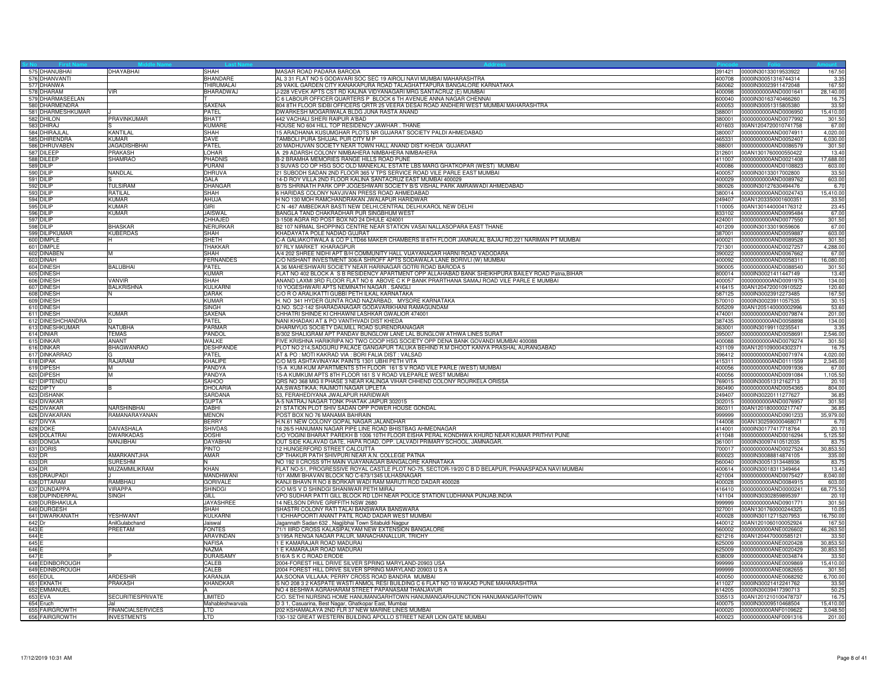|                  | 575 DHANUBHAI               | DHAYABHAI                                      | <b>SHAH</b>                 | MASAR ROAD PADARA BARODA                                                                                                                                                                        | 391421           | 0000IN30133019533922                                | 167.50              |
|------------------|-----------------------------|------------------------------------------------|-----------------------------|-------------------------------------------------------------------------------------------------------------------------------------------------------------------------------------------------|------------------|-----------------------------------------------------|---------------------|
|                  | 576 DHANVANTI               |                                                | BHANDARE                    | AL 3 31 FLAT NO 5 GODAVARI SOC SEC 19 AIROLI NAVI MUMBAI MAHARASHTRA                                                                                                                            | 400708           | 0000IN30051316744314                                | 3.3 <sup>2</sup>    |
|                  | 577 DHANWA                  |                                                | <b>THIRUMALAI</b>           | 29 VAKIL GARDEN CITY KANAKAPURA ROAD TALAGHATTAPURA BANGALORE KARNATAKA                                                                                                                         |                  | 560062 0000IN30023911472048                         | 167.5               |
|                  | 578 DHARAM                  | VIR                                            | BHARADWAJ                   | J-228 VEVEK APTS CST RD KALINA VIDYANAGARI MRG SANTACRUZ (E) MUMBAI                                                                                                                             |                  |                                                     | 28,140.00           |
|                  | 579 DHARMASEELAN            |                                                |                             | C 6 LABOUR OFFICER QUARTERS P BLOCK 6 TH AVENUE ANNA NAGAR CHENNAI                                                                                                                              |                  | 600040 0000IN30163740466260                         | 16.75               |
|                  | 580 DHARMENDRA              |                                                | SAXENA                      | 804 8TH FLOOR SIDBI OFFICERS QRTR 25 VEERA DESAI ROAD ANDHERI WEST MUMBAI MAHARASHTRA                                                                                                           | 400053           | 0000IN30051315805380                                | 33.5                |
|                  | 581 DHARMESHKUMAR           |                                                | PATEL                       | DWARKESH MOGARIWALA BLDG JUNA RASTA ANAND                                                                                                                                                       | 388001           | 0000000000AND0006950                                | 15,410.00           |
|                  | 582 DHILON                  | PRAVINKUMAR                                    | <b>BHATT</b>                | 442 VACHALI SHERI RAIPUR A'BAD                                                                                                                                                                  | 380001           | 0000000000AND0077992                                | 301.50              |
|                  | 583 DHIRAJ                  |                                                | KUMARE                      | HOUSE NO 604 HILL TOP RESIDENCY JAWHAR. THANE                                                                                                                                                   |                  | 401603 00AN1204720010741758                         | 67.00               |
|                  | 584 DHIRAJLAL               | KANTILAL                                       | <b>SHAH</b>                 | 15 ARADHANA KUSUMGHAR PLOTS NR GUJARAT SOCIETY PALDI AHMEDABAD                                                                                                                                  | 380007           | 0000000000AND0074911                                | 4.020.00            |
|                  | 585 DHIRENDRA               | <b>KUMAR</b>                                   | DAVE                        | TAMBOLI PURA SHUJAL PUR CITY M P                                                                                                                                                                | 465331           | 0000000000AND0052407                                | 6,030.00            |
|                  | 586 DHRUVABEN               | <b>JAGADISHBHAI</b>                            | PATEL                       | 20 MADHUVAN SOCIETY NEAR TOWN HALL ANAND DIST KHEDA GUJARAT                                                                                                                                     | 388001           | 0000000000AND0086579                                | 301.50              |
|                  | 587 DILEEP                  | PRAKASH                                        | LOHAR                       | A 29 ADARSH COLONY NIMBAHERA NIMBAHERA NIMBAHERA                                                                                                                                                |                  | 312601 00AN1301760000550422                         | 13.40               |
|                  | 588 DILEEP                  | <b>SHAMRAO</b>                                 | PHADNIS                     | B-2 BRAMHA MEMORIES RANGE HILLS ROAD PUNE                                                                                                                                                       |                  | 411007 0000000000AND0021408                         | 17,688.00           |
|                  | 589 DILIP                   |                                                | PURANI                      | 3 SUVAS CO OP HSG SOC OLD MANEKLAL ESTATE LBS MARG GHATKOPAR (WEST) MUMBAI                                                                                                                      | 400086           | 0000000000AND0108823                                | 603.00              |
|                  | 590 DILIP                   | NANDLAL                                        | DHRUVA                      | 21 SUBODH SADAN 2ND FLOOR 365 V TPS SERVICE ROAD VILE PARLE EAST MUMBAI                                                                                                                         | 400057           | 0000IN30133017002800                                | 33.50               |
|                  | 591 DILIP                   |                                                | <b>GALA</b>                 | 14-D ROY VILLA 2ND FLOOR KALINA SANTACRUZ EAST MUMBAI 400029                                                                                                                                    | 400029           | 0000000000AND0089762                                | 603.00              |
|                  | 592 DILIP                   | <b>TULSIRAM</b>                                | DHANGAR                     | B/75 SHRINATH PARK OPP JOGESHWARI SOCIETY B/S VISHAL PARK AMRAIWADI AHMEDABAD                                                                                                                   | 380026           | 0000IN30127630494476                                | 6.70                |
|                  | 593 DILIP                   | RATILAL                                        | SHAH                        | 6 HARIDAS COLONY NAVJIVAN PRESS ROAD AHMEDABAD                                                                                                                                                  |                  | 380014 0000000000AND0024743                         | 15,410.00           |
|                  | 594 DILIP                   | <b>KUMAR</b>                                   | AHUJA                       | H NO 130 MOH RAMCHANDRAKAN JWALAPUR HARIDWAR                                                                                                                                                    |                  | 249407 00AN1203350001600351                         | 33.50               |
|                  | 595 DILIP                   | KUMAR                                          | GIRI                        | C N -467 AMBEDKAR BASTI NEW DELHI, CENTRAL DELHI, KAROL NEW DELHI                                                                                                                               | 110005           | 00AN1301440004176312                                | 23.45               |
|                  | 596 DILIP                   | <b>KUMAR</b>                                   | <b>JAISWAL</b>              | BANGLA TAND CHAKRADHAR PUR SINGBHUM WEST                                                                                                                                                        | 833102           | 0000000000AND0095484                                | 67.00               |
|                  | 597 DILIP                   |                                                | CHHAJED                     | 3-1508 AGRA RD POST BOX NO 24 DHULE 424001                                                                                                                                                      |                  | 424001 0000000000AND0077550                         | 301.50              |
|                  | 598 DILIP                   | BHASKAR                                        | NERURKAR                    | B2 107 NIRMAL SHOPPING CENTRE NEAR STATION VASAI NALLASOPARA EAST THANE                                                                                                                         |                  | 401209 0000IN30133019059606                         | 67.00               |
|                  | 599 DILIPKUMAR              | <b>KUBERDAS</b>                                | <b>SHAH</b>                 | KHADAYATA POLE NADIAD GUJRAT                                                                                                                                                                    | 387001           | 0000000000AND0059887                                | 603.00              |
|                  | 600 DIMPLE                  |                                                | <b>SHETH</b>                | C-A GALIAKOTWALA & CO P LTD66 MAKER CHAMBERS III 6TH FLOOR JAMNALAL BAJAJ RD,221 NARIMAN PT MUMBAI                                                                                              | 400021           | 0000000000AND0089528                                | 301.50              |
|                  | 601 DIMPLE                  |                                                | THAKKAR                     | 97 RLY MARKET KHARAGPUR                                                                                                                                                                         | 721301           | 0000000000AND0027257                                | 4,288.00            |
|                  | 602 DINABEN                 |                                                | SHAH                        | A/4 202 SHREE NIDHI APT B/H COMMUNITY HALL VIJAYANAGAR HARNI ROAD VADODARA                                                                                                                      | 390022           | 0000000000AND0067662                                | 67.00               |
|                  | 603 DINAH<br>604 DINESH     | <b>BALUBHAI</b>                                | <b>FERNANDES</b><br>PATEL   | C/O NISHANT INVESTMENT 306/A SHROFF APTS SODAWALA LANE BORIVLI (W) MUMBAI<br>A 36 MAHESHWARI SOCIETY NEAR HARINAGAR GOTRI ROAD BARODA 5                                                         | 390005           | 400092 0000000000AND0058311<br>0000000000AND0088540 | 16,080.00<br>301.50 |
|                  |                             |                                                |                             |                                                                                                                                                                                                 |                  |                                                     |                     |
|                  | 605 DINESH<br>606 DINESH    | VANVIR                                         | KUMAR<br><b>SHAH</b>        | FLAT NO 402 BLOCK A S B RESIDENCY APARTMENT OPP ALLAHABAD BANK SHEIKHPURA BAILEY ROAD Patna, BIHAR<br>ANAND LAXMI 3RD FLOOR FLAT NO 6 ABOVE C K P BANK PRARTHANA SAMAJ ROAD VILE PARLE E MUMBAI | 400057           | 800014 0000IN30021411447149<br>0000000000AND0091975 | 13.40<br>134.00     |
|                  | 607 DINESH                  | <b>BALKRISHNA</b>                              | KULKARN                     | 10 YOGESHWARI APTS NEMINATH NAGAR. SANGLI                                                                                                                                                       |                  | 416415 00AN1204720010910522                         | 120.60              |
|                  | 608 DINESH                  |                                                | DARAK                       | C/O R O ARALIKATTI GUBBI PETH ILKAL KARNATAKA                                                                                                                                                   |                  | 587125 0000IN30023912273485                         | 167.50              |
|                  | 609 DINESH                  |                                                | <b>KUMAR</b>                | H. NO 341 HYDER GUNTA ROAD NAZARBAD, MYSORE KARNATAKA                                                                                                                                           |                  | 570010 0000IN30023911057535                         | 30.1                |
|                  | 610 DINESH                  |                                                | SINGH                       | Q.NO. SC2-142 SHARADANAGAR GODAVARIKHANI RAMAGUNDAM                                                                                                                                             | 505209           | 00AN1205140000002996                                | 53.60               |
|                  | 611 DINESH                  | <b>KUMAR</b>                                   | SAXFNA                      | CHHATRI SHINDE KI CHHAWNI LASHKAR GWALIOR 474001                                                                                                                                                |                  | 474001 0000000000AND0079874                         | 201.00              |
|                  | 612 DINESHCHANDRA           |                                                | PATEL                       | NANI KHADAKI AT & PO VANTHVADI DIST KHEDA                                                                                                                                                       |                  | 387435 0000000000AND0058898                         | 134.00              |
|                  | 613 DINESHKUMAR             | NATUBHA                                        | <b>PARMAF</b>               | DHARMYUG SOCIETY DALMILL ROAD SURENDRANAGAR                                                                                                                                                     | 363001           | 0000IN30199110235541                                | 3.35                |
|                  | 614 DINIAR                  | <b>TEMAS</b>                                   | <b>PANDOL</b>               | B/302 SHALIGRAM APT PANDAV BUNGLOW LANE LAL BUNGLOW ATHWA LINES SURAT                                                                                                                           | 395007           | 0000000000AND0058691                                | 2,546.00            |
|                  | 615 DINKAR                  | ANANT                                          | WALKE                       | FIVE KRISHNA HARIKRIPA NO TWO COOP HSG SOCIETY OPP DENA BANK GOVANDI MUMBAI 400088                                                                                                              | 400088           | 0000000000AND0079274                                | 301.50              |
|                  | 616 DINKAR                  | <b>BHAGWANRAO</b>                              | <b>DESHPANDE</b>            | PLOT NO 214, SADGURU PALACE GANGAPUR TALUKA BEHIND R.M DHOOT KANYA PRASHAL AURANGABAD                                                                                                           | 431109           | 00AN1201090004302371                                | 16.7                |
|                  | 617 DINKARRAO               |                                                | PATEL                       | AT & PO: MOTI KAKRAD VIA: BORI FALIA DIST: VALSAD                                                                                                                                               | 396412           | 0000000000AND0071974                                | 4,020.00            |
|                  | 618 DIPAK                   | RAJARAM                                        | <b>KHALIPE</b>              | C/O M/S ASHTAVINAYAK PAINTS 1301 UBHI PETH VITA                                                                                                                                                 |                  | 415311 0000000000AND0111559                         | 2,345.00            |
|                  | 619 DIPESH                  |                                                | PANDYA                      | 15-A KUM-KUM APARTMENTS 5TH FLOOR 161 S V ROAD VILE PARLE (WEST) MUMBAL                                                                                                                         | 400056           | 0000000000AND0091936                                | 67.00               |
|                  | 620 DIPESH                  | M                                              | PANDYA                      | 15-A KUMKUM APTS 8TH FLOOR 161 S V ROAD VILEPARLE WEST MUMBAI                                                                                                                                   | 400056           | 0000000000AND0091084                                | 1,105.5             |
|                  | 621 DIPTENDU                |                                                | <b>SAHOO</b>                | QRS NO 368 MIG II PHASE 3 NEAR KALINGA VIHAR CHHEND COLONY ROURKELA ORISSA                                                                                                                      | 769015           | 0000IN30051312162713                                | 20.1                |
|                  | 622 DIPTY                   |                                                | DHOLARIA                    | AA;SWASTIKAA; RAJMOTI NAGAR UPLETA                                                                                                                                                              | 360490           | 0000000000AND0054365                                | 804.00              |
|                  | 623 DISHANK                 |                                                | SARDANA                     | 53, FERAHEDIYANA JWALAPUR HARIDWAR                                                                                                                                                              |                  | 249407 0000IN30220111277627                         | 36.85               |
|                  | 624 DIVAKAR                 |                                                | <b>GUPTA</b>                | A-5 NATRAJ NAGAR TONK PHATAK JAIPUR 302015                                                                                                                                                      | 302015           | 0000000000AND0076957                                | 301.50              |
|                  | 625 DIVAKAR                 | VARSHINBHAI                                    | <b>DABHI</b>                | 21 STATION PLOT SHIV SADAN OPP POWER HOUSE GONDAL                                                                                                                                               | 360311           | 00AN1201800000217747                                | 36.8                |
|                  | 626 DIVAKARAN               | RAMANARAYANAN                                  | <b>MENON</b>                | POST BOX NO 76 MANAMA BAHRAIN                                                                                                                                                                   | 999999           | 0000000000AND0901233                                | 35,979.00           |
|                  | 627 DIVYA                   |                                                | <b>BERRY</b>                | H.N.61 NEW COLONY GOPAL NAGAR JALANDHAR                                                                                                                                                         |                  | 144008 00AN1302590000468071                         | 6.7                 |
|                  | 628 DOKE                    | DAIVASHALA                                     | SHIVDAS                     | 16 26/5 HANUMAN NAGAR PIPE LINE ROAD BHISTBAG AHMEDNAGAR                                                                                                                                        |                  | 414001 0000IN30177417718764                         | 20.1                |
|                  | 629 DOLATRAI                | <b>DWARKADAS</b>                               | <b>DOSHI</b>                | C/O YOGINI BHARAT PAREKH B 1006 10TH FLOOR EISHA PERAL KONDHWA KHURD NEAR KUMAR PRITHVI PUNE                                                                                                    | 411048           | 0000000000AND0016294                                | 5,125.50            |
|                  | 630 DONGA                   | NANJIBHAI                                      | DAYABHAI                    | OUT SIDE KALAVAD GATE, HAPA ROAD, OPP. LALVADI PRIMARY SCHOOL, JAMNAGAR.                                                                                                                        | 361001           | 0000IN30097410512035                                | 83.7                |
|                  | 631 DORIS                   |                                                | PINTO                       | 12 HUNGERFORD STREET CALCUTTA                                                                                                                                                                   | 700017           | 0000000000AND0027524                                | 30,853.5            |
|                  | 632 DR                      | AMARKANTJHA                                    | AMAR                        | CP THAKUR PATH SHIVPURI NEAR A.N. COLLEGE PATNA                                                                                                                                                 | 800023           | 0000IN30088814874105                                | 335.00              |
|                  | 633 DR                      | <b>SURESHM</b>                                 |                             | NO 192 II CROSS 9TH MAIN VIJAYANAGAR BANGALORE KARNATAKA                                                                                                                                        |                  | 560040 0000IN30051313448936                         | 83.7                |
|                  | 634 DR                      | MUZAMMILIKRAM                                  | KHAN                        | FLAT NO-51, PROGRESSIVE ROYAL CASTLE PLOT NO-75, SECTOR-19/20 C B D BELAPUR, PHANASPADA NAVI MUMBAI                                                                                             |                  | 400614 0000IN30018311349464                         | 13.40               |
|                  | 635 DRAUPADI                |                                                | MANDHWANI                   | 101 AMMI BHAVAN BLOCK NO C-673/1345 ULHASNAGAR                                                                                                                                                  | 421004           | 0000000000AND0075427                                | 8,040.00            |
|                  | 636 DTTARAM                 | RAMBHAU                                        | <b>GORIVALE</b>             | KANJI BHAVN R NO 8 BORKAR WADI RAM MARUTI ROD DADAR 400028                                                                                                                                      | 400028           | 0000000000AND0084915                                | 603.0               |
|                  | 637 DUNDAPPA                | VIRAPPA                                        | <b>SHINDGI</b>              | C/O M/S V D SHINDGI SHANIWAR PETH MIRAJ                                                                                                                                                         |                  | 416410 0000000000AND0000241                         | 68,775.5            |
|                  | 638 DUPINDERPAI             | SINGH                                          | GILL                        | VPO SUDHAR PATTI GILL BLOCK RD LDH NEAR POLICE STATION LUDHIANA PUNJAB, INDIA                                                                                                                   |                  | 141104 0000IN30302859895397                         | 20.1                |
|                  | 639 DURBHAKULA              |                                                | <b>JAYASHREE</b>            | 14 NELSON DRIVE GRIFFITH NSW 2680                                                                                                                                                               | 999999           | 0000000000AND0901771                                | 301.5               |
|                  | 640 DURGESH                 |                                                | SHAH                        | SHASTRI COLONY RATI TALAI BANSWARA BANSWARA                                                                                                                                                     | 327001           | 00AN1301760000244325                                | 10.0                |
|                  | 641 DWARKANATH              | <b>YESHWANT</b>                                | KULKARNI                    | 1 ICHHAPOORTI ANANT PATIL ROAD DADAR WEST MUMBAI                                                                                                                                                | 400028           | 0000IN30112715207953                                | 16,750.00           |
| 642 Dr           |                             | AnilGulabchand                                 | Jaiswal                     | Jagannath Sadan 632, Nagjibhai Town Sitabuldi Nagpur                                                                                                                                            |                  | 440012 00AN1201060100052924                         | 167.5               |
| 643 E            |                             | PREETAM                                        | <b>FONTES</b>               | 71/1 IIIRD CROSS KALASIPALYAM NEW EXTENSION BANGALORE                                                                                                                                           | 560002           | 0000000000ANE0026602                                | 46,263.5            |
| 644 E            |                             |                                                | <b>ARAVINDAN</b>            | 3/195A RENGA NAGAR PALUR, MANACHANALLUR, TRICHY                                                                                                                                                 | 621216           | 00AN1204470000585121                                | 33.5                |
| 645 E            |                             |                                                | <b>NAFISA</b>               | 1 E KAMARAJAR ROAD MADURAI                                                                                                                                                                      | 625009           | 0000000000ANE0020428                                | 30,853.5            |
| 646 E            |                             |                                                | <b>NAZMA</b>                | 1 E KAMARAJAR ROAD MADURAI                                                                                                                                                                      | 625009           | 0000000000ANE0020429                                | 30,853.5            |
| 647 <sub>F</sub> |                             |                                                | <b>DURAISAMY</b>            | 516/A S K C ROAD ERODE                                                                                                                                                                          | 638009           | 0000000000ANE0034874                                | 33.5                |
|                  | 648 EDINBOROUGH             |                                                | CALEB                       | 2004-FOREST HILL DRIVE SILVER SPRING MARYLAND-20903 USA                                                                                                                                         | 999999           | 0000000000ANE0009869                                | 15,410.00           |
|                  | 649 EDINBOROUGH             | <b>ARDESHIR</b>                                | CALEB                       | 2004 FOREST HILL DRIVE SILVER SPRING MARYLAND 20903 U S A                                                                                                                                       | 999999           | 0000000000ANE0082655                                | 301.5               |
|                  | 650 EDUL<br>651 EKNATH      | <b>PRAKASH</b>                                 | <b>KARANJIA</b><br>KHANDKAR | AA;SOONA VILLAAA; PERRY CROSS ROAD BANDRA MUMBAI<br>S NO 208 3 2 KASPATE WASTI ANMOL RESI BUILDING C 6 FLAT NO 10 WAKAD PUNE MAHARASHTRA                                                        | 400050<br>411027 | 0000000000ANE0068292<br>0000IN30021412241762        | 6,700.00<br>33.5    |
|                  |                             |                                                |                             |                                                                                                                                                                                                 |                  |                                                     |                     |
|                  | 652 EMMANUEL                |                                                |                             | NO 4 BESHWA AGRAHARAM STREET PAPANASAM THANJAVUR                                                                                                                                                |                  | 614205 0000IN30039417390713                         | 50.25               |
|                  | 653 EVA                     | <b>SECURITIESPRIVATE</b>                       | LIMITED<br>Mahableshwarvala | C/O. SETHI NURSING HOME HANUMANGARHTOWN HANUMANGARHJUNCTION HANUMANGARHTOWN                                                                                                                     |                  | 335513 00AN1201210100478737<br>0000IN30009510468504 | 16.7<br>15,410.0    |
|                  | 654 Eruch<br>655 FAIRGROWTH |                                                | LTD                         | D 3 1, Casuarina, Best Nagar, Ghatkopar East, Mumbai                                                                                                                                            | 400075           | 400020 0000000000ANF0109622                         | 3,048.5             |
|                  | 656 FAIRGROWTH              | <b>FINANCIALSERVICES</b><br><b>INVESTMENTS</b> | LTD.                        | 202 KSHAMALAYA 2ND FLR 37 NEW MARINE LINES MUMBAI<br>130-132 GREAT WESTERN BUILDING APOLLO STREET NEAR LION GATE MUMBAI                                                                         |                  | 400023 0000000000ANF0091316                         | 201.00              |
|                  |                             |                                                |                             |                                                                                                                                                                                                 |                  |                                                     |                     |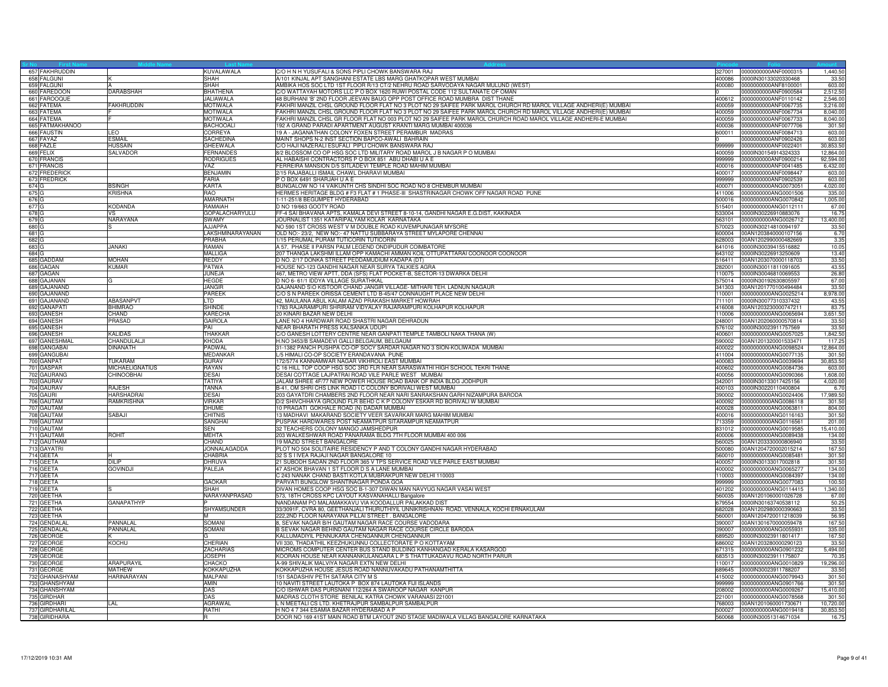|       | 657 FAKHRUDDIN                  |                   | <b>KUVALAWALA</b>             | C/O H N H YUSUFALI & SONS PIPLI CHOWK BANSWARA RAJ                                                                         |        | 327001 0000000000ANF0000315                                | 1,440.50          |
|-------|---------------------------------|-------------------|-------------------------------|----------------------------------------------------------------------------------------------------------------------------|--------|------------------------------------------------------------|-------------------|
|       | 658 FALGUNI                     |                   | <b>SHAH</b>                   | A/101 KINJAL APT SANGHANI ESTATE LBS MARG GHATKOPAR WEST MUMBAI<br>400086                                                  |        | 0000IN30133020330468                                       | 33.5              |
|       | 659 FALGUNI                     |                   | SHAH                          | AMBIKA HOS SOC LTD 1ST FLOOR R/13 CT/2 NEHRU ROAD SARVODAYA NAGAR MULUND (WEST)<br>400080                                  |        | 0000000000ANF8100001                                       | 603.0             |
|       | 660 FAREDOON                    | <b>DARABSHAH</b>  | <b>BHATHENA</b>               | C/O WATTAYAH MOTORS LLC P O BOX 1620 RUWI POSTAL CODE 112 SULTANATE OF OMAN                                                |        | 0000000000ANF0900584                                       | 2,512.50          |
|       | 661 FAROOQUE                    |                   | JALIAWALA                     | 48 BURHANI 'B' 2ND FLOOR JEEVAN BAUG OPP POST OFFICE ROAD MUMBRA DIST THANE                                                |        | 400612 0000000000ANF0110142                                | 2,546.00          |
|       | 662 FATEMA                      | <b>FAKHRUDDIN</b> | <b>MOTIWALA</b>               | FAKHRI MANZIL CHSL GROUND FLOOR FLAT NO 3 PLOT NO 29 SAIFEE PARK MAROL CHURCH RD MAROL VILLAGE ANDHERI(E) MUMBAI<br>400059 |        | 0000000000ANF0067735                                       | 3,216.00          |
|       | 663 FATEMA                      |                   | <b>MOTIWALA</b>               | FAKHRI MANZIL CHSL GROUND FLOOR FLAT NO 3 PLOT NO 29 SAIFEE PARK MAROL CHURCH RD MAROL VILLAGE ANDHERI(E) MUMBAI<br>400059 |        | 0000000000ANF0067734                                       | 8,040.00          |
|       | 664 FATEMA                      |                   | <b>MOTIWALA</b>               | FAKHRI MANZIL CHSL GR FLOOR FLAT NO 003 PLOT NO 29 SAIFEE PARK MAROL CHURCH ROAD MAROL VILLAGE ANDHERI-E MUMBAI<br>400059  |        | 0000000000ANF0067733                                       | 8,040.00          |
|       | 665 FATMAKHANOO                 |                   | <b>BACHOOALI</b>              | 192 A GRAND PARADI APARTMENT AUGUST KRANTI MARG MUMBAI 400036<br>400036                                                    |        | 0000000000ANF0077706                                       | 301.50            |
|       | 666 FAUSTIN                     | LEO               | CORREYA                       | 19 A - JAGANATHAN COLONY FOXEN STREET PERAMBUR MADRAS                                                                      |        | 600011 0000000000ANF0084713                                | 603.00            |
|       | 667 FAYAZ                       | ESMAIL            | <b>SACHEDINA</b>              | MAINT SHOPS N-2 INST SECTION BAPCO-AWALI BAHRAIN                                                                           |        | 0000000000ANF0902426                                       | 603.00            |
|       | 668 FAZLE                       | <b>HUSSAIN</b>    | GHEEWALA                      | C/O HAJI NAZERALI ESUFALI PIPLI CHOWK BANSWARA RAJ<br>999999                                                               |        | 0000000000ANF0022401                                       | 30,853.5          |
|       | 669 FELIX                       | <b>SALVADOR</b>   | FERNANDES                     | 8/2 BLOSSOM CO OP HSG SOC LTD MILITARY ROAD MAROL J B NAGAR P O MUMBAI<br>400059                                           |        | 0000lN30154914324333                                       | 12,864.0          |
|       | 670 FRANCIS                     |                   | <b>RODRIGUES</b>              | AL HABAISHI CONTRACTORS P O BOX 851 ABU DHABI U A E<br>999999                                                              |        | 0000000000ANF0900214                                       | 92,594.0          |
|       | 671 FRANCIS                     |                   | <b>VAZ</b>                    | FERREIRA MANSION D/5 SITLADEVI TEMPLE ROAD MAHIM MUMBAI                                                                    |        | 400016 0000000000ANF0041485                                | 6,432.0           |
|       | 672 FREDERICK                   |                   | <b>BENJAMIN</b>               | 2/15 RAJABALLI ISMAIL CHAWL DHARAVI MUMBAI<br>400017                                                                       |        | 0000000000ANF0098447                                       | 603.00            |
|       | 673 FREDRICK                    |                   | <b>FARIA</b>                  | POBOX 6491 SHARJAH U A E<br>999999                                                                                         |        | 0000000000ANF0902539                                       | 603.0             |
| 674 G |                                 | <b>BSINGH</b>     | <b>KARTA</b>                  | BUNGALOW NO 14 VAIKUNTH CHS SINDHI SOC ROAD NO 8 CHEMBUR MUMBAI<br>400071                                                  |        | 0000000000ANG0073051                                       | 4,020.00          |
| 675 G |                                 | <b>KRISHNA</b>    | <b>RAO</b>                    | HERMES HERITAGE BLDG # F3 FLAT # 1 PHASE-III SHASTRINAGAR CHOWK OFF NAGAR ROAD PUNE                                        |        | 411006 0000000000ANG0001506                                | 335.00            |
| 676 G |                                 |                   | <b>AMARNATH</b>               | 1-11-251/8 BEGUMPET HYDERABAD                                                                                              |        | 500016 0000000000ANG0070842                                | 1,005.0           |
| 677 G |                                 | KODANDA           | RAMAIAH                       | D NO 19/663 GOOTY ROAD<br>515401                                                                                           |        | 0000000000ANG0112111                                       | 67.00             |
| 678 G |                                 | VS.               | GOPALACHARYULU                | FF-4 SAI BHAVANA APTS, KAMALA DEVI STREET 8-10-14, GANDHI NAGAR E.G.DIST, KAKINADA                                         |        | 533004 0000IN30226910883076                                | 16.7              |
| 679 G |                                 | NARAYANA          | <b>SWAMY</b>                  | JOURNALIST 1351 KATARIPALYAM KOLAR KARNATAKA                                                                               |        | 563101 0000000000ANG0026712                                | 13,400.00         |
| 680 G |                                 |                   | <b>AJJAPPA</b>                | NO 590 1ST CROSS WEST V M DOUBLE ROAD KUVEMPUNAGAR MYSORE                                                                  |        | 570023 0000IN30214810094197                                | 33.50             |
| 681 G |                                 |                   | LAKSHMINARAYANAN              | OLD NO:- 23/2, NEW NO:- 47 NATTU SUBBARAYA STREET MYLAPORE CHENNAI                                                         |        | 600004 00AN1203840000107156                                | 6.70              |
| 682 G |                                 |                   | <b>PRABHA</b>                 | 1/15 PERUMAL PURAM TUTICORIN TUTICORIN<br>628003                                                                           |        | 00AN1202990000482669                                       | 3.35              |
| 683 G |                                 | <b>JANAKI</b>     | RAMAN                         | A 57, PHASE II PARSN PALM LEGEND ONDIPUDUR COIMBATORE<br>641016                                                            |        | 0000IN30039415516882                                       | 10.05             |
| 684 G |                                 |                   | <b>MALLIGA</b>                | 207 THANGA LAKSHMI ILLAM OPP KAMACHI AMMAN KOIL OTTUPATTARAI COONOOR COONOOR<br>643102                                     |        | 0000IN30226913250609                                       | 13.40             |
|       | 685 GADDAM                      | <b>MOHAN</b>      | <b>REDDY</b>                  | D NO. 2/17 DONKA STREET PEDDAMUDIUM KADAPA (DT)                                                                            |        | 516411 00AN1203070000118703                                | 33.50             |
|       |                                 | <b>KUMAR</b>      | <b>PATWA</b>                  | HOUSE NO-123 GANDHI NAGAR NEAR SURYA TALKIES AGRA                                                                          | 282001 |                                                            | 43.55             |
|       | 686 GAGAN<br>687 GAGAN          |                   | JUNEJA                        | 467, METRO VIEW APTT, DDA (SFS) FLAT POCKET-B, SECTOR-13 DWARKA DELHI                                                      | 110075 | 0000IN30011811091605<br>0000IN30046810069553               |                   |
|       |                                 |                   |                               |                                                                                                                            |        |                                                            | 26.80             |
|       | 688 GAJANAN<br>689 GAJANAND     |                   | <b>HEGDE</b><br><b>JANGIR</b> | D NO 6- 61/1 IDDYA VILLAGE SURATHKAL<br>GAJANAND S\O KISTOOR CHAND JANGIR VILLAGE- MITHARI TEH. LADNUN NAGAUR              |        | 575014 0000IN30192630805597<br>341303 00AN1201770100494484 | 67.00<br>33.50    |
|       |                                 |                   |                               |                                                                                                                            |        |                                                            |                   |
|       | 690 GAJANAND                    |                   | PAREEK                        | C/O S N PAREEK ORISSA CEMENT LTD B-45/47 CONNAUGHT PLACE NEW DELHI                                                         |        | 110001 0000000000ANG0025214                                | 8,978.00          |
|       | 691 GAJANAND                    | ABASANPVT         | $_{\text{TD}}$                | 42, MAULANA ABUL KALAM AZAD PRAKASH MARKET HOWRAH<br>711101                                                                |        | 0000IN30077310337432                                       | 43.55             |
|       | 692 GANAPATI                    | <b>BHIMRAO</b>    | SHINDE                        | 1783 RAJARAMPURI SHRIRAM VIDYALAY RAJARAMPURI KOLHAPUR KOLHAPUR<br>416008                                                  |        | 00AN1203230000747211                                       | 83.7              |
|       | 693 GANESH                      | CHAND             | KARECHA                       | 20 KINARI BAZAR NEW DELHI<br>110006                                                                                        |        | 0000000000ANG0065694                                       | 3,651.50          |
|       | 694 GANESH                      | PRASAD            | <b>GAIROLA</b>                | LANE NO 4 HARDWAR ROAD SHASTRI NAGAR DEHRADUN<br>248001                                                                    |        | 00AN1202060000570814                                       | 33.50             |
|       | 695 GANESH                      |                   | PAI                           | NEAR BHARATH PRESS KALSANKA UDUPI                                                                                          |        | 576102 0000IN30023911757569                                | 33.50             |
|       | 696 GANESH                      | <b>KALIDAS</b>    | <b>THAKKAR</b>                | C/O GANESH LOTTERY CENTRE NEAR GANPATI TEMPLE TAMBOLI NAKA THANA (W)<br>400601                                             |        | 0000000000ANG0057025                                       | 1,842.50          |
|       | 697 GANESHMAL                   | <b>HANDULALJI</b> | <b>KHODA</b>                  | H.NO 3453/B SAMADEVI GALLI BELGAUM, BELGAUM<br>590002                                                                      |        | 00AN1201320001533471                                       | 117.25            |
|       | 698 GANGABAI                    | DINANATH          | PADWAL                        | 31-1382 PANCH PUSHPA CO-OP SOCY SARDAR NAGAR NO 3 SION-KOLIWADA MUMBAI<br>400022                                           |        | 0000000000ANG0098524                                       | 12,864.0          |
|       | 699 GANGUBAI                    |                   | MEDANKAR                      | L/5 HIMALI CO-OP SOCIETY ERANDAVANA PUNE                                                                                   |        | 411004 0000000000ANG0077135                                | 301.5             |
|       | 700 GANPAT                      | TUKARAM           | <b>GURAV</b>                  | 172/5774 KANNAMWAR NAGAR VIKHROLI EAST MUMBAI                                                                              |        | 400083 0000000000ANG0039694                                | 30,853.50         |
|       | 701 GASPAR                      | MICHAELIGNATIUS   | RAYAN                         | C 16 HILL TOP COOP HSG SOC 3RD FLR NEAR SARASWATHI HIGH SCHOOL TEKRI THANE                                                 |        | 400602 0000000000ANG0084736                                | 603.00            |
|       | 702 GAURANG                     | <b>HINOOBHAI</b>  | <b>DESAI</b>                  | DESAI COTTAGE LAJPATRAI ROAD VILE PARLE WEST MUMBAI<br>400056                                                              |        | 0000000000ANG0090366                                       | 1,608.0           |
|       | 703 GAURAV                      |                   | <b>TATIYA</b>                 | JALAM SHREE 4F/77 NEW POWER HOUSE ROAD BANK OF INDIA BLDG JODHPUR<br>342001                                                |        | 0000lN30133017425156                                       | 4,020.00          |
|       | 704 GAURAV                      | RAJESH            | <b>TANNA</b>                  | B-41, OM SHRI CHS LINK ROAD I C COLONY BORIVALI WEST MUMBAI                                                                |        | 400103 0000IN30220110400804                                | 6.7               |
|       | 705 GAURI                       | HARSHADRAI        | DESAI                         | 203 GAYATDRI CHAMBERS 2ND FLOOR NEAR NARI SANRAKSHAN GARH NIZAMPURA BARODA                                                 |        | 390002 0000000000ANG0024406                                | 17,989.50         |
|       | 706 GAUTAM                      | RAMKRISHNA        | VIRKAR                        | D/2 SHIVCHHAYA GROUND FLR BEHD C K P COLONY ESKAR RD BORIVALI W MUMBAI<br>400092                                           |        | 0000000000ANG0086118                                       | 301.50            |
|       | 707 GAUTAM                      |                   | DHUME                         | 10 PRAGATI GOKHALE ROAD (N) DADAR MUMBAI<br>400028                                                                         |        | 0000000000ANG0063811                                       | 804.00            |
|       | 708 GAUTAM                      | SABAJI            | <b>CHITNIS</b>                | 13 MADHAVI MAKARAND SOCIETY VEER SAVARKAR MARG MAHIM MUMBAI<br>400016                                                      |        | 0000000000ANG0116163                                       | 301.50            |
|       | 709 GAUTAM                      |                   | SANGHAI                       | PUSPAK HARDWARES POST NEAMATPUR SITARAMPUR NEAMATPUR<br>713359                                                             |        | 0000000000ANG0116561                                       | 201.00            |
|       | 710 GAUTAM                      |                   | SEN                           | 32 TEACHERS COLONY MANGO JAMSHEDPUR                                                                                        |        | 831012 0000000000ANG0019585                                | 15,410.00         |
|       | 711 GAUTAMI                     | ROHIT             | <b>MEHTA</b>                  | 203 WALKESHWAR ROAD PANARAMA BLDG 7TH FLOOR MUMBAI 400 006<br>400006                                                       |        | 0000000000ANG0089438                                       | 134.0             |
|       | 712 GAUTHAM                     |                   | CHAND                         | 19 MAZID STREET BANGALORE<br>560025                                                                                        |        | 00AN1203330000806940                                       | 33.5              |
|       | 713 GAYATRI                     |                   | JONNALAGADDA                  | PLOT NO 504 SOLITAIRE RESIDENCY P AND T COLONY GANDHI NAGAR HYDERABAD<br>500080                                            |        | 00AN1204720002015214                                       | 167.50            |
|       | 714 GEETA                       |                   | CHABRIA                       | 32 S S I IVEA RAJAJI NAGAR BANGALORE 10                                                                                    |        | 560010 0000000000ANG0085481                                | 301.50            |
|       | 715 GEETA                       | DIL IP            | DHRUVA                        | 21 SUBODH SADAN 2ND FLOOR 365 V TPS SERVICE ROAD VILE PARLE EAST MUMBAI                                                    |        | 400057 0000IN30133017002818                                | 301.50            |
|       | 716 GEETA                       | <b>GOVINDJI</b>   | PALEJA                        | 47 ASHOK BHAVAN 1 ST FLOOR D S A LANE MUMBAI<br>400002                                                                     |        | 0000000000ANG0065277                                       | 134.00            |
|       | 717 GEETA                       |                   |                               | C 243 NANAK CHAND BASTI KOTLA MUBRAKPUR NEW DELHI 110003                                                                   |        | 110003 0000000000ANG0084397                                | 134.00            |
|       | 718 GEETA                       |                   | <b>GAOKAR</b>                 | PARVATI BUNGLOW SHANTINAGAR PONDA GOA                                                                                      |        | 999999 0000000000ANG0077083                                | 100.5             |
|       | 719 GEETA                       |                   | SHAH                          | DIVAN HOMES COOP HSG SOC B-1-307 DIWAN MAN NAVYUG NAGAR VASAI WEST                                                         |        | 401202 0000000000ANG0114415                                | 1,340.00          |
|       | 720 GEETHA                      |                   | NARAYANPRASAD                 | 573, 18TH CROSS KPC LAYOUT KASVANAHALLI Bangalore                                                                          |        | 560035 00AN1201060001026728                                | 67.00             |
|       | 721 GEETHA                      | <b>GANAPATHYP</b> |                               | NANDANAM PO MALAMAKKAVU VIA KOODALLUR PALAKKAD DIST<br>679554                                                              |        | 0000IN30163740538112                                       | 50.2              |
|       | 722 GEETHA                      |                   | SHYAMSUNDER                   | 33/3091F, CVRA 80, GEETHANJALI THURUTHIYIL UNNIKRISHNAN- ROAD, VENNALA, KOCHI ERNAKULAM<br>682028                          |        | 00AN1202980000390663                                       | 33.50             |
|       | 723 GEETHA                      |                   | M                             | 222,2ND FLOOR NARAYANA PILLAI STREET. BANGALORE<br>560001                                                                  |        | 00AN1204720011218039                                       | 56.95             |
|       | 724 GENDALAI                    | PANNALAI          | SOMANI                        | 8, SEVAK NAGAR B/H GAUTAM NAGAR RACE COURSE VADODARA                                                                       | 390007 | 00AN1301670000059478                                       | 167.50            |
|       | 725 GENDALAL                    | PANNALAL          | SOMANI                        | B SEVAK NAGAR BEHIND GAUTAM NAGAR RACE COURSE CIRCLE BARODA<br>390007                                                      |        | 0000000000ANG0055931                                       | 335.0             |
|       | 726 GEORGE                      |                   |                               | KALLUMADIYIL PENNUKARA CHENGANNUR CHENGANNUR<br>689520                                                                     |        | 0000IN30023911801417                                       | 167.5             |
|       | 727 GEORGE                      | <b>KOCHU</b>      | CHERIAN                       | VII 330, THADATHIL KEEZHUKUNNU COLLECTORATE P O KOTTAYAM                                                                   |        | 686002 00AN1203280000290123                                | 33.5              |
|       | 728 GEORGE                      |                   | <b>ZACHARIAS</b>              | MICROMS COMPUTER CENTER BUS STAND BULDING KANHANGAD KERALA KASARGOD                                                        |        | 671315 0000000000ANG0901232                                | 5.494.00          |
|       | 729 GEORGE                      |                   | <b>JOSEPH</b>                 | KOORAN HOUSE NEAR KANNANKULANGARA L P S THATTUKADAVU ROAD NORTH PARUR                                                      |        | 683513 0000IN30023911175807                                | 70.3              |
|       | 730 GEORGE                      | <b>ARAPLIRAYI</b> | СНАСКС                        | A-99 SHIVALIK MALVIYA NAGAR EXTN NEW DELHI<br>110017                                                                       |        | 0000000000ANG0010829                                       | 19,296.0          |
|       | 731 GEORGE                      | MATHEW            | KOKKAPUZHA                    | KOKKAPUZHA HOUSE JESUS ROAD NANNUVAKADU PATHANAMTHITTA<br>689645                                                           |        | 0000IN30023911788207                                       | 33.5              |
|       | 732 GHANASHYAM                  | HARINARAYAN       | <b>MALPANI</b>                | 151 SADASHIV PETH SATARA CITY M S<br>415002                                                                                |        | 0000000000ANG0079943                                       | 301.50            |
|       | 733 GHANSHYAM                   |                   | AMIN                          | 10 NAVITI STREET LAUTOKA P BOX 874 LAUTOKA FIJI ISLANDS<br>999999                                                          |        | 0000000000ANG0901766                                       | 301.50            |
|       | 734 GHANSHYAM                   |                   | DAS                           | C/O ISHWAR DAS PURSNANI 112/264 A SWAROOP NAGAR KANPUF<br>208002                                                           |        | 0000000000ANG0009267                                       | 15,410.00         |
|       | 735 GIRDHAR                     |                   | DAS                           | MADRAS CLOTH STORE BENILAL KATRA CHOWK VARANASI 221001<br>221001                                                           |        | 0000000000ANG0078568                                       | 301.50            |
|       | 736 GIRDHARI                    | .AL               | AGRAWAL                       | L N MEETALI CS LTD. KHETRAJPUR SAMBALPUR SAMBALPUR<br>768003                                                               |        | 00AN1201060001730671                                       | 10,720.0          |
|       |                                 |                   |                               | H NO 4 7 344 ESAMIA BAZAR HYDERABAD A P                                                                                    |        |                                                            |                   |
|       | 737 GIRDHARILA<br>738 GIRIDHARA |                   | RATHI<br><b>R</b>             | 500027<br>DOOR NO 169 41ST MAIN ROAD BTM LAYOUT 2ND STAGE MADIWALA VILLAG BANGALORE KARNATAKA                              |        | 0000000000ANG0019418<br>560068 0000IN30051314671034        | 30,853.5<br>16.75 |
|       |                                 |                   |                               |                                                                                                                            |        |                                                            |                   |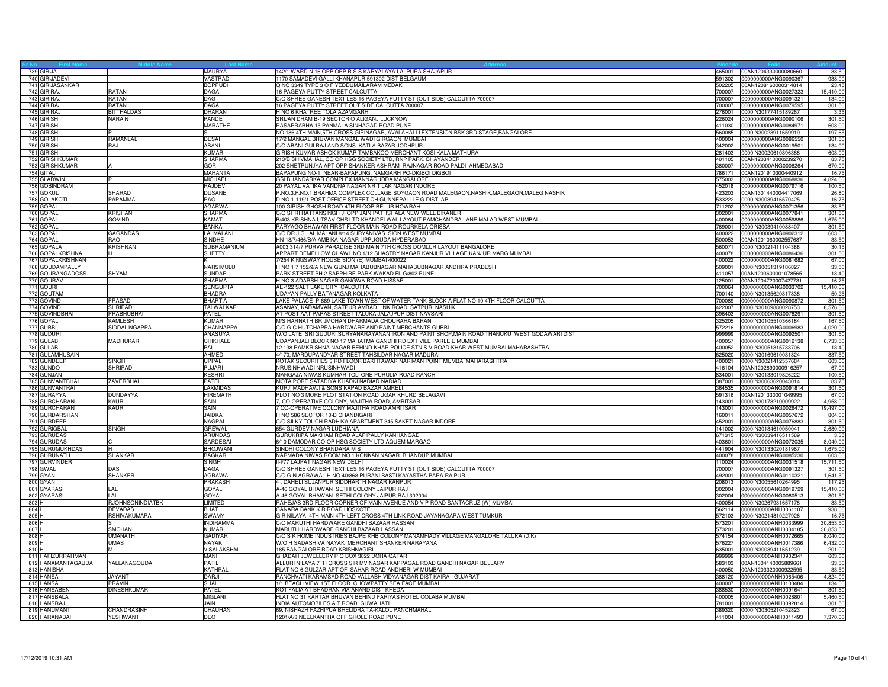|       | 739 GIRIJA                     |                         | MAURYA                | 142/1 WARD N 16 OPP OPP R.S.S KARYALAYA LALPURA SHAJAPUR<br>465001                                                           |        | 00AN1204330000080660                                       | 33.50            |
|-------|--------------------------------|-------------------------|-----------------------|------------------------------------------------------------------------------------------------------------------------------|--------|------------------------------------------------------------|------------------|
|       | 740 GIRIJADEVI                 |                         | <b>VASTRAD</b>        | 1170 SAMADEVI GALLI KHANAPUR 591302 DIST BELGAUM                                                                             |        | 591302 0000000000ANG0090367                                | 938.00           |
|       | 741 GIRIJASANKAR               |                         | <b>BOPPUDI</b>        | Q NO 3349 TYPE 3 O F YEDDUMAILARAM MEDAK                                                                                     |        | 502205 00AN1208160000314814                                | 23.45            |
|       | 742 GIRIRAJ                    | RATAN                   | DAGA                  | 16 PAGEYA PUTTY STREET CALCUTTA                                                                                              |        |                                                            | 15,410.00        |
|       | 743 GIRIRAJ                    | RATAN                   | DAG.                  | C/O SHREE GANESH TEXTILES 16 PAGEYA PUTTY ST (OUT SIDE) CALCUTTA 700007<br>700007                                            |        | 0000000000ANG0091321                                       | 134.0            |
|       | 744 GIRIRA                     | RATAN                   | <b>DAGA</b>           | 16 PAGEYA PUTTY STREET OUT SIDE CALCUTTA 700007<br>700007                                                                    |        | 0000000000ANG0079595                                       | 301.50           |
|       | 745 GIRIRAJ                    | <b>RITTHAI DAS</b>      | <b>DHARAN</b>         | H NO 6 KHATREE TOLA AZAMGARH<br>276001                                                                                       |        | 0000IN30177415189267                                       | 3.35             |
|       | 746 GIRISH                     | NARAIN                  | PANDE                 | SRIJAN DHAM B-19 SECTOR O ALIGANJ LUCKNOW                                                                                    |        | 226024 0000000000ANG0090106                                | 301.50           |
|       | 747 GIRISH                     |                         | MARATHE               | RASAPRABHA 15 PANMALA SINHAGAD ROAD PUNE                                                                                     |        | 411030 0000000000ANG0084971                                | 603.00           |
|       | 748 GIRISH                     |                         |                       | NO.186,4TH MAIN,5TH CROSS GIRINAGAR, AVALAHALLI EXTENSION BSK 3RD STAGE,BANGALORE<br>560085                                  |        | 0000IN30023911659919                                       | 197.65           |
|       | 749 GIRISH                     | RAMANLAL                | <b>DESAI</b>          | 17/2 MANGAL BHUVAN MANGAL WADI GIRGAON MUMBAI                                                                                |        | 400004 0000000000ANG0086550                                | 301.50           |
|       | 750 GIRISH                     | RA.I                    | <b>ABANI</b>          | C/O ABANI GULRAJ AND SONS KATLA BAZAR JODHPUR                                                                                |        | 342002 0000000000ANG0019501                                | 134.00           |
|       | 751 GIRISH                     |                         | KUMAR                 | GIRISH KUMAR ASHOK KUMAR TAMBAKOO MERCHANT KOSI KALA MATHURA                                                                 |        | 281403 0000IN30020610396388                                | 603.00           |
|       | 752 GIRISHKUMAR                |                         | SHARMA                | 213/B SHIVMAHAL, CO OP HSG SOCIETY LTD, RNP PARK, BHAYANDER                                                                  |        | 401105 00AN1203410000239270                                | 83.75            |
|       | 753 GIRISHKUMAR                |                         | <b>GOR</b>            | 202 SHETRUNJYA APT OPP SHANKER ASHRAM RAJNAGAR ROAD PALDI AHMEDABAD<br>380007                                                |        | 0000000000ANG0006264                                       | 670.00           |
|       | 754 GITALI                     |                         | MAHANTA               | BAPAPUNG NO-1, NEAR-BAPAPUNG, NAMGARH PO-DIGBOI DIGBOI<br>786171                                                             |        | 00AN1201910300440912                                       | 16.7             |
|       | 755 GLADWIN                    |                         | <b>MICHAEL</b>        | GSI BHANDARKAR COMPLEX MANNAGUDDA MANGALORE<br>575003                                                                        |        | 0000000000ANG0068836                                       | 4,824.00         |
|       | 756 GOBINDRAM                  |                         | <b>RAJDEV</b>         | 20 PAYAL VATIKA VANDNA NAGAR NR TILAK NAGAR INDORE                                                                           |        | 452018 0000000000ANG0079716                                | 100.50           |
|       | 757 GOKUL                      | <b>SHARAD</b>           | <b>DUSANE</b>         | P.NO.3,F.NO.1,BRAHMA COMPLEX COLLAGE SOYGAON ROAD MALEGAON,NASHIK,MALEGAON,MALEG NASHIK                                      |        | 423203 00AN1301440004417069                                | 26.80            |
|       | 758 GOLAKOT                    | PAPAMMA                 | <b>RAO</b>            | D NO 1-119/1 POST OFFICE STREET CH GUNNEPALLI E G DIST AP<br>533222                                                          |        | 0000IN30039416570425                                       | 16.75            |
|       | 759 GOPAL                      |                         | <b>AGARWAL</b>        | 100 GIRISH GHOSH ROAD 4TH FLOOR BELUR HOWRAH                                                                                 |        | 711202 0000000000ANG0071356                                | 33.50            |
|       | 760 GOPAL                      | <b>KRISHAN</b>          | <b>SHARMA</b>         | C/O SHRI RATTANSINGH JI OPP JAIN PATHSHALA NEW WELL BIKANER                                                                  |        | 302001 0000000000ANG0077841                                | 301.50           |
|       | 761 GOPAL                      | <b>GOVIND</b>           | KAMAT                 | B/403 KRISHNA UTSAV CHS LTD KHANDELWAL LAYOUT RAMCHANDRA LANE MALAD WEST MUMBAI                                              |        | 400064 0000000000ANG0059886                                | 1,675.00         |
|       | 762 GOPAL                      |                         | <b>BANKA</b>          | PARYAGO BHAWAN FIRST FLOOR MAIN ROAD ROURKELA ORISSA                                                                         |        | 769001 0000IN30039410088407                                | 301.50           |
|       | 763 GOPAL                      | GAGANDAS                | ALMALANI              | C/O DR J G LAL MALANI 8/14 SURYANIVAS SION WEST MUMBAI<br>400022                                                             |        | 0000000000ANG0902312                                       | 603.0            |
|       | 764 GOPAL                      | RAO                     | SINDHE                | HN 18/7/466/B/A AMBIKA NAGAR UPPUGUDA HYDERABAD                                                                              |        | 500053 00AN1201060002557687                                | 33.50            |
|       | 765 GOPALA                     | <b>KRISHNAN</b>         | SUBRAMANIUM           | A003 314/7 PURVA PARADISE 3RD MAIN 7TH CROSS DOMLUR LAYOUT BANGALORE<br>560071                                               |        | 0000IN30021411104388                                       | 30.15            |
|       | 766 GOPALKRISHNA               |                         | SHETTY                | APPART DEMELLOW CHAWL NO 1/12 SHASTRY NAGAR KANJUR VILLAGE KANJUR MARG MUMBAI<br>400078                                      |        | 0000000000ANG0086436                                       | 301.50           |
|       | 767 GOPALKRISHNAN              |                         |                       | 7/254 KINGSWAY HOUSE SION (E) MUMBAI 400022<br>400022                                                                        |        | 0000000000ANG0081682                                       | 67.00            |
|       | 768 GOUDAMPALLY                |                         | NARSIMULU             | H NO 1 7 152/9/A NEW GUNJ MAHABUBNAGAR MAHABUBNAGAR ANDHRA PRADESH<br>509001                                                 |        | 0000IN30051319186827                                       | 33.50            |
|       | 769 GOURANGADOSS               | <b>SHYAM</b>            | <b>SUNDAR</b>         | PARK STREET PH 2 SAPPHIRE PARK WAKAD FL G/802 PUNE<br>411057                                                                 |        | 00AN1203600001078565                                       | 13.40            |
|       | 770 GOURAV                     |                         | <b>SHARMA</b>         | H NO 3 ADARSH NAGAR GANGWA ROAD HISSAR<br>125001                                                                             |        | 00AN1204720007427731                                       | 16.7             |
|       | 771 GOURI                      |                         | <b>SENGUPTA</b>       | AE-122 SALT LAKE CITY CALCUTTA                                                                                               |        |                                                            | 15,410.00        |
|       | 772 GOUTAM                     |                         | <b>BHADRA</b>         | UDAYAN PALLY BATANAGAR KOLKATA                                                                                               |        | 700140 0000IN30135620317838                                | 50.25            |
|       | 773 GOVIND                     | PRASAD                  | BHARTIA               | AKE PALACE P-889 LAKE TOWN WEST OF WATER TANK BLOCK A FLAT NO 10 4TH FLOOR CALCUTTA<br>700089                                |        | 0000000000ANG0090872                                       | 301.5            |
|       | 774 GOVIND                     | SHRIPAD                 | TALWALKAR             | ASANAY, KADAMVAN, SATPUR AMBAD LINK ROAD, SATPUR, NASHIK.<br>422007                                                          |        | 0000IN30109880028753                                       | 8,576.00         |
|       | 775 GOVINDBHAI                 | PRABHUBHAI              | PATEL                 | AT POST AAT PARAS STREET TALUKA JALAJPUR DIST NAVSARI<br>396403                                                              |        | 0000000000ANG0078291                                       | 301.50           |
|       | 776 GOYAL                      | KAMLESH                 | <b>KUMAR</b>          | M/S HARNATH BRIJMOHAN DHARMADA CHOURAHA BARAN                                                                                |        | 325205 0000IN30105510366184                                | 167.50           |
|       | 777 GUBBI                      | <b>SIDDALINGAPPA</b>    | CHANNAPPA             | C/O G C HUTCHAPPA HARDWARE AND PAINT MERCHANTS GUBBI<br>572216                                                               |        | 0000000000ANG0006983                                       | 4,020.0          |
|       | 778 GUDURI                     |                         | ANASUYA               | W/O LATE SRI GUDURI SURYANARAYANAN IRON AND PAINT SHOP, MAIN ROAD THANUKU WEST GODAWARI DIST<br>999999                       |        | 0000000000ANG0092501                                       | 301.5            |
|       | 779 GULAB<br>780 GULAB         | <b>MADHUKAR</b>         | CHIKHALE<br>PAL       | UDAYANJALI BLOCK NO 17 MAHATMA GANDHI RD EXT VILE PARLE E MUMBAI<br>400057                                                   |        | 0000000000ANG0012138<br>400052 0000IN30051315733706        | 6,733.5<br>13.40 |
|       |                                |                         |                       | 12 138 RAMKRISHNA NAGAR BEHIND KHAR POLICE STN S V ROAD KHAR WEST MUMBAI MAHARASHTRA                                         |        |                                                            |                  |
|       | 781 GULAMHUSAIN<br>782 GUNDEEP | SINGH                   | AHMED<br><b>UPPAL</b> | 4/170, MARDUPANDYAR STREET TAHSILDAR NAGAR MADURAI<br>KOTAK SECURITIES 3 RD FLOOR BAKHTAWAR NARIMAN POINT MUMBAI MAHARASHTRA |        | 625020 0000IN30169610031824<br>400021 0000IN30021412557684 | 837.50<br>603.00 |
|       |                                | <b>HRIPAD</b>           | PUJARI                | 416104                                                                                                                       |        |                                                            |                  |
|       | 783 GUNDO                      |                         | <b>KESHRI</b>         | NRUSINHWADI NRUSINHWADI<br>MANGAJA NIWAS KUMHAR TOLI ONE PURULIA ROAD RANCHI<br>834001                                       |        | 00AN1202890000916257                                       | 67.00            |
|       | 784 GUNJAN<br>785 GUNVANTBHAI  | <b>ZAVERBHAI</b>        | PATEL                 | MOTA PORE SATADIYA KHADKI NADIAD NADIAD                                                                                      |        | 0000IN30133019826222<br>387001 0000IN30063620043014        | 100.50<br>83.75  |
|       | 786 GUNVANTRAI                 |                         | LAXMIDAS              | KURJI MADHAVJI & SONS KAPAD BAZAR AMRELI                                                                                     |        | 364535 0000000000ANG0091814                                | 301.50           |
|       | 787 GURAYYA                    | <b>DUNDAYYA</b>         | <b>HIREMATH</b>       | PLOT NO 3 MORE PLOT STATION ROAD UGAR KHURD BELAGAVI                                                                         |        | 591316 00AN1201330001049995                                | 67.00            |
|       | 788 GURCHARAN                  | KAUR                    | <b>SAINI</b>          | 7, CO-OPERATIVE COLONY, MAJITHA ROAD, AMRITSAR.                                                                              |        |                                                            | 4,958.0          |
|       | 789 GURCHARAN                  | KAUR                    | SAINI                 | 143001<br>7 CO-OPERATIVE COLONY MAJITHA ROAD AMRITSAR<br>143001                                                              |        | 0000IN30178210009922<br>0000000000ANG0026472               | 19,497.00        |
|       | 790 GURDARSHAN                 |                         | <b>JAIDKA</b>         | H NO 586 SECTOR 10-D CHANDIGARH                                                                                              |        | 160011 0000000000ANG0057672                                | 804.00           |
|       | 791 GURDEEP                    |                         | NAGPAL                | C/O SILKY TOUCH RADHIKA APARTMENT 345 SAKET NAGAR INDORE                                                                     |        | 452001 0000000000ANG0076883                                | 301.50           |
|       | 792 GURIOBAL                   | <b>SINGH</b>            | <b>GREWAL</b>         | 654 GURDEV NAGAR LUDHIANA                                                                                                    | 141002 | 0000IN30184610050041                                       | 2,680.00         |
|       | 793 GURUDAS                    |                         | <b>ARUNDAS</b>        | GURUKRIPA MAKHAM ROAD ALAPIPALLY KANHANGAD<br>671315                                                                         |        | 0000IN30039416511589                                       | 3.3 <sup>1</sup> |
|       | 794 GURUDAS                    |                         | <b>SARDESAI</b>       | 6/10 DAMODAR CO-OP HSG SOCIETY LTD AQUEM MARGAO<br>403601                                                                    |        | 0000000000ANG0072035                                       | 8,040.00         |
|       | 795 GURUMUKHDAS                |                         | <b>BHOJWANI</b>       | SINDHI COLONY BHANDARA M S                                                                                                   |        | 441904 0000IN30133020181967                                | 1,675.00         |
|       | 796 GURUNATH                   | <b>SHANKAR</b>          | <b>BAGKAR</b>         | NARMADA NIWAS ROOM NO 1 KONKAN NAGAR BHANDUP MUMBAI                                                                          |        | 400078  0000000000ANG0085230                               | 603.00           |
|       | 797 GURVINDER                  |                         | <b>SINGH</b>          | II-1/77 LAJPAT NAGAR NEW DELHI                                                                                               |        | 110024 0000000000ANG0031518                                | 15,711.50        |
|       | 798 GWAL                       | DAS                     | DAGA                  | C/O SHREE GANESH TEXTILES 16 PAGEYA PUTTY ST (OUT SIDE) CALCUTTA 700007<br>700007                                            |        | 0000000000ANG0091327                                       | 301.5            |
|       | 799 GYAN                       | <b>SHANKER</b>          | <b>AGRAWAI</b>        | C/O G N AGRAWAL H NO 40/868 PURANI BASTI KAYASTHA PARA RAIPUR<br>492001                                                      |        | 0000000000ANG0110321                                       | 1,641.50         |
|       | 800 GYAN                       |                         | <b>PRAKASH</b>        | 4, DAHELI SUJANPUR SIDDHARTH NAGAR KANPUR                                                                                    |        | 208013 0000IN30055610264995                                | 117.2            |
|       | 801 GYARAS                     | LAL                     | GOYAL                 | A-46 GOYAL BHAWAN SETHI COLONY JAIPUR RAJ                                                                                    |        | 302004 0000000000ANG0019729                                | 15,410.00        |
|       | 802 GYARASI                    | I AI                    | GOYAL                 | A-46 GOYAL BHAWAN SETHI COLONY JAIPUR RAJ 302004                                                                             |        | 302004 0000000000ANG0080513                                | 301.5            |
| 803 H |                                | <b>RJOHNSONINDIATBK</b> | LIMITED               | RAHEJAS 3RD FLOOR CORNER OF MAIN AVENUE AND V P ROAD SANTACRUZ (W) MUMBAI<br>400054                                          |        | 0000IN30267931657178                                       | 33.50            |
| 804 H |                                | <b>DEVADAS</b>          | RHAT                  | CANARA BANK K R ROAD HOSKOTE                                                                                                 |        | 562114 0000000000ANH0061107                                | 938.00           |
| 805 H |                                | <b>RSHIVAKUMARA</b>     | <b>SWAMY</b>          | G R NILAYA 4TH MAIN 4TH LEFT CROSS 4TH LINK ROAD JAYANAGARA WEST TUMKUR                                                      |        | 572103 0000IN30214810227926                                | 16.7             |
| 806 H |                                |                         | <b>INDIRAMMA</b>      | C/O MARUTHI HARDWARE GANDHI BAZAAR HASSAN<br>573201                                                                          |        | 0000000000ANH0033999                                       | 30,853.50        |
| 807 H |                                | SMOHAN                  | <b>KUMAR</b>          | MARUTHI HARDWARE GANDHI BAZAAR HASSAN<br>573201                                                                              |        | 0000000000ANH0034185                                       | 30,853.5         |
| 808 H |                                | UMANATH                 | GADIYAR               | C/O S K HOME INDUSTRIES BAJPE KHB COLONY MANAMFIADY VILLAGE MANGALORE TALUKA (D.K)<br>574154                                 |        | 0000000000ANH0072665                                       | 8,040.0          |
| 809 H |                                | UMAS                    | <b>NAYAK</b>          | W/O H SADASHIVA NAYAK MERCHANT SHANKER NARAYANA<br>576227                                                                    |        | 0000000000ANH0017386                                       | 6,432.0          |
| 810 H |                                |                         | <b>VISALAKSHMI</b>    | 185 BANGALORE ROAD KRISHNAGIRI                                                                                               |        | 635001 0000IN30039411651239                                | 201.00           |
|       | 811 HAFIZURRAHMAN              |                         | MANI                  | GHADAH JEWELLERY P O BOX 3822 DOHA QATAR<br>999999                                                                           |        | 0000000000ANH0902341                                       | 603.00           |
|       | 812 HANAMANTAGAUDA             | YALLANAGOUDA            | PATIL                 | ALLURI NILAYA 7TH CROSS SIR MV NAGAR KAPPAGAL ROAD GANDHI NAGAR BELLARY<br>583103                                            |        | 00AN1304140005889661                                       | 33.50            |
|       | 813 HANISHA                    |                         | KATHPAL               | FLAT NO 6 GULZAR APT OF SAHAR ROAD ANDHERI-W MUMBAI<br>400050                                                                |        | 00AN1203320000922595                                       | 33.50            |
|       | 814 HANSA                      | <b>JAYANT</b>           | <b>DARJI</b>          | PANCHVATI KARAMSAD ROAD VALLABH VIDYANAGAR DIST KAIRA GUJARAT<br>388120                                                      |        | 0000000000ANH0065406                                       | 4,824.00         |
|       | 815 HANSA                      | PRAVIN                  | <b>SHAH</b>           | 1/1 BEACH VIEW 1ST FLOOR CHOWPATTY SEA FACE MUMBAI                                                                           |        | 400007 0000000000ANH0100484                                | 134.00           |
|       | 816 HANSABEN                   | DINESHKUMAR             | PATEL                 | KOT FALIA AT BHADRAN VIA ANAND DIST KHEDA                                                                                    |        | 388530 0000000000ANH0091641                                | 301.50           |
|       | 817 HANSBALA                   |                         | <b>MIGLAN</b>         | FLAT NO 31 KARTAR BHUVAN BEHIND FARIYAS HOTEL COLABA MUMBAI<br>400005                                                        |        | 0000000000ANH0028801                                       | 5,460.50         |
|       | 818 HANSRAJ                    |                         | <b>JAIN</b>           | INDIA AUTOMOBILES A T ROAD GUWAHATI                                                                                          |        | 781001 0000000000ANH0092814                                | 301.50           |
|       | 819 HANUMANT                   | <b>CHANDRASINH</b>      | CHAUHAN               | 69. NISHAZH FAZHIYUA BHELIDRA TA-KALOL PANCHMAHAL                                                                            |        | 389320 0000IN30305210452823                                | 67.00            |
|       | 820 HARANABAI                  | <b>YESHWANT</b>         | <b>DEO</b>            | 1201/A/3 NEELKANTHA OFF GHOLE ROAD PUNE                                                                                      |        | 411004 0000000000ANH0011493                                | 7,370.00         |
|       |                                |                         |                       |                                                                                                                              |        |                                                            |                  |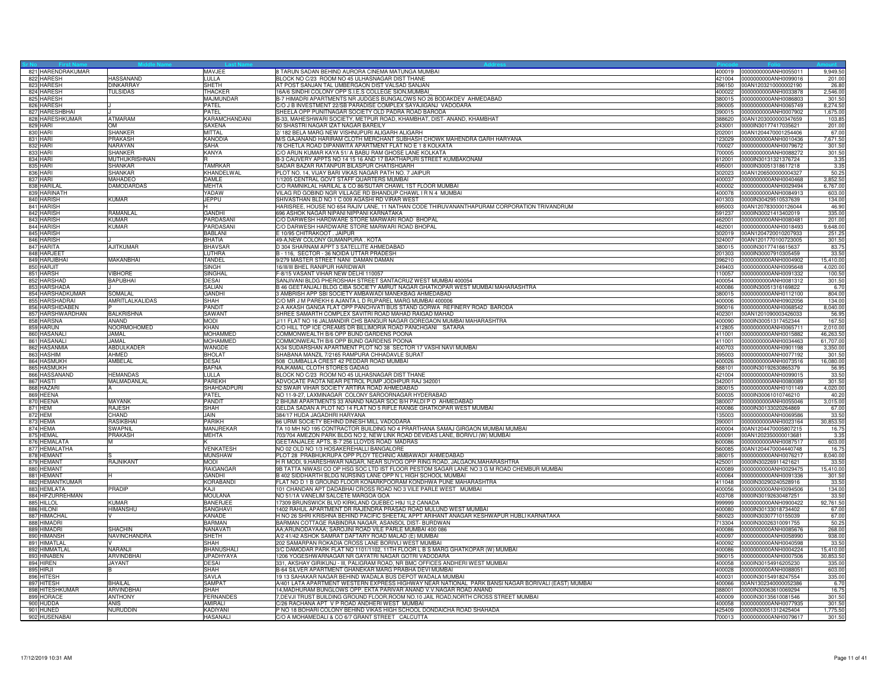| 821 HARENDRAKUMAR                  |                   | MAVJEE                | 8 TARUN SADAN BEHIND AURORA CINEMA MATUNGA MUMBAI                                                  | 400019           | 0000000000ANH0055011                         | 9,949.5         |
|------------------------------------|-------------------|-----------------------|----------------------------------------------------------------------------------------------------|------------------|----------------------------------------------|-----------------|
| 822 HARESH                         | HASSANAND         | LULLA                 | BLOCK NO C/23 ROOM NO 45 ULHASNAGAR DIST THANE                                                     |                  | 421004 0000000000ANH0099016                  | 201.00          |
| 823 HARESH                         | <b>DINKARRAY</b>  | <b>SHETH</b>          | AT POST SANJAN TAL UMBERGAON DIST VALSAD SANJAN                                                    | 396150           | 00AN1203210000002190                         | 26.8            |
| 824 HARESH                         | TULSIDAS          | THACKER               | 16A/6 SINDHI COLONY OPP S.I.E.S COLLEGE SION, MUMBAI                                               | 400022           | 0000000000ANH0033878                         | 2,546.0         |
| 825 HARESH                         |                   | MAJMUNDAR             | B-7 HIMADRI APARTMENTS NR JUDGES BUNGALOWS NO 26 BODAKDEV AHMEDABAD                                | 380015           | 0000000000ANH0086803                         | 301.5           |
| 826 HARESH                         |                   | PATEL                 | C/O J B INVESTMENT 22/SB PARADISE COMPLEX SAYAJIGANJ VADODARA                                      | 390005           | 0000000000ANH0065749                         | 8,274.5         |
| 827 HARESHBHAI                     |                   | PATEL                 | SHEELA OPP PUNITNAGAR SOCIETY OLD PADRA ROAD BARODA                                                | 390015           | 0000000000ANH0007902                         | 1,675.0         |
| 828 HARESHKUMAR                    | <b>ATMARAM</b>    | KARAMCHANDANI         | B-33, MAHESHWARI SOCIETY, METPUR ROAD, KHAMBHAT, DIST-ANAND, KHAMBHAT                              | 388620           | 00AN1203000000347659                         | 103.8           |
| 829 HARI                           | DМ                | SAXENA                | 50 SHASTRI NAGAR IZAT NAGAR BAREILY                                                                | 243001           | 0000IN30177417035621                         | 201.00          |
| 830 HARI                           | <b>SHANKER</b>    | <b>MITTAL</b>         | 2/182 BELA MARG NEW VISHNUPURI ALIGARH ALIGARH                                                     | 202001           | 00AN1204470001254406                         | 67.0            |
| 831 HARI                           | PRAKASH           | KANODIA               | M/S GAJANAND HARIRAM CLOTH MERCHANT SUBHASH CHOWK MAHENDRA GARH HARYANA                            | 123029           | 0000000000ANH0010436                         | 7,671.5         |
| 832 HARI                           | NARAYAN           | SAHA                  | 78 CHETLA ROAD DIPANWITA APARTMENT FLAT NO E 1 8 KOLKATA                                           | 700027           | 0000000000ANH0079672                         | 301.5           |
| 833 HARI                           | <b>SHANKER</b>    | KANYA                 | C/O ARUN KUMAR KAYA 51/ A BABU RAM GHOSE LANE KOLKATA                                              | 700005           | 0000000000ANH0088272                         | 301.5           |
| 834 HARI                           | MUTHUKRISHNAN     |                       | B-3 CAUVERY APPTS NO 14 15 16 AND 17 BAKTHAPURI STREET KUMBAKONAM                                  | 612001           | 0000IN30131321376724                         | 3.35            |
| 835 HARI                           | SHANKAR           | <b>TAMRKAR</b>        | SADAR BAZAR RATANPUR BILASPUR CHATISHGARH                                                          | 495001           | 0000IN30051318617218                         | 3.35            |
| 836 HARI                           | <b>SHANKAR</b>    | KHANDELWAL            | PLOT NO. 14, VIJAY BARI VIKAS NAGAR PATH NO. 7 JAIPUR                                              | 302023           | 00AN1206500000004327                         | 50.2            |
| 837 HARI                           | MAHADEO           | DAMLE                 | 1/1205 CENTRAL GOVT STAFF QUARTERS MUMBAI                                                          | 400037           | 0000000000ANH0040468                         | 3,852.5         |
| 838 HARILAL                        | DAMODARDAS        | <b>MEHTA</b>          | C/O RAMNIKLAL HARILAL & CO 86/SUTAR CHAWL 1ST FLOOR MUMBAI                                         | 400002           | 0000000000ANH0029494                         | 6,767.0         |
| 839 HARINATH                       |                   | YADAW                 | VILAG RD GOBIND NGR VILLAGE RD BHANDUP CHAWL I R N 4 MUMBAI                                        | 400078           | 0000000000ANH0084913                         | 603.00          |
| 840 HARISH                         | <b>KUMAR</b>      | <b>JEPPU</b>          | SHIVASTHAN BLD NO 1 C 009 AGASHI RD VIRAR WEST                                                     | 401303           | 0000IN30429510537639                         | 134.00          |
| 841 HARISH                         |                   |                       | HARISREE, HOUSE NO 654 RAJIV LANE, 11 NATHAN CODE THIRUVANANTHAPURAM CORPORATION TRIVANDRUM        | 695003           | 00AN1207830000126044                         | 46.9            |
| 842 HARISH                         | RAMANLAL          | <b>GANDHI</b>         | 696 ASHOK NAGAR NIPANI NIPPANI KARNATAKA                                                           | 591237           | 0000IN30021413402019                         | 335.0           |
| 843 HARISH                         | <b>KUMAR</b>      | PARDASANI             | C/O DARWESH HARDWARE STORE MARWARI ROAD BHOPAL                                                     | 462001           | 0000000000ANH0080481                         | 201.0           |
| 844 HARISH                         | KUMAR             | PARDASANI             | C/O DARWESH HARDWARE STORE MARWARI ROAD BHOPAL                                                     | 462001           | 0000000000ANH0018493                         | 9,648.0         |
| 845 HARISH                         |                   | <b>BABLANI</b>        | E 10/95 CHITRAKOOT, JAIPUR                                                                         | 302019           | 00AN1204720010207933                         | 251.2           |
| 846 HARISH                         |                   | <b>BHATIA</b>         | 49-A, NEW COLONY GUMANPURA. KOTA                                                                   | 324007           | 00AN1201770100723005                         | 301.5           |
| 847 HARITA                         | <b>AJITKUMAR</b>  | <b>BHAVSAF</b>        | D 304 SHARNAM APPT 3 SATELLITE AHMEDABAD                                                           | 380015           | 0000IN30177416615637                         | 83.7            |
| 848 HARJEET                        |                   | LUTHRA                | B - 116, SECTOR - 36 NOIDA UTTAR PRADESH                                                           | 201303           | 0000IN30007910305459                         | 33.5            |
| 849 HARJIBHAI                      | MAKANBHAI         | TANDEL                | 9/279 MASTER STREET NANI DAMAN DAMAN                                                               | 396210           | 0000000000ANH0004902                         | 15,410.00       |
| 850 HARJIT                         |                   | <b>SINGH</b>          | 16/III/III BHEL RANIPUR HARIDWAR                                                                   | 249403           | 0000000000ANH0095648                         | 4.020.0         |
| 851 HARSH                          | <b>/IBHORE</b>    | <b>SINGHAL</b>        | F-8/15 VASANT VIHAR NEW DELHI 110057                                                               | 110057           | 0000000000ANH0091332                         | 100.5           |
| 852 HARSHAD                        | <b>BAPUBHAI</b>   | <b>DESAI</b>          | SANJIVANI BLDG PHEROSHAH STREET SANTACRUZ WEST MUMBAI 400054                                       | 400054           | 0000000000ANH0081312                         | 301.5           |
| 853 HARSHADA                       |                   | SALIAN                | B 46 GEETANJALI BLDG CIBA SOCIETY AMRUT NAGAR GHATKOPAR WEST MUMBAI MAHARASHTRA                    | 400086           | 0000IN30051316169822                         | 6.7             |
|                                    | SOMAL AL          |                       |                                                                                                    |                  |                                              |                 |
| 854 HARSHADKUMAR<br>855 HARSHADRAI | AMRITLALKALIDAS   | <b>GANDHI</b><br>SHAH | 3 AMBRISH APP SBI SOCIETY AMBAWADI MANEKBAG AHMEDABAD                                              | 380015<br>400006 | 0000000000ANH0112100<br>0000000000ANH0902056 | 804.00<br>134.0 |
|                                    |                   |                       | C/O MR J M PAREKH 6 AJANTA L D RUPAREL MARG MUMBAI 400006                                          |                  |                                              |                 |
| 856 HARSHIDABEN                    |                   | PANDIT                | 2-A AKASH GANGA FLAT OPP PANCHVATI BUS STAND GORWA REFINERY ROAD BARODA                            | 390016           | 0000000000ANH0068542                         | 8,040.0         |
| 857 HARSHWARDHAN                   | <b>BALKRISHNA</b> | SAWANT                | SHREE SAMARTH COMPLEX SAVITRI ROAD MAHAD RAIGAD MAHAD                                              | 402301           | 00AN1201090003426033                         | 56.9            |
| 858 HARSNA                         | <b>ANAND</b>      | <b>MODI</b>           | J/11 FLAT NO 16 JALMANDIR CHS BANGUR NAGAR GOREGAON MUMBAI MAHARASHTRA                             | 400090           | 0000IN30051317452344                         | 167.5           |
| 859 HARUN                          | NOORMOHOMED       | KHAN                  | C/O HILL TOP ICE CREAMS DR BILLIMORIA ROAD PANCHGANI SATARA                                        | 412805           | 0000000000ANH0065711                         | 2,010.0         |
| 860 HASANAL                        | JAMAL             | <b>MOHAMMED</b>       | COMMONWEALTH B/6 OPP BUND GARDENS POONA                                                            | 411001           | 0000000000ANH0015882                         | 46,263.5        |
| 861 HASANALI                       | JAMAL             | <b>MOHAMMED</b>       | COMMONWEALTH B/6 OPP BUND GARDENS POONA                                                            |                  | 411001 0000000000ANH0034463                  | 61,707.0        |
| 862 HASANMIA                       | <b>ABDULKADER</b> | WANGDE                | A/34 SUDARSHAN APARTMENT PLOT NO 38 SECTOR 17 VASHI NAVI MUMBAI                                    | 400703           | 0000000000ANH0901198                         | 3,350.0         |
| 863 HASHIM                         | AHMED             | <b>BHOLAT</b>         | SHABANA MANZIL 7/2165 RAMPURA CHHADAVLE SURAT                                                      | 395003           | 0000000000ANH0077192                         | 301.5           |
| 864 HASMUKH                        | AMBELAL           | DESAI                 | 508 CUMBALLA CREST 42 PEDDAR ROAD MUMBAI                                                           | 400026           | 0000000000ANH0073516                         | 16,080.0        |
| 865 HASMUKH                        |                   | <b>BAFNA</b>          | RAJKAMAL CLOTH STORES GADAG                                                                        | 588101           | 0000IN30192630865379                         | 56.9            |
| 866 HASSANAND                      | <b>IEMANDAS</b>   | <b>ULLA</b>           | BLOCK NO C/23 ROOM NO 45 ULHASNAGAR DIST THANE                                                     | 421004           | 0000000000ANH0099015                         | 33.5            |
| 867 HASTI                          | MALMADANLAL       | <b>PAREKH</b>         | ADVOCATE PAOTA NEAR PETROL PUMP JODHPUR RAJ 342001                                                 | 342001           | 0000000000ANH0080089                         | 301.5           |
| 868 HAZARI                         |                   | SHAHDADPURI           | 52 SWAIR VIHAR SOCIETY ARTIRA ROAD AHMEDABAD                                                       | 380015           | 0000000000ANH0101149                         | 4,020.00        |
| 869 HEENA                          |                   | <b>PATFI</b>          | NO 11-9-27, LAXMINAGAR COLONY SAROORNAGAR HYDERABAD                                                | 500035           | 0000IN30061010746210                         | 40.2            |
| 870 HEENA                          | MAYANK            | PANDIT                | 2 BHUMI APARTMENTS 33 ANAND NAGAR SOC B/H PALDI P O AHMEDABAD                                      | 380007           | 0000000000ANH0055046                         | 3,015.0         |
| 871 HEM                            | <b>RAJESH</b>     | SHAH                  | GELDA SADAN A PLOT NO 14 FLAT NO 5 RIFLE RANGE GHATKOPAR WEST MUMBAI                               | 400086           | 0000IN30133020264869                         | 67.0            |
| 872 HEM                            | CHAND             | JAIN                  | 384/17 HUDA JAGADHRI HARYANA                                                                       | 135003           | 0000000000ANH0069586                         | 33.5            |
| 873 HEMA                           | RASIKBHAI         | PARIKH                | 66 URMI SOCIETY BEHIND DINESH MILL VADODARA                                                        | 390001           | 0000000000ANH0023164                         | 30,853.5        |
| 874 HEMA                           | SWAPNIL           | <b>MANJREKAR</b>      | TA 10 MH NO 195 CONTRACTOR BUILDING NO 4 PRARTHANA SAMAJ GIRGAON MUMBAI MUMBAI                     | 400004           | 00AN1204470005807215                         | 16.7            |
| 875 HEMAL                          | PRAKASH           | MEHTA                 | 703/704 AMEZON PARK BLDG NO 2, NEW LINK ROAD DEVIDAS LANE, BORIVLI (W) MUMBAI                      | 400091           | 00AN1202350000013681                         | 3.3             |
| 876 HEMALATA                       |                   |                       | GEETANJALEE APTS, B-7 256 LLOYDS ROAD MADRAS                                                       | 600086           | 0000000000ANH0087517                         | 603.00          |
| 877 HEMALATHA                      |                   | <b>VENKATESH</b>      | NO 02 OLD NO 1/3 HOSAKEREHALLI BANGALORE                                                           | 560085           | 00AN1204470004440748                         | 16.7            |
| 878 HEMANT                         |                   | <b>MUNSHAW</b>        | PLOT 28 PRABHUKRUPA OPP PLOY TECHNIC AMBAWADI AHMEDABAD                                            | 380015           | 0000000000ANH0076217                         | 8,040.00        |
| 879 HEMANT                         | RAJNIKANT         | <b>MODI</b>           | H R MODI, 9, HARESHWAR NAGAR, NEAR SUYOG OPP RING ROAD, JALGAON, MAHARASHTRA                       | 425001           | 0000IN30226911421621                         | 33.50           |
| 880 HEMANT                         |                   | RAIGANGAR             | 9B TATTA NIWASI CO OP HSG SOC LTD IST FLOOR PESTOM SAGAR LANE NO 3 G M ROAD CHEMBUR MUMBAI         | 400089           | 0000000000ANH0029475                         | 15,410.0        |
| 881 HEMANT                         |                   | <b>GANDHI</b>         | B 402 SIDDHARTH BLDG NURSING LANE OPP N L HIGH SCHOOL MUMBAI                                       | 400064           | 0000000000ANH0091336                         | 301.5           |
| 882 HEMANTKUMAR                    |                   | KORABANDI             | FLAT NO D 1 B GROUND FLOOR KONARKPOORAM KONDHWA PUNE MAHARASHTRA                                   | 411048           | 0000IN30290240528916                         | 33.5            |
| 883 HEMLATA                        | PRADIP            | KAJI                  | 101 CHANDAN APT DADABHAI CROSS ROAD NO 3 VILE PARLE WEST MUMBAI                                    | 400056           | 0000000000ANH0094506                         | 134.00          |
| 884 HIFZURREHMAN                   |                   | MOULANA               | NO 51/1A VANELIM SALCETE MARGOA GOA                                                                | 403708           | 0000IN30192630487251                         | 33.50           |
| 885 HILLOL                         | <b>KUMAR</b>      | <b>BANERJEE</b>       | 17309 BRUNSWICK BLVD KIRKLAND QUEBEC H9J 1L2 CANADA                                                | 999999           | 0000000000ANH0900422                         | 92,761.5        |
| 886 HILONI                         | HIMANSHU          | SANGHAVI              | 1402 RAHUL APARTMENT DR RAJENDRA PRASAD ROAD MULUND WEST MUMBAI                                    | 400080           | 0000IN30133018734402                         | 67.0            |
| 887 HIMACHAI                       |                   | KANADE                | H NO 26 SHRI KRISHNA BEHIND PACIFIC SHEETAL APPT ARIHANT ANAGAR KESHWAPUR HUBLI KARNATAKA          | 580023           | 0000IN30307710155039                         | 67.00           |
| 888 HIMADRI                        |                   | <b>BARMAN</b>         | BARMAN COTTAGE RABINDRA NAGAR, ASANSOL DIST- BURDWAN                                               | 713304           | 0000IN30026310091755                         | 50.2            |
| 889 HIMADRI                        | <b>SHACHIN</b>    | NANAVATI              | AA;ARUNODAYAAA; SAROJINI ROAD VILE PARLE MUMBAI 400 086                                            | 400086           | 0000000000ANH0085676                         | 268.00          |
| 890 HIMANSH                        | NAVINCHANDRA      | SHETH                 | A/2 41/42 ASHOK SAMRAT DAFTARY ROAD MALAD (E) MUMBAI                                               | 400097           | 0000000000ANH0058990                         | 938.00          |
| 891 HIMATLAL                       |                   | <b>SHAH</b>           | 202 SAMARPAN ROKADIA CROSS LANE BORIVLI WEST MUMBAI                                                | 400092           | 0000000000ANH0040598                         | 33.5            |
| 892 HIMMATLAI                      | NARAN.I           | <b>BHANUSHAL</b>      | 3/C DAMODAR PARK FLAT NO 1101/1102, 11TH FLOOR L B S MARG GHATKOPAR (W) MUMBAI                     | 400086           | 0000000000ANH0004224                         | 15,410.0        |
| 893 HINABEN                        | ARVINDBHAI        | UPADHYAYA             | 1206 YOGESHWARNAGAR NR GAYATRI NAGAR GOTRI VADODARA                                                | 390015           | 0000000000ANH0007506                         | 30,853.5        |
| 894 HIREN                          | <b>JAYANT</b>     | DESAI                 | 331, AKSHAY GIRIKUNJ - III, PALIGRAM ROAD, NR BMC OFFICES ANDHERI WEST MUMBAI                      | 400058           | 0000lN30154916205230                         | 335.0           |
| 895 HIRJI                          |                   | SHAH                  | B-64 SILVER APARTMENT GHANEKAR MARG PRABHA DEVI MUMBAI                                             | 400028           | 0000000000ANH0088051                         | 603.0           |
| 896 HITESH                         |                   | SAVLA                 | 19 13 SAHAKAR NAGAR BEHIND WADALA BUS DEPOT WADALA MUMBAI                                          | 400031           | 0000IN30154918247554                         | 335.0           |
| 897 HITESH                         | <b>BHAILAL</b>    | SAMPA <sup>-</sup>    | A/401 LATA APARTMENT WESTERN EXPRESS HIGHWAY NEAR NATIONAL PARK BANSI NAGAR BORIVALI (EAST) MUMBAI | 400066           | 00AN1302340000052386                         | 6.7             |
| 898 HITESHKUMAR                    | ARVINDBHAI        | SHAH                  | 14, MADHURAM BUNGLOWS OPP. EKTA PARIVAR ANAND V.V. NAGAR ROAD ANAND                                | 388001           | 0000IN30063610069294                         | 16.7            |
| 899 HORACE                         | <b>ANTHONY</b>    | FERNANDES             | 7,DEVJI TRUST BUILDING GROUND FLOOR,ROOM NO.10 JAIL ROAD,NORTH CROSS STREET MUMBAI                 | 400009           | 0000IN30135610081546                         | 301.50          |
| 900 HUDDA                          | <b>ANIS</b>       | AMIRALI               | C/26 RACHANA APT V P ROAD ANDHERI WEST MUMBAI                                                      |                  | 400058 0000000000ANH0077935                  | 301.50          |
| 901 HUNED                          | <b>NURUDDIN</b>   | <b>KADIYANI</b>       | P NO 18 BOHARI COLONY BEHIND VIKAS HIGH SCHOOL DONDAICHA ROAD SHAHADA                              | 425409           | 0000IN30051312425404                         | 1,775.5         |
|                                    |                   |                       |                                                                                                    |                  |                                              |                 |
| 902 HUSENABAI                      |                   | <b>HASANALI</b>       | C/O A MOHAMEDALI & CO 6/7 GRANT STREET CALCUTTA                                                    |                  | 700013 0000000000ANH0079617                  | 301.50          |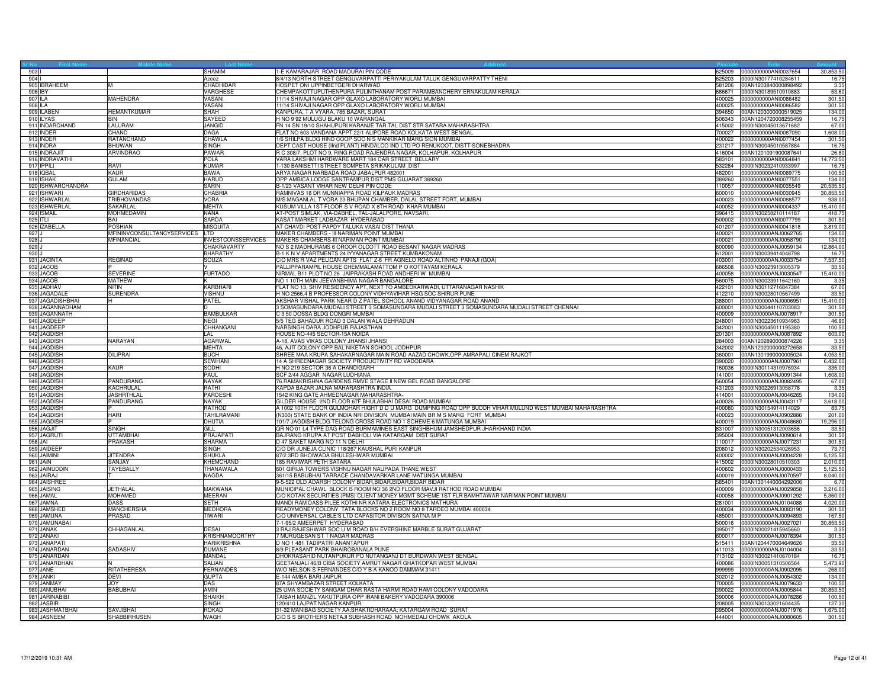| 903<br>904                          |                                  | SHAMIM                                      | 1-E KAMARAJAR ROAD MADURAI PIN CODE                                                                                                                    | 325009           | 0000000000ANI0037654                                        | 30,853.5                  |
|-------------------------------------|----------------------------------|---------------------------------------------|--------------------------------------------------------------------------------------------------------------------------------------------------------|------------------|-------------------------------------------------------------|---------------------------|
| 905 <b>IBRAHEEM</b>                 | M                                | Azeez<br>CHADHIDAR                          | 8/4/13 NORTH STREET GENGUVARPATTI PERIYAKULAM TALUK GENGUVARPATTY THENI<br>HOSPET ONI UPPINBETGERI DHARWAD                                             | 625203           | 0000lN30177410284611<br>581206 00AN1203840000898492         | 16.7<br>3.3               |
| 906 IBY                             |                                  | VARGHESE                                    | CHEMPAKOTTUPUTHENPURA PULINTHANAM POST PARAMBANCHERY ERNAKULAM KERALA                                                                                  |                  |                                                             | 53.60                     |
| 907 ILA                             | <b>MAHENDRA</b>                  | VASANI                                      | 11/14 SHIVAJI NAGAR OPP GLAXO LABORATORY WORLI MUMBAI                                                                                                  | 400025           | 0000000000ANI0086482                                        | 301.50                    |
| 908 ILA                             |                                  | VASANI                                      | 11/14 SHIVAJI NAGAR OPP GLAXO LABORATORY WORLI MUMBAI                                                                                                  | 400025           | 0000000000ANI0086582                                        | 301.5                     |
| 909 ILABEN                          | <b>HEMANTKUMAR</b>               | <b>SHAH</b>                                 | KANPURA, T A VYARA, 785 BAZAR, SURAT                                                                                                                   |                  | 394650 00AN1203000000519025                                 | 134.00                    |
| 910 ILYAS<br>911 INDARCHAND         | <b>BIN</b><br>LALURAM            | SAYEED<br>JANGID                            | H NO 9 92 MULUGU BLAKU 10 WARANGAL                                                                                                                     |                  | 506343 00AN1204720008255459<br>415002  0000IN30045013671682 | 16.7<br>67.00             |
| 912 INDER                           | CHAND                            | <b>DAGA</b>                                 | FN 14 SN 19/10 SHAHUPURI KARANJE TAR TAL DIST STR SATARA MAHARASHTRA<br>FLAT NO 603 VANDANA APPT 22/1 ALIPORE ROAD KOLKATA WEST BENGAL                 |                  | 700027 0000000000ANI0087090                                 | 1.608.00                  |
| 913 INDER                           | RATANCHAND                       | CHAWLA                                      | 1/6 SHILPA BLDG HIND COOP SOC N S MANKIKAR MARG SION MUMBAI                                                                                            |                  | 400022 0000000000ANI0077454                                 | 301.50                    |
| 914 INDRA                           | <b>BHUWAN</b>                    | <b>SINGH</b>                                | DEPT CAST HOUSE (IInd PLANT) HINDALCO IND LTD PO RENUKOOT, DISTT-SONEBHADRA                                                                            |                  | 231217 0000IN30045010587884                                 | 16.7                      |
| 915 INDRAJI                         | <b>ARVINDRAO</b>                 | PAWAR                                       | R C 308/7, PLOT NO 9, RING ROAD RAJENDRA NAGAR, KOLHAPUR, KOLHAPUR                                                                                     |                  | 416004 00AN1201091900087641                                 | 26.80                     |
| 916 INDRAVATHI<br>917 <b>IPPILI</b> | RAVI                             | POLA<br><b>KUMAR</b>                        | VARA LAKSHMI HARDWARE MART 184 CAR STREET BELLARY<br>-130 BANISETTI STREET SOMPETA SRIKAKULAM DIST                                                     | 532284           | 583101 0000000000ANI0064841<br>0000IN30232410933997         | 14,773.50<br>16.7         |
| 918 IQBAL                           | KAUR                             | <b>BAWA</b>                                 | ARYA NAGAR NARBADA ROAD JABALPUR 482001                                                                                                                | 482001           | 0000000000ANI0089775                                        | 100.5                     |
| 919 ISHAK                           | <b>GULAM</b>                     | <b>HARUD</b>                                | OPP AMBICA LODGE SANTRAMPUR DIST PMS GUJARAT 389260                                                                                                    | 389260           | 0000000000ANI0077551                                        | 134.0                     |
| 920 ISHWARCHANDRA                   |                                  | <b>SARIN</b>                                | B-1/23 VASANT VIHAR NEW DELHI PIN CODE                                                                                                                 |                  | 110057 0000000000ANI0035549                                 | 20,535.5                  |
| 921 ISHWARI                         | <b>GIRDHARIDAS</b>               | <b>CHABRIA</b>                              | RAMNIVAS 18 DR MUNNIAPPA ROAD KILPAUK MADRAS                                                                                                           |                  | 600010 0000000000ANI0030945                                 | 30,853.5                  |
| 922 ISHWARLAL                       | <b>TRIBHOVANDAS</b>              | <b>VORA</b>                                 | M/S MAGANLAL T VORA 23 BHUPAN CHAMBER, DALAL STREET FORT, MUMBAI                                                                                       | 400023           | 0000000000ANI0088577                                        | 938.0                     |
| 923 ISHWERLAL<br>924 ISMAIL         | SAKARLAL<br><b>MOHMEDAMIN</b>    | <b>MEHTA</b><br><b>NANA</b>                 | KUSUM VILLA 1ST FLOOR S V ROAD X 8TH ROAD KHAR MUMBAI<br>AT-POST SIMLAK, VIA-DABHEL, TAL-JALALPORE, NAVSARI                                            |                  | 400052 0000000000ANI0004337<br>396415 0000IN30258210114187  | 15,410.0<br>418.7         |
| 925 ITLI                            | BAI                              | SARDA                                       | KASAT MARKET LADBAZAR HYDERABAD                                                                                                                        |                  | 500002 0000000000ANI0077799                                 | 301.5                     |
| 926 IZABELLA                        | <b>POSHIAN</b>                   | MISQUITA                                    | AT CHAVDI POST PAPDY TALUKA VASAI DIST THANA                                                                                                           |                  | 401207 0000000000ANI0041818                                 | 3,819.0                   |
| 927 J                               | MFININVCONSULTANCYSERVICES       | LTD                                         | MAKER CHAMBERS - III NARIMAN POINT MUMBAI                                                                                                              | 400021           | 0000000000ANJ0062765                                        | 134.0                     |
| 928 J                               | MFINANCIAL                       | <b>INVESTCONSSERVICES</b>                   | MAKERS CHAMBERS-III NARIMAN POINT MUMBAI                                                                                                               |                  | 400021 0000000000ANJ0058790                                 | 134.00                    |
| 929.1<br>930 J                      |                                  | <b>CHAKRAVARTY</b><br><b>BHARATHY</b>       | NO S 2 MADHURAMS 6 OROOR OLCOTT ROAD BESANT NAGAR MADRAS<br>B-1 K N V APARTMENTS 24 IYYANAGAR STREET KUMBAKONAM                                        | 600090<br>612001 | 0000000000ANJ0059134<br>0000IN30039414048798                | 12,864.00<br>16.7         |
| 931 JACINTA                         | <b>REGINAD</b>                   | SOUZA                                       | C/O MRS R VAZ PELICAN APTS FLAT Z-6 FR AGNELO ROAD ALTINHO PANAJI (GOA)                                                                                | 403001           | 0000000000ANJ0033754                                        | 7,537.5                   |
| 932 JACOB                           |                                  |                                             | PALLIPPARAMPIL HOUSE CHEMMALAMATTOM P O KOTTAYAM KERALA                                                                                                | 686508           | 0000IN30023913005379                                        | 33.5                      |
| 933 JACOB                           | <b>SEVERINE</b>                  | <b>FURTADO</b>                              | NIRMAL B11 PLOT NO 26 JAIPRAKASH ROAD ANDHERI W MUMBAI                                                                                                 | 400058           | 0000000000ANJ0030547                                        | 15,410.0                  |
| 934 JACOB                           | <b>MATHEW</b>                    |                                             | NO 1 10TH MAIN JEEVANBHIMA NAGAR BANGALORE                                                                                                             |                  | 560075 0000IN30023911642160                                 | 3.3 <sup>2</sup>          |
| 935 JADHAV<br>936 JAGADALE          | <b>NITIN</b>                     | KARBHARI<br><b>VISHNU</b>                   | FLAT NO 13, SHIV RESIDENCY APT, NEXT TO AMBEDKARWADI, UTTARANAGAR NASHIK<br>H NO 2566,4 B PROFESSOR COLONY VIDHYAVIHAR HSG SOC SHIRUR PUNE             |                  | 422101 0000IN30112716847384<br>412210 0000IN30028010567499  | 67.00<br>33.50            |
| 937 JAGADISHBHAI                    | SURENDRA                         | PATEL                                       | AKSHAR VISHAL PARK NEAR D Z PATEL SCHOOL ANAND VIDYANAGAR ROAD ANAND                                                                                   | 388001           | 0000000000ANJ0006951                                        | 15,410.00                 |
| 938 JAGANNADHAM                     |                                  |                                             | 3 SOMASUNDARA MUDALI STREET 3 SOMASUNDARA MUDALI STREET 3 SOMASUNDARA MUDALI STREET CHENNAI                                                            | 600001           | 0000IN30044110703083                                        | 301.50                    |
| 939 JAGANNATH                       |                                  | <b>BAMBULKAR</b>                            | C 3 50 DOSSA BLDG DONGRI MUMBAI                                                                                                                        | 400009           | 0000000000ANJ0078917                                        | 301.50                    |
| 940 JAGDEEP                         |                                  | <b>NEGI</b>                                 | 5/5 TEG BAHADUR ROAD 3 DALAN WALA DEHRADUN                                                                                                             |                  | 248001 0000IN30223610934963                                 | 46.90                     |
| 941 JAGDEEP                         |                                  | CHHANGANI                                   | NARSINGH DARA JODHPUR RAJASTHAN                                                                                                                        | 342001           | 0000IN30045011195380                                        | 100.5                     |
| 942 JAGDISH<br>943 JAGDISH          | NARAYAN                          | AL<br>AGARWAL                               | HOUSE NO-445 SECTOR-15A NOIDA<br>A-18, AVAS VIKAS COLONY JHANSI JHANSI                                                                                 | 201301           | 0000000000ANJ0087892<br>284003 00AN1202890000874226         | 603.0<br>3.3 <sup>5</sup> |
| 944 JAGDISH                         |                                  | <b>MEHTA</b>                                | 46, AJIT COLONY OPP BAL NIKETAN SCHOOL JODHPUR                                                                                                         |                  | 342002 00AN1202000000272658                                 | 33.50                     |
| 945 JAGDISH                         | DILIPRAI                         | <b>BUCH</b>                                 | SHREE MAA KRUPA SAHAKARNAGAR MAIN ROAD AAZAD CHOWK, OPP. AMRAPALI CINEM RAJKOT                                                                         |                  | 360001 00AN1301990000005024                                 | 4,053.50                  |
| 946 JAGDISH                         |                                  | <b>SEWHANI</b>                              | 14 A SHREENAGAR SOCIETY PRODUCTIVITY RD VADODARA                                                                                                       |                  | 390020 0000000000ANJ0007961                                 | 6,432.00                  |
| 947 JAGDISH                         | KAUR                             | SODHI                                       | H NO 219 SECTOR 36 A CHANDIGARH                                                                                                                        | 60036            | 0000lN30114310976934                                        | 335.0                     |
| 948 JAGDISH<br>949 JAGDISH          | PANDURANG                        | PAUL<br><b>NAYAK</b>                        | SCF 2/44 AGGAR NAGAR LUDHIANA<br>76 RAMAKRISHNA GARDENS RMVE STAGE II NEW BEL ROAD BANGALORE                                                           | 141001           | 0000000000ANJ0091344<br>560054 0000000000ANJ0082495         | 1,608.0<br>67.00          |
| 950 JAGDISH                         | KACHRULAL                        | RATHI                                       | KAPDA BAZAR JALNA MAHARASHTRA INDIA                                                                                                                    |                  | 431203 0000IN30226913058778                                 | 3.35                      |
| 951 JAGDISH                         | <b>JASHRTHLAL</b>                | PARDESH                                     | 1542 KING GATE AHMEDNAGAR MAHARASHTRA-                                                                                                                 | 414001           | 0000000000ANJ0046265                                        | 134.00                    |
| 952 JAGDISH                         | PANDURANG                        | <b>NAYAK</b>                                | GILDER HOUSE 2ND FLOOR 67F BHULABHAI DESAI ROAD MUMBAI                                                                                                 | 400026           | 0000000000ANJ0043117                                        | 3,618.0                   |
| 953 JAGDISH                         |                                  | <b>RATHOD</b>                               | A 1002 10TH FLOOR GULMOHAR HIGHT D D U MARG DUMPING ROAD OPP BUDDH VIHAR MULUND WEST MUMBAI MAHARASHTRA                                                | 400080           | 0000IN30154914114029                                        | 83.7                      |
| 954 JAGDISH<br>955 JAGDISH          | HARI                             | TAHILRAMANI<br>DHUTIA                       | (N300) STATE BANK OF INDIA NRI DIVISION MUMBAI MAIN BR M S MARG FORT MUMBAI<br>101/7 JAGDISH BLDG TELONG CROSS ROAD NO 1 SCHEME 6 MATUNGA MUMBAI       |                  | 400023 0000000000ANJ0902886<br>400019 0000000000ANJ0048680  | 201.00<br>19,296.00       |
| 956 JAGJIT                          | SINGH                            | GILL.                                       | QR NO 01 L4 TYPE DAG ROAD BURMAMINES EAST SINGHBHUM JAMSHEDPUR JHARKHAND INDIA                                                                         |                  | 831007 0000IN30051312003656                                 | 33.50                     |
| 957 JAGRUTI                         | UTTAMBHAI                        | PRAJAPATI                                   | BAJRANG KRUPA AT POST DABHOLI VIA KATARGAM DIST SURAT                                                                                                  | 395004           | 0000000000ANJ0090614                                        | 301.5                     |
| 958 JAI                             | <b>PRAKASH</b>                   | SHARMA                                      | D 47 SAKET MARG NO 11 N DELHI                                                                                                                          | 110017           | 0000000000ANJ0077231                                        | 301.5                     |
| 959 JAIDEEP                         |                                  | SINGH                                       | C/O DR JUNEJA CLINIC 118/267 KAUSHAL PURI KANPUR                                                                                                       |                  | 208012 0000IN30202534026953                                 | 73.7                      |
| 960 JAIMINI<br>961 JAIN             | <b>JITENDRA</b><br><b>SANJAY</b> | <b>SHUKLA</b><br><b>KHEMCHAND</b>           | 87/2 3RD BHOIWADA BHULESHWAR MUMBAI<br>185 RAVIWAR PETH SATARA                                                                                         |                  | 400002 0000000000ANJ0004228<br>415002 0000IN30028010510303  | 5,125.50<br>2.010.00      |
| 962 JAINUDDIN                       | TAYEBALLY                        | THANAWALA                                   | 601 GIRIJA TOWERS VISHNU NAGAR NAUPADA THANE WEST                                                                                                      | 400602           | 0000000000ANJ0000433                                        | 5,125.5                   |
| 963 JAIRAJ                          |                                  | NAGDA                                       | 361/15 BABUBHAI TARRACE CHANDAVARKAR LANE MATUNGA MUMBAI                                                                                               | 400019           | 0000000000ANJ0070597                                        | 8,040.0                   |
| 964 JAISHREE                        |                                  |                                             | 9-5-522 OLD ADARSH COLONY BIDAR, BIDAR, BIDAR, BIDAR BIDAR                                                                                             |                  | 585401 00AN1301440004292006                                 | 6.7                       |
| 965 JAISING                         | JETHALAL                         | MAKWANA                                     | MUNICIPAL CHAWL BLOCK B ROOM NO 36 2ND FLOOR MAVJI RATHOD ROAD MUMBAI                                                                                  |                  | 400009 0000000000ANJ0029858                                 | 3,216.00                  |
| 966 JAMAL<br>967 JAMNA              | <b>MOHAMED</b><br>DASS           | <b>MEERAN</b><br><b>SETH</b>                | C/O KOTAK SECURITIES (PMS) CLIENT MONEY MGMT SCHEME 1ST FLR BAMHTAWAR NARIMAN POINT MUMBAI<br>MANDI RAM DASS PILEE KOTHI NR KATARA ELECTRONICS MATHURA | 400058<br>281001 | 0000000000ANJ0901292<br>0000000000ANJ0104088                | 5,360.0<br>4,020.00       |
| 968 JAMSHED                         | <b>MANCHERSHA</b>                | <b>MEDHORA</b>                              | READYMONEY COLONY TATA BLOCKS NO 2 ROOM NO 8 TARDEO MUMBAI 400034                                                                                      |                  | 400034 0000000000ANJ0083190                                 | 301.50                    |
| 969 JAMUNA                          | PRASAD                           | TIWARI                                      | C/O UNIVERSAL CABLE'S LTD CAPASITOR DIVISION SATNA M P                                                                                                 |                  | 485001 0000000000ANJ0094893                                 | 167.5                     |
| 970 JAMUNABAI                       |                                  |                                             | 7-1-95/2 AMEERPET HYDERABAD                                                                                                                            |                  |                                                             | 30,853.5                  |
| 971 JANAK                           | CHHAGANLAL                       | <b>DESAI</b>                                | 3 RAJ RAJESHWAR SOC U M ROAD B/H EVERSHINE MARBLE SURAT GUJARAT                                                                                        | 395017           | 0000IN30021415945660                                        | 3.3 <sup>2</sup>          |
| 972 JANAKI<br>973 JANAPAT           |                                  | <b>KRISHNAMOORTHY</b><br><b>HARIKRISHNA</b> | 7 MURUGESAN ST T NAGAR MADRAS<br>D NO 1 481 TADIPATRI ANANTAPUR                                                                                        | 600017<br>515411 | 0000000000ANJ0078394<br>00AN1204470004649626                | 301.50<br>33.50           |
| 974 JANARDAN                        | SADASHIV                         | <b>DUMANE</b>                               | 8/9 PLEASANT PARK BHAIROBANALA PUNE                                                                                                                    |                  | 411013 0000000000ANJ0104004                                 | 33.50                     |
| 975 JANARDAN                        |                                  | MANDAL                                      | DHOKRASAHID NUTANPUKUR PO NUTANGANJ DT BURDWAN WEST BENGAL                                                                                             |                  | 713102 0000IN30021410670184                                 | 16.75                     |
| 976 JANARDHAN                       |                                  | SALIAN                                      | GEETANJALI 46/B CIBA SOCIETY AMRUT NAGAR GHATKOPAR WEST MUMBAI                                                                                         | 400086           | 0000IN30051310506564                                        | 5,473.90                  |
| 977 JANE                            | <b>RITATHERESA</b>               | <b>FERNANDES</b>                            | W/O NELSON S FERNANDES C/O Y B A KANOO DAMMAM 31411                                                                                                    | 999999           | 0000000000ANJ0902095                                        | 268.00                    |
| 978 JANKI<br>979 JANMAY             | DFVI<br><b>JOY</b>               | <b>GUPTA</b><br>DAS                         | E-144 AMBA BARI JAIPUR<br>87A SHYAMBAZAR STREET KOLKATA                                                                                                | 302012           | 0000000000ANJ0054302<br>700005 0000000000ANJ0079633         | 134.00<br>100.5           |
| 980 JANUBHAI                        | <b>BABUBHAI</b>                  | AMIN                                        | 25 UMA SOCIETY SANGAM CHAR RASTA HARMI ROAD HAMI COLONY VADODARA                                                                                       | 390022           | 0000000000ANJ0005844                                        | 30,853.5                  |
| 981 JARINABIBI                      |                                  | SHAIKH                                      | TAIBAH MANZIL YAKUTPURA OPP IRANI BAKERY VADODARA 390006                                                                                               | 390006           | 0000000000ANJ0078286                                        | 100.5                     |
| 982 JASBIR                          |                                  | <b>SINGH</b>                                | 120/410 LAJPAT NAGAR KANPUR                                                                                                                            |                  | 208005 0000IN30133021604435                                 | 127.3                     |
| 983 JASHMATBHAI                     | SAVJIBHAI                        | <b>ROKAD</b>                                | 31-32 MANIBAG SOCIETY AA; SHAKTIDHARAAA; KATARGAM ROAD SURAT                                                                                           |                  | 395004 0000000000ANJ0071976                                 | 1,675.00                  |
| 984 JASNEEM                         | SHABBIRHUSEN                     | WAGH                                        | C/O S S BROTHERS NETAJI SUBHASH ROAD MOHMEDALI CHOWK AKOLA                                                                                             |                  | 444001 0000000000ANJ0080605                                 | 301.50                    |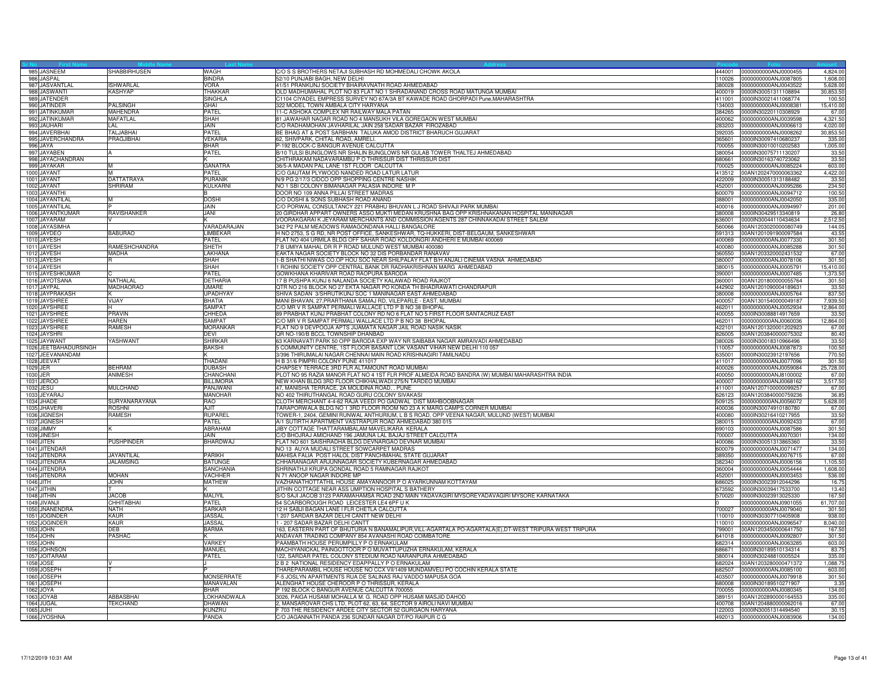|           | 985 JASNEEM                           | SHABBIRHUSEN       | WAGH                            | C/O S S BROTHERS NETAJI SUBHASH RD MOHMEDALI CHOWK AKOLA                                                                                                | 444001           | 0000000000ANJ0000455                         | 4,824.0            |
|-----------|---------------------------------------|--------------------|---------------------------------|---------------------------------------------------------------------------------------------------------------------------------------------------------|------------------|----------------------------------------------|--------------------|
|           | 986 JASPAL                            |                    | <b>BINDRA</b>                   | 52/10 PUNJABI BAGH, NEW DELHI                                                                                                                           | 110026           | 0000000000ANJ0087805                         | 1.608.0            |
|           | 987 JASVANTLAL                        | <b>ISHWARLAL</b>   | <b>VORA</b>                     | 41/51 PRANKUNJ SOCIETY BHAIRAVNATH ROAD AHMEDABAD                                                                                                       | 380028           | 0000000000ANJ0043522                         | 5,628.0            |
|           | 988 JASWANTI                          | KASHYAP            | THAKKAR                         | OLD MADHUMAHAL PLOT NO 83 FLAT NO 1 SHRADANAND CROSS ROAD MATUNGA MUMBAI                                                                                | 400019           | 0000IN30051311108894                         | 30,853.5           |
|           | 989 JATENDER                          |                    | <b>SINGHLA</b>                  | C1104 CIYADEL EMPRESS SURVEY NO 67A/3A BT KAWADE ROAD GHORPADI Pune, MAHARASHTRA                                                                        | 411001           | 0000IN30021411068774                         | 100.5              |
|           | 990 JATINDER                          | PALSINGH           | GHAI                            | 322 MODEL TOWN AMBALA CITY HARYANA                                                                                                                      | 134003           | 0000000000ANJ0008381                         | 15,410.0           |
|           | 991 JATINKUMAR                        | MAHENDRA           | PATEL                           | 11-C ASHOKA COMPLEX NR RAILWAY MALA PATAN                                                                                                               | 384265           | 0000IN30220110308929                         | 67.0               |
|           | 992 JATINKUMAR                        | <b>MAFATLAL</b>    | <b>SHAH</b>                     | 81 JAWAHAR NAGAR ROAD NO 4 MANSUKH VILA GOREGAON WEST MUMBAI                                                                                            | 400062           | 0000000000ANJ0039598                         | 4,321.5            |
|           | 993 JAUHARI                           | LAL                | JAIN                            | C/O RADHAMOHAN JAVHARILAL JAIN 258 SADAR BAZAR FIROZABAD                                                                                                | 283203           | 0000000000ANJ0006613                         | 4,020.0            |
|           | 994 JAVERBHAI                         | <b>TALJABHAI</b>   | PATEL                           | BE BHAG AT & POST SARBHAN TALUKA AMOD DISTRICT BHARUCH GUJARAT                                                                                          | 392035           | 000000000ANJ0008262                          | 30,853.5           |
|           | 995 JAVERCHANDRA                      | PRAGJIBHAI         | <b>VEKARIA</b>                  | 62, SHIVPARK, CHITAL ROAD, AMRELI.                                                                                                                      | 365601           | 0000IN30097410680237                         | 335.0              |
|           | 996 JAYA<br>997 JAYABEN               |                    | <b>BHAR</b>                     | P-192 BLOCK-C BANGUR AVENUE CALCUTTA<br>B/10 TULSI BUNGLOWS NR SHALIN BUNGLOWS NR GULAB TOWER THALTEJ AHMEDABAD                                         | 700055           | 0000IN30010010202583                         | 1,005.0            |
|           |                                       |                    | PATEL                           |                                                                                                                                                         | 380054           | 0000IN30075711130207                         | 33.5               |
|           | 998 JAYACHANDRAN<br>999 JAYAKAR       |                    | <b>GANATRA</b>                  | CHITHRAKAM NADAVARAMBU P O THRISSUR DIST THRISSUR DIST<br>36/5-A MADAN PAL LANE 1ST FLOOR CALCUTTA                                                      | 680661<br>700025 | 0000IN30163740723062<br>0000000000ANJ0085224 | 33.5<br>603.0      |
|           | 1000 JAYANT                           |                    | PATEL                           | C/O GAUTAM PLYWOOD NANDED ROAD LATUR LATUR                                                                                                              | 413512           | 00AN1202470000063362                         | 4,422.0            |
|           | 1001 JAYANT                           | <b>DATTATRAYA</b>  | <b>PURANIK</b>                  | N/9 PG 2/17/3 CIDCO OPP SHOPPING CENTRE NASHIK                                                                                                          | 422009           | 0000IN30051313188482                         | 33.5               |
|           | 1002 JAYANT                           | SHRIRAM            | KULKARNI                        | NO 1 SBI COLONY BIMANAGAR PALASIA INDORE M P                                                                                                            | 452001           | 0000000000ANJ0095286                         | 234.5              |
|           | 1003 JAYANTHI                         |                    |                                 | DOOR NO 109 ANNA PILLAI STREET MADRAS                                                                                                                   | 600079           | 0000000000ANJ0094712                         | 100.50             |
|           | 1004 JAYANTILAL                       |                    | <b>DOSHI</b>                    | C/O DOSHI & SONS SUBHASH ROAD ANAND                                                                                                                     | 388001           | 0000000000ANJ0042050                         | 335.0              |
|           | 1005 JAYANTILAI                       |                    | JAIN                            | C/O PORWAL CONSULTANCY 221 PRABHU BHUVAN L J ROAD SHIVAJI PARK MUMBAI                                                                                   | 400016           | 0000000000ANJ0094997                         | 201.0              |
|           | 1006 JAYANTKUMAR                      | <b>RAVISHANKER</b> | JANI                            | 20 GIRDHAR APPART OWNERS ASSO MUKTI MEDAN KRUSHNA BAG OPP KRISHNAKANAN HOSPITAL MANINAGAR                                                               | 380008           | 0000IN30429513340819                         | 26.8               |
|           | 1007 JAYARAM                          |                    |                                 | VOORAKGARAI K JEYARAM MERCHANTS AND COMMISSION AGENTS 287 CHINNAKADAI STREET SALEM                                                                      | 636001           | 0000IN30044110434634                         | 2,512.5            |
|           | 1008 JAYASIMHA                        |                    | VARADARAJAN                     | 342 P2 PALM MEADOWS RAMAGONDANA HALLI BANGALORE                                                                                                         | 560066           | 00AN1203020000080749                         | 144.0              |
|           | 1009 JAYDEO                           | <b>BABURAO</b>     | LIMBEKAR                        | HNO 2753, S G RD, NR POST OFFICE, SANKESHWAR, TQ-HUKKERI, DIST-BELGAUM, SANKESHWAR                                                                      | 591313           | 00AN1201091900097584                         | 43.5               |
|           | 1010 JAYESH                           |                    | PATEL                           | FLAT NO 404 URMILA BLDG OFF SAHAR ROAD KOLDONGRI ANDHERI E MUMBAI 400069                                                                                | 400069           | 0000000000ANJ0077330                         | 301.5              |
|           | 1011 JAYESH                           | RAMESHCHANDRA      | <b>SHETH</b>                    | 7 B UMIYA MAHAL DR R P ROAD MULUND WEST MUMBAI 400080                                                                                                   | 400080           | 0000000000ANJ0085288                         | 301.50             |
|           | 1012 JAYESH                           | <b>MADHA</b>       | LAKHANA                         | EAKTA NAGAR SOCIETY BLOCK NO 32 DIS PORBANDAR RANAVAV                                                                                                   | 360550           | 00AN1203320002431532                         | 67.0               |
|           | 1013 JAYESH                           | R                  | SHAH                            | I-B SHATHI NIWAS CO.OP HOU SOC NEAR SHILPALAY FLAT B/H ANJALI CINEMA VASNA AHMEDABAD                                                                    | 380007           | 0000000000ANJ0078106                         | 301.5              |
|           | 1014 JAYESH                           |                    | SHAH                            | ROHINI SOCIETY OPP CENTRAL BANK DR RADHAKRISHNAN MARG AHMEDABAD                                                                                         | 380015           | 0000000000ANJ0005791                         | 15,410.0           |
|           | 1015 JAYESHKUMAR                      |                    | PATEL                           | GOWKHANA KHARIVAR ROAD RAOPURA BARODA                                                                                                                   | 390001           | 0000000000ANJ0007485                         | 1,373.5            |
|           | 1016 JAYOTSANA                        | <b>NATHALAI</b>    | <b>DETHARIA</b>                 | 17 B PUSHPA KUNJ 6 NALANDA SOCIETY KALAWAD ROAD RAJKOT                                                                                                  | 360001           | 00AN1201800000055764                         | 301.5              |
|           | 1017 JAYPAL                           | MADHAORAO          | UMARE                           | QTR NO 216 BLOCK NO 27 EKTA NAGAR PO KONDA TH BHADRAWATI CHANDRAPUR                                                                                     | 442902           | 00AN1201090004189631                         | 33.5               |
|           | 1018 JAYPRAKASH                       |                    | <b>UPADHYAY</b>                 | SHIVA SADAN 3/SHRUTIKUNJ SOC 1 MANINAGAR EAST AHMEDABAD                                                                                                 | 380008           | 0000000000ANJ0005764                         | 837.50             |
|           | 1019 JAYSHREE                         | VIJAY              | <b>BHATIA</b>                   | MANI BHAVAN, 27, PRARTHANA SAMAJ RD, VILEPARLE - EAST, MUMBAI                                                                                           | 400057           | 00AN1301540000049187                         | 7,939.5            |
|           | 1020 JAYSHREE                         |                    | <b>SAMPAT</b>                   | C/O MR V R SAMPAT PERMALI WALLACE LTD P B NO 38 BHOPAL                                                                                                  | 462011           | 0000000000ANJ0052934                         | 12,864.0           |
|           | 1021 JAYSHREE                         | PRAVIN             | CHHEDA                          | 89 PRABHAT KUNJ PRABHAT COLONY RD NO 6 FLAT NO 5 FIRST FLOOR SANTACRUZ EAST                                                                             | 400055           | 0000IN30088814917659                         | 33.5               |
|           | 1022 JAYSHREE                         | <b>HAREN</b>       | <b>SAMPAT</b>                   | C/O MR V R SAMPAT PERMALI WALLACE LTD P B NO 38 BHOPAL                                                                                                  | 462011           | 0000000000ANJ0060036                         | 12,864.0           |
|           | 1023 JAYSHREE                         | <b>RAMESH</b>      | <b>MORANKAR</b>                 | FLAT NO 9 DEVPOOJA APTS JIJAMATA NAGAR JAIL ROAD NASIK NASIK                                                                                            | 422101           | 00AN1201320001202923                         | 67.0               |
|           | 1024 JAYSHRI                          |                    | DEVI                            | QR NO-190/B BCCL TOWNSHIP DHANBAD                                                                                                                       | 826005           | 00AN1203840000075302                         | 80.4               |
|           | 1025 JAYWANT<br>1026 JEETBAHADURSINGH | YASHWANT           | <b>SHIRKAR</b><br><b>BAKSHI</b> | 63 KARNAVATI PARK 50 OPP BARODA EXP WAY NR SAIBABA NAGAR AMRAIVADI AHMEDABAD<br>5 COMMUNITY CENTRE, 1ST FLOOR BASANT LOK VASANT VIHAR NEW DELHI 110 057 | 380026<br>110057 | 0000IN30018310966496<br>0000000000ANJ0087873 | 33.5<br>100.5      |
|           |                                       |                    |                                 |                                                                                                                                                         | 635001           | 0000lN30023912197656                         | 770.5              |
|           | 1027 JEEVANANDAM<br>1028 JEEVAT       |                    | THADANI                         | 3/396 THIRUMALAI NAGAR CHENNAI MAIN ROAD KRISHNAGIRI TAMILNADU                                                                                          | 411017           |                                              |                    |
| 1029 JER  |                                       | <b>BEHRAM</b>      | <b>DUBASH</b>                   | H B 31/6 PIMPRI COLONY PUNE 411017<br>CHAPSEY TERRACE 3RD FLR ALTAMOUNT ROAD MUMBAI                                                                     | 400026           | 0000000000ANJ0077096<br>0000000000ANJ0059084 | 301.50<br>25,728.0 |
| 1030 JER  |                                       | ANIMESH            | CHANCHANI                       | PLOT NO 95 RAZIA MANOR FLAT NO 4 1ST FLR PROF ALMEIDA ROAD BANDRA (W) MUMBAI MAHARASHTRA INDIA                                                          | 400050           | 0000000000ANJ8100002                         | 67.0               |
|           | 1031 JEROC                            |                    | <b>BILLIMORIA</b>               | NEW KHAN BLDG 3RD FLOOR CHIKHALWADI 275/N TARDEO MUMBAI                                                                                                 | 400007           | 0000000000ANJ0068162                         | 3,517.5            |
|           | 1032 JESU                             | <b>MULCHAND</b>    | PANJWANI                        | 47, MANISHA TERRACE, 2A MOLIDINA ROAD, . PUNE                                                                                                           | 411001           | 00AN1207100000099257                         | 67.00              |
|           | 1033 JEYARAJ                          |                    | <b>MANOHAR</b>                  | NO 402 THIRUTHANGAL ROAD GURU COLONY SIVAKAS                                                                                                            | 626123           | 00AN1203840000759236                         | 36.85              |
|           | 1034 JHADE                            | SURYANARAYANA      | RAO                             | CLOTH MERCHANT 4-4-62 RAJA VEEDI PO GADWAL DIST MAHBOOBNAGAR                                                                                            | 509125           | 0000000000ANJ0056072                         | 5,628.0            |
|           | 1035 JHAVER                           | <b>ROSHNI</b>      | AJIT                            | TARAPORWALA BLDG NO 1 3RD FLOOR ROOM NO 23 A K MARG CAMPS CORNER MUMBAI                                                                                 | 400036           | 0000lN30074910180780                         | 67.0               |
|           | 1036 JIGNESH                          | <b>RAMESH</b>      | <b>RUPAREL</b>                  | TOWER-1, 2404, GEMINI RUNWAL ANTHURIUM, L B S ROAD, OPP VEENA NAGAR, MULUND (WEST) MUMBAI                                                               | 400080           | 0000IN30216410217955                         | 33.5               |
|           | 1037 JIGNESH                          |                    | PATEL                           | A/1 SUTIRTH APARTMENT VASTRAPUR ROAD AHMEDABAD 380 015                                                                                                  |                  | 380015 0000000000ANJ0092433                  | 67.00              |
|           | 1038 JIMMY                            |                    | <b>ABRAHAM</b>                  | JIBY COTTAGE THATTARAMBALAM MAVELIKARA KERALA                                                                                                           | 690103           | 0000000000AN.J0087586                        | 301.50             |
|           | 1039 JINESH                           |                    | JAIN                            | C/O BHOJRAJ AMICHAND 196 JAMUNA LAL BAJAJ STREET CALCUTTA                                                                                               | 700007           | 0000000000ANJ0070301                         | 134.0              |
|           | 1040 JITEN                            | <b>PUSHPINDER</b>  | BHARDWAJ                        | FLAT NO 601 SAISHRADHA BLDG DEVNARGAO DEVNAR MUMBAI                                                                                                     | 400086           | 0000lN30051313865360                         | 33.5               |
|           | 1041 JITENDAR                         |                    |                                 | NO 13 AUYA MUDALI STREET SOWCARPET MADRAS                                                                                                               | 600079           | 0000000000ANJ0071477                         | 134.0              |
|           | 1042 JITENDRA                         | JAYANTILAL         | PARIKH                          | MAHISA FALIA POST HALOL DIST PANCHMAHAL STATE GUJARAT                                                                                                   | 389350           | 0000000000ANJ0076715                         | 67.00              |
|           | 1043 JITENDRA                         | <b>JALAMSING</b>   | <b>BATUNGE</b>                  | CHHARANAGAR ARJUNNAGAR SOCIETY KUBERNAGAR AHMEDABAD                                                                                                     | 382340           | 0000000000AN.J0006156                        | 1,105.50           |
|           | 1044 JITENDRA                         |                    | SANCHANIA                       | SHRINATHJI KRUPA GONDAL ROAD 5 RAMNAGAR RAJKOT                                                                                                          | 360004           | 0000000000ANJ0054444                         | 1,608.0            |
|           | 1045 JITENDRA                         | <b>MOHAN</b>       | <b>VACHHER</b>                  | N 71 ANOOP NAGAR INDORE MP                                                                                                                              | 452001           | 0000000000ANJ0003453                         | 536.0              |
| 1046 JITH |                                       | <b>JOHN</b>        | <b>MATHEW</b>                   | VAZHANATHOTTATHIL HOUSE AMAYANNOOR P O AYARKUNNAM KOTTAYAM                                                                                              | 686025           | 0000IN30023912044296                         | 16.7               |
|           | 1047 JITHIN<br>1048 JITHIN            | <b>JACOB</b>       | MALIYIL                         | JITHIN COTTAGE NEAR ASS UMPTION HOSPITAL S BATHERY                                                                                                      | 673592<br>570020 | 0000IN30039417533700<br>0000IN30023913025330 | 13.4<br>167.5      |
|           |                                       | <b>СННІТАВНА</b>   | PATEL                           | S/O SAJI JACOB 3123 PARAMAHAMSA ROAD 2ND MAIN YADAVAGIRI MYSOREYADAVAGIRI MYSORE KARNATAKA                                                              |                  |                                              |                    |
|           | 1049 JIVANJI<br>1050 JNANENDRA        | <b>NATH</b>        | <b>SARKAR</b>                   | 54 SCARBOROUGH ROAD LEICESTER LE4 6PF U K<br>12 H SABJI BAGAN LANE I FLR CHETLA CALCUTTA                                                                | 700027           | 0000000000ANJ0901055<br>0000000000ANJ0079040 | 61,707.0           |
|           | 1051 JOGINDER                         | KAUR               | <b>JASSAL</b>                   | 1 207 SARDAR BAZAR DELHI CANTT NEW DELHI                                                                                                                | 110010           | 0000IN30307710405908                         | 301.5<br>938.0     |
|           | 1052 JOGINDER                         | <b>KAUR</b>        | <b>JASSAL</b>                   | 1 - 207 SADAR BAZAR DELHI CANTT                                                                                                                         | 110010           | 0000000000ANJ0096547                         | 8,040.0            |
|           | 1053 JOHN                             | <b>DFB</b>         | <b>BARMA</b>                    | 163, EASTERN PART OF BHUTURIA N BANAMALIPUR,VILL-AGARTALA PO-AGARTALA(E),DT-WEST TRIPURA WEST TRIPURA                                                   | 799001           | 00AN1203450000641750                         | 167.5              |
|           | 1054 JOHN                             | PASHAC             |                                 | ANDAVAR TRADING COMPANY 854 AVANASHI ROAD COIMBATORE                                                                                                    | 641018           | 0000000000ANJ0092807                         | 301.5              |
|           | 1055 JOHN                             |                    | VARKEY                          | PAAMBATH HOUSE PERUMPILLY P O ERNAKULAM                                                                                                                 | 682314           | 0000000000ANJ0063285                         | 603.0              |
|           | 1056 JOHNSON                          |                    | MANUEL                          | MACHIYANICKAL PAINGOTTOOR P O MUVATTUPUZHA ERNAKULAM, KERALA                                                                                            | 686671           | 0000lN30189510134314                         | 83.7               |
|           | 1057 JOITARAM                         |                    | PATEL                           | 122, SARDAR PATEL COLONY STEDIUM ROAD NARANPURA AHMEDABAD                                                                                               | 380014           | 0000lN30248810005524                         | 335.0              |
|           | 1058 JOSE                             |                    |                                 | 2 B 2 NATIONAL RESIDENCY EDAPPALLY P O ERNAKULAM                                                                                                        | 682024           | 00AN1203280000471372                         | 1,088.7            |
|           | 1059 JOSEPH                           |                    |                                 | THAREPARAMBIL HOUSE HOUSE NO CCX VII/1409 MUNDAMVELI PO COCHIN KERALA STATE                                                                             | 682507           | 0000000000ANJ0085100                         | 603.0              |
|           | 1060 JOSEPH                           |                    | <b>MONSERRATE</b>               | F-5 JOSLYN APARTMENTS RUA DE SALINAS RAJ VADDO MAPUSA GOA                                                                                               | 403507           | 0000000000ANJ0079918                         | 301.5              |
|           | 1061 JOSEPH                           |                    | MANAVALAN                       | ALENGHAT HOUSE CHEROOR P O THRISSUR, KERALA                                                                                                             | 680008           | 0000lN30189510271907                         | 3.3                |
|           | 1062 JOYA                             |                    | <b>BHAR</b>                     | P 192 BLOCK C BANGUR AVENUE CALCUTTA 700055                                                                                                             | 700055           | 0000000000ANJ0080345                         | 134.00             |
|           | 1063 JOYAB                            | ABBASBHAI          | LOKHANDWALA                     | 3026, PAIGA HUSAMI MOHALLA M. G. ROAD OPP HUSAMI MASJID DAHOD                                                                                           | 389151           | 00AN1202890000164553                         | 335.00             |
|           | 1064 JUGAL                            | TEKCHAND           | <b>DHAWAN</b>                   | 2, MANSAROVAR CHS LTD, PLOT 62, 63, 64, SECTOR 9 AIROLI NAVI MUMBAI                                                                                     | 400708           | 00AN1204880000062016                         | 67.00              |
| 1065 JUHI |                                       |                    | <b>KUNZRL</b>                   | F 703 THE RESIDENCY ARDEE CITY SECTOR 52 GURGAON HARYANA                                                                                                |                  | 122003 0000IN30051314494540                  | 30.1               |
|           | 1066 JYOSHNA                          |                    | PANDA                           | C/O JAGANNATH PANDA 236 SUNDAR NAGAR DT/PO RAIPUR C G                                                                                                   |                  | 492013 0000000000ANJ0083906                  | 134.00             |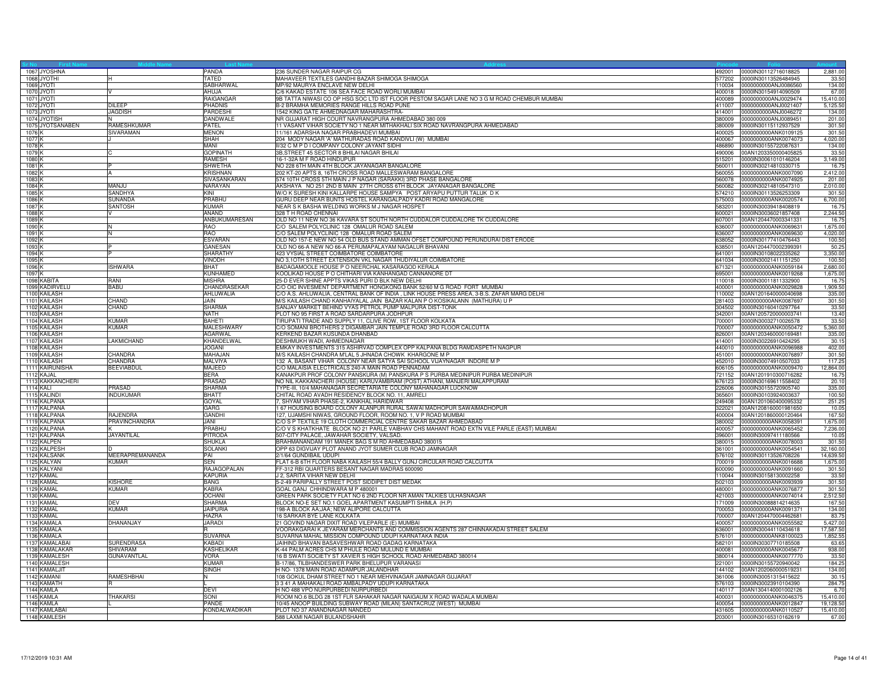|                   | 1067 JYOSHNA     |                    | PANDA                       | 236 SUNDER NAGAR RAIPUR CG                                                                       | 492001 | 0000lN30112716018825        | 2,881.0   |
|-------------------|------------------|--------------------|-----------------------------|--------------------------------------------------------------------------------------------------|--------|-----------------------------|-----------|
|                   | 1068 JYOTHI      |                    | <b>TATED</b>                | MAHAVEER TEXTILES GANDHI BAZAR SHIMOGA SHIMOGA                                                   | 577202 | 0000IN30113526484945        | 33.5      |
|                   | 1069 JYOTI       |                    | SABHARWAL                   | MP/92 MAURYA ENCLAVE NEW DELHI                                                                   | 110034 | 0000000000ANJ0086560        | 134.0     |
|                   | 1070 JYOTI       |                    | AHUJA                       | C/6 KAKAD ESTATE 106 SEA FACE ROAD WORLI MUMBAI                                                  | 400018 | 0000IN30154914090509        | 67.00     |
|                   | 1071 JYOTI       |                    | <b>RAIGANGAR</b>            | 9B TATTA NIWASI CO OP HSG SOC LTD IST FLOOR PESTOM SAGAR LANE NO 3 G M ROAD CHEMBUR MUMBAI       | 400089 | 0000000000ANJ0029474        | 15,410.0  |
|                   | 1072 JYOTI       | DILEEP             | <b>PHADNIS</b>              | B-2 BRAMHA MEMORIES RANGE HILLS ROAD PUNE                                                        | 411007 | 0000000000ANJ0021407        | 5,125.5   |
|                   | 1073 JYOTI       | <b>JAGDISH</b>     | PARDESHI                    | 1542 KING GATE AHMEDNAGAR MAHARASHTRA-                                                           | 414001 | 0000000000ANJ0046272        | 134.0     |
|                   | 1074 JYOTISH     |                    | <b>DANDWALE</b>             | NR GUJARAT HIGH COURT NAVRANGPURA AHMEDABAD 380 009                                              | 380009 | 0000000000ANJ0089451        | 201.0     |
|                   | 1075 JYOTSANABEN | RAMESHKUMAR        | PATEL                       | 11 VASANT VIHAR SOCIETY NO 1 NEAR MITHAKHALI SIX ROAD NAVRANGPURA AHMEDABAD                      | 380009 | 0000IN30115112937529        | 301.50    |
| 1076 K            |                  | SIVARAMAN          | <b>MENON</b>                | 1/161 ADARSHA NAGAR PRABHADEVI MUMBAI                                                            | 400025 | 0000000000ANK0109125        | 301.5     |
| 1077 K            |                  |                    | <b>SHAH</b>                 | 204 MODY NAGAR 'A' MATHURADAS ROAD KANDIVLI (W) MUMBAI                                           | 400067 | 0000000000ANK0074073        | 4,020.0   |
| 1078 K            |                  |                    | <b>MANI</b>                 | II/32 C M P D I COMPANY COLONY JAYANT SIDHI                                                      |        |                             | 134.00    |
|                   |                  |                    |                             |                                                                                                  | 486890 | 0000IN30155722087631        |           |
| 1079 K            |                  |                    | <b>GOPINATH</b>             | 3B, STREET 45 SECTOR 8 BHILAI NAGAR BHILAI                                                       | 490006 | 00AN1203350000405825        | 33.5      |
| 1080 K            |                  |                    | <b>RAMESH</b>               | 16-1-32A M F ROAD HINDUPUR                                                                       | 515201 | 0000IN30061010146204        | 3,149.00  |
| 1081 <sup>k</sup> |                  |                    | SHWETHA                     | NO 228 6TH MAIN 4TH BLOCK JAYANAGAR BANGALORE                                                    | 560011 | 0000lN30214810330715        | 16.7      |
| 1082K             |                  |                    | <b>KRISHNAN</b>             | 202 KT-20 APTS 8, 16TH CROSS ROAD MALLESWARAM BANGALORE                                          | 560055 | 0000000000ANK0007090        | 2,412.0   |
| 1083 K            |                  |                    | SIVASANKARAN                | 574 10TH CROSS 5TH MAIN J P NAGAR (SARAKKI) 3RD PHASE BANGALORE                                  | 560078 | 0000000000ANK0074925        | 201.0     |
| 1084 <sub>K</sub> |                  | MANJU              | NARAYAN                     | AKSHAYA NO 251 2ND B MAIN 27TH CROSS 6TH BLOCK JAYANAGAR BANGALORE                               | 560082 | 0000lN30214810547310        | 2,010.0   |
| 1085 K            |                  | SANDHYA            | KINI                        | W/O K SURESH KINI KALLARPE HOUSE SAMPYA POST ARYAPU PUTTUR TALUK D K                             | 574210 | 0000lN30113526253309        | 301.50    |
| 1086 K            |                  | SUNANDA            | PRABHU                      | GURU DEEP NEAR BUNTS HOSTEL KARANGALPADY KADRI ROAD MANGALORE                                    | 575003 | 0000000000ANK0020574        | 6,700.0   |
| 1087K             |                  | <b>SANTOSH</b>     | <b>KUMAR</b>                | NEAR S K BASHA WELDING WORKS M J NAGAR HOSPET                                                    | 583201 | 0000IN30039418408819        | 16.7      |
| 1088 K            |                  |                    | <b>ANAND</b>                | 328 T H ROAD CHENNAI                                                                             | 600021 | 0000IN30036021857408        | 2,244.5   |
| 1089 <sub>K</sub> |                  |                    | ANBUKUMARESAN               | OLD NO 11 NEW NO 36 KAVARA ST SOUTH NORTH CUDDALOR CUDDALORE TK CUDDALORE                        |        | 607001 00AN1204470003341331 | 16.7      |
| 1090 K            |                  |                    | <b>RAO</b>                  | C/O SALEM POLYCLINIC 128 OMALUR ROAD SALEM                                                       | 636007 | 0000000000ANK0069631        | 1,675.0   |
| 1091              |                  |                    | RAO                         | C/O SALEM POLYCLINIC 128 OMALUR ROAD SALEM                                                       | 336007 | 0000000000ANK0069630        | 4,020.0   |
| 1092K             |                  |                    | <b>ESVARAN</b>              | OLD NO 157-E NEW NO 54 OLD BUS STAND AMMAN OFSET COMPOUND PERUNDURAI DIST ERODE                  | 638052 | 0000lN30177410476443        | 100.50    |
| 1093 K            |                  |                    | <b>GANESAN</b>              | OLD NO 66-A NEW NO 66-A PERUMAPALAYAM NAGALUR BHAVANI                                            | 638501 | 00AN1204470002399391        | 50.2      |
| 1094 K            |                  |                    | <b>SHARATHY</b>             | 423 VYSIAL STREET COIMBATORE COIMBATORE                                                          | 641001 | 0000IN30108022335262        | 3,350.0   |
| 1095 <sub>K</sub> |                  |                    | <b>VINODH</b>               | NO 3,10TH STREET EXTENSION VKL NAGAR THUDIYALUR COIMBATORE                                       | 641034 | 0000IN30021411151250        | 100.50    |
| 1096 K            |                  | <b>ISHWARA</b>     | <b>BHAT</b>                 | BADAGAMOOLE HOUSE P O NEERCHAL KASARAGOD KERALA                                                  | 671321 | 0000000000ANK0059184        | 2,680.0   |
| 1097 K            |                  |                    | <b>KUNHAMED</b>             | KOOLIKAD HOUSE P O CHITHARI VIA KANHANGAD CANNANORE DT                                           | 695001 | 0000000000ANK0019268        | 1,675.0   |
|                   | 1098 KABITA      | RANI               | <b>MISHRA</b>               | 25-D EVER SHINE APPTS VIKAS PURI D BLK NEW DELHI                                                 | 110018 | 0000lN30011811332900        | 16.7      |
|                   |                  |                    | CHANDRASEKAR                | C/O OIC INVESMENT DEPARTMENT HONGKONG BANK 52/60 M G ROAD FORT MUMBAI                            |        |                             |           |
|                   | 1099 KADIRVELU   | <b>BABU</b>        |                             |                                                                                                  |        | 400001 0000000000ANK0029828 | 1,909.5   |
|                   | 1100 KAILASH     |                    | <b>AHLUWALIA</b>            | C/O A.S. AHLUWALIA, CENTRAL BANK OF INDIA , LINK HOUSE PRESS AREA, 3-B.S. ZAFAR MARG DELHI       | 110002 | 00AN1201640000040698        | 335.00    |
|                   | 1101 KAILASH     | <b>CHAND</b>       | <b>MIAL</b>                 | M/S KAILASH CHAND KANHAIYALAL JAIN BAZAR KALAN P O KOSIKALANN (MATHURA) U P                      | 281403 | 0000000000ANK0087697        | 301.5     |
|                   | 1102 KAILASH     | CHAND              | <b>SHARMA</b>               | SANJAY MARKET BEHIND VYAS PETROL PUMP MALPURA DIST-TONK                                          | 304502 | 0000lN30160410297764        | 33.5      |
|                   | 1103 KAILASH     |                    | <b>NATH</b>                 | PLOT NO 95 FIRST A ROAD SARDARPURA JODHPUR                                                       | 342001 | 00AN1205720000003741        | 13.40     |
|                   | 1104 KAILASH     | KUMAR              | <b>BAHFTI</b>               | TIRUPATI TRADE AND SUPPLY 11, CLIVE ROW, 1ST FLOOR KOLKATA                                       | 700001 | 0000lN30032710026578        | 33.50     |
|                   | 1105 KAILASH     | <b>KUMAR</b>       | <b>MALESHWARY</b>           | C/O SOMANI BROTHERS 2 DIGAMBAR JAIN TEMPLE ROAD 3RD FLOOR CALCUTTA                               | 700007 | 0000000000ANK0050472        | 5,360.00  |
|                   | 1106 KAILASH     |                    | <b>AGARWAL</b>              | KERKEND BAZAR KUSUNDA DHANBAD                                                                    | 826001 | 00AN1203460000169481        | 335.0     |
|                   | 1107 KAILASH     | LAKMICHAND         | KHANDELWAL                  | DESHMUKH WADI, AHMEDNAGAR                                                                        | 414001 | 0000lN30226910424295        | 30.1      |
|                   | 1108 KAILASH     |                    | <b>JOGANI</b>               | EMKAY INVESTMENTS 315 ASHIRVAD COMPLEX OPP KALPANA BLDG RAMDASPETH NAGPUR                        | 440010 | 0000000000ANK0096988        | 402.0     |
|                   | 1109 KAILASH     | CHANDRA            | MAHAJAN                     | M/S KAILASH CHANDRA M'LAL 5 JHNADA CHOWK KHARGONE M P                                            | 451001 | 0000000000ANK0076897        | 301.50    |
|                   | 1110 KAILASH     | CHANDRA            | <b>MALVIYA</b>              | 132 A. BASANT VIHAR COLONY NEAR SATYA SAI SCHOOL VIJAYNAGAR INDORE M P                           | 452010 | 0000IN30074910507033        | 117.2     |
|                   | 1111 KAIRUNISHA  | <b>BEEVIABDUL</b>  | MAJEED                      | C/O MALAISIA ELECTRICALS 240-A MAIN ROAD PENNADAM                                                | 606105 | 0000000000ANK0009470        | 12,864.0  |
|                   | 1112 KAJAL       |                    | <b>BERA</b>                 | KANAKPUR PROF COLONY PANSKURA (M) PANSKURA P S PURBA MEDINIPUR PURBA MEDINIPUR                   | 721152 | 00AN1201910300716282        | 16.7      |
|                   | 1113 KAKKANCHERI |                    | PRASAD                      | NO NIL KAKKANCHERI (HOUSE) KARUVAMBRAM (POST) ATHANI, MANJERI MALAPPURAM                         | 676123 | 0000lN30169611558402        | 20.1      |
|                   | 1114 KALI        | PRASAD             | <b>SHARMA</b>               | TYPE-III, 10/4 MAHANAGAR SECRETARIATE COLONY MAHANAGAR LUCKNOW                                   | 226006 | 0000lN30155720905740        | 335.00    |
|                   | 1115 KALIND      | <b>INDUKUMAR</b>   | <b>BHATT</b>                | CHITAL ROAD AVADH RESIDENCY BLOCK NO. 11, AMRELI                                                 | 365601 | 0000IN30103924003637        | 100.50    |
|                   | 1116 KALPANA     |                    | GOYAL                       | 7, SHYAM VIHAR PHASE-2, KANKHAL HARIDWAR                                                         | 249408 | 00AN1201060400095332        | 251.2     |
|                   | 1117 KALPANA     |                    | GARG                        | 1 67 HOUSING BOARD COLONY ALANPUR RURAL SAWAI MADHOPUR SAWAIMADHOPUR                             | 322021 | 00AN1208160001981650        | 10.0      |
|                   | 1118 KALPANA     | <b>RAJENDRA</b>    | <b>GANDHI</b>               | 127, UJAMSHI NIWAS, GROUND FLOOR, ROOM NO. 1, V P ROAD MUMBAI                                    | 400004 | 00AN1201860000120464        | 167.5     |
|                   | 1119 KALPANA     | PRAVINCHANDRA      | JANI                        | C/O S P TEXTILE 19 CLOTH COMMERCIAL CENTRE SAKAR BAZAR AHMEDABAD                                 | 380002 | 0000000000ANK0058391        | 1,675.0   |
|                   | 1120 KALPANA     |                    | PRABHU                      | C/O V S KHATKHATE BLOCK NO 21 PARLE VAIBHAV CHS MAHANT ROAD EXTN VILE PARLE (EAST) MUMBAI        | 400057 | 0000000000ANK0065452        | 7,236.0   |
|                   | 1121 KALPANA     | JAYANTILAL         | <b>PITRODA</b>              | 507-CITY PALACE, JAWAHAR SOCIETY, VALSAD.                                                        | 396001 | 0000IN30097411180566        | 10.0      |
|                   | 1122 KALPEN      |                    | <b>SHUKLA</b>               | BRAHMANANDAM 191 MANEK BAG S M RD AHMEDABAD 380015                                               | 380015 | 0000000000ANK0078003        | 301.5     |
|                   |                  |                    | <b>SOLANKI</b>              | OPP 63 DIGVIJAY PLOT ANAND JYOT SUMER CLUB ROAD JAMNAGAR                                         | 361001 | 0000000000ANK0054541        |           |
|                   | 1123 KALPESH     | MEERAPREMANANDA    | PAI                         |                                                                                                  |        |                             | 32,160.0  |
|                   | 1124 KALSANK     |                    |                             | 2/1/64 GUNDIBAIL UDUPI<br>FLAT 6-B 6TH FLOOR NABA KAILASH 55/4 BALLY GUNJ CIRCULAR ROAD CALCUTTA | 576102 | 0000lN30113526708226        | 14,639.5  |
|                   | 1125 KALYAN      | <b>KUMAR</b>       | <b>SEN</b>                  |                                                                                                  | 700019 | 0000000000ANK0016688        | 1,675.0   |
|                   | 1126 KALYANI     |                    | RAJAGOPALAN                 | FF-312 RBI QUARTERS BESANT NAGAR MADRAS 600090                                                   | 600090 | 0000000000ANK0091660        | 301.5     |
|                   | 1127 KAMAL       |                    | <b>KAPURIA</b>              | J 2, SARITA VIHAR NEW DELHI                                                                      | 110044 | 0000IN30158130002258        | 33.5      |
|                   | 1128 KAMAL       | <b>KISHORE</b>     | <b>BANG</b><br><b>KARRA</b> | 5-2-49 PARIPALLY STREET POST SIDDIPET DIST MEDAK                                                 | 502103 | 0000000000ANK0093939        | 301.50    |
|                   | 1129 KAMAL       | <b>KUMAR</b>       |                             | GOAL GANJ CHHINDWARA M P 480001                                                                  | 480001 | 0000000000ANK0076877        | 301.50    |
|                   | 1130 KAMAL       |                    | <b>OCHANI</b>               | GREEN PARK SOCIETY FLAT NO 6 2ND FLOOR NR AMAN TALKIES ULHASNAGAR                                | 421003 | 0000000000ANK0074014        | 2,512.5   |
|                   | 1131 KAMAL       | <b>DEV</b>         | <b>SHARMA</b>               | BLOCK NO-E SET NO.1 GOEL APARTMENT KASUMPTI SHIMLA (H.P)                                         | 171009 | 0000lN30088814214635        | 167.5     |
|                   | 1132 KAMAL       | <b>KUMAR</b>       | <b>JAIPURIA</b>             | 198-A BLOCK AA:JAA: NEW ALIPORE CALCUTTA                                                         | 700053 | 0000000000ANK0091371        | 134.0     |
|                   | 1133 KAMAL       |                    | <b>HAZRA</b>                | 16 SARKAR BYE LANE KOLKATA                                                                       | 700007 | 00AN1204470004462681        | 83.7      |
|                   | 1134 KAMALA      | DHANANJAY          | <b>JARADI</b>               | 21 GOVIND NAGAR DIXIT ROAD VILEPARLE (E) MUMBAI                                                  | 400057 | 0000000000ANK0055582        | 5,427.0   |
|                   | 1135 KAMALA      |                    |                             | /OORAKGARAI K JEYARAM MERCHANTS AND COMMISSION AGENTS 287 CHINNAKADAI STREET SALEM               | 636001 | 0000lN30044110434618        | 17,587.5  |
|                   | 1136 KAMALA      |                    | <b>SUVARNA</b>              | SUVARNA MAHAL MISSION COMPOUND UDUPI KARNATAKA INDIA                                             | 576101 | 0000000000ANK8100023        | 1,852.5   |
|                   | 1137 KAMALABAI   | <b>SURENDRASA</b>  | <b>KABADI</b>               | JAIHIND BHAVAN BASAVESHWAR ROAD GADAG KARNATAKA                                                  | 582101 | 0000lN30307710185508        | 63.6      |
|                   | 1138 KAMALAKAR   | SHIVARAM           | <b>KASHELIKAR</b>           | K-44 PALM ACRES CHS M PHULE ROAD MULUND E MUMBAI                                                 | 400081 | 0000000000ANK0045677        | 938.0     |
|                   | 1139 KAMALESH    | <b>GUNAVANTLAL</b> | <b>VORA</b>                 | 16 B SWATI SOCIETY ST XAVIER S HIGH SCHOOL ROAD AHMEDABAD 380014                                 | 380014 | 0000000000ANK0077770        | 33.5      |
|                   | 1140 KAMALESH    |                    | KUMAF                       | B-17/86, TILBHANDESWER PARK BHELUPUR VARANASI                                                    | 221001 | 0000lN30155720940042        | 184.2     |
|                   | 1141 KAMALJIT    |                    | SINGH                       | H NO-1378 MAIN ROAD ADAMPUR JALANDHAR                                                            | 144102 | 00AN1202060000519231        | 134.0     |
|                   | 1142 KAMANI      | RAMESHBHAI         | N                           | 108 GOKUL DHAM STREET NO 1 NEAR MEHVINAGAR JAMNAGAR GUJARAT                                      | 361006 | 0000lN30051315415622        | 30.1      |
|                   | 1143 KAMATH      |                    |                             | 3341 A MAHAKALI ROAD AMBALPADY UDUPI KARNATAKA                                                   | 576103 | 0000lN30023910104390        | 284.7     |
|                   | 1144 KAMLA       |                    | DEVI                        | H NO 488 VPO NURPURBEDI NURPURBEDI                                                               | 140117 | 00AN1304140001002126        | 6.7       |
|                   | 1145 KAMLA       | <b>THAKARSI</b>    | SONI                        | ROOM NO.6 BLDG 28 1ST FLR SAHAKAR NAGAR NAIGAUM X ROAD WADALA MUMBAI                             | 400031 | 0000000000ANK0046375        | 15,410.0  |
|                   | 1146 KAMLA       |                    | <b>PANDE</b>                | 10/45 ANOOP BUILDING SUBWAY ROAD (MILAN) SANTACRUZ (WEST) MUMBAI                                 | 400054 | 0000000000ANK0012847        | 19,128.5  |
|                   | 1147 KAMLABAI    |                    | KONDALWADIKAR               | PLOT NO 37 ANANDNAGAR NANDED                                                                     |        | 431605 0000000000ANK0110527 | 15,410.00 |
|                   | 1148 KAMLESH     |                    |                             | 588 LAXMI NAGAR BULANDSHAHR                                                                      |        | 203001 0000lN30165310162619 | 67.00     |
|                   |                  |                    |                             |                                                                                                  |        |                             |           |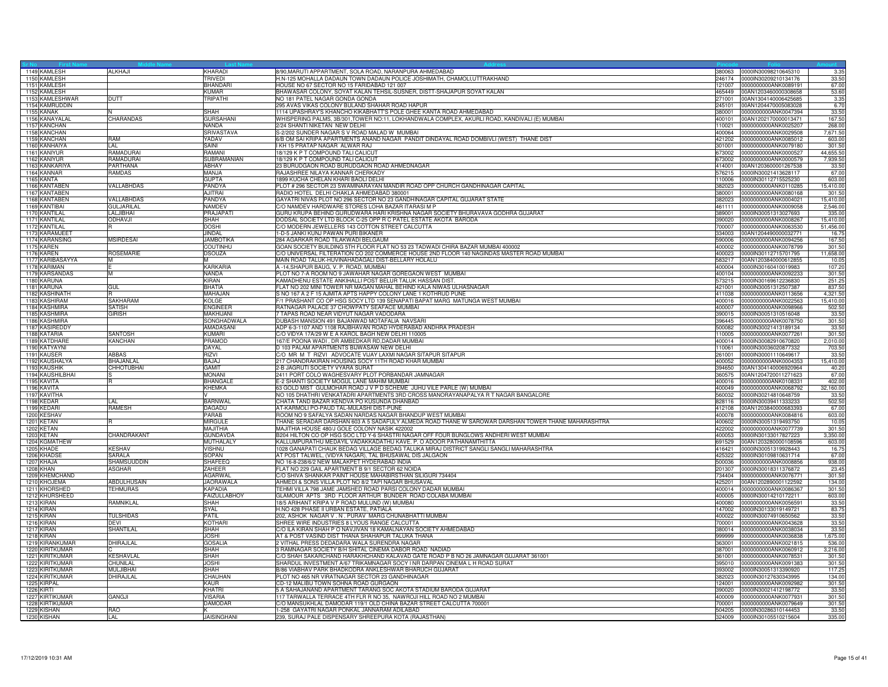| 1149 KAMLESH                 | <b>ALKHAJI</b>        | KHARADI             | 3/90, MARUTI APPARTMENT, SOLA ROAD, NARANPURA AHMEDABAD                                                                                                             | 380063           | 0000IN30098210645310                         | 3.3            |
|------------------------------|-----------------------|---------------------|---------------------------------------------------------------------------------------------------------------------------------------------------------------------|------------------|----------------------------------------------|----------------|
| 1150 KAMLESH                 |                       | TRIVEDI             | H.N-125 MOHALLA DADAUN TOWN DADAUN POLICE JOSHIMATH, CHAMOLI, UTTRAKHAND                                                                                            |                  | 246174 0000IN30209210134176                  | 33.50          |
| 1151 KAMLESH                 |                       | <b>BHANDAR</b>      | HOUSE NO 67 SECTOR NO 15 FARIDABAD 121 007                                                                                                                          |                  | 121007 0000000000ANK0089191                  | 67.00          |
| 1152 KAMLESH                 |                       | <b>KUMAR</b>        | BHAWASAR COLONY, SOYAT KALAN TEHSIL-SUSNER, DISTT-SHAJAPUR SOYAT KALAN                                                                                              |                  | 465449  00AN1203460000308658                 | 53.60          |
| 1153 KAMLESHWAR              | DUTT                  | <b>TRIPATHI</b>     | NO 181 PATEL NAGAR GONDA GONDA                                                                                                                                      | 271001           | 00AN1304140006425685                         | 3.35           |
| 1154 KAMRUDDIN               |                       |                     | 295 AVAS VIKAS COLONY BULAND SHAHAR ROAD HAPUR                                                                                                                      | 245101           | 00AN1204470005083028                         | 6.70           |
|                              |                       | SHAH                |                                                                                                                                                                     | 380001           |                                              | 33.50          |
| 1155 KANAK<br>1156 KANAYALAI | CHARANDAS             | <b>GURSAHANI</b>    | 1114 UPASHRAY'S KHANCHO KIKABHATT'S POLE GHEE KANTA ROAD AHMEDABAD<br>WHISPERING PALMS, 3B/301, TOWER NO:11, LOKHANDWALA COMPLEX, AKURLI ROAD, KANDIVALI (E) MUMBAI | 400101           | 0000000000ANK0047394<br>00AN1202170000013471 | 167.50         |
|                              |                       |                     |                                                                                                                                                                     |                  |                                              |                |
| 1157 KANCHAN                 |                       | NANDA               | 2/24 SHANTI NIKETAN NEW DELHI                                                                                                                                       | 110021           | 0000000000ANK0025207                         | 268.00         |
| 1158 KANCHAN                 |                       | <b>SRIVASTAVA</b>   | S-2/202 SUNDER NAGAR S V ROAD MALAD W MUMBAI                                                                                                                        | 400064           | 0000000000ANK0029508                         | 7,671.50       |
| 1159 KANCHAN                 | RAM                   | YADAV               | 6/B OM SAI KRIPA APARTMENTS ANAND NAGAR PANDIT DINDAYAL ROAD DOMBIVLI (WEST) THANE DIST                                                                             | 421202           | 0000000000ANK0085012                         | 603.00         |
| 1160 KANHAIYA                | I AI                  | SAINI               | KH 15 PRATAP NAGAR ALWAR RAJ                                                                                                                                        | 301001           | 0000000000ANK0079180                         | 301.50         |
| 1161 KANIYUR                 | RAMADURAI             | RAMANI              | 18/129 K P T COMPOUND TALI CALICUT                                                                                                                                  | 673002           | 0000000000ANK0000527                         | 44,655.50      |
| 1162 KANIYUR                 | RAMADURAI             | SUBRAMANIAN         | 18/129 K P T COMPOUND TALI CALICUT                                                                                                                                  |                  | 673002 0000000000ANK0000579                  | 7,939.5        |
| 1163 KANKARIYA               | PARTHANA              | ABHAY               | 23 BURUDGAON ROAD BURUDGAON ROAD AHMEDNAGAR                                                                                                                         | 414001           | 00AN1203600001267538                         | 33.50          |
| 1164 KANNAR                  | RAMDAS                | MANJA               | RAJASHREE NILAYA KANNAR CHERKADY                                                                                                                                    | 576215           | 0000lN30021413628117                         | 67.00          |
| 1165 KANTA                   |                       | <b>GUPTA</b>        | 1899 KUCHA CHELAN KHARI BAOLI DELHI                                                                                                                                 | 110006           | 0000lN30112715525230                         | 603.00         |
| 1166 KANTABEN                | VALLABHDAS            | PANDYA              | PLOT # 296 SECTOR 23 SWAMINARAYAN MANDIR ROAD OPP CHURCH GANDHINAGAR CAPITAL                                                                                        | 382023           | 0000000000ANK0110285                         | 15,410.00      |
| 1167 KANTABEN                |                       | <b>AJITRAI</b>      | RADIO HOTEL DELHI CHAKLA AHMEDABAD 380001                                                                                                                           | 380001           | 0000000000ANK0080168                         | 301.50         |
| 1168 KANTABEN                | VALLABHDAS            | PANDYA              |                                                                                                                                                                     | 382023           | 0000000000ANK0004021                         |                |
|                              |                       |                     | GAYATRI NIVAS PLOT NO 296 SECTOR NO 23 GANDHINAGAR CAPITAL GUJARAT STATE                                                                                            |                  |                                              | 15,410.00      |
| 1169 KANTIBAI                | <b>GULJARILAL</b>     | NAMDEV              | C/O NAMDEV HARDWARE STORES LOHA BAZAR ITARASI M P                                                                                                                   | 461111           | 0000000000ANK0009058                         | 2,546.00       |
| 1170 KANTILAL                | LALJIBHAI             | PRAJAPATI           | GURU KRUPA BEHIND GURUDWARA HARI KRISHNA NAGAR SOCIETY BHURAVAVA GODHRA GUJARAT                                                                                     | 389001           | 0000lN30051313027693                         | 335.0          |
| 1171 KANTILAL                | <b>ODHAVJI</b>        | <b>SHAH</b>         | DODSAL SOCIETY LTD BLOCK C-25 OPP R C PATEL ESTATE AKOTA BARODA                                                                                                     | 390020           | 0000000000ANK0008267                         | 15,410.0       |
| 1172 KANTILAL                |                       | <b>DOSHI</b>        | C/O MODERN JEWELLERS 143 COTTON STREET CALCUTTA                                                                                                                     | 700007           | 0000000000ANK0063530                         | 51,456.00      |
| 1173 KARAMJEET               |                       | JINDAL              | -D-5 JANKI KUNJ PAWAN PURI BIKANER                                                                                                                                  | 334003           | 00AN1204490000032771                         | 16.7           |
| 1174 KARANSING               | <b>MSIRDESAI</b>      | <b>JAMBOTIKA</b>    | 284 AGARKAR ROAD TILAKWADI BELGAUM                                                                                                                                  | 590006           | 0000000000ANK0094256                         | 167.50         |
| 1175 KAREN                   |                       | <b>COUTINHU</b>     | GOAN SOCIETY BUILDING 5TH FLOOR FLAT NO 53 23 TADWADI CHIRA BAZAR MUMBAI 400002                                                                                     | 400002           | 0000000000ANK0078799                         | 301.50         |
| 1176 KAREN                   | <b>ROSEMARIE</b>      | <b>DSOUZA</b>       | C/O UNIVERSAL FILTERATION CO 202 COMMERCE HOUSE 2ND FLOOR 140 NAGINDAS MASTER ROAD MUMBAI                                                                           | 400023           | 0000lN30112715701795                         | 11,658.00      |
| 1177 KARIBASAYYA             | M                     | м                   | MAIN ROAD TALUK-HUVINAHADAGALI DIST-BELLARY HOLALU                                                                                                                  | 583217           | 00AN1203840000612855                         | 10.0           |
| 1178 KARIMAN                 |                       | <b>KARKARIA</b>     | A -14, SHAPUR BAUG, V. P. ROAD, MUMBAI                                                                                                                              | 400004           | 0000lN30160410019983                         | 107.20         |
| 1179 KARSANDAS               | M                     | <b>NANDA</b>        | PLOT NO 7-A ROOM NO 9 JAWAHAR NAGAR GOREGAON WEST MUMBAI                                                                                                            |                  | 400104 0000000000ANK0092233                  | 301.50         |
| 1180 KARUNA                  |                       | KIRAN               | KAMADHENU ESTATE ANKIHALLI POST BELUR TALUK HASSAN DIST.                                                                                                            |                  | 573215 0000lN30169612236830                  | 251.2          |
|                              |                       |                     |                                                                                                                                                                     |                  |                                              |                |
| 1181 KARUNA                  | GUL                   | BHATIA              | FLAT NO 202 MINI TOWER NR MAGAN MAHAL BEHIND KALA NIWAS ULHASNAGAR                                                                                                  |                  | 421001 0000lN30051312507387                  | 837.50         |
| 1182 KASHINATH               |                       | MAHAJAN             | S NO 167 A 2 F 15 AJMITA APTS HAPPY COLONY LANE 1 KOTHRUD PUNE                                                                                                      | 411038           | 0000000000ANK0113656                         | 4,321.5        |
| 1183 KASHIRAM                | SAKHARAM              | KOLGE               | 71 PRASHANT CO OP HSG SOCY LTD 139 SENAPATI BAPAT MARG MATUNGA WEST MUMBAI                                                                                          | 400016           | 0000000000ANK0022563                         | 15,410.00      |
| 1184 KASHMIRA                | <b>SATISH</b>         | <b>ENGINEER</b>     | RATNAGAR PALACE 37 CHOWPATY SEAFACE MUMBAI                                                                                                                          | 400007           | 0000000000ANK0098966                         | 502.50         |
| 1185 KASHMIRA                | <b>GIRISH</b>         | <b>MAKHIJANI</b>    | 7 TAPAS ROAD NEAR VIDYUT NAGAR VADODARA                                                                                                                             | 390015           | 0000IN30051310516048                         | 33.50          |
| 1186 KASHMIRA                |                       | SONGHADWALA         | DUBASH MANSION 491 BAJANWAD MOTAFALIA NAVSARI                                                                                                                       | 396445           | 0000000000ANK0078750                         | 301.50         |
| 1187 KASIREDDY               |                       | <b>AMADASANI</b>    | ADP 6-3-1107 AND 1108 RAJBHAVAN ROAD HYDERABAD ANDHRA PRADESH                                                                                                       | 500082           | 0000lN30021413189134                         | 33.50          |
| 1188 KATARIA                 | SANTOSH               | KUMARI              | C/O VIDYA 17A/29 W E A KAROL BAGH NEW DELHI 110005                                                                                                                  | 110005           | 0000000000ANK0077261                         | 301.50         |
| 1189 KATDHARE                | KANCHAN               | PRAMOD              | 167/E POONA WADI, DR AMBEDKAR RD, DADAR MUMBAI                                                                                                                      | 400014           | 0000lN30082910670820                         | 2,010.0        |
| 1190 KATYAYNI                |                       | <b>DAYAL</b>        | D 103 PALAM APARTMENTS BIJWASAW NEW DELHI                                                                                                                           |                  | 110061 0000lN30036020877332                  | 703.50         |
| 1191 KAUSER                  | ABBAS                 | RIZVI               | C/O MR M T RIZVI ADVOCATE VIJAY LAXMI NAGAR SITAPUR SITAPUR                                                                                                         |                  | 261001 0000lN30001110649617                  | 33.5           |
| 1192 KAUSHALYA               | <b>BHAJANLAL</b>      | BAJAJ               | 217 CHANDRAKIRAN HOUSING SOCY 11TH ROAD KHAR MUMBAI                                                                                                                 | 400052           | 0000000000ANK0004353                         | 15,410.00      |
|                              | <b>CHHOTUBHAI</b>     | GAMIT               |                                                                                                                                                                     | 394650           |                                              |                |
| 1193 KAUSHIK                 |                       |                     | 2-B JAGRUTI SOCIETY VYARA SURAT                                                                                                                                     |                  | 00AN1304140006920964                         | 40.2           |
| 1194 KAUSHILBHAI             |                       | <b>MONANI</b>       | 2411 PORT COLO WAGHESVARY PLOT PORBANDAR JAMNAGAR                                                                                                                   | 360575           | 00AN1204720011271623                         | 67.0           |
| 1195 KAVITA                  |                       | <b>BHANGALE</b>     | E-2 SHANTI SOCIETY MOGUL LANE MAHIM MUMBAI                                                                                                                          | 400016           | 0000000000ANK0108331                         | 402.0          |
| 1196 KAVITA                  |                       | KHEMKA              | 63 GOLD MIST GULMOHAR ROAD J V P D SCHEME JUHU VILE PARLE (W) MUMBAI                                                                                                |                  | 400049 0000000000ANK0068792                  | 32,160.00      |
| 1197 KAVITHA                 |                       |                     | NO 105 DHATHRI VENKATADRI APARTMENTS 3RD CROSS MANORAYANAPALYA R T NAGAR BANGALORE                                                                                  | 560032           | 0000IN30214810648759                         | 33.50          |
| 1198 KEDAR                   | LAL                   | <b>BARNWAL</b>      | CHATA TAND BAZAR KENDVA PO KUSUNDA DHANBAD                                                                                                                          | 828116           | 0000lN30039411333233                         | 502.5          |
| 1199 KEDARI                  | RAMESH                | <b>DAGADU</b>       | AT-KARMOLI PO-PAUD TAL-MULASHI DIST-PUNE                                                                                                                            | 412108           | 00AN1203840000683393                         | 67.0           |
| 1200 KESHAV                  |                       | PARAB               | ROOM NO 9 SAFALYA SADAN NARDAS NAGAR BHANDUP WEST MUMBAI                                                                                                            |                  | 400078 0000000000ANK0084816                  | 603.0          |
| 1201 KETAN                   |                       | <b>MIRGULE</b>      | THANE SERADAR DARSHAN 603 A 5 SADAFULY ALMEDA ROAD THANE W SAROWAR DARSHAN TOWER THANE MAHARASHTRA                                                                  |                  | 400602 0000lN30051319493750                  | 10.05          |
| 1202 KETAN                   |                       | <b>MAJITHIA</b>     | MAJITHIA HOUSE 480/J GOLE COLONY NASIK 422002                                                                                                                       | 422002           | 0000000000ANK0077739                         | 301.50         |
| 1203 KETAN                   | CHANDRAKANT           | <b>GUNDAVDA</b>     | B204 HILTON CO OP HSG SOC LTD Y-6 SHASTRI NAGAR OFF FOUR BUNGLOWS ANDHERI WEST MUMBAI                                                                               | 400053           | 0000lN30133017827223                         | 3,350.0        |
| 1204 KGMATHEW                |                       | MUTHALALY           | KALLUMPURATHU MEDAYIL VADAKKADATHU KAVE. P. O ADOOR PATHANAMTHITTA                                                                                                  | 691529           | 00AN1203280000108596                         | 603.00         |
| 1205 KHADE                   | KESHAV                | <b>VISHNU</b>       | 1028 GANAPATI CHAUK BEDAG VILLAGE BEDAG TALUKA MIRAJ DISTRICT SANGLI SANGLI MAHARASHTRA                                                                             | 416421           | 0000lN30051319928443                         | 16.7           |
|                              |                       | SOPAN               | AT POST TALWEL, (VIDYA NAGAR), TAL BHUSAWAL DIS JALGAON                                                                                                             |                  |                                              |                |
| 1206 KHADSE<br>1207 KHAJA    | SARALA<br>SHAMSUUDDIN | <b>SHAFEEQ</b>      | NO 16-8-238/6/2 NEW MALAKPET HYDERABAD INDIA                                                                                                                        | 425322<br>500036 | 0000lN30109810631714<br>0000000000ANK0008856 | 67.0<br>938.00 |
|                              |                       |                     |                                                                                                                                                                     |                  |                                              |                |
| <b>1208 KHAN</b>             | <b>ASGHAR</b>         | ZAHEER              | FLAT NO 229 GAIL APARTMENT B 9/1 SECTOR 62 NOIDA                                                                                                                    | 201307           | 0000lN30018311376872                         | 23.45          |
| 1209 KHEMCHAND               |                       | <b>AGARWAL</b>      | C/O SHIVA SHANKAR PAINT HOUSE MAHABIRSTHAN SILIGURI 734404                                                                                                          |                  | 734404 0000000000ANK0076771                  | 301.50         |
| 1210 KHOJEMA                 | ABDULHUSAIN           | <b>JAORAWALA</b>    | AHMEDI & SONS VILLA PLOT NO 8/2 TAPI NAGAR BHUSAVAL                                                                                                                 | 425201           | 00AN1202890001122592                         | 134.0          |
| 1211 KHORSHED                | TEHMURAS              | <b>KAPADIA</b>      | TEHMI VILLA 798 JAME JAMSHED ROAD PARSI COLONY DADAR MUMBAI                                                                                                         | 400014           | 0000000000ANK0086367                         | 301.5          |
| 1212 KHURSHEED               |                       | <b>FAIZULLABHOY</b> | GLAMOUR APTS 3RD FLOOR ARTHUR BUNDER ROAD COLABA MUMBAI                                                                                                             | 400005           | 0000lN30014210172211                         | 603.0          |
| 1213 KIRAN                   | RAMNIKLAL             | SHAH                | 18/5 ARIHANT KRIPA V P ROAD MULUND (W) MUMBAI                                                                                                                       | 400080           | 0000000000ANK0056591                         | 33.5           |
| 1214 KIRAN                   |                       | <b>SYAL</b>         | H.NO 428 PHASE II URBAN ESTATE, PATIALA                                                                                                                             | 147002           | 0000IN30133019149721                         | 83.7           |
| 1215 KIRAN                   | <b>TULSHIDAS</b>      | PATIL               | 202, ASHOK NAGAR V. N. PURAV MARG CHUNABHATTI MUMBAI                                                                                                                | 400022           | 0000IN30074910650562                         | 33.50          |
| <b>1216 KIRAN</b>            | DEVI                  | KOTHARI             | SHREE WIRE INDUSTRIES 8 LYOUS RANGE CALCUTTA                                                                                                                        | 700001           | 0000000000ANK0043628                         | 33.50          |
| 1217 KIRAN                   | SHANTILAL             | SHAH                | C/O ILA KIRAN SHAH P O NAVJIVAN 18 KAMALNAYAN SOCIETY AHMEDABAD                                                                                                     | 380014           | 0000000000ANK0038034                         | 33.5           |
| 1218 KIRAN                   |                       | <b>JOSHI</b>        | AT & POST VASIND DIST THANA SHAHAPUR TALUKA THANA                                                                                                                   | 999999           | 0000000000ANK0036838                         | 1,675.00       |
| 1219 KIRANKUMAR              | DHIRAJLAL             | <b>GOSALIA</b>      | 2 VITHAL PRESS DEDADARA WALA SURENDRA NAGAR                                                                                                                         | 363001           | 0000000000ANK0021815                         | 536.00         |
| 1220 KIRITKUMAR              |                       | <b>SHAH</b>         | 3 RAMNAGAR SOCIETY B/H SHITAL CINEMA DABOR ROAD NADIAD                                                                                                              | 387001           | 0000000000ANK0060912                         | 3,216.0        |
| 1221 KIRITKUMAR              | <b>KESHAVLAL</b>      | SHAH                | C/O SHAH SAKARCHAND HARAKHCHAND KALAVAD GATE ROAD P B NO 26 JAMNAGAR GUJARAT 361001                                                                                 | 361001           | 0000000000ANK0078531                         |                |
|                              |                       |                     |                                                                                                                                                                     |                  |                                              | 301.50         |
| 1222 KIRITKUMAR              | CHUNILAL              | JOSHI               | SHARDUL INVESTMENT A/67 TRIKAMNAGAR SOCY I NR DARPAN CINEMA L H ROAD SURAT                                                                                          | 395010           | 0000000000ANK0091383                         | 301.5          |
| 1223 KIRITKUMAR              | MULJIBHAI             | SHAH                | B/86 VIABHAV PARK BHADKODRA ANKLESHWAR BHARUCH GUJARAT                                                                                                              | 393002           | 0000IN30051313390920                         | 117.2          |
| 1224 KIRITKUMAR              | DHIRAJLAL             | CHAUHAN             | PLOT NO 465 NR VIRATNAGAR SECTOR 23 GANDHINAGAR                                                                                                                     | 382023           | 0000lN30127630343995                         | 134.0          |
| 1225 KIRPAL                  |                       | KAUR                | CD-12 MALIBU TOWN SOHNA ROAD GURGAON                                                                                                                                | 124001           | 0000000000ANK0092982                         | 301.50         |
| <b>1226 KIRTI</b>            |                       | KHATRI              | 5 A SAHAJANAND APARTMENT TARANG SOC AKOTA STADIUM BARODA GUJARAT                                                                                                    | 390020           | 0000IN30021412198772                         | 33.50          |
| 1227 KIRTIKUMAR              | GANGJI                | <b>VISARIA</b>      | 117 TARWALLA TERRACE 4TH FLR R NO 35, NAWROJI HILL ROAD NO 2 MUMBAI                                                                                                 | 400009           | 0000000000ANK0077931                         | 301.5          |
| 1228 KIRTIKUMAR              |                       | <b>DAMODAR</b>      | C/O MANSUKHLAL DAMODAR 119/1 OLD CHINA BAZAR STREET CALCUTTA 700001                                                                                                 | 700001           | 0000000000ANK0079649                         | 301.5          |
| 1229 KISHAN                  | <b>RAO</b>            |                     | 1-258 GAYATRI NAGAR PONKAL JANNARAM ADILABAD                                                                                                                        |                  | 504205 0000IN30286310144453                  | 33.50          |
| 1230 KISHAN                  | LAL                   | <b>JAISINGHANI</b>  | 239, SURAJ PALE DISPENSARY SHREEPURA KOTA (RAJASTHAN)                                                                                                               |                  | 324009 0000IN30105510215604                  | 335.00         |
|                              |                       |                     |                                                                                                                                                                     |                  |                                              |                |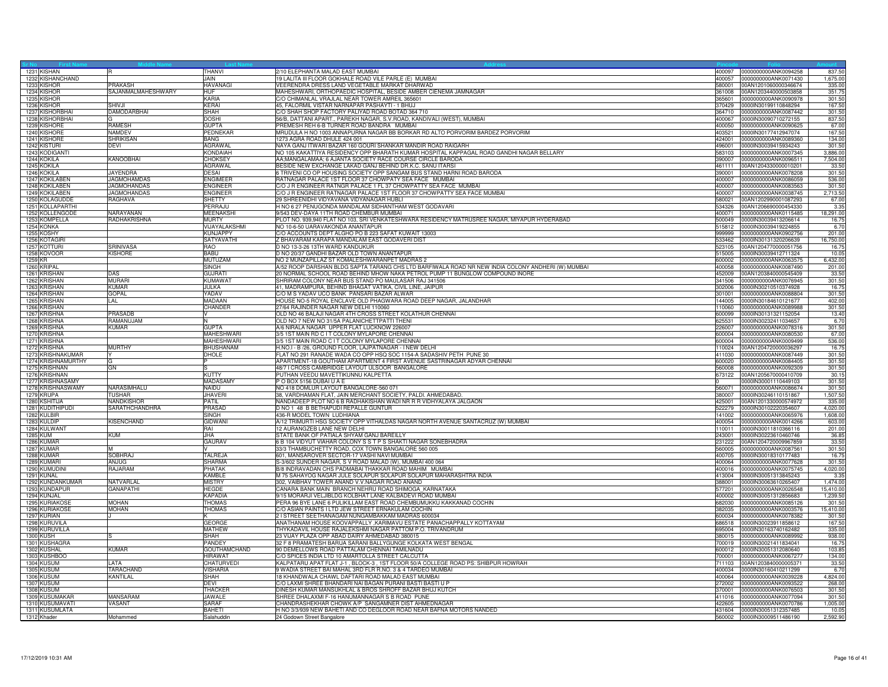| 1231 KISHAN                      |                               | THANVI                    | 2/10 ELEPHANTA MALAD EAST MUMBAI                                                                                    | 400097           | 0000000000ANK0094258                                | 837.50              |
|----------------------------------|-------------------------------|---------------------------|---------------------------------------------------------------------------------------------------------------------|------------------|-----------------------------------------------------|---------------------|
| 1232 KISHANCHAND                 |                               | JAIN                      | 19 LALITA III FLOOR GOKHALE ROAD VILE PARLE (E) MUMBAI                                                              | 400057           | 0000000000ANK0071430                                | 1,675.00            |
| 1233 KISHOR                      | <b>PRAKASH</b>                | <b>HAVANAGI</b>           | VEERENDRA DRESS LAND VEGETABLE MARKAT DHARWAD                                                                       | 580001           | 00AN1201060000346674                                | 335.00              |
| 1234 KISHOR                      | SAJANMALMAHESHWARY            | HUF<br>KARIA              | MAHESHWARI, ORTHOPAEDIC HOSPITAL, BESIDE AMBER CIENEMA JAMNAGAR                                                     | 361008           | 00AN1203440000503858                                | 351.7               |
| 1235 KISHOR<br>1236 KISHOR       | SHIVJI                        | KERAI                     | C/O CHIMANLAL VRAJLAL NEAR TOWER AMREIL 365601<br>45. FALORMIL VISTAR NARNAPAR PASHAYTI - 1 BHUJ                    | 370429           | 365601 0000000000ANK0090978<br>0000IN30199110848294 | 301.50<br>167.50    |
| 1237 KISHORBHAI                  | DAMODARBHAI                   | SHAH                      | C/O SHAH SHOP FACTORY PALIYAD ROAD BOTAD 364 710                                                                    | 364710           | 0000000000ANK0087442                                | 301.50              |
| 1238 KISHORBHAI                  |                               | <b>DOSHI</b>              | 56/B, DATTANI APART., PAREKH NAGAR, S.V.ROAD, KANDIVALI (WEST), MUMBAI                                              | 400067           | 0000IN30090710272155                                | 837.50              |
| 1239 KISHORE                     | RAMESH                        | <b>GUPTA</b>              | PREMESH REH 6-B TURNER ROAD BANDRA MUMBAI                                                                           | 400050           | 0000000000ANK0090625                                | 67.00               |
| 1240 KISHORE                     | NAMDEV                        | PEDNEKAR                  | MRUDULA H NO 1003 ANNAPURNA NAGAR BB BORKAR RD ALTO PORVORIM BARDEZ PORVORIM                                        | 403521           | 0000IN30177412947074                                | 167.50              |
| 1241 KISHORE                     | <b>SHRIKISAN</b>              | <b>BANG</b>               | 1273 AGRA ROAD DHULE 424 001                                                                                        | 424001           | 0000000000ANK0089360                                | 134.00              |
| 1242 KISTURI                     | DEVI                          | <b>AGRAWAL</b>            | NAYA GANJ ITWARI BAZAR 160 GOURI SHANKAR MANDIR ROAD RAIGARH                                                        | 496001           | 0000IN30039415934243                                | 301.50              |
| 1243 KODIGANTI                   |                               | <b>KONDAIAH</b>           | NO 105 KAKATTIYA RESIDENCY OPP BHARATH KUMAR HOSPITAL KAPPAGAL ROAD GANDHI NAGAR BELLARY                            |                  | 583103 0000000000ANK0007345                         | 3,886.00            |
| 1244 KOKILA                      | KANOOBHAI                     | CHOKSEY                   | AA;MANGALAMAA; 6 AJANTA SOCIETY RACE COURSE CIRCLE BARODA                                                           | 390007           | 0000000000ANK0096511                                | 7,504.00            |
| 1245 KOKILA                      |                               | AGRAWAL                   | BESIDE NEW EXCHANGE LAKAD GANJ BEHIND DR.K.C. SANU ITARSI                                                           | 461111           | 00AN1204330000010201                                | 33.50               |
| 1246 KOKILA                      | <b>JAYENDRA</b>               | DESAI                     | TRIVENI CO OP HOUSING SOCIETY OPP SANGAM BUS STAND HARNI ROAD BARODA                                                | 390001           | 0000000000ANK0078208                                | 301.50              |
| 1247 KOKILABEN                   | JAGMOHAMDAS                   | <b>ENGIMEER</b>           | RATNAGAR PALACE 1ST FLOOR 37 CHOWPATY SEA FACE MUMBAI                                                               | 400007           | 0000000000ANK0086059                                | 536.00              |
| 1248 KOKILABEN                   | <b>JAGMOHANDAS</b>            | <b>FNGINFFR</b>           | C/O J R ENGINEER RATNGR PALACE 1 FL 37 CHOWPATTY SEA FACE MUMBAI                                                    | 400007           | 0000000000ANK0083563                                | 301.50              |
| 1249 KOKILABEN<br>1250 KOLAGUDDE | <b>JAGMOHANDAS</b><br>RAGHAVA | <b>ENGINEER</b><br>SHETTY | C/O J R ENGINEER RATNAGAR PALACE 1ST FLOOR 37 CHOWPATTY SEA FACE MUMBAI<br>29 SHREENIDHI VIDYAVANA VIDYANAGAR HUBLI | 400007<br>580021 | 0000000000ANK0038745<br>00AN1202990001087293        | 2,713.50            |
| 1251 KOLLAPARTHI                 |                               | PERRAJU                   | H NO 6 27 PENUGONDA MANDALAM SIDHANTHAM WEST GODAVARI                                                               | 534326           | 00AN1206690000454330                                | 67.00<br>3.35       |
| 1252 KOLLENGODE                  | NARAYANAN                     | <b>MEENAKSHI</b>          | 9/543 DEV-DAYA 11TH ROAD CHEMBUR MUMBAI                                                                             | 400071           | 0000000000ANK0115485                                | 18,291.00           |
| 1253 KOMPELLA                    | RADHAKRISHNA                  | <b>MURTY</b>              | PLOT NO. 939.940 FLAT NO 103, SRI VENKATESHWARA RESIDENCY MATRUSREE NAGAR, MIYAPUR HYDERABAD                        |                  | 500049 0000IN30039413206614                         | 16.75               |
| 1254 KONKA                       |                               | VIJAYALAKSHMI             | NO 10-6-50 UARAVAKONDA ANANTAPUR                                                                                    |                  | 515812 0000IN30039419224855                         | 6.7                 |
| 1255 KOSHY                       |                               | <b>KUNJAPPY</b>           | C/O ACCOUNTS DEPT ALGHO PO B 223 SAFAT KUWAIT 13003                                                                 | 999999           | 0000000000ANK0902756                                | 201.00              |
| 1256 KOTAGIRI                    |                               | SATYAVATHI                | Z BHAVARAM KARAPA MANDALAM EAST GODAVERI DIST                                                                       | 533462           | 0000lN30131320206639                                | 16,750.0            |
| 1257 KOTTURI                     | SRINIVASA                     | <b>RAO</b>                | D NO 13-3-26 13TH WARD KANDUKUR                                                                                     | 523105           | 00AN1204770000051756                                | 16.7                |
| 1258 KOVOOR                      | <b>KISHORE</b>                | <b>BABU</b>               | D NO 20/37 GANDHI BAZAR OLD TOWN ANANTAPUR                                                                          | 515005           | 0000lN30039412711324                                | 10.05               |
| 1259 KR                          |                               | MUTUZAM                   | NO 2 MUNZAPILLAZ ST KOMALESHWARANPET MADRAS 2                                                                       |                  | 600002 0000000000ANK0063575                         | 6,432.00            |
| 1260 KRIPAI                      |                               | SINGH                     | A/52 ROOP DARSHAN BLDG SAPTA TARANG CHS LTD BARFIWALA ROAD NR NEW INDIA COLONY ANDHERI (W) MUMBAI                   | 400058           | 0000000000ANK0087490                                | 201.00              |
| 1261 KRISHAN                     | DAS                           | GUJRAT                    | 20 NORMAL SCHOOL ROAD BEHIND MHOW NAKA PETROL PUMP 11 BUNGLOW COMPOUND INORE                                        | 452009           | 00AN1203840000545409                                | 33.50               |
| 1262 KRISHAN                     | <b>MURAR</b>                  | <b>KUMAWAT</b>            | SHRIRAM COLONY NEAR BUS STAND PO MAULASAR RAJ 341506                                                                | 341506           | 0000000000ANK0076945                                | 301.50              |
| 1263 KRISHAN                     | <b>KUMAR</b>                  | JULKA                     | 41, MADRAMPURA, BEHIND BHAGAT VATIKA, CIVIL LINE, JAIPUR                                                            | 302006           | 0000lN30210510374928                                | 16.7                |
| 1264 KRISHAN<br>1265 KRISHAN     | <b>GOPAL</b>                  | YADAV<br><b>MADAAN</b>    | C/O M S YADAV UCO BANK PANSARI BAZAR ALWAR                                                                          | 301001<br>144005 | 0000000000ANK0088804<br>0000IN30184610121677        | 301.50<br>402.00    |
|                                  | LAL                           | CHANDER                   | HOUSE NO-5 ROYAL ENCLAVE OLD PHAGWARA ROAD DEEP NAGAR, JALANDHAR<br>27/64 RAJINDER NAGAR NEW DELHI 110060           | 110060           | 0000000000ANK0089988                                | 301.50              |
| 1266 KRISHAN<br>1267 KRISHNA     | PRASADB                       |                           | OLD NO 46 BALAJI NAGAR 4TH CROSS STREET KOLATHUR CHENNAI                                                            | 600099           | 0000lN30131321152054                                | 13.40               |
| 1268 KRISHNA                     | RAMANUJAM                     |                           | OLD NO 7 NEW NO 31/5A PALANICHETTPATTI THENI                                                                        | 625531           | 0000lN30232411034657                                | 6.7(                |
| 1269 KRISHNA                     | <b>KUMAR</b>                  | <b>GUPTA</b>              | A/6 NIRALA NAGAR UPPER FLAT LUCKNOW 226007                                                                          | 226007           | 0000000000ANK0078316                                | 301.50              |
| 1270 KRISHNA                     |                               | <b>MAHESHWARI</b>         | 3/5 1ST MAIN RD C I T COLONY MYLAPORE CHENNAI                                                                       | 600004           | 0000000000ANK0080530                                | 67.00               |
| 1271 KRISHNA                     |                               | MAHESHWARI                | 3/5 1ST MAIN ROAD C I T COLONY MYLAPORE CHENNAI                                                                     | 600004           | 0000000000ANK0009499                                | 536.00              |
| 1272 KRISHNA                     | <b>MURTHY</b>                 | <b>BHUSHANAM</b>          | H.NO.I - B /26, GROUND FLOOR, LAJPATNAGAR - I NEW DELHI                                                             |                  | 110024 00AN1204720000036297                         | 16.75               |
| 1273 KRISHNAKUMAR                |                               | DHOLE                     | FLAT NO 291 RANADE WADA CO OPP HSQ SOC 1154-A SADASHIV PETH PUNE 30                                                 | 411030           | 0000000000ANK0087449                                | 301.50              |
| 1274 KRISHNAMURTHY               |                               |                           | APARTMENT-18 GOUTHAM APARTMENT 4 FIRST AVENUE SASTRINAGAR ADYAR CHENNAI                                             |                  | 600020 0000000000ANK0084405                         | 301.50              |
| 1275 KRISHNAN                    | GN                            |                           | 48/7 I CROSS CAMBRIDGE LAYOUT ULSOOR BANGALORE                                                                      | 560008           | 0000000000ANK0092309                                | 301.50              |
| 1276 KRISHNAN                    |                               | KUTTY                     | PUTHAN VEEDU MAVETTIKUNNU KALPETTA                                                                                  | 673122           | 00AN1205670000410709                                | 30.15               |
| 1277 KRISHNASAMY                 |                               | <b>MADASAMY</b>           | POBOX 5156 DUBAIU A E                                                                                               | lo.              | 0000lN30001110449103                                | 301.50              |
| 1278 KRISHNASWAMY                | NARASIMHALU                   | <b>NAIDU</b>              | NO 418 DOMLUR LAYOUT BANGALORE-560 071                                                                              | 560071           | 0000000000ANK0086674                                | 301.50              |
| 1279 KRUPA                       | <b>TUSHAR</b>                 | <b>JHAVER</b>             | 38, VARDHAMAN FLAT, JAIN MERCHANT SOCIETY, PALDI. AHMEDABAD                                                         | 380007           | 0000lN30246110151867                                | 1,507.50            |
| 1280 KSHITIJA                    | NANDKISHOR                    | PATIL                     | NANDADEEP PLOT NO 6 B RADHAKISHAN WADI NR R R VIDHYALAYA JALGAON                                                    | 425001           | 00AN1201330000574972                                | 335.00              |
| 1281 KUDITHIPUDI<br>1282 KULBIR  | SARATHCHANDHRA                | PRASAD<br><b>SINGH</b>    | D NO 1 48 B BETHAPUDI REPALLE GUNTUR<br>436-R MODEL TOWN LUDHIANA                                                   | 522279<br>141002 | 0000lN30102220354607<br>0000000000ANK0065976        | 4,020.0<br>1,608.00 |
|                                  |                               |                           |                                                                                                                     |                  | 400054 0000000000ANK0014266                         |                     |
| 1283 KULDIP<br>1284 KULWANT      | KISENCHAND                    | <b>GIDWANI</b><br>RAI     | A/12 TRIMURTI HSG SOCIETY OPP VITHALDAS NAGAR NORTH AVENUE SANTACRUZ (W) MUMBAI<br>12 AURANGZEB LANE NEW DELHI      | 110011           | 0000lN30011810366116                                | 603.00              |
| 1285 KUM                         | KUM                           | JHA                       | STATE BANK OF PATIALA SHYAM GANJ BAREILLY                                                                           | 243001           | 0000lN30223610460746                                | 201.0<br>36.8       |
| 1286 KUMAR                       |                               | GAURAV                    | 6 B 104 VIDYUT VIAHAR COLONY S S T P S SHAKTI NAGAR SONEBHADRA                                                      | 231222           | 00AN1204720009967859                                | 33.50               |
| 1287 KUMAR                       | M                             |                           | 33/3 THAMBUCHETTY ROAD, COX TOWN BANGALORE 560 005                                                                  | 560005           | 0000000000ANK0087561                                | 301.50              |
| 1288 KUMAR                       | SOBHRAJ                       | TALREJA                   | 601, MANSAROVER SECTOR-17 VASHI NAVI MUMBAI                                                                         | 400705           | 0000lN30018310177483                                | 16.75               |
| 1289 KUMARI                      | ANJUG                         | <b>SHARMA</b>             | S-3/602 SUNDER NAGAR, S V ROAD MALAD (W), MUMBAI 400 064                                                            | 400064           | 0000000000ANK0077628                                | 301.5               |
| 1290 KUMUDINI                    | RAJARAM                       | PHATAK                    | B/8 INDRAVADAN CHS PADMABAI THAKKAR ROAD MAHIM MUMBA                                                                | 400016           | 0000000000ANK0075745                                | 4,020.00            |
| 1291 KUNAL                       |                               | <b>KAMBLE</b>             | M 75 SAHAYOG NAGAR JULE SOLAPUR SOLAPUR SOLAPUR MAHARASHTRA INDIA                                                   | 413004           | 0000lN30051313845243                                | 3.35                |
| 1292 KUNDANKUMAR                 | NATVARLAL                     | <b>MISTRY</b>             | 302, VAIBHAV TOWER ANAND V.V.NAGAR ROAD ANAND                                                                       | 388001           | 0000IN30063610265407                                | 1,474.0             |
| 1293 KUNDAPUR                    | GANAPATHI                     | HEGDE                     | CANARA BANK MAIN BRANCH NEHRU ROAD SHIMOGA_KARNATAKA                                                                | 577201           | 0000000000ANK0026548                                | 15,410.0            |
| 1294 KUNJAI                      |                               | <b>KAPADIA</b>            | 9/15 MORARJI VELJIBLDG KOLBHAT LANE KALBADEVI ROAD MUMBAI                                                           | 400002           | 0000IN30051312856683                                | 1,239.5             |
| 1295 KURIAKOSE                   | <b>MOHAN</b>                  | THOMAS                    | PERA 96 BYE LANE 6 PULIKILLAM EAST ROAD CHEMBUMUKKU KAKKANAD COCHIN                                                 | 682030           | 0000000000ANK0085126                                | 301.5               |
| 1296 KURIAKOSE                   | <b>MOHAN</b>                  | <b>THOMAS</b>             | C/O ASIAN PAINTS I LTD JEW STREET ERNAKULAM COCHIN<br>2 I STREET SEETHANAGAM NUNGAMBAKKAM MADRAS 600034             | 382035           | 0000000000ANK0003576                                | 15,410.0            |
| 1297 KURIAN<br>1298 KURUVILA     |                               | <b>GEORGE</b>             | ANATHANAM HOUSE KOOVAPPALLY , KARIMAVU ESTATE PANACHAPPALLY KOTTAYAM                                                | 600034           | 0000000000ANK0078382<br>686518 0000IN30023911858612 | 301.5<br>167.50     |
| 1299 KURUVILLA                   |                               | <b>MATHEW</b>             | THYKADAVIL HOUSE RAJALEKSHMI NAGAR PATTOM P.O. TRIVANDRUM                                                           | 695004           | 0000lN30163740162482                                | 335.00              |
| <b>1300 KUSH</b>                 |                               | SHAH                      | 23 VIJAY PLAZA OPP ABAD DAIRY AHMEDABAD 380015                                                                      | 380015           | 0000000000ANK0089992                                | 938.0               |
| 1301 KUSHAGRA                    |                               | PANDEY                    | 32 F 8 PRAMATESH BARUA SARANI BALLYGUNGE KOLKATA WEST BENGAL                                                        | 700019           | 0000lN30021411834041                                | 16.75               |
| 1302 KUSHAL                      | KUMAR                         | <b>GOUTHAMCHAND</b>       | 90 DEMELLOWS ROAD PATTALAM CHENNAI TAMILNADU                                                                        | 600012           | 0000lN30051312080640                                | 103.8               |
| 1303 KUSHBOO                     |                               | HIRAWAT                   | C/O SPICES INDIA LTD 10 AMARTOLLA STREET CALCUTTA                                                                   |                  | 700001 0000000000ANK0067277                         | 134.0               |
| 1304 KUSUM                       | ATA                           | CHATURVEDI                | KALPATARU APAT FLAT J-1, BLOCK-3, 1ST FLOOR 50/A COLLEGE ROAD PS: SHIBPUR HOWRAH                                    | 711103           | 00AN1203840000005371                                | 33.5                |
| 1305 KUSUM                       | TARACHAND                     | VISHARIA                  | 9 WADIA STREET BAI MAHAL 3RD FLR R.NO. 3 & 4 TARDEO MUMBAI                                                          | 400034           | 0000lN30160410211299                                | 6.7(                |
| 1306 KUSUM                       | <b>KANTILAL</b>               | SHAH                      | 18 KHANDWALA CHAWL DAFTARI ROAD MALAD EAST MUMBAI                                                                   | 400064           | 0000000000ANK0039228                                | 4,824.00            |
| 1307 KUSUM                       |                               | DEVI                      | C/O LAXMI SHREE BHANDARI NAI BAGAN PURANI BASTI BASTI U P                                                           | 272002           | 0000000000ANK0093522                                | 268.0               |
| 1308 KUSUM                       |                               | THACKEF                   | DINESH KUMAR MANSUKHLAL & BROS SHROFF BAZAR BHUJ KUTCH                                                              | 370001           | 0000000000ANK0076503                                | 301.50              |
| 1309 KUSUMAKAR                   | <b>MANSARAM</b>               | <b>JAWALE</b>             | SHREE DHALAXMI F-16 HANUMANNAGAR S B ROAD PUNE                                                                      | 411016           | 0000000000ANK0077094                                | 301.5               |
| 1310 KUSUMAVATI                  | VASANT                        | <b>SARAF</b>              | CHANDRASHEKHAR CHOWK A/P SANGAMNER DIST AHMEDNAGAR                                                                  |                  | 422605 0000000000ANK0070786                         | 1,005.0             |
| 1311 KUSUMLATA                   |                               | <b>BAHFT</b>              | H NO 3/3/939 NEW BAHETI AND CO DEGLOOR ROAD NEAR BAFNA MOTORS NANDED                                                |                  | 431604 0000lN30051312357485                         | 10.05               |
| 1312 Khader                      | Mohammed                      | Salahuddin                | 24 Godown Street Bangalore                                                                                          |                  | 560002 0000IN30009511486190                         | 2,592.90            |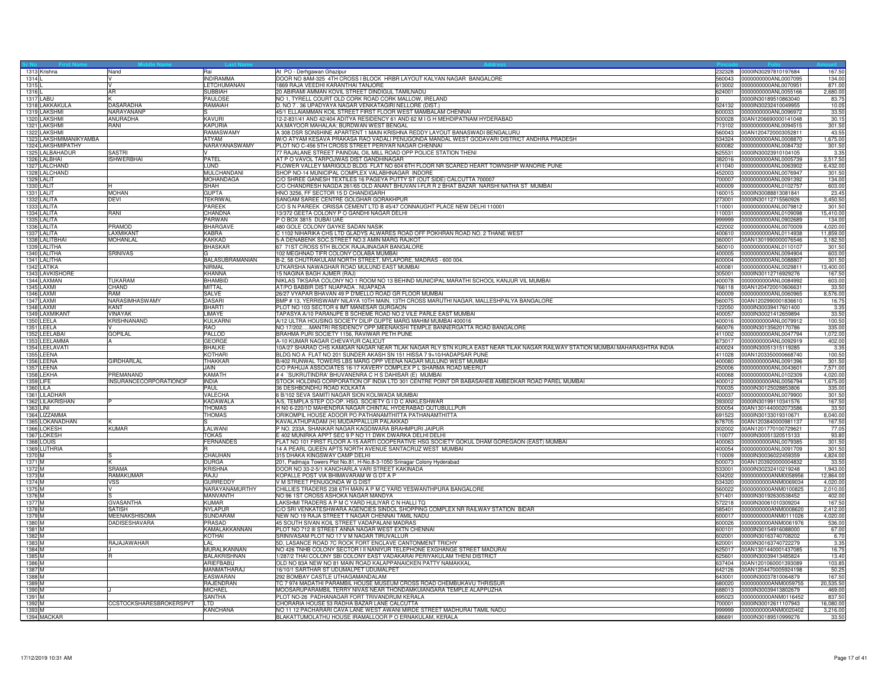|                  | 1313 Krishna                  | Nand                    | Rai                                    | At PO - Derhgawan Ghazipur                                                                                                                       | 232328           | 0000IN30297810197684                                       | 167.5                |
|------------------|-------------------------------|-------------------------|----------------------------------------|--------------------------------------------------------------------------------------------------------------------------------------------------|------------------|------------------------------------------------------------|----------------------|
| 1314<br>1315L    |                               |                         | <b>INDIRAMMA</b><br><b>LETCHUMANAN</b> | DOOR NO 8AM-325 4TH CROSS I BLOCK HRBR LAYOUT KALYAN NAGAR BANGALORE<br>1869 RAJA VEEDHI KARANTHAI TANJORE                                       | 560043           | 0000000000ANL0007095<br>613002 0000000000ANL0070951        | 134.0<br>871.00      |
| 1316L            |                               | <b>AR</b>               | SUBBIAH                                | 20 ABIRAMI AMMAN KOVIL STREET DINDIGUL TAMILNADU                                                                                                 |                  | 624001 0000000000ANL0055166                                | 2,680.00             |
|                  | 1317 LABU                     |                         | <b>PAULOSE</b>                         | NO 1, TYRELL COURT OLD CORK ROAD CORK MALLOW, IRELAND                                                                                            |                  | 0000IN30189510863040                                       | 83.7                 |
|                  | 1318 LAKKAKULA                | DASARADHA               | RAMAIAH                                | D. NO 7.36 UPADYAYA NAGAR VENKATAGIRI NELLORE (DIST.)                                                                                            | 524132           | 0000IN30232410049955                                       | 10.05                |
|                  | 1319 LAKSHMI                  | NARAYANANP              |                                        | 45/1 ELLAIAMMAN KOIL STREET FIRST FLOOR WEST MAMBALAM CHENNAI                                                                                    | 600033           | 0000000000ANL0096972                                       | 33.50                |
|                  | 1320 LAKSHMI                  | ANURADHA                | KAVURI                                 | 12-2-831/41 AND 42/404 ADITYA RESIDENCY 61 AND 62 M I G H MEHDIPATNAM HYDERABAD                                                                  | 500028           | 00AN1206690000141048                                       | 30.1                 |
|                  | 1321 LAKSHMI                  | RANI                    | <b>KAPURIA</b>                         | AA;MAYOOR MAHALAA; BURDWAN WEST BENGAL                                                                                                           |                  | 713102 0000000000ANL0094515                                | 301.50               |
|                  | 1322 LAKSHMI                  |                         | RAMASWAMY                              | A 308 DSR SONSHINE APARTENT 1 MAIN KRISHNA REDDY LAYOUT BANASWADI BENGALURU                                                                      | 560043           | 00AN1204720003052811                                       | 43.55                |
|                  | 1323 LAKSHMIMANIKYAMBA        |                         | ATYAM                                  | W/O ATYAM KESAVA PRAKASA RAO VADALI PENUGONDA MANDAL WEST GODAVARI DISTRICT ANDHRA PRADESH                                                       |                  | 534324 0000000000ANL0008870                                | 1,675.00             |
|                  | 1324 LAKSHMIPATHY             |                         | NARAYANASWAMY                          | PLOT NO C-456 5TH CROSS STREET PERIYAR NAGAR CHENNAI                                                                                             | 600082           | 0000000000ANL0084732                                       | 301.50               |
|                  | 1325 LALBAHADUR               | SASTRI                  |                                        | 77 RAJALANE STREET PAINDIAL OIL MILL ROAD OPP POLICE STATION THENI                                                                               |                  | 625531 0000IN30023910104105                                | 3.35                 |
|                  | 1326 LALBHAI<br>1327 LALCHAND | <b>ISHWERBHAI</b>       | PATEL<br>LUND                          | AT P O VAVOL TARPOJWAS DIST GANDHINAGAR<br>FLOWER VALLEY MARIGOLD BLDG FLAT NO 604 6TH FLOOR NR SCARED HEART TOWNSHIP WANORIE PUNE               | 411040           | 382016 0000000000ANL0005739<br>0000000000ANL0063902        | 3,517.50<br>6,432.00 |
|                  | 1328 LALCHAND                 |                         | MULCHANDANI                            | SHOP NO-14 MUNICIPAL COMPLEX VALABHNAGAR INDORE                                                                                                  | 452003           | 0000000000ANL0076947                                       | 301.50               |
|                  | 1329 LALIT                    |                         | <b>MOHANDAGA</b>                       | C/O SHREE GANESH TEXTILES 16 PAGEYA PUTTY ST (OUT SIDE) CALCUTTA 700007                                                                          | 700007           | 0000000000ANL0091392                                       | 134.00               |
|                  | 1330 LALIT                    |                         | SHAH                                   | C/O CHANDRESH NAGDA 261/65 OLD ANANT BHUVAN I-FLR R 2 BHAT BAZAR NARSHI NATHA ST MUMBAI                                                          | 400009           | 0000000000ANL0102757                                       | 603.00               |
|                  | 1331 LALIT                    | MOHAN                   | <b>GUPTA</b>                           | HNO 3256, FF SECTOR 15 D CHANDIGARH                                                                                                              |                  | 160015  0000IN30088813081841                               | 23.45                |
|                  | 1332 LALITA                   | DEVI                    | <b>TEKRIWAL</b>                        | SANGAM SAREE CENTRE GOLGHAR GORAKHPUR                                                                                                            | 273001           | 0000IN30112715560926                                       | 3,450.50             |
|                  | 1333 LALITA                   |                         | PAREEK                                 | C/O S N PAREEK ORISSA CEMENT LTD B 45/47 CONNAUGHT PLACE NEW DELHI 110001                                                                        | 110001           | 0000000000ANL0079812                                       | 301.50               |
|                  | 1334 LALITA                   | RANI                    | CHANDNA                                | 13/372 GEETA COLONY P O GANDHI NAGAR DELHI                                                                                                       | 110031           | 0000000000ANL0109098                                       | 15,410.00            |
|                  | 1335 LALITA                   |                         | PARWAN                                 | P O BOX 3815 DUBAI UAE                                                                                                                           |                  | 999999 0000000000ANL0902689                                | 134.00               |
|                  | 1336 LALITA<br>1337 LALITA    | PRAMOD<br>AXMIKANT      | <b>BHARGAVE</b><br>KABRA               | 480 GOLE COLONY GAYKE SADAN NASIK<br>C 1102 NIHARIKA CHS LTD GLADYS ALWARES ROAD OFF POKHRAN ROAD NO. 2 THANE WEST                               | 400610           | 422002 0000000000ANL0070009<br>0000000000ANL0114938        | 4,020.0<br>11,859.0  |
|                  | 1338 LALITBHAI                | MOHANLAL                | <b>KAKKAD</b>                          | 5-A DENABENK SOC.STREET NO.3 AMIN MARG RAJKOT                                                                                                    | 360001           | 00AN1301990000076546                                       | 3,182.5              |
|                  | 1339 LALITHA                  |                         | <b>BHASKAR</b>                         | 67 71ST CROSS 5TH BLOCK RAJAJINAGAR BANGALORE                                                                                                    | 560010           | 00000000000ANL0110107                                      | 301.50               |
|                  | 1340 LALITHA                  | SRINIVAS                |                                        | 102 MEGHNAD TIFR COLONY COLABA MUMBAI                                                                                                            | 400005           | 0000000000ANL0094904                                       | 603.00               |
|                  | 1341 LALITHA                  |                         | BALASUBRAMANIAN                        | B-2, 58 CHUTRAKULAM NORTH STREET, MYLAPORE, MADRAS - 600 004.                                                                                    | 600004           | 0000000000ANL0088807                                       | 301.50               |
|                  | 1342 LATIKA                   |                         | NIRMAL                                 | UTKARSHA NAWAGHAR ROAD MULUND EAST MUMBAI                                                                                                        | 400081           | 0000000000ANL0029811                                       | 13,400.0             |
|                  | 1343 LAVKISHORE               |                         | <b>KHANNA</b>                          | 15 NAGINA BAGH AJMER (RAJ)                                                                                                                       | 305001           | 0000lN30112716929276                                       | 167.5                |
|                  | 1344 LAXMAN                   | <b>TUKARAM</b>          | <b>BHAMBID</b>                         | NIKLAS TIKSARA COLONY NO 1 ROOM NO 13 BEHIND MUNICIPAL MARATHI SCHOOL KANJUR VIL MUMBAI                                                          | 400078           | 0000000000ANL0084992                                       | 603.00               |
|                  | 1345 LAXMI                    | CHAND<br>RAM            | <b>MITTAL</b>                          | AT/PO BABBIR DIST NUAPADA . NUAPADA                                                                                                              |                  | 766118 00AN1204720010606631                                | 33.5                 |
|                  | 1346 LAXMI<br>1347 LAXMI      | VARASIMHASWAMY          | <b>SALVE</b><br>DASARI                 | 26/27 VYAPAR BHAVAN 49 P D'MELLO ROAD GR FLOOR MUMBAI<br>BMP # 13, YERRISWAMY NILAYA 10TH MAIN, 13TH CROSS MARUTHI NAGAR, MALLESHPALYA BANGALORE | 560075           | 400009 0000000000ANL0060965<br>00AN1202990001836610        | 8,576.00             |
|                  | 1348 LAXMI                    | KANT                    | <b>BHART</b>                           | PLOT NO 103 SECTOR 6 IMT MANESAR GURGAON                                                                                                         | 122050           | 0000lN30039417601400                                       | 16.7<br>3.35         |
|                  | 1349 LAXMIKANT                | <b>VINAYAK</b>          | LIMAYE                                 | TAPASYA A/10 PARANJPE B SCHEME ROAD NO 2 VILE PARLE EAST MUMBAI                                                                                  |                  | 400057 0000IN30021412659894                                | 33.50                |
|                  | 1350 LEELA                    | KRISHNANAND             | KULKARNI                               | A/12 ULTRA HOUSING SOCIETY DILIP GUPTE MARG MAHIM MUMBAI 400016                                                                                  |                  | 400016  0000000000ANL0079912                               | 100.50               |
|                  | 1351 LEELA                    |                         | <b>RAO</b>                             | NO 17/202MANTRI RESIDENCY OPP.MEENAKSHI TEMPLE BANNERGATTA ROAD BANGALORE                                                                        | 560076           | 0000lN30135620170786                                       | 335.0                |
|                  | 1352 LEELABAI                 | <b>GOPILAL</b>          | PALLOD                                 | BRAHMA PURI SOCIETY 1156, RAVIWAR PETH PUNE                                                                                                      | 411002           | 0000000000ANL0047794                                       | 1,072.0              |
|                  | 1353 LEELAMMA                 |                         | GEORGE                                 | A-10 KUMAR NAGAR CHEVAYUR CALICUT                                                                                                                |                  | 673017 0000000000ANL0092919                                | 402.00               |
|                  | 1354 LEELAVATI                |                         | <b>BHALKE</b>                          | 10A/27 SHARAD CHS KAMGAR NAGAR NEAR TILAK NAGAR RLY STN KURLA EAST NEAR TILAK NAGAR RAILWAY STATION MUMBAI MAHARASHTRA INDIA                     |                  | 400024 0000IN30051315119285                                | 3.35                 |
|                  | 1355 LEENA                    |                         | KOTHARI                                | BLDG NO A FLAT NO 201 SUNDER AKASH SN 151 HISSA 7 9+10/HADAPSAR PUNE                                                                             |                  | 411028 00AN1203350000668740                                | 100.50               |
|                  | 1356 LEENA                    | GIRDHARLAL              | <b>THAKKAR</b>                         | B/402 RUNWAL TOWERS LBS MARG OPP VEENA NAGAR MULUND WEST MUMBAI                                                                                  |                  | 400080 0000000000ANL0091396                                | 301.50               |
|                  | 1357 LEENA<br>1358 LEKHA      | PREMANAND               | JAIN<br>KAMATH                         | C/O PAHUJA ASSOCIATES 16-17 KAVERY COMPLEX P L SHARMA ROAD MEERUT<br># 4 `SUKRUTINDRA' BHUVANENRA C H S DAHISAR (E) MUMBAI                       | 250006<br>400068 | 0000000000ANL0043601<br>0000000000ANL0102309               | 7,571.00<br>4,020.0  |
|                  | 1359 LIFE                     | INSURANCECORPORATIONOF  | <b>INDIA</b>                           | STOCK HOLDING CORPORATION OF INDIA LTD 301 CENTRE POINT DR BABASAHEB AMBEDKAR ROAD PAREL MUMBAI                                                  |                  | 400012 0000000000ANL0056794                                | 1,675.00             |
|                  | <b>1360 LILA</b>              |                         | PAUL                                   | 36 DESHBONDHU ROAD KOLKATA                                                                                                                       |                  | 700035 0000IN30125028853806                                | 335.00               |
|                  | 1361 LILADHAR                 |                         | VALECHA                                | 6 B/102 SEVA SAMITI NAGAR SION KOLIWADA MUMBAI                                                                                                   | 400037           | 0000000000ANL0079900                                       | 301.50               |
|                  | 1362 LILAKRISHAN              |                         | KADAWALA                               | A/5, TEMPLA STEP CO-OP. HSG. SOCIETY G I D C ANKLESHWAR                                                                                          | 393002           | 0000lN30199110341576                                       | 167.5                |
|                  | 1363 LINI                     |                         | <b>THOMAS</b>                          | H N0 6-220/1D MAHENDRA NAGAR CHINTAL HYDERABAD QUTUBULLPUR                                                                                       | 500054           | 00AN1301440002073586                                       | 33.5                 |
|                  | 1364 LIZZAMMA                 |                         | THOMAS                                 | ORIKOMPIL HOUSE ADOOR PO PATHANAMTHITTA PATHANAMTHITTA                                                                                           |                  | 691523 0000IN30133019310671                                | 8,040.00             |
|                  | 1365 LOKANADHAN               |                         |                                        | KAVALATHUPADAM (H) MUDAPPALLUR PALAKKAD                                                                                                          |                  | 678705 00AN1203840000981137                                | 167.50               |
|                  | 1366 LOKESH<br>1367 LOKESH    | <b>KUMAR</b>            | LALWANI<br><b>TOKAS</b>                | P NO. 233A, SHANKAR NAGAR KAGDIWARA BRAHMPURI JAIPUR<br>E 402 MUNIRKA APPT SEC 9 P NO 11 DWK DWARKA DELHI DELHI                                  | 110077           | 302002 00AN1201770100729621<br>0000lN30051320515133        | 77.05<br>93.80       |
|                  | 1368 LOUIS                    |                         | <b>FERNANDES</b>                       | FLAT NO 101 FIRST FLOOR A-15 AARTI COOPERATIVE HSG SOCIETY GOKUL DHAM GOREGAON (EAST) MUMBAI                                                     | 400063           | 0000000000ANL0079385                                       | 301.50               |
|                  | 1369 LUTHRIA                  |                         |                                        | 14 A PEARL QUEEN APTS NORTH AVENUE SANTACRUZ WEST MUMBAI                                                                                         |                  | 400054 0000000000ANL0091709                                | 301.50               |
| 1370 M           |                               |                         | CHAUHAN                                | 315 DHAKA KINGSWAY CAMP DELHI                                                                                                                    |                  | 110009 0000IN30036022459359                                | 4,824.00             |
| 1371 M           |                               |                         | <b>DURGA</b>                           | 201, Padmaja Towers Plot No.81, H-No.8-3-1050 Srinagar Colony Hyderabad                                                                          | 500073           | 00AN1203920000004832                                       | 33.50                |
| 1372 M           |                               | SRAMA                   | <b>KRISHNA</b>                         | DOOR NO 33-2-5/1 KANCHARLA VARI STREET KAKINADA                                                                                                  | 533001           | 0000lN30232410219248                                       | 1,943.0              |
| 1373 M           |                               | <b>RAMAKUMAR</b>        | RAJU                                   | KOPALLE POST VIA BHIMAVARAM W G DT A P                                                                                                           | 534202           | 0000000000ANM0058956                                       | 12,864.0             |
| 1374 M           |                               | <b>VSS</b>              | <b>GURREDDY</b>                        | V M STREET PENUGONDA W G DIST                                                                                                                    |                  | 534320 0000000000ANM0069034                                | 4,020.0              |
| 1375 M<br>1376 M |                               |                         | NARAYANAMURTHY<br><b>MANVANTH</b>      | CHILLIES TRADERS 238 6TH MAIN A P M C YARD YESWANTHPURA BANGALORE<br>NO 96 1ST CROSS ASHOKA NAGAR MANDYA                                         |                  | 560022 0000000000ANM0100825<br>571401 0000IN30192630538452 | 2,010.0<br>402.0     |
| 1377 M           |                               | GVASANTHA               | <b>KUMAR</b>                           | LAKSHMI TRADERS A P M C YARD HULIYAR C N HALLI TQ                                                                                                | 572218           | 0000lN30061010309204                                       | 167.5                |
| 1378 M           |                               | <b>SATISH</b>           | <b>NYLAPUR</b>                         | C/O SRI VENKATESHWARA AGENCIES SINDOL SHOPPING COMPLEX NR RAILWAY STATION BIDAR                                                                  |                  | 585401 0000000000ANM0008620                                | 2,412.00             |
| 1379 M           |                               | <b>MEENAKSHISOMA</b>    | SUNDARAM                               | NEW NO 19 RAJA STREET T NAGAR CHENNAI TAMIL NADU                                                                                                 |                  | 600017 0000000000ANM0111026                                | 4,020.00             |
| 1380 M           |                               | DADISESHAVARA           | PRASAD                                 | 45 SOUTH SIVAN KOIL STREET VADAPALANI MADRAS                                                                                                     | 600026           | 0000000000ANM0061976                                       | 536.00               |
| 1381 M           |                               |                         | KAMALAKKANNAN                          | PLOT NO 712 III STREET ANNA NAGAR WEST EXTN CHENNAI                                                                                              | 600101           | 0000lN30154916088000                                       | 67.00                |
| 1382 M           |                               |                         | KOTHAI                                 | SRINIVASAM PLOT NO 17 V M NAGAR TIRUVALLUR                                                                                                       | 602001           | 0000lN30163740708202                                       | 6.70                 |
| 1383 M           |                               | RAJAJAWAHAR             | LAL                                    | 5D, LASANCE ROAD 7C ROCK FORT ENCLAVE CANTONMENT TRICHY                                                                                          | 620001           | 0000lN30163740722279                                       | 3.35                 |
| 1384 M           |                               |                         | MURALIKANNAN                           | NO 426 TNHB COLONY SECTOR I II NANIYUR TELEPHONE EXGHANGE STREET MADURAI                                                                         |                  | 625017 00AN1301440001437085                                | 16.75                |
| 1385 M<br>1386 M |                               |                         | BALAKRISHNAN<br><b>ARIEFBABU</b>       | 1/287/2 THAI COLONY SBI COLONY EAST VADAKARAI PERIYAKULAM THENI DISTRICT<br>OLD NO 83A NEW NO 81 MAIN ROAD KALAPPANAICKEN PATTY NAMAKKAL         |                  | 625601 0000IN30039413485824<br>637404 00AN1201060001393089 | 13.40<br>103.85      |
| 1387 M           |                               |                         | MANMATHARAJ                            | 16/10/1 SARTHAR ST UDUMALPET UDUMALPET                                                                                                           | 642126           | 00AN1204470005924198                                       | 50.2                 |
| 1388 M           |                               |                         | <b>EASWARAN</b>                        | 292 BOMBAY CASTLE UTHAGAMANDALAM                                                                                                                 | 643001           | 0000lN30037810064879                                       | 167.50               |
| 1389 M           |                               |                         | RAJENDRAN                              | TC 7 974 MADATHI PARAMBIL HOUSE MUSEUM CROSS ROAD CHEMBUKAVU THRISSUR                                                                            |                  | 680020 0000000000ANM0059755                                | 20,535.5             |
| 1390 M           |                               |                         | <b>MICHAEL</b>                         | MOOSARUPARAMBIL TERRY NIVAS NEAR THONDAMKUIANGARA TEMPLE ALAPPUZHA                                                                               |                  | 688013 0000IN30039413802679                                | 469.00               |
| 1391 M           |                               |                         | SANTHA                                 | PLOT NO-26 PADHANAGAR FORT TRIVANDRUM KERALA                                                                                                     | 695023           | 0000000000ANM0116452                                       | 837.50               |
| 1392 M           |                               | CCSTOCKSHARESBROKERSPVT | LTD.                                   | CHORARIA HOUSE 53 RADHA BAZAR LANE CALCUTTA                                                                                                      |                  | 700001 0000lN30012611107943                                | 16,080.0             |
| 1393 M           |                               |                         | <b>KANCHANA</b>                        | NO 11 12 PACHARARI CAVA LANE WEST AWANI MIRDE STREET MADHURAI TAMIL NADU                                                                         |                  | 999999 0000000000ANM0020402                                | 3,216.00             |
|                  | 1394 MACKAR                   |                         |                                        | BLAKATTUMOLATHU HOUSE IRAMALLOOR P O ERNAKULAM, KERALA                                                                                           |                  | 686691 0000lN30189510999276                                | 33.50                |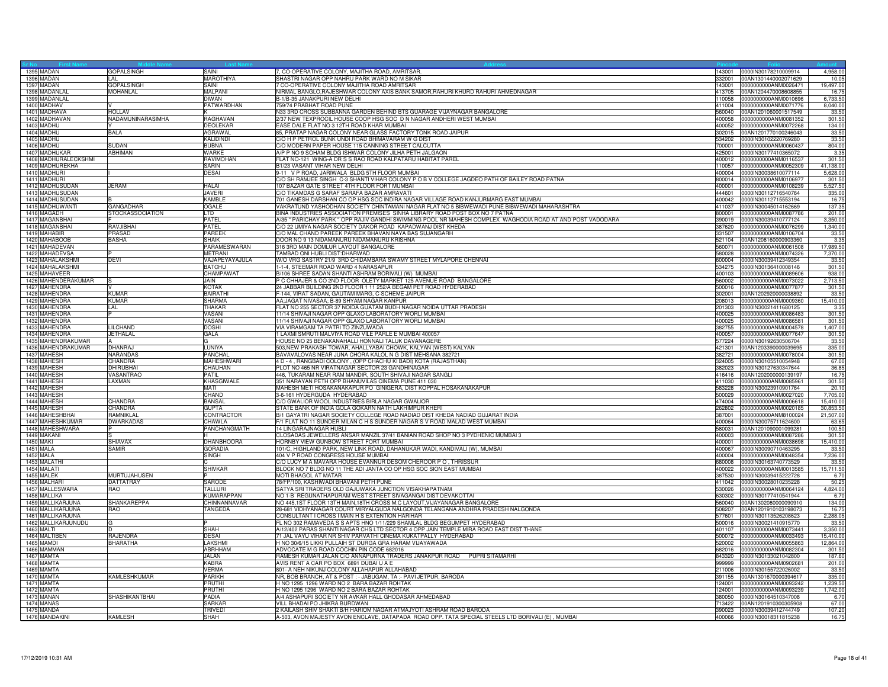| 1395 MADAN                               | GOPALSINGH              | SAINI                   | 7, CO-OPERATIVE COLONY, MAJITHA ROAD, AMRITSAR                                                                         | 143001           | 0000lN30178210009914                                | 4,958.0           |
|------------------------------------------|-------------------------|-------------------------|------------------------------------------------------------------------------------------------------------------------|------------------|-----------------------------------------------------|-------------------|
| 1396 MADAN                               | I AI                    | MAROTHIYA               | SHASTRI NAGAR OPP NAHRU PARK WARD NO M SIKAR                                                                           | 332001           | 00AN1301440002071629                                | 10.0              |
| 1397 MADAN                               | GOPALSINGH              | SAINI                   | 7 CO-OPERATIVE COLONY MAJITHA ROAD AMRITSAR                                                                            |                  | 143001 0000000000ANM0026471                         | 19,497.00         |
| 1398 MADANLAL                            | MOHANLAL                | MALPANI                 | NIRMAL BANGLO, RAJESHWAR COLONY AXIS BANK SAMOR, RAHURI KHURD RAHURI AHMEDNAGAR                                        |                  | 413705 00AN1204470008608855                         | 16.7              |
| 1399 MADANLAL                            |                         | <b>DIWAN</b>            | B-1/B-35 JANAKPURI NEW DELHI                                                                                           | 110058           | 0000000000ANM0010696                                | 6,733.50          |
| 1400 MADHAV                              |                         | PATWARDHAN              | 759/74 PRABHAT ROAD PUNE                                                                                               | 411004           | 0000000000ANM0071776                                | 8,040.00          |
| 1401 MADHAVA                             | HOLLAV                  |                         | N33 3RD CROSS SUBBANNA GARDEN BEHIND BTS GUARAGE VIJAYNAGAR BANGALORE                                                  | 560040           | 00AN1201060001517549                                | 33.50             |
| 1402 MADHAVAN                            | NADAMUNINARASIMHA       | RAGHAVAN                | 2/37 NEW TEXPROCIL HOUSE COOP HSG SOC D N NAGAR ANDHERI WEST MUMBAI                                                    | 400058           | 0000000000ANM0081352                                | 301.50            |
| 1403 MADHU                               |                         | <b>DEOLEKAR</b>         | EASE DALE FLAT NO 3 12TH ROAD KHAR MUMBAI                                                                              |                  | 400052 0000000000ANM0072268                         | 134.00            |
| 1404 MADHU                               | <b>BALA</b>             | <b>AGRAWAL</b>          | 85, PRATAP NAGAR COLONY NEAR GLASS FACTORY TONK ROAD JAIPUR                                                            | 302015           | 00AN1201770100246043                                | 33.50             |
| 1405 MADHU                               |                         | <b>KALIDINDI</b>        | C/O H P PETROL BUNK UNDI ROAD BHIMAVARAM W G DIST                                                                      | 534202           | 0000IN30102220769280                                | 33.5              |
| 1406 MADHU                               | SUDAN                   | <b>BUBNA</b>            | C/O MODERN PAPER HOUSE 115 CANNING STREET CALCUTTA                                                                     | 700001           | 0000000000ANM0060437                                | 804.00            |
| 1407 MADHUKAR                            | ABHIMAN                 | WARKE                   | A/P P NO 9 SOHAM BLDG ISHWAR COLONY JILHA PETH JALGAON                                                                 |                  | 425001 0000IN30177410365072                         | 3.35              |
| 1408 MADHURALECKSHMI                     |                         | RAVIMOHAN               | FLAT NO-121 WING-A DR S S RAO ROAD KALPATARU HABITAT PAREL                                                             |                  | 400012 0000000000ANM0116537                         | 301.50            |
| 1409 MADHUREKHA                          |                         | SARIN                   | B1/23 VASANT VIHAR NEW DELHI                                                                                           | 110057           | 0000000000ANM0052309                                | 41,138.00         |
| 1410 MADHURI                             |                         | <b>DESAI</b>            | 9-11 V P ROAD, JARIWALA BLDG 5TH FLOOR MUMBAI                                                                          | 400004           | 0000IN30038610077114                                | 5,628.0           |
| 1411 MADHURI                             |                         |                         | C/O SH RAMJEE SINGH C-3 SHANTI VIHAR COLONY P O B V COLLEGE JAGDEO PATH OF BAILEY ROAD PATNA                           | 800014           | 0000000000ANM0106977                                | 301.5             |
| 1412 MADHUSUDAN                          | <b>JERAM</b>            | <b>HALAI</b>            | 107 BAZAR GATE STREET 4TH FLOOR FORT MUMBAI                                                                            | 400001           | 0000000000ANM0108239                                | 5,527.50          |
| 1413 MADHUSUDAN                          |                         | <b>JAVERI</b>           | C/O TIKAMDAS G SARAF SARAFA BAZAR AMRAVATI                                                                             |                  | 444601 0000IN30112716540764                         | 335.00            |
| 1414 MADHUSUDAN                          |                         | KAMBLE                  | 701 GANESH DARSHAN CO OP HSG SOC INDIRA NAGAR VILLAGE ROAD KANJURMARG EAST MUMBAI                                      | 400042           | 0000lN30112715553194                                | 16.75             |
| 1415 MADHUWANTI                          | GANGADHAR               | <b>OGALE</b>            | VAKRATUND YASHODHAN SOCIETY CHINTAMANI NAGAR FLAT NO 5 BIBWEWADI PUNE BIBWEWADI MAHARASHTRA                            | 411037           | 0000lN30045014162669                                | 137.3             |
| 1416 MAGADH                              | <b>STOCKASSOCIATION</b> | LTD                     | BINA INDUSTRIES ASSOCIATION PREMISES SINHA LIBRARY ROAD POST BOX NO 7 PATNA                                            | 800001           | 0000000000ANM0087786                                | 201.00            |
| 1417 MAGANBHAI                           |                         | PATEL                   | A/35 " PARICHAY PARK " OPP RAJIV GANDHI SWIMMING POOL NR MAHESH COMPLEX WAGHODIA ROAD AT AND POST VADODARA             | 390019           | 0000IN30039410777124                                | 3,350.00          |
| 1418 MAGANBHAI                           | RAVJIBHAI               | PATEL                   | C/O 22 UMIYA NAGAR SOCIETY DAKOR ROAD KAPADWANJ DIST KHEDA                                                             |                  | 387620 0000000000ANM0076299                         | 1,340.00          |
| 1419 MAHABIR                             | PRASAD                  | <b>PAREEK</b>           | C/O MAL CHAND PAREEK PAREEK BHAVAN NAYA BAS SUJANGARH                                                                  |                  | 331507 0000000000ANM0106704                         | 33.50             |
| 1420 MAHABOOB                            | BASHA                   | SHAIK                   | DOOR NO 9 13 NIDAMANURU NIDAMANURU KRISHNA                                                                             | 521104           | 00AN1208160000903360                                | 3.35              |
| 1421 MAHADEVAN                           |                         | PARAMESWARAN            | 316 3RD MAIN DOMLUR LAYOUT BANGALORE                                                                                   | 560071           | 0000000000ANM0061508                                | 17,989.50         |
| 1422 MAHADEVSA                           |                         | <b>METRANI</b>          | TAMBAD ONI HUBLI DIST: DHARWAD                                                                                         | 580028           | 0000000000ANM0074326                                | 7,370.00          |
| 1423 MAHALAKSHMI                         | <b>DEVI</b>             | VAJAPEYAYAJULA          | W/O VRG SASTRY 21/9 3RD CHIDAMBARA SWAMY STREET MYLAPORE CHENNAI                                                       |                  | 600004 0000IN30039412349354                         | 33.50             |
| 1424 MAHALAKSHMI                         |                         | <b>BATCHU</b>           | 1-1-4, STEEMAR ROAD WARD 4 NARASAPUR                                                                                   | 534275           | 0000lN30136410008146                                | 301.50            |
| 1425 MAHAVEER                            |                         | CHAMPAWAT               | B/106 SHREE SADAN SHANTI ASHRAM BORIVALI (W) MUMBA                                                                     | 400103           | 0000000000ANM0089606                                | 938.0             |
| 1426 MAHENDERAKUMAR                      |                         | JAIN                    | P C CHHAJER & CO 2ND FLOOR OLETY MARKET 125 AVENUE ROAD BANGALORE                                                      | 560002           | 0000000000ANM0073022                                | 2,713.5           |
| 1427 MAHENDRA                            |                         | <b>KOTAK</b>            | 24 JABBAR BUILDING 2ND FLOOR 1 11 252/A BEGAM PET ROAD HYDERABAD                                                       |                  | 500016 0000000000ANM0077877                         | 301.50            |
| 1428 MAHENDRA                            | <b>KUMAR</b>            | <b>BAIRATHI</b>         | F-144, VIRAT SADAN, GAUTAM MARG, C-SCHEME JAIPUR                                                                       |                  | 302001 00AN1202920000038892                         | 33.5              |
| 1429 MAHENDRA                            | <b>KUMAR</b>            | SHARMA                  | AA; JAGAT NIVASAA; B-89 SHYAM NAGAR KANPUR                                                                             |                  | 208013 0000000000ANM0009360                         | 15,410.00         |
| 1430 MAHENDRA                            | _AL                     | <b>THAKAR</b>           | FLAT NO 255 SECTOR 37 NOIDA GUATAM BUDH NAGAR NOIDA UTTAR PRADESH                                                      | 201303           | 0000lN30021411680125                                | 3.35              |
| 1431 MAHENDRA                            |                         | VASANI                  | 11/14 SHIVAJI NAGAR OPP GLAXO LABORATORY WORLI MUMBAI                                                                  | 400025           | 0000000000ANM0086483                                | 301.50            |
| 1432 MAHENDRA                            |                         | VASANI                  | 11/14 SHIVAJI NAGAR OPP GLAXO LABORATORY WORLI MUMBAI                                                                  | 400025           | 0000000000ANM0086581                                | 301.50            |
| 1433 MAHENDRA                            | LILCHAND                | <b>DOSHI</b>            | VIA VIRAMGAM TA PATRI TO ZINZUWADA                                                                                     |                  | 382755 0000000000ANM0004578                         | 1,407.00          |
| 1434 MAHENDRA                            | <b>JETHALAL</b>         | GALA                    | 1 LAXMI SMRUTI MALVIYA ROAD VILE PARLE E MUMBAI 400057                                                                 | 400057           | 0000000000ANM0077647                                | 301.50            |
| 1435 MAHENDRAKUMAR                       |                         |                         | HOUSE NO 25 BENAKANAHALLI HONNALI TALUK DAVANAGERE                                                                     | 577224           | 0000lN30192630506704                                | 33.5              |
| 1436 MAHENDRAKUMAR                       | <b>DHANRAJ</b>          | LUNIYA                  | 503, NEW PRAKASH TOWAR, AHALLYABAI CHOWK, KALYAN (WEST) KALYAN                                                         | 421301           | 00AN1203390000039695                                | 335.00            |
| 1437 MAHESH                              | <b>NARANDAS</b>         | <b>PANCHAL</b>          | BAVAVALOVAS NEAR JUNA CHORA KALOL N G DIST MEHSANA 382721                                                              |                  | 382721 0000000000ANM0078004                         | 301.50            |
| 1438 MAHESH                              | CHANDRA                 | MAHESHWARI              | 4 D - 4, RANGBADI COLONY, (OPP CHACHU KI BADI) KOTA (RAJASTHAN)                                                        |                  | 324005 0000IN30105510054948                         | 67.00             |
| 1439 MAHESH                              | <b>DHIRUBHA</b>         | CHAUHAN                 | PLOT NO 465 NR VIRATNAGAR SECTOR 23 GANDHINAGAR                                                                        |                  | 382023 0000IN30127630347644                         | 36.85             |
| 1440 MAHESH                              | VASANTRAO               | PATIL                   | 446, TUKARAM NEAR RAM MANDIR, SOUTH SHIVAJI NAGAR SANGLI                                                               | 416416           | 00AN1202000000139197                                | 16.7              |
| 1441 MAHESH                              | LAXMAN                  | KHASGIWALE              | 351 NARAYAN PETH OPP BHANUVILAS CINEMA PUNE 411 030                                                                    | 411030           | 0000000000ANM0085961                                | 301.50            |
| 1442 MAHESH                              |                         | <b>MATI</b>             | MAHESH METI HOSAKANAKAPUR PO GINIGERA, DIST KOPPAL HOSAKANAKAPUR                                                       | 583228           | 0000lN30023910901764                                | 20.1              |
| 1443 MAHESH                              |                         | CHAND                   | 3-6-161 HYDERGUDA HYDERABAD                                                                                            | 500029           | 0000000000ANM0027020                                | 7,705.0           |
| 1444 MAHESH                              | <b>CHANDRA</b>          | <b>BANSAL</b>           | C/O GWALIOR WOOL INDUSTRIES BIRLA NAGAR GWALIOR                                                                        | 474004           | 0000000000ANM0006618                                | 15,410.0          |
| 1445 MAHESH                              | CHANDRA                 | <b>GUPTA</b>            | STATE BANK OF INDIA GOLA GOKARN NATH LAKHIMPUR KHERI                                                                   | 262802           | 0000000000ANM0020185                                | 30,853.5          |
| 1446 MAHESHBHAI                          | RAMNIKLAL               |                         | B/1 GAYATRI NAGAR SOCIETY COLLEGE ROAD NADIAD DIST KHEDA NADIAD GUJARAT INDIA                                          | 387001           |                                                     | 21,507.0          |
| 1447 MAHESHKUMAR                         | <b>DWARKADAS</b>        | CONTRACTOR<br>CHAWLA    |                                                                                                                        |                  | 0000000000ANM8100024<br>400064 0000IN30075711624600 |                   |
|                                          |                         |                         | F/1 FLAT NO 11 SUNDER MILAN C H S SUNDER NAGAR S V ROAD MALAD WEST MUMBAI                                              |                  |                                                     | 63.6              |
| 1448 MAHESHWARA                          |                         | PANCHANGMATH            | <b>14 LINGARAJNAGAR HUBLI</b>                                                                                          |                  | 580031 00AN1201090001099281                         | 100.5             |
| 1449 MAKANI<br><b>1450 MAKI</b>          |                         |                         | CLOSADAS JEWELLERS ANSAR MANZIL 37/41 BANIAN ROAD SHOP NO 3 PYDHENIC MUMBAI 3<br>HORNBY VIEW GUNBOW STREET FORT MUMBAI |                  | 400003 0000000000ANM0087286                         | 301.5             |
|                                          | SHIAVAX<br>SAMIR        | DHANBHOORA              |                                                                                                                        | 400001           | 0000000000ANM0038698                                | 15,410.0          |
| 1451 MALA<br>1452 MALA                   |                         | <b>GORADIA</b><br>SINGH | 101/C, HIGHLAND PARK, NEW LINK ROAD, DAHANUKAR WADI, KANDIVALI (W), MUMBAI<br>404 V P ROAD CONGRESS HOUSE MUMBAI       | 400004           | 400067 0000IN30090710463295<br>0000000000ANM0048354 | 33.5<br>7,236.00  |
|                                          |                         |                         |                                                                                                                        |                  |                                                     |                   |
| 1453 MALATH                              |                         |                         | C/O LUCY M A MAVARA HOUSE EVANNUR DESOM CHEROOR PO, THRISSUR                                                           | 680008           | 0000lN30163740773529                                | 33.5              |
| 1454 MALATI<br>1455 MALEK                | <b>MURTUJAHUSEN</b>     | <b>SHIVKAR</b>          | BLOCK NO 7 BLDG NO 11 THE ADI JANTA CO OP HSG SOC SION EAST MUMBAI<br>MOTI BHAGOL AT MATAR                             | 400022<br>387530 | 0000000000ANM0013585<br>0000lN30039415222728        | 15,711.50<br>6.7  |
| 1456 MALHARI                             | DATTATRAY               | <b>SARODE</b>           |                                                                                                                        | 411042           | 0000IN30028010235228                                | 50.2              |
|                                          | <b>RAO</b>              | <b>TALLURI</b>          | 78/FP/100, KASHIWADI BHAVANI PETH PUNE                                                                                 |                  | 0000000000ANM0064124                                |                   |
| 1457 MALLESWARA                          |                         |                         | SATYA SRI TRADERS OLD GAJUWAKA JUNCTION VISAKHAPATNAM                                                                  | 530026           |                                                     | 4,824.00          |
| 1458 MALLIKA                             |                         | <b>KUMARAPPAN</b>       | NO 1-B REGUNATHAPURAM WEST STREET SIVAGANGAI DIST DEVAKOTTAI                                                           |                  | 630302 0000lN30177410541944                         | 6.7               |
| 1459 MALLIKARJUNA                        | <b>SHANKAREPPA</b>      | CHINNANNAVAR            | NO 445,1ST FLOOR 13TH MAIN,18TH CROSS M.C LAYOUT, VIJAYANAGAR BANGALORE                                                |                  | 560040 00AN1302080000090910                         | 134.00            |
| 1460 MALLIKARJUNA                        | RAO                     | <b><i>FANGEDA</i></b>   | 28-681 VIDHYANAGAR COURT MIRYALGUDA NALGONDA TELANGANA ANDHRA PRADESH NALGONDA                                         | 508207           | 00AN1201910103198073                                | 16.7              |
| 1461 MALLIKARJUNA<br>1462 MALLIKARJUNUDU |                         |                         | CONSULTANT I CROSS I MAIN H S EXTENTION HARIHAR                                                                        | 577601           | 0000lN30113526208623<br>500016 0000IN30021410915770 | 2,288.05<br>33.50 |
|                                          |                         |                         | FL NO 302 RAMAVEDA S S APTS HNO 1/11/229 SHAMLAL BLDG BEGUMPET HYDERABAD                                               |                  |                                                     |                   |
| 1463 MALTI                               |                         | <b>SHAH</b>             | A/12/402 PARAS SHANTI NAGAR CHS LTD SECTOR 4 OPP JAIN TEMPLE MIRA ROAD EAST DIST THANE                                 |                  | 401107 0000000000ANM0073441                         | 3,350.00          |
| 1464 MALTIBEN                            | RAJENDRA                | <b>DESAI</b>            | 71 JAL VAYU VIHAR NR SHIV PARVATHI CINEMA KUKATPALLY HYDERABAD                                                         | 500072           | 0000000000ANM0033493                                | 15,410.0          |
| 1465 MAMDI                               | <b>BHARATHA</b>         | <b>LAKSHMI</b>          | H NO 30/6/15 LIKKI PULLAIH ST DURGA GRA HARAM VIJAYAWADA                                                               | 520002           | 0000000000ANM0055863                                | 12,864.00         |
| 1466 MAMMAN                              |                         | ABRHHAM                 | ADVOCATE M G ROAD COCHIN PIN CODE 682016                                                                               | 682016           | 0000000000ANM0082304                                | 301.5             |
| 1467 MAMTA                               |                         | <b>JALAN</b>            | RAMESH KUMAR JALAN C/O ANNAPURNA TRADERS JANAKPUR ROAD PUPRI SITAMARHI                                                 | 843320           | 0000IN30133021042800                                | 187.6             |
| 1468 MAMTA                               |                         | KABRA                   | AVIS RENT A CAR PO BOX 6891 DUBAI U A E                                                                                | 999999           | 0000000000ANM0902681                                | 201.00            |
| 1469 MAMTA                               |                         | <b>VERMA</b>            | 801- A NEH NIKUNJ COLONY ALLAHAPUR ALLAHABAD                                                                           |                  | 211006 0000IN30155722026002                         | 33.50             |
| 1470 MAMTA                               | KAMLESHKUMAR            | PARIKH                  | NR, BOB BRANCH, AT & POST : - JABUGAM, TA :- PAVI JETPUR, BARODA                                                       | 391155           | 00AN1301670000394617                                | 335.00            |
| 1471 MAMTA                               |                         | PRUTHI                  | H NO 1295 1296 WARD NO 2 BARA BAZAR ROHTAK                                                                             | 124001           | 0000000000ANM0093242                                | 1,239.5           |
| 1472 MAMTA                               |                         | PRUTHI                  | H NO 1295 1296 WARD NO 2 BARA BAZAR ROHTAK                                                                             | 124001           | 0000000000ANM0093239                                | 1,742.00          |
| 1473 MANAN                               | SHASHIKANTBHAI          | PADIA                   | A/4 ASHAPURI SOCIETY NR AVKAR HALL GHODASAR AHMEDABAD                                                                  |                  | 380050 0000IN30164510347008                         | 6.7               |
| 1474 MANAS                               |                         | <b>SARKAR</b>           | VILL BHADAI PO JHIKRA BURDWAN                                                                                          |                  | 713422 00AN1201910300305908                         | 67.00             |
| 1475 MANDA                               |                         | <b>TRIVEDI</b>          | 2 KAILASH SHIV SHAKTI B/H HARIOM NAGAR ATMAJYOTI ASHRAM ROAD BARODA                                                    |                  | 390023 0000IN30039412744749                         | 107.20            |
| 1476 MANDAKINI                           | <b>KAMLESH</b>          | SHAH                    | A-503, AVON MAJESTY AVON ENCLAVE, DATAPADA ROAD OPP. TATA SPECIAL STEELS LTD BORIVALI (E), MUMBAI                      |                  | 400066 0000IN30018311815238                         | 16.75             |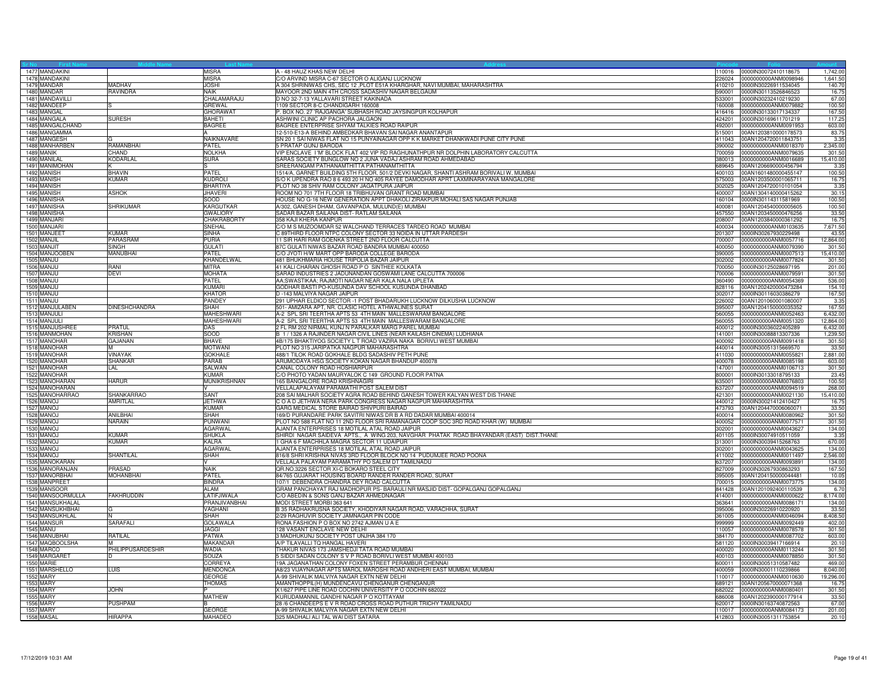| 1477 MANDAKINI    |                      | <b>MISRA</b>        | A - 48 HAUZ KHAS NEW DELHI                                                              | 110016 | 0000IN30072410118675         | 1,742.00  |
|-------------------|----------------------|---------------------|-----------------------------------------------------------------------------------------|--------|------------------------------|-----------|
| 1478 MANDAKINI    |                      | <b>MISRA</b>        | C/O ARVIND MISRA C-67 SECTOR O ALIGANJ LUCKNOW                                          |        | 226024 0000000000ANM0098946  | 1,641.50  |
| 1479 MANDAR       | <b>MADHAV</b>        | <b>JOSHI</b>        | A 304 SHRINIWAS CHS, SEC 12 , PLOT E51A KHARGHAR, NAVI MUMBAI, MAHARASHTRA              |        | 410210 0000IN30226911534045  | 140.70    |
| 1480 MANDAR       | RAVINDRA             | <b>NAIK</b>         | MAYOOR 2ND MAIN 4TH CROSS SADASHIV NAGAR BELGAUM                                        |        | 590001 0000IN30113526846523  | 16.7      |
| 1481 MANDAVILLI   |                      | CHALAMARAJU         | D NO 32-7-13 YALLAVARI STREET KAKINADA                                                  | 533001 | 0000IN30232410219230         | 67.00     |
| 1482 MANDEEP      |                      | <b>GREWAL</b>       | 1109 SECTOR 8-C CHANDIGARH 160008                                                       | 160008 | 0000000000ANM0079882         | 100.5     |
| 1483 MANGAL       |                      | <b>GHORAWAT</b>     | P. BOX NO. 27 'RAJGANGA' SUBHASH ROAD JAYSINGPUR KOLHAPUR                               | 416416 | 0000IN30133017134337         | 167.50    |
| 1484 MANGALA      | <b>SURESH</b>        | <b>BAHETI</b>       | ASHWINI CLINIC AP PACHORA JALGAON                                                       | 424201 | 0000IN30169611701219         | 117.2     |
| 1485 MANGALCHAND  |                      | <b>BAGREE</b>       | BAGREE ENTERPRISE SHYAM TALKIES ROAD RAIPUR                                             | 492001 | 0000000000ANM0091953         | 603.00    |
| 1486 MANGAMMA     |                      |                     | 12-510-E13-A BEHIND AMBEDKAR BHAVAN SAI NAGAR ANANTAPUR                                 | 515001 |                              |           |
|                   |                      |                     |                                                                                         |        | 00AN1203810000178573         | 83.75     |
| 1487 MANGESH      |                      | NAIKNAVARE          | SN 201 SAI NIWAS FLAT NO 15 PUNYAINAGAR OPP K K MARKET DHANKWADI PUNE CITY PUNE         | 411043 | 00AN1204720011843751         | 3.35      |
| 1488 MANHARBEN    | RAMANBHAI            | PATEL               | 5 PRATAP GUNJ BARODA                                                                    | 390002 | 0000000000ANM0018370         | 2,345.00  |
| 1489 MANIK        | CHAND                | <b>NOLKHA</b>       | VIP ENCLAVE I'M' BLOCK FLAT 402 VIP RD RAGHUNATHPUR NR DOLPHIN LABORATORY CALCUTTA      |        | 700059 0000000000ANM0079635  | 301.50    |
| 1490 MANILAL      | KODARLAL             | <b>SURA</b>         | SARAS SOCIETY BUNGLOW NO 2 JUNA VADAJ ASHRAM ROAD AHMEDABAD                             |        | 380013 0000000000ANM0016689  | 15,410.00 |
| 1491 MANIMOHAN    |                      |                     | SREERANGAM PATHANAMTHITTA PATHANAMTHITTA                                                | 689645 | 00AN1206690000456794         | 3.35      |
| 1492 MANISH       | <b>BHAVIN</b>        | PATEL               | 1514/A, GARNET BUILDING 5TH FLOOR, 501/2 DEVKI NAGAR, SHANTI ASHRAM BORIVALI W, MUMBAI  | 400103 | 00AN1601480000455147         | 100.50    |
| 1493 MANISH       | KUMAR                | <b>KUDROLI</b>      | S/O K UPENDRA RAO 8 6 493 20 H NO 405 RAYEE DAMODHAR APRT LAXMINARAYANA MANGALORE       | 575003 | 00AN1203500001065711         | 16.7      |
| 1494 MANISH       |                      | <b>BHARTIYA</b>     | PLOT NO 38 SHIV RAM COLONY JAGATPURA JAIPUR                                             | 302025 | 00AN1204720010101054         | 3.35      |
| 1495 MANISH       | ASHOK                | <b>JHAVERI</b>      | ROOM NO 701 7TH FLOOR 18 TRIBHUVAN GRANT ROAD MUMBAI                                    | 400007 | 00AN1304140000415262         | 30.15     |
| 1496 MANISHA      |                      | SOOD                | HOUSE NO G-16 NEW GENERATION APPT DHAKOLI ZIRAKPUR MOHALI SAS NAGAR PUNJAB              |        | 160104 0000IN30114311581969  | 100.50    |
| 1497 MANISHA      | SHRIKUMAR            | KARGUTKAR           | A/302, GANESH DHAM, GAVANPADA, MULUND(E) MUMBAI                                         | 400081 | 00AN1204540000005605         | 100.50    |
| 1498 MANISHA      |                      | <b>GWALIORY</b>     | SADAR BAZAR SAILANA DIST- RATLAM SAILANA                                                |        | 457550 00AN1203450000476256  | 33.50     |
| 1499 MANJARI      |                      | CHAKRABORTY         | 358 KAJI KHERA KANPUR                                                                   | 208007 | 00AN1203840000361292         | 16.7      |
| 1500 MANJARI      |                      | SNEHAL              | C/O M S MUZOOMDAR 52 WALCHAND TERRACES TARDEO ROAD MUMBAI                               | 400034 | 0000000000ANM0103635         | 7,671.50  |
| 1501 MANJEET      | <b>KUMAR</b>         | SINHA               | 3 89THIRD FLOOR NTPC COLONY SECTOR 33 NOIDA IN UTTAR PARDESH                            | 201307 | 0000IN30267930229498         | 43.55     |
| 1502 MANJIL       | PARASRAM             | PURIA               | 11 SIR HARI RAM GOENKA STREET 2ND FLOOR CALCUTTA                                        | 700007 | 0000000000ANM0057716         | 12,864.00 |
| 1503 MANJIT       | SINGH                |                     | 87C GULATI NIWAS BAZAR ROAD BANDRA MUMBAI 400050                                        | 400050 | 0000000000ANM0079390         |           |
|                   |                      | <b>GULATI</b>       |                                                                                         |        |                              | 301.50    |
| 1504 MANJOOBEN    | MANUBHAI             | <b>PATFI</b>        | C/O JYOTI H/W MART OPP BARODA COLLEGE BARODA                                            | 390005 | 0000000000ANM0007513         | 15,410.00 |
| 1505 MANJU        |                      | KHANDELWAL          | 481 BHUKHMARIA HOUSE TRIPOLIA BAZAR JAIPUR                                              | 302002 | 0000000000ANM0077824         | 301.50    |
| 1506 MANJL        | RANI                 | <b>MITRA</b>        | 41 KALI CHARAN GHOSH ROAD P O SINTHEE KOLKATA                                           | 700050 | 0000lN30125028697195         | 201.00    |
| 1507 MANJU        | DEVI                 | <b>MOHATA</b>       | SARAD INDUSTRIES 2 JADUNANDAN GOSWAMI LANE CALCUTTA 700006                              | 700006 | 0000000000ANM0079591         | 301.50    |
| 1508 MANJU        |                      | PATEL               | AA;SWASTIKAA; RAJMOTI NAGAR NEAR KALA NALA UPLETA                                       |        | 360490 0000000000ANM0054369  | 536.00    |
| 1509 MANJU        |                      | <b>KUMARI</b>       | GODHAR BASTI PO-KUSUNDA DAV SCHOOL KUSUNDA DHANBAD                                      |        | 828116 00AN1202420000473284  | 154.10    |
| 1510 MANJU        |                      | <b>KHATOR</b>       | D -143 MALVIYA NAGAR JAIPUR                                                             | 302017 | 0000IN30116030386279         | 167.50    |
| 1511 MANJL        |                      | PANDEY              | 291 UPHAR ELDICO SECTOR -1 POST BHADARUKH LUCKNOW DILKUSHA LUCKNOW                      | 226002 | 00AN1201060001080007         | 3.35      |
| 1512 MANJULABEN   | <b>DINESHCHANDRA</b> | SHAH                | 501- AMIZARA APT, NR. CLASIC HOTEL ATHWALINES SURAT                                     | 395007 | 00AN1204150000035352         | 167.50    |
| 1513 MANJULI      |                      | <b>MAHESHWARI</b>   | A-2 SPL SRI TEERTHA APTS 53 4TH MAIN MALLESWARAM BANGALORE                              | 560055 | 0000000000ANM0052463         | 6,432.00  |
| 1514 MANJULI      |                      | MAHESHWARI          | A-2 SPL SRI TEERTHA APTS 53 4TH MAIN MALLESWARAM BANGALORE                              |        | 560055 0000000000ANM0051320  | 12,864.00 |
| 1515 MANJUSHREE   | PRATUL               | DAS                 | 2 FL RM 202 NIRMAL KUNJ N PARALKAR MARG PAREL MUMBAI                                    | 400012 | 0000IN30036022405289         | 6,432.0   |
| 1516 MANMOHAN     | KRISHAN              | SOOD                | B 1 / 1326 A RAJINDER NAGAR CIVIL LINES (NEAR KAILASH CINEMA) LUDHIANA                  | 141001 | 0000lN30088813307336         | 1,239.5   |
| 1517 MANOHAR      | GAJANAN              | <b>BHAVE</b>        | 4B/175 BHAKTIYOG SOCIETY L T ROAD VAZIRA NAKA BORIVLI WEST MUMBAI                       |        | 400092 0000000000ANM0091418  | 301.50    |
| 1518 MANOHAR      | м                    | <b>MOTWANI</b>      | PLOT NO 315 JARIPATKA NAGPUR MAHARASHTRA                                                |        | 440014 0000IN30051315669570  | 33.50     |
| 1519 MANOHAR      | VINAYAK              | <b>GOKHALE</b>      | 488/1 TILOK ROAD GOKHALE BLDG SADASHIV PETH PUNE                                        |        | 411030 0000000000ANM0055821  | 2,881.00  |
| 1520 MANOHAR      | <b>SHANKAR</b>       | PARAB               | ARUMODAYA HSG SOCIETY KOKAN NAGAR BHANDUP 400078                                        | 400078 | 0000000000ANM0085198         |           |
|                   |                      |                     |                                                                                         |        |                              | 603.00    |
| 1521 MANOHAR      | <b>AL</b>            | SALWAN              | CANAL COLONY ROAD HOSHIARPUR                                                            | 147001 | 0000000000ANM0106713         | 301.50    |
| 1522 MANOHAR      |                      | KUMAR               | C/O PHOTO YADAN MAURYALOK C 149 GROUND FLOOR PATNA                                      | 800001 | 0000lN30133018795133         | 23.4      |
| 1523 MANOHARAN    | HARUR                | <b>MUNIKRISHNAN</b> | 165 BANGALORE ROAD KRISHNAGIRI                                                          | 635001 | 0000000000ANM0076803         | 100.50    |
| 1524 MANOHARAN    |                      |                     | VELLALAPALAYAM PARAMATHI POST SALEM DIST                                                | 637207 | 0000000000ANM0094519         | 268.00    |
| 1525 MANOHARRAO   | <b>SHANKARRAO</b>    | SANT                | 208 SAI MALHAR SOCIETY AGRA ROAD BEHIND GANESH TOWER KALYAN WEST DIS THANE              | 421301 | 0000000000ANM0021130         | 15,410.00 |
| 1526 MANOJ        | AMRITLAL             | <b>JETHWA</b>       | C O A D JETHWA NERA PARK CONGRESS NAGAR NAGPUR MAHARASHTRA                              | 440012 | 0000lN30021412410427         | 16.7      |
| 1527 MANOJ        |                      | <b>KUMAR</b>        | GARG MEDICAL STORE BAIRAD SHIVPURI BAIRAD                                               |        | 473793 00AN1204470006060071  | 33.5      |
| 1528 MANOJ        | ANILBHAI             | SHAH                | 169/D PURANDARE PARK SAVITRI NIWAS DR B A RD DADAR MUMBAI 400014                        |        | 400014 0000000000ANM0080962  | 301.5     |
| 1529 MANOJ        | NARAIN               | PUNWANI             | PLOT NO 588 FLAT NO 11 2ND FLOOR SRI RAMANAGAR COOP SOC 3RD ROAD KHAR (W) MUMBAI        |        | 400052 0000000000ANM0077571  | 301.5     |
| 1530 MANOJ        |                      | AGARWAL             | AJANTA ENTERPRISES 18 MOTILAL ATAL ROAD JAIPUR                                          |        | 302001 0000000000ANM0043627  | 134.00    |
| 1531 MANOJ        | KUMAR                | <b>SHUKLA</b>       | SHIRDI NAGAR SAIDEVA APTS., A WING 203, NAVGHAR PHATAK ROAD BHAYANDAR (EAST) DIST.THANE | 401105 | 0000lN30074910511059         | 3.35      |
| 1532 MANOJ        | KIMAR                | KAI RA              | 1 GHA 6 F MACHHLA MAGRA SECTOR 11 UDAIPUR                                               | 313001 | 0000lN30039415268763         | 670.00    |
| 1533 MANOJ        |                      | AGARWAL             | AJANTA ENTERPRISES 18 MOTILAL ATAL ROAD JAIPUR                                          | 302001 | 0000000000ANM0043625         | 134.0     |
| 1534 MANOJ        | SHANTILAL            | SHAH                | 816/8 SHRI KRISHNA NIVAS 3RD FLOOR BLOCK NO 14 PUDUMJEE ROAD POONA                      | 411002 | 0000000000ANM0011497         | 2,546.0   |
| 1535 MANOKARAN    |                      |                     | VELLALA PALAYAM PARAMATHY PO SALEM DT TAMILNADU                                         | 637207 | 0000000000ANM0093891         | 134.00    |
| 1536 MANORANJAN   | PRASAD               | <b>NAIK</b>         | QR.NO.3226 SECTOR XI-C BOKARO STEEL CITY                                                | 827009 | 0000IN30267930863293         | 167.5     |
| 1537 MANORBHAI    | <b>MOHANBHAI</b>     | <b>PATFI</b>        | 84/765 GUJARAT HOUSING BOARD RANDER RANDER ROAD, SURAT                                  | 395005 | 00AN1204150000044481         | 10.05     |
| 1538 MANPREET     |                      | <b>BINDRA</b>       | 107/1 DEBENDRA CHANDRA DEY ROAD CALCUTTA                                                |        | 700015 0000000000ANM0073775  | 134.00    |
| 1539 MANSOOR      |                      | AI AM               | GRAM PANCHAYAT RAJ MADHOPUR PS- BARAULI NR MASJID DIST- GOPALGANJ GOPALGANJ             | 841428 | 00AN1201092400110539         | 6.7(      |
| 1540 MANSOORMULLA | <b>FAKHRUDDIN</b>    | LATIFJIWALA         | C/O ABEDIN & SONS GANJ BAZAR AHMEDNAGAR                                                 | 414001 | 0000000000ANM0000622         | 8,174.0   |
| 1541 MANSUKHALAL  |                      | PRANJIVANBHAI       | MODI STREET MORBI 363 641                                                               | 363641 | 0000000000ANM0086171         | 134.0     |
| 1542 MANSUKHBHAI  |                      | <b>VAGHANI</b>      | B 35 RADHAKRUSNA SOCIETY, KHODIYAR NAGAR ROAD, VARACHHA, SURAT                          | 395006 | 0000IN30226910220920         | 33.50     |
|                   |                      |                     |                                                                                         |        |                              |           |
| 1543 MANSUKHLAL   |                      | SHAH                | 2/29 RAGHUVIR SOCIETY JAMNAGAR PIN CODE                                                 | 361005 | 0000000000ANM0046094         | 8,408.5   |
| 1544 MANSUR       | SARAFALI             | GOLAWALA            | RONA FASHION P O BOX NO 2742 AJMAN U A E                                                | 999999 | 0000000000ANM0092449         | 402.0     |
| 1545 MANU         |                      | JAGGI               | 128 VASANT ENCLAVE NEW DELHI                                                            | 110057 | 0000000000ANM0078578         | 301.5     |
| 1546 MANUBHAI     | RATILAL              | <b>PATWA</b>        | 3 MADHUKUNJ SOCIETY POST UNJHA 384 170                                                  |        | 384170  0000000000ANM0087702 | 603.0     |
| 1547 MAQBOOLSHA   |                      | <b>MAKANDAR</b>     | A/P TILAVALLI TO HANGAL HAVERI                                                          |        | 581120 0000IN30039417166914  | 20.10     |
| 1548 MARCO        | PHILIPPUSARDESHIR    | WADIA               | THAKUR NIVAS 173 JAMSHEDJI TATA ROAD MUMBAI                                             |        | 400020 0000000000ANM0113244  | 301.50    |
| 1549 MARGARE      |                      | SOUZA               | 5 SIDDI SADAN COLONY S V P ROAD BORIVLI WEST MUMBAI 400103                              | 400103 | 0000000000ANM0078850         | 301.50    |
| 1550 MARIE        |                      | CORREYA             | 19A JAGANATHAN COLONY FOXEN STREET PERAMBUR CHENNAI                                     | 600011 | 0000lN30051310587482         | 469.0     |
| 1551 MARSHELLO    | LUIS                 | MENDONCA            | A8/23 VIJAYNAGAR APTS MAROL MAROSHI ROAD ANDHERI EAST MUMBAI, MUMBAI                    | 400059 | 0000IN30001110239866         | 8,040.0   |
| <b>1552 MARY</b>  |                      | <b>GEORGE</b>       | A-99 SHIVALIK MALVIYA NAGAR EXTN NEW DELHI                                              | 110017 | 0000000000ANM0010630         | 19,296.0  |
| 1553 MARY         |                      | <b>THOMAS</b>       | AMANTHOPPIL(H) MUNDENCAVU CHENGANUR CHENGANUR                                           | 689121 | 00AN1205670000071368         | 16.7      |
| <b>1554 MARY</b>  | JOHN                 |                     | X1/627 PIPE LINE ROAD COCHIN UNIVERSITY P O COCHIN 682022                               | 682022 | 0000000000ANM0080401         | 301.50    |
| 1555 MARY         |                      | <b>MATHEW</b>       | KURUDAMANNIL GANDHI NAGAR P O KOTTAYAM                                                  | 686008 | 00AN1202390000177914         | 33.5      |
| <b>1556 MARY</b>  | <b>PUSHPAM</b>       |                     | 28 /6 CHANDEEPS E V R ROAD CROSS ROAD PUTHUR TRICHY TAMILNADU                           | 620017 | 0000IN30163740872563         | 67.0      |
| 1557 MARY         |                      | <b>GEORGE</b>       | A-99 SHIVALIK MALVIYA NAGAR EXTN NEW DELHI                                              | 110017 | 0000000000ANM0084173         | 201.00    |
| 1558 MASAL        | <b>HIRAPPA</b>       | MAHADEO             | 325 MADHALI ALI TAL WAI DIST SATARA                                                     |        | 412803 0000IN30051311753854  | 20.10     |
|                   |                      |                     |                                                                                         |        |                              |           |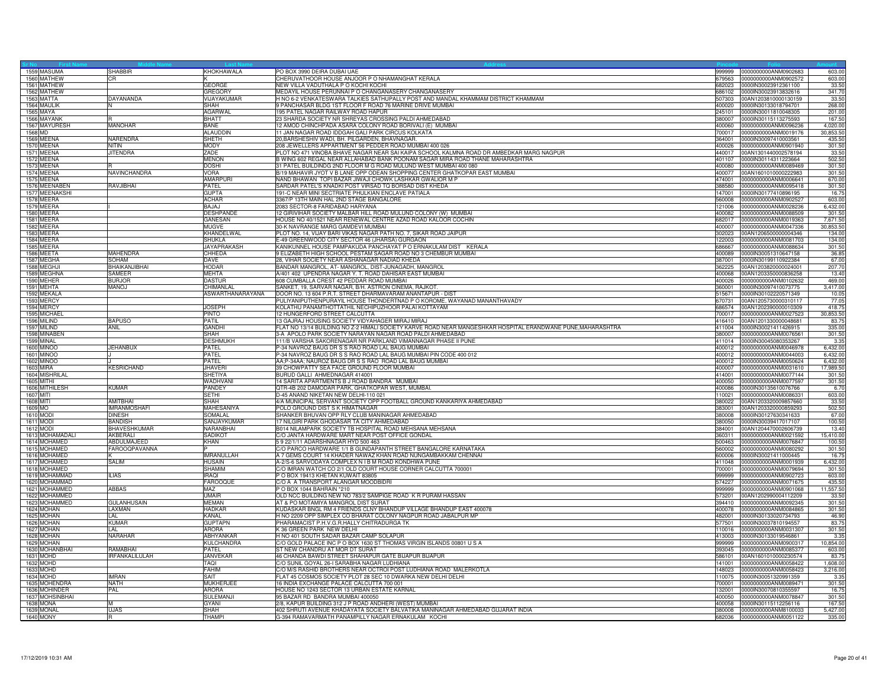|           | 1559 MASUMA                         | <b>SHABBIR</b>          | KHOKHAWALA                   | PO BOX 3990 DEIRA DUBAI UAE<br>999999                                                                                                                                 | 0000000000ANM0902683                                | 603.0                |
|-----------|-------------------------------------|-------------------------|------------------------------|-----------------------------------------------------------------------------------------------------------------------------------------------------------------------|-----------------------------------------------------|----------------------|
|           | 1560 MATHEW                         | CR                      |                              | CHERUVATHOOR HOUSE ANJOOR P O NHAMANGHAT KERALA<br>679563                                                                                                             | 0000000000ANM0902572                                | 603.0                |
|           | 1561 MATHEW                         |                         | <b>GEORGE</b>                | NEW VILLA VADUTHALA P O KOCHI KOCHI<br>682023                                                                                                                         | 0000IN30023912361100                                | 33.50                |
|           | 1562 MATHEW<br>1563 MATTA           | <b>DAYANANDA</b>        | GREGORY<br>VIJAYAKUMAR       | MEDAYIL HOUSE PERUNNAI P O CHANGANASERY CHANGANASERY<br>H NO 6-2 VENKATESWARA TALKIES SATHUPALLY POST AND MANDAL KHAMMAM DISTRICT KHAMMAM<br>507303                   | 686102 0000IN30023913832616<br>00AN1203810000130159 | 341.70<br>33.50      |
|           | 1564 MAULIK                         |                         | SHAH                         | 9 PANCHASAR BLDG 1ST FLOOR F ROAD 76 MARINE DRIVE MUMBAI<br>400020                                                                                                    | 0000IN30133018794701                                | 268.00               |
|           | 1565 MAYA                           |                         | <b>AGARWAL</b>               | 195 PATEL NAGAR RAILWAY ROAD HAPUR<br>245101                                                                                                                          | 0000IN30011810048305                                | 201.00               |
|           | 1566 MAYANK                         |                         | BHATT                        | 23 SHARDA SOCIETY NR SHREYAS CROSSING PALDI AHMEDABAD<br>380007                                                                                                       | 0000lN30115113275593                                | 167.5                |
|           | 1567 MAYURESH                       | MANOHAR                 | <b>BANE</b>                  | 12 AMOD CHINCHPADA ASARA COLONY ROAD BORIVALI (E) MUMBAI<br>400060                                                                                                    | 0000000000ANM0096236                                | 4,020.0              |
| 1568 MD   |                                     |                         | <b>ALAUDDIN</b>              | 11 JAN NAGAR ROAD IDDGAH GALI PARK CIRCUS KOLKATA<br>700017                                                                                                           | 0000000000ANM0019176                                | 30.853.50            |
|           | 1569 MEENA                          | NARENDRA                | <b>SHETH</b>                 | 20, BARSHESHIV WADI, BH. PILGARDEN, BHAVNAGAR.<br>364001                                                                                                              | 0000IN30097410003561                                | 435.5                |
|           | 1570 MEENA                          | <b>NITIN</b>            | <b>MODY</b>                  | 208 JEWELLERS APPARTMENT 56 PEDDER ROAD MUMBAI 400 026<br>400026                                                                                                      | 0000000000ANM0901940                                | 301.5                |
|           | 1571 MEENA                          | <b>JITENDRA</b>         | ZADE                         | PLOT NO 471 VINOBA BHAVE NAGAR NEAR SAI KAIPA SCHOOL KALMNA ROAD DR AMBEDKAR MARG NAGPUR<br>440017                                                                    | 00AN1301440002578194                                | 33.50                |
|           | 1572 MEENA<br>1573 MEENA            |                         | <b>MENON</b><br><b>DOSHI</b> | B WING 602 REGAL NEAR ALLAHABAD BANK POONAM SAGAR MIRA ROAD THANE MAHARASHTRA<br>401107<br>31 PATEL BUILDINDG 2ND FLOOR M G ROAD MULUND WEST MUMBAI 400 080<br>400080 | 0000IN30114311223664<br>0000000000ANM0089469        | 502.50<br>301.50     |
|           | 1574 MEENA                          | NAVINCHANDRA            | <b>VORA</b>                  | B/19 MAHAVIR JYOT V B LANE OPP ODEAN SHOPPING CENTER GHATKOPAR EAST MUMBAI<br>400077                                                                                  | 00AN1601010000222983                                | 301.50               |
|           | 1575 MEENA                          |                         | AMARPUR                      | NAND BHAWAN TOPI BAZAR JIWAJI CHOWK LASHKAR GWALIOR M P<br>474001                                                                                                     | 0000000000ANM0006641                                | 670.00               |
|           | 1576 MEENABEN                       | RAVJIBHAI               | PATEL                        | SARDAR PATEL'S KNADKI POST VIRSAD TO BORSAD DIST KHEDA<br>388580                                                                                                      | 0000000000ANM0095418                                | 301.50               |
|           | 1577 MEENAKSHI                      |                         | <b>GUPTA</b>                 | 191-C NEAR MINI SECTRIATE PHULKIAN ENCLAVE PATIALA<br>147001                                                                                                          | 0000IN30177410896195                                | 16.7                 |
|           | 1578 MEERA                          |                         | <b>ACHAR</b>                 | 3367/P 13TH MAIN HAL 2ND STAGE BANGALORE<br>560008                                                                                                                    | 0000000000ANM0902527                                | 603.00               |
|           | 1579 MEERA                          |                         | <b>BAJAJ</b>                 | 2083 SECTOR-8 FARIDABAD HARYANA                                                                                                                                       | 121006 0000000000ANM0028236                         | 6,432.00             |
|           | 1580 MEERA                          |                         | <b>DESHPANDE</b>             | 12 GIRIVIHAR SOCIETY MALBAR HILL ROAD MULUND COLONY (W) MUMBAI<br>400082                                                                                              | 0000000000ANM0088509                                | 301.50               |
|           | 1581 MEERA                          |                         | <b>GANESAN</b>               | HOUSE NO 40/1521 NEAR RENEWAL CENTRE AZAD ROAD KALOOR COCHIN                                                                                                          | 682017 0000000000ANM0019363                         | 7,671.5              |
|           | 1582 MEERA<br>1583 MEERA            |                         | MUGVE<br>KHANDELWAL          | 30-K NAVRANGE MARG GAMDEVI MUMBAI<br>400007<br>PLOT NO. 14, VIJAY BARI VIKAS NAGAR PATH NO. 7, SIKAR ROAD JAIPUR<br>302023                                            | 0000000000ANM0047336<br>00AN1206500000004346        | 30,853.5<br>134.00   |
|           | 1584 MEERA                          |                         | SHUKLA                       | E-49 GREENWOOD CITY SECTOR 46 (JHARSA) GURGAON<br>122003                                                                                                              | 0000000000ANM0081703                                | 134.0                |
|           | 1585 MEERA                          |                         | <b>JAYAPRAKASH</b>           | KANIKUNNEL HOUSE PAMPAKUDA PANCHAYAT P O ERNAKULAM DIST KERALA<br>686667                                                                                              | 0000000000ANM0088634                                | 301.50               |
|           | 1586 MEETA                          | <b>MAHENDRA</b>         | CHHEDA                       | 9 ELIZABETH HIGH SCHOOL PESTAM SAGAR ROAD NO 3 CHEMBUR MUMBAI<br>400089                                                                                               | 0000lN30051310647158                                | 36.85                |
|           | 1587 MEGHA                          | SOHAM                   | <b>DAVE</b>                  | 28, VIHAR SOCIETY NEAR ASHANAGAR NADIAD KHEDA<br>387001                                                                                                               | 0000lN30199110922384                                | 67.00                |
|           | 1588 MEGHJI                         | BHAIKANJIBHAI           | <b>HODAR</b>                 | BANDAR MANGROL, AT-MANGROL, DIST-JUNAGADH, MANGROL<br>362225                                                                                                          | 00AN1203820000024001                                | 207.7                |
|           | 1589 MEGHNA                         | SAMEER                  | <b>MEHTA</b>                 | A/401 402 UPENDRA NAGAR Y. T. ROAD DAHISAR EAST MUMBAI<br>400068                                                                                                      | 00AN1203350000836258                                | 13.40                |
|           | 1590 MEHER                          | <b>BURJOR</b>           | <b>DASTUR</b>                | 608 CUMBALLA CREST 42 PEDDAR ROAD MUMBAI                                                                                                                              | 400026 0000000000ANM0102632                         | 469.00               |
|           | 1591 MEHTA                          | <b>MANOJ</b>            | CHIMANLAL                    | SANKET, 19, SARVAR NAGAR, B/H. ASTRON CINEMA, RAJKOT                                                                                                                  | 360001 0000IN30097410073775                         | 3,417.00             |
|           | 1592 MEKALA                         |                         | ASWARTHANARAYANA             | DOOR NO. 13 604 P.R.T. STREET DHARMAVARAM ANANTAPUR - DIST<br>515671                                                                                                  | 0000lN30102220571349                                | 10.05                |
|           | 1593 MERCY<br>1594 MERCY            |                         | <b>JOSEPH</b>                | PULIYANIPUTHENPURAYIL HOUSE THONDERTNAD P O KOROME, WAYANAD MANANTHAVADY<br>670731<br>KOLATHU PANAMTHOTTATHIL NECHIPUZHOOR PALAI KOTTAYAM<br>686574                   | 00AN1205730000310117<br>00AN1202390000010309        | 77.0<br>418.7        |
|           | 1595 MICHAEL                        |                         | <b>PINTO</b>                 | 12 HUNGERFORD STREET CALCUTTA<br>700017                                                                                                                               | 0000000000ANM0027523                                | 30,853.50            |
|           | 1596 MILIND                         | <b>BAPUSO</b>           | PATIL                        | 13 GAJRAJ HOUSING SOCIETY VIDYAHAGER MIRAJ MIRAJ                                                                                                                      | 416410 00AN1201330000048681                         | 83.7                 |
|           | 1597 MILIND                         | ANIL                    | <b>GANDHI</b>                | FLAT NO 13/14 BUILDING NO Z-2 HIMALI SOCIETY KARVE ROAD NEAR MANGESHKAR HOSPITAL ERANDWANE PUNE, MAHARASHTRA                                                          | 411004 0000lN30021411426915                         | 335.00               |
|           | 1598 MINABEN                        |                         | SHAH                         | 3-A APOLO PARK SOCIETY NARAYAN NAGAR ROAD PALDI AHMEDABAD<br>380007                                                                                                   | 0000000000ANM0076561                                | 301.5                |
|           | 1599 MINAL                          |                         | <b>DESHMUKH</b>              | 111/B VARSHA SAKORENAGAR NR PARKLAND VIMANNAGAR PHASE II PUNE<br>411014                                                                                               | 0000IN30045080353267                                | 3.3                  |
|           | <b>1600 MINOO</b>                   | <b>JEHANBUX</b>         | <b>PATEL</b>                 | P-34 NAVROZ BAUG DR S S RAO ROAD LAL BAUG MUMBAI                                                                                                                      | 400012 0000000000ANM0046978                         | 6,432.00             |
|           | 1601 MINOO                          |                         | PATEL                        | P-34 NAVROZ BAUG DR S S RAO ROAD LAL BAUG MUMBAI PIN CODE 400 012                                                                                                     | 400012 0000000000ANM0044003                         | 6,432.00             |
|           | 1602 MINOO                          |                         | PATEL                        | AA;P-34AA; NAUROZ BAUG DR S S RAO ROAD LAL BAUG MUMBAI<br>400012                                                                                                      | 0000000000ANM0050624                                | 6,432.00             |
|           | 1603 MIRA                           | <b>KESRICHAND</b>       | <b>JHAVERI</b>               | 39 CHOWPATTY SEA FACE GROUND FLOOR MUMBAI<br>400007<br>414001                                                                                                         | 0000000000ANM0031610                                | 17,989.5             |
|           | 1604 MISHRILAL<br><b>1605 MITHI</b> |                         | SHETIYA<br>WADHVANI          | BURUD GALLI AHMEDNAGAR 414001<br>14 SARITA APARTMENTS B J ROAD BANDRA MUMBAI<br>400050                                                                                | 0000000000ANM0077144<br>0000000000ANM0077597        | 301.5<br>301.50      |
|           | 1606 MITHILESH                      | <b>KUMAR</b>            | PANDEY                       | QTR-4B 202 DAMODAR PARK, GHATKOPAR WEST, MUMBAI.<br>400086                                                                                                            | 0000lN30135610076766                                | 6.70                 |
| 1607 MITI |                                     |                         | <b>SFTHI</b>                 | D-45 ANAND NIKETAN NEW DELHI-110 021<br>110021                                                                                                                        | 0000000000ANM0086331                                | 603.00               |
| 1608 MITI |                                     | <b>AMITBHAI</b>         | SHAH                         | 4/A MUNICIPAL SERVANT SOCIETY OPP FOOTBALL GROUND KANKARIYA AHMEDABAD<br>380022                                                                                       | 00AN1203320009857660                                | 33.5                 |
| 1609 MO   |                                     | <b>IMRANMOSHAFI</b>     | MAHESANIYA                   | POLO GROUND DIST S K HIMATNAGAR<br>383001                                                                                                                             | 00AN1203320000859293                                | 502.50               |
|           | 1610 MOD                            | <b>DINESH</b>           | SOMALAL                      | SHANKER BHUVAN OPP RLY CLUB MANINAGAR AHMEDABAD<br>380008                                                                                                             | 0000lN30127630341633                                | 67.00                |
|           | 1611 MODI                           | <b>BANDISH</b>          | SANJAYKUMAR                  | 17 NILGIRI PARK GHODASAR TA CITY AHMEDABAD                                                                                                                            | 380050 0000IN30039417017107                         | 100.50               |
|           | 1612 MODI                           | <b>BHAVESHKUMAR</b>     | NARANBHAI                    | B014 NILAMPARK SOCIETY TB HOSPITAL ROAD MEHSANA MEHSANA<br>384001                                                                                                     | 00AN1204470002606739                                | 13.40                |
|           | 1613 MOHAMADALI<br>1614 MOHAMED     | AKBERALI<br>ABDULMAJEED | SADIKOT<br>KHAN              | C/O JANTA HARDWARE MART NEAR POST OFFICE GONDAL<br>360311<br>5 9 22/1/11 ADARSHNAGAR HYD 500 463<br>500463                                                            | 0000000000ANM0021592                                | 15,410.00            |
|           | 1615 MOHAMED                        | <b>FAROOQPAVANNA</b>    |                              | C/O PARCO HARDWARE 1/1 B GUNDAPANTH STREET BANGALORE KARNATAKA<br>560002                                                                                              | 0000000000ANM0076847<br>0000000000ANM0080292        | 100.5<br>301.50      |
|           | 1616 MOHAMED                        |                         | <b>IMRANULLAH</b>            | A 7 GEMS COURT 14 KHADER NAWAZ KHAN ROAD NUNGAMBAKKAM CHENNAI                                                                                                         | 600006 0000IN30021411000445                         | 16.7                 |
|           | 1617 MOHAMED                        | <b>SALIM</b>            | <b>HUSAIN</b>                | A-2/S-6 SARVODAYA COMPLEX N I B M ROAD KONDHWA PUNE<br>411048                                                                                                         | 0000000000ANM0001939                                | 6,432.00             |
|           | 1618 MOHAMED                        |                         | <b>SHAMIM</b>                | C/O IMRAN WATCH CO 2/1 OLD COURT HOUSE CORNER CALCUTTA 700001<br>700001                                                                                               | 0000000000ANM0079694                                | 301.5                |
|           | 1619 MOHAMMAD                       | <b>ILIAS</b>            | <b>IRAQI</b>                 | P O BOX 19413 KHETAN KUWAIT 83805<br>999999                                                                                                                           | 0000000000ANM0902723                                | 603.0                |
|           | 1620 MOHAMMAD                       |                         | <b>FAROOQUE</b>              | C/O A A TRANSPORT ALANGAR MOODBIDRI<br>574227                                                                                                                         | 0000000000ANM0071675                                | 435.50               |
|           | 1621 MOHAMMED                       | ABBAS                   | MAZ                          | P O BOX 1044 BAHRAIN *210<br>999999                                                                                                                                   | 0000000000ANM0901068                                | 11,557.50            |
|           | 1622 MOHAMMED<br>1623 MOHAMMED      | <b>GULANHUSAIN</b>      | <b>UMAIR</b><br><b>MEMAN</b> | OLD NCC BUILDING NEW NO 783/2 SAMPIGE ROAD K R PURAM HASSAN<br>573201<br>AT & PO MOTAMIYA MANGROL DIST SURAT<br>394410                                                | 00AN1202990004112209                                | 33.50<br>301.50      |
|           | 1624 MOHAN                          | LAXMAN                  | <b>HADKAR</b>                | KUDASKAR BNGL RM 4 FRIENDS CLNY BHANDUP VILLAGE BHANDUP EAST 400078<br>400078                                                                                         | 0000000000ANM0092345<br>0000000000ANM0084865        | 301.50               |
|           | 1625 MOHAN                          | I AI                    | KANAL                        | H NO 2209 OPP SIMPLEX CO BHARAT COLONY NAGPUR ROAD JABALPUR MP<br>482001                                                                                              | 0000IN30133020734793                                | 46.90                |
|           | 1626 MOHAN                          | <b>KUMAR</b>            | <b>GUPTAPN</b>               | PHARAMACIST P.H.V.G.R.HALLY CHITRADURGA TK<br>577501                                                                                                                  | 0000lN30037810194557                                | 83.75                |
|           | 1627 MOHAN                          | LAI.                    | <b>ARORA</b>                 | K 36 GREEN PARK NEW DELHI<br>110016                                                                                                                                   | 0000000000ANM0031307                                | 301.50               |
|           | 1628 MOHAN                          | NARAHAR                 | ABHYANKAR                    | H NO 401 SOUTH SADAR BAZAR CAMP SOLAPUR<br>413003                                                                                                                     | 0000lN30133019546861                                | 3.3 <sup>5</sup>     |
|           | 1629 MOHAN                          |                         | KULCHANDRA                   | C/O GOLD PALACE INC P O BOX 1630 ST THOMAS VIRGIN ISLANDS 00801 U S A                                                                                                 | 999999 0000000000ANM0900317                         | 10,854.00            |
|           | 1630 MOHANBHAI                      | <b>RAMABHA</b>          | PATFI                        | ST NEW CHANDRU AT MOR DT SURAT<br>393045                                                                                                                              | 0000000000ANM0085377                                | 603.00               |
|           | 1631 MOHD                           | IRFANKALILULAH          | JANVEKAR                     | 46 CHANDA BAWDI STREET SHAHAPUR GATE BIJAPUR BIJAPUR<br>586101                                                                                                        | 00AN1601010000230574                                | 83.7                 |
|           | 1632 MOHD<br>1633 MOHD              |                         | <b>TAQI</b><br><b>FAHIM</b>  | C/O SUNIL GOYAL 26-I SARABHA NAGAR LUDHIANA<br>141001<br>C/O M/S RASHID BROTHERS NEAR OCTROI POST LUDHIANA ROAD MALERKOTLA<br>148023                                  | 0000000000ANM0058422<br>0000000000ANM0058423        | 1,608.00<br>3,216.00 |
|           | 1634 MOHD                           | <b>IMRAN</b>            | <b>SAIT</b>                  | FLAT 45 COSMOS SOCIETY PLOT 28 SEC 10 DWARKA NEW DELHI DELHI<br>110075                                                                                                | 0000IN30051320991359                                | 3.3                  |
|           | 1635 MOHENDRA                       | <b>NATH</b>             | MUKHERJEE                    | 16 INDIA EXCHANGE PALACE CALCUTTA 700 001<br>700001                                                                                                                   | 0000000000ANM0089471                                | 301.50               |
|           | 1636 MOHINDER                       | PAL                     | <b>ARORA</b>                 | HOUSE NO 1243 SECTOR 13 URBAN ESTATE KARNAL<br>132001                                                                                                                 | 0000IN30070810355597                                | 16.7                 |
|           | 1637 MOHSINBHAI                     |                         | SULEMANJI                    | 95 BAZAR RD BANDRA MUMBAI 400050<br>400050                                                                                                                            | 0000000000ANM0078847                                | 301.50               |
|           | 1638 MONA                           | M                       | GYANI                        | 2/8, KAPUR BUILDING 312 J P ROAD ANDHERI (WEST) MUMBAI                                                                                                                | 400058 0000IN30115112256116                         | 167.50               |
|           | 1639 MONAI                          | <b>UJAS</b>             | <b>SHAH</b>                  | 402 SHRUTI AVENUE KHADAYATA SOCIETY BALVATIKA MANINAGAR AHMEDABAD GUJARAT INDIA                                                                                       | 380008 0000000000ANM8100033                         | 5,427.00             |
|           | 1640 MONY                           |                         | THAMP                        | G-394 RAMAVARMATH PANAMPILLY NAGAR ERNAKULAM KOCHI                                                                                                                    | 682036 0000000000ANM0051122                         | 335.00               |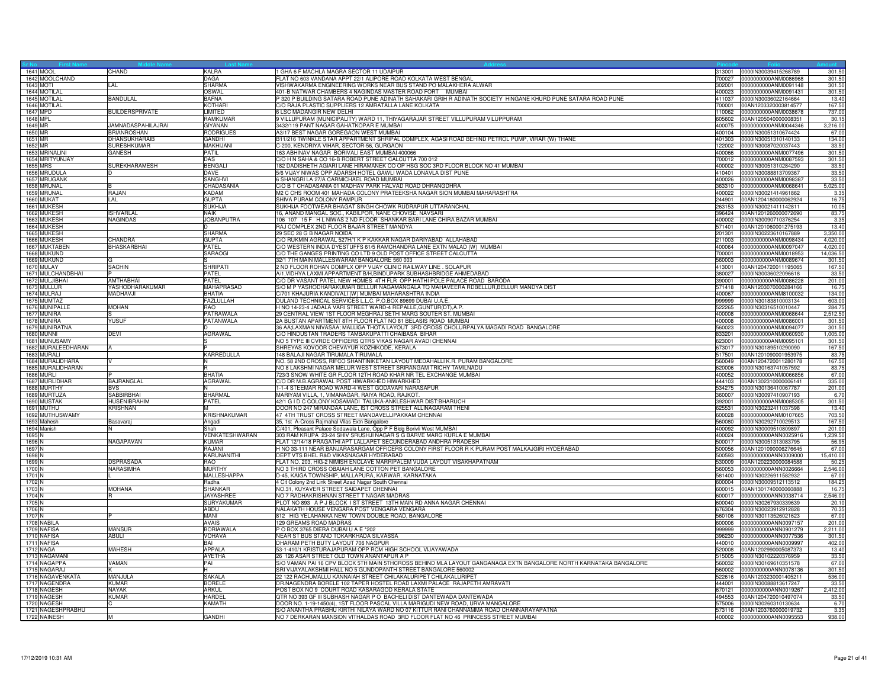|          | 1641 MOOL          | CHAND                  | KALRA                   | GHA 6 F MACHLA MAGRA SECTOR 11 UDAIPUR                                                                            | 313001           | 0000IN30039415268789        | 301.5    |
|----------|--------------------|------------------------|-------------------------|-------------------------------------------------------------------------------------------------------------------|------------------|-----------------------------|----------|
|          | 1642 MOOLCHAND     |                        | <b>DAGA</b>             | FLAT NO 603 VANDANA APPT 22/1 ALIPORE ROAD KOLKATA WEST BENGAL                                                    | 700027           | 0000000000ANM0086968        | 301.5    |
|          | 1643 MOTI          | I AI                   | <b>SHARMA</b>           | /ISHWAKARMA ENGINEERING WORKS NEAR BUS STAND PO MALAKHERA ALWAR                                                   | 302001           | 0000000000ANM0091148        | 301.5    |
|          | 1644 MOTILAL       |                        | OSWAL                   | 401-B NATWAR CHAMBERS 4 NAGINDAS MASTER ROAD FORT MUMBAI                                                          | 400023           | 0000000000ANM0091431        | 301.50   |
|          | 1645 MOTILAL       | <b>BANDULAL</b>        | <b>BAFNA</b>            | 320 P BUILDING SATARA ROAD PUNE ADINATH SAHAKARI GRIH R ADINATH SOCIETY HINGANE KHURD PUNE SATARA ROAD PUNE       | 411037           | 0000IN30036022164664        | 13.4     |
|          | 1646 MOTILAL       |                        | <b>KOTHARI</b>          | C/O RAJA PLASTIC SUPPLIERS 12 AMRATALLA LANE KOLKATA                                                              | 700001           | 00AN1203320003814577        | 167.5    |
|          | 1647 MPD           | <b>BUILDERSPRIVATE</b> | <b>I IMITED</b>         | 6 LSC MADANGIR NEW DELHI                                                                                          | 110062           | 0000000000ANM0038678        | 737.0    |
| 1648 MPL |                    |                        | RAMKUMAR                | 9 VILLUPURAM (MUNICIPALITY) WARD 11, THIYAGARAJAR STREET VILLUPURAM VILUPPURAM                                    | 605602           | 00AN1205040000008351        | 30.1     |
| 1649 MR  |                    | JAMNADASPAHILAJRAI     | GIYANAN                 | 3432/119 PANT NAGAR GAHATKOPAR E MUMBAI                                                                           | 400075           | 0000000000ANM0044346        | 3,216.0  |
| 1650 MR  |                    | <b>BRIANROSHAN</b>     | <b>RODRIGUES</b>        | A3/17 BEST NAGAR GOREGAON WEST MUMBAI                                                                             | 400104           | 0000IN30051310674424        | 67.00    |
| 1651 MR  |                    | DHANSUKHARAIB          | <b>GANDHI</b>           | B11/216 TWINKLE STAR APPARTMENT SHRIPAL COMPLEX, AGASI ROAD BEHIND PETROL PUMP, VIRAR (W) THANE                   | 401303           | 0000IN30051310140133        | 134.00   |
| 1652 MR  |                    | <b>SURESHKUMAR</b>     | <b>MAKHIJANI</b>        | C-200, KENDRIYA VIHAR, SECTOR-56, GURGAON                                                                         |                  | 122002 0000IN30087020037443 | 33.50    |
|          | 1653 MRINALINI     | GANESH                 | PATIL                   | 63 ABHINAV NAGAR BORIVALI EAST MUMBAI 400066                                                                      | 400066           | 0000000000ANM0077496        | 301.5    |
|          | 1654 MRITYUNJAY    |                        | DAS                     | C/O H N SAHA & CO 16-B ROBERT STREET CALCUTTA 700 012                                                             | 700012           | 0000000000ANM0087593        | 301.5    |
|          | 1655 MRS           | SUREKHARAMESH          | <b>BENGALI</b>          | 82 DADISHETH AGIARI LANE HIRAMANEK CO OP HSG SOC 3RD FLOOR BLOCK NO 41 MUMBAI                                     | 400002           | 0000IN30051310284290        | 33.5     |
|          | 1656 MRUDULA       |                        | DAVE                    | 5/6 VIJAY NIWAS OPP ADARSH HOTEL GAWLI WADA LONAVLA DIST PUNE                                                     | 410401           | 0000IN30088813709367        | 33.5     |
|          | 1657 MRUGANK       |                        | <b>SANGHV</b>           | 6 SHANGRI LA 27/A CARMICHAEL ROAD MUMBAI                                                                          | 400026           | 0000000000ANM0098387        | 33.50    |
|          | 1658 MRUNAL        |                        | CHADASANIA              | C/O B T CHADASANIA 01 MADHAV PARK HALVAD ROAD DHRANGDHRA                                                          | 363310           | 0000000000ANM0068641        | 5,025.0  |
|          | 1659 MRUNAL        | RAJAN                  | <b>KADAM</b>            | M2 C CHS ROOM 401 MAHADA COLONY PRATEEKSHA NAGAR SION MUMBAI MAHARASHTRA                                          | 400022           | 0000IN30021414961862        | 3.35     |
|          | 1660 MUKAT         | LAL                    | <b>GUPTA</b>            | SHIVA PURAM COLONY RAMPUR                                                                                         | 244901           | 00AN1204180000062924        | 16.7     |
|          | 1661 MUKESH        |                        | <b>SUKHIJA</b>          | SUKHIJA FOOTWEAR BHAGAT SINGH CHOWK RUDRAPUR UTTARANCHAL                                                          | 263153           | 0000lN30021411142811        | 10.0     |
|          | 1662 MUKESH        | <b>ISHVARLAL</b>       | <b>NAIK</b>             | 16, ANAND MANGAL SOC., KABILPOR, NANE CHOVISE, NAVSARI                                                            | 396424           | 00AN1201260000072690        | 83.75    |
|          | 1663 MUKESH        | <b>NAGINDAS</b>        | <b>JOBANPUTRA</b>       | 106 107 15 F H L NIWAS 2 ND FLOOR SHANKAR BARI LANE CHIRA BAZAR MUMBAI                                            | 400002           | 0000IN30090710376254        | 3.35     |
|          | 1664 MUKESH        |                        | D.                      | RAJ COMPLEX 2ND FLOOR BAJAR STREET MANDYA                                                                         | 571401           | 00AN1201060001275193        | 13.40    |
|          | 1665 MUKESH        |                        | <b>SHARMA</b>           | 29 SEC 28 G B NAGAR NOIDA                                                                                         | 201301           | 0000lN30223610167889        | 3,350.0  |
|          | 1666 MUKESH        | CHANDRA                | <b>GUPTA</b>            | C/O RUKMIN AGRAWAL 527H/1 K P KAKKAR NAGAR DARIYABAD ALLAHABAD                                                    | 211003           | 0000000000ANM0098434        | 4,020.00 |
|          | 1667 MUKTABEN      | <b>BHASKARBHAI</b>     | PATEL                   | C/O WESTERN INDIA DYESTUFFS 61/5 RAMCHANDRA LANE EXTN MALAD (W) MUMBAI                                            | 400064           | 0000000000ANM0097047        | 4.020.0  |
|          | 1668 MUKUND        |                        | <b>SARAOG</b>           | C/O THE GANGES PRINTING CO LTD 9 OLD POST OFFICE STREET CALCUTTA                                                  | 700001           | 0000000000ANM0018953        | 14,036.5 |
|          | 1669 MUKUND        |                        |                         | 32/1 7TH MAIN MALLESWARAM BANGALORE 560 003                                                                       | 560003           | 0000000000ANM0089674        | 301.50   |
|          | 1670 MULAY         | <b>SACHIN</b>          | <b>SHRIPATI</b>         | ND FLOOR ROHAN COMPLX OPP VIJAY CLINIC RAILWAY LINE . SOLAPUR                                                     | 413001           | 00AN1204720011195065        | 167.5    |
|          | 1671 MULCHANDBHAI  |                        | PATEL                   | A/1, VIDHYA LAXMI APPARTMENT B/H, BINDUPARK SUBHASHBRIDGE AHMEDABAD                                               | 380027           | 0000IN30036022096618        | 33.5     |
|          | 1672 MULJIBHAI     | <b>AMTHABHAI</b>       | PATEL                   | C/O DR VASANT PATEL NEW HOMES 4TH FLR OPP HATHI POLE PALACE ROAD BARODA                                           | 390001           | 0000000000ANM0086228        | 201.0    |
|          | 1673 MULLUR        | YASHODHARAKUMAR        | <b>MAHAPRASAD</b>       | S/O M P YASHODHARAKUMAR BELLUR NAGAMANGALA TQ MAHAVEERA RDBELLUR,BELLUR MANDYA DIST                               | 571418           | 00AN1203070000284166        | 16.7     |
|          | 1674 MULRAJ        | <b>MADHAVJI</b>        | <b>BHATIA</b>           | C/701 KHAJURIA KANDIVALI (W) MUMBAI MAHARASHTRA INDIA                                                             | 400067           | 0000000000ANM8100032        | 134.00   |
|          | 1675 MUMTAZ        |                        |                         | DULAND TECHNICAL SERVICES L.L.C. P.O.BOX 89699 DUBAI U.A.E                                                        | 999999           |                             | 603.0    |
|          | 1676 MUNIPALL      | <b>MOHAN</b>           | FAZLULLAH<br><b>RAO</b> | H NO 14-23-4 JADALA VARI STREET WARD-4 REPALLE, GUNTUR(DT), A.P.                                                  | 522265           | 0000lN30183810003134        |          |
|          |                    |                        |                         | 29 CENTRAL VIEW 1ST FLOOR MEGHRAJ SETHI MARG SOUTER ST. MUMBAI                                                    |                  | 0000lN30316510010447        | 284.7    |
|          | 1677 MUNIRA        |                        | PATRAWALA               |                                                                                                                   | 400008<br>400008 | 0000000000ANM0068644        | 2,512.5  |
|          | 1678 MUNIRA        | <b>YUSUF</b>           | PATANWALA               | 2A BUSTAN APARTMENT 8TH FLOOR FLAT NO 81 BELASIS ROAD MUMBAI                                                      |                  | 0000000000ANM0086001        | 301.50   |
|          | 1679 MUNIRATNA     |                        |                         | 36 AA;LAXMAN NIVASAA; MALLIGA THOTA LAYOUT 3RD CROSS CHOLURPALYA MAGADI ROAD BANGALORE                            | 560023           | 0000000000ANM0094077        | 301.5    |
|          | <b>1680 MUNNI</b>  | DEVI                   | <b>AGRAWAL</b>          | C/O HINDUSTAN TRADERS TAMBAKUPATTI CHAIBASA BIHAR                                                                 | 833201           | 0000000000ANM0060930        | 1,005.0  |
|          | 1681 MUNUSAMY      |                        |                         | NO 5 TYPE III CVRDE OFFICERS QTRS VIKAS NAGAR AVADI CHENNAI                                                       | 623001           | 0000000000ANM0095101        | 301.5    |
|          | 1682 MURALEEDHARAN | A                      |                         | SHREYAS KOVOOR CHEVAYUR KOZHIKODE, KERALA                                                                         | 673017           | 0000lN30189510290090        | 167.5    |
|          | 1683 MURALI        |                        | KARREDULLA              | 48 BALAJI NAGAR TIRUMALA TIRUMALA                                                                                 | 517501           | 00AN1201090001953975        | 83.7     |
|          | 1684 MURALIDHARA   |                        |                         | NO. 58 2ND CROSS, RIFCO SHANTINIKETAN LAYOUT MEDAHALLI K.R. PURAM BANGALORE                                       | 560049           | 00AN1204720011280178        | 167.50   |
|          | 1685 MURALIDHARAN  |                        |                         | NO 8 LAKSHMI NAGAR MELUR WEST STREET SRIRANGAM TRICHY TAMILNADU                                                   | 620006           | 0000lN30163741057592        | 83.7     |
|          | 1686 MURLI         |                        | RHATIA                  | 723/3 SNOW WHITE GR FLOOR 12TH ROAD KHAR NR TEL EXCHANGE MUMBAI                                                   | 400052           | 0000000000ANM0066856        | 67.0     |
|          | 1687 MURLIDHAR     | <b>BAJRANGLAL</b>      | <b>AGRAWAI</b>          | C/O DR M.B.AGRAWAL POST HIWARKHED HIWARKHED                                                                       | 444103           | 00AN1302310000006141        | 335.0    |
|          | 1688 MURTHY        | <b>BVS</b>             | N                       | -1-4 STEEMAR ROAD WARD-4 WEST GODAVARI NARASAPUR                                                                  | 534275           | 0000lN30136410067787        | 201.00   |
|          | 1689 MURTUZA       | <b>SABBIRBHAI</b>      | <b>BHARMAL</b>          | MARIYAM VILLA, 1, VIMANAGAR, RAIYA ROAD, RAJKOT,                                                                  | 360007           | 0000IN30097410907193        | 6.7      |
|          | 1690 MUSTAK        | <b>HUSENIBRAHIM</b>    | <b>PATEL</b>            | 42/1 G I D C COLONY KOSAMADI TALUKA-ANKLESHWAR DIST:BHARUCH                                                       | 392001           | 0000000000ANM0085305        | 301.5    |
|          | 1691 MUTHU         | <b>KRISHNAN</b>        | M                       | DOOR NO 247 MIRANDAA LANE, IST CROSS STREET ALLINAGARAM THENI                                                     | 625531           | 0000lN30232411037598        | 13.4     |
|          | 1692 MUTHUSWAMY    |                        | <b>KRISHNAKUMAR</b>     | 47 4TH TRUST CROSS STREET MANDAVELLIPAKKAM CHENNAI                                                                | 600028           | 0000000000ANM0107665        | 703.5    |
|          | 1693 Mahesh        | Basavaraj              | Angadi                  | 35, 1st A-Cross Rajmahal Vilas Extn Bangalore                                                                     | 560080           | 0000IN30292710029513        | 167.5    |
|          | 1694 Manish        |                        | Shah                    | C/401, Pleasant Palace Sodawala Lane, Opp P F Bldg Borivli West MUMBAI                                            | 400092           | 0000lN30009510809897        | 201.0    |
| 1695 N   |                    |                        | VENKATESHWARAN          | 303 RAM KRUPA 23-24 SHIV SRUSHJI NAGAR S G BARVE MARG KURLA E MUMBAI                                              | 400024           | 0000000000ANN0025916        | 1,239.5  |
| 1696 N   |                    | NAGAPAVAN              | <b>KUMAR</b>            | FLAT 12/14/18 PRAGATHI APT LALLAPET SECUNDERABAD ANDHRA PRADESH                                                   | 500017           | 0000lN30051313083795        | 56.9     |
| 1697 N   |                    |                        | RAJANI                  | HNO 33-111 NEAR BANJARASARGAM OFFICERS COLONY FIRST FLOOR R K PURAM POST MALKAJGIRI HYDERABAD                     | 500056           | 00AN1201090006276645        | 67.0     |
| 1698 N   |                    |                        | KARUNANITHI             | DEPT VTS BHEL R&D VIKASNAGAR HYDERABAD                                                                            | 500593           | 0000000000ANN0009000        | 15,410.0 |
| 1699 N   |                    | <b>DSPRASADA</b>       | RAO                     | FLAT NO. 203, HIG-2 NIMISH ENCLAVE MARRIPALEM VUDA LAYOUT VISAKHAPATNAM                                           | 530009           | 00AN1202230000084588        | 50.2     |
| 1700 N   |                    | NARASIMHA              | <b>MURTHY</b>           | NO 3 THIRD CROSS OBAIAH LANE COTTON PET BANGALORE                                                                 | 560053           | 0000000000ANN0026664        | 2,546.0  |
| 1701 N   |                    |                        | MALLESHAPPA             | D-45, KAIGA TOWNSHIP, MALLAPURA, KARWAR, KARNATAKA                                                                | 581400           | 0000lN30226911582932        | 67.0     |
| 1702 N   |                    |                        | Radha                   | 4 Cit Colony 2nd Link Street Azad Nagar South Chennai                                                             | 600004           | 0000lN30009512113512        | 184.2    |
| 1703 N   |                    | <b>MOHANA</b>          | <b>SHANKAR</b>          | NO.31, KUYAVER STREET SAIDAPET CHENNAI                                                                            | 600015           | 00AN1301740000060888        | 16.7     |
| 1704 N   |                    |                        | <b>JAYASHREE</b>        | NO 7 RADHAKRISHNAN STREET T NAGAR MADRAS                                                                          | 600017           | 0000000000ANN0038714        | 2,546.0  |
| 1705 N   |                    |                        | SURYAKUMAR              | PLOT NO 893 A P J BLOCK I ST STREET 13TH MAIN RD ANNA NAGAR CHENNAI                                               | 600040           | 0000lN30267930339639        | 20.1     |
| 1706 N   |                    |                        | ABDU                    | NALAKATH HOUSE VENGARA POST VENGARA VENGARA                                                                       | 676304           | 0000IN30023912912828        | 70.3     |
| 1707 N   |                    |                        | MANI                    | 812 HIG YELAHANKA NEW TOWN DOUBLE ROAD, BANGALORE                                                                 | 560106           | 0000lN30113526021623        | 67.0     |
|          | 1708 NABILA        |                        | <b>AVAIS</b>            | 129 GREAMS ROAD MADRAS                                                                                            | 600006           | 0000000000ANN0097157        | 201.0    |
|          | 1709 NAFISA        | <b>MANSUR</b>          | <b>BORIAWALA</b>        | P O BOX 3765 DIERA DUBAI U A E *202                                                                               | 999999           | 0000000000ANN0901279        | 2,211.0  |
|          | 1710 NAFISA        | ABULI                  | <b>VOHAVA</b>           | NEAR ST BUS STAND TOKARKHADA SILVASSA                                                                             | 396230           | 0000000000ANN0077536        | 301.5    |
|          | 1711 NAFISA        |                        | BAI                     | DHARAM PETH BUTY LAYOUT 706 NAGPUR                                                                                | 440010           | 0000000000ANN0009997        | 402.0    |
|          | 1712 NAGA          | <b>MAHESH</b>          | <b>APPALA</b>           | 53-1-410/1 KRISTURAJAPURAM OPP RCM HIGH SCHOOL VIJAYAWADA                                                         | 520008           | 00AN1202990005087373        | 13.4     |
|          | 1713 NAGAMANI      |                        | AYETHA                  | 26 126 ASAR STREET OLD TOWN ANANTAPUR A P                                                                         | 515005           | 0000IN30102220376959        | 33.50    |
|          | 1714 NAGAPPA       | VAMAN                  | PAI                     | S/O VAMAN PAI 16 CPV BLOCK 5TH MAIN 5THCROSS BEHIND MLA LAYOUT GANGANAGA EXTN BANGALORE NORTH KARNATAKA BANGALORE | 560032           | 0000lN30169610351578        | 67.0     |
|          | 1715 NAGARAJ       |                        | Iн.                     | SRI VIJAYALAKSHMI HALL NO 5 GUNDOPANTH STREET BANGALORE 560002                                                    | 560002           | 0000000000ANN0078136        | 301.5    |
|          | 1716 NAGAVENKATA   | MANJULA                | <b>SAKALA</b>           | 22 122 RACHUMALLU KANNAIAH STREET CHILAKALURIPET CHILAKALURIPET                                                   | 522616           | 00AN1203230001405211        | 536.0    |
|          | 1717 NAGENDRA      | KUMAR                  | <b>BORELE</b>           | DR.NAGENDRA BORELE 102 TAPER HOSTEL ROAD LAXMI PALACE RAJAPETH AMRAVATI                                           | 444001           | 0000IN30088813617247        | 33.50    |
|          | 1718 NAGESH        | <b>NAYAK</b>           | <b>ARKUL</b>            | POST BOX NO 9 COURT ROAD KASARAGOD KERALA STATE                                                                   | 670121           | 0000000000ANN0019267        | 2,412.00 |
|          | 1719 NAGESH        | <b>KUMAR</b>           | HARDEI                  | QTR NO 393 GF III SUBHASH NAGAR P O BACHELI DIST DANTEWADA DANTEWADA                                              | 494553           | 00AN1204720010497074        | 33.5     |
|          | 1720 NAGESH        |                        | <b>KAMATH</b>           | DOOR NO. 1-19-1450(4), 1ST FLOOR PASCAL VILLA MARIGUDI NEW ROAD, URVA MANGALORE                                   | 575006           | 0000IN30260310130634        | 6.7      |
|          | 1721 NAGESHPRABHU  |                        |                         | S/O ANANTHA PRABHU KIRTHI NILAYA WARD NO 07 KITTUR RANI CHANNAMMA ROAD CHANNARAYAPATNA                            | 573116           | 00AN1203760000019732        | 3.35     |
|          | 1722 NAINESH       | lм.                    | <b>GANDHI</b>           | NO 7 DERKARAN MANSION VITHALDAS ROAD 3RD FLOOR FLAT NO 46 PRINCESS STREET MUMBAI                                  |                  | 400002 0000000000ANN0095553 | 938.00   |
|          |                    |                        |                         |                                                                                                                   |                  |                             |          |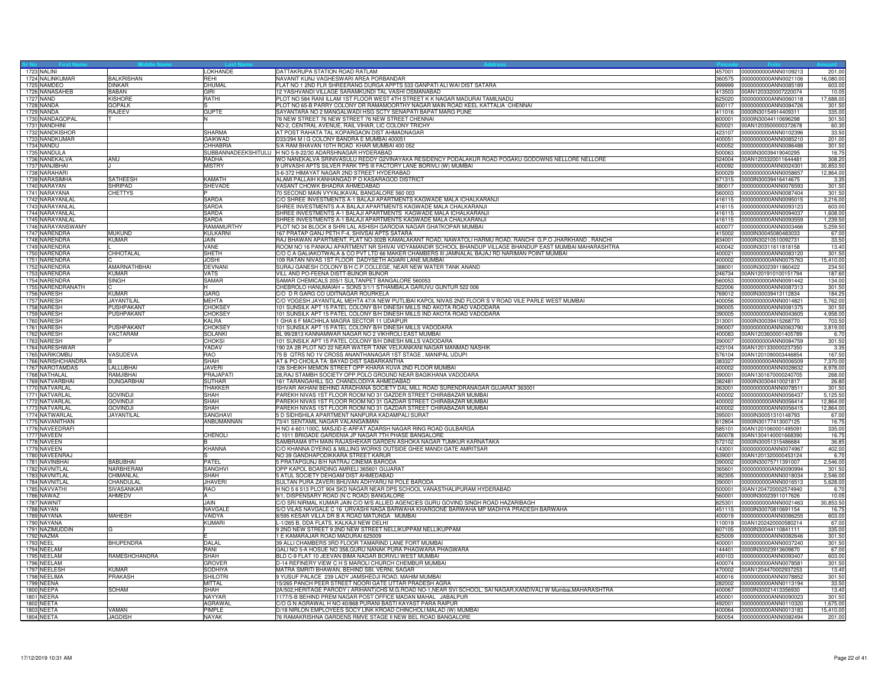| 1723 NALINI                      |                                   | LOKHANDE               | DATTAKRUPA STATION ROAD RATLAM                                                                                  | 457001 | 0000000000ANN0109213                                | 201.00              |
|----------------------------------|-----------------------------------|------------------------|-----------------------------------------------------------------------------------------------------------------|--------|-----------------------------------------------------|---------------------|
| 1724 NALINKUMAR                  | <b>BALKRISHAN</b>                 | REHI                   | NAVANIT KUNJ VAGHESWARI AREA PORBANDAR                                                                          | 360575 | 0000000000ANN0021106                                | 16,080.0            |
| 1725 NAMDEO                      | <b>DINKAR</b>                     | DHUMAL                 | FLAT NO 1 2ND FLR SHREERANG DURGA APPTS 533 GANPATI ALI WAI DIST SATARA                                         | 999999 | 0000000000ANN0085189                                | 603.00              |
| 1726 NANASAHEB                   | <b>BABAN</b>                      | GIRI                   | 12 YASHVANDI VILLAGE SARAMKUNDI TAL VASHI OSMANABAD                                                             |        | 413503 00AN1203320007220074                         | 10.05               |
| 1727 NAND                        | <b>KISHORE</b>                    | RATHI                  | PLOT NO 584 RANI ILLAM 1ST FLOOR WEST 4TH STREET K K NAGAR MADURAI TAMILNADU                                    | 625020 | 0000000000ANN0060118                                | 17,688.00           |
| 1728 NANDA                       | <b>GOPALK</b>                     |                        | PLOT NO 65-B PARRY COLONY DR RAMAMOORTHY NAGAR MAIN ROAD KEEL KATTALIA CHENNAI                                  | 600117 | 0000000000ANN0084726                                | 301.50              |
| 1729 NANDA                       | <b>RAJEEV</b>                     | <b>GUPTE</b>           | SAYANTARA NO 2 MANGALWADI HSG SCTY SENAPATI BAPAT MARG PUNE                                                     | 411016 | 0000IN30154914409311                                | 335.00              |
| 1730 NANDAGOPAL                  |                                   |                        | 76 NEW STREET 76 NEW STREET 76 NEW STREET CHENNAI                                                               | 600001 | 0000IN30044110696298                                | 301.50              |
| 1731 NANDHINI                    |                                   |                        | NO-2, CENTRAL AVENUE, RAIL VIHAR, LIC COLONY TRICHY                                                             | 620021 | 00AN1203500000372678                                | 60.30               |
| 1732 NANDKISHOR                  |                                   | <b>SHARMA</b>          | AT POST RAHATA TAL KOPARGAON DIST AHMADNAGAR                                                                    | 423107 | 0000000000ANN0102396                                | 33.50               |
| 1733 NANDKUMAR                   |                                   | <b>GAIKWAD</b>         | D33/294 M I G COLONY BANDRA E MUMBAI 400051                                                                     | 400051 | 0000000000ANN0085210                                | 201.00              |
| 1734 NANDU                       |                                   | CHHABRIA               | 5/A RAM BHAVAN 10TH ROAD KHAR MUMBAI 400 052                                                                    | 400052 | 0000000000ANN0086488                                | 301.50              |
| 1735 NANDULA                     |                                   |                        | SUBBANNADEEKSHITULU  H NO 5-9-22/30 ADARSHNAGAR HYDERABAD                                                       | 500063 | 0000IN30039419040295                                | 16.7                |
|                                  |                                   |                        | WO NANEKALVA SRINIVASULU REDDY G2VINAYAKA RESIDENCY PODALAKUR ROAD POGAKU GODOWNS NELLORE NELLORE               |        |                                                     |                     |
| 1736 NANEKALVA<br>1737 NANJIBHAI | ANU                               | RADHA<br><b>MISTRY</b> | JURVASHI APTS SILVER PARK TPS III FACTORY LANE BORIVLI (W) MUMBAI                                               | 400092 | 524004 00AN1203320011644481<br>0000000000ANN0024301 | 308.20<br>30,853.50 |
|                                  |                                   |                        |                                                                                                                 |        |                                                     |                     |
| 1738 NARAHARI                    |                                   | <b>KAMATH</b>          | 3-6-372 HIMAYAT NAGAR 2ND STREET HYDERABAD<br>ALAMI PALLAIH KANHANGAD P O KASARAGOD DISTRICT                    | 500029 | 0000000000ANN0058657                                | 12,864.00           |
| 1739 NARASIMHA                   | <b>SATHEESH</b><br><b>SHRIPAD</b> |                        |                                                                                                                 | 671315 | 0000IN30039416414675                                | 3.35                |
| 1740 NARAYAN                     |                                   | <b>SHEVADE</b>         | VASANT CHOWK BHADRA AHMEDABAD                                                                                   | 380017 | 0000000000ANN0076593                                | 301.50              |
| 1741 NARAYANA                    | <b>CHETTYS</b>                    |                        | 70 SECOND MAIN VYYALIKAVAL BANGALORE 560 003                                                                    |        | 560003 0000000000ANN0087404                         | 301.50              |
| 1742 NARAYANLAL                  |                                   | <b>SARDA</b>           | C/O SHREE INVESTMENTS A-1 BALAJI APARTMENTS KAGWADE MALA ICHALKARANJI                                           |        | 416115 0000000000ANN0095015                         | 3,216.00            |
| 1743 NARAYANLAL                  |                                   | <b>SARDA</b>           | SHREE INVESTMENTS A-A BALAJI APARTMENTS KAGWADE MALA CHALKARANJI                                                | 416115 | 0000000000ANN0093123                                | 603.00              |
| 1744 NARAYANLAL                  |                                   | <b>SARDA</b>           | SHREE INVESTMENTS A-1 BALAJI APARTMENTS KAGWADE MALA ICHALKARANJI                                               |        | 416115 0000000000ANN0094037                         | 1,608.00            |
| 1745 NARAYANLAL                  |                                   | <b>SARDA</b>           | SHREE INVESTMENTS A-1 BALAJI APARTMENTS KAGWADE MALA CHALKARANJI                                                |        | 416115 0000000000ANN0093559                         | 1,239.5             |
| 1746 NARAYANSWAMY                |                                   | RAMAMURTHY             | PLOT NO 34 BLOCK 8 SHRI LAL ASHISH GARODIA NAGAR GHATKOPAR MUMBAI                                               |        | 400077  0000000000ANN0003466                        | 5,259.50            |
| 1747 NARENDRA                    | <b>MUKUND</b>                     | <b>KULKARNI</b>        | 167 PRATAP GANJ PETH F-4, SHIVSAI APTS SATARA                                                                   | 415002 | 0000IN30045080483033                                | 67.00               |
| 1748 NARENDRA                    | <b>KUMAR</b>                      | JAIN                   | RAJ BHAWAN APARTMENT, FLAT NO-302B KAMALAKANT ROAD, NAWATOLI HARMU ROAD, RANCHI G.P.O JHARKHAND , RANCHI        | 834001 | 0000lN30210510092731                                | 33.50               |
| 1749 NARENDRA                    |                                   | VANE                   | ROOM NO 16 PANKAJ APARTMENT NR SHIVAI VIDYAMANDIR SCHOOL BHANDUP VILLAGE BHANDUP EAST MUMBAI MAHARASHTRA        | 400042 | 0000lN30311611818158                                | 13.40               |
| 1750 NARENDRA                    | CHHOTALAL                         | <b>SHETH</b>           | C/O C A GALIAKOTWALA & CO PVT LTD 66 MAKER CHAMBERS III JAMNALAL BAJAJ RD NARIMAN POINT MUMBAI                  | 400021 | 0000000000ANN0083120                                | 301.50              |
| 1751 NARENDRA                    |                                   | <b>JOSHI</b>           | 109 RATAN NIVAS 1ST FLOOR DADYSETH AGIARI LANE MUMBAI                                                           | 400002 | 0000000000ANN0075763                                | 15,410.00           |
| 1752 NARENDRA                    | AMARNATHBHAI                      | <b>DEVNANI</b>         | SURAJ GANESH COLONY B/H C.P.COLLEGE, NEAR NEW WATER TANK ANAND                                                  | 388001 | 0000lN30023911860422                                | 234.50              |
| 1753 NARENDRA                    | <b>KUMAR</b>                      | <b>VATS</b>            | VILL AND PO-FEENA DISTT-BIJNOR BIJNOR                                                                           | 246734 | 00AN1201910100151794                                | 187.60              |
| 1754 NARENDRA                    | <b>SINGH</b>                      | <b>SAMAR</b>           | SAMAR CHEMICALS 205/1 SULTANPET BANGALORE 560053                                                                | 560053 | 0000000000ANN0091442                                | 134.00              |
| 1755 NARENDRANATH                |                                   | H                      | CHEBROLO HANUMAIAH + SONS 3/1/1 STHAMBALA GARUVU GUNTUR 522 006                                                 |        | 522006 0000000000ANN0087313                         | 301.50              |
| 1756 NARESH                      | KUMAR                             | <b>GARG</b>            | C/O D R GARG CO UDITNAGAR ROURKELA                                                                              |        | 769012 0000lN30039413112834                         | 184.25              |
| 1757 NARESH                      | JAYANTILAL                        | <b>MEHTA</b>           | C/O YOGESH JAYANTILAL MEHTA 47/A NEW PUTLIBAI KAPOL NIVAS 2ND FLOOR S V ROAD VILE PARLE WEST MUMBAI             | 400056 | 0000000000ANN0014821                                | 5,762.00            |
| 1758 NARESH                      | PUSHPAKANT                        | <b>CHOKSEY</b>         | 101 SUNSILK APT 15 PATEL COLONY B/H DINESH MILLS IND AKOTA ROAD VADODARA                                        | 390005 | 0000000000ANN0081375                                | 301.50              |
| 1759 NARESH                      | <b>PUSHPAKANT</b>                 | <b>CHOKSEY</b>         | 101 SUNSILK APT 15 PATEL COLONY B/H DINESH MILLS IND AKOTA ROAD VADODARA                                        | 390005 | 0000000000ANN0043605                                | 4,958.00            |
| 1760 NARESH                      |                                   | <b>KALRA</b>           | I GHA 6 F MACHHLA MAGRA SECTOR 11 UDAIPUR                                                                       | 313001 | 0000lN30039415268770                                | 703.5               |
| 1761 NARESH                      | <b>PUSHPAKANT</b>                 | <b>CHOKSEY</b>         | 101 SUNSILK APT 15 PATEL COLONY B/H DINESH MILLS VADODARA                                                       | 390007 | 0000000000ANN0063790                                | 3,819.0             |
| 1762 NARESH                      | VACTARAM                          | <b>SOLANKI</b>         | BL 99/2813 KANNAMWAR NAGAR NO 2 VIKHROLI EAST MUMBAI                                                            | 400083 | 00AN1203600001405789                                | 6.7                 |
| 1763 NARESH                      |                                   | <b>CHOKSI</b>          | 101 SUNSILK APT 15 PATEL COLONY B/H DINESH MILLS VADODARA                                                       | 390007 | 0000000000ANN0084759                                | 301.50              |
| 1764 NARESHWAR                   |                                   | YADAV                  | 190 2A 2B PLOT NO 22 NEAR WATER TANK VELKANKANI NAGAR MANMAD NASHIK                                             | 423104 | 00AN1201330000237350                                | 3.35                |
| 1765 NARIKOMBU                   | VASUDEVA                          | <b>RAO</b>             | 75 B QTRS NO 1V CROSS ANANTHANAGAR 1ST STAGE, MANIPAL UDUPI                                                     |        | 576104 00AN1201090003446854                         | 167.50              |
| 1766 NARISHCHANDRA               |                                   | SHAH                   | AT & PO CHOILA TA: BAYAD DIST SABARKANTHA                                                                       | 383327 | 0000000000ANN0006509                                | 7,370.00            |
| 1767 NAROTAMDAS                  | LALLUBHAI                         | <b>JAVERI</b>          | 26 SHEIKH MEMON STREET OPP KHARA KUVA 2ND FLOOR MUMBAI                                                          | 400002 | 0000000000ANN0028632                                | 8,978.00            |
| 1768 NATHALAL                    | RAM.JIBHAI                        | PRAJAPATI              | 28, RAJ STAMBH SOCIETY OPP. POLO GROUND NEAR BAGIKHANA VADODARA                                                 | 390001 | 00AN1301670000240705                                | 268.00              |
| 1769 NATVARBHAI                  | <b>DUNGARBHAI</b>                 | <b>SUTHAR</b>          | 161 TARANGAHILL SO. CHANDLODIYA AHMEDABAD                                                                       | 382481 | 0000IN30304410021817                                | 26.80               |
| 1770 NATVARLAL                   |                                   | <b>THAKKER</b>         | ISHVAR AKHANI BEHIND ARADHANA SOCIETY DAL MILL ROAD SURENDRANAGAR GUJARAT 363001                                |        | 363001 0000000000ANN0078511                         | 301.50              |
| 1771 NATVARLAL                   | <b>GOVINDJI</b>                   | <b>SHAH</b>            | PAREKH NIVAS 1ST FLOOR ROOM NO 31 GAZDER STREET CHIRABAZAR MUMBAI                                               | 400002 | 0000000000ANN0056437                                | 5,125.5             |
| 1772 NATVARLAL                   | <b>GOVINDJI</b>                   | SHAH                   | PAREKH NIVAS 1ST FLOOR ROOM NO 31 GAZDAR STREET CHIRABAZAR MUMBAI                                               | 400002 | 0000000000ANN0056414                                | 12,864.0            |
| 1773 NATVARLAL                   | <b>GOVINDJI</b>                   | <b>SHAH</b>            | PAREKH NIVAS 1ST FLOOR ROOM NO 31 GAZDAR STREET CHIRABAZAR MUMBAI                                               |        | 400002 0000000000ANN0056415                         | 12,864.0            |
| 1774 NATWARLAL                   | JAYANTILAL                        | <b>SANGHAV</b>         | 5 D SIDHSHILA APARTMENT NANPURA KADAMPALI SURAT                                                                 | 395001 | 0000IN30051310148793                                | 67.00               |
| 1775 NAVANITHAN                  |                                   | ANBUMANNAN             | 73/41 SENTAMIL NAGAR VALANGAIMAN                                                                                |        | 612804 0000IN30177413007125                         | 16.7                |
| 1776 NAVEEDRAFI                  |                                   |                        | H NO 4-601/100C, MASJID-E-ARFAT ADARSH NAGAR RING ROAD GULBARGA                                                 |        | 585101 00AN1201060001495091                         | 335.0               |
| 1777 NAVEEN                      |                                   | CHENOLI                | C 1011 BRIGADE GARDENIA JP NAGAR 7TH PHASE BANGALORE                                                            | 560078 | 00AN1304140001668390                                | 16.7                |
| 1778 NAVEEN                      |                                   |                        | SAMBRAMA 9TH MAIN RAJASHEKAR GARDEN ASHOKA NAGAR TUMKUR KARNATAKA                                               | 572102 | 0000lN30051315486684                                | 36.85               |
| 1779 NAVEEN                      |                                   | <b>KHANNA</b>          | C/O KHANNA DYEING & MILLING WORKS OUTSIDE GHEE MANDI GATE AMRITSAR                                              | 143001 | 0000000000ANN0074967                                | 402.00              |
| 1780 NAVEENRAJ                   |                                   |                        | NO 39 GANDHAPODIKKARA STREET KARUR                                                                              |        | 639001 00AN1201320000453124                         | 6.70                |
| 1781 NAVINBHAI                   | <b>BABUBHAI</b>                   | PATEL                  | 5 PRATAPGUNJ B/H NATRAJ CINEMA BARODA                                                                           | 390002 | 0000lN30075711391007                                | 2,546.00            |
| 1782 NAVNITLAL                   | NARBHERAM                         | <b>SANGHVI</b>         | OPP KAPOL BOARDING AMRELI 365601 GUJARAT                                                                        | 365601 | 0000000000ANN0090994                                | 301.5               |
| 1783 NAVNITLAL                   | CHIMANLAL                         | SHAH                   | 5 ATUL SOCIETY DEHGAM DIST AHMEDABAD                                                                            | 382305 | 0000000000ANN0018034                                | 2,546.0             |
| 1784 NAVNITLAL                   | CHANDULA                          | <b>JHAVERI</b>         | SULTAN PURA ZAVERI BHUVAN ADHYARU NI POLE BARODA                                                                |        | 390001  0000000000ANN0016513                        | 5,628.00            |
| 1785 NAVVATHI                    | SIVASANKAF                        | RAO                    | H NO 5 6 513 PLOT 904 SKD NAGAR NEAR DPS SCHOOL VANASTHALIPURAM HYDERABAD                                       |        | 500001 00AN1204720002574940                         | 6.7                 |
| 1786 NAWAZ                       | AHMEDV                            | ΙA                     | 9/1, DISPENSARY ROAD (N C ROAD) BANGALORE                                                                       | 560001 | 0000IN30023911017626                                | 10.05               |
| 1787 NAWNIT                      |                                   | <b>JAIN</b>            | C/O SRI NIRMAL KUMAR JAIN C/O M/S ALLIED AGENCIES GURU GOVIND SINGH ROAD HAZARIBAGH                             | 825301 | 0000000000ANN0021463                                | 30,853.5            |
| 1788 NAYAN                       |                                   | NAVGALE                | S/O VILAS NAVGALE C 16  URVASHI NAGA BARWAHA KHARGONE BARWAHA MP MADHYA PRADESH BARWAHA                         | 451115 | 0000lN30070810691154                                | 16.7                |
| 1789 NAYANA                      | <b>MAHESH</b>                     | VAIDYA                 | 8/595 KESAR VILLA DR B A ROAD MATUNGA MUMBAI                                                                    | 400019 | 0000000000ANN0086255                                | 603.00              |
| 1790 NAYANA                      |                                   | <b>KUMARI</b>          | L-1/265 B, DDA FLATS, KALKAJI NEW DELHI                                                                         |        | 110019 00AN1202420000580214                         | 67.00               |
| 1791 NAZIMUDDIN                  | IG.                               |                        | 9 2ND NEW STREET 9 2ND NEW STREET NELLIKUPPAM NELLIKUPPAM                                                       |        | 607105 0000IN30044110841111                         | 335.00              |
| 1792 NAZMA                       |                                   |                        | E KAMARAJAR ROAD MADURAI 625009                                                                                 | 625009 | 0000000000ANN0082646                                | 301.50              |
| 1793 NEEL                        | <b>BHUPENDRA</b>                  | <b>DALAL</b>           | 39 ALLI CHAMBERS 3RD FLOOR TAMARIND LANE FORT MUMBAI                                                            | 400001 | 0000000000ANN0037240                                | 301.50              |
| 1794 NEELAM                      |                                   | RANI                   | GALI NO 5-A HOSUE NO 358, GURU NANAK PURA PHAGWARA PHAGWARA                                                     |        | 144401 0000IN30023913609870                         | 67.00               |
| 1795 NEELAM                      | RAMESHCHANDRA                     | SHAH                   | BLD C-9 FLAT 10 JEEVAN BIMA NAGAR BORIVLI WEST MUMBAI                                                           |        | 400103 0000000000ANN0093407                         | 603.00              |
| 1796 NEELAM                      |                                   | <b>GROVER</b>          | D-14 REFINERY VIEW C H S MAROLI CHURCH CHEMBUR MUMBAI                                                           | 400074 | 0000000000ANN0078581                                | 301.50              |
| 1797 NEELESH                     | <b>KUMAR</b>                      | <b>SODHIYA</b>         | MATRA SMRITI BHAWAN, BEHIND SBI, VERNI, SAGAR                                                                   | 470002 | 00AN1204470002937253                                | 13.40               |
| 1798 NEELIMA                     | PRAKASH                           | SHILOTRI               | 9 YUSUF PALACE 239 LADY JAMSHEDJI ROAD, MAHIM MUMBAI                                                            | 400016 | 0000000000ANN0078852                                | 301.50              |
| 1799 NEENA                       |                                   | <b>MITTAL</b>          | 15/265 PANCH PEER STREET NOORI GATE UTTAR PRADESH AGRA                                                          | 282002 | 0000000000ANN0113194                                | 33.50               |
| <b>1800 NEEPA</b>                | <b>SOHAM</b>                      | <b>SHAH</b>            | 2A/502, HERITAGE PARODY (ARIHANT)CHS M.G.ROAD NO-1, NEAR SVI SCHOOL, SAI NAGAR, KANDIVALI W Mumbai, MAHARASHTRA | 400067 | 0000IN30021413356930                                | 13.40               |
| 1801 NEERA                       |                                   | <b>NAYYAR</b>          | 1177/5-B BEHIND PREM NAGAR POST OFFICE MADAN MAHAL JABALPUR                                                     | 450001 | 0000000000ANN0090023                                | 301.50              |
| 1802 NEETA                       |                                   | <b>AGRAWA</b>          | C/O G N AGRAWAL H NO 40/868 PURANI BASTI KAYAST PARA RAIPUR                                                     | 492001 | 0000000000ANN0110320                                | 1,675.00            |
| 1803 NEETA                       | VAMAN                             | PIMPLE                 | D/18 NIRLON EMPLOYEES SOCY LINK KROAD CHINCHOLI MALAD (W) MUMBAI                                                | 400064 | 0000000000ANN0013183                                | 15,410.00           |
| 1804 NEETA                       | <b>JAGDISH</b>                    | <b>NAYAK</b>           | 76 RAMAKRISHNA GARDENS RMVE STAGE II NEW BEL ROAD BANGALORE                                                     |        | 560054 0000000000ANN0082494                         | 201.00              |
|                                  |                                   |                        |                                                                                                                 |        |                                                     |                     |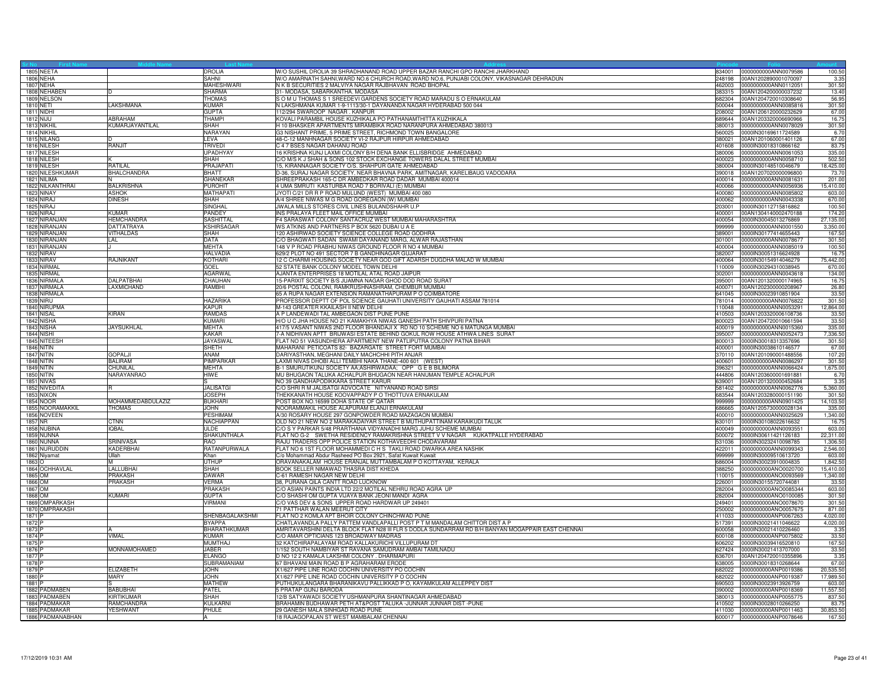|                   | 1805 NEETA         |                               | DROLIA              | W/O SUSHIL DROLIA 39 SHRADHANAND ROAD UPPER BAZAR RANCHI GPO RANCHI JHARKHAND                      | 34001  | 0000000000ANN0079586        | 100.50    |
|-------------------|--------------------|-------------------------------|---------------------|----------------------------------------------------------------------------------------------------|--------|-----------------------------|-----------|
|                   | 1806 NEHA          |                               | SAHNI               | W/O AMARNATH SAHNI, WARD NO.6 CHURCH ROAD, WARD NO.6, PUNJABI COLONY, VIKASNAGAR DEHRADUN          |        | 248198 00AN1202890001070097 | 3.3       |
|                   | <b>1807 NEHA</b>   |                               | <b>MAHESHWARI</b>   | N K B SECURITIES 2 MALVIYA NAGAR RAJBHAVAN ROAD BHOPAL                                             |        | 462003 0000000000ANN0112051 | 301.50    |
|                   | 1808 NEHABEN       |                               | SHARMA              | 31- MODASA, SABARKANTHA. MODASA                                                                    |        | 383315 00AN1204200000037232 | 13.40     |
|                   | 1809 NELSON        |                               | THOMAS              | SOM U THOMAS S 1 SREEDEVI GARDENS SOCIETY ROAD MARADU S O ERNAKULAM                                | 682304 | 00AN1204720010308640        | 56.95     |
| 1810 NETI         |                    | AKSHMANA                      | <b>KUMAR</b>        | N LAKSHMANA KUMAR 1-9-1113/30-1 DAYANANDA NAGAR HYDERABAD 500 044                                  | 500044 | 0000000000ANN0085816        | 301.5     |
|                   | 1811 NIDHI         |                               | <b>GUPTA</b>        | 112/294 SWAROOP NAGAR . KANPUR                                                                     | 208002 | 00AN1206120000232629        | 67.00     |
| <b>1812 NIJU</b>  |                    | <b>ABRAHAM</b>                | THAMP               | KOVALI PARAMBIL HOUSE KUZHIKALA PO PATHANAMTHITTA KUZHIKALA                                        | 689644 | 00AN1203320006690966        | 16.7      |
|                   | 1813 NIKHIL        | KUMARJAYANTILAL               | SHAH                | H 10 BHASKER APARTMENTS MIRAMBIKA ROAD NARANPURA AHMEDABAD 380013                                  |        | 380013 0000000000ANN0078029 | 301.50    |
|                   | 1814 NIKHIL        |                               | <b>NARAYAN</b>      | G3 NISHANT PRIME, 5 PRIME STREET, RICHMOND TOWN BANGALORE                                          | 560025 | 0000IN30169611724589        | 6.70      |
|                   | 1815 NILANG        |                               | LEVA                | 48-C-12 MANHNAGAR SOCIETY VI-2 RAJPUR HIRPUR AHMEDABAD                                             | 380021 | 00AN1201060001401126        | 67.00     |
|                   | 1816 NILESH        | RANJIT                        | TRIVED              | C 4 7 BSES NAGAR DAHANU ROAD                                                                       | 401608 | 0000IN30018310866162        | 83.7      |
|                   | 1817 NILESH        |                               | <b>UPADHYAY</b>     | 16 KRISHNA KUNJ LAXMI COLONY B/H DENA BANK ELLISBRIDGE AHMEDABAD                                   |        | 380006 0000000000ANN0061053 | 335.00    |
|                   | 1818 NILESH        |                               | SHAH                | C/O M/S K J SHAH & SONS 102 STOCK EXCHANGE TOWERS DALAL STREET MUMBAI                              |        | 400023 0000000000ANN0058710 | 502.50    |
|                   | <b>1819 NILESH</b> | <b>RATILAL</b>                | <b>PRAJAPATI</b>    | 15, KIRANNAGAR SOCIETY O/S. SHAHPUR GATE AHMEDABAD                                                 |        | 380004 0000IN30148510046679 | 18,425.00 |
|                   | 1820 NILESHKUMAR   | BHALCHANDRA                   | <b>BHATT</b>        | D-36, SURAJ NAGAR SOCIETY, NEAR BHAVNA PARK, AMITNAGAR, KARELIBAUG VADODARA                        | 390018 | 00AN1207020000096800        | 73.7      |
|                   | 1821 NILIMA        |                               | GHANEKAR            | SHREEPRAKASH 165-C DR AMBEDKAR ROAD DADAR MUMBAI 400014                                            | 400014 | 0000000000ANN0081631        |           |
|                   | 1822 NILKANTHRAI   |                               |                     | 4 UMA SMRUTI KASTURBA ROAD 7 BORIVALI (E) MUMBAI                                                   |        |                             | 201.00    |
|                   |                    | <b>BALKRISHNA</b>             | <b>PUROHIT</b>      |                                                                                                    | 400066 | 0000000000ANN0056936        | 15,410.00 |
|                   | 1823 NINAY         | <b>ASHOK</b>                  | MATHAPATI           | JYOTI C/21 DR R P ROAD MULUND (WEST) MUMBAI 400 080                                                |        | 400080 0000000000ANN0085802 | 603.00    |
|                   | 1824 NIRAJ         | <b>DINESH</b>                 | <b>SHAH</b>         | A/4 SHREE NIWAS M G ROAD GOREGAON (W) MUMBAI                                                       | 400062 | 0000000000ANN0043338        | 670.00    |
|                   | 1825 NIRAJ         |                               | <b>SINGHAL</b>      | JWALA MILLS STORES CIVIL LINES BULANDSHAHR U.P                                                     | 203001 | 0000lN30112715816862        | 100.50    |
|                   | 1826 NIRAJ         | KUMAR                         | PANDEY              | INS PRALAYA FLEET MAIL OFFICE MUMBAI                                                               | 400001 | 00AN1304140002470188        | 174.2     |
|                   | 1827 NIRANJAN      | <b>HEMCHANDRA</b>             | <b>SASHITTAI</b>    | F4 SARASWAT COLONY SANTACRUZ WEST MUMBAI MAHARASHTRA                                               |        | 400054 0000IN30045013276869 | 27,135.00 |
|                   | 1828 NIRANJAN      | DATTATRAYA                    | KSHIRSAGAR          | WS ATKINS AND PARTNERS P BOX 5620 DUBAI U A E                                                      |        | 999999 0000000000ANN0001550 | 3,350.00  |
|                   | 1829 NIRANJAN      | VITHALDAS                     | <b>SHAH</b>         | 120 ASHIRWAD SOCIETY SCIENCE COLLEGE ROAD GODHRA                                                   | 389001 | 0000lN30177414655443        | 167.50    |
|                   | 1830 NIRANJAN      | LAL                           | DATA                | C/O BHAGWATI SADAN SWAMI DAYANAND MARG, ALWAR RAJASTHAN                                            | 301001 | 0000000000ANN0078677        | 301.5     |
|                   | 1831 NIRANJAN      |                               | <b>MEHTA</b>        | 148 V P ROAD PRABHU NIWAS GROUND FLOOR R NO 4 MUMBAI                                               | 400004 | 0000000000ANN0085019        | 100.5     |
|                   | 1832 NIRAV         |                               | <b>HALVADIA</b>     | 629/2 PLOT NO 491 SECTOR 7 B GANDHINAGAR GUJARAT                                                   |        | 382007 0000IN30051316624928 | 16.7      |
|                   | <b>1833 NIRAV</b>  | RAJNIKANT                     | KOTHARI             | 12 C CHARMI HOUSING SOCIETY NEAR GOD GIFT ADARSH DUGDHA MALAD W MUMBAI                             |        | 400064 0000lN30154914046279 | 75,442.00 |
|                   | 1834 NIRMAL        |                               | GOEL                | 52 STATE BANK COLONY MODEL TOWN DELHI                                                              |        | 110009 0000IN30294310038945 | 670.00    |
|                   | 1835 NIRMAL        |                               | AGARWAL             | AJANTA ENTERPRISES 18 MOTILAL ATAL ROAD JAIPUR                                                     |        | 302001 0000000000ANN0043618 | 134.00    |
|                   | 1836 NIRMALA       | <b>DALPATBHAI</b>             | <b>CHAUHAN</b>      | 15-PARIXIT SOCIETY B/S JUAMNA NAGAR GHOD DOD ROAD SURAT                                            |        | 395001 00AN1201320000174965 | 16.7      |
|                   | 1837 NIRMALA       | <b>AXMICHAND</b>              | RAMBHI              | 20/6 POSTAL COLONI, RAMKRUSHNASHRAM, CHEMBUR MUMBAI                                                |        | 400071 00AN1202300000208967 | 26.80     |
|                   | 1838 NIRMALA       |                               |                     | 65 A RUPA NAGAR EXTENSION RAMANATHAPURAM P O COIMBATORE                                            |        | 641045 0000IN30023910851904 | 33.50     |
|                   | <b>1839 NIRU</b>   |                               | <b>HAZARIKA</b>     | PROFESSOR DEPTT OF POL SCIENCE GAUHATI UNIVERSITY GAUHATI ASSAM 781014                             | 781014 | 0000000000ANN0076822        | 301.5     |
|                   | 1840 NIRUPMA       |                               | KAPUR               | M-143 GREATER KKAILASH II NEW DELHI                                                                | 110048 | 0000000000ANN0053291        | 12,864.0  |
|                   | 1841 NISAL         | KIRAN                         | <b>RAMDAS</b>       | A P LANDEWADI TAL AMBEGAON DIST PUNE PUNE                                                          | 410503 | 00AN1203320006108736        | 33.50     |
|                   | 1842 NISHA         |                               | KUMARI              | H/O U C JHA HOUSE NO 21 KAMAKHYA NIWAS GANESH PATH SHIVPURI PATNA                                  |        | 800023 00AN1204720010661594 | 33.50     |
|                   | 1843 NISHA         | <b>JAYSUKHLAL</b>             | <b>MEHTA</b>        | 417/5 VASANT NIWAS 2ND FLOOR BHANDAJI X RD NO 10 SCHEME NO 6 MATUNGA MUMBAI                        |        | 400019 0000000000ANN0015360 | 335.00    |
|                   | 1844 NISHI         |                               | <b>KAKAR</b>        | 7-A NIDHIVAN APTT BRIJWASI ESTATE BEHIND GOKUL ROW HOUSE ATHWA LINES SURAT                         | 395007 | 0000000000ANN0052473        | 7,336.5   |
|                   | 1845 NITEESH       |                               | <b>JAYASWA</b>      | FLAT NO 51 VASUNDHERA APARTMENT NEW PATLIPUTRA COLONY PATNA BIHAR                                  | 800013 | 0000IN30018313357696        | 301.50    |
|                   | 1846 NITIN         |                               | <b>SHETH</b>        | MAHARANI PETICOATS 82- BAZARGATE STREET FORT MUMBAI                                                |        | 400001 0000IN30038610146577 | 67.00     |
|                   | <b>1847 NITIN</b>  | GOPALJI                       | ANAM                | DARIYASTHAN, MEGHANI DAILY MACHCHHI PITH ANJAR                                                     |        | 370110 00AN1201090001488556 | 107.20    |
|                   | <b>1848 NITIN</b>  | <b>BALIRAM</b>                | PIMPARKAR           | LAXMI NIVAS DHOBI ALLI TEMBHI NAKA THANE-400 601 (WEST)                                            | 400601 | 0000000000ANN0086297        | 301.50    |
|                   | 1849 NITIN         |                               |                     | B-1 SMURUTIKUNJ SOCIETY AA;ASHIRWADAA; OPP G E B BILIMORA                                          | 396321 |                             |           |
|                   |                    | <b>CHUNILAL</b><br>NARAYANRAO | <b>MEHTA</b>        |                                                                                                    |        | 0000000000ANN0066424        | 1,675.0   |
|                   | <b>1850 NITIN</b>  |                               | HIWE                | MU BHUGAON TALUKA ACHALPUR BHUGAON NEAR HANUMAN TEMPLE ACHALPUR                                    | 444806 | 00AN1203600001691881        | 6.7       |
|                   | 1851 NIVAS         |                               |                     | NO 39 GANDHAPODIKKARA STREET KARUR                                                                 |        | 639001 00AN1201320000452684 | 3.35      |
|                   | 1852 NIVEDITA      |                               | <b>JALISATGI</b>    | C/O SHRI R M JALISATGI ADVOCATE NITYANAND ROAD SIRSI                                               |        | 581402 0000000000ANN0062776 | 5,360.00  |
|                   | 1853 NIXON         |                               | <b>JOSEPH</b>       | THEKKANATH HOUSE KOOVAPPADY P O THOTTUVA ERNAKULAM                                                 | 683544 | 00AN1203280000151190        | 301.50    |
|                   | 1854 NOOR          | MOHAMMEDABDULAZIZ             | <b>BUKHARI</b>      | POST BOX NO.16599 DOHA STATE OF QATAR                                                              | 999999 | 0000000000ANN0901425        | 14,103.5  |
|                   | 1855 NOORAMAKKIL   | <b>THOMAS</b>                 | <b>JOHN</b>         | NOORAMMAKIL HOUSE ALAPURAM ELANJI ERNAKULAM                                                        | 686665 | 00AN1205730000028134        | 335.0     |
|                   | 1856 NOVEEN        |                               | <b>PESHIMAM</b>     | A/30 ROSARY HOUSE 297 GONPOWDER ROAD MAZAGAON MUMBAI                                               |        | 400010 0000000000ANN0025629 | 1,340.00  |
| 1857 NR           |                    | CTNN                          | NACHIAPPAN          | OLD NO 21 NEW NO 2 MARAKADAIYAR STREET B MUTHUPATTINAM KARAIKUDI TALUK                             |        | 630101 0000IN30108022616632 | 16.75     |
|                   | 1858 NUBINA        | <b>IOBAL</b>                  | ULDE                | C/O S Y PARKAR 5/48 PRARTHANA VIDYANADHI MARG JUHU SCHEME MUMBAI                                   | 400049 | 0000000000ANN0093551        | 603.00    |
|                   | 1859 NUNNA         |                               | SHAKUNTHALA         | FLAT NO G-2 SWETHA RESIDENCY RAMAKRISHNA STREET V V NAGAR KUKATPALLE HYDERABAD                     | 500072 | 0000lN30611421126183        | 22,311.00 |
|                   | 1860 NUNNA         | <b>SRINIVASA</b>              | <b>RAO</b>          | RAJU TRADERS OPP POLICE STATION KOTHAVEEDHI CHODAVARAM                                             | 531036 | 0000lN30232410098785        | 1,306.5   |
|                   | 1861 NURUDDIN      | KADERBHAI                     | RATANPURWALA        | FLAT NO 6 1ST FLOOR MOHAMMEDIC H S TAKLI ROAD DWARKA AREA NASHIK                                   |        | 422011 0000000000ANN0099343 | 2,546.0   |
|                   | 1862 Niyamat       | Ullah                         | Khan                | C/o Mohammad Abdur Rasheed PO Box 2921, Safat Kuwait Kuwait                                        | 999999 | 0000IN30009510613720        | 603.0     |
| 1863 O            |                    |                               | UTHUP               | ORAVANAKALAM HOUSE ERANJAL MUTTAMBALAM P O KOTTAYAM, KERALA                                        | 686004 | 0000lN30023910004835        | 1,842.5   |
|                   | 1864 OCHHAVLAL     | LALLUBHAI                     | <b>SHAH</b>         | BOOK SELLER NIMAWAD THASRA DIST KHEDA                                                              | 388250 | 0000000000ANO0020700        | 15,410.0  |
| 1865 OM           |                    | PRAKASH                       | DAWAR               | C-61 RAMESH NAGAR NEW DELHI                                                                        |        | 110015 0000000000ANO0093569 | 1,340.00  |
| 1866 OM           |                    | PRAKASH                       | VERMA               | 38, PURANA QILA CANTT ROAD LUCKNOW                                                                 | 226001 | 0000lN30155720744081        | 33.5      |
| 1867 OM           |                    |                               | PRAKASH             | C/O ASIAN PAINTS INDIA LTD 22/2 MOTILAL NEHRU ROAD AGRA UP                                         | 282004 | 0000000000ANO0085344        | 603.00    |
| 1868 OM           |                    | KUMARI                        | <b>GUPTA</b>        | C/O SHASHI OM GUPTA VIJAYA BANK JEONI MANDI AGRA                                                   | 282004 | 0000000000ANO0100085        | 301.5     |
|                   | 1869 OMPARKASH     |                               | VIRMANI             | C/O VAS DEV & SONS UPPER ROAD HARDWAR UP 249401                                                    | 249401 | 0000000000ANO0078670        | 301.5     |
|                   | 1870 OMPRAKASH     |                               |                     | 71 PATTHAR WALAN MEERUT CITY                                                                       | 250002 | 0000000000ANO0057675        | 871.00    |
| 1871 P            |                    |                               | SHENBAGALAKSHMI     | FLAT NO 2 KOMLA APT BHOIR COLONY CHINCHWAD PUNE                                                    | 411033 | 0000000000ANP0067263        | 4,020.0   |
| 1872 F            |                    |                               | <b>BYAPPA</b>       | CHATLAVANDLA PALLY PATTEM VANDLAPALLI POST P T M MANDALAM CHITTOR DIST A P                         | 517391 | 0000lN30021411046622        | 4,020.0   |
| 1873 F            |                    |                               | <b>BHARATHKUMAR</b> | AMRITAVARSHINI DELTA BLOCK FLAT N28 III FLR 5 DODLA SUNDARRAM RD B/H BANYAN MOGAPPAIR EAST CHENNAI | 600058 | 0000IN30021410226460        | 3.3       |
| 1874 F            |                    | VIMAL                         | <b>KUMAR</b>        | C/O AMAR OPTICIANS 123 BROADWAY MADRAS                                                             |        | 600108 0000000000ANP0075802 | 33.50     |
| 1875 <sub>F</sub> |                    |                               | <b>MUMTHAJ</b>      | 32 KATCHIRAPALAYAM ROAD KALLAKURICHI VILLUPURAM DT                                                 |        | 606202 0000IN30039416520810 | 167.50    |
| 1876 F            |                    | MONNAMOHAMED                  | <b>JABER</b>        | 1/152 SOUTH NAMBIYAR ST RAVANA SAMUDRAM AMBAI TAMILNADU                                            |        | 627424 0000IN30021413707000 | 33.50     |
| 1877 <sub>F</sub> |                    |                               | ELANGO              | D NO 12 2 KAMALA LAKSHMI COLONY . DHARMAPURI                                                       | 636701 | 00AN1204720010355896        | 3.35      |
| 1878              |                    |                               | SUBRAMANIAM         | 67 BHAVANI MAIN ROAD B P AGRAHARAM ERODE                                                           | 638005 | 0000lN30018310268644        | 67.0      |
| 1879 F            |                    | ELIZABETH                     | <b>JOHN</b>         | X1/627 PIPE LINE ROAD COCHIN UNIVERSITY PO COCHIN                                                  | 682022 | 0000000000ANP0019386        | 20,535.50 |
| 1880 P            |                    | <b>MARY</b>                   | <b>JOHN</b>         | X1/627 PIPE LINE ROAD COCHIN UNIVERSITY P O COCHIN                                                 | 682022 | 0000000000ANP0019387        | 17,989.50 |
| 1881 <sub>P</sub> |                    |                               | <b>MATHEW</b>       | PUTHUKULANGARA BHARANIKAVU PALLIKKAD P O, KAYAMKULAM ALLEPPEY DIST                                 |        | 690503 0000IN30023913926759 | 603.00    |
|                   | 1882 PADMABEN      | <b>BABUBHAI</b>               | PATEL               | 5 PRATAP GUNJ BARODA                                                                               | 390002 | 0000000000ANP0018369        | 11,557.5  |
|                   | 1883 PADMABEN      | KIRTIKUMAR                    | <b>SHAH</b>         | 12/B SATYAWADI SOCIETY USHMANPURA SHANTINAGAR AHMEDABAD                                            | 380013 | 0000000000ANP0055775        | 837.5     |
|                   | 1884 PADMAKAR      | <b>RAMCHANDRA</b>             | KULKARNI            | BRAHAMIN BUDHAWAR PETH AT&POST TALUKA -JUNNAR JUNNAR DIST -PUNE                                    | 410502 | 0000IN30028010266250        | 83.7      |
|                   | 1885 PADMAKAR      | <b>YESHWANT</b>               | PHULE               | 29 GANESH MALA SINHGAD ROAD PUNE                                                                   |        | 411030 0000000000ANP0011463 | 30,853.50 |
|                   | 1886 PADMANABHAN   |                               | A                   | 18 RAJAGOPALAN ST WEST MAMBALAM CHENNAI                                                            |        | 600017 0000000000ANP0078646 | 167.50    |
|                   |                    |                               |                     |                                                                                                    |        |                             |           |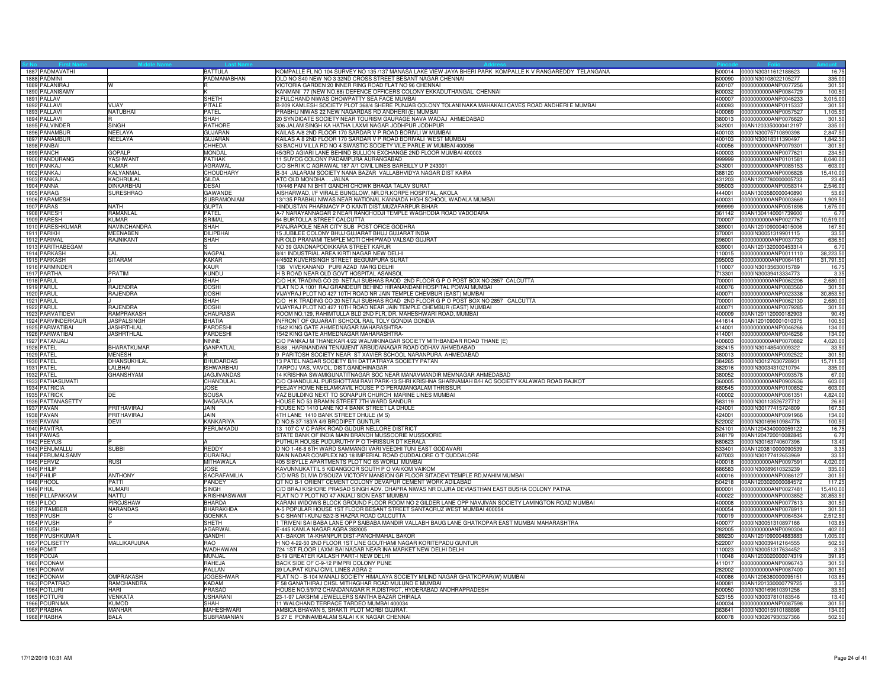| 1887 PADMAVATHI                 |                                 | <b>BATTULA</b>                      | KOMPALLE FL NO 104 SURVEY NO 135 /137 MANASA LAKE VIEW JAYA BHERI PARK KOMPALLE K V RANGAREDDY TELANGANA                                                  | 500014 0000IN30311612188623                                | 16.75            |
|---------------------------------|---------------------------------|-------------------------------------|-----------------------------------------------------------------------------------------------------------------------------------------------------------|------------------------------------------------------------|------------------|
| 1888 PADMINI                    |                                 | PADMANABHAN                         | OLD NO S40 NEW NO 3 32ND CROSS STREET BESANT NAGAR CHENNAI<br>600090                                                                                      | 0000IN30108022105277                                       | 335.00           |
| 1889 PALANIRAJ                  | w                               |                                     | VICTORIA GARDEN 20 INNER RING ROAD FLAT NO 96 CHENNAI<br>600107                                                                                           | 0000000000ANP0077256                                       | 301.50           |
| 1890 PALANISAMY                 |                                 |                                     | KANMANI 77 (NEW NO.68) DEFENCE OFFICERS COLONY EKKADUTHANGAL CHENNAI<br>600032                                                                            | 0000000000ANP0084729                                       | 100.5            |
| 1891 PALLAV                     |                                 | <b>SHETH</b>                        | 2 FULCHAND NIWAS CHOWPATTY SEA FACE MUMBAI                                                                                                                | 400007 0000000000ANP0046233                                | 3,015.00         |
| 1892 PALLAVI                    | <b>VIJAY</b>                    | <b>PITALE</b>                       | 3-209 KAMLESH SOCIETY PLOT 368/4 SHERE PUNJAB COLONY TOLANI NAKA MAHAKALI CAVES ROAD ANDHERI E MUMBAI<br>400093                                           | 0000000000ANP0115337                                       | 301.5            |
| 1893 PALLAVI                    | NATUBHAI                        | PATEL                               | PRABHU NIWAS 22 NEW NAGARDAS RD ANDHERI (E) MUMBAI<br>400069                                                                                              | 0000000000ANP0057527                                       | 1,105.5          |
| 1894 PALLAVI                    |                                 | <b>SHAH</b>                         | 20 SYNDICATE SOCIETY NEAR TOURISM GAURAGE NAVA WADAJ AHMEDABAD<br>380013                                                                                  | 0000000000ANP0076620                                       | 301.50           |
| 1895 PALVINDEF                  | <b>SINGH</b>                    | <b>RATHORE</b>                      | 306 JALAM SINGH KA HATHA LAXMI NAGAR JODHPUR JODHPUR<br>342001                                                                                            | 00AN1203350000412197                                       | 335.00           |
| 1896 PANAMBUR                   | NEELAYA                         | <b>GUJARAN</b>                      | KAILAS A/8 2ND FLOOR 170 SARDAR V P ROAD BORIVLI W MUMBAI<br>400103                                                                                       | 0000IN30075710890398                                       | 2,847.50         |
| 1897 PANAMBUR                   | NEELAYA                         | <b>GUJARAN</b>                      | KAILAS A 8 2ND FLOOR 170 SARDAR V P ROAD BORIVALI WEST MUMBAI<br>400103                                                                                   | 0000IN30018311390497                                       | 1,842.50         |
| 1898 PANBAI                     |                                 | CHHEDA                              | 53 BACHU VILLA RD NO 4 SWASTIC SOCIETY VILE PARLE W MUMBAI 400056<br>400056                                                                               | 0000000000ANP0079301                                       | 301.50           |
| 1899 PANCH                      | <b>GOPALP</b>                   | <b>MONDAL</b>                       | 45/3RD AGIARI LANE BEHIND BULLION EXCHANGE 2ND FLOOR MUMBAI 400003                                                                                        | 400003 0000000000ANP0077621                                | 234.5            |
| 1900 PANDURANG                  | <b>YASHWANT</b>                 | <b>PATHAK</b>                       | 11 SUYOG COLONY PADAMPURA AURANGABAD<br>999999                                                                                                            | 0000000000ANP0101581                                       | 8,040.00         |
| 1901 PANKAJ                     | KUMAR                           | AGRAWAL                             | C/O SHRIK C AGRAWAL 187 A/1 CIVIL LINES BAREILLY U P 243001<br>243001                                                                                     | 0000000000ANP0085153                                       | 603.00           |
| 1902 PANKAJ                     | KALYANMAL                       | CHOUDHARY                           | 3-34 JALARAM SOCIETY NANA BAZAR VALLABHVIDYA NAGAR DIST KAIRA<br>388120                                                                                   | 0000000000ANP0006828                                       | 15,410.0         |
| 1903 PANKAJ                     | KACHRULAL                       | GILDA                               | ATC OLD MONDHA JALNA<br>431203                                                                                                                            | 00AN1207780000005733                                       | 23.4             |
| 1904 PANNA                      | <b>DINKARBHAI</b>               | <b>DESAI</b>                        | 10/446 PANI NI BHIT GANDHI CHOWK BHAGA TALAV SURAT<br>395003                                                                                              | 0000000000ANP0058314                                       | 2,546.00         |
| 1905 PARAG                      | <b>SURESHRAO</b>                | <b>GAWANDE</b>                      | AISHARWAD, I/F VIRALE BUNGLOW, NR.DR.KORPE HOSPITAL, AKOLA                                                                                                | 444001 00AN1303580000040890                                | 53.60            |
| 1906 PARAMESH                   |                                 | <b>SUBRAMONIAM</b>                  | 13/135 PRABHU NIWAS NEAR NATIONAL KANNADA HIGH SCHOOL WADALA MUMBAI<br>400031                                                                             | 0000000000ANP0003669                                       | 1,909.5          |
| 1907 PARAS                      | <b>NATH</b>                     | <b>GUPTA</b>                        | HINDUSTAN PHARMACY P O KANTI DIST.MUZAFARPUR BIHAR<br>999999                                                                                              | 0000000000ANP0051898                                       | 1,675.0          |
| 1908 PARESH<br>1909 PARESH      | RAMANLAL<br><b>KUMAR</b>        | <b>PATEL</b><br>SRIMAL              | A-7 NARAYANNAGAR 2 NEAR RANCHODJI TEMPLE WAGHODIA ROAD VADODARA<br>54 BURTOLLA STREET CALCUTTA                                                            | 361142 00AN1304140001739600<br>700007 0000000000ANP0027767 | 6.7<br>10,519.00 |
|                                 |                                 |                                     |                                                                                                                                                           |                                                            |                  |
| 1910 PARESHKUMAR<br>1911 PARIKH | NAVINCHANDRA<br><b>MEENABEN</b> | SHAH<br><b>DILIPBHAI</b>            | PANJRAPOLE NEAR CITY SUB POST OFICE GODHRA<br>15 JUBILEE COLONY BHUJ GUJARAT BHUJ GUJARAT INDIA<br>370001                                                 | 389001 00AN1201090004015006<br>0000lN30051319901115        | 167.50<br>33.50  |
| 1912 PARIMAL                    | <b>RAJNIKANT</b>                | SHAH                                | NR OLD PRANAMI TEMPLE MOTI CHHIPWAD VALSAD GUJRAT<br>396001                                                                                               | 0000000000ANP0037730                                       | 636.5            |
| 1913 PARITHABEGAM               |                                 |                                     | NO 39 GANDNAPODIKKARA STREET KARUR<br>639001                                                                                                              | 00AN1201320000453314                                       | 6.7              |
| 1914 PARKASH                    | I AI                            | <b>NAGPAL</b>                       | 8/41 INDUSTRIAL AREA KIRTI NAGAR NEW DELHI<br>110015                                                                                                      | 0000000000ANP0011110                                       | 38,223.50        |
| 1915 PARKASH                    | <b>SITARAM</b>                  | <b>KAKAR</b>                        | 4/4502 KUVERSINGH STREET BEGUMPURA SURAT                                                                                                                  | 395003 0000000000ANP0064161                                | 31,791.50        |
| 1916 PARMINDER                  |                                 | <b>KAUR</b>                         | 138 VIVEKANAND PURI AZAD MARG DELHI<br>110007                                                                                                             | 0000lN30135630015789                                       | 16.75            |
| 1917 PARTHA                     | PRATIM                          | <b>KUNDU</b>                        | H B ROAD NEAR OLD GOVT HOSPITAL ASANSOL<br>713301                                                                                                         | 0000lN30039413334773                                       | 3.35             |
| 1918 PARUL                      |                                 | <b>SHAH</b>                         | C/O H.K.TRADING CO 20 NETAJI SUBHAS RAOD 2ND FLOOR G P O POST BOX NO 2857 CALCUTTA<br>700001                                                              | 0000000000ANP0062206                                       | 2,680.00         |
| 1919 PARUL                      | RAJENDRA                        | <b>DOSHI</b>                        | FLAT NO A 1001 RAJ GRANDEUR BEHIND HIRANANDANI HOSPITAL POWAI MUMBAI<br>400076                                                                            | 0000000000ANP0083560                                       | 301.50           |
| 1920 PARUL                      | RAJENDRA                        | <b>DOSHI</b>                        | VIJAYRAJ PLOT NO 427 10TH ROAD NR JAIN TEMPLE CHEMBUR (EAST) MUMBAI                                                                                       | 400071 0000000000ANP0023338                                | 30,853.50        |
| 1921 PARUL                      |                                 | <b>SHAH</b>                         | C/O H K TRADING CO 20 NETAJI SUBHAS ROAD 2ND FLOOR G P O POST BOX NO 2857 CALCUTTA<br>700001                                                              | 0000000000ANP0062130                                       | 2,680.00         |
| 1922 PARUL                      | <b>RAJENDRA</b>                 | <b>DOSHI</b>                        | VIJAYRAJ PLOT NO 427 10TH ROAD NEAR JAIN TEMPLE CHEMBUR (EAST) MUMBAI<br>400071                                                                           | 0000000000ANP0079285                                       | 301.5            |
| 1923 PARVATIDEVI                | <b>RAMPRAKASH</b>               | CHAURASIA                           | ROOM NO.129, RAHIMTULLA BLD 2ND FLR, DR. MAHESHWARI ROAD, MUMBAI<br>400009                                                                                | 00AN1201120000182903                                       | 90.45            |
| 1924 PARVINDERKAUR              | <b>JASPALSINGH</b>              | <b>BHATIA</b>                       | INFRONT OF GUJARATI SCHOOL RAIL TOLY GONDIA GONDIA                                                                                                        | 441614 00AN1201090001010375                                | 100.50           |
| 1925 PARWATIBAI                 | JASHRTHLAL                      | PARDESHI                            | 1542 KING GATE AHMEDNAGAR MAHARASHTRA-                                                                                                                    | 414001 0000000000ANP0046266                                | 134.00           |
| 1926 PARWATIBAI                 | <b>JASHRTHLAL</b>               | <b>PARDESHI</b>                     | <b>1542 KING GATE AHMEDNAGAR MAHARASHTRA-</b><br>414001                                                                                                   | 0000000000ANP0046256                                       | 134.00           |
| 1927 PATANJALI                  |                                 | <b>NINNE</b>                        | C/O PANKAJ M THANEKAR 4/22 WALMIKINAGAR SOCIETY MITHBANDAR ROAD THANE (E)<br>400603                                                                       | 0000000000ANP0070882                                       | 4,020.00         |
| 1928 PATEL                      | <b>BHARATKUMAR</b>              | <b>GANPATLAL</b>                    | B/88, HARINANDAN TENAMENT ARBUDANAGAR ROAD ODHAV AHMEDABAD<br>382415                                                                                      | 0000lN30148540009322                                       | 33.50            |
| 1929 PATEL                      | <b>MENESH</b>                   |                                     | FARITOSH SOCIETY NEAR ST XAVIER SCHOOL NARANPURA AHMEDABAD<br>380013                                                                                      | 0000000000ANP0092522                                       | 301.50           |
| 1930 PATEL                      | DHANSUKHLAL                     | <b>BHUDARDAS</b>                    | 3 PATEL NAGAR SOCIETY B/H DATTATRAYA SOCIETY PATAN<br>384265                                                                                              | 0000lN30127630728931                                       | 15,711.50        |
| 1931 PATEL                      | ALBHAI                          | <b>ISHWARBHAI</b>                   | ARPOJ VAS, VAVOL, DIST.GANDHINAGAR.<br>382016                                                                                                             | 0000lN30034310210794                                       | 335.0            |
| 1932 PATEL                      | <b>GHANSHYAM</b>                | JAGJIVANDAS                         | 14 KRISHNA SWAMIGUNATITNAGAR SOC NEAR MANAVMANDIR MEMNAGAR AHMEDABAD<br>380052                                                                            | 0000000000ANP0093578                                       | 67.00            |
| 1933 PATHASUMATI                |                                 | CHANDULAL                           | C/O CHANDULAL PURSHOTTAM RAVI PARK-13 SHRI KRISHNA SHARNAMAH B/H AC SOCIETY KALAWAD ROAD RAJKOT<br>360005                                                 | 0000000000ANP0902636                                       | 603.00           |
| 1934 PATRICIA                   |                                 | <b>JOSE</b>                         | PEEJAY HOME NEELAMKAVIL HOUSE P O PERAMANGALAM THRISSUR<br>680545                                                                                         | 0000000000ANP0100852                                       | 603.00           |
| 1935 PATRICK                    | DE                              | <b>SOUSA</b>                        | VAZ BUILDING NEXT TO SONAPUR CHURCH MARINE LINES MUMBAI                                                                                                   | 400002 0000000000ANP0061351                                | 4,824.00         |
| 1936 PATTANASETTY               |                                 | NAGARAJA                            | HOUSE NO 53 BRAMIN STREET 7TH WARD SANDUR<br>583119                                                                                                       | 0000lN30113526727712                                       | 26.80            |
| 1937 PAVAN                      | PRITHAVIRAJ                     | <b>JAIN</b>                         | HOUSE NO 1410 LANE NO 4 BANK STREET LA DHULE                                                                                                              | 424001 0000IN30177415724809                                | 167.50           |
| 1938 PAVAN                      | PRITHAVIRAJ                     | <b>JAIN</b>                         | 4TH LANE 1410 BANK STREET DHULE (M S)                                                                                                                     | 424001 0000000000ANP0091966                                | 134.00           |
| 1939 PAVANI                     | <b>DEVI</b>                     | KANKARIYA                           | D NO.5-37-183/A 4/9 BRODIPET GUNTUR                                                                                                                       | 522002 0000IN30169610984776                                | 100.50           |
| 1940 PAVITRA                    |                                 | PERUMKADU                           | 13 107 C V C PARK ROAD GUDUR NELLORE DISTRICT                                                                                                             | 524101 00AN1204340000059122                                | 16.75            |
| 1941 PAWAS                      |                                 |                                     | STATE BANK OF INDIA MAIN BRANCH MUSSOORIE MUSSOORIE<br>248179                                                                                             | 00AN1204720010082845                                       | 6.7              |
| 1942 PEEYUS                     |                                 |                                     | PUTHUR HOUSE PUDURUTHY P O THRISSUR DT KERALA<br>680623                                                                                                   | 0000IN30163740607396                                       | 13.40            |
| 1943 PENUMALLU                  | <b>SUBBI</b>                    | <b>REDDY</b>                        | D NO 1-46-8 6TH WARD SAMMANGI VARI VEEDHI TUNI EAST GODAVARI<br>533401                                                                                    | 00AN1203810000090539                                       | 3.35             |
| 1944 PERUMALSAMY                |                                 | <b>DURAIRAJ</b><br><b>MITHAWALA</b> | MAIN NADAR COMPLEX NO 18 IMPERIAL ROAD CUDDALORE O T CUDDALORE                                                                                            | 607003 0000IN30177412653969                                | 33.50            |
| 1945 PERVIZ                     | <b>RUSI</b>                     |                                     | 405 SIBYLLE APARTMENTS PLOT NO 65 WORLI MUMBAI                                                                                                            | 400018 0000000000ANP0097591                                | 4,020.00         |
| 1946 PHILIP                     |                                 | <b>JOSE</b><br>SACRAFAMILIA         | KAVUNNUKATTIL 5 KIDANGOOR SOUTH P O VAIKOM VAIKOM<br>686583                                                                                               | 0000IN30089610323239                                       | 335.00           |
| 1947 PHILIP<br>1948 PHOOL       | <b>ANTHONY</b><br>PATTI         | PANDEY                              | C/O MRS DLIVIA D'SOUZA VICTORY MANSION GR FLOOR SITADEVI TEMPLE RD, MAHIM MUMBAI<br>400016<br>QT NO B-1 ORIENT CEMENT COLONY DEVAPUR CEMENT WORK ADILABAD | 0000000000ANP0086127<br>504218 00AN1203020000084572        | 301.50<br>117.25 |
| <b>1949 PHUL</b>                | <b>KUMARI</b>                   | <b>SINGH</b>                        | C/O BRAJ KISHORE PRASAD SINGH ADV. CHAPRA NIWAS NR DUJRA DEVIASTHAN EAST BUSHA COLONY PATNA<br>800001                                                     | 0000000000ANP0027481                                       | 15,410.0         |
| 1950 PILLAPAKKAM                | NATTU                           | KRISHNASWAMI                        | FLAT NO 7 PLOT NO 47 ANJALI SION EAST MUMBAI<br>400022                                                                                                    | 0000000000ANP0003852                                       | 30,853.5         |
| 1951 PILOO                      | PIROJSHAW                       | <b>BHARDA</b>                       | KARANI WIDOWS BLOCK GROUND FLOOR ROOM NO 2 GILDER LANE OPP NAVJIVAN SOCIETY LAMINGTON ROAD MUMBAI<br>400008                                               | 0000000000ANP0077613                                       | 301.5            |
| 1952 PITAMBER                   | <b>NARANDAS</b>                 | <b>BHARAKHDA</b>                    | A-5 POPULAR HOUSE 1ST FLOOR BESANT STREET SANTACRUZ WEST MUMBAI 400054<br>400054                                                                          | 0000000000ANP0078911                                       | 301.5            |
| 1953 PIYUSH                     |                                 | <b>GOENKA</b>                       | 5-C SHANTI-KUNJ 52/2-B HAZRA ROAD CALCUTTA<br>700019                                                                                                      | 0000000000ANP0064534                                       | 2,512.50         |
| 1954 PIYUSH                     |                                 | <b>SHETH</b>                        | I TRIVENI SAI BABA LANE OPP SAIBABA MANDIR VALLABH BAUG LANE GHATKOPAR EAST MUMBAI MAHARASHTRA<br>400077                                                  | 0000lN30051310897166                                       | 103.85           |
| 1955 PIYUSH                     |                                 | <b>AGARWAL</b>                      | E-445 KAMLA NAGAR AGRA 282005<br>282005                                                                                                                   | 0000000000ANP0090304                                       | 402.00           |
| 1956 PIYUSHKUMAR                |                                 | <b>GANDHI</b>                       | AT- BAKOR TA-KHANPUR DIST-PANCHMAHAL BAKOR<br>389230                                                                                                      | 00AN1201090004883883                                       | 1,005.00         |
| 1957 POLISETTY                  | MALLIKARJUNA                    | <b>RAO</b>                          | H NO 4-22-50 2ND FLOOR 1ST LINE GOUTHAMI NAGAR KORITEPADU GUNTUR<br>522007                                                                                | 0000lN30039412164555                                       | 502.5            |
| 1958 POMIT                      |                                 | <b>WADHAWAN</b>                     | 724 1ST FLOOR LAXMI BAI NAGAR NEAR INA MARKET NEW DELHI DELHI<br>110023                                                                                   | 0000lN30051317634452                                       | 3.3 <sup>5</sup> |
| 1959 POOJA                      |                                 | MUNJAL                              | B-19 GREATER KAILASH PART-I NEW DELHI                                                                                                                     | 110048 00AN1203020000074319                                | 391.95           |
| 1960 POONAM                     |                                 | RAHEJA                              | BACK SIDE OF C-9-12 PIMPRI COLONY PUNE<br>411017                                                                                                          | 0000000000ANP0096743                                       | 301.50           |
| 1961 POONAM                     |                                 | RALLAN                              | 39 LAJPAT KUNJ CIVIL LINES AGRA 2<br>282002                                                                                                               | 0000000000ANP0087400                                       | 301.50           |
| 1962 POONAM                     | OMPRAKASH                       | <b>JOGESHWAR</b>                    | FLAT NO - B-104 MANALI SOCIETY HIMALAYA SOCIETY MILIND NAGAR GHATKOPAR(W) MUMBAI<br>400086                                                                | 00AN1206380000095151                                       | 103.85           |
| 1963 POPATRAO                   | RAMCHANDRA                      | KADAM                               | F 58 GANATHIRAJ CHSL MITHAGHAR ROAD MULUND E MUMBAI<br>400081                                                                                             | 00AN1201330000779725                                       | 3.35             |
| 1964 POTLURI                    | <b>HARI</b>                     | PRASAD                              | HOUSE NO.5/97/2 CHANDANAGAR R.R.DISTRICT, HYDERABAD ANDHRAPRADESH<br>500050                                                                               | 0000lN30169610391256                                       | 33.50            |
| 1965 POTTURI                    | <b>VENKATA</b>                  | <b>USHARAN</b>                      | 23-1-97 LAKSHMI JEWELLERS SANTHA BAZAR CHIRALA<br>523155                                                                                                  | 0000IN30037810183546                                       | 13.40            |
| 1966 POURNIMA                   | <b>KUMOD</b>                    | SHAH                                | 11 WALCHAND TERRACE TARDEO MUMBAI 400034                                                                                                                  | 400034 0000000000ANP0087598                                | 301.50           |
| 1967 PRABHA                     | MANHAR                          | <b>MAHESHWAR</b>                    | AMBICA BHAVAN 5. SHAKTI PLOT MORBI GUJRAT                                                                                                                 | 363641 0000IN30015910188898                                | 134.00           |
| 1968 PRABHA                     | <b>BALA</b>                     | SUBRAMANIAN                         | S 27 E PONNAMBALAM SALAI K K NAGAR CHENNAI                                                                                                                | 600078 0000IN30267930327366                                | 502.50           |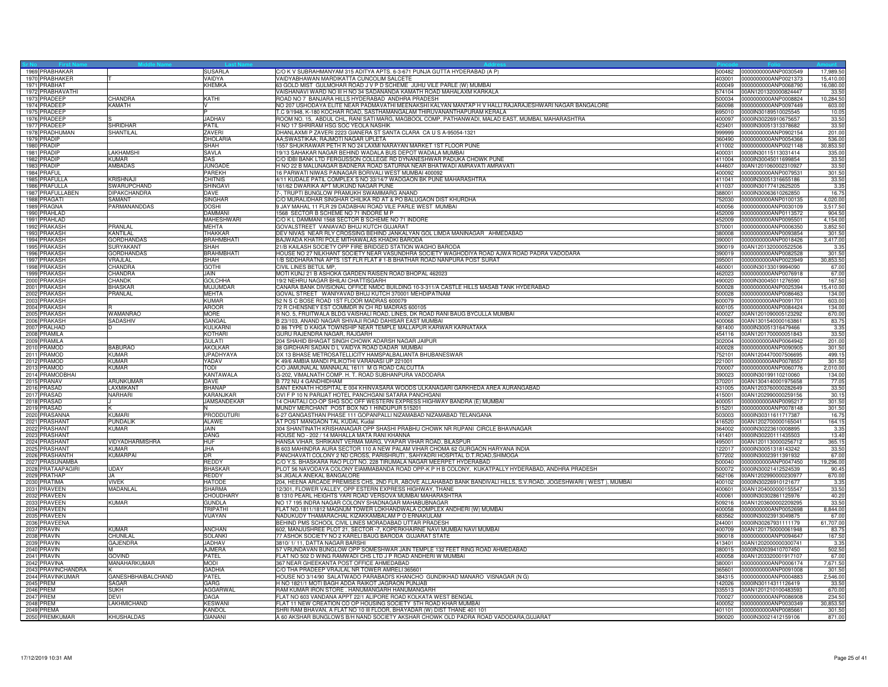| 1969 PRABHAKAR               |                    | SUSARLA                     | C/O K V SUBRAHMANYAM 315 ADITYA APTS. 6-3-671 PUNJA GUTTA HYDERABAD (A P)                                                         | 500482 | 0000000000ANP0030549                                       | 17,989.5         |
|------------------------------|--------------------|-----------------------------|-----------------------------------------------------------------------------------------------------------------------------------|--------|------------------------------------------------------------|------------------|
| 1970 PRABHAKER               |                    | VAIDYA                      | VAIDYABHAWAN MARDIKATTA CUNCOLIM SALCETE                                                                                          | 403001 | 0000000000ANP0021373                                       | 15,410.0         |
| 1971 PRABHAT                 |                    | KHEMKA                      | 63 GOLD MIST GULMOHAR ROAD J V P D SCHEME JUHU VILE PARLE (W) MUMBAI                                                              |        | 400049 0000000000ANP0068790                                | 16,080.00        |
| 1972 PRABHAVATHI             |                    |                             | VAISHANAVI WARD NO III H NO 34 SADANANDA KAMATH ROAD MAHALAXM KARKALA                                                             |        | 574104 00AN1201320000824447                                | 33.50            |
| 1973 PRADEEP                 | CHANDRA            | KATHI                       | ROAD NO 7 BANJARA HILLS HYDERABAD ANDHRA PRADESH                                                                                  | 500034 | 0000000000ANP0008824                                       | 10,284.50        |
| 1974 PRADEEF                 | KAMATH             |                             | NO 207 USHODAYA ELITE NEAR PADMAVATHI MEENAKSHI KALYAN MANTAP H V HALLI RAJARAJESHWARI NAGAR BANGALORE                            | 560098 | 0000000000ANP0097449                                       | 603.00           |
| 1975 PRADEEP                 |                    | P                           | T.C 9/1948, K-180 KOCHAR ROAD, SASTHAMANGALAM THIRUVANANTHAPURAM KERALA                                                           |        | 695010 0000IN30189510025545                                | 10.05            |
| 1976 PRADEEP                 |                    | <b>JADHAV</b>               | ROOM NO. 15, ABDUL CHL, RANI SATI MARG, MAGBOOL COMP, PATHANWADI, MALAD EAST, MUMBAI, MAHARASHTRA                                 | 400097 | 0000IN30226910675657                                       | 33.50            |
| 1977 PRADEEP                 | <b>SHRIDHAR</b>    | PATIL                       | H NO 17 SHRIRAM HSG SOC YEOLA NASHIK                                                                                              |        | 423401 0000IN30051313378682                                | 33.50            |
| 1978 PRADHUMAN               | <b>SHANTILAL</b>   | ZAVERI                      | DHANLAXMI P ZAVERI 2223 GIANERA ST SANTA CLARA CA U S A-95054-1321                                                                | 999999 | 0000000000ANP0902154                                       | 201.00           |
| 1979 PRADIP                  |                    | <b>DHOLARIA</b>             | AA;SWASTIKAA; RAJMOTI NAGAR UPLETA                                                                                                | 360490 | 0000000000ANP0054366                                       | 536.00           |
| 1980 PRADIF                  |                    | <b>SHAH</b>                 | 1557 SHUKRAWAR PETH R NO 24 LAXMI NARAYAN MARKET 1ST FLOOR PUNE                                                                   |        | 411002 0000000000ANP0021148                                | 30,853.50        |
| 1981 PRADIF                  | LAKHAMSHI          | SAVLA                       | 19/13 SAHAKAR NAGAR BEHIND WADALA BUS DEPOT WADALA MUMBAI                                                                         |        | 400031 0000IN30115113031414                                | 335.00           |
| 1982 PRADIP                  | KUMAR              | <b>DAS</b>                  | C/O IDBI BANK LTD FERGUSSON COLLEGE RD DYNANESHWAR PADUKA CHOWK PUNE                                                              |        | 411004 0000IN30045011699854                                | 33.50            |
| 1983 PRADIP                  | <b>AMBADAS</b>     | <b>JUNGADE</b>              | H NO 22 B MALUNAGAR BADNERA ROAD SATURNA NEAR BHATWADI AMRAVATI AMRAVATI                                                          | 444607 | 00AN1201060002310927                                       | 33.50            |
| 1984 PRAFUL                  |                    | PAREKH                      | 16 PARWATI NIWAS PAINAGAR BORIVALI WEST MUMBAI 400092                                                                             | 400092 | 0000000000ANP0079531                                       | 301.50           |
| 1985 PRAFULLA                | <b>KRISHNAJI</b>   | <b>CHITNIS</b>              | 4/11 KUDALE PATIL COMPLEX S NO 33/14/7 WADGAON BK PUNE MAHARASHTRA                                                                | 411041 | 0000lN30051316655186                                       | 33.50            |
| 1986 PRAFULLA                | SWARUPCHAND        | SHINGAVI                    | 161/62 DWARIKA APT MUKUND NAGAR PUNE                                                                                              |        | 411037 0000lN30177412625205                                | 3.35             |
| 1987 PRAFULLABEN             | DIPAKCHANDRA       | DAVE                        | 7-, TRUPTI BUNGLOW PRAMUKH SWAMIMARG ANAND                                                                                        |        | 388001 0000IN30063610262850                                | 16.75            |
| 1988 PRAGATI                 | SAMANT             | <b>SINGHAR</b>              | C/O MURALIDHAR SINGHAR CHILIKA RD AT & PO BALUGAON DIST KHURDHA                                                                   | 752030 | 0000000000ANP0100135                                       | 4,020.00         |
| 1989 PRAGNA                  | PARMANANDDAS       | <b>DOSHI</b>                | 9 JAY MAHAL 11 FLR 29 DADABHAI ROAD VILE PARLE WEST MUMBAI                                                                        | 400056 | 0000000000ANP0030109                                       | 3,517.50         |
| 1990 PRAHLAD                 |                    | <b>DAMMAN</b>               | 1568 SECTOR B SCHEME NO 71 INDORE M P                                                                                             |        | 452009 0000000000ANP0113572                                | 904.5            |
| 1991 PRAHLAD                 |                    | MAHESHWARI                  | C/O K L DAMMANI 1568 SECTOR B SCHEME NO 71 INDORE                                                                                 |        | 452009 0000000000ANP0095501                                | 4,154.00         |
| 1992 PRAKASH                 | PRANLAL            | MEHTA                       | GOVALSTREET VANIAVAD BHUJ KUTCH GUJARAT                                                                                           |        | 370001 0000000000ANP0006350                                | 3,852.50         |
| 1993 PRAKASH                 | KANTILAL           | THAKKAR                     | DEV NIVAS NEAR RLY CROSSING BEHIND JANKALYAN GOL LIMDA MANINAGAR AHMEDABAD                                                        | 380008 | 0000000000ANP0093854                                       | 301.50           |
| 1994 PRAKASH                 | <b>GORDHANDAS</b>  | <b>BRAHMBHATI</b>           | BAJWADA KHATRI POLE MITHAWALAS KHADKI BARODA                                                                                      | 390001 | 0000000000ANP0018426                                       | 3,417.00         |
| 1995 PRAKASH                 | SURYAKANT          | SHAH                        | 21/B KAILASH SOCIETY OPP FIRE BRIDGED STATION WAGHO BARODA                                                                        | 390019 | 00AN1201320000522506                                       | 3.3              |
| 1996 PRAKASH                 | <b>GORDHANDAS</b>  | <b>BRAHMBHATI</b>           | HOUSE NO 27 NILKHANT SOCIETY NEAR VASUNDHRA SOCIETY WAGHODIYA ROAD AJWA ROAD PADRA VADODARA                                       | 390019 | 0000000000ANP0082528                                       | 301.50           |
| 1997 PRAKASH                 | VRAJLAL            | SHAH                        | 1/B SIDDHARATNA APTS 1ST FLR FLAT # 1-B BHATHAR ROAD NANPURA POST SURAT                                                           |        | 395001 0000000000ANP0023949                                | 30,853.50        |
| 1998 PRAKASH                 | CHANDRA            | <b>GOTHI</b>                | CIVIL LINES BETUL MP.                                                                                                             | 460001 | 0000IN30133019994090                                       | 67.00            |
| 1999 PRAKASH                 | CHANDRA<br>CHANDK  | JAIN                        | MOTI KUNJ 21 B ASHOKA GARDEN RAISEN ROAD BHOPAL 462023<br>19/2 NEHRU NAGAR BHILAI CHATTISGARH                                     | 462023 | 0000000000ANP0076918                                       | 67.00<br>167.50  |
| 2000 PRAKASH                 |                    | <b>GOLCHHA</b>              |                                                                                                                                   |        | 490020 0000lN30045011276590                                |                  |
| 2001 PRAKASH                 | <b>BHASKAR</b>     | <b>MUJUMDAR</b>             | CANARA BANK DIVISIONAL OFFICE NMDC BUILDING 10-3-311/A CASTLE HILLS MASAB TANK HYDERABAD                                          |        | 500028 0000000000ANP0025394                                | 15,410.00        |
| 2002 PRAKASH<br>2003 PRAKASH | PRANLAL            | MEHTA<br><b>KUMAR</b>       | GOVAL STREET WANIYAVAD BHUJ KUTCH 370001 MEHDIPATNAM<br>52 N S C BOSE ROAD 1ST FLOOR MADRAS 600079                                | 600079 | 500028 0000000000ANP0086463<br>0000000000ANP0091701        | 134.00<br>603.00 |
|                              |                    |                             |                                                                                                                                   |        |                                                            |                  |
| 2004 PRAKASH<br>2005 PRAKASH | <b>WAMANRAO</b>    | <b>AROOR</b><br><b>MORE</b> | 72 R CHENSNEY EST COMMDR IN CH RD MADRAS 600105<br>R NO. 5, FRUITWALA BLDG VAISHALI ROAD, LINES, DK ROAD RANI BAUG BYCULLA MUMBAI | 600105 | 0000000000ANP0084424                                       | 134.00           |
| 2006 PRAKASH                 | SADASHIV           | GANGAL                      | B 23/103, ANAND NAGAR SHIVAJI ROAD DAHISAR EAST MUMBAI                                                                            | 400027 | 00AN1201090005123292<br>400068 00AN1301540000163861        | 670.00<br>83.7   |
|                              | ID                 | KULKARNI                    | D 86 TYPE D KAIGA TOWNSHIP NEAR TEMPLE MALLAPUR KARWAR KARNATAKA                                                                  |        |                                                            |                  |
| 2007 PRALHAD<br>2008 PRAMILA |                    | KOTHARI                     | GURU RAJENDRA NAGAR, RAJGARH                                                                                                      |        | 581400 0000IN30051316479466<br>454116 00AN1201700000051843 | 3.35<br>33.50    |
| 2009 PRAMILA                 |                    | <b>GULATI</b>               | 204 SHAHID BHAGAT SINGH CHOWK ADARSH NAGAR JAIPUR                                                                                 | 302004 | 0000000000ANP0064942                                       | 201.00           |
| 2010 PRAMOD                  | <b>BABURAO</b>     | <b>AKOLKAR</b>              | 38 GIRDHARI SADAN D L VAIDYA ROAD DADAR MUMBAI                                                                                    |        | 400028 0000000000ANP0090905                                | 301.50           |
| 2011 PRAMOD                  | KUMAR              | <b>UPADHYAYA</b>            | DX 13 BHASE METROSATELLICITY HAMSPALBALIANTA BHUBANESWAR                                                                          |        | 752101 00AN1204470007506695                                | 499.1            |
| 2012 PRAMOD                  | KUMAR              | YADAV                       | K 49/6 AMBIA MANDI PILIKOTHI VARANASI UP 221001                                                                                   |        | 221001 0000000000ANP0078557                                | 301.50           |
| 2013 PRAMOD                  | <b>KUMAR</b>       | TODI                        | C/O JAMUNALAL MANNALAL 161/1 M G ROAD CALCUTTA                                                                                    | 700007 | 0000000000ANP0060776                                       | 2.010.00         |
| 2014 PRAMODBHA               |                    | KANTAWALA                   | G-202, VIMALNATH COMP. H. T. ROAD SUBHANPURA VADODARA                                                                             | 390023 | 0000lN30199110210060                                       | 134.0            |
| 2015 PRANAV                  | <b>ARUNKUMAR</b>   | <b>DAVE</b>                 | B 772 NU 4 GANDHIDHAM                                                                                                             | 370201 | 00AN1304140001975658                                       | 77.0             |
| 2016 PRASAD                  | LAXMIKANT          | <b>BHANAP</b>               | SANT EKNATH HOSPITAL E 004 KHINVASARA WOODS ULKANAGARI GARKHEDA AREA AURANGABAD                                                   |        | 431005 00AN1203760000282649                                | 33.50            |
| 2017 PRASAD                  | NARHARI            | KARANJKAR                   | OVI F P 10 N PARIJAT HOTEL PANCHGANI SATARA PANCHGANI                                                                             |        | 415001 00AN1202990000259156                                | 30.15            |
| 2018 PRASAD                  |                    | <b>JAMSANDEKAR</b>          | 14 CHAITALI CO-OP SHG SOC OFF WESTERN EXPRESS HIGHWAY BANDRA (E) MUMBAI                                                           | 400051 | 0000000000ANP0095217                                       | 301.50           |
| 2019 PRASAD                  |                    |                             | MUNDY MERCHANT POST BOX NO 1 HINDUPUR 515201                                                                                      | 515201 | 0000000000ANP0078148                                       | 301.50           |
| 2020 PRASANNA                | <b>KUMARI</b>      | <b>PRODDUTURI</b>           | 6-27 GANGASTHAN PHASE 111 GOPANPALLI NIZAMABAD NIZAMABAD TELANGANA                                                                |        | 503003 0000lN30311611717387                                | 16.7             |
| 2021 PRASHANT                | <b>PUNDALIK</b>    | <b>ALAWE</b>                | AT POST MANGAON TAL KUDAL Kudal                                                                                                   |        | 416520 00AN1202700000165041                                | 164.1            |
| 2022 PRASHANT                | KUMAR              | <b>JAIN</b>                 | 304 SHANTINATH KRISHANAGAR OPP SHASHI PRABHU CHOWK NR RUPANI CIRCLE BHAVNAGAR                                                     |        | 364002 0000IN30223610008895                                | 3.35             |
| 2023 PRASHANT                |                    | <b>DANG</b>                 | HOUSE NO - 202 / 14 MAHALLA MATA RANI KHANNA                                                                                      | 141401 | 0000IN30220111435503                                       | 13.40            |
| 2024 PRASHANT                | VIDYADHARMISHRA    | <b>HUF</b>                  | HANSA VIHAR, SHRIKANT VERMA MARG, VYAPAR VIHAR ROAD, BILASPUR                                                                     | 495001 | 00AN1201130000256712                                       | 365.1            |
| 2025 PRASHANT                | KUMAR              | JHA                         | B 603 MAHINDRA AURA SECTOR 110 A NEW PALAM VIHAR CHOMA 62 GURGAON HARYANA INDIA                                                   |        | 122017 0000lN30051318143242                                | 33.50            |
| 2026 PRASHANTH               | <b>KUMARPAI</b>    | DR                          | PANCHAVATI COLONY 2 ND CROSS, PARISHRUTI, SAHYADRI HOSPITAL D.T.ROAD, SHIMOGA                                                     | 577202 | 0000lN30023911391932                                       | 67.00            |
| 2027 PRASUNAMBA              |                    | REDDY                       | C/O Y.S. BHASKARA RAO PLOT NO. 228 TIRUMALA NAGAR MEERPET HYDERABAD                                                               | 500040 | 0000000000ANP0047450                                       | 19,296.00        |
| 2028 PRATAAPAGIRI            | <b>UDAY</b>        | <b>BHASKAR</b>              | PLOT 56 NAVODAYA COLONY EIAMMABANDA ROAD OPP-K P H B COLONY, KUKATPALLY HYDERABAD, ANDHRA PRADESH                                 | 500072 | 0000lN30021412524539                                       | 90.45            |
| 2029 PRATHAP                 | <b>JA</b>          | <b>REDDY</b>                | 34 JIGALA ANEKAL BANGALORE                                                                                                        | 562106 | 00AN1202990000230977                                       | 670.00           |
| 2030 PRATIMA                 | <b>VIVEK</b>       | <b>HATODE</b>               | 204, HEENA ARCADE PREMISES CHS, 2ND FLR, ABOVE ALLAHABAD BANK BANDIVALI HILLS, S.V.ROAD, JOGESHWARI (WEST), MUMBAI                | 400102 | 0000lN30226910121677                                       | 3.35             |
| 2031 PRAVEEN                 | MADANLAL           | <b>SHARMA</b>               | 12/301, FLOWER VALLEY, OPP ESTERN EXPRESS HIGHWAY, THANE                                                                          |        | 400601 00AN1204000000155547                                | 33.50            |
| 2032 PRAVEEN                 |                    | CHOUDHARY                   | B 1310 PEARL HEIGHTS YARI ROAD VERSOVA MUMBAI MAHARASHTRA                                                                         |        | 400061 0000IN30302861125976                                | 40.20            |
| 2033 PRAVEEN                 | <b>KUMAR</b>       | <b>GUNDLA</b>               | NO 17 195 INDRA NAGAR COLONY SHADNAGAR MAHABUBNAGAR                                                                               | 509216 | 00AN1203600002209295                                       | 33.5(            |
| 2034 PRAVEEN                 |                    | <b>TRIPATHI</b>             | FLAT NO.1811/1812 MAGNUM TOWER LOKHANDWALA COMPLEX ANDHERI (W) MUMBAI                                                             | 400058 | 0000000000ANP0052698                                       | 8,844.0          |
| 2035 PRAVEEN                 |                    | VIJAYAN                     | NADUKUDY THAMARACHAL KIZAKKAMBALAM P O ERNAKULAM                                                                                  | 683562 | 0000IN30023913049875                                       | 67.00            |
| 2036 PRAVEENA                |                    |                             | BEHIND PMS SCHOOL CIVIL LINES MORADABAD UTTAR PRADESH                                                                             |        | 244001 0000IN30267931111179                                | 61,707.0         |
| 2037 PRAVIN                  | <b>KUMAR</b>       | ANCHAN                      | 602, MANJUSHREE PLOT 21, SECTOR -7, KOPERKHAIRNE NAVI MUMBAI NAVI MUMBAI                                                          |        | 400709 00AN1201750000061948                                | 83.7             |
| 2038 PRAVIN                  | CHUNILAL           | <b>SOLANKI</b>              | 77 ASHOK SOCIETY NO 2 KARELI BAUG BARODA GUJARAT STATE                                                                            | 390018 | 0000000000ANP0094647                                       | 167.50           |
| 2039 PRAVIN                  | <b>GAJENDRA</b>    | <b>JADHAV</b>               | 3810/1/11, DATTA NAGAR BARSHI                                                                                                     | 413401 | 00AN1202000000300741                                       | 3.35             |
| 2040 PRAVIN                  | M                  | <b>AJMERA</b>               | 57 VRUNDAVAN BUNGLOW OPP SOMESHWAR JAIN TEMPLE 132 FEET RING ROAD AHMEDABAD                                                       |        | 380015 0000IN30039410707450                                | 502.50           |
| 2041 PRAVIN                  | GOVIND             | PATEL                       | FLAT NO 502 D WING RAMWADI CHS LTD J P ROAD ANDHERI W MUMBAI                                                                      |        | 400058 00AN1203320001917107                                | 67.0             |
| 2042 PRAVINA                 | MANAHARKUMAR       | <b>MODI</b>                 | 367 NEAR GHEEKANTA POST OFFICE AHMEDABAD                                                                                          |        | 380001 0000000000ANP0006174                                | 7,671.5          |
| 2043 PRAVINCHANDRA           |                    | <b>GADHIA</b>               | C/O THA PRADEEP VRAJLAL NR TOWER AMRELI 365601                                                                                    | 365601 | 0000000000ANP0091008                                       | 301.5            |
| 2044 PRAVINKUMAR             | GANESHBHAIBALCHAND | PATEL                       | HOUSE NO 3/14/90 SALATWADO PARABADI'S KHANCHO GUNDIKHAD MANARO VISNAGAR (N G)                                                     | 384315 | 0000000000ANP0004883                                       | 2,546.0          |
| 2045 PREM                    | SAGAR              | GARG                        | H NO 1821/1 MOTI BAGH ADDA RAIKOT JAGRAON PUNJAB                                                                                  | 142026 | 0000lN30114311126419                                       | 33.5             |
| 2046 PREM                    | <b>SUKH</b>        | <b>AGGARWAL</b>             | RAM KUMAR IRON STORE . HANUMANGARH HANUMANGARH                                                                                    |        | 335513 00AN1201210100483593                                | 670.0            |
| 2047 PREM                    | <b>DEVI</b>        | <b>DAGA</b>                 | FLAT NO 603 VANDANA APPT 22/1 ALIPORE ROAD KOLKATA WEST BENGAL                                                                    | 700027 | 0000000000ANP0086908                                       | 234.5            |
| <b>2048 PREM</b>             | LAKHMICHAND        | <b>KESWAN</b>               | FLAT 11 NEW CREATION CO OP HOUSING SOCIETY 5TH ROAD KHAR MUMBAI                                                                   |        | 400052 0000000000ANP0030349                                | 30,853.5         |
| 2049 PREMA                   |                    | <b>KANDOL</b>               | SHRI RAM BHAVAN, A FLAT NO 10 III FLOOR, BHAYADAR (W) DIST THANE 401 101                                                          |        | 401101 0000000000ANP0085661                                | 301.5            |
| 2050 PREMKUMAR               | <b>KHUSHALDAS</b>  | <b>GIANANI</b>              | A 60 AKSHAR BUNGLOWS B/H NAND SOCIETY AKSHAR CHOWK OLD PADRA ROAD VADODARA, GUJARAT                                               |        | 390020 0000IN30021412159106                                | 871.00           |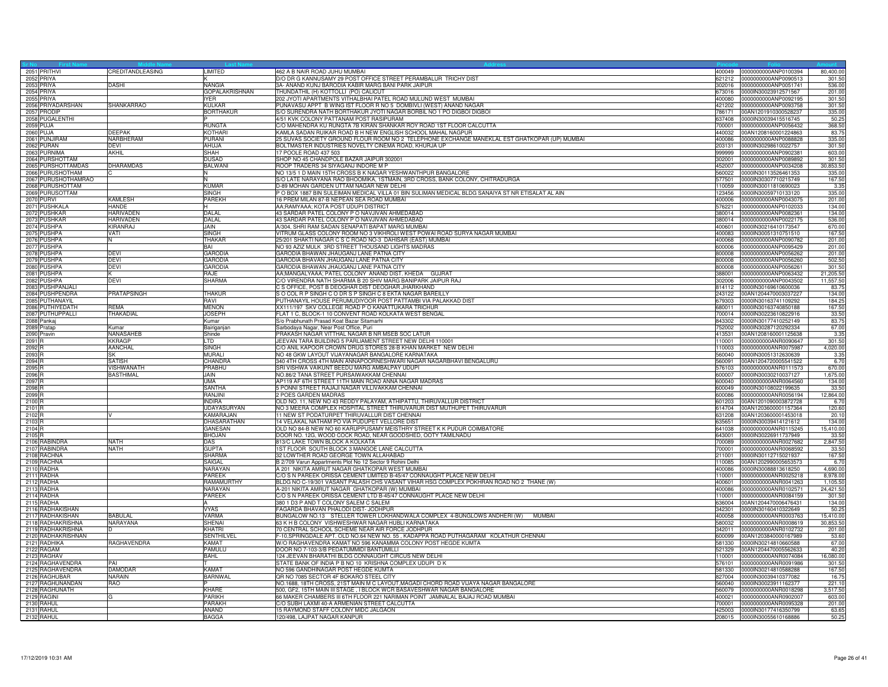| 2051 PRITHVI        | CREDITANDLEASING   | LIMITED               | 462 A B NAIR ROAD JUHU MUMBAI                                                                     | 400049 | 0000000000ANP0100394        | 80,400.00 |
|---------------------|--------------------|-----------------------|---------------------------------------------------------------------------------------------------|--------|-----------------------------|-----------|
| 2052 PRIYA          |                    |                       | D/O DR G KANNUSAMY 29 POST OFFICE STREET PERAMBALUR TRICHY DIST                                   | 621212 | 0000000000ANP0090513        | 301.50    |
| 2053 PRIYA          | DASHI              | <b>NANGIA</b>         | 3A- ANAND KUNJ BARODIA KABIR MARG BANI PARK JAIPUR                                                | 302016 | 0000000000ANP0051741        | 536.00    |
| 2054 PRIYA          |                    | <b>GOPALAKRISHNAN</b> | THUNDATHIL (H) KOTTOLLI (PO) CALICUT                                                              |        | 673016 0000IN30023912571567 | 201.00    |
| 2055 PRIYA          |                    | IYFR.                 | 202 JYOTI APARTMENTS VITHALBHAI PATEL ROAD MULUND WEST MUMBAI                                     | 400080 | 0000000000ANP0092195        | 301.50    |
| 2056 PRIYADARSHAN   | SHANKARRAO         | <b>KULKAR</b>         | PUNAVASU APPT B WING IST FLOOR R NO 5 DOMBIVLI (WEST) ANAND NAGAR                                 | 421202 | 0000000000ANP0093758        | 301.50    |
| 2057 PRODIP         |                    | <b>BORTHAKUR</b>      | S/O SURENDRA NATH BORTHAKUR JYOTI NAGAR BORBIL NO 1 PO DIGBOI DIGBOI                              | 786171 | 00AN1201910300528237        | 335.00    |
| 2058 PUGALENTHI     |                    |                       | 4/51 KVK COLONY PATTANAM POST RASIPURAM                                                           | 637408 | 0000IN30039415516745        | 50.2      |
| <b>2059 PUJA</b>    |                    | RUNGTA                | C/O MAHENDRA KU RUNGTA 7B KIRAN SHANKAR ROY ROAD 1ST FLOOR CALCUTTA                               | 700001 | 0000000000ANP0056432        | 368.50    |
| <b>2060 PUJA</b>    | DEEPAK             | KOTHARI               | KAMLA SADAN RUIKAR ROAD B H NEW ENGLISH SCHOOL MAHAL NAGPUR                                       | 440032 | 00AN1208160001224863        | 83.75     |
| 2061 PUNJIRAM       | NARBHERAM          | PURANI                | 25 SUVAS SOCIETY GROUND FLOUR ROOM NO 2 TELEPHONE EXCHANGE MANEKLAL EST GHATKOPAR (UP) MUMBAI     | 400086 | 0000000000ANP0088828        | 335.00    |
| 2062 PURAN          | <b>DFVI</b>        | AHUJA                 | BOLTMASTER INDUSTRIES NOVELTY CINEMA ROAD, KHURJA UP                                              | 203131 | 0000IN30298610022757        | 301.50    |
| 2063 PURNIMA        | AKHIL              | SHAH                  | 17 POOLE ROAD 437 503                                                                             | 999999 | 0000000000ANP0902381        | 603.00    |
| 2064 PURSHOTTAM     |                    | DUSAD                 | SHOP NO 45 CHANDPOLE BAZAR JAIPUR 302001                                                          | 302001 | 0000000000ANP0089892        | 301.50    |
| 2065 PURSHOTTAMDAS  | DHARAMDAS          | BALWANI               | ROOP TRADERS 34 SIYAGANJ INDORE M P                                                               | 452007 | 0000000000ANP0034208        | 30,853.5  |
| 2066 PURUSHOTHAM    |                    |                       | NO 13/5 1 D MAIN 15TH CROSS B K NAGAR YESHWANTHPUR BANGALORE                                      | 560022 | 0000IN30113526461353        | 335.00    |
| 2067 PURUSHOTHAMRAO |                    |                       | S/O LATE NARAYANA RAO BHOOMIKA, 1STMAIN, 3RD CROSS, BANK COLONY, CHITRADURGA                      | 577501 | 0000IN30307710215749        | 167.50    |
| 2068 PURUSHOTTAM    |                    | <b>KUMAR</b>          | D-89 MOHAN GARDEN UTTAM NAGAR NEW DELHI                                                           | 110059 | 0000lN30011810690023        | 3.35      |
| 2069 PURUSOTTAM     |                    | <b>SINGH</b>          | P O BOX 1887 BIN SULEIMAN MEDICAL VILLA 01 BIN SULIMAN MEDICAL BLDG SANAIYA ST NR ETISALAT AL AIN | 123456 | 0000IN30059710133120        | 335.00    |
| <b>2070 PURVI</b>   | <b>KAMLESH</b>     | PAREKH                | 16 PREM MILAN 87-B NEPEAN SEA ROAD MUMBAI                                                         | 400006 | 0000000000ANP0043075        | 201.00    |
| 2071 PUSHKALA       | HANDE              |                       | AA;RAMYAAA; KOTA POST UDUPI DISTRICT                                                              | 576221 | 0000000000ANP0102033        | 134.00    |
| 2072 PUSHKAR        | <b>HARIVADEN</b>   | DALAL                 | 43 SARDAR PATEL COLONY P O NAVJIVAN AHMEDABAD                                                     |        | 380014 0000000000ANP0082361 | 134.00    |
| 2073 PUSHKAR        | HARIVADEN          | DALAL                 | 43 SARDAR PATEL COLONY P O NAVJIVAN AHMEDABAD                                                     |        | 380014 0000000000ANP0022175 | 536.00    |
| 2074 PUSHPA         | KIRANRAJ           | JAIN.                 | A/304, SHRI RAM SADAN SENAPATI BAPAT MARG MUMBAI                                                  | 400601 | 0000lN30216410173547        | 670.00    |
| 2075 PUSHPA         | VATI               | SINGH                 | VITRUM GLASS COLONY ROOM NO 3 VIKHROLI WEST POWAI ROAD SURYA NAGAR MUMBAI                         | 400083 | 0000lN30051310751510        | 167.50    |
| 2076 PUSHPA         |                    | <b>THAKAR</b>         | 25/201 SHAKTI NAGAR C S C ROAD NO-3 DAHISAR (EAST) MUMBAI                                         | 400068 | 0000000000ANP0090782        | 201.00    |
| 2077 PUSHPA         |                    | BAI                   | NO 93 AZIZ MULK 3RD STREET THOUSAND LIGHTS MADRAS                                                 | 600006 | 0000000000ANP0095429        | 201.00    |
| 2078 PUSHPA         | <b>DEVI</b>        | <b>GARODIA</b>        | GARODIA BHAWAN JHAUGANJ LANE PATNA CITY                                                           | 800008 | 0000000000ANP0056262        | 201.00    |
| 2079 PUSHPA         | <b>DEVI</b>        | <b>GARODIA</b>        | GARODIA BHAVAN JHAUGANJ LANE PATNA CITY                                                           | 800008 | 0000000000ANP0056260        | 502.50    |
| 2080 PUSHPA         | DEVI               | GARODIA               | GARODIA BHAWAN JHAUGANJ LANE PATNA CITY                                                           | 800008 | 0000000000ANP0056261        | 301.50    |
| 2081 PUSHPA         |                    | RAJE                  | AA;MANGALYAAA; PATEL COLONY ANAND DIST. KHEDA GUJRAT                                              | 388001 | 0000000000ANP0063432        | 21,205.50 |
| 2082 PUSHPA         | <b>DEVI</b>        | SHARMA                | C/O VIRENDRA NATH SHARMA B 20 SHIV MARG BANIPARK JAIPUR RAJ                                       | 302006 | 0000000000ANP0043502        | 11,557.5  |
| 2083 PUSHPANJALI    |                    |                       | C S OFFICE, POST B DEOGHAR DIST DEOGHAR JHARKHAND                                                 |        | 814112 0000IN30169610600036 | 83.7      |
| 2084 PUSHPENDRA     | <b>PRATAPSINGH</b> | <b>THAKUR</b>         | SO COL R P SINGH C O DR S P SINGH C 8 EKTA NAGAR BAREILLY                                         |        | 243122 00AN1204470003037227 | 134.00    |
| 2085 PUTHANAYIL     |                    | RAVI                  | PUTHANAYIL HOUSE PERUMUDIYOOR POST PATTAMBI VIA PALAKKAD DIST                                     | 679303 | 0000lN30163741109292        | 184.2     |
| 2086 PUTHIYEDATH    | RFMA               | <b>MENON</b>          | XX111/197 SKV COLLEGE ROAD P O KANATTUKARA TRICHUR                                                | 680011 | 0000lN30163740850188        | 167.50    |
| 2087 PUTHUPPALLI    | THAKADIAL          | <b>JOSEPH</b>         | FLAT 1 C, BLOCK-1 10 CONVENT ROAD KOLKATA WEST BENGAL                                             | 700014 | 0000lN30223610822916        | 33.50     |
|                     |                    |                       |                                                                                                   |        |                             |           |
| 2088 Pankaj         |                    | Kumar                 | S/o Prabhunath Prasad Koat Bazar Sitamarhi                                                        | 843302 | 0000IN30177410252149        | 83.75     |
| 2089 Pratap         | Kumar              | Bairiganjan           | Sarbodaya Nagar, Near Post Office, Puri                                                           | 752002 | 0000lN30287120292334        | 67.00     |
| 2090 Pravin         | NANASAHEB          | Shinde                | PRAKASH NAGAR VITTHAL NAGAR B NR MSEB SOC LATUR                                                   | 413531 | 00AN1208160001125638        | 3.35      |
| 2091 <sub>R</sub>   | <b>KKRAGP</b>      | LTD.                  | JEEVAN TARA BUILDING 5 PARLIAMENT STREET NEW DELHI 110001                                         | 110001 | 0000000000ANR0090647        | 301.50    |
| 2092 <sub>R</sub>   | <b>AANCHAL</b>     | SINGH                 | C/O ANIL KAPOOR CROWN DRUG STORES 28-B KHAN MARKET NEW DELHI                                      | 110003 | 0000000000ANR0075987        | 4,020.00  |
| 2093 <sub>R</sub>   | <b>SK</b>          | MURALI                | NO 48 GKW LAYOUT VIJAYANAGAR BANGALORE KARNATAKA                                                  |        | 560040 0000IN30051312630639 | 3.35      |
| 2094 F              | SATISH             | CHANDRA               | 340 4TH CROSS 4TH MAIN ANNAPOORNESHWARI NAGAR NAGARBHAVI BENGALURU                                | 560091 | 00AN1204720005541522        | 6.7(      |
| 2095 <sub>F</sub>   | VISHWANATH         | PRABHU                | SRI VISHWA VAIKUNT BEEDU MARG AMBALPAY UDUPI                                                      | 576103 | 0000000000ANR0111573        | 670.00    |
| 2096 <sub>R</sub>   | <b>BASTHIMAL</b>   | <b>JAIN</b>           | NO.86/2 TANA STREET PURSAIWAKKAM CHENNAI                                                          | 600007 | 0000IN30030210037127        | 1,675.00  |
| 2097 <sub>R</sub>   |                    | UMA                   | AP119 AF 6TH STREET 11TH MAIN ROAD ANNA NAGAR MADRAS                                              |        | 600040 0000000000ANR0064560 | 134.00    |
| 2098 <sub>R</sub>   |                    | <b>SANTHA</b>         | 5 PONNI STREET RAJAJI NAGAR VILLIVAKKAM CHENNAI                                                   | 600049 | 0000lN30108022199635        | 33.5      |
| 2099 <sub>F</sub>   |                    | RANJINI               | 2 POES GARDEN MADRAS                                                                              | 600086 | 0000000000ANR0056194        | 12,864.00 |
| 2100 R              |                    | <b>INDIRA</b>         | OLD NO. 11, NEW NO 43 REDDY PALAYAM, ATHIPATTU, THIRUVALLUR DISTRICT                              |        | 601203 00AN1201090003872728 | 6.7(      |
| 2101 <sub>R</sub>   |                    | <b>UDAYASURYAN</b>    | NO 3 MEERA COMPLEX HOSPITAL STREET THIRUVARUR DIST MUTHUPET THIRUVARUR                            |        | 614704 00AN1203600001157364 | 120.60    |
| 2102 <sub>R</sub>   |                    | KAMARAJAN             | 11 NEW ST PODATURPET THIRUVALLUR DIST CHENNAI                                                     |        | 631208 00AN1203600001453018 | 20.1(     |
| 2103 <sub>R</sub>   |                    | DHASARATHAN           | 14 VELAKAL NATHAM PO VIA PUDUPET VELLORE DIST                                                     | 635651 | 0000lN30039414121612        | 134.00    |
| 2104 <sub>R</sub>   |                    | <b>GANESAN</b>        | OLD NO 84-B NEW NO 60 KARUPPUSAMY MEISTHRY STREET K K PUDUR COIMBATORE                            | 641038 | 0000000000ANR0115245        | 15,410.0  |
| 2105 <sub>R</sub>   |                    | <b>BHOJAN</b>         | DOOR NO. 12G, WOOD COCK ROAD, NEAR GOODSHED, OOTY TAMILNADU                                       | 643001 | 0000lN30226911737949        | 33.5      |
| 2106 RABINDRA       | <b>NATH</b>        | <b>DAS</b>            | 813/C LAKE TOWN BLOCK A KOLKATA                                                                   | 700089 | 0000000000ANR0027682        | 2,847.50  |
| 2107 RABINDRA       | <b>NATH</b>        | <b>GUPTA</b>          | 1ST FLOOR SOUTH BLOCK 3 MANGOE LANE CALCUTTA                                                      | 700001 | 0000000000ANR0068592        | 33.50     |
| 2108 RACHNA         |                    | <b>SHARMA</b>         | 32 LOWTHER ROAD GEORGE TOWN ALLAHABAD                                                             | 211001 | 0000lN30112715021937        | 167.50    |
| 2109 RACHNA         |                    | SAIGAL                | B 2/709 Varun Appartments Plot No 12 Sector 9 Rohini Delh                                         | 110085 | 00AN1202990005653573        | 6.7(      |
| 2110 RADHA          |                    | NARAYAN               | A 201 NIKITA AMRUT NAGAR GHATKOPAR WEST MUMBAI                                                    | 400086 | 0000lN30088813618250        | 4,690.00  |
| 2111 RADHA          |                    | PAREEK                | C/O S N PAREEK ORISSA CEMENT LIMITED B-45/47 CONNAUGHT PLACE NEW DELHI                            |        | 110001 0000000000ANR0025218 | 8,978.0   |
| 2112 RADHA          |                    | RAMAMURTHY            | BLDG NO C-19/301 VASANT PALASH CHS VASANT VIHAR HSG COMPLEX POKHRAN ROAD NO 2 THANE (W)           | 400601 | 0000000000ANR0041263        | 1,105.5   |
| 2113 RADHA          |                    | <b>NARAYAN</b>        | A-201 NIKITA AMRUT NAGAR GHATKOPAR (W) MUMBAI                                                     | 400086 | 0000000000ANR0102571        | 24,421.50 |
| 2114 RADHA          |                    | PAREEK                | C/O S N PAREEK ORISSA CEMENT LTD B-45/47 CONNAUGHT PLACE NEW DELHI                                | 110001 | 0000000000ANR0084159        | 301.5     |
| 2115 RADHA          |                    |                       | 380 1 D3 P AND T COLONY SALEM C SALEM                                                             | 636004 | 00AN1204470006476431        | 134.0     |
| 2116 RADHAKISHAN    |                    | <b>VYAS</b>           | FAGARDA BHAVAN PHALODI DIST- JODHPUR                                                              | 342301 | 0000lN30160410322649        | 50.2      |
| 2117 RADHAKISHAN    | BABULAL            | <b>VARMA</b>          | BUNGALOW NO.13 STELLER TOWER LOKHANDWALA COMPLEX 4-BUNGLOWS ANDHERI (W) MUMBAI                    | 400058 | 0000000000ANR0003763        | 15,410.00 |
| 2118 RADHAKRISHNA   | NARAYANA           | SHENAI                | 63 K H B COLONY VISHWESHWAR NAGAR HUBLI KARNATAKA                                                 | 580032 | 0000000000ANR0008619        | 30.853.50 |
| 2119 RADHAKRISHNA   |                    | KHATRI                | 70 CENTRAL SCHOOL SCHEME NEAR AIR FORCE JODHPUR                                                   | 342011 | 0000000000ANR0102732        | 201.00    |
| 2120 RADHAKRISHNAN  |                    | <b>SENTHILVE</b>      | F-10,SPRINGDALE APT. OLD NO.64 NEW NO. 55, KADAPPA ROAD PUTHAGARAM KOLATHUR CHENNAI               | 600099 | 00AN1203840000167989        | 53.6      |
| 2121 RADHIKA        | RAGHAVENDRA        | KAMAT                 | W/O RAGHAVENDRA KAMAT NO 596 KANAMMA COLONY POST HEGDE KUMTA                                      | 581330 | 0000lN30214810660588        | 67.00     |
| 2122 RAGAM          |                    | PAMULU                | DOOR NO 7-103-3/B PEDATUMMIDI BANTUMILLI                                                          | 521329 | 00AN1204470005562633        | 40.20     |
| 2123 RAGHAV         |                    | BAHL                  | 124 JEEVAN BHARATHI BLDG CONNAUGHT CIRCUS NEW DELHI                                               | 110001 | 0000000000ANR0074084        | 16,080.0  |
| 2124 RAGHAVENDRA    | PAI                |                       | STATE BANK OF INDIA P B NO 10 KRISHNA COMPLEX UDUPI D K                                           | 576101 | 0000000000ANR0091986        | 301.5     |
| 2125 RAGHAVENDRA    | <b>DAMODAR</b>     | <b>KAMAT</b>          | NO 596 GANDHINAGAR POST HEGDE KUMTA                                                               | 581330 | 0000IN30214810588288        | 167.50    |
| 2126 RAGHUBAR       | NARAIN             | <b>BARNWAL</b>        | QR NO 7085 SECTOR 4F BOKARO STEEL CITY                                                            | 827004 | 0000IN30039410377082        | 16.7      |
| 2127 RAGHUNANDAN    | RAO                |                       | NO.1688, 18TH CROSS, 21ST MAIN M C LAYOUT, MAGADI CHORD ROAD VIJAYA NAGAR BANGALORE               | 560040 | 0000IN30023911162377        | 221.1     |
| 2128 RAGHUNATH      |                    | KHARE                 | 500, GF2, 15TH MAIN III STAGE, I BLOCK WCR BASAVESHWAR NAGAR BANGALORE                            | 560079 | 0000000000ANR0018298        | 3,517.50  |
| 2129 RAGINI         |                    | PARIKH                | 66 MAKER CHAMBERS III 6TH FLOOR 221 NARIMAN POINT JAMNALAL BAJAJ ROAD MUMBAI                      | 400021 | 0000000000ANR0902007        | 603.00    |
| 2130 RAHUL          |                    | <b>PARAKH</b>         | C/O SUBH LAXMI 40-A ARMENIAN STREET CALCUTTA                                                      |        | 700001 0000000000ANR0095328 | 201.00    |
| 2131 RAHUL          |                    | ANAND                 | 15 RAYMOND STAFF COLONY MIDC JALGAON                                                              |        | 425003 0000IN30177416350799 | 63.65     |
| 2132 RAHUL          |                    | <b>BAGGA</b>          | 120/498, LAJPAT NAGAR KANPUR                                                                      |        | 208015 0000lN30055610168886 | 50.25     |
|                     |                    |                       |                                                                                                   |        |                             |           |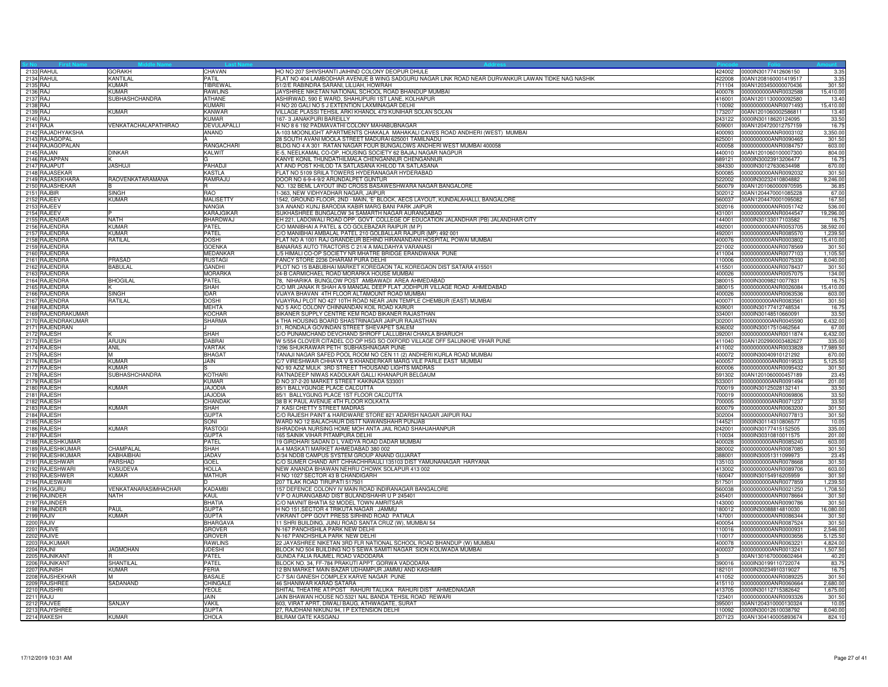| 2133 RAHUL                       | <b>GORAKH</b>                       | <b>CHAVAN</b>                     | HO NO 207 SHIVSHANTI JAIHIND COLONY DEOPUR DHULE                                                                       | 424002 0000IN30177412606150                                   | 3.35                |
|----------------------------------|-------------------------------------|-----------------------------------|------------------------------------------------------------------------------------------------------------------------|---------------------------------------------------------------|---------------------|
| 2134 RAHUL                       | <b>KANTILAL</b><br>KIIMAR           | PATIL                             | FLAT NO 404 LAMBODHAR AVENUE B WING SADGURU NAGAR LINK ROAD NEAR DURVANKUR LAWAN TIDKE NAG NASHIK                      | 422008<br>00AN1208160001419517                                | 3.35                |
| 2135 RAJ<br>2136 RAJ             | <b>KUMAR</b>                        | <b>TIBREWAL</b><br><b>RAWLINS</b> | 51/2/E RABINDRA SARANI, LILUAH, HOWRAH<br>JAYSHREE NIKETAN NATIONAL SCHOOL ROAD BHANDUP MUMBAI                         | 00AN1203450000070436<br>711104<br>400078 0000000000ANR0032588 | 301.50<br>15,410.00 |
| 2137 RAJ                         | <b>SUBHASHCHANDRA</b>               | <b>ATHANE</b>                     | ASHIRWAD, 590 E WARD, SHAHUPURI 1ST LANE, KOLHAPUR                                                                     | 416001 00AN1201130000092580                                   | 13.40               |
| 2138 RAJ                         |                                     | <b>KUMARI</b>                     | H NO 20 GALI NO 5 J EXTENTION LAXMINAGAR DELHI                                                                         | 10092 0000000000ANR0071493                                    | 15,410.00           |
| 2139 RAJ                         | <b>KUMAR</b>                        | KANWAR                            | VILLAGE PLASSI TEHSIL ARKI KHANOL 473 KUNIHAR SOLAN SOLAN                                                              | 00AN1201060002586811<br>173207                                | 13.40               |
| 2140 RAJ                         |                                     | <b>KIMAR</b>                      | 167-3 JANAKPURI BAREILLY                                                                                               | 0000lN30118620124095<br>243122                                | 33.50               |
| 2141 RAJA                        | VENKATACHALAPATHIRAO                | DEVULAPALLI                       | H NO 8 6 192 PADMAVATHI COLONY MAHABUBNAGAR                                                                            | 509001 00AN1204720012757159                                   | 16.7                |
| 2142 RAJADHYAKSHA                |                                     | ANAND                             | A-103 MOONLIGHT APARTMENTS CHAKALA MAHAKALI CAVES ROAD ANDHERI (WEST) MUMBAI                                           | 400093 0000000000ANR0003102                                   | 3,350.00            |
| 2143 RAJAGOPAL                   |                                     |                                   | 28 SOUTH AVANI MOOLA STREET MADURAI 625001 TAMILNADU                                                                   | 0000000000ANR0090465<br>625001                                | 301.50              |
| 2144 RAJAGOPALAN                 |                                     | <b>RANGACHARI</b>                 | BLDG NO 4 A 301 RATAN NAGAR FOUR BUNGALOWS ANDHERI WEST MUMBAI 400058                                                  | 400058<br>0000000000ANR0084757                                | 603.00              |
| 2145 RAJAN                       | <b>DINKAR</b>                       | <b>KALWIT</b>                     | E-5, NEELKAMAL CO-OP, HOUSING SOCIETY 62 BAJAJ NAGAR NAGPUR                                                            | 440010 00AN1201060100007300                                   | 804.00              |
| 2146 RAJAPPAN<br>2147 RAJAPUT    | JASHUJI                             | PAHADJI                           | KANYE KONIL THUNDATHILMALA CHENGANNUR CHENGANNUR<br>AT AND POST KHILOD TA SATLASANA KHILOD TA SATLASANA                | 689121 0000IN30023913206477<br>384330 0000IN30127630634498    | 16.7                |
| 2148 RAJASEKAR                   |                                     | <b>KASTLA</b>                     | LAT NO 5109 SRILA TOWERS HYDERANAGAR HYDERABAD                                                                         | 500085  0000000000ANR0092032                                  | 670.00<br>301.50    |
| 2149 RAJASEKHARA                 | RAOVENKATARAMANA                    | RAMRAJU                           | DOOR NO 6-9-4-9/2 ARUNDALPET GUNTUR                                                                                    | 522002<br>0000IN30232410804882                                | 9,246.00            |
| 2150 RAJASHEKAR                  |                                     | R.                                | NO. 132 BEML LAYOUT IIND CROSS BASAWESHWARA NAGAR BANGALORE                                                            | 00AN1201060000970595<br>560079                                | 36.85               |
| 2151 RAJBIR                      | <b>SINGH</b>                        | <b>RAO</b>                        | 1-363, NEW VIDHYADHAR NAGAR, JAIPUR                                                                                    | 302012 00AN1204470001085228                                   | 67.00               |
| 2152 RAJEEV                      | <b>KUMAR</b>                        | <b>MALISETTY</b>                  | 1542, GROUND FLOOR, 2ND - MAIN, 'E' BLOCK, AECS LAYOUT, KUNDALAHALLI, BANGALORE                                        | 560037 00AN1204470001095082                                   | 167.50              |
| 2153 RAJEEV                      |                                     | <b>NANGIA</b>                     | 3/A ANAND KUNJ BARODIA KABIR MARG BANI PARK JAIPUR                                                                     | 302016  0000000000ANR0051742                                  | 536.0               |
| 2154 RAJEEV                      |                                     | KARAJGIKAR                        | SUKHASHREE BUNGALOW 34 SAMARTH NAGAR AURANGABAD                                                                        | 431001 0000000000ANR0044547                                   | 19,296.00           |
| 2155 RAJENDAR                    | <b>NATH</b>                         | <b>BHARDWAJ</b>                   | EH 221, LADOWALI ROAD OPP. GOVT. COLLEGE OF EDUCATION JALANDHAR (PB) JALANDHAR CITY                                    | 144001 0000IN30133017103582                                   | 16.7                |
| 2156 RAJENDRA<br>2157 RAJENDRA   | <b>KUMAR</b><br>KIIMAR              | PATEL<br>PATEL                    | C/O MANIBHAI A PATEL & CO GOLEBAZAR RAIPUR (M P)<br>C/O MANIBHAI AMBALAL PATEL 210 GOLBALLAR RAJPUR (MP) 492 001       | 492001 0000000000ANR0053705<br>492001 0000000000ANR0085570    | 38,592.0<br>1,239.5 |
| 2158 RAJENDRA                    | RATILAL                             | DOSHI                             | FLAT NO A 1001 RAJ GRANDEUR BEHIND HIRANANDANI HOSPITAL POWAI MUMBAI                                                   | 400076<br>0000000000ANR0003802                                | 15,410.0            |
| 2159 RAJENDRA                    |                                     | <b>GOENKA</b>                     | BANARAS AUTO TRACTORS C 21/4 A MALDAHYA VARANASI                                                                       | 221002 0000000000ANR0078569                                   | 301.5               |
| 2160 RAJENDRA                    |                                     | MEDANKAR                          | L/5 HIMALI CO-OP SOCIETY NR MHATRE BRIDGE ERANDWANA PUNE                                                               | 411004 0000000000ANR0077103                                   | 1,105.5             |
| 2161 RAJENDRA                    | PRASAD                              | <b>RUSTAGI</b>                    | FANCY STORE 2236 DHARAM PURA DELHI                                                                                     | 110006 0000000000ANR0075330                                   | 8,040.00            |
| 2162 RAJENDRA                    | <b>BABULAL</b>                      | <b>GANDHI</b>                     | PLOT NO 15 BABUBHAI MARKET KOREGAON TAL KOREGAON DIST SATARA 415501                                                    | 415501 0000000000ANR0078437                                   | 301.50              |
| 2163 RAJENDRA                    |                                     | <b>MORARKA</b>                    | 24-B CARMICHAEL ROAD MORARKA HOUSE MUMBAI                                                                              | 400026<br>0000000000ANR0057075                                | 134.00              |
| 2164 RAJENDRA                    | <b>BHOGILAL</b>                     | PATEL                             | 78, NIHARIKA BUNGLOW POST AMBAWADI AREA AHMEDABAD                                                                      | 0000lN30098210077831<br>380015                                | 16.7                |
| 2165 RAJENDRA                    | SINGH                               | SHAH                              | C/O MR JANAK R SHAH A/9 MANGAL DEEP FLAT JODHPUR VILLAGE ROAD AHMEDABAD                                                | 380015 0000000000ANR0026084                                   | 15,410.00           |
| 2166 RAJENDRA<br>2167 RAJENDRA   | <b>RATILAL</b>                      | <b>IDAR</b><br><b>DOSHI</b>       | VIJAYA BHAVAN 4TH FLOOR ALTAMOUNT ROAD MUMBAI<br>VIJAYRAJ PLOT NO 427 10TH ROAD NEAR JAIN TEMPLE CHEMBUR (EAST) MUMBAI | 400026 0000000000ANR0063536<br>400071 0000000000ANR0083561    | 603.00<br>301.5     |
| 2168 RAJENDRA                    |                                     | <b>MEHTA</b>                      | NO 5 AKC COLONY CHINNANDAN KOIL ROAD KARUR                                                                             | 0000lN30177412748534<br>339001                                | 16.7                |
| 2169 RAJENDRAKUMAR               |                                     | <b>KOCHAR</b>                     | BIKANER SUPPLY CENTRE KEM ROAD BIKANER RAJASTHAN                                                                       | 334001 0000lN30148510660091                                   | 33.50               |
| 2170 RAJENDRAKUMAR               |                                     | <b>SHARMA</b>                     | 4 THA HOUSING BOARD SHASTRINAGAR JAIPUR RAJASTHAN                                                                      | 302001 0000000000ANR0045590                                   | 6,432.00            |
| 2171 RAJENDRAN                   |                                     |                                   | 31, RONDALA GOVINDAN STREET SHEVAPET SALEM                                                                             | 636002 0000lN30017510462564                                   | 67.00               |
| 2172 RAJESH                      |                                     | <b>SHAH</b>                       | C/O PUNAMCHAND DEVCHAND SHROFF LALLUBHAI CHAKLA BHARUCH                                                                | 0000000000ANR0011874<br>392001                                | 6.432.00            |
| 2173 RAJESH                      | <b>ARJUN</b>                        | <b>DABRAI</b>                     | W 5/554 CLOVER CITADEL CO OP HSG SO OXFORD VILLAGE OFF SALUNKHE VIHAR PUNE                                             | 411040 00AN1202990003482627                                   | 335.00              |
| 2174 RAJESH                      | ANII                                | VARTAK                            | 1296 SHUKRAWAR PETH SUBHASHNAGAR PUNE                                                                                  | 411002 0000000000ANR0033828                                   | 17,989.5            |
| 2175 RAJESH                      |                                     | <b>BHAGAT</b>                     | TANAJI NAGAR SAFED POOL ROOM NO CEN 11 (2) ANDHERI KURLA ROAD MUMBAI                                                   | 400072 0000IN30040910121292                                   | 670.0               |
| 2176 RAJESH<br>2177 RAJESH       | KUMAR<br><b>KUMAR</b>               | JAIN                              | C/7 VIRESHWAR CHHAYA V S KHANDERKAR MARG VILE PARLE EAST MUMBAI<br>NO 93 AZIZ MULK 3RD STREET THOUSAND LIGHTS MADRAS   | 400057 0000000000ANR0019533<br>600006<br>0000000000ANR0095432 | 5,125.50<br>301.5   |
| 2178 RAJESH                      | SUBHASHCHANDRA                      | <b>KOTHARI</b>                    | RATNADEEP NIWAS KADOLKAR GALLI KHANAPUR BELGAUM                                                                        | 591302<br>00AN1201060000457189                                | 23.45               |
| 2179 RAJESH                      |                                     | <b>KUMAR</b>                      | D NO 37-2-20 MARKET STREET KAKINADA 533001                                                                             | 0000000000ANR0091494<br>533001                                | 201.00              |
| 2180 RAJESH                      | <b>KUMAR</b>                        | <b>JAJODIA</b>                    | 85/1 BALLYGUNGE PLACE CALCUTTA                                                                                         | 700019 0000lN30125028132141                                   | 33.50               |
| 2181 RAJESH                      |                                     | <b>JAJODIA</b>                    | 85/1 BALLYGUNG PLACE 1ST FLOOR CALCUTTA                                                                                | 700019 0000000000ANR0069806                                   | 33.50               |
| 2182 RAJESH                      |                                     | CHANDAK                           | 38 B K PAUL AVENUE 4TH FLOOR KOLKATA                                                                                   | 700005<br>0000000000ANR0071237                                | 33.50               |
| 2183 RAJESH                      | <b>KUMAR</b>                        | SHAH                              | 7 KASI CHETTY STREET MADRAS                                                                                            | 600079 0000000000ANR0063200                                   | 301.50              |
| 2184 RAJESH                      |                                     | <b>GUPTA</b>                      | C/O RAJESH PAINT & HARDWARE STORE 821 ADARSH NAGAR JAIPUR RAJ                                                          | 302004 0000000000ANR0077813                                   | 301.50              |
| 2185 RAJESH                      |                                     | SONI                              | WARD NO 12 BALACHAUR DISTT NAWANSHAHR PUNJAB                                                                           | 44521 0000IN30114310806577                                    | 10.05               |
| 2186 RAJESH<br>2187 RAJESH       | KUMAR                               | <b>RASTOGI</b><br><b>GUPTA</b>    | SHRADDHA NURSING HOME MOH ANTA JAIL ROAD SHAHJAHANPUR<br>165 SAINIK VIHAR PITAMPURA DELHI                              | 242001 0000lN30177415152505<br>0000lN30310810011575<br>10034  | 335.00<br>201.00    |
| 2188 RAJESHKUMAR                 |                                     | PATEL                             | 19 GIRDHARI SADAN D L VAIDYA ROAD DADAR MUMBAI                                                                         | 400028<br>0000000000ANR0085240                                | 603.00              |
| 2189 RAJESHKUMAR                 | CHAMPALAL                           | <b>SHAH</b>                       | A-4 MASKATI MARKET AHMEDABAD 380 002                                                                                   | 380002 0000000000ANR0087085                                   | 301.50              |
| 2190 RAJESHKUMAR                 | KABHAIBHAI                          | <b>JADAV</b>                      | D/34 NDDB CAMPUS SYSTEM GROUP ANAND GUJARAT                                                                            | 388001 0000IN30051311099973                                   | 23.45               |
| 2191 RAJESHWAR                   | <b>PARSHAD</b>                      | <b>GOEL</b>                       | C/O SUMER CHAND ART CHHACHHRAULI 135103 DIST YAMUNANAGAR HARYANA                                                       | 135103 0000000000ANR0078668                                   | 301.50              |
| 2192 RAJESHWARI                  | VASUDEVA                            | HOLLA                             | NEW ANANDA BHAWAN NEHRU CHOWK SOLAPUR 413 002                                                                          | 413002<br>0000000000ANR0089706                                | 603.0               |
| 2193 RAJESHWER                   | <b>KUMAR</b>                        | <b>MATHUR</b>                     | H NO 1027 SECTOR 43 B CHANDIGARH                                                                                       | 0000lN30154916205959<br>160047                                | 301.5               |
| 2194 RAJESWARI                   |                                     |                                   | 207 TILAK ROAD TIRUPATI 517501                                                                                         | 517501 0000000000ANR0077859                                   | 1,239.50            |
| 2195 RAJGURU<br>2196 RAJINDER    | <b>VENKATANARASIMHACHAR</b><br>NATH | <b>KADAMBI</b><br>KAUL            | 157 DEFENCE COLONY IV MAIN ROAD INDIRANAGAR BANGALORE<br>V P O AURANGABAD DIST BULANDSHAHR U P 245401                  | 560038 0000000000ANR0021250<br>245401 0000000000ANR0078664    | 1,708.50<br>301.5   |
| 2197 RAJINDER                    |                                     | <b>BHATIA</b>                     | C/O NAVNIT BHATIA 52 MODEL TOWN AMRITSAR                                                                               | 0000000000ANR0090786<br>143000                                | 301.5               |
| 2198 RAJINDER                    | <b>PAIII</b>                        | GUPTA                             | H NO 151, SECTOR 4 TRIKUTA NAGAR. JAMMU                                                                                | 180012<br>0000lN30088814810030                                | 16,080.0            |
| 2199 RAJIV                       | <b>KUMAR</b>                        | <b>GUPTA</b>                      | VIKRANT OPP GOVT PRESS SIRHIND ROAD PATIALA                                                                            | 147001 0000000000ANR0086344                                   | 301.50              |
| 2200 RAJIV                       |                                     | <b>BHARGAVA</b>                   | 11 SHRI BUILDING, JUNU ROAD SANTA CRUZ (W), MUMBAI 54                                                                  | 400054 0000000000ANR0087524                                   | 301.50              |
| 2201 RAJIVE                      |                                     | <b>GROVER</b>                     | N-167 PANCHSHILA PARK NEW DELHI                                                                                        | 10016 0000000000ANR0000931                                    | 2,546.00            |
| 2202 RAJIVE                      |                                     | <b>GROVER</b>                     | N-167 PANCHSHILA PARK NEW DELHI                                                                                        | 10017 0000000000ANR0003656                                    | 5,125.5             |
| 2203 RAJKUMAR                    |                                     | <b>RAWLINS</b>                    | 22 JAYASHREE NIKETAN 3RD FLR NATIONAL SCHOOL ROAD BHANDUP (W) MUMBAI                                                   | 0000000000ANR0063221<br>400078                                | 4,824.0             |
| 2204 RAJNI                       | <b>JAGMOHAN</b>                     | UDESHI                            | BLOCK NO 504 BUILDING NO 5 SEWA SAMITI NAGAR SION KOLIWADA MUMBAI                                                      | 400037 0000000000ANR0013241                                   | 1,507.5             |
| 2205 RAJNIKANT<br>2206 RAJNIKANT | SHANTIL AL                          | PATEL<br>PATEL                    | GUNDA FALIA RAJMEL ROAD VADODARA<br>BLOCK NO. 34, FF-784 PRAKUTI APPT, GORWA VADODARA                                  | 00AN1301670000602464<br>0000IN30199110722074<br>390016        | 40.20<br>83.7       |
| 2207 RAJNISH                     | <b>KUMAR</b>                        | <b>FERIA</b>                      | 12 BN MARKET MAIN BAZAR UDHAMPUR JAMMU AND KASHMIR                                                                     | 182101<br>0000IN30234910319027                                | 16.7                |
| 2208 RAJSHEKHAR                  | M                                   | <b>BASALE</b>                     | C-7 SAI GANESH COMPLEX KARVE NAGAR PUNE                                                                                | 0000000000ANR0089225<br>411052                                | 301.50              |
| 2209 RAJSHREE                    | SADANAND                            | CHINGALE                          | 46 SHANIWAR KARAD SATARA                                                                                               | 415110 0000000000ANR0060664                                   | 2,680.00            |
| 2210 RAJSHRI                     |                                     | YEOLE                             | SHITAL THEATRE AT/POST RAHURI TALUKA RAHURI DIST AHMEDNAGAR                                                            | 413705 0000IN30112715382642                                   | 1,675.00            |
| 2211 RAJU                        |                                     | Jain                              | JAIN BHAWAN HOUSE NO.5321 NAL BANDA TEHSIL ROAD REWARI                                                                 | 23401 0000000000ANR0093326                                    | 301.5               |
| 2212 RAJVEE                      | SANJAY                              | VAKIL                             | 603, VIRAT APRT, DIWALI BAUG, ATHWAGATE, SURAT                                                                         | 395001 00AN1204310000130324                                   | 10.0                |
| 2213 RAJYSHREE                   |                                     | GUPTA                             | 27, RAJDHANI NIKUNJ 94, I P EXTENSION DELHI                                                                            | 110092 0000IN30012610038792                                   | 8,040.00            |
| 2214 RAKESH                      | <b>KUMAR</b>                        | <b>CHOLA</b>                      | BILRAM GATE KASGANJ                                                                                                    | 207123 00AN1304140005893674                                   | 824.10              |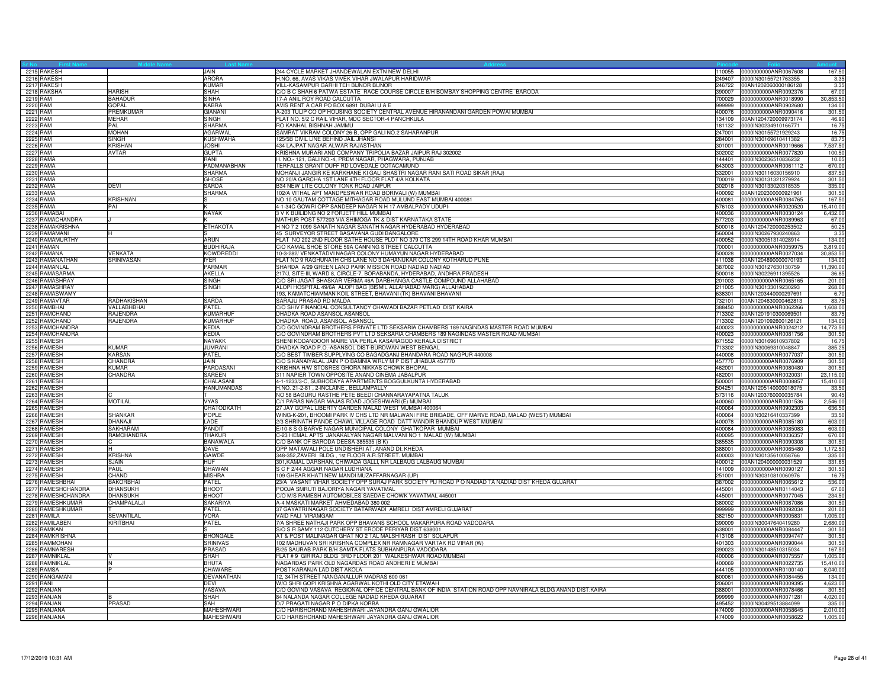| 2215 RAKESH                              |                                    | <b>JAIN</b>                  | 244 CYCLE MARKET JHANDEWALAN EXTN NEW DELHI<br>110055                                                                                        | 0000000000ANR0067608                                | 167.5            |
|------------------------------------------|------------------------------------|------------------------------|----------------------------------------------------------------------------------------------------------------------------------------------|-----------------------------------------------------|------------------|
| 2216 RAKESH                              |                                    | <b>ARORA</b>                 | H.NO. 66, AVAS VIKAS VIVEK VIHAR JWALAPUR HARIDWAR<br>249407                                                                                 | 0000IN30155721763355                                | 3.3 <sup>5</sup> |
| 2217 RAKESH                              |                                    | <b>KUMAR</b>                 | VILL-KASAMPUR GARHI TEH BIJNOR BIJNOR<br>246722                                                                                              | 00AN1202060000186128                                | 3.35             |
| 2218 RAKSHA                              | <b>HARISH</b>                      | <b>SHAH</b>                  | C/O B C SHAH 6 PATWA ESTATE RACE COURSE CIRCLE B/H BOMBAY SHOPPING CENTRE BARODA                                                             | 390007  0000000000ANR0092376                        | 67.00            |
| 2219 RAM                                 | <b>BAHADUR</b>                     | <b>SINHA</b>                 | 17-A ANIL ROY ROAD CALCUTTA<br>700029                                                                                                        | 0000000000ANR0018990                                | 30,853.50        |
| 2220 RAM                                 | <b>GOPAL</b>                       | <b>KABRA</b>                 | AVIS RENT A CAR PO BOX 6891 DUBAI U A E<br>999999                                                                                            | 0000000000ANR0902680                                | 134.00           |
| 2221 RAM                                 | <b>PREMKLIMAR</b>                  | <b>GIANANI</b>               | A-203 TULIP CO OP HOUSING SOCIETY CENTRAL AVENUE HIRANANDANI GARDEN POWAI MUMBAI<br>400076                                                   | 0000000000ANR0090416                                | 301.50           |
| 2222 RAM                                 | <b>MEHAR</b>                       | <b>SINGH</b>                 | FLAT NO. 5/2 C RAIL VIHAR, MDC SECTOR-4 PANCHKULA                                                                                            | 134109 00AN1204720009973174                         | 46.90            |
| 2223 RAM                                 | PAL                                | <b>SHARMA</b>                | RO KANHAL BISHNAH JAMMU                                                                                                                      | 181132 0000IN30234910166771                         | 16.75            |
| 2224 RAM                                 | <b>MOHAN</b>                       | <b>AGARWAL</b>               | SAMRAT VIKRAM COLONY 26-B, OPP GALI NO.2 SAHARANPUR<br>247001                                                                                | 0000IN30155721929243                                | 16.75            |
| 2225 RAM                                 | <b>SINGH</b>                       | <b>KUSHWAHA</b>              | 125/5B CIVIL LINE BEHIND JAIL JHANSI<br>284001                                                                                               | 0000IN30169610411382                                | 83.7             |
| 2226 RAM                                 | <b>KRISHAN</b>                     | <b>JOSHI</b>                 | 434 LAJPAT NAGAR ALWAR RAJASTHAN<br>301001                                                                                                   | 0000000000ANR0019666                                | 7,537.5          |
| 2227 RAM                                 | AVTAR                              | <b>GUPTA</b><br>RANI         | KRISHNA MURARI AND COMPANY TRIPOLIA BAZAR JAIPUR RAJ 302002<br>302002                                                                        | 0000000000ANR0077820                                | 100.5            |
| 2228 RAMA<br>2229 RAMA                   |                                    | PADMANABHAN                  | H. NO.- 121, GALI NO.-4, PREM NAGAR, PHAGWARA, PUNJAB<br>ERFALLS GRANT DUFF RD LOVEDALE OOTACAMUND<br>643003                                 | 144401 0000IN30236510836232<br>0000000000ANR0061112 | 10.05<br>670.00  |
| 2230 RAMA                                |                                    | <b>SHARMA</b>                | MOHANJI JANGIR KE KARKHANE KI GALI SHASTRI NAGAR RANI SATI ROAD SIKAR (RAJ)<br>332001                                                        | 0000lN30116030156910                                | 837.5            |
| 2231 RAMA                                |                                    | <b>GHOSE</b>                 | NO 20/A GARCHA 1ST LANE 4TH FLOOR FLAT 4/A KOLKATA<br>700019                                                                                 | 0000lN30131321279924                                | 301.50           |
| 2232 RAMA                                | <b>DEVI</b>                        | <b>SARDA</b>                 | B34 NEW LITE COLONY TONK ROAD JAIPUR                                                                                                         | 302018 0000IN30133020318535                         | 335.00           |
| 2233 RAMA                                |                                    | <b>SHARMA</b>                | 02/A VITHAL APT MANDPESWAR ROAD BORIVALI (W) MUMBAI                                                                                          | 400092 00AN1202300000921961                         | 301.50           |
| 2234 RAMA                                | <b>KRISHNAN</b>                    | s                            | NO 10 GAUTAM COTTAGE MITHAGAR ROAD MULUND EAST MUMBAI 400081<br>400081                                                                       | 0000000000ANR0084765                                | 167.50           |
| 2235 RAMA                                | PAI                                | ΙK                           | 4-1-34C-GOWRI OPP SANDEEP NAGAR N H 17 AMBALPADY UDUPI-                                                                                      | 576103 0000000000ANR0020520                         | 15,410.0         |
| 2236 RAMABAI                             |                                    | <b>NAYAK</b>                 | 3 V K BUILIDNG NO 2 FORJETT HILL MUMBAI                                                                                                      | 400036 0000000000ANR0030124                         | 6,432.00         |
| 2237 RAMACHANDRA                         |                                    |                              | MATHUR POST 577203 VIA SHIMOGA TK & DIST KARNATAKA STATE                                                                                     | 577203 0000000000ANR0089963                         | 67.00            |
| 2238 RAMAKRISHNA                         |                                    | <b>ETHAKOTA</b>              | H NO 7 2 1099 SANATH NAGAR SANATH NAGAR HYDERABAD HYDERABAD                                                                                  | 500018 00AN1204720000253502                         | 50.25            |
| 2239 RAMAMANI                            |                                    |                              | 15 SURVEYOR STREET BASAVANA GUDI BANGALORE<br>560004                                                                                         | 0000IN30267930240863                                | 3.35             |
| 2240 RAMAMURTHY                          |                                    | <b>ARUN</b>                  | FLAT NO 202 2ND FLOOR SATHE HOUSE PLOT NO 379 CTS 299 14TH ROAD KHAR MUMBAI<br>400052                                                        | 0000lN30051314028914                                | 134.00           |
| 2241 RAMAN                               |                                    | <b>BUDHIRAJA</b>             | C/O KAMAL SHOE STORE 59A CANNING STREET CALCUTTA<br>700001                                                                                   | 0000000000ANR0059975                                | 3,819.00         |
| 2242 RAMANA                              | <b>VENKATA</b>                     | <b>KOWDREDDI</b>             | 10-3-282/ VENKATADVI NAGAR COLONY HUMAYUN NAGAR HYDERABAD<br>500028                                                                          | 0000000000ANR0027034                                | 30,853.5         |
| 2243 RAMANATHAN                          | SRINIVASAN                         | <b>IYFR</b>                  | FLAT NO 9 RAGHUNATH CHS LANE NO 3 DAHANUKAR COLONY KOTHARUD PUNE                                                                             | 411038 00AN1204890000070193                         | 134.0            |
| 2244 RAMANLAL                            |                                    | <b>PARMAR</b>                | SHARDA A/29 GREEN LAND PARK MISSION ROAD NADIAD NADIAD<br>387002                                                                             | 0000IN30127630130759                                | 11,390.0         |
| 2245 RAMASARMA                           |                                    | AKELLA                       | 217/J, SITE-III, WARD 8, CIRCLE-7, BORABANDA, HYDERABAD, ANDHRA PRADESH                                                                      | 500018 0000IN30226911395526                         | 36.8             |
| 2246 RAMASHRAY                           |                                    | <b>SINGH</b>                 | C/O SRI JAGAT BHASKAR VERMA 46A DARBHANGA CASTLE COMPOUND ALLAHABAD                                                                          | 201003 0000000000ANR0065165                         | 201.00           |
| 2247 RAMASHRAY                           |                                    | <b>SINGH</b>                 | ALOPI HOSPITAL 49/6A ALOPI BAG (BISMIL ALLAHABAD MARG) ALLAHABAD                                                                             | 211005 0000IN30133019230293                         | 268.00           |
| 2248 RAMASWAMY                           |                                    |                              | 193, KAMATCHIAMMAN KOIL STREET, BHAVANI (TK) BHAVANI BHAVANI<br>638301                                                                       | 00AN1203440000297691                                | 6.70             |
| 2249 RAMAVTAR                            | RADHAKISHAN                        | SARDA                        | SARAJU PRASAD RD MALDA<br>732101                                                                                                             | 00AN1204630000462813                                | 83.7             |
| 2250 RAMBHAI                             | VALLABHBHAI                        | PATEL                        | C/O SHIV FINANCIAL CONSULTANCY CHAWADI BAZAR PETLAD DIST KAIRA<br>388450                                                                     | 0000000000ANR0062266                                | 1,608.00         |
| 2251 RAMCHAND                            | <b>RAJENDRA</b>                    | <b>KUMARHUF</b>              | DHADKA ROAD ASANSOL ASANSOL<br>713302                                                                                                        | 00AN1201910300069501                                | 83.7             |
| 2252 RAMCHAND                            | RAJENDRA                           | <b>KUMARHUF</b>              | DHADKA ROAD, ASANSOL. ASANSOL                                                                                                                | 713302 00AN1201092600126121                         | 134.00           |
| 2253 RAMCHANDRA                          |                                    | KEDIA                        | C/O GOVINDRAM BROTHERS PRIVATE LTD SEKSARIA CHAMBERS 189 NAGINDAS MASTER ROAD MUMBAI                                                         | 400023 0000000000ANR0024212                         | 14,773.5         |
| 2254 RAMCHANDRA                          |                                    | <b>KEDIA</b>                 | C/O GOVINDRAM BROTHERS PVT LTD SEKSARIA CHAMBERS 189 NAGINDAS MASTER ROAD MUMBAI<br>400023                                                   | 0000000000ANR0081756                                | 301.5            |
| 2255 RAMESH                              |                                    | <b>NAYAKK</b>                | SHENI KODANDOOR MAIRE VIA PERLA KASARAGOD KERALA DISTRICT<br>671552                                                                          | 0000lN30169610937802                                | 16.7             |
| 2256 RAMESH                              | <b>KUMAR</b>                       | <b>JUMRANI</b>               | DHADKA ROAD P.O.-ASANSOL DIST-BURDWAN WEST BENGAL                                                                                            | 713302 0000IN30069310048847                         | 385.25           |
| 2257 RAMESH                              | <b>KARSAN</b><br>CHANDRA           | PATEL<br>JAIN.               | C/O BEST TIMBER SUPPLYING CO BAGADGANJ BHANDARA ROAD NAGPUR 440008<br>C/O S KANAIYALAL JAIN P O BAMNIA WRLY M P DIST JHABUA 457770<br>457770 | 440008 0000000000ANR0077037<br>0000000000ANR0076909 | 301.50           |
| 2258 RAMESH<br>2259 RAMESH               | KUMAR                              | PARDASANI                    | KRISHNA H/W STOSRES GHORA NIKKAS CHOWK BHOPAL<br>462001                                                                                      | 0000000000ANR0080480                                | 301.50<br>301.5  |
| 2260 RAMESH                              | CHANDRA                            | SAREEN                       | 311 NAPIER TOWN OPPOSITE ANAND CINEMA JABALPUR<br>482001                                                                                     | 0000000000ANR0020031                                | 23,115.00        |
| 2261 RAMESH                              |                                    | CHALASANI                    | 4-1-1233/3-C, SUBHODAYA APARTMENTS BOGGULKUNTA HYDERABAD<br>500001                                                                           | 0000000000ANR0008857                                | 15,410.00        |
| 2262 RAMESH                              |                                    | HANUMANDAS                   | H.NO. 21-2-81, 2-INCLAINE, BELLAMPALLY                                                                                                       | 504251 00AN1205140000018075                         | 33.50            |
| 2263 RAMESH                              |                                    |                              | NO 58 BAGURU RASTHE PETE BEEDI CHANNARAYAPATNA TALUK<br>573116                                                                               | 00AN1203760000035784                                | 90.45            |
| 2264 RAMESH                              | <b>MOTILAL</b>                     | <b>VYAS</b>                  | C/1 PARAS NAGAR MAJAS ROAD JOGESHWARI (E) MUMBAI<br>400060                                                                                   | 0000000000ANR0001536                                | 2,546.00         |
| 2265 RAMESH                              |                                    | CHATODKATH                   | 27 JAY GOPAL LIBERTY GARDEN MALAD WEST MUMBAI 400064<br>400064                                                                               | 0000000000ANR0902303                                | 636.50           |
| 2266 RAMESH                              | SHANKAR                            | POPLE                        | WING-K-201, BHOOMI PARK IV CHS LTD NR MALWANI FIRE BRIGADE, OFF MARVE ROAD, MALAD (WEST) MUMBAI                                              | 400064 0000IN30216410337399                         | 33.50            |
| 2267 RAMESH                              | DHANAJI                            | LADE                         | 2/3 SHRINATH PANDE CHAWL VILLAGE ROAD DATT MANDIR BHANDUP WEST MUMBAI                                                                        | 400078  0000000000ANR0085180                        | 603.00           |
| 2268 RAMESH                              | SAKHARAM                           | PANDIT                       | E/10-8 S G BARVE NAGAR MUNICIPAL COLONY GHATKOPAR MUMBAI<br>400084                                                                           | 0000000000ANR0085083                                | 603.00           |
| 2269 RAMESH                              | RAMCHANDRA                         | THAKUR                       | C-23 HEMAL APTS JANAKALYAN NAGAR MALVANI NO 1 MALAD (W) MUMBAI<br>400095                                                                     | 0000000000ANR0036357                                | 670.0            |
| 2270 RAMESH                              |                                    | <b>BANAWALA</b>              | C/O BANK OF BARODA DEESA 385535 (B K)<br>385535                                                                                              | 0000000000ANR0090308                                | 301.50           |
| 2271 RAMESH                              |                                    | DAVE                         | OPP MATAWALI POLE UNDISHERI AT: ANAND DI: KHEDA<br>388001                                                                                    | 0000000000ANR0065480                                | 1,172.50         |
| 2272 RAMESH                              | <b>KRISHNA</b>                     | GAWDE                        | 348-352,ZAVERI BLDG, 1st FLOOR A.R.STREET. MUMBAI                                                                                            | 400003 0000IN30135610058766                         | 335.00           |
| 2273 RAMESH                              | <b>SJAIN</b>                       | <b>HUF</b>                   | 301, KAMAL DARSHAN, CHIWADA GALLI, NR LALBAUG LALBAUG MUMBAI<br>400012                                                                       | 00AN1204000000031529                                | 331.65           |
| 2274 RAMESH                              | PAUL                               | <b>DHAWAN</b>                | S C F 2/44 AGGAR NAGAR LUDHIANA<br>141009                                                                                                    | 0000000000ANR0090127                                | 301.5            |
| 2275 RAMESH                              | CHAND                              | <b>MISHRA</b>                | 109 GHEAR KHATI NEW MANDI MUZAFFARNAGAR (UP)<br>251001                                                                                       | 0000lN30310810060976                                | 16.7             |
| 2276 RAMESHBHAI                          | <b>BAKORBHAI</b>                   | <b>PATEL</b>                 | 23/A VASANT VIHAR SOCIETY OPP SURAJ PARK SOCIETY PIJ ROAD P O NADIAD TA NADIAD DIST KHEDA GUJARAT<br>387002                                  | 0000000000ANR0065612                                | 536.0            |
| 2277 RAMESHCHANDRA<br>2278 RAMESHCHANDRA | <b>DHANSUKH</b><br><b>DHANSUKH</b> | <b>BHOOT</b><br><b>BHOOT</b> | POOJA SMRUTI BAJORIYA NAGAR YAVATMAL<br>445001                                                                                               | 445001 0000000000ANR0114043<br>0000000000ANR0077045 | 67.00<br>234.50  |
|                                          | CHAMPALALJ                         | SAKARIYA                     | C/O M/S RAMESH AUTOMOBILES SAEDAE CHOWK YAVATMAL 445001<br>380002                                                                            |                                                     |                  |
| 2279 RAMESHKUMAR<br>2280 RAMESHKUMAR     |                                    | PATEL                        | A-4 MASKATI MARKET AHMEDABAD 380 002<br>37 GAYATRI NAGAR SOCIETY BATARWADI AMRELI DIST AMRELI GUJARAT<br>999999                              | 0000000000ANR0087086<br>0000000000ANR0092034        | 301.5<br>201.00  |
| 2281 RAMILA                              | SEVANTILAI                         | <b>VORA</b>                  | VAID FALI VIRAMGAM<br>382150                                                                                                                 | 0000000000ANR0005831                                | 1,005.0          |
| 2282 RAMILABEN                           | KIRITBHAI                          | PATEL                        | 7/A SHREE NATHAJI PARK OPP BHAVANS SCHOOL MAKARPURA ROAD VADODARA<br>390009                                                                  | 0000IN30047640419280                                | 2,680.00         |
| 2283 RAMKAN                              |                                    |                              | S/O S R SAMY 112 CUTCHERY ST ERODE PERIYAR DIST 638001<br>638001                                                                             | 0000000000ANR0084447                                | 301.50           |
| 2284 RAMKRISHNA                          |                                    | <b>BHONGALE</b>              | AT & POST MALINAGAR GHAT NO 2 TAL MALSHIRASH DIST SOLAPUR<br>413108                                                                          | 0000000000ANR0094747                                | 301.50           |
| 2285 RAMMOHAN                            |                                    | <b>SRINIVAS</b>              | 102 MADHUVAN SRI KRISHNA COMPLEX NR RAMNAGAR VARTAK RD VIRAR (W)<br>401303                                                                   | 0000000000ANR0090044                                | 301.5            |
| 2286 RAMNARESH                           |                                    | PRASAD                       | B/25 SAURAB PARK B/H SAMTA FLATS SUBHANPURA VADODARA<br>390023                                                                               | 0000lN30148510315034                                | 167.5            |
| 2287 RAMNIKLAL                           |                                    | <b>SHAH</b>                  | FLAT # 9 GIRIRAJ BLDG 3RD FLOOR 201 WALKESHWAR ROAD MUMBAI<br>400006                                                                         | 0000000000ANR0075557                                | 1,005.0          |
| 2288 RAMNIKLAL                           |                                    | <b>BHUTA</b>                 | NAGARDAS PARK OLD NAGARDAS ROAD ANDHERI E MUMBAI<br>400069                                                                                   | 0000000000ANR0022735                                | 15,410.0         |
| 2289 RAMSA                               |                                    | CHAWARE                      | POST KARANJA LAD DIST AKOLA<br>444105                                                                                                        | 0000000000ANR0100140                                | 8,040.0          |
| 2290 RANGAMANI                           |                                    | <b>DEVANATHAN</b>            | 12, 34TH STREET NANGANALLUR MADRAS 600 061<br>600061                                                                                         | 0000000000ANR0084455                                | 134.00           |
| 2291 RANI                                |                                    | DEVI                         | W/O SHRI GOPI KRISHNA AGARWAL KOTHI OLD CITY ETAWAH<br>206001                                                                                | 0000000000ANR0009395                                | 4,623.00         |
| 2292 RANJAN                              |                                    | VASAVA                       | C/O GOVIND VASAVA REGIONAL OFFICE CENTRAL BANK OF INDIA STATION ROAD OPP NAVNIRALA BLDG ANAND DIST:KAIRA<br>388001                           | 0000000000ANR0078466                                | 301.50           |
| 2293 RANJAN                              |                                    | <b>SHAH</b>                  | 84 NALANDA NAGAR COLLEGE NADIAD KHEDA GUJARAT<br>999999                                                                                      | 0000000000ANR0071281                                | 4,020.0          |
| 2294 RANJAN                              | PRASAD                             | SAH                          | D/7 PRAGATI NAGAR P O DIPKA KORBA                                                                                                            | 495452 0000IN30429513884099                         | 335.00           |
| 2295 RANJANA                             |                                    | <b>MAHESHWARI</b>            | C/O HARISHCHAND MAHESHWARI JAYANDRA GANJ GWALIOR                                                                                             | 474009 0000000000ANR0058645                         | 2,010.00         |
| 2296 RANJANA                             |                                    | <b>MAHESHWARI</b>            | C/O HARISHCHAND MAHESHWARI JAYANDRA GANJ GWALIOR                                                                                             | 474009 0000000000ANR0058622                         | 1,005.00         |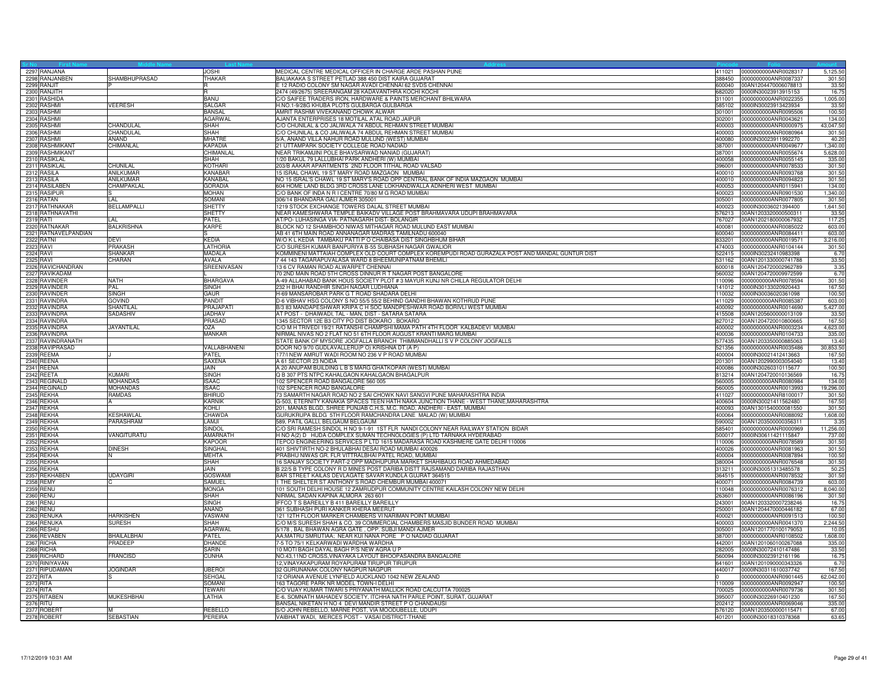| Sr No Fir<br>2297 RANJANA                 |                    |                                 |                                                                                                                                         |                  |                                                     |                     |
|-------------------------------------------|--------------------|---------------------------------|-----------------------------------------------------------------------------------------------------------------------------------------|------------------|-----------------------------------------------------|---------------------|
|                                           |                    | <b>JOSHI</b>                    | MEDICAL CENTRE MEDICAL OFFICER IN CHARGE ARDE PASHAN PUNE                                                                               |                  | 411021 0000000000ANR0028317                         | 5,125.50            |
| 2298 RANJANBEN                            | SHAMBHUPRASAD      | THAKAR                          | BALIAKAKA S STREET PETLAD 388 450 DIST KAIRA GUJARAT                                                                                    | 388450           | 0000000000ANR0087337                                | 301.5               |
| 2299 RANJIT                               |                    |                                 | E 12 RADIO COLONY SM NAGAR AVADI CHENNAI 62 SVDS CHENNAI                                                                                | 600040           | 00AN1204470006078813                                | 33.5                |
| 2300 RANJITH                              |                    | R                               | 2474 (49/2675) SREERANGAM 28 KADAVANTHRA KOCHI KOCHI                                                                                    | 682020           | 0000IN30023913915153                                | 16.7                |
| 2301 RASHIDA                              |                    | <b>BANU</b>                     | C/O SAIFEE TRADERS IRON, HARDWARE & PAINTS MERCHANT BHILWARA                                                                            |                  | 311001 0000000000ANR0022355                         | 1,005.00            |
| 2302 RASHMI                               | <b>VEERESH</b>     | <b>SALGAR</b>                   | I.NO.1-9/28G KHUBA PLOTS GULBARGA GULBARGA                                                                                              | 585102           | 0000IN30023913423934                                | 33.5                |
| 2303 RASHMI<br>2304 RASHMI                |                    | <b>BANSAL</b><br><b>AGARWAL</b> | AMRIT RASHMI VIVEKANAND CHOWK ALWAR<br>AJANTA ENTERPRISES 18 MOTILAL ATAL ROAD JAIPUR                                                   | 301001<br>302001 | 0000000000ANR0095506<br>0000000000ANR0043621        | 100.5<br>134.00     |
| 2305 RASHMI                               | CHANDULAL          | SHAH                            | C/O CHUNILAL & CO JALIWALA 74 ABDUL REHMAN STREET MUMBAI                                                                                |                  | 400003 0000000000ANR0000975                         | 43,047.50           |
|                                           | CHANDULAL          | <b>SHAH</b>                     | C/O CHUNILAL & CO JALIWALA 74 ABDUL REHMAN STREET MUMBAI                                                                                |                  | 400003 0000000000ANR0080964                         | 301.50              |
| 2306 RASHMI<br>2307 RASHMI                | ANAND              | <b>MHATRE</b>                   | 5/A, ANAND VILLA NAHUR ROAD MULUND (WEST) MUMBAI                                                                                        | 400080           | 0000IN30023911992270                                | 40.20               |
| 2308 RASHMIKANT                           | CHIMANLAL          | <b>KAPADIA</b>                  | 21 UTTAMPARK SOCIETY COLLEGE ROAD NADIAD                                                                                                |                  | 387001 0000000000ANR0049677                         | 1,340.00            |
| 2309 RASHMIKANT                           |                    | CHIMANLAL                       | NEAR TRIKAMJINI POLE BHAVSARWAD NANIAD (GUJARAT)                                                                                        |                  | 387001 0000000000ANR0055674                         | 5,628.00            |
| 2310 RASIKLAL                             |                    | SHAH                            | /20 BAKUL 79 LALLUBHAI PARK ANDHERI (W) MUMBAI                                                                                          |                  | 400058 0000000000ANR0055145                         | 335.00              |
| 2311 RASIKLAL                             | CHUNILAL           | KOTHARI                         | 203/B AAKAR APARTMENTS 2ND FLOOR TITHAL ROAD VALSAD                                                                                     |                  | 396001 0000000000ANR0078533                         | 301.50              |
| 2312 RASILA                               | ANILKUMAR          | KANABAR                         | 5 ISRAL CHAWL 19 ST MARY ROAD MAZGAON MUMBAI                                                                                            | 400010           | 0000000000ANR0093768                                | 301.5               |
| 2313 RASILA                               | ANILKUMAR          | KANABAL                         | NO 15 ISRAL'S CHAWL 19 ST MARY'S ROAD OPP CENTRAL BANK OF INDIA MAZGAON MUMBAI                                                          | 400010           | 000000000ANR0094823                                 | 301.50              |
| 2314 RASILABEN                            | CHAMPAKLAL         | <b>GORADIA</b>                  | 604 HOME LAND BLDG 3RD CROSS LANE LOKHANDWALLA ADNHERI WEST MUMBAI                                                                      | 400053           | 0000000000ANR0115941                                | 134.00              |
| 2315 RASIPUR                              |                    | <b>MOHAN</b>                    | C/O BANK OF INDA N R I CENTRE 70/80 M G ROAD MUMBAI                                                                                     | 400023           | 0000000000ANR0901530                                | 1,340.00            |
| 2316 RATAN<br>2317 RATHNAKAR              | ll Al              | <b>SOMANI</b>                   | 306/14 BHANDARA GALI AJMER 305001                                                                                                       | 305001           | 0000000000ANR0077805                                | 301.50              |
|                                           | <b>BELLAMPALLI</b> | <b>SHETTY</b>                   | 1219 STOCK EXCHANGE TOWERS DALAL STREET MUMBAI                                                                                          | 400023           | 0000lN30036021394400                                | 1,641.5             |
| 2318 RATHNAVATHI                          |                    | <b>SHETTY</b>                   | NEAR KAMESHWARA TEMPLE BAIKADV VILLAGE POST BRAHMAVARA UDUPI BRAHMAVARA                                                                 | 576213           | 00AN1203320000500311                                | 33.5                |
| 2319 RATI                                 | IL AL              | PATEL                           | AT/PO- LUHASINGA VIA- PATNAGARH DIST- BOLANGIR                                                                                          |                  | 767027 00AN1202180000067932                         | 117.25              |
| 2320 RATNAKAR                             | <b>BALKRISHNA</b>  | <b>KARPE</b>                    | BLOCK NO 12 SHAMBHOO NIWAS MITHAGAR ROAD MULUND EAST MUMBAI<br>AB 41 6TH MAIN ROAD ANNANAGAR MADRAS TAMILNADU 600040                    |                  | 400081 0000000000ANR0085022                         | 603.00              |
| 2321 RATNAVELPANDIAN<br>2322 RATNI        | DEVI               | KEDIA                           | N/O K L KEDIA TAMBAKU PATTI P O CHAIBASA DIST SINGHBHUM BIHAR                                                                           | 33201            | 600040 0000000000ANR0084411<br>0000000000ANR0019571 | 603.00              |
| 2323 RAVI                                 | PRAKASH            | LATHORIA                        | C/O SURESH KUMAR BANPURIYA B-55 SUBHASH NAGAR GWALIOR                                                                                   | 474003           | 0000000000ANR0104144                                | 3,216.00<br>301.50  |
| 2324 RAVI                                 | <b>SHANKAR</b>     | <b>MADALA</b>                   | KOMMINENI MATTAIAH COMPLEX OLD COURT COMPLEX KOREMPUDI ROAD GURAZALA POST AND MANDAL GUNTUR DIST                                        |                  | 522415 0000IN30232410983398                         | 6.70                |
| 2325 RAVI                                 | CHARAN             | AVALA                           | 7 44 143 TAGARAPUVALASA WARD 8 BHEEMUNIPATNAM BHEMILI                                                                                   |                  | 531162 00AN1201330000741788                         | 33.50               |
| 2326 RAVICHANDRAN                         |                    | SREENIVASAN                     | 13 6 CV RAMAN ROAD ALWARPET CHENNAI                                                                                                     | 600018           | 00AN1204720002962789                                | 3.35                |
| 2327 RAVIKADAM                            |                    |                                 | 70 2ND MAIN ROAD 5TH CROSS DINNUR R T NAGAR POST BANGALORE                                                                              | 560032           | 00AN1204720009972599                                | 6.70                |
| 2328 RAVINDER                             | <b>NATH</b>        | <b>BHARGAVA</b>                 | A-49 ALLAHABAD BANK HOUS SOCIETY PLOT #3 MAYUR KUNJ NR CHILLA REGULATOR DELHI                                                           |                  |                                                     | 301.50              |
| 2329 RAVINDER                             | PAL                | SINGH                           | 232 H BHAI RANDHIR SINGH NAGAR LUDHIANA                                                                                                 |                  | 141012 0000IN30133020920443                         | 167.50              |
| 2330 RAVINDER                             | <b>SINGH</b>       | GAUR                            | H-69 MANSAROBAR PARK G T ROAD SHADARA DELHI                                                                                             |                  | 10032 0000IN30036020361098                          | 100.50              |
| 2331 RAVINDRA                             | <b>GOVIND</b>      | PANDIT                          | D-6 VIBHAV HSG COLONY S NO 55/5 55/2 BEHIND GANDHI BHAWAN KOTHRUD PUNE                                                                  |                  | 411029 0000000000ANR0085387                         | 603.00              |
| 2332 RAVINDRA                             | SHANTILAL          | PRAJAPATI                       | 3/3 83 MANDAPESHWAR KRIPA C H SOC MANDPESHWAR ROAD BORIVLI WEST MUMBAI                                                                  | 400092           | 0000000000ANR0014690                                | 5,427.00            |
| 2333 RAVINDRA                             | SADASHIV           | <b>JADHAV</b>                   | AT POST - DHAIWADI, TAL - MAN, DIST - SATARA SATARA                                                                                     | 415508           | 00AN1205600000013109                                | 33.5                |
| 2334 RAVINDRA                             |                    | PRASAD                          | 1345 SECTOR 12E B3 CITY PO DIST BOKARO . BOKARO                                                                                         |                  | 827012 00AN1204720010800665                         | 167.5               |
| 2335 RAVINDRA                             | JAYANTILAL         | OZA                             | C/O M H TRIVEDI 19/21 RATANSHI CHAMPSHI MAMA PATH 4TH FLOOR KALBADEVI MUMBAI                                                            |                  | 400002 0000000000ANR0003234                         | 4,623.00            |
| 2336 RAVINDRA                             |                    | <b>MANKAR</b>                   | NIRMAL NIVAS NO 2 FLAT NO 51 6TH FLOOR AUGUST KRANTI MARG MUMBAI                                                                        | 400036           | 0000000000ANR0104733                                | 335.00              |
| 2337 RAVINDRANATH<br>2338 RAVIPRASAD      |                    | <b>VALLABHANENI</b>             | STATE BANK OF MYSORE JOGFALLA BRANCH THIMMANDHALLI S V P COLONY JOGFALLS<br>DOOR NO 9/70 GUDLAVALLERU(P O) KRISHNA DT (A P)             | 577435<br>521356 | 00AN1203350000885063<br>0000000000ANR0035486        | 13.4<br>30,853.5    |
| 2339 REEMA                                |                    | PATEL                           | 177/I NEW AMRUT WADI ROOM NO 236 V P ROAD MUMBAI                                                                                        |                  | 400004 0000IN30021412413663                         | 167.5               |
| 2340 REENA                                |                    | SAXENA                          | A 61 SECTOR 23 NOIDA                                                                                                                    |                  | 201301 00AN1202990003054040                         | 13.40               |
| 2341 REENA                                |                    | JAIN                            | 4 20 ANUPAM BUILDING L B S MARG GHATKOPAR (WEST) MUMBAI                                                                                 | 400086           | 0000lN30260310115677                                | 100.50              |
| 2342 REETA                                | KUMARI             | <b>SINGH</b>                    | Q B 307 PTS NTPC KAHALGAON KAHALGAON BHAGALPUR                                                                                          |                  | 813214 00AN1204720010136569                         | 16.7                |
| 2343 REGINALD                             | <b>MOHANDAS</b>    | <b>ISAAC</b>                    | 102 SPENCER ROAD BANGALORE 560 005                                                                                                      | 560005           | 0000000000ANR0080984                                | 134.00              |
| 2344 REGINALD                             | <b>MOHANDAS</b>    | <b>ISAAC</b>                    | 102 SPENCER ROAD BANGALORE                                                                                                              | 560005           | 0000000000ANR0013993                                | 19,296.00           |
| 2345 REKHA                                | <b>RAMDAS</b>      | <b>BHIRUD</b>                   | <u>73 SAMARTH NAGAR ROAD NO 2 SAI CHOWK NAVI SANGVI PUNE MAHARASHTRA INDIA</u>                                                          | 411027           | 0000000000ANR8100017                                | 301.50              |
|                                           |                    | KARNIK                          | 3-503, ETERNITY KANAKIA SPACES TEEN HATH NAKA JUNCTION THANE - WEST THANE,MAHARASHTRA                                                   | 400604           | 0000lN30021411562480                                | 167.5               |
| 2347 REKHA                                |                    | KOHLI                           | 201, MANAS BLGD, SHREE PUNJAB C.H.S, M.C. ROAD, ANDHERI - EAST, MUMBAI                                                                  | 400093           | 00AN1301540000081550                                | 301.5               |
| 2348 REKHA                                | <b>KESHAWLAL</b>   | CHAWDA                          | GURUKRUPA BLDG 5TH FLOOR RAMCHANDRA LANE MALAD (W) MUMBAI                                                                               |                  | 400064 0000000000ANR0088092                         | 1,608.00            |
| 2349 REKHA                                | PARASHRAM          | LAMJI                           | 589, PATIL GALLI, BELGAUM BELGAUM                                                                                                       |                  | 590002 00AN1203500000356311                         | 3.3                 |
| 2350 REKHA                                |                    | SINDOL                          | C/O SRI RAMESH SINDOL H NO 9-1-91 1ST FLR NANDI COLONY NEAR RAILWAY STATION BIDAR                                                       |                  | 585401 0000000000ANR0000969                         | 11,256.00           |
| 2351 REKHA                                | <b>/ANGITURATU</b> | AMARNATH                        | INO A(2) D HUDA COMPLEX SUMAN TECHNOLOGIES (P) LTD TARNAKA HYDERABAD                                                                    | 500017           | 0000lN30611421115847                                | 737.0               |
| 2352 REKHA                                |                    | <b>KAPOOR</b>                   | TEPCO ENGINEERING SERVICES P LTD 1615 MADARASA ROAD KASHMERE GATE DELHI 110006<br>401 SHIVTIRTH NO-2 BHULABHAI DESAI ROAD MUMBAI 400026 | 110006           | 0000000000ANR0078589                                | 301.5               |
| 2353 REKHA<br>2354 REKHA                  | <b>DINESH</b><br>N | <b>SINGHAL</b><br><b>MEHTA</b>  | PRABHU NIWAS GR. FLR VITTRALBHAI PATEL ROAD, MUMBAI                                                                                     | 400026           | 0000000000ANR0081963<br>400004 0000000000ANR0087894 | 301.50<br>100.5     |
|                                           |                    | <b>SHAH</b>                     | 6 SANJAY SOCIETY PART-2 OPP MADHUPURA MARKET SHAHIBAUG ROAD AHMEDABAD                                                                   |                  | 380004 0000000000ANR0076548                         | 301.50              |
|                                           |                    | JAIN                            | B 22/5 B TYPE COLONY R D MINES POST DARIBA DISTT RAJSAMAND DARIBA RAJASTHAN                                                             | 313211           | 0000IN30051313485578                                | 50.2                |
| 2355 REKHA<br>2356 REKHA<br>2357 REKHABEN | <b>UDAYGIRI</b>    | <b>GOSWAMI</b>                  | BAR STREET KAILAS DEVLAGATE SAVAR KUNDLA GUJRAT 364515                                                                                  | 364515           | 0000000000ANR0078532                                | 301.50              |
| 2358 REMY                                 |                    | SAMUEL                          | THE SHELTER ST ANTHONY S ROAD CHEMBUR MUMBAI 400071                                                                                     |                  | 400071 0000000000ANR0084739                         | 603.00              |
| 2359 RENU                                 |                    | <b>MONGA</b>                    | 101 SOUTH DELHI HOUSE 12 ZAMRUDPUR COMMUNITY CENTRE KAILASH COLONY NEW DELHI                                                            |                  | 110048 0000000000ANR0076312                         | 8,040.0             |
| 2360 RENU                                 |                    | <b>SHAH</b>                     | NIRMAL SADAN KAPINA ALMORA 263 601                                                                                                      | 263601           | 0000000000ANR0086196                                | 301.50              |
| 2361 RENU                                 |                    | SINGH                           | IFFCO T S BAREILLY B 411 BAREILLY BAREILLY                                                                                              | 243001           | 00AN1203320007238246                                | 16.7                |
| 2362 RENU                                 |                    | ANAND                           | 361 SUBHASH PURI KANKER KHERA MEERUT                                                                                                    | 250001           | 00AN1204470000446182                                | 67.00               |
| 2363 RENUKA                               | <b>HARKISHEN</b>   | VASWANI                         | 121 12TH FLOOR MARKER CHAMBERS VI NARIMAN POINT MUMBAI                                                                                  | 400021           | 0000000000ANR0091513                                | 100.50              |
| 2364 RENUKA                               | <b>SURESH</b>      | SHAH                            | C/O M/S SURESH SHAH & CO. 39 COMMERCIAL CHAMBERS MASJID BUNDER ROAD MUMBAI                                                              |                  | 400003 0000000000ANR0041370                         | 2,244.50            |
| 2365 RESHU                                |                    | <b>AGARWAL</b>                  | 5/178, BAL BHAWAN AGRA GATE, OPP. SUBJI MANDI AJMER                                                                                     | 305001           | 00AN1201770100179053                                | 10.05               |
| 2366 REVABEN                              | BHAILALBHAI        | PATEL                           | AA;MATRU SMRUTIAA; NEAR KUI NANA PORE P O NADIAD GUJARAT                                                                                | 387001           | 0000000000ANR0108502                                | 1,608.00            |
| 2367 RICHA                                | PRADEEP            | DHANDE                          | 7-5 TO 75/1 KELKARWADI WARDHA WARDHA                                                                                                    | 442001           | 00AN1201060100267088                                | 335.0               |
| 2368 RICHA                                |                    | SARIN                           | 10 MOTI BAGH DAYAL BAGH P/S NEW AGRA U P                                                                                                | 282005           | 0000IN30072410147486                                | 33.5                |
| 2369 RICHARD                              | <b>FRANCISD</b>    | <b>CUNHA</b>                    | NO.43,11ND CROSS, VINAYAKA LAYOUT BHOOPASANDRA BANGALORE                                                                                |                  | 560094 0000IN30023912161196                         | 16.75               |
| 2370 RINIYAVAN                            |                    |                                 | 2, VINAYAKAPURAM ROYAPURAM TIRUPUR TIRUPUR                                                                                              |                  | 641601 00AN1201090000343326                         | 6.70                |
| 2371 RIPUDAMAN<br>2372 RITA               | <b>JOGINDAR</b>    | <b>UBEROI</b><br>SEHGAL         | 32 GURUNANAK COLONY NAGPUR NAGPUR<br>12 ORIANA AVENUE LYNFIELD AUCKLAND 1042 NEW ZEALAND                                                | 440017           | 0000IN30311610037742<br>0000000000ANR0901445        | 167.50<br>62,042.00 |
| 2373 RITA                                 |                    | SOMAN                           | 163 TAGORE PARK NR MODEL TOWN-I DELHI                                                                                                   | 110009           | 0000000000ANR0092947                                | 100.50              |
| 2374 RITA                                 |                    | TEWARI                          | C/O VIJAY KUMAR TIWARI 5 PRIYANATH MALLICK ROAD CALCUTTA 700025                                                                         |                  | 700025 0000000000ANR0079736                         | 301.50              |
| 2375 RITABEN                              | <b>MUKESHBHAI</b>  | LATHIA                          | E-6, SOMNATH MAHADEV SOCIETY, ITCHHA NATH PARLE POINT, SURAT, GUJARAT                                                                   | 395007           | 0000IN30226910401230                                | 167.50              |
| 2376 RITU                                 |                    |                                 | BANSAL NIKETAN H NO 4 DEVI MANDIR STREET P O CHANDAUSI                                                                                  |                  | 202412 0000000000ANR0069046                         | 335.00              |
| 2377 ROBERT                               |                    | REBELLO                         | S/O JOHN REBELLO, MARNE POST, VIA MOODUBELLE, UDUPI                                                                                     |                  | 576120 00AN1203500000115471                         | 67.00               |
| 2378 ROBERT                               | SEBASTIAN          | <b>PEREIRA</b>                  | VAIBHAT WADI, MERCES POST - VASAI DISTRICT-THANE                                                                                        |                  | 401201 0000IN30018310378368                         | 63.65               |
|                                           |                    |                                 |                                                                                                                                         |                  |                                                     |                     |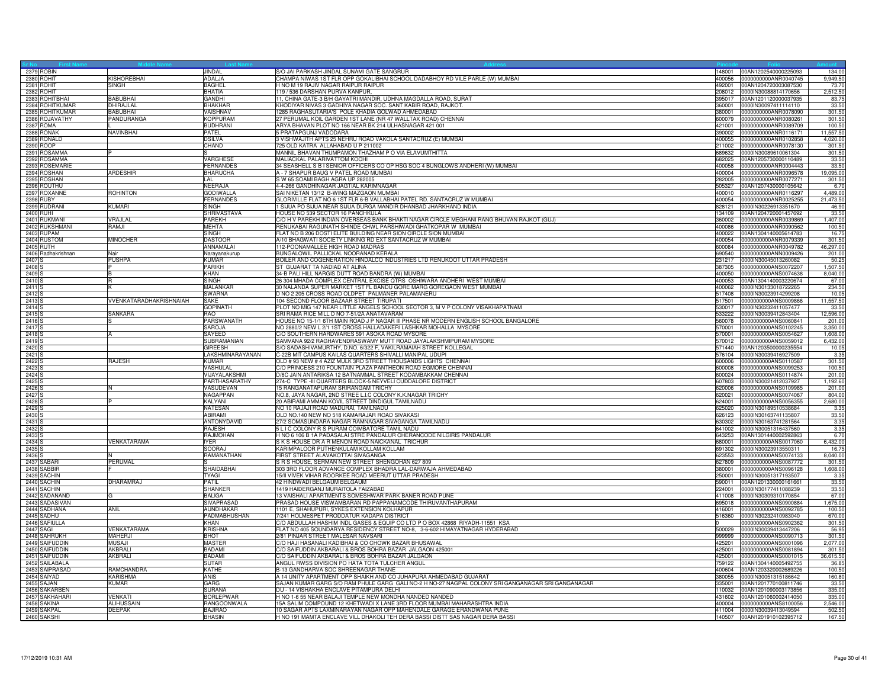| 2379 ROBIN                       |                           | JINDAL                         | S/O JAI PARKASH JINDAL SUNAMI GATE SANGRUR<br>148001                                                                                                  | 00AN1202540000225093                                       | 134.00              |
|----------------------------------|---------------------------|--------------------------------|-------------------------------------------------------------------------------------------------------------------------------------------------------|------------------------------------------------------------|---------------------|
| 2380 ROHIT                       | <b>KISHOREBHAI</b>        | ADALJA                         | CHAMPA NIWAS 1ST FLR OPP GOKALIBHAI SCHOOL DADABHOY RD VILE PARLE (W) MUMBAI<br>400056                                                                | 0000000000ANR0040745                                       | 9,949.50            |
| 2381 ROHIT                       | <b>SINGH</b>              | <b>BAGHEL</b>                  | I NO M 19 RAJIV NAGAR RAIPUR RAIPUR                                                                                                                   | 492001 00AN1204720003087530                                | 73.7                |
| 2382 ROHIT<br>2383 ROHITBHAI     | <b>BABUBHAI</b>           | <b>BHATIA</b><br><b>GANDHI</b> | 119 / 536 DARSHAN PURVA KANPUR,<br>1, CHINA GATE-3 B/H GAYATRI MANDIR, UDHNA MAGDALLA ROAD, SURAT                                                     | 208012 0000IN30088814170656<br>395017 00AN1201120000037935 | 2,512.50<br>83.75   |
| 2384 ROHITKUMAR                  | DHIRAJLAL                 | <b>BHAKHAR</b>                 | KHODIYAR NIVAS 3 GADHIYA NAGAR SOC. SANT KABIR ROAD, RAJKOT.<br>360001                                                                                | 0000IN30097411114110                                       | 33.50               |
| 2385 ROHITKUMAR                  | <b>BABLIBHAL</b>          | VAISHNAV                       | 1285 RAGHASUTARIA'S POLE KHADIA GOLWAD AHMEDABAD<br>380001                                                                                            | 0000000000ANR0078090                                       | 301.50              |
| 2386 ROJAVATHY                   | PANDURANGA                | <b>KOPPURAM</b>                | 27 PERUMAL KOIL GARDEN 1ST LANE (NR 47 WALLTAX ROAD) CHENNAI                                                                                          | 600079 0000000000ANR0080261                                | 301.50              |
| 2387 ROMA                        |                           | <b>BUDHRANI</b>                | ARYA BHAVAN PLOT NO 166 NEAR BK 214 ULHASNAGAR 421 001                                                                                                | 421001 0000000000ANR0089709                                | 100.50              |
| 2388 RONAK                       | <b>NAVINBHAI</b>          | <b>PATFI</b>                   | 5 PRATAPGUNJ VADODARA<br>390002                                                                                                                       | 0000000000ANR0116171                                       | 11.557.50           |
| 2389 RONALD                      |                           | <b>DSILVA</b>                  | 3 VISHWAJITH APTS 25 NEHRU ROAD VAKOLA SANTACRUZ (E) MUMBAI<br>400055                                                                                 | 0000000000ANR0102858                                       | 4,020.00            |
| 2390 ROOP                        |                           | CHAND                          | 725 OLD KATRA ALLAHABAD U P 211002                                                                                                                    | 211002 0000000000ANR0078130                                | 301.50              |
| 2391 ROSAMMA                     |                           |                                | MANNIL BHAVAN THUMPAMON THAZHAM P O VIA ELAVUMTHITTA<br>689632                                                                                        | 0000IN30089610061304                                       | 301.50              |
| 2392 ROSAMMA<br>2393 ROSEMARIE   |                           | VARGHESE<br><b>FERNANDES</b>   | MALIACKAL PALARIVATTOM KOCHI<br>34 SEASHELL S B I SENIOR OFFICERS CO OP HSG SOC 4 BUNGLOWS ANDHERI (W) MUMBAI<br>400058                               | 682025 00AN1205730000110489<br>0000000000ANR0004443        | 33.50<br>33.50      |
| 2394 ROSHAN                      | ARDESHIR                  | <b>BHARUCHA</b>                | A - 7 SHAPUR BAUG V PATEL ROAD MUMBAI<br>400004                                                                                                       | 0000000000ANR0096578                                       | 19,095.00           |
| 2395 ROSHAN                      |                           | LAL                            | S W 65 SOAMI BAGH AGRA UP 282005<br>282005                                                                                                            | 0000000000ANR0077271                                       | 301.50              |
| 2396 ROUTHU                      |                           | <b>NEERAJA</b>                 | 4-4-266 GANDHINAGAR JAGTIAL KARIMNAGAR<br>505327                                                                                                      | 00AN1207430000105642                                       | 6.70                |
| 2397 ROXANNE                     | <b>ROHINTON</b>           | <b>GODIWALLA</b>               | SAI NIKETAN 13/12 B-WING MAZGAON MUMBAI                                                                                                               | 400010 0000000000ANR0116297                                | 4,489.00            |
| 2398 RUBY                        |                           | <b>FERNANDES</b>               | GLORIVILLE FLAT NO 6 1ST FLR 6-B VALLABHAI PATEL RD. SANTACRUZ W MUMBAI<br>400054                                                                     | 0000000000ANR0025255                                       | 21,473.50           |
| 2399 RUDRANI                     | <b>KUMARI</b>             | SINGH                          | 1 SIJUA PO SIJUA NEAR SIJUA DURGA MANDIR DHANBAD JHARKHAND INDIA<br>828121                                                                            | 0000lN30226913351670                                       | 46.90               |
| 2400 RUHI                        |                           | SHRIVASTAVA                    | HOUSE NO 539 SECTOR 16 PANCHKULA                                                                                                                      | 134109 00AN1204720001457692                                | 33.50               |
| 2401 RUKMANI                     | VRAJLAL                   | PAREKH                         | C/O H V PAREKH INDIAN OVERSEAS BANK BHAKTI NAGAR CIRCLE MEGHANI RANG BHUVAN RAJKOT (GUJ)                                                              | 360002 0000000000ANR0039869                                | 1,407.00            |
| 2402 RUKSHMANI<br>2403 RUPAM     | RAMJI                     | MEHTA<br><b>SINGH</b>          | RENUKABAI RAGUNATH SHINDE CHWL PARSHIWADI GHATKOPAR W MUMBAI<br>400086<br>ELAT NO B 206 DOSTI ELITE BUILDING NEAR SION CIRCLE SION MUMBAI<br>400022   | 0000000000ANR0090562<br>00AN1304140005614783               | 100.50<br>16.75     |
| 2404 RUSTOM                      | <b>MINOCHER</b>           | <b>DASTOOR</b>                 | A/10 BHAGWATI SOCIETY LINKING RD EXT SANTACRUZ W MUMBAI                                                                                               | 400054 0000000000ANR0079339                                | 301.50              |
| 2405 RUTH                        |                           | ANNAMALAI                      | 112-POONAMALLEE HIGH ROAD MADRAS<br>600084                                                                                                            | 0000000000ANR0049782                                       | 46,297.00           |
| 2406 Radhakrishnan               | Nair                      | Narayanakurup                  | BUNGALOWIL PALLICKAL NOORANAD KERALA<br>690540                                                                                                        | 0000000000ANN0009426                                       | 201.00              |
| 2407 <sub>S</sub>                | <b>PUSHPA</b>             | <b>KUMAR</b>                   | BOILER AND COGENERATION HINDALCO INDUSTRIES LTD RENUKOOT UTTAR PRADESH                                                                                | 231217 0000IN30045013260082                                | 50.25               |
| 2408                             |                           | <b>PARIKH</b>                  | ST GUJARAT TA NADIAD AT ALINA<br>387305                                                                                                               | 0000000000ANS0072207                                       | 1,507.50            |
| 2409                             |                           | KHAN                           | 34-B PALI HILL NARGIS DUTT ROAD BANDRA (W) MUMBAI<br>400050                                                                                           | 0000000000ANS0074638                                       | 8,040.00            |
| 2410                             | R                         | <b>SINGH</b>                   | 26 304 MHADA COMPLEX CENTRAL EXCISE QTRS OSHIWARA ANDHERI WEST MUMBAI                                                                                 | 400053 00AN1304140003220674                                | 67.00               |
| 2411 <sub>S</sub>                |                           | <b>MALANKAR</b>                | 30 NALANDA SUPER MARKET 1ST FL BANDU GORE MARG GOREGAON WEST MUMBAI                                                                                   | 400062 0000lN30133018722265                                | 234.50              |
| 2412 <sub>S</sub><br>2413        | VVENKATARADHAKRISHNAIAH   | SWARNA<br>SAKE                 | O NO 2 205 CROSS ROAD OLDPET PALMANER PALAMANERU<br>104 SECOND FLOOR BAZAAR STREET TIRUPATI<br>517501                                                 | 517408 0000IN30023914299208<br>0000000000ANS0009866        | 10.05<br>11,557.50  |
| 2414                             |                           | <b>GOPINATH</b>                | PLOT NO MIG 147 NEAR LITTLE ANGELS SCHOOL SECTOR 3, M V P COLONY VISAKHAPATNAM                                                                        | 530017 0000IN30232411057477                                | 33.50               |
| 2415                             | <b>SANKARA</b>            | <b>RAO</b>                     | SRI RAMA RICE MILL D NO 7-51/2A ANATAVARAM<br>533222                                                                                                  | 0000IN30039412843404                                       | 12,596.00           |
| 2416 <sub>S</sub>                |                           | PARSWANATH                     | HOUSE NO 15-1/1 6TH MAIN ROAD J P NAGAR III PHASE NR MODERN ENGLISH SCHOOL BANGALORE<br>560078                                                        | 0000000000ANS0060841                                       | 201.00              |
| 2417                             |                           | <b>SAROJA</b>                  | NO 2880/2 NEW L 2/1 1ST CROSS HALLADAKERI LASHKAR MOHALLA MYSORE<br>570001                                                                            | 0000000000ANS0102245                                       | 3,350.00            |
| 2418                             |                           | SAYEED                         | C/O SOUTHERN HARDWARES 591 ASOKA ROAD MYSORE<br>570001                                                                                                | 0000000000ANS0054627                                       | 1,608.00            |
| 2419                             |                           | SUBRAMANIAN                    | SAMVANA 92/2 RAGHAVENDRASWAMY MUTT ROAD JAYALAKSHMIPURAM MYSORE<br>570012                                                                             | 0000000000ANS0059012                                       | 6,432.00            |
| 2420                             |                           | <b>GIREESH</b>                 | S/O SADASHIVAMURTHY, D.NO. 6/322 F, VAKILRAMAIAH STREET KOLLEGAL                                                                                      | 571440 00AN1203500000235554                                | 10.05               |
| 2421                             |                           | LAKSHMINARAYANAN               | C-22B MIT CAMPUS KAILAS QUARTERS SHIVALLI MANIPAL UDUPI                                                                                               | 576104 0000IN30039416927509                                | 3.35                |
| 2422 <sub>S</sub><br>2423        | RAJESH                    | KUMAR<br>VASHULAL              | OLD # 93 NEW # 4 AZIZ MULK 3RD STREET THOUSANDS LIGHTS CHENNAI<br>/O PRINCESS 210 FOUNTAIN PLAZA PANTHEON ROAD EGMORE CHENNAI<br>600008               | 600006 0000000000ANS0110587<br>0000000000ANS0099253        | 301.50<br>100.50    |
| 2424                             |                           | VIJAYALAKSHMI                  | D/6C JAIN ANTARIKSA 12 BATNAMMAL STREET KODAMBAKKAM CHENNAI                                                                                           | 600024 0000000000ANS0114874                                | 201.00              |
| 2425                             |                           | PARTHASARATHY                  | 274-C TYPE -III QUARTERS BLOCK-5 NEYVELI CUDDALORE DISTRICT                                                                                           | 607803 0000lN30021412037927                                | 1,192.60            |
| 2426                             | N                         | VASUDEVAN                      | 5 RANGANATAPURAM SRIRANGAM TRICHY                                                                                                                     | 620006 0000000000ANS0109985                                | 201.00              |
| 2427                             |                           | <b>NAGAPPAN</b>                | NO.8, JAYA NAGAR, 2ND STREE L.I.C COLONY K.K.NAGAR TRICHY<br>620021                                                                                   | 0000000000ANS0074067                                       | 804.00              |
| 2428                             |                           | KALYANI                        | 20 ABIRAMI AMMAN KOVIL STREET DINDIGUL TAMILNADU<br>624001                                                                                            | 0000000000ANS0056355                                       | 2,680.00            |
| 2429                             |                           | <b>NATESAN</b>                 | NO 10 RAJAJI ROAD MADURAI, TAMILNADU                                                                                                                  | 625020 0000IN30189510538684                                | 3.35                |
| 2430                             |                           | <b>ABIRAMI</b>                 | OLD NO.140 NEW NO 518 KAMARAJAR ROAD SIVAKASI                                                                                                         | 626123 0000IN30163741135807                                | 33.50               |
| 2431                             |                           | ANTONYDAVID<br><b>RAJESH</b>   | 27/2 SOMASUNDARA NAGAR RAMNAGAR SIVAGANGA TAMILNADU                                                                                                   | 630302 0000IN30163741281564                                | 3.35                |
| 2432<br>2433                     |                           | RAJMOHAN                       | 5 L I C COLONY R S PURAM COIMBATORE TAMIL NADU<br>I NO 6 106 B 1A PADASALAI STRE PANDALUR CHERANCODE NILGIRIS PANDALUR<br>643253                      | 641002 0000IN30051316437560<br>00AN1301440002592863        | 3.35<br>6.7         |
| 2434                             | VENKATARAMA               | <b>IYER</b>                    | S K S HOUSE DR A R MENON ROAD NAICKANAL TRICHUR<br>680001                                                                                             | 0000000000ANS0017060                                       | 6,432.00            |
| 2435 <sub>S</sub>                |                           | <b>SOORAJ</b>                  | KARIMPALOOR PUTHENKULAM KOLLAM KOLLAM                                                                                                                 | 691302 0000IN30023913550311                                | 16.75               |
| 2436 S                           |                           | RAMANATHAN                     | FIRST STREET ALAVAKOTTAI SIVAGANGA                                                                                                                    | 623553 0000000000ANS0074133                                | 8,040.00            |
| 2437 SABARI                      | PERUMAL                   |                                | S R S HOUSE, SERMAN NEW STREET SHENGOHAN 627 809<br>627809                                                                                            | 0000000000ANS0087772                                       | 301.50              |
| 2438 SABBIR                      |                           | <b>SHAIDABHAI</b>              | 303 3RD FLOOR ADVANCE COMPLEX BHADRA LAL-DARWAJA AHMEDABAD<br>380001                                                                                  | 0000000000ANS0096128                                       | 1,608.00            |
| 2439 SACHIN                      |                           | <b>TYAGI</b>                   | 15/II VIVEK VIHAR ROORKEE ROAD MEERUT UTTAR PRADESH                                                                                                   | 250001 0000IN30051317193507                                | 3.35                |
| 2440 SACHIN<br>2441 SACHIN       | <b>DHARAMRAJ</b>          | PATIL<br><b>SHANKER</b>        | 42 HINDWADI BELGAUM BELGAUM<br>1419 HAIDERGANJ MURAITOLA FAIZABAD                                                                                     | 590011 00AN1201330000161661<br>224001 0000IN30177411088239 | 33.50               |
| 2442 SADANAND                    | G                         | <b>BALIGA</b>                  | 3 VAISHALI APARTMENTS SOMESHWAR PARK BANER ROAD PUNE<br>411008                                                                                        | 0000IN30309310170854                                       | 33.50<br>67.00      |
| 2443 SADASIVAN                   |                           | <b>SIVAPRASAD</b>              | RASAD HOUSE VISWAMBARAN RD PAPPANAMCODE THIRUVANTHAPURAM<br>695018                                                                                    | 0000000000ANS0900884                                       | 1,675.00            |
| 2444 SADHANA                     | ANIL                      | AUNDHAKAR                      | 1101 E, SHAHUPURI, SYKES EXTENSION KOLHAPUR<br>416001                                                                                                 | 0000000000ANS0092785                                       | 100.50              |
| 2445 SADHU                       |                           | PADMABHUSHAN                   | 7/241 HOLMESPET PRODDATUR KADAPA DISTRICT<br>516360                                                                                                   | 0000IN30232410983040                                       | 670.00              |
| 2446 SAFIULLA                    |                           | KHAN                           | C/O ABDULLAH HASHIM INDL GASES & EQUIP CO LTD P O BOX 42868 RIYADH-11551 KSA                                                                          | 0000000000ANS0902362                                       | 301.50              |
| 2447 SAGI                        | VENKATARAMA               | <b>KRISHNA</b>                 | FLAT NO 405 SOUNDARYA RESIDENCY STREET NO-8, 3-6-602 HIMAYATNAGAR HYDERABAD                                                                           | 500029 0000IN30039413447206                                | 56.95               |
| 2448 SAHRUKH                     | MAHERJI                   | <b>BHOT</b>                    | 2/81 PINJAR STREET MALESAR NAVSARI<br>999999                                                                                                          | 0000000000ANS0090713                                       | 301.50              |
| 2449 SAIFUDDIN                   | <b>MUSAJI</b>             | <b>MASTER</b>                  | C/O HAJI HASANALI KADIBHAI & CO CHOWK BAZAR BHUSAWAL<br>425201                                                                                        | 0000000000ANS0001096                                       | 2,077.00            |
| 2450 SAIFUDDIN<br>2451 SAIFUDDIN | <b>AKBRALI</b><br>AKBRALI | <b>BADAM</b><br><b>BADAMI</b>  | C/O SAIFUDDIN AKBARALI & BROS BOHRA BAZAR JALGAON 425001<br>C/O SAIFUDDIN AKBARALI & BROS BOHRA BAZAR JALGAON                                         | 425001 0000000000ANS0081894<br>425001 0000000000ANS0001015 | 301.50<br>36,615.50 |
| 2452 SAILABALA                   |                           | SUTAR                          | ANGUL RWSS DIVISION PO HATA TOTA TULCHER ANGUL<br>759122                                                                                              | 00AN1304140005492755                                       | 36.85               |
| 2453 SAIPRASAD                   | RAMCHANDRA                | KATHE                          | B-13 GANDHARVA SOC SHREENAGAR THANE<br>400604                                                                                                         | 00AN1203320002689226                                       | 100.50              |
| 2454 SAIYAD                      | KARISHMA                  | ANIS                           | A 14 UNITY APARTMENT OPP SHAIKH AND CO JUHAPURA AHMEDABAD GUJARAT<br>380055                                                                           | 0000lN30051315186642                                       | 160.80              |
| 2455 SAJAN                       | <b>KUMAR</b>              | <b>GARG</b>                    | SAJAN KUMAR GARG S/O RAM PHULE GARG GALI NO-2 H NO-27 NAGPAL COLONY SRI GANGANAGAR SRI GANGANAGAR<br>335001                                           | 00AN1201770100811746                                       | 33.50               |
| 2456 SAKARBEN                    |                           | <b>SURANA</b>                  | DU - 14 VISHAKHA ENCLAVE PITAMPURA DELHI                                                                                                              | 110032 00AN1201090003173856                                | 335.00              |
| 2457 SAKHAHARI                   | <b>VENKATI</b>            | <b>BORLEPWAR</b>               | H NO 1-6 55 NEAR BALAJI TEMPLE NEW MONDHA NANDED NANDED                                                                                               | 431602 00AN1201060002414050                                | 335.00              |
| 2458 SAKINA                      | <b>ALIHUSSAIN</b>         | RANGOONWALA                    | 5A SALIM COMPOUND 12 KHETWADI X LANE 3RD FLOOR MUMBAI MAHARASHTRA INDIA                                                                               | 400004 0000000000ANS8100056                                | 2,546.00            |
| 2459 SAKPAI                      | <b>DEEPAK</b>             | <b>BAJIRAO</b>                 | 10 SAGAR APTS LAXMINARAYAN NAGAR OPP MAHENDALE GARAGE ERANDWANA PUNE<br>H NO 191 MAMTA ENCLAVE VILL DHAKOLI TEH DERA BASSI DISTT SAS NAGAR DERA BASSI | 411004 0000IN30039413049594                                | 502.50              |
| 2460 SAKSHI                      |                           | <b>BHASIN</b>                  |                                                                                                                                                       | 140507 00AN1201910102395712                                | 167.50              |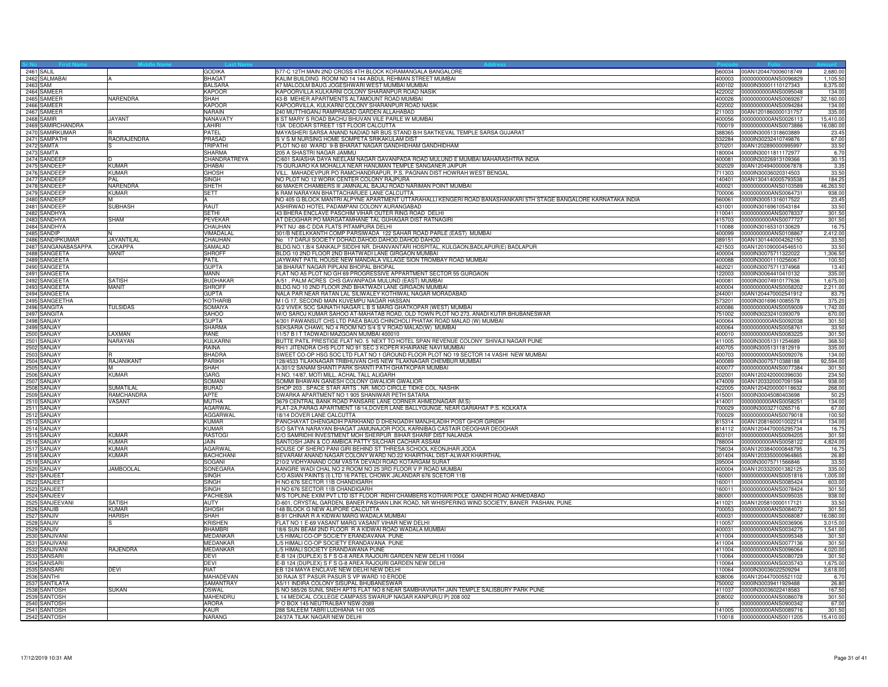| 2461 SALIL                     |                               | <b>GODIKA</b>                  | 577-C 12TH MAIN 2ND CROSS 4TH BLOCK KORAMANGALA BANGALORE                                                                                             |        | 560034 00AN1204470006018749                                | 2,680.00            |
|--------------------------------|-------------------------------|--------------------------------|-------------------------------------------------------------------------------------------------------------------------------------------------------|--------|------------------------------------------------------------|---------------------|
| 2462 SALMABAI                  |                               | BHAGA <sup>1</sup>             | KALIM BUILDING ROOM NO 14 144 ABDUL REHMAN STREET MUMBAI                                                                                              |        | 400003 0000000000ANS0096829                                | 1,105.50            |
| 2463 SAM                       |                               | <b>BALSARA</b>                 | 47 MALCOLM BAUG JOGESHWARI WEST MUMBAI MUMBAI                                                                                                         |        | 400102 0000IN30001110127343                                | 8,375.00            |
| 2464 SAMEER                    |                               | <b>KAPOOR</b>                  | KAPOORVILLA KULKARNI COLONY SHARANPUR ROAD NASIK                                                                                                      |        | 422002 0000000000ANS0095048                                | 134.00              |
| 2465 SAMEER                    | NARENDRA                      | <b>SHAH</b>                    | 43-B MEHER APARTMENTS ALTAMOUNT ROAD MUMBAI                                                                                                           |        | 400026 0000000000ANS0069267                                | 32,160.00           |
| 2466 SAMEER                    |                               | <b>KAPOOR</b>                  | KAPOORVILLA, KULKARNI COLONY SHARANPUR ROAD NASIK                                                                                                     | 422002 | 0000000000ANS0094284                                       | 134.00              |
| 2467 SAMEER                    |                               | <b>NARAIN</b>                  | 240 MUTTHIGANJ RAMPRASAD GARDEN ALLAHABAD                                                                                                             |        | 211003 00AN1201860000131757                                | 335.00              |
| 2468 SAMIR                     | <b>JAYANT</b>                 | <b>NANAVATY</b>                | 8 ST MARY S ROAD BACHU BHUVAN VILE PARLE W MUMBAI                                                                                                     |        | 400056 0000000000ANS0026113                                | 15,410.00           |
| 2469 SAMIRCHANDRA              |                               | LAHIRI                         | 3A DEODAR STREET 1ST FLOOR CALCUTTA                                                                                                                   |        |                                                            | 16,080.00           |
| 2470 SAMIRKUMAR                |                               | PATEL                          | MAYASHERI SARSA ANAND NADIAD NR BUS STAND B/H SAKTKEVAL TEMPLE SARSA GUJARAT                                                                          |        | 388365 0000IN30051318603889                                | 23.45               |
| 2471 SAMPATHI                  | RAORAJENDRA                   | PRASAD<br><b>TRIPATHI</b>      | S V S M NURSING HOME SOMPETA SRIKAKULAM DIST                                                                                                          |        | 532284 0000IN30232410749876                                | 67.00               |
| 2472 SAMTA                     |                               | <b>SHARMA</b>                  | PLOT NO 60 WARD 9-B BHARAT NAGAR GANDHIDHAM GANDHIDHAM                                                                                                |        | 370201 00AN1202890000995997                                | 33.50               |
| 2473 SAMTA                     |                               |                                | 205 A SHASTRI NAGAR JAMMU<br>C/601 SAIASHA DAYA NEELAM NAGAR GAVANPADA ROAD MULUND E MUMBAI MAHARASHTRA INDIA                                         |        | 180004 0000lN30011811172977                                | 6.70                |
| 2474 SANDEEF<br>2475 SANDEEF   | <b>KUMAR</b>                  | CHANDRATREYA<br>DHABAI         | 5 GURJARO KA MOHALLA NEAR HANUMAN TEMPLE SANGANER JAIPUR                                                                                              |        | 400081 0000IN30226913109366<br>302029 00AN1204940000067878 | 30.15<br>3.35       |
| 2476 SANDEEF                   | <b>KUMAR</b>                  | <b>GHOSH</b>                   | VILL. MAHADEVPUR PO RAMCHANDRAPUR, P.S. PAGNAN DIST HOWRAH WEST BENGAL                                                                                |        | 711303 0000IN30036020314503                                | 33.50               |
| 2477 SANDEEP                   | PAL                           | <b>SINGH</b>                   | NO PLOT NO 12 WORK CENTER COLONY RAJPURA                                                                                                              | 140401 | 00AN1304140005793538                                       | 184.25              |
| 2478 SANDEEF                   | NARENDRA                      | <b>SHETH</b>                   | 66 MAKER CHAMBERS III JAMNALAL BAJAJ ROAD NARIMAN POINT MUMBAI                                                                                        |        | 400021 0000000000ANS0103589                                | 46,263.50           |
| 2479 SANDEEF                   | <b>KUMAR</b>                  | <b>SETT</b>                    | 6 RAM NARAYAN BHATTACHARJEE LANE CALCUTTA                                                                                                             |        | 700006 0000000000ANS0064731                                | 938.00              |
| 2480 SANDEEF                   |                               |                                | NO 405 G BLOCK MANTRI ALPYNE APARTMENT UTTARAHALLI KENGERI ROAD BANASHANKARI 5TH STAGE BANGALORE KARNATAKA INDIA                                      | 560061 | 0000IN30051316017522                                       | 23.45               |
| 2481 SANDEEF                   | <b>SUBHASH</b>                | RAUT                           | ASHIRWAD HOTEL PADAMPANI COLONY AURANGABAD                                                                                                            |        | 431001 0000IN30169610543184                                | 33.50               |
| 2482 SANDHYA                   |                               | <b>SETHI</b>                   | 43 BHERA ENCLAVE PASCHIM VIHAR OUTER RING ROAD DELHI                                                                                                  |        | 110041 0000000000ANS0078337                                | 301.50              |
| 2483 SANDHYA                   | SHAM                          | <b>PEVEKAF</b>                 | AT DEOGHAR PO MARGATAMHANE TAL GUHAGAR DIST RATNAGIRI                                                                                                 |        | 415703 0000000000ANS0077727                                | 301.50              |
| 2484 SANDHYA                   |                               | CHAUHAN                        | PKT NU -88-C DDA FLATS PITAMPURA DELHI                                                                                                                | 110088 | 0000IN30165310130629                                       | 16.7                |
| 2485 SANDIP                    |                               | VIMADALAL                      | 801/B NEELKKANTH COMP PARSIWADA 122 SAHAR ROAD PARLE (EAST) MUMBAI                                                                                    | 400099 | 0000000000ANS0108867                                       | 2,412.00            |
| 2486 SANDIPKUMAR               | JAYANTILAL                    | CHAUHAN                        | No 17 DARJI SOCIETY DOHAD, DAHOD, DAHOD, DAHOD DAHOD                                                                                                  |        | 389151 00AN1301440004262150                                | 33.50               |
| 2487 SANGANABASAPPA            | <b>LOKAPPA</b>                | <b>SAMALAD</b>                 | BLDG NO.1, B/4 SANKALP SIDDHI NR. DHANVANTARI HOSPITAL, KULGAON, BADLAPUR(E) BADLAPUR                                                                 |        | 421503 00AN1201090004546510                                | 33.50               |
| 2488 SANGEETA                  | <b>MANIT</b>                  | <b>SHROFF</b>                  | BLDG 10 2ND FLOOR 2ND BHATWADI LANE GIRGAON MUMBAI                                                                                                    |        | 400004 0000IN30075711322022                                | 1,306.50            |
| 2489 SANGEETA                  |                               | PATIL                          | JAYWANT PATIL HOUSE NEW MANDALA VILLAGE SION TROMBAY ROAD MUMBAI                                                                                      |        | 400088 0000IN30001110256067                                | 100.50              |
| 2490 SANGEETA                  |                               | <b>GUPTA</b>                   | <b>88 BHARAT NAGAR PIPLANI BHOPAL BHOPAL</b>                                                                                                          | 462021 | 0000lN30075711374968                                       | 13.40               |
| 2491 SANGEETA                  |                               | <b>MANN</b>                    | FLAT NO A5 PLOT NO GH 69 PROGRESSIVE APPARTMENT SECTOR 55 GURGAON                                                                                     | 122003 | 0000lN30064410410132                                       | 335.00              |
| 2492 SANGEETA                  | <b>SATISH</b>                 | <b>BUDHAKAR</b>                | A/51, PALM ACRES CHS GAVANPADA MULUND (EAST) MUMBAI                                                                                                   |        | 400081 0000IN30074910177636                                | 1,675.00            |
| 2493 SANGEETA                  | MANIT                         | <b>SHROFF</b>                  | BLDG NO 10 2ND FLOOR 2ND BHATWADI LANE GIRGAON MUMBAI                                                                                                 |        | 400004 0000000000ANS0058202                                | 2,211.00            |
| 2494 SANGEETA                  |                               | <b>GUPTA</b>                   | NALA PAR NEAR RATAN LAL SILIWALEY KOTHIWAL NAGAR MORADABAD                                                                                            |        | 244001 00AN1204470002541912                                | 83.75               |
| 2495 SANGEETHA                 |                               | KOTHARIB                       | M I G 17, SECOND MAIN KUVEMPU NAGAR HASSAN                                                                                                            | 573201 | 0000IN30169610085578                                       | 375.20              |
| 2496 SANGITA                   | <b>TULSIDAS</b>               | SOMAIYA                        | G/2 VIVEK SOC SAINATH NAGAR L B S MARG GHATKOPAR (WEST) MUMBAI                                                                                        | 400086 | 0000000000ANS0059009                                       | 1,742.00            |
| 2497 SANGITA                   |                               | <b>SAHOO</b>                   | W/O SAROJ KUMAR SAHOO AT-MAHATAB ROAD, OLD TOWN PLOT NO 273, ANADI KUTIR BHUBANESWAR                                                                  |        | 751002 0000IN30232410393079                                | 670.00              |
| 2498 SANJAY                    |                               | <b>GUPTA</b>                   | 4/301 PAWANSUT CHS LTD PAEA BAUG CHINCHOLI PHATAK ROAD MALAD (W) MUMBAI                                                                               |        | 400064 0000000000ANS0092038                                | 301.50              |
| 2499 SANJAY                    |                               | <b>SHARMA</b>                  | SEKSARIA CHAWL NO 4 ROOM NO S/4 S V ROAD MALAD(W) MUMBAI                                                                                              | 400064 | 0000000000ANS0058761                                       | 33.50               |
| 2500 SANJAY                    | <b>AXMAN</b>                  | <b>RANE</b>                    | 11/57 B I T TADWADI MAZGOAN MUMBAI 400010                                                                                                             |        | 400010 0000000000ANS0083225                                | 301.50              |
| 2501 SANJAY                    | NARAYAN                       | <b>KULKARNI</b>                | BUTTE PATIL PRESTIGE FLAT NO. 5 NEXT TO HOTEL SPAN REVENUE COLONY SHIVAJI NAGAR PUNE<br>RH/1 JITENDRA CHS PLOT NO 91 SEC 3 KOPER KHAIRANE NAVI MUMBAI |        | 411005 0000IN30051311254689                                | 368.50              |
| 2502 SANJAY                    |                               | RAINA                          | SWEET CO-OP HSG SOC LTD FLAT NO 1 GROUND FLOOR PLOT NO 19 SECTOR 14 VASHI NEW MUMBAI                                                                  |        | 400705 0000IN30051311812919                                | 335.00              |
| 2503 SANJAY<br>2504 SANJAY     | <b>RAJANIKANT</b>             | <b>BHADRA</b><br><b>PARIKH</b> | 28/4533 TILAKNAGAR TRIBHUVAN CHS NEW TILAKNAGAR CHEMBUR MUMBAI                                                                                        |        | 400703 0000000000ANS0092076<br>400089 0000IN30075710388188 | 134.00<br>92,594.00 |
| 2505 SANJAY                    |                               | SHAH                           | A-301/2 SANAM SHANTI PARK SHANTI PATH GHATKOPAR MUMBAI                                                                                                | 400077 | 0000000000ANS0077384                                       | 301.50              |
| 2506 SANJAY                    | <b>KIMAR</b>                  | <b>GARG</b>                    | H.NO. 14/87, MOTI MILL, ACHAL TALL ALIGARH                                                                                                            | 202001 | 00AN1202420000396030                                       | 234.50              |
| 2507 SANJAY                    |                               | SOMANI                         | SOMMI BHAWAN GANESH COLONY GWALIOR GWALIOR                                                                                                            |        | 474009 00AN1203320007091594                                | 938.00              |
| 2508 SANJAY                    | SUMATILAL                     | <b>BURAD</b>                   | SHOP 203, SPACE STAR ARTS, NR. MICO CIRCLE TIDKE COL. NASHIK                                                                                          |        | 422005 00AN1204200000118632                                | 268.00              |
| 2509 SANJAY                    | RAMCHANDRA                    | <b>APTE</b>                    | DWARKA APARTMENT NO 1 905 SHANIWAR PETH SATARA                                                                                                        |        | 415001 0000IN30045080403698                                | 50.25               |
| 2510 SANJAY                    | VASANT                        | <b>MUTHA</b>                   | 3679 CENTRAL BANK ROAD PANSARE LANE CORNER AHMEDNAGAR (M.S)                                                                                           |        | 414001 0000000000ANS0058251                                | 134.00              |
| 2511 SANJAY                    |                               | <b>AGARWAI</b>                 | FLAT-2A, PARAG APARTMENT 18/14, DOVER LANE BALLYGUNGE, NEAR GARIAHAT P.S. KOLKATA                                                                     |        | 700029 0000IN30032710265716                                | 67.00               |
| 2512 SANJAY                    |                               | <b>AGGARWAI</b>                | 18/14 DOVER LANE CALCUTTA                                                                                                                             |        | 700029 0000000000ANS0079018                                | 100.50              |
| 2513 SANJAY                    |                               | <b>KUMAR</b>                   | PANCHAYAT DHENGADIH PARKHAND D DHENGADIH MANJHLADIH POST GHOR GIRIDIH                                                                                 |        | 815314 00AN1208160001002214                                | 134.00              |
| 2514 SANJAY                    |                               | <b>KUMAR</b>                   | S/O SATYA NARAYAN BHAGAT JAMUNAJOR POOL KARNIBAG CASTAIR DEOGHAR DEOGHAR                                                                              |        | 814112 00AN1204470005295734                                | 16.75               |
| 2515 SANJAY                    | KUMAR                         | <b>RASTOGI</b>                 | C/O SAMRIDHI INVESTMENT MOH SHERPUR BIHAR SHARIF DIST NALANDA                                                                                         | 803101 | 0000000000ANS0094205                                       | 301.50              |
| 2516 SANJAY                    | <b>KUMAR</b>                  | JAIN.                          | SANTOSH JAIN & CO AMBICA PATTY SILCHAR CACHAR ASSAM                                                                                                   | 788004 | 0000000000ANS0058122                                       | 4,824.00            |
| 2517 SANJAY                    | <b>KUMAR</b>                  | <b>AGARWAL</b>                 | HOUSE OF SHERO PANI GIRI BEHIND ST THRESA SCHOOL KEONJHAR JODA                                                                                        |        | 758034 00AN1203840000848795                                | 16.75               |
| 2518 SANJAY                    | <b>KUMAR</b>                  | <b>BACHCHANI</b>               | SEVARAM ANAND NAGAR COLONY WARD NO.22 KHAIRTHAL DIST-ALWAR KHAIRTHAL                                                                                  |        | 301404 00AN1203350000964865                                | 26.80               |
| 2519 SANJAY                    |                               | SOGANI                         | 210/2 VIDHYANAND COM VASTA DEVADI ROAD KOTARGAM SURAT                                                                                                 |        | 395004 0000IN30075711566846                                | 33.50               |
| 2520 SANJAY                    | <b>JAMBOOLAL</b>              | SONEGARA                       | AANGRE WADI CHAL NO 2 ROOM NO 25 3RD FLOOR V P ROAD MUMBAI                                                                                            |        | 400004 00AN1203320001382125                                | 335.00              |
| 2521 SANJEET                   |                               | <b>SINGH</b>                   | C/O ASIAN PAINTS (I) LTD 16 PATEL CHOWK JALANDAR 676 SCETOR 11B                                                                                       |        | 160001 0000000000ANS0051816                                | 1,005.00            |
| 2522 SANJEET                   |                               | <b>SINGH</b>                   | H NO 676 SECTOR 11B CHANDIGARH                                                                                                                        |        | 160011 0000000000ANS0085424                                | 603.00              |
| 2523 SANJEET                   |                               | <b>SINGH</b>                   | H NO 676 SECTOR 11B CHANDIGARH                                                                                                                        |        | 160011 0000000000ANS0078424                                | 301.50              |
| 2524 SANJEEV                   |                               | PACHIESIA                      | VS TOPLINE EXIM PVT LTD IST FLOOR RIDHI CHAMBERS KOTHARI POLE GANDHI ROAD AHMEDABAD                                                                   | 380001 | 0000000000ANS0095035                                       | 938.00              |
| 2525 SANJEEVANI<br>2526 SANJIB | <b>SATISH</b><br><b>KUMAR</b> | AUTY<br><b>GHOSH</b>           | D-601, CRYSTAL GARDEN, BANER PASHAN LINK ROAD, NR WHISPERING WIND SOCIETY, BANER PASHAN, PUNE<br>148 BLOCK G NEW ALIPORE CALCUTTA                     |        | 411021 00AN1205810000117121<br>700053 0000000000ANS0084072 | 33.50<br>301.50     |
| 2527 SANJIV                    | <b>HARISH</b>                 | SHAH                           | B-91 CHINAR R A KIDWAI MARG WADALA MUMBAI                                                                                                             |        | 400031 0000000000ANS0068087                                | 16,080.00           |
| 2528 SANJIV                    | s                             | <b>KRISHEN</b>                 | FLAT NO 1 E-69 VASANT MARG VASANT VIHAR NEW DELHI                                                                                                     |        | 110057 0000000000ANS0036906                                | 3,015.00            |
| 2529 SANJIV                    |                               | <b>BHAMBRI</b>                 | 8/6 SUN BEAM 2ND FLOOR R A KIDWAI ROAD WADALA MUMBAI                                                                                                  | 400031 | 0000000000ANS0034275                                       | 1,541.0             |
| 2530 SANJIVANI                 |                               | MEDANKAR                       | L/5 HIMALI CO-OP SOCIETY ERANDAVANA PUNE                                                                                                              |        | 411004 0000000000ANS0095348                                | 301.5               |
| 2531 SANJIVANI                 |                               | <b>MEDANKAR</b>                | L/5 HIMALI CO-OP SOCIETY ERANDAVANA PUNE                                                                                                              |        | 411004 0000000000ANS0077136                                | 301.50              |
| 2532 SANJIVANI                 | RAJENDRA                      | MEDANKAR                       | /5 HIMALI SOCIETY ERANDAWANA PUNE                                                                                                                     |        | 411004 0000000000ANS0096064                                | 4,020.00            |
| 2533 SANSARI                   |                               | DEVI                           | -B 124 (DUPLEX) S F S G-8 AREA RAJOURI GARDEN NEW DELHI 110064                                                                                        | 110064 | 0000000000ANS0080729                                       | 301.50              |
| 2534 SANSARI                   |                               | DEVI                           | -B 124 (DUPLEX) S F S G-8 AREA RAJOURI GARDEN NEW DELHI                                                                                               | 110064 | 0000000000ANS0035743                                       | 1,675.0             |
| 2535 SANSARI                   | <b>DEVI</b>                   | RIAT                           | EB 124 MAYA ENCLAVE NEW DELHI NEW DELHI                                                                                                               |        | 110064 0000IN30036022509294                                | 3,618.00            |
| 2536 SANTHI                    |                               | MAHADEVAN                      | 30 RAJA ST PASUR PASUR S VP WARD 10 ERODE                                                                                                             |        | 638006 00AN1204470005521102                                | 6.70                |
| 2537 SANTILATA                 |                               | SAMANTRAY                      | A5/11 INDIRA COLONY SISUPAL BHUBANESWAR                                                                                                               |        | 750002 0000IN30039411929488                                | 26.80               |
| 2538 SANTOSH                   | <b>SUKAN</b>                  | <b>OSWAL</b>                   | S NO 585/26 SUNIL SNEH APTS FLAT NO 8 NEAR SAMBHAVNATH JAIN TEMPLE SALISBURY PARK PUNE                                                                | 411037 | 0000IN30036022418583                                       | 167.50              |
| 2539 SANTOSH                   |                               | MAHENDRU                       | 14 MEDICAL COLLEGE CAMPASS SWARUP NAGAR KANPUR(U P) 208 002                                                                                           | 208002 | 0000000000ANS0086078                                       | 301.50              |
| 2540 SANTOSH                   |                               | <b>ARORA</b>                   | P O BOX 145 NEUTRALBAY NSW-2089                                                                                                                       |        | 0000000000ANS0900342                                       | 67.00               |
| 2541 SANTOSH                   |                               | KAUR                           | 288 SALEEM TABRI LUDHIANA 141 005                                                                                                                     |        | 141005 0000000000ANS0089716                                | 301.50              |
| 2542 SANTOSH                   |                               | <b>NARANG</b>                  | 24/37A TILAK NAGAR NEW DELHI                                                                                                                          |        | 110018 0000000000ANS0011205                                | 15,410.00           |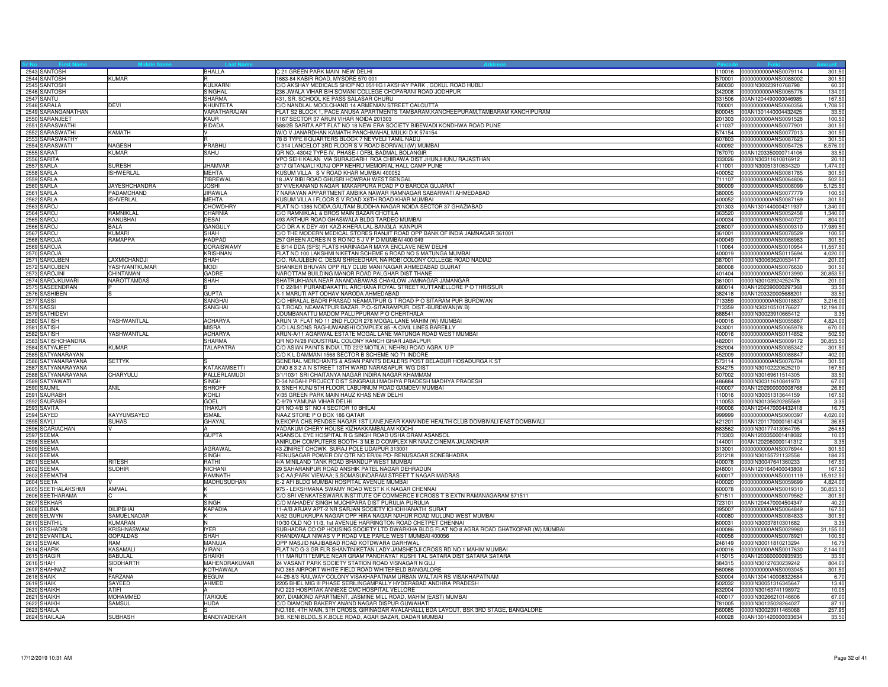| 2543 SANTOSH                     |                                | <b>BHALLA</b>                   | C 21 GREEN PARK MAIN NEW DELHI<br>110016                                                                                                          | 0000000000ANS0079114                                | 301.5               |
|----------------------------------|--------------------------------|---------------------------------|---------------------------------------------------------------------------------------------------------------------------------------------------|-----------------------------------------------------|---------------------|
| 2544 SANTOSH                     | KUMAR                          |                                 | 1683-84 KABIR ROAD, MYSORE 570 001<br>570001                                                                                                      | 0000000000ANS0088002                                | 301.5               |
| 2545 SANTOSH                     |                                | <b>KULKARNI</b>                 | C/O AKSHAY MEDICALS SHOP NO.05/HIG I AKSHAY PARK, GOKUL ROAD HUBLI<br>580030                                                                      | 0000IN30023910768798                                | 60.30               |
| 2546 SANTOSH                     |                                | SINGHAL<br><b>SHARMA</b>        | 236 JWALA VIHAR B/H SOMANI COLLEGE CHOPARANI ROAD JODHPUR<br>342008<br>431, SR. SCHOOL KE PASS SALASAR CHURU<br>331506                            | 0000000000ANS0065776<br>00AN1204490000046985        | 134.00<br>167.50    |
| 2547 SANTU<br>2548 SARALA        | DEVI                           | KHUNTETA                        | C/O NANDLAL MOOLCHAND 14 ARMENIAN STREET CALCUTTA<br>700001                                                                                       | 0000000000ANS0060356                                | 1,708.5             |
| 2549 SARANGANATHAN               |                                | VARATHARAJAN                    | FLAT S2 BLOCK 1, PACE ANUSA APARTMENTS TAMBARAM, KANCHEEPURAM, TAMBARAM KANCHIPURAM<br>600045                                                     | 00AN1301440004432425                                | 33.50               |
| 2550 SARANJEET                   |                                | KAUR                            | 1167 SECTOR 37 ARUN VIHAR NOIDA 201303<br>201303                                                                                                  | 0000000000ANS0091528                                | 100.50              |
| 2551 SARASWATH                   |                                | <b>BIDADA</b>                   | 588/2B SARITA APT FLAT NO 18 NEW ERA SOCIETY BIBEWADI KONDHWA ROAD PUNE<br>411037                                                                 | 0000000000ANS0077901                                | 301.50              |
| 2552 SARASWATHI                  | KAMATH                         |                                 | W/O V JANARDHAN KAMATH PANCHMAHAL MULKI D K 574154<br>574154                                                                                      | 0000000000ANS0077013                                | 301.50              |
| 2553 SARASWATHY                  |                                |                                 | 78 B TYPE II QUARTERS BLOCK 7 NEYVELI TAMIL NADU<br>607803                                                                                        | 0000000000ANS0087623                                | 301.50              |
| 2554 SARASWATI                   | <b>NAGESH</b>                  | PRABHU                          | C 314 LANCELOT 3RD FLOOR S V ROAD BORIVALI (W) MUMBAI<br>400092                                                                                   | 0000000000ANS0054726                                | 8,576.00            |
| 2555 SARAT                       | <b>KUMAR</b>                   | SAHU                            | QR NO.-43042 TYPE-IV, PHASE-I OFBL BADMAL BOLANGIR<br>767070                                                                                      | 00AN1203350000714106                                | 33.50               |
| 2556 SARITA                      |                                |                                 | VPO SEHI KALAN VIA SURAJGARH ROA CHIRAWA DIST JHUNJHUNU RAJASTHAN<br>333026                                                                       | 0000IN30311610816912                                | 20.1                |
| 2557 SARLA                       | <b>SURESH</b>                  | <b>JHAMVAR</b>                  | 2/17 GITANJALI KUNJ OPP NEHRU MEMORIAL HALL CAMP PUNE<br>411001                                                                                   | 0000lN30051310634320                                | 1,474.00            |
| 2558 SARLA                       | <b>ISHWERLAL</b>               | MEHTA                           | KUSUM VILLA S V ROAD KHAR MUMBAI 400052<br>400052                                                                                                 | 0000000000ANS0081785                                | 301.5               |
| 2559 SARLA                       |                                | <b>TIBREWAL</b><br><b>JOSHI</b> | 18 JAY BIBI ROAD GHUSRI HOWRAH WEST BENGAL<br>711107<br>390009                                                                                    | 0000000000ANS0064806                                | 502.5               |
| 2560 SARLA<br>2561 SARLA         | <b>JAYESHCHANDRA</b>           |                                 | 37 VIVEKANAND NAGAR MAKARPURA ROAD P O BARODA GUJARAT<br>7 NARAYAN APPARTMENT AMBIKA NAWAR RAMNAGAR SABARMATI AHMEDABAD                           | 0000000000ANS0008099                                | 5,125.5             |
| 2562 SARLA                       | PADAMCHAND<br><b>ISHVERLAL</b> | JIRAWLA<br>MEHTA                | 380005<br>KUSUM VILLA I FLOOR S V ROAD X8TH ROAD KHAR MUMBAI<br>400052                                                                            | 0000000000ANS0077779<br>0000000000ANS0087169        | 100.50<br>301.50    |
| 2563 SAROJ                       |                                | <b>CHOWDHRY</b>                 | FLAT NO-1386 NOIDA, GAUTAM BUDDHA NAGAR NOIDA SECTOR 37 GHAZIABAD                                                                                 | 201303 00AN1301440004211937                         | 1,340.00            |
| 2564 SAROJ                       | RAMNIKLAL                      | <b>CHARNIA</b>                  | C/O RAMNIKLAL & BROS MAIN BAZAR CHOTILA                                                                                                           | 363520 0000000000ANS0052458                         | 1,340.00            |
| 2565 SAROJ                       | KANUBHAI                       | DESAI                           | 493 ARTHUR ROAD GHASWALA BLDG TARDEO MUMBAI<br>400034                                                                                             | 0000000000ANS0040727                                | 804.00              |
| 2566 SAROJ                       | <b>BALA</b>                    | GANGULY                         | C/O DR A K DEY 491 KAZI-KHERA LAL-BANGLA KANPUR<br>208007                                                                                         | 0000000000ANS0009310                                | 17,989.5            |
| 2567 SAROJ                       | KUMARI                         | SHAH                            | C/O THE MODERN MEDICAL STORES RANJIT ROAD OPP BANK OF INDIA JAMNAGAR 361001<br>361001                                                             | 0000000000ANS0078529                                | 100.5               |
| 2568 SAROJA                      | RAMAPPA                        | HADPAD                          | 257 GREEN ACRES N S RO NO 5 J V P D MUMBAI 400 049<br>400049                                                                                      | 000000000ANS0086983                                 | 301.5               |
| 2569 SAROJA                      |                                | <b>DORAISWAMY</b>               | E B/14 DDA (SFS) FLATS HARINAGAR MAYA ENCLAVE NEW DELHI<br>110064                                                                                 | 0000000000ANS0010954                                | 11,557.50           |
| 2570 SAROJA                      |                                | <b>KRISHNAN</b>                 | FLAT NO 100 LAKSHMI NIKETAN SCHEME 6 ROAD NO 5 MATUNGA MUMBAI<br>400019                                                                           | 0000000000ANS0115694                                | 4,020.00            |
| 2571 SAROJBEN                    | <b>LAXMICHANDJI</b>            | <b>SHAH</b>                     | C/O. RAJULBEN C. DESAI SHREEDHAR, NAIROBI COLONY COLLEGE ROAD NADIAD<br>387001                                                                    | 0000IN30063620053417                                | 201.00              |
| 2572 SAROJBEN                    | YASHVANTKUMAR                  | <b>MODI</b>                     | SHANKER BHUVAN OPP RLY CLUB MANI NAGAR AHMEDABAD GUJRAT<br>380008                                                                                 | 0000000000ANS0076630                                | 301.5               |
| 2573 SAROJINI                    | CHINTAMAN                      | GADRE                           | NAROTTAM BUILDING MANOR ROAD PALGHAR DIST THANE                                                                                                   | 401404 0000000000ANS0013990                         | 30,853.5            |
| 2574 SAROJKUMARI                 | <b>NAROTTAMDAS</b>             | <b>SHAH</b>                     | SHATRUKHANA NEAR ANANDABAWAS CHAKLOW JAMNAGAR JAMANGAR                                                                                            | 361001 0000IN30103924252478                         | 201.00              |
| 2575 SASEENDRAN<br>2576 SASHIBEN |                                | <b>GLIPTA</b>                   | T C 22/841 PURANDAKATTIL ARCHANA ROYAL STREET KUTTANELLORE P O THRISSUR<br>A-1 MARUTI APT ODHAV NARODA AHMEDABAD<br>382418                        | 680014 00AN1202390000297368<br>00AN1203320005688201 | 33.50<br>33.50      |
| 2577 SASSI                       |                                | SANGHAI                         | C/O HIRALAL BADRI PRASAD NEAMATPUR G T ROAD P O SITARAM PUR BURDWAN<br>713359                                                                     | 0000000000ANS0018837                                | 3,216.0             |
| 2578 SASSI                       |                                | SANGHAI                         | G.T.ROAD, NEAMATPUR BAZAR, P.O.-SITARAMPUR, DIST.-BURDWAN(W.B)<br>713359                                                                          | 0000lN30210510176627                                | 12,194.00           |
| 2579 SATHIDEV                    |                                |                                 | UDUMBANATTU MADOM PALLIPPURAM P O CHERTHALA<br>688541                                                                                             | 0000IN30023910665412                                | 3.3 <sup>2</sup>    |
| 2580 SATISH                      | YASHWANTLAL                    | <b>ACHARYA</b>                  | ARUN 'A' FLAT NO 11 2ND FLOOR 278 MOGAL LANE MAHIM (W) MUMBAI                                                                                     | 400016 0000000000ANS0055867                         | 4,824.00            |
| 2581 SATISH                      |                                | <b>MISRA</b>                    | C/O LALSONS RAGHUWANSHI COMPLEX 85 - A CIVIL LINES BAREILLY<br>243001                                                                             | 0000000000ANS0065978                                | 670.00              |
| 2582 SATISH                      | YASHWANTLAL                    | <b>ACHARYA</b>                  | ARUN-A/11 AGARWAL ESTATE MOGAL LANE MATUNGA ROAD WEST MUMBAI<br>400016                                                                            | 0000000000ANS0114852                                | 502.5               |
| 2583 SATISHCHANDRA               |                                | SHARMA                          | QR NO N/28 INDUSTRIAL COLONY KANCH GHAR JABALPUR<br>482001                                                                                        | 0000000000ANS0009172                                | 30,853.5            |
| 2584 SATYAJEET                   | <b>KUMAR</b>                   | <b>TALAPATRA</b>                | C/O ASIAN PAINTS INDIA LTD 22/2 MOTILAL NEHRU ROAD AGRA U P                                                                                       | 282004 0000000000ANS0085342                         | 301.50              |
| 2585 SATYANARAYAN                |                                |                                 | C/O K L DAMMANI 1568 SECTOR B SCHEME NO 71 INDORE                                                                                                 | 452009 0000000000ANS0088847                         | 402.00              |
| 2586 SATYANARAYANA               | <b>SETTYK</b>                  |                                 | GENERAL MERCHANTS & ASIAN PAINTS DEALERS POST BELAGUR HOSADURGA K ST                                                                              | 573114 0000000000ANS0076704                         | 301.50              |
| 2587 SATYANARAYANA               |                                | <b>KATAKAMSETTI</b>             | DNO 8 3 2 A N STREET 13TH WARD NARASAPUR WG DIST<br>534275                                                                                        | 0000lN30102220625210                                | 167.5               |
| 2588 SATYANARAYANA               | <b>CHARYULU</b>                | PALLERLAMUDI                    | 3/1/103/1 SRI CHAITANYA NAGAR INDIRA NAGAR KHAMMAM<br>507002                                                                                      | 0000IN30169611514305                                | 33.5                |
| 2589 SATYAWATI<br>2590 SAUMIL    | ANIL                           | <b>SINGH</b><br><b>SHROFF</b>   | D-34 NIGAHI PROJECT DIST SINGRAULI MADHYA PRADESH MADHYA PRADESH<br>486884<br>9, SNEH KUNJ 5TH FLOOR, LABURNUM ROAD GAMDEVI MUMBAI                | 0000lN30311610841970<br>400007 00AN1202900000008768 | 67.00<br>26.80      |
| 2591 SAURABH                     |                                | KOHLI                           | V/35 GREEN PARK MAIN HAUZ KHAS NEW DELHI<br>110016                                                                                                | 0000IN30051313644159                                | 167.50              |
| 2592 SAURABH                     |                                | GOEL                            | C-9/79 YAMUNA VIHAR DELHI<br>110053                                                                                                               | 0000lN30135620285569                                | 3.35                |
| 2593 SAVITA                      |                                | THAKUF                          | QR NO 4/B ST NO 4 SECTOR 10 BHILAI<br>490006                                                                                                      | 00AN1204470004432418                                | 16.7                |
| 2594 SAYED                       | KAYYUMSAYED                    | <b>ISMAIL</b>                   | NAAZ STORE P O BOX 186 QATAR<br>999999                                                                                                            | 0000000000ANS0900397                                | 4,020.00            |
| 2595 SAYLI                       | <b>SUHAS</b>                   | GHAYAL                          | 9, EKOPA CHS, PENDSE NAGAR 1ST LANE, NEAR KANVINDE HEALTH CLUB DOMBIVALI EAST DOMBIVALI                                                           | 421201 00AN1201170000161424                         | 36.85               |
| 2596 SCARIACHAN                  |                                |                                 | VADAKUM CHERY HOUSE KIZHAKKAMBALAM KOCHI<br>683562                                                                                                | 0000IN30177413064795                                | 264.65              |
| 2597 SEEMA                       |                                | <b>GUPTA</b>                    | ASANSOL EYE HOSPITAL R G SINGH ROAD USHA GRAM ASANSOL<br>713303                                                                                   | 00AN1203350001418082                                | 10.0                |
| 2598 SEEMA                       |                                |                                 | ANIRUDH COMPUTERS BOOTH- 3 M.B.D COMPLEX NR NAAZ CINEMA JALANDHAR<br>144001                                                                       | 00AN1202060000141312                                | 3.35                |
| 2599 SEEMA                       |                                | AGRAWAL                         | 43 ZINIRET CHOWK SURAJ POLE UDAIPUR 313001<br>313001                                                                                              | 0000000000ANS0076944                                | 301.50              |
| 2600 SEEMA                       |                                | <b>SINGH</b>                    | RENUSAGAR POWER DIV QTR NO ER/06 PO- RENUSAGAR SONEBHADRA                                                                                         | 231218 0000IN30155721132558                         | 184.25              |
| 2601 SEEMA                       | <b>RITESH</b>                  | RATHI                           | 4/A MINILAND TANK ROAD BHANDUP WEST MUMBAI<br>400078                                                                                              | 0000IN30047641360233                                | 167.50              |
| 2602 SEEMA<br>2603 SEEMATHI      | <b>SUDHIR</b>                  | <b>NICHANI</b>                  | 29 SAHARANPUR ROAD ANSHIK PATEL NAGAR DEHRADUN<br>248001                                                                                          | 00AN1201640400043808                                | 167.5               |
| 2604 SEETA                       |                                | <b>RAMNATH</b><br>MADHUSUDHAN   | 3-C AA; PARK VIEWAA; 5, SOMASUNDARAM STREET T NAGAR MADRAS<br>600017<br>E-2 AFI BLDG MUMBAI HOSPITAL AVENUE MUMBAI<br>400020                      | 0000000000ANS0001119<br>0000000000ANS0059699        | 15,912.5<br>4,824.0 |
| 2605 SEETHALAKSHMI               | AMMAL                          |                                 | 975 - LEKSHMANA SWAMY ROAD WEST K K NAGAR CHENNAI                                                                                                 |                                                     | 30,853.5            |
| 2606 SEETHARAMA                  |                                |                                 | C/O SRI VENKATESWARA INSTITUTE OF COMMERCE II CROSS T B EXTN RAMANAGARAM 571511<br>571511                                                         | 0000000000ANS0079562                                | 301.5               |
| 2607 SEKHAR                      |                                | SINGH                           | C/O MAHADEV SINGH MUCHIPARA DIST PURULIA PURULIA<br>723101                                                                                        | 00AN1204470004504347                                | 40.2                |
| 2608 SELINA                      | <b>DILIPBHAI</b>               | KAPADIA                         | 11-A/B ARJAV APT-2 NR SARJAN SOCIETY ICHCHHANATH SURAT<br>395007                                                                                  | 0000000000ANS0064849                                | 167.50              |
| 2609 SELWYN                      | SAMUELNADAR                    |                                 | A/52 GURUKRUPA NAGAR OPP HIRA NAGAR NAHUR ROAD MULUND WEST MUMBAI<br>400080                                                                       | 0000000000ANS0084833                                | 301.5               |
| 2610 SENTHIL                     | KUMARAN                        |                                 | 10/30 OLD NO 11/3, 1st AVENUE HARRINGTON ROAD CHETPET CHENNAI<br>600031                                                                           | 0000IN30037810301682                                | 3.3                 |
| 2611 SESHADRI                    | <b>KRISHNASWAM</b>             | <b>IYER</b>                     | SUBHADRA CO OP HOUSING SOCIETY LTD DWARKHA BLDG FLAT NO 8 AGRA ROAD GHATKOPAR (W) MUMBAI<br>400086                                                | 0000000000ANS0029980                                | 31,155.00           |
| 2612 SEVANTILAL                  | <b>GOPALDAS</b>                | <b>SHAH</b>                     | KHANDWALA NIWAS V P ROAD VILE PARLE WEST MUMBAI 400056<br>400056                                                                                  | 0000000000ANS0078921                                | 100.5               |
| 2613 SEWAK                       | <b>RAM</b>                     | MANUJA                          | OPP MASJID NAJIBABAD ROAD KOTDWARA GARHWAL                                                                                                        | 246149 0000IN30011810213294                         | 16.7                |
| 2614 SHAFIK                      | KASAMALI                       | <b>VIRANI</b>                   | FLAT NO G-3 GR FLR SHANTINIKETAN LADY JAMSHEDJI CROSS RD NO 1 MAHIM MUMBAI<br>400016                                                              | 0000000000ANS0017630                                | 2,144.00            |
| 2615 SHAGIR                      | <b>BABULAL</b>                 | <b>SHAIKH</b>                   | 111 MARUTI TEMPLE NEAR GRAM PANCHAYAT KUSHI TAL SATARA DIST SATARA SATARA<br>415015                                                               | 00AN1203600000935935                                | 33.50               |
| 2616 SHAH                        | <b>SIDDHARTH</b>               | MAHENDRAKUMAR                   | 24 VASANT PARK SOCIETY STATION ROAD VISNAGAR N GUJ<br>384315                                                                                      | 0000lN30127630239242                                | 804.00              |
| 2617 SHAHNAZ<br>2618 SHAIK       | FARZANA                        | KOTHAWALA<br><b>BEGUM</b>       | NO 365 AIRPORT WHITE FIELD ROAD WHITEFIELD BANGALORE<br>560066<br>44-29-8/3 RAILWAY COLONY VISAKHAPATNAM URBAN WALTAIR RS VISAKHAPATNAM<br>530004 | 0000000000ANS0093045<br>00AN1304140008322684        | 301.50<br>6.70      |
| 2619 SHAIK                       | SAYFED                         | AHMED                           | 2205 BHEL MIG III PHASE SERILINGAMPALLY HYDERABAD ANDHRA PRADESH<br>502032                                                                        | 0000lN30051316345647                                | 13.40               |
| 2620 SHAIKH                      | <b>ATIFI</b>                   |                                 | NO 223 HOSPITAK ANNEXE CMC HOSPITAL VELLORE                                                                                                       | 632004 0000IN30163741198972                         | 10.05               |
| 2621 SHAIKH                      | MOHAMMED                       | <b>TARIQUE</b>                  | 907, DIAMOND APARTMENT, JASMINE MILL ROAD, MAHIM (EAST) MUMBAI<br>400017                                                                          | 0000IN30266210146606                                | 67.00               |
| 2622 SHAIKH                      | SAMSUL                         | <b>HUDA</b>                     | C/O DIAMOND BAKERY ANAND NAGAR DISPUR GUWAHATI                                                                                                    | 781005 0000IN30125028264027                         | 87.10               |
| 2623 SHAILA                      |                                |                                 | NO.186, 4TH MAIN, 5TH CROSS, GIRINAGAR AVALAHALLI, BDA LAYOUT, BSK 3RD STAGE, BANGALORE                                                           | 560085 0000IN30023911465068                         | 257.95              |
| 2624 SHAILAJA                    | <b>SUBHASH</b>                 | BANDIVADEKAR                    | 3/B, KENI BLDG., S.K.BOLE ROAD, AGAR BAZAR, DADAR MUMBAI                                                                                          | 400028 00AN1301420000033634                         | 33.50               |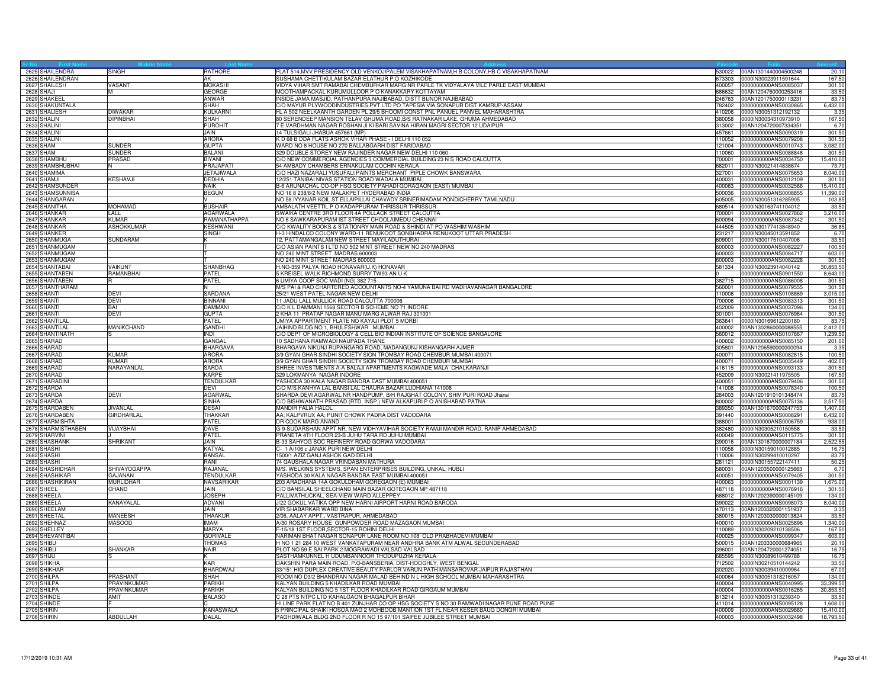| Sr No Filsch<br>2625 SHAILENDRA  | <b>SINGH</b>                      | RATHORE               | FLAT 514,MVV PRESIDENCY OLD VENKOJIPALEM VISAKHAPATNAM,H B COLONY,HB C VISAKHAPATNAM                                                                                             | 30022            | 00AN1301440004500248                                | 20.1                   |
|----------------------------------|-----------------------------------|-----------------------|----------------------------------------------------------------------------------------------------------------------------------------------------------------------------------|------------------|-----------------------------------------------------|------------------------|
| 2626 SHAILENDRAN                 |                                   | AK                    | SUSHAMA CHETTIKULAM BAZAR ELATHUR P.O KOZHIKODE                                                                                                                                  | 673303           | 0000IN30023911591644                                | 167.5                  |
| 2627 SHAILESH                    | VASANT                            | <b>MOKASHI</b>        | VIDYA VIHAR SMT RAMABAI CHEMBURKAR MARG NR PARLE TK VIDYALAYA VILE PARLE EAST MUMBAI                                                                                             |                  | 400057 0000000000ANS0085037                         | 301.50                 |
| 2628 SHAJI                       | м                                 | GEORGE                | MOOTHAMPACKAL KURUMULLOOR P O KANAKKARY KOTTAYAM                                                                                                                                 |                  | 686632 00AN1204760000253416                         | 33.50                  |
| 2629 SHAKEEL                     |                                   | ANWAR                 | INSIDE JAMA MASJID, PATHANPURA NAJIBABAD, DISTT BIJNOR NAJIBABAD                                                                                                                 | 246763           | 00AN1201750000113231                                | 83.7                   |
| 2630 SHAKUNTALA                  |                                   | SHAH                  | C/O MAYUR PLYWOODINDUSTRIES PVT LTD PO TAPESIA VIA SONAPUR DIST KAMRUP-ASSAM                                                                                                     | 782402           | 0000000000ANS0030865                                | 6,432.00               |
| 2631 SHALIESH                    | <b>DIWAKAF</b>                    | <b>KULKARNI</b>       | FL A 502 NEELKAANTH GARDEN PL 29/5 BHOOMI CONST PNL PANUEL PANVEL MAHARASHTRA                                                                                                    | 410206           | 0000IN30051312192132                                | 3.35                   |
| 2632 SHALIN                      | <b>DIPINBHAI</b>                  | SHAH                  | 80 SERENDEEP MANSION TELAV GHUMA ROAD, B/S RATNAKAR LAKE, GHUMA AHMEDABAD                                                                                                        | 380058           | 0000IN30034310973910                                | 167.50                 |
| 2633 SHALINI                     |                                   | <b>PUROHIT</b>        | 7 E VARDHMAN NAGAR ROSHAN JI KI BARI SAVINA HIRAN MAGRI SECTOR 12 UDAIPUR                                                                                                        |                  | 313002 00AN1204720007334351                         | 6.70                   |
| 2634 SHALINI                     |                                   | JAIN.                 | 14 TULSIGALI JHABUA 457661 (MP)                                                                                                                                                  | 457661           | 0000000000ANS0090319                                | 301.50                 |
| 2635 SHALINI                     |                                   | <b>ARORA</b>          | K D 68 B DDA FLATS ASHOK VIHAR PHASE - I DELHI 110 052                                                                                                                           | 110052           | 0000000000ANS0079208                                | 301.50                 |
| 2636 SHAM                        | <b>SUNDER</b>                     | <b>GUPTA</b>          | WARD NO 8 HOUSE NO 270 BALLABGARH DIST FARIDABAD                                                                                                                                 |                  | 121004 0000000000ANS0010743                         | 3,082.00               |
| 2637 SHAM                        | SUNDER                            | <b>BALANI</b>         | 329 DOUBLE STOREY NEW RAJINDER NAGAR NEW DELHI 110 060                                                                                                                           |                  | 10060 0000000000ANS0088848                          | 301.5                  |
| 2638 SHAMBHL                     | PRASAD                            | <b>BIYANI</b>         | C/O NEW COMMERCIAL AGENCIES 3 COMMERCIAL BUILDING 23 N S ROAD CALCUTTA                                                                                                           |                  | 700001 0000000000ANS0034750                         | 15,410.0               |
| 2639 SHAMBHUBHAI                 |                                   | PRAJAPATI             | 54 AMBADY CHAMBERS ERNAKULAM COCHIN KERALA                                                                                                                                       | 682011           | 0000IN30021414838674                                | 73.7                   |
| 2640 SHAMIMA                     |                                   | JETAJIWALA            | C/O HAZI NAZARALI YUSUFALI PAINTS MERCHANT PIPLE CHOWK BANSWARA                                                                                                                  | 327001           | 0000000000ANS0075653                                | 8,040.0                |
| 2641 SHAMJI                      | <b>KESHAVJI</b>                   | DEDHIA                | 12/251 TANIBAI NIVAS STATION ROAD WADALA MUMBAI                                                                                                                                  | 400031           | 0000000000ANS0012109                                | 301.5                  |
| 2642 SHAMSUNDEF                  |                                   | <b>NAIK</b>           | B-6 ARUNACHAL CO-OP HSG SOCIETY PAHADI GORAGAON (EAST) MUMBAI                                                                                                                    | 400063           | 0000000000ANS0032566                                | 15,410.0               |
| 2643 SHAMSUNNISA                 |                                   | <b>BEGUM</b>          | NO 16 8 238/6/2 NEW MALAKPET HYDERABAD INDIA                                                                                                                                     | 500036           | 0000000000ANS0008855                                | 11,390.0               |
| 2644 SHANGARAN                   |                                   |                       | NO 58 IYYANAR KOIL ST ELLAIPILLAI CHAVADY SRINERIMADAM PONDICHERRY TAMILNADU                                                                                                     | 605005           | 0000IN30051316285905                                | 103.8                  |
| 2645 SHANITHA                    | <b>MOHAMAD</b>                    | <b>BUSHAIR</b>        | AMBALATH VEETTIL P O KADAPPURAM THRISSUR THRISSUR                                                                                                                                |                  | 680514 0000lN30163741104012                         | 33.5                   |
| 2646 SHANKAR                     | LALL                              | <b>AGARWALA</b>       | SWAIKA CENTRE 3RD FLOOR 4A POLLACK STREET CALCUTTA                                                                                                                               | 700001           | 0000000000ANS0027862                                | 3.216.00               |
| 2647 SHANKAR                     | <b>KUMAR</b>                      | RAMANATHAPPA          | NO 6 SAWKARAPURAM IST STREET CHOOLAIMEDU CHENNAI                                                                                                                                 |                  | 600094 0000000000ANS0087342                         | 301.50                 |
| 2648 SHANKAR                     | ASHOKKUMAR                        | KESHWANI              | C/O KWALITY BOOKS & STATIONRY MAIN ROAD & SHINDI AT PO WASHIM WASHIM                                                                                                             |                  | 444505 0000lN30177413848940                         | 36.85                  |
| 2649 SHANKER                     |                                   | SINGH                 | 1-3 HINDALCO COLONY WARD-11 RENUKOOT SONBHADRA RENUKOOT UTTAR PRADESH                                                                                                            | 231217           | 0000lN30045013591852                                | 6.7                    |
| 2650 SHANMUGA                    | SUNDARAM                          |                       | 12, PATTAMANGALAM NEW STREET MAYILADUTHURAI<br>C/O ASIAN PAINTS I LTD NO 502 MINT STREET NEW NO 240 MADRAS                                                                       | 609001           | 0000lN30017510407006                                | 33.50                  |
| 2651 SHANMUGAM                   |                                   |                       |                                                                                                                                                                                  | 600003           | 0000000000ANS0082227                                | 100.50                 |
| 2652 SHANMUGAM                   |                                   |                       | NO 240 MINT STREET MADRAS 600003                                                                                                                                                 | 600003<br>600003 | 0000000000ANS0084717                                | 603.00<br>301.5        |
| 2653 SHANMUGAM                   | VAIKUNT                           | <b>SHANBHAG</b>       | NO 240 MINT STREET MADRAS 600003                                                                                                                                                 |                  | 0000000000ANS0082228                                |                        |
| 2654 SHANTABAI                   | RAMANBHAI                         | PATEL                 | H.NO-359 PALYA ROAD HONAVAR(U.K) HONAVAR                                                                                                                                         | 581334           | 0000IN30023914040142                                | 30,853.5               |
| 2655 SHANTABEN<br>2656 SHANTABEN |                                   | PATEL                 | 5 KREISEL WALK RICHMOND SURRY TW93 AN U K<br>6 UMIYA COOP SOC MADI (NG) 382 715                                                                                                  |                  | 0000000000ANS0901550<br>382715 0000000000ANS0086008 | 8,643.0<br>301.50      |
| 2657 SHANTHARAM                  |                                   |                       | M/S PAI & RAO CHARTERED ACCOUNTANTS NO-4 YAMUNA BAI RD MADHAVANAGAR BANGALORE                                                                                                    |                  | 560001 0000000000ANS0079555                         | 301.5                  |
| 2658 SHANTI                      | DEVI                              | <b>SARDANA</b>        | 25/21 WEST PATEL NAGAR NEW DELHI                                                                                                                                                 | 110008           | 0000000000ANS0108869                                | 3,015.00               |
| 2659 SHANTI                      | DEVI                              | <b>BINNANI</b>        | 11 JADU LALL MULLICK ROAD CALCUTTA 700006                                                                                                                                        | 800007           | 0000000000ANS0083313                                | 301.5                  |
| 2660 SHANTI                      | <b>RAI</b>                        | DAMMAN                | C/O K L DAMMANI 1568 SECTOR B SCHEME NO 71 INDORE                                                                                                                                | 452009           | 0000000000ANS0037096                                | 134.0                  |
| 2661 SHANTI                      | DEVI                              | <b>GUPTA</b>          | 2 KHA 11 PRATAP NAGAR MANU MARG ALWAR RAJ 301001                                                                                                                                 | 301001           | 0000000000ANS0076964                                | 301.50                 |
| 2662 SHANTILAI                   |                                   | PATEL                 | UMIYA APPARTMENT FLATE NO KAYAJI PLOT 5 MORBI                                                                                                                                    |                  | 363641 0000IN30169612200180                         | 83.75                  |
| 2663 SHANTILAL                   | <b>MANIKCHAND</b>                 | <b>GANDHI</b>         | JAIHIND BLDG NO 1, BHULESHWAR . MUMBAI                                                                                                                                           | 400002           | 00AN1302860000088555                                | 2,412.00               |
| 2664 SHANTINATH                  |                                   | <b>INDI</b>           | C/O DEPT OF MICROBIOLOGY & CELL BIO INDIAN INSTITUTE OF SCIENCE BANGALORE                                                                                                        | 560012           | 0000000000ANS0107667                                | 1,239.5                |
| 2665 SHARAD                      |                                   | GANGAL                | 10 SADHANA RAMWADI NAUPADA THANE                                                                                                                                                 | 400602           | 0000000000ANS0085150                                | 201.0                  |
| 2666 SHARAD                      |                                   | <b>BHARGAVA</b>       | BHARGAVA NIKUNJ RUPANGARG ROAD, MADANGUNJ KISHANGARH AJMER                                                                                                                       | 305801           | 00AN1206590000000094                                | 3.3 <sup>2</sup>       |
| 2667 SHARAD                      | KIIMAR                            | ARORA                 | 3/9 GYAN GHAR SINDHI SOCIETY SION TROMBAY ROAD CHEMBUR MUMBAI 400071                                                                                                             |                  | 400071 0000000000ANS0082815                         | 100.50                 |
| 2668 SHARAD                      | <b><i>IIMAR</i></b>               | <b>ARORA</b>          | 3/9 GYAN GHAR SINDHI SOCIETY SION TROMBAY ROAD CHEMBUR MUMBAI                                                                                                                    |                  |                                                     | 402.00                 |
| 2669 SHARAD                      | NARAYANLAL                        | SARDA                 | SHREE INVESTMENTS A-A BALAJI APARTMENTS KAGWADE MALA CHALKARANJI                                                                                                                 | 416115           | 0000000000ANS0093133                                | 301.50                 |
| 2670 SHARAD                      |                                   | KARPF                 | 329 LOKMANYA NAGAR INDORE                                                                                                                                                        | 452009           | 0000lN30021411975505                                | 167.50                 |
| 2671 SHARADIN                    |                                   | TENDULKAR             | YASHODA 30 KALA NAGAR BANDRA EAST MUMBAI 400051                                                                                                                                  | 400051           | 0000000000ANS0079406                                | 301.5                  |
| 2672 SHARDA                      |                                   | DEVI                  | C/O M/S KANHYA LAL BANSI LAL CHAURA BAZAR LUDHIANA 141008                                                                                                                        | 141008           | 0000000000ANS0078340                                | 100.50                 |
| 2673 SHARDA                      | DEVI                              | <b>AGARWAL</b>        | SHARDA DEVI AGARWAL NR HANDPUMP, B/H RAJGHAT COLONY, SHIV PURI ROAD Jhansi                                                                                                       | 284003           | 00AN1201910101348474                                | 83.7                   |
| 2674 SHARDA                      |                                   | <b>SINHA</b>          | C/O BISHWANATH PRASAD (RTD. INSP.) NEW ALKAPURI P O ANISHABAD PATNA                                                                                                              | 800002           | 0000000000ANS0075136                                | 3,517.50               |
| 2675 SHARDABEN                   | JIVANLAL                          | DESAI                 | MANDIR FALIA HALOL                                                                                                                                                               | 389350           | 00AN1301670000247753                                | 1,407.00               |
| 2676 SHARDABEN                   | GIRDHARLAL                        | THAKKAR               | AA; KALPVRUX AA; PUNIT CHOWK PADRA DIST VADODARA                                                                                                                                 | 391440           | 0000000000ANS0008291                                | 6,432.0                |
| 2677 SHARMISHTA                  |                                   | PATEL                 | DR COOK MARG ANAND                                                                                                                                                               | 388001           | 0000000000ANS0006759                                | 938.0                  |
| 2678 SHARMISTHABEN               | <b>ILAYBHAI</b>                   | DAVE                  | G-9-SUDARSHAN APPT NR. NEW VIDHYAVIHAR SOCIETY RAMJI MANDIR ROAD, RANIP AHMEDABAD                                                                                                | 382480           | 0000lN30305210150558                                | 33.5                   |
| 2679 SHARVINI                    |                                   | PATEL                 | PRANETA 4TH FLOOR 23-B JUHU TARA RD JUHU MUMBAI                                                                                                                                  | 400049           | 0000000000ANS0115775                                | 301.50                 |
| 2680 SHASHANK                    | <b>SHRIKANT</b>                   | JAIN.                 | B-33 SAHYOG SOC REFINERY ROAD GORWA VADODARA                                                                                                                                     | 390016           | 00AN1301670000007184                                | 2,522.5                |
| 2681 SHASHI                      |                                   | <b>KATYA</b>          | C- 1 A/106 c JANAK PURI NEW DELHI                                                                                                                                                | 110058           | 0000lN30159010012885                                | 16.7                   |
| 2682 SHASHI                      |                                   | <b>BANSAL</b>         | 1500/1 AZIZ GANJ ASHOK GAD DELHI                                                                                                                                                 | 110006           | 0000lN30299410010297                                | 83.7                   |
| 2683 SHASHI                      |                                   | RANI                  | 74 GAUSHALA NAGAR VRINDABAN MATHURA                                                                                                                                              | 281121           | 0000lN30155722147411                                | 50.2                   |
| 2684 SHASHIDHAR                  | SHIVAYOGAPPA                      | RAJANAI               | M/S. WELKINS SYSTEMS, SPAN ENTERPRISES BUILDING, UNKAL, HUBLI                                                                                                                    | 580031           | 00AN1203500000125663                                | 6.7                    |
| 2685 SHASHIKAR                   | <b>GAJANAN</b>                    | <b>TENDULKAR</b>      | YASHODA 30 KALA NAGAR BANDRA EAST MUMBAI 400051                                                                                                                                  | 400051           | 0000000000ANS0079405                                | 301.50                 |
| 2686 SHASHIKIRAN                 | MURLIDHAR                         | NAVSARIKAR            | 203 ARADHANA 14A GOKULDHAM GOREGAON (E) MUMBAI                                                                                                                                   |                  | 400063 0000000000ANS0001139                         | 1,675.00               |
| 2687 SHEEL                       | CHAND                             | JAIN.                 | C/O BANSILAL SHEELCHAND MAIN BAZAR GOTEGAON MP 487118                                                                                                                            |                  | 487118 0000000000ANS0076916                         | 301.50                 |
| 2688 SHEELA                      |                                   | <b>JOSEPH</b>         | PALLIVATHUCKAL, SEA-VIEW WARD ALLEPPEY                                                                                                                                           | 688012           | 00AN1202390000145109                                | 134.0                  |
| 2689 SHEELA                      | KANAYALAL                         | ADVANI                | J/22 GOKUL VATIKA OPP NEW HARNI AIRPORT HARNI ROAD BARODA                                                                                                                        | 390022           | 0000000000ANS0098073                                | 8,040.0                |
| 2690 SHEELAM                     |                                   | JAIN                  | VIR SHABARKAR WARD BINA                                                                                                                                                          |                  | 470113 00AN1203320001151937                         | 3.35                   |
| 2691 SHEETAL                     | MANEESH                           | THAAKUR               | 2/06, AALAY APPT., VASTRAPUR, AHMEDABAD                                                                                                                                          |                  | 380015 00AN1203030000013824                         | 33.50                  |
| 2692 SHEHNAZ                     | MASOOD                            | <b>MAM</b>            | A/30 ROSARY HOUSE GUNPOWDER ROAD MAZAGAON MUMBAI                                                                                                                                 | 400010           | 0000000000ANS0025896                                | 1,340.00               |
| 2693 SHELLEY                     |                                   | <b>MARYA</b>          | F-15/18 1ST FLOOR, SECTOR-15 ROHINI DELHI                                                                                                                                        | 10089            | 0000IN30209210138506                                | 167.5                  |
| 2694 SHEVANTIBAI                 |                                   | <b>GORIVALE</b>       | NARIMAN BHAT NAGAR SONAPUR LANE ROOM NO 108 OLD PRABHADEVI MUMBAI                                                                                                                | 400025           | 0000000000ANS0099347                                | 603.0                  |
| 2695 SHIBU                       |                                   | <b>THOMAS</b>         | H NO 1 21 284 10 WEST VANKATAPURAM NEAR ANDHRA BANK ATM ALWAL SECUNDERABAD                                                                                                       |                  | 500015 00AN1203330000684965                         | 20.1                   |
| 2696 SHIBU                       | SHANKAR                           | NAIR                  | PLOT NO 59 E SAI PARK 2 MOGRAWADI VALSAD VALSAD                                                                                                                                  |                  | 396001 00AN1204720001274051                         | 16.7                   |
| 2697 SHIJU                       |                                   |                       | SASTHAMKUNNEL H UDUMBANNOOR THODUPUZHA KERALA                                                                                                                                    | 685595           | 0000IN30089610499788                                | 16.7                   |
| 2698 SHIKHA                      |                                   | KAR                   | DAKSHIN PARA MAIN ROAD, P.O-BANSBERIA, DIST-HOOGHLY, WEST BENGAL                                                                                                                 | 12502            | 0000lN30210510144242                                | 33.5                   |
| 2699 SHIKHAR                     |                                   | BHARDWAJ              | 33/151 HIG DUPLEX CREATIVE BEAUTY PARLOR VARUN PATH MANSAROVAR JAIPUR RAJASTHAN<br>ROOM NO D3/2 BHANDRAN NAGAR MALAD BEHIND N L HIGH SCHOOL MUMBAI MAHARASHTRA                   | 302020           | 0000IN30039410009964                                | 67.00                  |
| 2700 SHILPA                      | PRASHANT                          | SHAH<br><b>PARIKH</b> |                                                                                                                                                                                  | 400064           | 0000IN30051318216057                                | 134.00                 |
| 2701 SHILPA<br>2702 SHILPA       | PRAVINKUMAR<br><b>PRAVINKUMAR</b> | PARIKH                | KALYAN BUILDING 5 KHADILKAR ROAD MUMBAI<br>KALYAN BUILDING NO 5 1ST FLOOR KHADILKAR ROAD GIRGAUM MUMBAI                                                                          | 400004           | 400004 0000000000ANS0040995<br>0000000000ANS0016265 | 33,399.50<br>30,853.50 |
|                                  |                                   |                       |                                                                                                                                                                                  |                  |                                                     |                        |
| 2703 SHINDE                      | AMIT                              | BALASO                | C 28 PTS NTPC LTD KAHALGAON BHAGALPUR BIHAR                                                                                                                                      |                  | 813214 0000IN30051313239340                         | 33.5                   |
| 2704 SHINDE                      |                                   |                       | HI LINE PARK FLAT NO B 401 ZUNJHAR CO OP HSG SOCIETY S NO 30 RAMWADI NAGAR PUNE ROAD PUNE<br>5 PRINCIPAL SHAIKI HOSOA MAG 2 MOHBOOB MANTION 1ST FL NEAR KESER BAUG DONGRI MUMBAI |                  | 411014 0000000000ANS0095128                         | 1,608.0                |
| 2705 SHIRIN                      |                                   | <b>KANASWALA</b>      |                                                                                                                                                                                  |                  | 400009 0000000000ANS0029880                         | 15,410.00              |
| 2706 SHIRIN                      | ABDULLAH                          | DALAL                 | PAGHDIWALA BLDG 2ND FLOOR R NO 15 97/101 SAIFEE JUBILEE STREET MUMBAI                                                                                                            |                  | 400003 0000000000ANS0032498                         | 18,793.50              |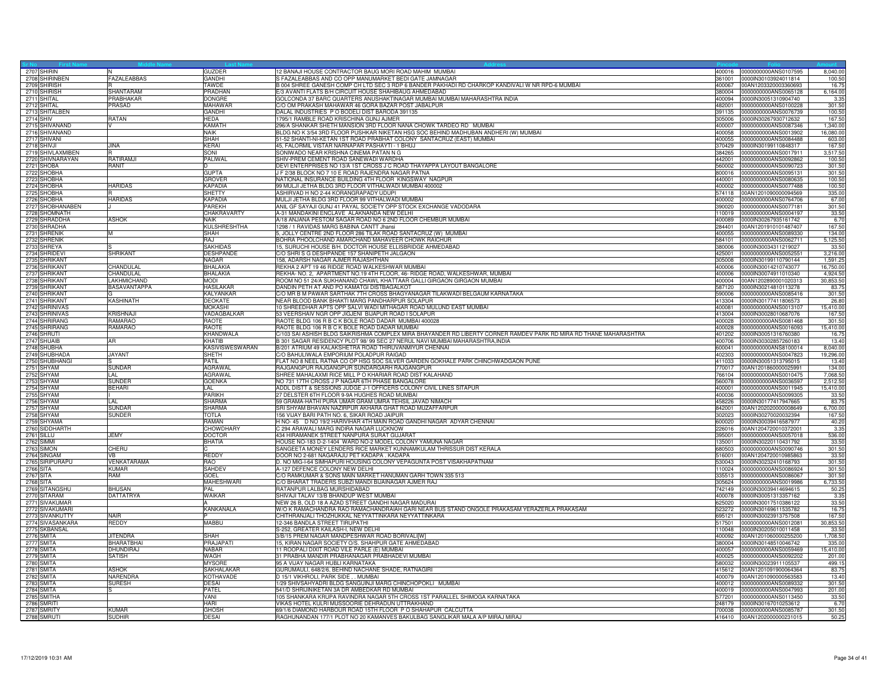| Sr No<br>2707 SHIRIN<br>2708 SHIRINBEN        |                     |                            |                                                                                                                                                                     |                  |                                                     |                |
|-----------------------------------------------|---------------------|----------------------------|---------------------------------------------------------------------------------------------------------------------------------------------------------------------|------------------|-----------------------------------------------------|----------------|
|                                               |                     | <b>GUZDER</b>              | 2 BANAJI HOUSE CONTRACTOR BAUG MORI ROAD MAHIM MUMBAI                                                                                                               | 400016           | 0000000000ANS0107595                                | 8,040.0        |
|                                               | <b>FAZALEABBAS</b>  | GANDHI                     | S FAZALEABBAS AND CO OPP MANUMARKET BEDI GATE JAMNAGAR                                                                                                              | 361001           | 0000lN30103924011814                                | 100.50         |
| 2709 SHIRISH                                  |                     | <b>TAWDE</b>               | B 004 SHREE GANESH COMP CH LTD SEC 3 RDP 6 BANDER PAKHADI RD CHARKOP KANDIVALI W NR RPD-6 MUMBAI                                                                    | 400067           | 00AN1203320003360693                                | 16.75          |
| 2710 SHIRISH                                  | SHANTARAM           | PRADHAN                    | 5/3 AVANTI FLATS B/H CIRCUIT HOUSE SHAHIBAUG AHMEDABAD                                                                                                              |                  | 380004 0000000000ANS0065128                         | 6,164.00       |
| 2711 SHITAL<br>2712 SHITAL                    | PRABHAKAR<br>PRASAD | <b>DONGRE</b><br>MAHAWAR   | GOLCONDA 37 BARC QUARTERS ANUSHAKTINAGAR MUMBAI MUMBAI MAHARASHTRA INDIA<br>O OM PRAKASH MAHAWAR 46 GORA BAZAR POST JABALPUR                                        | 400094<br>482001 | 0000IN30051310904740<br>0000000000ANS0100228        | 3.35<br>301.50 |
| 2713 SHITALBEN                                |                     | GANDHI                     | DALAL INDUSTRIES P O BODELI DIST BARODA 391135                                                                                                                      | 391135           | 0000000000ANS0076739                                | 100.5          |
| 2714 SHIV                                     | <b>RATAN</b>        | <b>HFDA</b>                | 1795/1 RAMBLE ROAD KRISCHINA GUNJ AJMER                                                                                                                             | 305006           | 0000IN30267930712632                                | 167.50         |
| 2715 SHIVANAND                                |                     | <b>KAMATH</b>              | 296/A SHANKAR SHETH MANSION 3RD FLOOR NANA CHOWK TARDEO RD MUMBAI                                                                                                   | 400007           | 0000000000ANS0087346                                | 1,340.00       |
|                                               |                     | <b>NAIK</b>                | BLDG NO K 3/54 3RD FLOOR PUSHKAR NIKETAN HSG SOC BEHIND MADHUBAN ANDHERI (W) MUMBAI                                                                                 | 400058           | 0000000000ANS0013902                                | 16,080.00      |
|                                               |                     | <b>SHAH</b>                | 51-52 SHANTI-NI-KETAN 1ST ROAD PRABHAT COLONY SANTACRUZ (EAST) MUMBAI                                                                                               | 400055           | 0000000000ANS0084488                                | 603.00         |
| 2716 SHIVANAND<br>2717 SHIVANI<br>2718 SHIVJI | <b>JINA</b>         | KERAI                      | 45, FALORMIL VISTAR NARNAPAR PASHAYTI - 1 BHUJ                                                                                                                      | 370429           | 0000IN30199110848317                                | 167.5          |
| 2719 SHIVLAXMIBEN                             |                     | SONI                       | SONIWADO NEAR KRISHNA CINEMA PATAN N G                                                                                                                              | 384265           | 0000000000ANS0017911                                | 3,517.50       |
| 2720 SHIVNARAYAN                              | RATIRAMJI           | PALIWAL                    | SHIV-PREM CEMENT ROAD SANEWADI WARDHA                                                                                                                               |                  | 442001 0000000000ANS0092862                         | 100.5          |
| 2721 SHOBA                                    | <b>RANIT</b>        | D                          | DEVI ENTERPRISES NO 13/A 1ST CROSS J C ROAD THAYAPPA LAYOUT BANGALORE                                                                                               | 560002           | 0000000000ANS0090723                                | 301.50         |
| 2722 SHOBHA                                   |                     | <b>GUPTA</b>               | F 2/38 BLOCK NO 7 10 E ROAD RAJENDRA NAGAR PATNA                                                                                                                    | 800016           | 0000000000ANS0095131                                | 301.50         |
| 2723 SHOBHA                                   |                     | <b>GROVER</b>              | NATIONAL INSURANCE BUILDING 4TH FLOOR KINGSWAY NAGPUR                                                                                                               | 440001           | 0000000000ANS0080635                                | 100.5          |
| 2724 SHOBHA                                   | <b>HARIDAS</b>      | <b>KAPADIA</b>             | 99 MULJI JETHA BLDG 3RD FLOOR VITHALWADI MUMBAI 400002                                                                                                              | 400002           | 0000000000ANS0077488                                | 100.50         |
| 2725 SHOBHA                                   |                     | <b>SHETTY</b>              | ASHIRVAD H NO 2-44 KORANGRAPADY UDUPI                                                                                                                               |                  | 574118 00AN1201090000094569                         | 335.00         |
| 2726 SHOBHA                                   | <b>HARIDAS</b>      | <b>KAPADIA</b>             | MULJI JETHA BLDG 3RD FLOOR 99 VITHALWADI MUMBAI                                                                                                                     | 400002           | 0000000000ANS0764706                                | 67.00          |
| 2727 SHOBHANABEN                              |                     | <b>PAREKH</b>              | ANIL GF SAYAJI GUNJ 41 PAYAL SOCIETY OPP STOCK EXCHANGE VADODARA                                                                                                    | 390020           | 0000000000ANS0077181                                | 301.50         |
| 2728 SHOMNATH<br>2729 SHRADDHA                | <b>ASHOK</b>        | CHAKRAVARTY<br><b>NAIK</b> | A-31 MANDAKINI ENCLAVE ALAKNANDA NEW DELHI<br>A/18 ANJANA PESTOM SAGAR ROAD NO 6 2ND FLOOR CHEMBUR MUMBAI                                                           | 110019<br>400089 | 0000000000ANS0004197<br>0000lN30267935161742        | 33.50<br>6.7(  |
| 2730 SHRADHA                                  |                     | <b>KULSHRESHTHA</b>        | 1298 / 1 RAVIDAS MARG BABINA CANTT Jhansi                                                                                                                           | 284401           | 00AN1201910101487407                                | 167.50         |
| 2731 SHRENIK                                  | Iм                  | SHAH                       | JOLLY CENTRE 2ND FLOOR 286 TILAK ROAD SANTACRUZ (W) MUMBAI                                                                                                          | 400055           | 0000000000ANS0089330                                | 134.00         |
| 2732 SHRENIK                                  |                     | RAJ                        | BOHRA PHOOLCHAND AMARCHAND MAHAVEER CHOWK RAICHUR                                                                                                                   | 584101           | 0000000000ANS0062711                                | 5,125.50       |
| 2733 SHREYA                                   |                     | <b>SAKHIDAS</b>            | 15, SURUCHI HOUSE B/H. DOCTOR HOUSE ELLISBRIDGE AHMEDABAD                                                                                                           | 380006           | 0000lN30034311219027                                | 33.50          |
| 2734 SHRIDEVI                                 | <b>SHRIKANT</b>     | <b>DESHPANDE</b>           | C/O SHRIS G DESHPANDE 157 SHANIPETH JALGAON                                                                                                                         | 425001           | 0000000000ANS0052551                                | 3,216.00       |
| 2735 SHRIKANT                                 |                     | <b>NAGAR</b>               | 158, ADARSH NAGAR AJMER RAJASHTHAN                                                                                                                                  | 305008           | 0000lN30199110790144                                | 1,591.2        |
|                                               | CHANDULAL           | <b>BHALAKIA</b>            | REKHA 2 APT 19 46 RIDGE ROAD WALKESHWAR MUMBAI                                                                                                                      | 400006           | 0000lN30014210743077                                | 16,750.00      |
| 2736 SHRIKANT<br>2737 SHRIKANT                | CHANDULAL           | <b>BHALAKIA</b>            | REKHA- NO. 2, APARTMENT NO.19 4TH FLOOR, 46- RIDGE ROAD, WALKESHWAR, MUMBAI                                                                                         | 400006           | 0000lN30074911010340                                | 4,924.5        |
| 2738 SHRIKANT                                 | LAKHMICHAND         | <b>MODI</b>                | ROOM NO 51 24/A SUKHANAND CHAWL KHATTAAR GALLI GIRGAON GIRGAON MUMBAI                                                                                               | 400004           | 00AN1202890001020313                                | 30,853.50      |
| 2739 SHRIKANT                                 | <b>BASAVANTAPPA</b> | <b>HASILAKAR</b>           | DANDIN PETH AT AND PO KAMATGI DISTBAGALKOT                                                                                                                          | 587120           | 0000lN30214810113278                                | 83.7           |
| 2740 SHRIKANT                                 |                     | KALYANKAR                  | C/O MR B M PAWAR SARTHAK 7TH CROSS BHAGYANAGAR TILAKWADI BELGAUM KARNATAKA                                                                                          | 590006           | 0000000000ANS0085416                                | 301.50         |
| 2741 SHRIKANT                                 | <b>KASHINATH</b>    | <b>DEOKATE</b>             | VEAR BLOOD BANK BHAKTI MARG PANDHARPUR SOLAPUR                                                                                                                      | 413304           | 0000lN30177411806573                                | 26.8           |
| 2742 SHRINIVAS                                |                     | <b>MOKASHI</b>             | 10 SHREEDHAR APTS OPP SALVI WADI MITHAGAR ROAD MULUND EAST MUMBAI                                                                                                   | 400081           | 0000000000ANS0013107                                | 15,410.00      |
| 2743 SHRINIVAS                                | <b>KRISHNAJI</b>    | VADAGBALKAR                | 53 VEERSHAIV NGR OPP JIGJENI BIJAPUR ROAD I SOLAPUR                                                                                                                 | 413004           | 0000lN30028010687076                                | 167.5          |
| 2744 SHRIRANG                                 | <b>RAMARAO</b>      | <b>RAOTE</b>               | RAOTE BLDG 106 R B C K BOLE ROAD DADAR MUMBAI 400028                                                                                                                | 400028           | 0000000000ANS0081468                                | 301.50         |
| 2745 SHRIRANG<br>2746 SHRUTI                  | <b>RAMARAO</b>      | <b>RAOTE</b>               | RAOTE BLDG 106 R B C K BOLE ROAD DADAR MUMBAI<br>C/103 SAI ASHISH BLDG SAIKRISHMA COMPLEX MIRA BHAYANDER RD LIBERTY CORNER RAMDEV PARK RD MIRA RD THANE MAHARASHTRA | 400028           | 0000000000ANS0016093                                | 15,410.00      |
| 2747 SHUAIB                                   | AR                  | KHANDWALA<br>KHATIB        | B 301 SAGAR RESIDENCY PLOT 98/ 99 SEC 27 NERUL NAVI MUMBAI MAHARASHTRA, INDIA                                                                                       | 401202           | 0000lN30051316760380<br>400706 0000lN30302857260183 | 16.7<br>13.4   |
| 2748 SHUBHA                                   |                     | <b>KASIVISWESWARAN</b>     | B/201 ATRIUM 49 KALAKSHETRA ROAD THIRUVANMIYUR CHENNAI                                                                                                              | 600041           | 0000000000ANS8100014                                | 8,040.00       |
| 2749 SHUBHADA                                 | <b>JAYANT</b>       | SHETH                      | C/O BAHULIWALA EMPORIUM POLADPUR RAIGAD                                                                                                                             |                  | 402303 0000000000ANS0047823                         | 19,296.00      |
| 2750 SHUBHANGI                                |                     | <b>PATIL</b>               | LAT NO 8 NEEL RATNA CO OP HSG SOC SILVER GARDEN GOKHALE PARK CHINCHWADGAON PUNE                                                                                     | 411033           | 0000lN30051313795015                                | 13.4           |
| 2751 SHYAM                                    | SUNDAR              | AGRAWAL                    | AJGANGPUR RAJGANGPUR SUNDARGARH RAJGANGPUR                                                                                                                          | 770017           | 00AN1201860000025991                                | 134.00         |
| 2752 SHYAM                                    | l Al                | AGRAWAL                    | SHREE MAHALAXMI RICE MILL P O KHARIAR ROAD DIST KALAHAND                                                                                                            | 766104           | 0000000000ANS0010475                                | 7,068.5        |
| 2753 SHYAM                                    | <b>SUNDER</b>       | <b>GOENKA</b>              | NO 731 17TH CROSS J P NAGAR 6TH PHASE BANGALORE                                                                                                                     | 560078           | 0000000000ANS0036597                                | 2.512.50       |
| 2754 SHYAM                                    | <b>BEHARI</b>       | LAL                        | ADDL DISTT & SESSIONS JUDGE J-1 OFFICERS COLONY CIVIL LINES SITAPUR                                                                                                 | 400001           | 0000000000ANS0011945                                | 15,410.00      |
| 2755 SHYAM<br>2756 SHYAM<br>2757 SHYAM        |                     | <b>PARIKH</b>              | 27 DELSTER 6TH ELOOR 9-9A HUGHES ROAD MUMBAL                                                                                                                        | 400036           | 0000000000ANS0099305                                | 33.50          |
|                                               | LAL                 | <b>SHARMA</b>              | 59 GRAMA-HATHI PURA UMAR GRAM UMRA TEHSIL JAVAD NIMACH                                                                                                              | 458226           | 0000lN30177417947665                                | 83.7           |
|                                               | <b>SUNDAR</b>       | <b>SHARMA</b>              | SRI SHYAM BHAVAN NAZIRPUR AKHARA GHAT ROAD MUZAFFARPUR                                                                                                              | 842001           | 00AN1202020000008649                                | 6,700.00       |
| 2758 SHYAM                                    | <b>SUNDER</b>       | <b>TOTLA</b>               | 56 VIJAY BARI PATH NO. 6. SIKAR ROAD JAIPUR                                                                                                                         |                  | 302023 0000IN30270020032394                         | 167.50         |
| 2759 SHYAMA                                   |                     | RAMAN                      | H NO- 45 D NO 19/2 HARIVIHAR 4TH MAIN ROAD GANDHI NAGAR ADYAR CHENNAI                                                                                               |                  | 600020 0000IN30039416587977                         | 40.20          |
| 2760 SIDDHARTH                                |                     | <b>CHOWDHARY</b>           | 294 ARAWALI MARG INDIRA NAGAR LUCKNOW                                                                                                                               |                  | 226016 00AN1204720010372001                         | 3.35           |
| 2761 SILLU                                    | JEMY                | <b>DOCTOR</b>              | 34 HIRAMANEK STREET NANPURA SURAT GUJARAT                                                                                                                           | 395001           | 0000000000ANS0057018                                | 536.00         |
| 2762 SIMMI<br>2763 SIMON                      | CHERU               | <b>BHATIA</b>              | HOUSE NO-183 D-2-1404 WARD NO-2 MODEL COLONY YAMUNA NAGAR<br>SANGEETA MONEY LENDERS RICE MARKET KUNNAMKULAM THRISSUR DIST KERALA                                    | 135001<br>680503 | 0000lN30220110431792<br>0000000000ANS0090746        | 33.5<br>301.50 |
| 2764 SINGAM                                   | V <sub>B</sub>      | <b>REDDY</b>               | DOOR NO 2-681 NAGARAJU PET KADAPA . KADAPA                                                                                                                          | 516001           | 00AN1204720010985863                                | 33.50          |
|                                               | VENKATARAMA         | <b>RAO</b>                 | D. NO MIG-I-64 SIMHAPURI HOUSING COLONY VEPAGUNTA POST VISAKHAPATNAM                                                                                                | 530043           | 0000IN30232410168793                                | 301.50         |
| 2765 SIRIPURAPU<br>2766 SITA<br>2767 SITA     | <b>KUMAR</b>        | <b>SAHDEV</b>              | A-127 DEFENCE COLONY NEW DELHI                                                                                                                                      | 110024           | 0000000000ANS0086924                                | 301.5          |
|                                               | RAM                 | <b>GOEL</b>                | C/O RAMKUMAR & SONS MAIN MARKET HANUMAN GARH TOWN 335 513                                                                                                           | 335513           | 0000000000ANS0086067                                | 301.5          |
| $2768$ SITA                                   |                     | <b>MAHESHWARI</b>          | C/O BHARAT TRADERS SUBZI MANDI BIJAINAGAR AJMER RAJ                                                                                                                 |                  | 305624 0000000000ANS0019986                         | 6,733.5        |
| 2769 SITANGSHU                                | <b>BHUSAN</b>       | PAL                        | RATANPUR LALBAG MURSHIDABAD                                                                                                                                         |                  | 742149 0000IN30039414694615                         | 50.25          |
| 2770 SITARAM                                  | <b>DATTATRYA</b>    | <b>WAIKAR</b>              | SHIVAJI TALAV 13/B BHANDUP WEST MUMBAI                                                                                                                              | 400078           | 0000IN30051313357162                                | 3.35           |
| 2771 SIVAKUMAR                                |                     |                            | NEW 26 B, OLD 18 A AZAD STREET GANDHI NAGAR MADURAI                                                                                                                 | 625020           | 0000lN30017510386122                                | 33.5           |
| 2772 SIVAKUMARI                               |                     | KANKANALA                  | W/O K RAMACHANDRA RAO RAMACHANDRAIAH GARI NEAR BUS STAND ONGOLE PRAKASAM YERAZERLA PRAKASAM                                                                         | 523272           | 0000lN30169611535782                                | 16.75          |
| 2773 SIVANKUTTY                               | <b>NAIR</b>         |                            | CHITHRANJALI THOZHUKKAL NEYYATTINKARA NEYYATTINKARA                                                                                                                 | 695121           | 0000lN30023913757508                                | 167.5          |
| 2774 SIVASANKARA                              | <b>REDDY</b>        | <b>MABBU</b>               | 12-346 BANDLA STREET TIRUPATHI                                                                                                                                      | 517501           | 0000000000ANS0012081                                | 30,853.5       |
| 2775 SKBANSAL<br>2776 SMITA                   |                     |                            | S-252. GREATER KAILASH-I. NEW DELHI                                                                                                                                 | 110048           | 0000IN30205010011458                                | 33.50          |
|                                               | <b>JITENDRA</b>     | <b>SHAH</b>                | 3/B/15 PREM NAGAR MANDPESHWAR ROAD BORIVALI[W]                                                                                                                      | 400092           | 00AN1201060000255200                                | 1,708.50       |
| 2777 SMITA<br>2778 SMITA                      | <b>BHARATBHAI</b>   | <b>PRAJAPATI</b>           | 15, KIRAN NAGAR SOCIETY O/S. SHAHPUR GATE AHMEDABAD<br>1 ROOPALI DIXIT ROAD VILE PARLE (E) MUMBAI                                                                   | 380004           | 0000lN30148510046742                                | 335.0          |
|                                               | DHUNDIRAJ           | <b>NABAR</b>               |                                                                                                                                                                     | 400057           | 0000000000ANS0059469                                | 15,410.00      |
| 2779 SMITA<br>2780 SMITA                      | <b>SATISH</b>       | WAGH<br><b>MYSORE</b>      | 31 PRABHA MANDIR PRABHANAGAR PRABHADEVI MUMBAI<br>35 A VIJAY NAGAR HUBLI KARNATAKA                                                                                  | 400025<br>580032 | 0000000000ANS0092202<br>0000lN30023911105537        | 201.0<br>499.1 |
| 2781 SMITA                                    | <b>ASHOK</b>        | SAKHALAKAR                 | GURUMAULI, 648/2/6, BEHIND NACHANE SHADE, RATNAGIRI                                                                                                                 | 415612           | 00AN1201091900064364                                | 83.7           |
| 2782 SMITA                                    | <b>NARENDRA</b>     | <b>KOTHAVADE</b>           | D 15/1 VIKHROLI, PARK SIDE, . MUMBAI                                                                                                                                |                  | 400079 00AN1201090000563583                         | 13.40          |
| 2783 SMITA                                    | <b>SURESH</b>       | <b>DESAI</b>               | 1/29 SHIVSAHYADRI BLDG SANGUINJI MARG CHINCHOPOKLI MUMBAI                                                                                                           | 400012           | 0000000000ANS0089332                                | 301.5          |
|                                               |                     | PATEL                      | 541/D SHRIJINIKETAN 3A DR AMBEDKAR RD MUMBAI                                                                                                                        | 400019           | 0000000000ANS0047993                                | 201.0          |
| 2784 SMITA<br>2785 SMITHA                     |                     | VANI                       | 105 SHANKARA KRUPA RAVINDRA NAGAR 5TH CROSS 1ST PARALLEL SHIMOGA KARNATAKA                                                                                          | 577201           | 0000000000ANS0113450                                | 33.50          |
| 2786 SMRITI                                   |                     | HARI                       | VIKAS HOTEL KULRI MUSSOORIE DEHRADUN UTTRAKHAND                                                                                                                     |                  | 248179 0000IN30167010253612                         | 6.7(           |
| 2787 SMRITY                                   | <b>KUMAR</b>        | <b>GHOSH</b>               | 69/1/6 DIAMOND HARBOUR ROAD 15TH FLOOR P O SHAHAPUR CALCUTTA                                                                                                        |                  | 700038 0000000000ANS0085787                         | 301.50         |
| 2788 SMRUTI                                   | <b>SUDHIR</b>       | <b>DESAI</b>               | RAGHUNANDAN 177/1 PLOT NO 20 KAMANVES BAKULBAG SANGLIKAR MALA A/P MIRAJ MIRAJ                                                                                       |                  | 416410 00AN1202000000231015                         | 50.25          |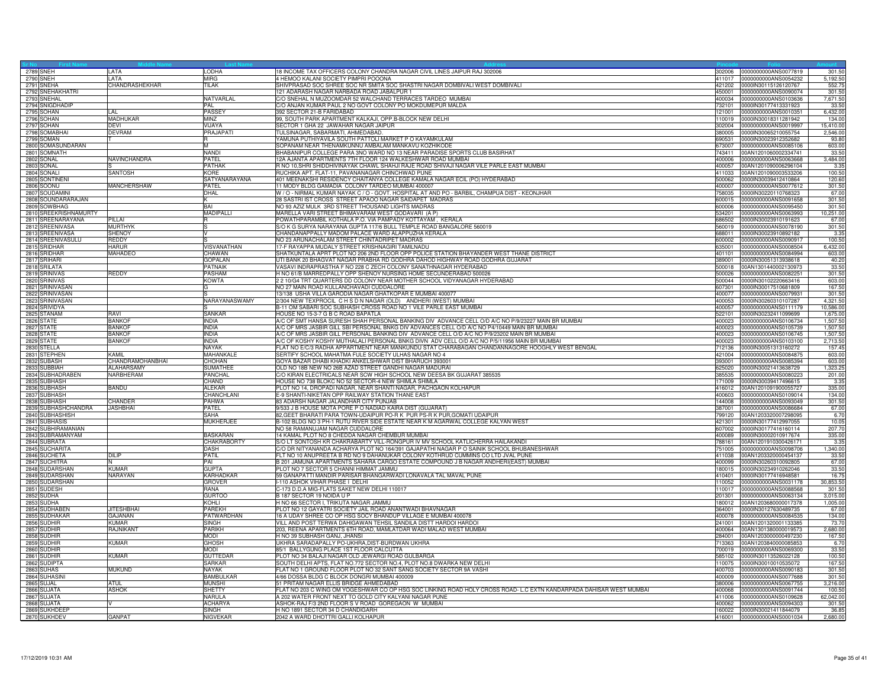| Sr No<br>2789 SNEH<br>2790 SNEH | LATA                           | LODHA                        | 8 INCOME TAX OFFICERS COLONY CHANDRA NAGAR CIVIL LINES JAIPUR RAJ 302006                                                                                                                      | 302006           | 0000000000ANS0077819                         | 301.50               |
|---------------------------------|--------------------------------|------------------------------|-----------------------------------------------------------------------------------------------------------------------------------------------------------------------------------------------|------------------|----------------------------------------------|----------------------|
|                                 | <b>LATA</b>                    | <b>MIRG</b>                  | 4 HEMOO KALANI SOCIETY PIMPRI POOONA                                                                                                                                                          |                  | 411017 0000000000ANS0054232                  | 5,192.50             |
| 2791 SNEHA                      | <b>CHANDRASHEKHAR</b>          | <b>TILAK</b>                 | SHIVPRASAD SOC SHREE SOC NR SMITA SOC SHASTRI NAGAR DOMBIVALI WEST DOMBIVALI                                                                                                                  | 421202           | 0000lN30115126120767                         | 552.75               |
| 2792 SNEHAKHATRI                |                                |                              | 21 ADARASH NAGAR NARBADA ROAD JABALPUR 1                                                                                                                                                      |                  | 450001 0000000000ANS0090074                  | 301.50               |
| 2793 SNEHAL                     |                                | NATVARLAL                    | /O SNEHAL N MUZOOMDAR 52 WALCHAND TERRACES TARDEO MUMBAI                                                                                                                                      | 400034           | 0000000000ANS0103636                         | 7,671.50             |
| 2794 SNIGDHADIF                 |                                | PAL                          | O ANJAN KUMAR PAUL 2 NO GOVT COLONY PO MOKDUMEPUR MALDA                                                                                                                                       | 732101           | 0000IN30177413331923                         | 33.5                 |
| 2795 SOHAN                      | li Al                          | PASSEY                       | 392 SECTOR 21-B FARIDABAD                                                                                                                                                                     | 121001           | 0000000000ANS0010351                         | 6,432.00             |
| 2796 SOHAN                      | <b>MADHUKAR</b>                | <b>MINZ</b>                  | 99, SOUTH PARK APARTMENT KALKAJI, OPP.B-BLOCK NEW DELHI                                                                                                                                       | 110019           | 0000IN30018311281942                         | 134.00               |
| 2797 SOHAN                      | <b>DEVI</b>                    | VIJAYA                       | SECTOR 1 GHA 22 JAWAHAR NAGAR JAIPUR                                                                                                                                                          | 302004           | 0000000000ANS0019997                         | 15,410.00            |
| 2798 SOMABHAI                   | <b>DEVRAM</b>                  | PRAJAPATI                    | TULSINAGAR, SABARMATI, AHMEDABAD.                                                                                                                                                             | 380005           | 0000IN30065210055754                         | 2,546.00             |
| 2799 SOMAN                      |                                |                              | AMUNA PUTHIYAVILA SOUTH PATTOLI MARKET P O KAYAMKULAM                                                                                                                                         | 690531           | 0000IN30023912352682                         | 93.8                 |
| 2800 SOMASUNDARAN               |                                | M                            | SOPANAM NEAR THENAMKUNNU AMBALAM MANKAVU KOZHIKODE                                                                                                                                            | 673007           | 0000000000ANS0085106                         | 603.00               |
| 2801 SOMNATH                    |                                | <b>NANDI</b>                 | BHABANIPUR COLLEGE PARA 3NO WARD NO 13 NEAR PARADISE SPORTS CLUB BASIRHAT                                                                                                                     | 743411           | 00AN1201060002334741                         | 33.50                |
| 2802 SONAL                      | NAVINCHANDRA                   | PATEL                        | 12A AJANTA APARTMENTS 7TH FLOOR 124 WALKESHWAR ROAD MUMBAI                                                                                                                                    | 400006           | 0000000000ANS0063668                         | 3,484.00             |
| 2803 SONAL                      |                                | PATHAK                       | R NO 10, SHRI SHIDDHIVINAYAK CHAWL SHAHJI RAJE ROAD SHIVAJI NAGAR VILE PARLE EAST MUMBAI                                                                                                      | 400057           | 00AN1201090006296104                         | 3.35                 |
| 2804 SONALI                     | SANTOSH                        | KORE                         | RUCHIKA APT. FLAT-11, PAVANANAGAR CHINCHWAD PUNE                                                                                                                                              | 411033           | 00AN1201090003533206                         | 100.50               |
| 2805 SONTINEN                   |                                | SATYANARAYANA                | 401 MEENAKSHI RESIDENCY CHAITANYA COLLEGE KAMALA NAGAR ECIL (PO) HYDERABAD                                                                                                                    | 500062           | 0000IN30039412410864                         | 120.60               |
| 2806 SOONU                      | <b>MANCHERSHAW</b>             | PATEL                        | 11 MODY BLDG GAMADIA COLONY TARDEO MUMBAI 400007                                                                                                                                              | 400007           | 0000000000ANS0077612                         | 301.50               |
| 2807 SOUDAMINI                  |                                | DHAL                         | W / O - NIRMAL KUMAR NAYAK C / O - GOVT. HOSPITAL AT AND PO - BARBIL, CHAMPUA DIST - KEONJHAR                                                                                                 | 758035           | 0000lN30220110768323                         | 67.00                |
| 2808 SOUNDARARAJAN              |                                | ĸ                            | 28 SASTRI IST CROSS STREET APAOO NAGAR SAIDAPET MADRAS                                                                                                                                        | 600015           | 0000000000ANS0091658                         | 301.50               |
| 2809 SOWBHAG                    |                                | BAI                          | NO 93 AZIZ MULK 3RD STREET THOUSAND LIGHTS MADRAS                                                                                                                                             | 600006           | 0000000000ANS0095450                         | 301.5                |
| 2810 SREEKRISHNAMURTY           |                                | <b>MADIPALLI</b>             | MARELLA VARI STREET BHIMAVARAM WEST GODAVARI (A P)                                                                                                                                            | 534201           | 0000000000ANS0063993                         | 10,251.00            |
| 2811 SREENARAYANA               | PILLAI                         | R                            | POWATHPARAMBIL KOTHALA P.O. VIA PAMPADY KOTTAYAM, KERALA                                                                                                                                      | 686502           | 0000lN30023910191623                         | 67.00                |
| 2812 SREENIVASA                 | <b>MURTHYK</b>                 | S                            | S/O K G SURYA NARAYANA GUPTA 117/6 BULL TEMPLE ROAD BANGALORE 560019                                                                                                                          |                  | 560019 0000000000ANS0078190                  | 301.50               |
| 2813 SREENIVASA                 | SHENOY                         | v                            | CHANDANAPPALLY MADOM PALACE WARD ALAPPUZHA KERALA                                                                                                                                             | 688011           | 0000IN30023910892182                         | 3.35                 |
| 2814 SREENIVASULU               | <b>REDDY</b>                   |                              | VO 23 ARUNACHALAM STREET CHINTADRIPET MADRAS                                                                                                                                                  | 600002           | 0000000000ANS0090917                         | 100.50               |
| 2815 SRIDHAR                    | <b>HARUR</b>                   | VISVANATHAN                  | 17-F RAYAPPA MUDALY STREET KRISHNAGIRI TAMILNADU                                                                                                                                              | 635001           | 0000000000ANS0008504                         | 6,432.00             |
| 2816 SRIDHAR                    | MAHADEC                        | CHAWAN                       | SHATKUNTALA APRT PLOT NO 206 2ND FLOOR OPP POLICE STATION BHAYANDER WEST THANE DISTRICT                                                                                                       | 401101           | 0000000000ANS0084994                         | 603.00               |
| 2817 SRIHARI                    |                                | <b>GOPALAN</b>               | UTI BANK 20 BHAGVAT NAGAR PRABHA RD GODHRA DAHOD HIGHWAY ROAD GODHRA GUJARAT                                                                                                                  | 389001           | 0000lN30051313938618                         | 40.20                |
| 2818 SRILATA<br>2819 SRINIVAS   |                                | <b>PATNAIK</b>               | VASAVI INDRAPRASTHA F NO 228 C ZECH COLONY SANATHNAGAR HYDERABAD                                                                                                                              | 500018           | 00AN1301440002130973                         | 33.50                |
|                                 | REDDY                          | <b>PASHAM</b>                | H NO 61/B MARREDPALLY OPP SHENOY NURSING HOME SECUNDERABAD 500026                                                                                                                             | 500026           | 0000000000ANS0082251                         | 301.50               |
| 2820 SRINIVAS                   |                                | <b>KOWTA</b>                 | 2 2 10/G4 TRT QUARTERS DD COLONY NEAR MOTHER SCHOOL VIDYANAGAR HYDERABAD                                                                                                                      | 500044           | 0000lN30102220663416                         | 603.00               |
| 2821 SRINIVASAN                 |                                | G                            | NO 27 MAIN ROAD KULLANCHAVADI CUDDALORE                                                                                                                                                       | 607301           | 0000lN30017510681809                         | 167.50               |
| 2822 SRINIVASAN                 |                                |                              | 13/138 USHA VILLA GARODIA NAGAR GHATKOPAR E MUMBAI 400077                                                                                                                                     | 400077           | 0000000000ANS0079931                         | 301.50               |
| 2823 SRINIVASAN                 |                                | NARAYANASWAMY                | 2/304 NEW TEXPROCIL C H S D N NAGAR (OLD) ANDHERI (WEST) MUMBAI                                                                                                                               | 400053           | 0000IN30260310107287                         | 4.321.50             |
| 2824 SRIVIDYA                   | <b>RAVI</b>                    | SANKAR                       | B-11 OM SABARI SOC SUBHASH CROSS ROAD NO 1 VILE PARLE EAST MUMBAI                                                                                                                             | 400057<br>522101 | 0000000000ANS0111179                         | 10,586.00            |
| 2825 STANAM                     |                                |                              | HOUSE NO 15-3-7 G B C ROAD BAPATLA                                                                                                                                                            |                  | 0000lN30232411099699                         | 1,675.00             |
| 2826 STATE                      | <b>BANKOF</b>                  | <b>INDIA</b>                 | A/C OF SMT HANSA SURESH SHAH PERSONAL BANKING DIV ADVANCE CELL O/D A/C NO P/9/23227 MAIN BR MUMBAI                                                                                            | 400023           | 0000000000ANS0106734                         | 1,507.5              |
| 2827 STATE<br>2828 STATE        | <b>BANKOF</b><br><b>BANKOF</b> | <b>INDIA</b><br><b>INDIA</b> | A/C OF MRS JASBIR GILL SBI PERSONAL BNKG DIV ADVANCES CELL O/D A/C NO P4/10449 MAIN BR MUMBAI<br>A/C OF MRS JASBIR GILL PERSONAL BANKING DIV ADVANCE CELL O/D A/C NO P/9/23202 MAIN BR MUMBAI | 400023<br>400023 | 0000000000ANS0105739<br>0000000000ANS0106745 | 1,507.50<br>1,507.50 |
|                                 | <b>BANKOF</b>                  | <b>INDIA</b>                 |                                                                                                                                                                                               | 400023           |                                              |                      |
| 2829 STATE<br>2830 STELLA       |                                | <b>NAYAK</b>                 | A/C OF KOSHY KOSHY MUTHALALI PERSONAL BNKG DIVN ADV CELL O/D A/C NO P/5/11956 MAIN BR MUMBA<br>FLAT NO E/C/3 RADHA APPARTMENT NEAR MANKUNDU STAT CHARABAGAN CHANDANNAGORE HOOGHLY WEST BENGAL | 712136           | 0000000000ANS0103100<br>0000lN30051313160272 | 2,713.50<br>157.4    |
| 2831 STEPHEN                    | KAMIL                          | MAHANKALE                    | SERTIFY SCHOOL MAHATMA FULE SOCIETY ULHAS NAGAR NO 4                                                                                                                                          | 421004           | 0000000000ANS0084875                         | 603.00               |
|                                 | CHANDRAMOHANBHAI               |                              | GOYA BAZAR DHABI KHADKI ANKELSHWAR DIST BHARUCH 393001                                                                                                                                        |                  |                                              |                      |
| 2832 SUBASH<br>2833 SUBBIAH     | <b>ALAHARSAMY</b>              | CHOHAN<br><b>SUMATHEE</b>    | OLD NO 18B NEW NO 26B AZAD STREET GANDHI NAGAR MADURAI                                                                                                                                        | 393001<br>625020 | 0000000000ANS0085394<br>0000lN30021413638729 | 603.00<br>1,323.2    |
| 2834 SUBHADRABEN                | NARBHERAM                      | PANCHAL                      | C/O KIRAN ELECTRICALS NEAR SCW HIGH SCHOOL NEW DEESA BK GUJARAT 385535                                                                                                                        | 385535           | 0000000000ANS0080223                         | 201.00               |
| 2835 SUBHASH                    |                                | CHAND                        | HOUSE NO 738 BLOKC NO 52 SECTOR-4 NEW SHIMLA SHIMLA                                                                                                                                           | 171009           | 0000IN30039417496615                         | 3.35                 |
| 2836 SUBHASH                    | <b>BANDU</b>                   | <b>ALEKAR</b>                | PLOT NO 14, DROPADI NAGAR, NEAR SHANTI NAGAR, PACHGAON KOLHAPUR                                                                                                                               | 416012           | 00AN1201091900055727                         | 335.00               |
| 2837 SUBHASH                    |                                | CHANCHLANI                   | E-9 SHANTI-NIKETAN OPP RAILWAY STATION THANE EAST                                                                                                                                             | 400603           | 0000000000ANS0109014                         | 134.00               |
| 2838 SUBHASH                    | CHANDER                        | <b>PAHWA</b>                 | 83 ADARSH NAGAR JALANDHAR CITY PUNJAB                                                                                                                                                         | 144008           | 0000000000ANS0093049                         | 301.50               |
| 2839 SUBHASHCHANDRA             | <b>JASHBHAI</b>                | PATEL                        | 9/533 J B HOUSE MOTA PORE P O NADIAD KAIRA DIST (GUJARAT)                                                                                                                                     | 387001           | 0000000000ANS0086684                         | 67.00                |
| 2840 SUBHASHISH                 |                                | <b>SAHA</b>                  | 82, GEET BHARATI PARA TOWN-UDAIPUR PO-R K PUR PS-R K PUR, GOMATI UDAIPUR                                                                                                                      |                  | 799120 00AN1203320007298095                  | 6.70                 |
| 2841 SUBHASIS                   |                                | MUKHERJEE                    | B-102 BLDG NO 3 PH-1 RUTU RIVER SIDE ESTATE NEAR K M AGARWAL COLLEGE KALYAN WEST                                                                                                              |                  | 421301 0000lN30177412997055                  | 10.05                |
| 2842 SUBHIRAMANIAN              |                                |                              | NO 58 RAMANUJAM NAGAR CUDDALORE                                                                                                                                                               | 607002           | 0000lN30177416160114                         | 207.7                |
| 2843 SUBRAMANYAM                |                                | BASKARAN                     | 4 KAMAL PLOT NO 8 CHEDDA NAGAR CHEMBUR MUMBAI                                                                                                                                                 | 400089           | 0000lN30002010917674                         | 335.00               |
| 2844 SUBRATA                    |                                | CHAKRABORTY                  | S/O LT SONTOSH KR CHAKRABARTY VILL-RONGPUR IV MV SCHOOL KATLICHERRA HAILAKANDI                                                                                                                | 788161           | 00AN1201910300426171                         | 3.35                 |
| 2845 SUCHARITA                  |                                | <b>DASH</b>                  | C/O DR NITYANANDA ACHARYA PLOT NO 164/391 GAJAPATHI NAGAR P O SAINIK SCHOOL BHUBANESHWAR                                                                                                      | 751005           | 0000000000ANS0098706                         | 1,340.00             |
| 2846 SUCHETA                    | <b>DILIP</b>                   | PATIL                        | FLT NO 10 ANUPREETA B RD NO 9 DAHANUKAR COLONY KOTHRUD CUMMINS CO LTD JVAL PUNE                                                                                                               | 411038           | 00AN1203320000454137                         | 33.50                |
| 2847 SUCHITRA                   | IN.                            | PAI                          | B 201 JAMUNA APARTMENTS SAHARA CARGO ESTATE COMPOUND J B NAGAR ANDHERI(EAST) MUMBAI                                                                                                           | 400099           | 0000IN30260310092805                         | 67.00                |
| 2848 SUDARSHAN                  | <b>KUMAR</b>                   | <b>GUPTA</b>                 | PLOT NO 7 SECTOR 5 CHANNI HIMMAT JAMMU                                                                                                                                                        | 180015           | 0000lN30234910262046                         | 33.50                |
| 2849 SUDARSHAN                  | NARAYAN                        | KARHADKAR                    | 59 GANAPATTI MANDIR PARISAR BHANGARWADI LONAVALA TAL MAVAL PUNE                                                                                                                               | 410401           | 0000lN30177416948581                         | 16.7                 |
| 2850 SUDARSHAN                  |                                | <b>GROVER</b>                | I-110 ASHOK VIHAR PHASE I DELHI                                                                                                                                                               | 110052           | 0000000000ANS0031178                         | 30,853.50            |
| 2851 SUDESH                     |                                | RANA                         | C-173 D.D.A MIG-FLATS SAKET NEW DELHI 110017                                                                                                                                                  | 110017           | 0000000000ANS0088568                         | 301.5                |
| 2852 SUDHA                      |                                | <b>GURTOO</b>                | B 187 SECTOR 19 NOIDA U P                                                                                                                                                                     | 201301           | 0000000000ANS0063134                         | 3,015.0              |
| 2853 SUDHA                      |                                | KOHLI                        | I NO 66 SECTOR I, TRIKUTA NAGAR JAMMU                                                                                                                                                         | 180012           | 00AN1203680000017378                         | 1,005.0              |
| 2854 SUDHABEN                   | <b>JITESHBHAI</b>              | <b>PAREKH</b>                | PLOT NO 12 GAYATRI SOCIETY JAIL ROAD ANANTWADI BHAVNAGAR                                                                                                                                      | 364001           | 0000lN30127630489735                         | 67.0                 |
| 2855 SUDHAKAR                   | <b>GAJANAN</b>                 | <b>PATWARDHAN</b>            | 16 A UDAY SHREE CO OP HSG SOCY BHANDUP VILLAGE E MUMBAI 400078                                                                                                                                | 400078           | 0000000000ANS0084535                         | 134.00               |
| 2856 SUDHIR                     | <b>KUMAR</b>                   | <b>SINGH</b>                 | VILL AND POST TERWA DAHIGAWAN TEHSIL SANDILA DISTT HARDOI HARDOI                                                                                                                              | 241001           | 00AN1201320001133385                         | 73.7                 |
| 2857 SUDHIR                     | RAJNIKANT                      | <b>PARIKH</b>                | 203, REENA APARTMENTS 6TH ROAD, MAMLATDAR WADI MALAD WEST MUMBAI                                                                                                                              | 400064           | 00AN1301380000019573                         | 2,680.0              |
| 2858 SUDHIR                     |                                | <b>MODI</b>                  | HNO 39 SUBHASH GANJ, JHANSI                                                                                                                                                                   | 284001           | 00AN1203000000497230                         | 167.5                |
| 2859 SUDHIR                     | <b>KUMAR</b>                   | <b>GHOSH</b>                 | UKHRA SARADAPALLY PO-UKHRA, DIST-BURDWAN UKHRA                                                                                                                                                | 713363           | 00AN1203840000085853                         | 6.7                  |
| 2860 SUDHIR                     |                                | <b>MODI</b>                  | 85/1 BALLYGUNG PLACE 1ST FLOOR CALCUTTA                                                                                                                                                       |                  | 700019 0000000000ANS0069300                  | 33.50                |
| 2861 SUDHIR                     | <b>KUMAR</b>                   | <b>GUTTEDAR</b>              | PLOT NO 34 BALAJI NAGAR OLD JEWARGI ROAD GULBARGA                                                                                                                                             |                  | 585102 0000lN30113526022128                  | 100.50               |
| 2862 SUDIPTA                    |                                | SARKAR                       | SOUTH DELHI APTS, FLAT NO.772 SECTOR NO.4, PLOT NO.8 DWARKA NEW DELHI                                                                                                                         | 110075           | 0000IN30010010535072                         | 167.50               |
| 2863 SUHAS                      | <b>MUKUND</b>                  | NAYAK                        | ELAT NO 1 GROUND FLOOR PLOT NO 32 SANT SANG SOCIETY SECTOR 9A VASHI                                                                                                                           | 400703           | 0000000000ANS0090183                         | 301.5                |
| 2864 SUHASINI                   |                                | <b>BAMBULKAR</b>             | 4/66 DOSSA BLDG C BLOCK DONGRI MUMBAI 400009                                                                                                                                                  | 400009           | 0000000000ANS0077688                         | 301.5                |
| 2865 SUJAL                      | <b>ATUL</b>                    | <b>MUNSHI</b>                | 51 PRITAM NAGAR ELLIS BRIDGE AHMEDABAD                                                                                                                                                        | 380006           | 0000000000ANS0067755                         | 3,216.00             |
| 2866 SUJATA                     | <b>ASHOK</b>                   | <b>SHETTY</b>                | FLAT NO 203 C WING OM YOGESHWAR CO OP HSG SOC LINKING ROAD HOLY CROSS ROAD- L.C EXTN KANDARPADA DAHISAR WEST MUMBAI                                                                           | 400068           | 0000000000ANS0091744                         | 100.50               |
| 2867 SUJATA                     |                                | <b>NARULA</b>                | A 202 WATER FRONT NEXT TO GOLD CITY KALYANI NAGAR PUNE                                                                                                                                        | 411006           | 0000000000ANS0109628                         | 62,042.00            |
| 2868 SUJATA                     |                                | <b>ACHARYA</b>               | ASHOK-RAJ F/3 2ND FLOOR S V ROAD GOREGAON W MUMBAI                                                                                                                                            | 400062           | 0000000000ANS0094303                         | 301.5                |
| 2869 SUKHDEE                    |                                | SINGH                        | H NO 1891 SECTOR 34 D CHANDIGARH                                                                                                                                                              | 160022           | 0000lN30021411844079                         | 36.8                 |
| 2870 SUKHDEV                    | <b>GANPAT</b>                  | NIGVEKAR                     | 2042 A WARD DHOTTRI GALLI KOLHAPUR                                                                                                                                                            |                  | 416001 0000000000ANS0001034                  | 2,680.00             |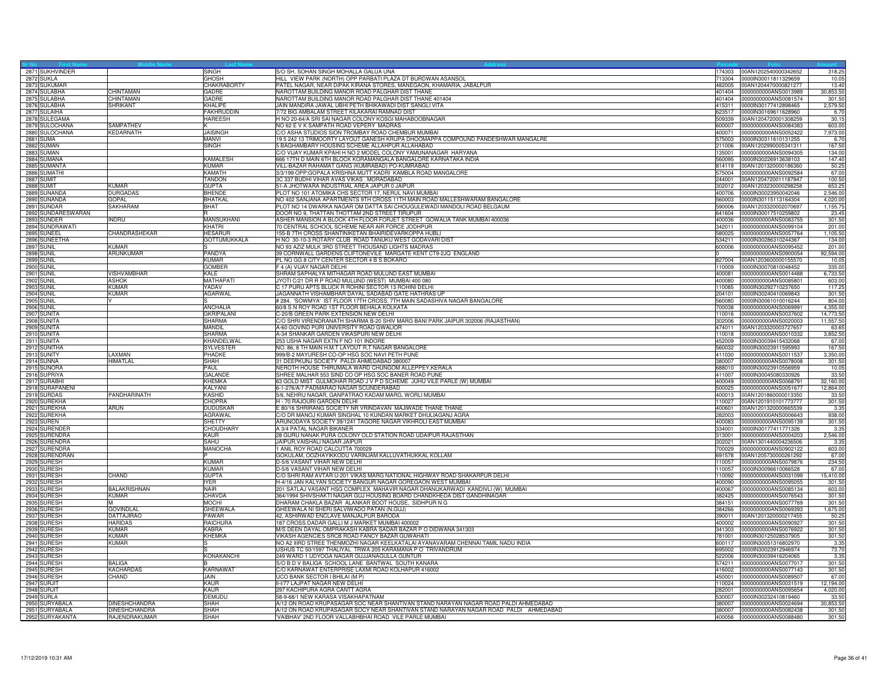| 2871 SUKHVINDER             |                      | SINGH               | S/O SH. SOHAN SINGH MOHALLA GALUA UNA                                                                           | 74303  | 00AN1202540000342652                                | 318.2            |
|-----------------------------|----------------------|---------------------|-----------------------------------------------------------------------------------------------------------------|--------|-----------------------------------------------------|------------------|
| 2872 SUKLA                  |                      | <b>GHOSH</b>        | HILL VIEW PARK (NORTH) OPP PARBATI PLAZA DT BURDWAN ASANSOL                                                     |        | 713304 0000IN30011811329659                         | 10.05            |
| 2873 SUKUMAR                |                      | <b>CHAKRABORTY</b>  | PATEL NAGAR, NEAR DIPAK KIRANA STORES, MANEGAON, KHAMARIA, JABALPUR                                             |        | 482005 00AN1204470000821277                         | 13.40            |
| 2874 SULABHA                | <b>CHINTAMAN</b>     | GADRE               | NAROTTAM BUILDING MANOR ROAD PALGHAR DIST THANE                                                                 |        | 401404 0000000000ANS0013989                         | 30,853.50        |
| 2875 SULABHA                | CHINTAMAN            | GADRE               | NAROTTAM BUILDING MANOR ROAD PALGHAR DIST THANE 401404                                                          |        | 401404 0000000000ANS0081574                         | 301.5            |
| 2876 SULABHA                | <b>SHRIKANT</b>      | <b>KHALIPE</b>      | JAIN MANDIRA JAWAL UBHI PETH BHIKAWADI DIST SANGLI VITA                                                         | 415311 | 0000IN30177412898465                                | 2,579.5          |
| 2877 SULAIHA                |                      | <b>FAKHRUDDIN</b>   | 7/72 BIG AMBALAM STREET KILAKARAI RAMNAD DIST                                                                   | 623517 | 0000IN30169611628960                                | 6.7              |
| 2878 SULEGAMA               |                      | <b>HAREESH</b>      | H NO 20-64/A SRI SAI NAGAR COLONY KOSGI MAHABOOBNAGAR                                                           | 509339 | 00AN1204720001308259                                | 30.1             |
| 2879 SULOCHANA              | SAMPATHEV            |                     | NO 62 E V K SAMPATH ROAD VEPERY MADRAS                                                                          |        | 600007 0000000000ANS0084383                         | 603.00           |
|                             | KEDARNATH            | <b>JAISINGH</b>     | C/O ASHA STUDIOS SION TROMBAY ROAD CHEMBUR MUMBAI                                                               | 400071 | 0000000000ANS0052422                                |                  |
| 2880 SULOCHANA<br>2881 SUMA |                      | MANVI               | 19 5 242 13 TRIMOORTY LAYOUT GANESH KRUPA DHOOMAPPA COMPOUND PANDESHWAR MANGALRE                                | 575003 | 0000IN30311610131255                                | 7,973.00<br>6.7  |
|                             |                      |                     |                                                                                                                 |        |                                                     |                  |
| 2882 SUMAN<br>2883 SUMAN    |                      | SINGH               | 5 BAGHAMBARY HOUSING SCHEME ALLAHPUR ALLAHABAD<br>C/O VIJAY KUMAR KPAHI H NO 2 MODEL COLONY YAMUNANAGAR HARYANA | 211006 | 00AN1202990005341311<br>135001 0000000000ANS0094305 | 167.50<br>134.00 |
|                             |                      |                     |                                                                                                                 |        |                                                     |                  |
| 2884 SUMANA                 |                      | KAMALESH<br>KUMAR   | 666 17TH D MAIN 6TH BLOCK KORAMANGALA BANGALORE KARNATAKA INDIA                                                 |        | 560095 0000IN30226913638103                         | 147.40           |
| 2885 SUMANTA                |                      |                     | VILL-BAZAR RAHAMAT GANG (KUMRABAD) PO-KUMRABAD                                                                  |        | 814119 00AN1201320000186360                         | 50.25            |
| 2886 SUMATHI                |                      | KAMATH              | 3/3/199 OPP: GOPALA KRISHNA MUTT KADRI KAMBLA ROAD MANGALORE                                                    | 575004 | 0000000000ANS0092584                                | 67.00            |
| 2887 SUMIT                  |                      | TANDON              | 3C 337 BUDHI VIHAR AVAS VIKAS . MORADABAD                                                                       | 244001 | 00AN1204720011187947                                | 100.50           |
| 2888 SUMIT                  | <b>KUMAR</b>         | <b>GUPTA</b>        | 51-A JHOTWARA INDUSTRIAL AREA JAIPUR 0 JAIPUR                                                                   | 302012 | 00AN1203230000298258                                | 653.25           |
| 2889 SUNANDA                | DURGADAS             | <b>BHENDE</b>       | PLOT NO 101 ATOMIKA CHS SECTOR 17, NERUL NAVI MUMBAI                                                            | 400706 | 0000IN30023950042046                                | 2,546.00         |
| 2890 SUNANDA                | GOPAL                | <b>BHATKAL</b>      | NO 402 SANJANA APARTMENTS 9TH CROSS 11TH MAIN ROAD MALLESHWARAM BANGALORE                                       | 560003 | 00000N30115113164304                                | 4,020.0          |
| 2891 SUNDAR                 | SAKHARAM             | <b>BHAT</b>         | PLOT NO 14 DWARKA NAGAR OM DATTA SAI CHOUGULEWADI MANDOLI ROAD BELGAUM                                          | 590006 | 00AN1203320002070697                                | 1,155.7          |
| 2892 SUNDARESWARAN          |                      |                     | DOOR NO 9, THATTAN THOTTAM 2ND STREET TIRUPUR                                                                   | 641604 | 0000lN30017510259802                                | 23.4             |
| 2893 SUNDER                 | <b>INDRU</b>         | <b>MANSUKHANI</b>   | ASHER MANSION A BLOCK 4TH FLOOR FORJET STREET GOWALIA TANK MUMBAI 400036                                        |        | 400036 0000000000ANS0083755                         | 301.50           |
| 2894 SUNDRAWATI             |                      | KHATRI              | 70 CENTRAL SCHOOL SCHEME NEAR AIR FORCE JODHPUR                                                                 |        | 342011 0000000000ANS0099104                         | 201.00           |
| 2895 SUNEEL                 | CHANDRASHEKAR        | <b>HESARUR</b>      | 155-B 7TH CROSS SHANTINIKETAN BHAIRIDEVARKOPPA HUBLI                                                            |        | 580025 0000000000ANS0057764                         | 1,105.50         |
| 2896 SUNEETHA               |                      | <b>GOTTUMUKKALA</b> | H NO 30-10-3 ROTARY CLUB ROAD TANUKU WEST GODAVARI DIST                                                         | 534211 | 0000lN30286310244367                                | 134.00           |
| <b>2897 SUNIL</b>           | KIIMAR               |                     | NO 93 AZIZ MULK 3RD STREET THOUSAND LIGHTS MADRAS                                                               | 600006 | 0000000000ANS0095452                                | 201.00           |
| <b>2898 SUNIL</b>           | ARUNKUMAR            | PANDYA              | 39 CORNWALL GARDENS CLIFTONEVILE MARGATE KENT CT9-2JQ ENGLAND                                                   |        | 0000000000ANS0900054                                | 92,594.00        |
| <b>2899 SUNIL</b>           |                      | <b>KUMAR</b>        | PL NO GG 8 CITY CENTER SECTOR 4 B S BOKARO                                                                      |        | 827004 00AN1203600000155570                         | 10.05            |
| <b>2900 SUNIL</b>           |                      | <b>GOMBER</b>       | F 4 (A) VIJAY NAGAR DELHI                                                                                       |        | 110009 0000IN30070810048452                         | 335.00           |
| <b>2901 SUNIL</b>           | VISHVAMBHAR          | KALE                | SHRAM SAPHALYA MITHAGAR ROAD MULUND EAST MUMBAI                                                                 | 400081 | 0000000000ANS0014488                                | 6,733.5          |
| <b>2902 SUNIL</b>           | <b>ASHOK</b>         | <b>MATHAPATI</b>    | JYOTI C/21 DR R P ROAD MULUND (WEST) MUMBAI 400 080                                                             | 400080 | 0000000000ANS0085801                                | 603.0            |
| <b>2903 SUNIL</b>           | KUMAR                | YADAV               | C 17 PURU APTS BLUCK R ROHINI SECTOR 13 ROHINI DELHI                                                            |        | 110085 0000IN30292710237650                         | 117.25           |
| <b>2904 SUNIL</b>           | KUMAR                | AGARWAL             | JAGANNATH VISHAMBHAR DAYAL SADABAD GATE HATHRAS UP                                                              |        | 204101 0000IN30240410069843                         | 301.50           |
| <b>2905 SUNIL</b>           |                      |                     | #284, 'SOWMYA' IST FLOOR 17TH CROSS, 7TH MAIN SADASHIVA NAGAR BANGALORE                                         | 560080 | 0000IN30061010016244                                | 804.00           |
| <b>2906 SUNIL</b>           |                      | ANCHALIA            | 60/8 S N ROY ROAD 1ST FLOOR BEHALA KOLKATA                                                                      | 700038 | 0000000000ANS0069991                                | 4,355.00         |
| 2907 SUNITA                 |                      | <b>GKRIPALANI</b>   | C-20/B GREEN PARK EXTENSION NEW DELHI                                                                           | 110016 | 0000000000ANS0037602                                | 14,773.5         |
| 2908 SUNITA                 |                      | SHARMA              | C/O SHRI VIRENDRANATH SHARMA B-20 SHIV MARG BANI PARK JAIPUR 302006 (RAJASTHAN)                                 | 302006 | 0000000000ANS0020003                                | 11,557.5         |
| 2909 SUNITA                 |                      | <b>MANDIL</b>       | A-60 GOVIND PURI UNIVERSITY ROAD GWALIOR                                                                        |        | 474011 00AN1203320003727657                         | 63.65            |
| 2910 SUNITA                 |                      | <b>SHARMA</b>       | A-34 SHANKAR GARDEN VIKASPURI NEW DELHI                                                                         | 110018 | 0000000000ANS0010332                                | 3,852.50         |
| 2911 SUNITA                 |                      | KHANDELWAL          | 253 USHA NAGAR EXTN F NO 101 INDORE                                                                             | 452009 | 0000IN30039415432068                                | 67.00            |
| 2912 SUNITHA                |                      | <b>SYLVESTER</b>    | NO. 86, 8 TH MAIN H.M.T LAYOUT R.T NAGAR BANGALORE                                                              | 560032 | 0000lN30023911595993                                | 167.5            |
| 2913 SUNITY                 | <b>AXMAN</b>         | PHADKE              | 999/B-2 MAYURESH CO-OP HSG SOC NAVI PETH PUNE                                                                   |        | 411030 0000000000ANS0011537                         | 3,350.00         |
| 2914 SUNNA                  | HIMATLAL             | SHAH                | 31 DEEPKUNJ SOCIETY PALDI AHMEDABAD 380007                                                                      |        | 380007 0000000000ANS0078008                         | 301.50           |
| 2915 SUNORA                 |                      | PAUL                | NEROTH HOUSE THIRUMALA WARD CHUNGOM ALLEPPEY, KERALA                                                            | 688010 | 0000lN30023910556959                                | 10.05            |
| 2916 SUPRIYA                |                      | GALANDE             | SHREE MALHAR 553 SIND CO OP HSG SOC BANER ROAD PUNE                                                             |        | 411007 0000IN30045080330926                         | 33.50            |
| 2917 SURABHI                |                      | <b>KHFMKA</b>       | 63 GOLD MIST GULMOHAR ROAD J V P D SCHEME JUHU VILE PARLE (W) MUMBAI                                            |        | 400049 0000000000ANS0068791                         | 32,160.00        |
| 2918 SURAPANENI             |                      | KALYANI             | 6-1-276/A/7 PADMARAO NAGAR SCUNDERABAD                                                                          | 500025 | 0000000000ANS0051677                                | 12,864.00        |
| 2919 SURDAS                 | PANDHARINATH         | <b>KASHID</b>       | 5/6, NEHRU NAGAR, GANPATRAO KADAM MARG, WORLI MUMBAI                                                            |        | 400013 00AN1201860000013350                         | 33.50            |
| 2920 SUREKHA                |                      | CHOPRA              | H - 70 RAJOURI GARDEN DELHI                                                                                     | 110027 | 00AN1201910101773777                                | 301.50           |
| 2921 SUREKHA                | ARUN                 | DUDUSKAR            | E 80/16 SHRIRANG SOCIETY NR VRINDAVAN MAJIWADE THANE THANE                                                      | 400601 | 00AN1201320000665539                                | 3.3 <sub>2</sub> |
| 2922 SUREKHA                |                      | AGRAWAL             | C/O DR MANOJ KUMAR SINGHAL 10 KUNDAN MARKET DHULIAGANJ AGRA                                                     |        | 282003 0000000000ANS0006643                         | 938.00           |
| 2923 SUREN                  |                      | <b>SHETTY</b>       | ARUNODAYA SOCIETY 39/1241 TAGORE NAGAR VIKHROLI EAST MUMBAI                                                     |        | 400083 0000000000ANS0095139                         | 301.50           |
| 2924 SURENDER               |                      | CHOUDHARY           | A 3/4 PATAL NAGAR BIKANER                                                                                       |        | 334001 0000lN30177411771326                         | 3.35             |
| 2925 SURENDRA               |                      | KAUR                | 28 GURU NANAK PURA COLONY OLD STATION ROAD UDAIPUR RAJASTHAN                                                    | 313001 | 0000000000ANS0004203                                | 2,546.00         |
| 2926 SURENDRA               |                      | <b>SAHU</b>         | JAIPUR, VAISHALI NAGAR JAIPUR                                                                                   | 302021 | 00AN1301440004236506                                | 3.35             |
| 2927 SURENDRA               |                      | <b>MANOCHA</b>      | 1 ANIL ROY ROAD CALCUTTA 700029                                                                                 | 700029 | 0000000000ANS0902122                                | 603.00           |
| 2928 SURENDRAN              |                      |                     | GOKULAM, OOZHAYIKKODU VARINJAM KALLUVATHUKKAL KOLLAM                                                            |        | 691578 00AN1205730000261292                         | 67.00            |
| 2929 SURESH                 |                      | <b>KUMAR</b>        | D-5/6 VASANT VIHAR NEW DELHI                                                                                    | 110057 | 0000000000ANS0079876                                | 234.50           |
| 2930 SURESH                 |                      | <b>KUMAR</b>        | D-5/6 VASANT VIHAR NEW DELHI                                                                                    | 110057 | 0000IN30096610066528                                | 67.00            |
| 2931 SURESH                 | CHAND                | <b>GUPTA</b>        | C/O SHRI RAM AVTAR U-201 VIKAS MARG NATIONAL HIGHWAY ROAD SHAKARPUR DELHI                                       |        | 110092 0000000000ANS0031099                         | 15,410.00        |
| 2932 SURESH                 |                      | <b>IYER</b>         | H-4/16 JAN KALYAN SOCIETY BANGUR NAGAR GOREGAON WEST MUMBAI                                                     |        | 400090 0000000000ANS0095055                         | 301.50           |
| 2933 SURESH                 | BALAKRISHNAN         | <b>NAIR</b>         | 201 SATLAJ VASANT HSG COMPLEX MAHAVIR NAGAR DHANUKARWADI KANDIVLI (W) MUMBAI                                    |        | 400067 0000000000ANS0085134                         | 603.00           |
| 2934 SURESH                 | <b>KUMAR</b>         | CHAVDA              | 364/1994 SHIVSHAKTI NAGAR GUJ HOUSING BOARD CHANDKHEDA DIST GANDHINAGAR                                         | 382425 | 0000000000ANS0076543                                | 301.50           |
| 2935 SURESH                 |                      | <b>MOCHI</b>        | DHARAM CHAKLA BAZAR ALANKAR BOOT HOUSE, SIDHPUR N G                                                             | 384151 | 0000000000ANS0077769                                | 301.5            |
| 2936 SURESH                 | <b>GOVINDLAI</b>     | GHEEWALA            | GHEEWALA NI SHERI SALVIWADO PATAN (N.GUJ)                                                                       | 384266 | 0000000000ANS0069393                                | 1,675.00         |
| 2937 SURESH                 | <b>DATTAJIRAO</b>    | <b>PAWAR</b>        | 42. ASHIRWAD ENCLAVE MANJALPUR BARODA                                                                           | 390011 | 00AN1201320000217455                                | 50.25            |
| 2938 SURESH                 | <b>HARIDAS</b>       | <b>RAICHURA</b>     | 187 CROSS DADAR GALLI M J MARKET MUMBAI 400002                                                                  | 400002 | 0000000000ANS0090927                                | 301.50           |
| 2939 SURESH                 | KIMAR                | <b>KABRA</b>        | M/S DEEN DAYAL OMPRAKASH KABRA SADAR BAZAR P O DIDWANA 341303                                                   |        | 341303 0000000000ANS0076922                         | 301.50           |
| 2940 SURESH                 | KUMAR                | КНЕМКА              | VIKASH AGENCIES SRCB ROAD FANCY BAZAR GUWAHATI                                                                  | 781001 | 0000IN30125028537905                                | 301.50           |
| 2941 SURESH                 | <b>KUMAR</b>         |                     | NO A2 IIIRD STREE THENMOZHI NAGAR KEELKATALAI AYANAVARAM CHENNAI TAMIL NADU INDIA                               | 600117 | 0000IN30051316802970                                |                  |
| 2942 SURESH                 |                      |                     | USHUS TC 50/1597 THALIYAL TRWA 205 KARAMANA P O TRIVANDRUM                                                      |        | 695002 0000IN30023912946974                         | 3.3<br>73.70     |
|                             |                      | KONAKANCHI          |                                                                                                                 |        | 522006 0000IN30039416204065                         | 3.35             |
| 2943 SURESH                 | <b>BALIGA</b>        |                     | 249 WARD 1 UDYOGA NAGAR GUJJANAGULLA GUNTUR<br>S/O B D V BALIGA SCHOOL LANE BANTWAL SOUTH KANARA                | 574211 |                                                     |                  |
| 2944 SURESH<br>2945 SURESH  |                      | KARNAWAT            | C/O KARNAWAT ENTERPRISE LAXMI ROAD KOLHAPUR 416002                                                              | 416002 | 0000000000ANS0077017                                | 301.50           |
|                             | <b>KACHARDAS</b>     |                     |                                                                                                                 |        | 0000000000ANS0077143                                | 301.5            |
| 2946 SURESH                 | CHAND                | JAIN                | UCO BANK SECTOR I BHILAI (M P)                                                                                  | 450001 | 0000000000ANS0089507                                | 67.00            |
| 2947 SURJIT                 |                      | <b>KAUR</b>         | II-I/77 LAJPAT NAGAR NEW DELHI                                                                                  | 110024 | 0000000000ANS0031519                                | 12,194.00        |
| 2948 SURJIT                 |                      | <b>KAUR</b>         | 297 KACHIPURA AGRA CANTT AGRA                                                                                   | 282001 | 0000000000ANS0095654                                | 4,020.00         |
| 2949 SURLA                  |                      | <b>DEMUDU</b>       | 58-9-68/1 NEW KARASA VISAKHAPATNAM                                                                              | 530007 | 0000IN30232410819460                                | 33.50            |
| 2950 SURYABALA              | <b>INESHCHANDRA</b>  | SHAH                | A/12 ON ROAD KRUPASAGAR SOC NEAR SHANTIVAN STAND NARAYAN NAGAR ROAD PALDI AHMEDABAD                             | 380007 | 0000000000ANS0024694                                | 30,853.5         |
| 2951 SURYABALA              | <b>DINESHCHANDRA</b> | <b>SHAH</b>         | A/12 ON ROAD KRUPASAGAR SOCY NEAR SHANTIVAN STAND NARAYAN NAGAR ROAD PALDI AHMEDABAD                            | 380007 | 0000000000ANS0082438                                | 301.5            |
| 2952 SURYAKANTA             | RAJENDRAKUMAR        | SHAH                | 'VAIBHAV' 2ND FLOOR VALLABHBHAI ROAD VILE PARLE MUMBAI                                                          |        | 400056 0000000000ANS0088480                         | 301.50           |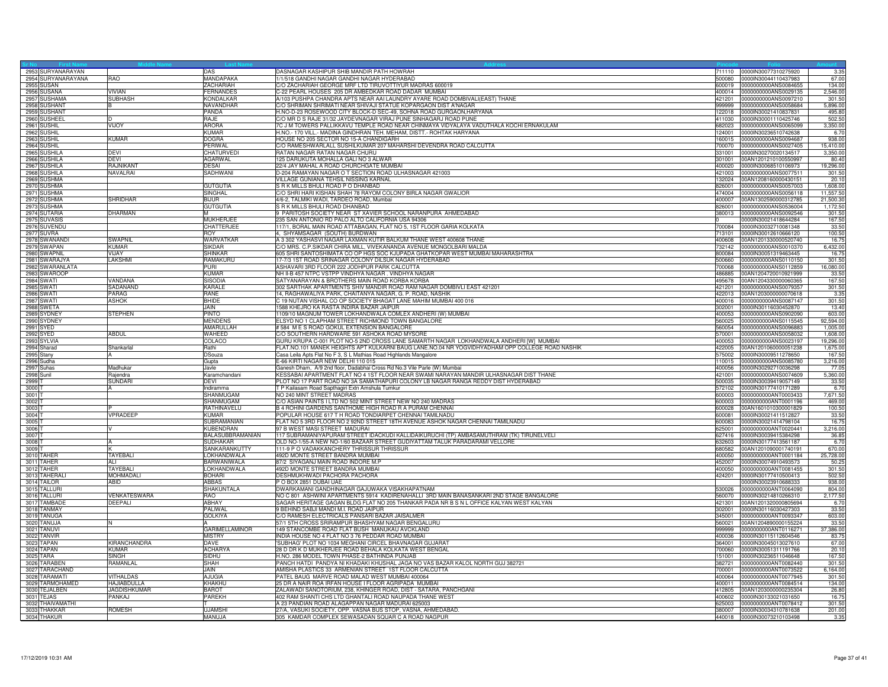| 2953 SURYANARAYAN<br><b>DAS</b><br>DASNAGAR KASHIPUR SHIB MANDIR PATH HOWRAH<br>711110 0000IN30077310275920<br>3.35<br>2954 SURYANARAYANA<br>RAO<br>MANDAPAKA<br>1/1/518 GANDHI NAGAR GANDHI NAGAR HYDERABAD<br>0000IN30044110437983<br>500080<br>67.00<br><b>2955 SUSAN</b><br><b>ZACHARIAH</b><br>C/O ZACHARIAH GEORGE MRF LTD TIRUVOTTIYUR MADRAS 600019<br>0000000000ANS0084655<br>134.0<br>600019<br><b>FERNANDES</b><br>C-22 PEARL HOUSES 205 DR AMBEDKAR ROAD DADAR MUMBAI<br>2956 SUSANA<br><b>VIVIAN</b><br>400014<br>0000000000ANS0029135<br>2,546.00<br>A/103 PUSHPA CHANDRA APTS NEAR AAI LAUNDRY AYARE ROAD DOMBIVALI(EAST) THANE<br>2957 SUSHAMA<br><b>SUBHASH</b><br>KONDALKAR<br>421201<br>0000000000ANS0097210<br>301.50<br>2958 SUSHANT<br>C/O SHRIMAN SHRIMATI NEAR SHIVAJI STATUE KOPARGAON DIST A'NAGAR<br>0000000000ANS0058684<br>5,896.00<br>NAVANDHAR<br>999999<br>B<br>2959 SUSHANT<br>PANDA<br>H.NO-D-23 ROSEWOOD CITY BLOCK-D SEC-49, SOHNA ROAD GURGAON, HARYANA<br>0000IN30021410837831<br>495.80<br>122018<br>2960 SUSHEEL<br>RAJE<br>C/O MR D S RAJE 31/32 JAYDEVNAGAR VIRAJ PUNE SINHAGARJ ROAD PUNE<br>502.50<br>411030<br>0000IN30001110425746<br>ID.<br>7C J M TOWERS PALLIKKAVU TEMPLE ROAD NEAR CHINMAYA VIDYALAYA VADUTHALA KOCHI ERNAKULAM<br>2961 SUSHIL<br>VIJOY<br><b>ARORA</b><br>682023<br>0000000000ANS0065099<br>3,350.00<br>H.NO.- 170 VILL.- MADINA GINDHRAN TEH. MEHAM, DISTT.- ROHTAK HARYANA<br>KUMAR<br>2962 SUSHIL<br>124001<br>0000IN30236510742638<br>6.70<br>2963 SUSHIL<br><b>KUMAR</b><br><b>DOGRA</b><br>HOUSE NO 205 SECTOR NO 15-A CHANDIGARH<br>160015<br>0000000000ANS0094687<br>938.00<br>C/O RAMESHWARLALL SUSHILKUMAR 207 MAHARSHI DEVENDRA ROAD CALCUTTA<br>2964 SUSHIL<br>PERIWAL<br>700070<br>0000000000ANS0027405<br>15,410.0<br>2965 SUSHILA<br><b>DEVI</b><br>RATAN NAGAR RATAN NAGAR CHURU<br>CHATURVEDI<br>331001<br>0000IN30270020134517<br>3,350.0<br>125 DARUKUTA MOHALLA GALI NO 3 ALWAR<br>2966 SUSHILA<br><b>DFVI</b><br><b>AGARWAL</b><br>301001<br>00AN1201210100550997<br>80.40<br>2967 SUSHILA<br>22/4 JAY MAHAL A ROAD CHURCHGATE MUMBAI<br><b>RAJNIKANT</b><br><b>DESAL</b><br>400020<br>0000IN30068510106973<br>19,296.00<br>2968 SUSHILA<br>NAVALRAI<br>SADHWANI<br>D-204 RAMAYAN NAGAR O T SECTION ROAD ULHASNAGAR 421003<br>421003<br>0000000000ANS0077511<br>301.5<br>2969 SUSHMA<br>VILLAGE GUNIANA TEHSIL NISSING KARNAL<br>132024<br>00AN1208160000430151<br>20.1<br>2970 SUSHMA<br><b>GUTGUTIA</b><br>S R K MILLS BHULI ROAD P O DHANBAD<br>0000000000ANS0057003<br>826001<br>1,608.00<br>2971 SUSHMA<br>C/O SHRI HARI KISHAN SHAH 78 RAYOM COLONY BIRLA NAGAR GWALIOR<br>474004 0000000000ANS0056118<br>11,557.5<br>SINGHAL<br><b>SHRIDHAR</b><br>4/6-2, TALMIKI WADI, TARDEO ROAD, Mumbai<br>2972 SUSHMA<br><b>BIJUR</b><br>400007<br>00AN1302590000312785<br>21,500.3<br>2973 SUSHMA<br><b>GUTGUTIA</b><br>S R K MILLS BHULI ROAD DHANBAD<br>826001<br>0000000000ANS0536004<br>1,172.5<br>9 PARITOSH SOCIETY NEAR ST XAVIER SCHOOL NARANPURA AHMEDABAD<br><b>DHARMAN</b><br>2974 SUTARIA<br>м<br>380013<br>0000000000ANS0092546<br>301.5<br>235 SAN ANTONIO RD PALO ALTO CALIFORNIA USA 94306<br>2975 SUVASIS<br><b>MUKHERJEE</b><br>0000lN30021418644284<br>167.50<br>2976 SUVENDU<br>CHATTERJEE<br>117/1, BORAL MAIN ROAD ATTABAGAN, FLAT NO 5, 1ST FLOOR GARIA KOLKATA<br>700084<br>0000lN30032710081348<br>33.50<br><b>ROY</b><br>2977 SUVRA<br>713101<br>100.50<br>4. SHYAMSAGAR (SOUTH) BURDWAN<br>0000lN30012610666120<br>A 3 302 YASHASVI NAGAR LAXMAN KUTIR BALKUM THANE WEST 400608 THANE<br>2978 SWANANDI<br>SWAPNIL<br>WARVATKAR<br>400608<br>00AN1201330000520740<br>16.7<br>732142<br>C/O MRS. C.P.SIKDAR CHIRA MILL, VIVEKANANDA AVENUE MONGOLBARI MALDA<br>2979 SWAPAN<br>KUMAR<br><b>SIKDAR</b><br>0000000000ANS0010370<br>6,432.00<br>605 SHRI SANTOSHIMATA CO OP HGS SOC KJUPADA GHATKOPAR WEST MUMBAI MAHARASHTRA<br>2980 SWAPNIL<br>VIJAY<br><b>SHINKAR</b><br>800084<br>0000lN30051319463445<br>16.7<br>2981 SWARAJYA<br>LAKSHMI<br>RAMAKURU<br>17-7/3 1ST ROAD SRINAGAR COLONY DILSUK NAGAR HYDERABAD<br>500660 0000000000ANS0110150<br>301.50<br>ASHAVARI 3RD FLOOR 222 JODHPUR PARK CALCUTTA<br>2982 SWARANLATA<br>PURL<br>700068<br>0000000000ANS0112859<br>16,080.0<br>NH II-B 457 NTPC VSTPP VINDHYA NAGAR. VINDHYA NAGAR<br>2983 SWAROOP<br>KUMAR<br>486885<br>00AN1204720010921999<br>33.5<br>VANDANA<br>SATYANARAYAN & BROTHERS MAIN ROAD KORBA KORBA<br>167.5<br><b>2984 SWATI</b><br><b>SISODIA</b><br>00AN1204330000060365<br>495678<br>302 SARTHAK APARTMENTS SHIV MANDIR ROAD RAM NAGAR DOMBIVLI EAST 421201<br><b>2985 SWATI</b><br>SADANAND<br>KARALE<br>421201 0000000000ANS0079357<br>301.50<br>2986 SWATI<br>PARAG<br>RANE<br>14, RAGHAWALIYA PARK, CHAITANYA NAGAR, G. P. ROAD, NASHIK<br>422013 00AN1203000000070618<br>3.35<br><b>ASHOK</b><br><b>BHIDE</b><br>C 19 NUTAN VISHAL CO OP SOCIETY BHAGAT LANE MAHIM MUMBAI 400 016<br>301.50<br><b>2987 SWATI</b><br>400016<br>0000000000ANS0087147<br>2988 SWETA<br>JAIN<br>1588 KHEJRO KA RASTA INDIRA BAZAR JAIPUR<br>0000lN30116030452870<br>13.40<br>302001<br><b>PINTO</b><br>1109/10 MAGNUM TOWER LOKHANDWALA COMLEX ANDHERI (W) MUMBAI<br>2989 SYDNEY<br><b>STEPHEN</b><br>400053<br>0000000000ANS0902090<br>603.00<br><b>MENDENS</b><br>ELSYD NO 1 CLAPHAM STREET RICHMOND TOWN BANGALORE<br>92,594.00<br>2990 SYDNEY<br>560025<br>0000000000ANS0115545<br>#584 M E S ROAD GOKUL EXTENSION BANGALORE<br>2991 SYED<br>AMARULLAH<br>560054<br>0000000000ANS0096883<br>1,005.00<br>2992 SYED<br><b>ABDUL</b><br>WAHEED<br>C/O SOUTHERN HARDWARE 591 ASHOKA ROAD MYSORE<br>570001<br>0000000000ANS0058032<br>1.608.0<br>2993 SYLVIA<br>COLACO<br>GURU KRUPA C-001 PLOT NO-5 2ND CROSS LANE SAMARTH NAGAR LOKHANDWALA ANDHERI [W] MUMBAI<br>400053<br>0000000000ANS0023197<br>19,296.00<br>FLAT.NO.101 MANEK HEIGHTS APT KULKARNI BAUG LANE.NO.04 NR YOGVIDHYADHAM OPP COLLEGE ROAD NASHIK<br>2994 Sharad<br>Rathi<br>422005<br>00AN1201060000051238<br>1,675.00<br>Shankarlal<br>2995 Stany<br>Casa Leila Apts Flat No F 3, S L Mathias Road Highlands Mangalore<br><b>DSouza</b><br>575002<br>0000IN30009511278650<br>167.5<br>2996 Sudha<br>Gupta<br>E-66 KIRTI NAGAR NEW DELHI 110 015<br>110015<br>0000000000ANS0085780<br>3,216.00<br>2997 Suhas<br>Ganesh Dham, A/9 2nd floor, Dadabhai Cross Rd No.3 Vile Parle (W) Mumbai<br>400056<br>0000lN30292710036298<br>Madhukai<br>77.0<br>Javle<br>2998 Sunil<br>KESSABAI APARTMENT FLAT NO 4 1ST FLOOR NEAR SWAMI NARAYAN MANDIR ULHASNAGAR DIST THANE<br>421001<br>0000000000ANS0074609<br>5,360.00<br>Raiendra<br>Karamchandani<br>PLOT NO 17 PART ROAD NO 3A SAMATHAPURI COLONY LB NAGAR RANGA REDDY DIST HYDERABAD<br>2999<br><b>SUNDARI</b><br>DEVI<br>500035<br>0000lN30039419057149<br>33.50<br>0000lN30177410171289<br>3000<br>Indiramma<br>T P Kailasam Road Sapthagiri Extn Amshula Tumkur<br>572102<br>6.70<br><b>SHANMUGAM</b><br>NO 240 MINT STREET MADRAS<br>0000000000ANT0003433<br>7,671.50<br>3001 7<br>600003<br>C/O ASIAN PAINTS I LTD NO 502 MINT STREET NEW NO 240 MADRAS<br>3002<br>SHANMUGAM<br>600003<br>0000000000ANT0001196<br>469.0<br>B 4 ROHINI GARDENS SANTHOME HIGH ROAD R A PURAM CHENNAI<br>3003<br>RATHINAVELU<br>600028<br>00AN1601010300001829<br>100.5<br>VPRADEEP<br><b>KUMAR</b><br>POPULAR HOUSE 617 T H ROAD TONDIARPET CHENNAI TAMILNADU<br>600081<br>0000lN30021411512827<br>33.50<br>3004<br>3005<br>SUBRAMANIAN<br>FLAT NO 5 3RD FLOOR NO 2 92ND STREET 18TH AVENUE ASHOK NAGAR CHENNAI TAMILNADU<br>600083 0000IN30021414798104<br>16.7<br>KUBENDRAN<br>97 B WEST MASI STREET MADURAI<br>625001<br>3,216.00<br>3006<br>0000000000ANT0020441<br>117 SUBRAMANIYAPURAM STREET IDACKUDI KALLIDAIKURUCHI (TP) AMBASAMUTHRAM (TK) TIRUNELVELI<br>3007<br>BALASUBBRAMANIAN<br>627416<br>0000IN30039415384298<br>36.8<br>OLD NO-1/55-A NEW NO-1/60 BAZAAR STREET GUDIYATTAM TALUK PARADARAMI VELLORE<br>3008<br>SUDHAKAR<br>632603<br>0000lN30177413561187<br>6.7<br>3009<br>SANKARANKUTTY<br>111-9 P O VADAKKANCHERY THRISSUR THRISSUR<br>680582<br>00AN1201090001740191<br>670.00<br>3010 TAHER<br>TAYEBALI<br>LOKHANDWALA<br>492D MONTE STREET BANDRA MUMBAI<br>0000000000ANT0001184<br>25,728.00<br>400050<br>BARWANIWALA<br>87/2 SIYAGANJ MAIN ROAD INDORE M.F<br>3011 TAHER<br>452007<br>0000IN30074910493573<br>50.25<br>AL I<br>492D MONTE STREET BANDRA MUMBAI<br>3012 TAHER<br>TAYEBALI<br>LOKHANDWALA<br>400050<br>0000000000ANT0081455<br>301.5<br>MOHMADALI<br><b>BOHARI</b><br>DESHMUKHWADI PACHORA PACHORA<br>3013 TAHERAL<br>424201<br>0000lN30177410500413<br>502.5<br>PO BOX 2851 DUBAI UAE<br>3014 TAILOR<br>ABID<br><b>ABBAS</b><br>0000lN30023910688333<br>938.00<br>DWARKAMANI GANDHINAGAR GAJUWAKA VISAKHAPATNAM<br>3015 TALLURI<br>SHAKUNTALA<br>530026 0000000000ANT0064090<br>804.00<br><b>RAO</b><br>NO C 801 ASHWINI APARTMENTS 5914 KADIRENAHALLI 3RD MAIN BANASANKARI 2ND STAGE BANGALORE<br>560070 0000lN30214810266310<br>2,177.50<br>3016 TALLURI<br>VENKATESWARA<br><b>ABHAY</b><br>SAGAR HERITAGE GAGAN BLDG FLAT NO 205 THANKAR PADA NR B S N L OFFICE KALYAN WEST KALYAN<br>3017 TAMBADE<br>DEEPALI<br>421301<br>00AN1201320000805694<br>6.70<br>9 BEHIND SABJI MANDI M.I. ROAD JAIPUR<br>PALIWAL<br>302001<br>33.5(<br>3018 TANMAY<br>0000lN30116030427303<br>C/O RAMESH ELECTRICALS PANSARI BAZAR JAISALMER<br>3019 TANUGA<br><b>GOLKIYA</b><br>345001<br>0000000000ANT0093347<br>603.00<br>3020 TANUJA<br>57/1 5TH CROSS SRIRAMPUR BHASHYAM NAGAR BENGALURU<br>560021<br>00AN1204890000155224<br>33.50<br><b>GARIMELLAMINOR</b><br>149 STANCOMBE ROAD FLAT BUSH MANUKAU AVCKLAND<br>0000000000ANT0116271<br>37,386.00<br>3021 TANUVI<br>999999<br>3022 TANVIR<br><b>MISTRY</b><br>INDIA HOUSE NO 4 FLAT NO 3 76 PEDDAR ROAD MUMBAI<br>400036<br>0000lN30115112604546<br>83.7<br><b>DAVE</b><br>67.00<br>3023 TAPAN<br>KIRANCHANDRA<br>'SUBHAG' PLOT NO 1034 MEGHANI CIRCEL BHAVNAGAR GUJARAT<br>364001<br>0000lN30045013027610<br>28 D DR K D MUKHERJEE ROAD BEHALA KOLKATA WEST BENGAL<br>3024 TAPAN<br><b>KUMAR</b><br><b>ACHARYA</b><br>700060<br>0000lN30051311191766<br>20.1<br>H.NO. 286 MODEL TOWN PHASE-2 BATHINDA PUNJAB<br>3025 TARA<br><b>SINGH</b><br>SIDHU<br>151001<br>0000lN30236511046648<br>167.50<br>3026 TARABEN<br>RAMANLAL<br><b>SHAH</b><br>PANCH HATDI PANDYA NI KHADAKI KHUSHAL JAGA NO VAS BAZAR KALOL NORTH GUJ 382721<br>0000000000ANT0082440<br>301.50<br>382721<br>3027 TARACHAND<br>JAIN<br>AMISHA PLASTICS 33 ARMENIAN STREET 1ST FLOOR CALCUTTA<br>700001<br>0000000000ANT0073522<br>6,164.00<br>PATEL BAUG MARVE ROAD MALAD WEST MUMBAI 400064<br>3028 TARAMATI<br><b>VITHALDAS</b><br>AJUGIA<br>400064<br>0000000000ANT0077945<br>301.50<br>3029 TARMOHAMED<br>25 DR A NAIR ROA IRFAN HOUSE I FLOOR AGRIPADA MUMBAI<br><b>HAJIABDULLA</b><br>KHAKHI<br>400011<br>0000000000ANT0084514<br>134.00<br>3030 TEJALBEN<br>ZALAWADI SANOTORIUM, 238, KHINGER ROAD, DIST - SATARA, PANCHGANI<br><b>JAGDISHKUMAR</b><br><b>BAROT</b><br>412805<br>00AN1203000000235304<br>26.80<br>PANKAJ<br>PAREKH<br>402 RAM SHANTI CHS LTD GHANTALI ROAD NAUPADA THANE WEST<br>0000lN30133021031650<br>16.7<br>3031 TEJAS<br>400602<br>3032 THAIVAMATHI<br>A 23 PANDIAN ROAD ALAGAPPAN NAGAR MADURAI 625003<br>625003 0000000000ANT0078412<br>301.50<br>3033 THAKKAR<br><b>ROMESH</b><br><b>UJAMSH</b><br>27/A, VASUKI SOCIETY, OPP. VASNA BUS STOP, VASNA, AHMEDABAD.<br>380007 0000IN30034310781638<br>201.00<br>3034 THAKUR<br>MANUJA<br>305 KAMDAR COMPLEX SEWASADAN SQUAR C A ROAD NAGPUR<br>440018 0000lN30073210103498<br>3.35 |  |  |  |  |
|-----------------------------------------------------------------------------------------------------------------------------------------------------------------------------------------------------------------------------------------------------------------------------------------------------------------------------------------------------------------------------------------------------------------------------------------------------------------------------------------------------------------------------------------------------------------------------------------------------------------------------------------------------------------------------------------------------------------------------------------------------------------------------------------------------------------------------------------------------------------------------------------------------------------------------------------------------------------------------------------------------------------------------------------------------------------------------------------------------------------------------------------------------------------------------------------------------------------------------------------------------------------------------------------------------------------------------------------------------------------------------------------------------------------------------------------------------------------------------------------------------------------------------------------------------------------------------------------------------------------------------------------------------------------------------------------------------------------------------------------------------------------------------------------------------------------------------------------------------------------------------------------------------------------------------------------------------------------------------------------------------------------------------------------------------------------------------------------------------------------------------------------------------------------------------------------------------------------------------------------------------------------------------------------------------------------------------------------------------------------------------------------------------------------------------------------------------------------------------------------------------------------------------------------------------------------------------------------------------------------------------------------------------------------------------------------------------------------------------------------------------------------------------------------------------------------------------------------------------------------------------------------------------------------------------------------------------------------------------------------------------------------------------------------------------------------------------------------------------------------------------------------------------------------------------------------------------------------------------------------------------------------------------------------------------------------------------------------------------------------------------------------------------------------------------------------------------------------------------------------------------------------------------------------------------------------------------------------------------------------------------------------------------------------------------------------------------------------------------------------------------------------------------------------------------------------------------------------------------------------------------------------------------------------------------------------------------------------------------------------------------------------------------------------------------------------------------------------------------------------------------------------------------------------------------------------------------------------------------------------------------------------------------------------------------------------------------------------------------------------------------------------------------------------------------------------------------------------------------------------------------------------------------------------------------------------------------------------------------------------------------------------------------------------------------------------------------------------------------------------------------------------------------------------------------------------------------------------------------------------------------------------------------------------------------------------------------------------------------------------------------------------------------------------------------------------------------------------------------------------------------------------------------------------------------------------------------------------------------------------------------------------------------------------------------------------------------------------------------------------------------------------------------------------------------------------------------------------------------------------------------------------------------------------------------------------------------------------------------------------------------------------------------------------------------------------------------------------------------------------------------------------------------------------------------------------------------------------------------------------------------------------------------------------------------------------------------------------------------------------------------------------------------------------------------------------------------------------------------------------------------------------------------------------------------------------------------------------------------------------------------------------------------------------------------------------------------------------------------------------------------------------------------------------------------------------------------------------------------------------------------------------------------------------------------------------------------------------------------------------------------------------------------------------------------------------------------------------------------------------------------------------------------------------------------------------------------------------------------------------------------------------------------------------------------------------------------------------------------------------------------------------------------------------------------------------------------------------------------------------------------------------------------------------------------------------------------------------------------------------------------------------------------------------------------------------------------------------------------------------------------------------------------------------------------------------------------------------------------------------------------------------------------------------------------------------------------------------------------------------------------------------------------------------------------------------------------------------------------------------------------------------------------------------------------------------------------------------------------------------------------------------------------------------------------------------------------------------------------------------------------------------------------------------------------------------------------------------------------------------------------------------------------------------------------------------------------------------------------------------------------------------------------------------------------------------------------------------------------------------------------------------------------------------------------------------------------------------------------------------------------------------------------------------------------------------------------------------------------------------------------------------------------------------------------------------------------------------------------------------------------------------------------------------------------------------------------------------------------------------------------------------------------------------------------------------------------------------------------------------------------------------------------------------------------------------------------------------------------------------------------------------------------------------------------------------------------------------------------------------------------------------------------------------------------------------------------------------------------------------------------------------------------------------------------------------------------------------------------------------------------------------------------------------------------------------------------------------------------------------------------------------------------------------------------------------------------------------------------------------------------------------------------------------------------------------------------------------------------------------------------------------------------------------------------------------------------------------------------------------------------------------------------------------------------------------------------------------------------------------------------------------------------------------------------------------------------------------------------------------------------------------------------------------------------------------------------------------------------------------------------------------------------------------------------------------------------------------------------------------------------------------------------------------------------------------------------------------------------------------------------------------------------------------------------------------------------------------------------------------------------------------------------------------------------------------------------------------------------------------------------------------------------------------------------------------------------------------------------------------------------------------------------------------------------------------------------------------------------------------------------------------------------------------------------------------------------------------------------------------------------------------------------------------------------------------------------------------------------------------------------------------------------------------------------------------------------------------------------------------------------------------------------------------------------------------------------------------------------------------------------------------------------------------------------------|--|--|--|--|
|                                                                                                                                                                                                                                                                                                                                                                                                                                                                                                                                                                                                                                                                                                                                                                                                                                                                                                                                                                                                                                                                                                                                                                                                                                                                                                                                                                                                                                                                                                                                                                                                                                                                                                                                                                                                                                                                                                                                                                                                                                                                                                                                                                                                                                                                                                                                                                                                                                                                                                                                                                                                                                                                                                                                                                                                                                                                                                                                                                                                                                                                                                                                                                                                                                                                                                                                                                                                                                                                                                                                                                                                                                                                                                                                                                                                                                                                                                                                                                                                                                                                                                                                                                                                                                                                                                                                                                                                                                                                                                                                                                                                                                                                                                                                                                                                                                                                                                                                                                                                                                                                                                                                                                                                                                                                                                                                                                                                                                                                                                                                                                                                                                                                                                                                                                                                                                                                                                                                                                                                                                                                                                                                                                                                                                                                                                                                                                                                                                                                                                                                                                                                                                                                                                                                                                                                                                                                                                                                                                                                                                                                                                                                                                                                                                                                                                                                                                                                                                                                                                                                                                                                                                                                                                                                                                                                                                                                                                                                                                                                                                                                                                                                                                                                                                                                                                                                                                                                                                                                                                                                                                                                                                                                                                                                                                                                                                                                                                                                                                                                                                                                                                                                                                                                                                                                                                                                                                                                                                                                                                                                                                                                                                                                                                                                                                                                                                                                                                                                                                                                                                                                                                                                                                                                                                                                                                                                                                                                                                                                                                                                                                                                                                                                                                                                                                                                                                                                                                                                                                                                                                                                                                                                                                                                                                                                                                                                                                                                                                                                                                                                                                                                                                                                                   |  |  |  |  |
|                                                                                                                                                                                                                                                                                                                                                                                                                                                                                                                                                                                                                                                                                                                                                                                                                                                                                                                                                                                                                                                                                                                                                                                                                                                                                                                                                                                                                                                                                                                                                                                                                                                                                                                                                                                                                                                                                                                                                                                                                                                                                                                                                                                                                                                                                                                                                                                                                                                                                                                                                                                                                                                                                                                                                                                                                                                                                                                                                                                                                                                                                                                                                                                                                                                                                                                                                                                                                                                                                                                                                                                                                                                                                                                                                                                                                                                                                                                                                                                                                                                                                                                                                                                                                                                                                                                                                                                                                                                                                                                                                                                                                                                                                                                                                                                                                                                                                                                                                                                                                                                                                                                                                                                                                                                                                                                                                                                                                                                                                                                                                                                                                                                                                                                                                                                                                                                                                                                                                                                                                                                                                                                                                                                                                                                                                                                                                                                                                                                                                                                                                                                                                                                                                                                                                                                                                                                                                                                                                                                                                                                                                                                                                                                                                                                                                                                                                                                                                                                                                                                                                                                                                                                                                                                                                                                                                                                                                                                                                                                                                                                                                                                                                                                                                                                                                                                                                                                                                                                                                                                                                                                                                                                                                                                                                                                                                                                                                                                                                                                                                                                                                                                                                                                                                                                                                                                                                                                                                                                                                                                                                                                                                                                                                                                                                                                                                                                                                                                                                                                                                                                                                                                                                                                                                                                                                                                                                                                                                                                                                                                                                                                                                                                                                                                                                                                                                                                                                                                                                                                                                                                                                                                                                                                                                                                                                                                                                                                                                                                                                                                                                                                                                                                                                   |  |  |  |  |
|                                                                                                                                                                                                                                                                                                                                                                                                                                                                                                                                                                                                                                                                                                                                                                                                                                                                                                                                                                                                                                                                                                                                                                                                                                                                                                                                                                                                                                                                                                                                                                                                                                                                                                                                                                                                                                                                                                                                                                                                                                                                                                                                                                                                                                                                                                                                                                                                                                                                                                                                                                                                                                                                                                                                                                                                                                                                                                                                                                                                                                                                                                                                                                                                                                                                                                                                                                                                                                                                                                                                                                                                                                                                                                                                                                                                                                                                                                                                                                                                                                                                                                                                                                                                                                                                                                                                                                                                                                                                                                                                                                                                                                                                                                                                                                                                                                                                                                                                                                                                                                                                                                                                                                                                                                                                                                                                                                                                                                                                                                                                                                                                                                                                                                                                                                                                                                                                                                                                                                                                                                                                                                                                                                                                                                                                                                                                                                                                                                                                                                                                                                                                                                                                                                                                                                                                                                                                                                                                                                                                                                                                                                                                                                                                                                                                                                                                                                                                                                                                                                                                                                                                                                                                                                                                                                                                                                                                                                                                                                                                                                                                                                                                                                                                                                                                                                                                                                                                                                                                                                                                                                                                                                                                                                                                                                                                                                                                                                                                                                                                                                                                                                                                                                                                                                                                                                                                                                                                                                                                                                                                                                                                                                                                                                                                                                                                                                                                                                                                                                                                                                                                                                                                                                                                                                                                                                                                                                                                                                                                                                                                                                                                                                                                                                                                                                                                                                                                                                                                                                                                                                                                                                                                                                                                                                                                                                                                                                                                                                                                                                                                                                                                                                                                                   |  |  |  |  |
|                                                                                                                                                                                                                                                                                                                                                                                                                                                                                                                                                                                                                                                                                                                                                                                                                                                                                                                                                                                                                                                                                                                                                                                                                                                                                                                                                                                                                                                                                                                                                                                                                                                                                                                                                                                                                                                                                                                                                                                                                                                                                                                                                                                                                                                                                                                                                                                                                                                                                                                                                                                                                                                                                                                                                                                                                                                                                                                                                                                                                                                                                                                                                                                                                                                                                                                                                                                                                                                                                                                                                                                                                                                                                                                                                                                                                                                                                                                                                                                                                                                                                                                                                                                                                                                                                                                                                                                                                                                                                                                                                                                                                                                                                                                                                                                                                                                                                                                                                                                                                                                                                                                                                                                                                                                                                                                                                                                                                                                                                                                                                                                                                                                                                                                                                                                                                                                                                                                                                                                                                                                                                                                                                                                                                                                                                                                                                                                                                                                                                                                                                                                                                                                                                                                                                                                                                                                                                                                                                                                                                                                                                                                                                                                                                                                                                                                                                                                                                                                                                                                                                                                                                                                                                                                                                                                                                                                                                                                                                                                                                                                                                                                                                                                                                                                                                                                                                                                                                                                                                                                                                                                                                                                                                                                                                                                                                                                                                                                                                                                                                                                                                                                                                                                                                                                                                                                                                                                                                                                                                                                                                                                                                                                                                                                                                                                                                                                                                                                                                                                                                                                                                                                                                                                                                                                                                                                                                                                                                                                                                                                                                                                                                                                                                                                                                                                                                                                                                                                                                                                                                                                                                                                                                                                                                                                                                                                                                                                                                                                                                                                                                                                                                                                                                   |  |  |  |  |
|                                                                                                                                                                                                                                                                                                                                                                                                                                                                                                                                                                                                                                                                                                                                                                                                                                                                                                                                                                                                                                                                                                                                                                                                                                                                                                                                                                                                                                                                                                                                                                                                                                                                                                                                                                                                                                                                                                                                                                                                                                                                                                                                                                                                                                                                                                                                                                                                                                                                                                                                                                                                                                                                                                                                                                                                                                                                                                                                                                                                                                                                                                                                                                                                                                                                                                                                                                                                                                                                                                                                                                                                                                                                                                                                                                                                                                                                                                                                                                                                                                                                                                                                                                                                                                                                                                                                                                                                                                                                                                                                                                                                                                                                                                                                                                                                                                                                                                                                                                                                                                                                                                                                                                                                                                                                                                                                                                                                                                                                                                                                                                                                                                                                                                                                                                                                                                                                                                                                                                                                                                                                                                                                                                                                                                                                                                                                                                                                                                                                                                                                                                                                                                                                                                                                                                                                                                                                                                                                                                                                                                                                                                                                                                                                                                                                                                                                                                                                                                                                                                                                                                                                                                                                                                                                                                                                                                                                                                                                                                                                                                                                                                                                                                                                                                                                                                                                                                                                                                                                                                                                                                                                                                                                                                                                                                                                                                                                                                                                                                                                                                                                                                                                                                                                                                                                                                                                                                                                                                                                                                                                                                                                                                                                                                                                                                                                                                                                                                                                                                                                                                                                                                                                                                                                                                                                                                                                                                                                                                                                                                                                                                                                                                                                                                                                                                                                                                                                                                                                                                                                                                                                                                                                                                                                                                                                                                                                                                                                                                                                                                                                                                                                                                                                                   |  |  |  |  |
|                                                                                                                                                                                                                                                                                                                                                                                                                                                                                                                                                                                                                                                                                                                                                                                                                                                                                                                                                                                                                                                                                                                                                                                                                                                                                                                                                                                                                                                                                                                                                                                                                                                                                                                                                                                                                                                                                                                                                                                                                                                                                                                                                                                                                                                                                                                                                                                                                                                                                                                                                                                                                                                                                                                                                                                                                                                                                                                                                                                                                                                                                                                                                                                                                                                                                                                                                                                                                                                                                                                                                                                                                                                                                                                                                                                                                                                                                                                                                                                                                                                                                                                                                                                                                                                                                                                                                                                                                                                                                                                                                                                                                                                                                                                                                                                                                                                                                                                                                                                                                                                                                                                                                                                                                                                                                                                                                                                                                                                                                                                                                                                                                                                                                                                                                                                                                                                                                                                                                                                                                                                                                                                                                                                                                                                                                                                                                                                                                                                                                                                                                                                                                                                                                                                                                                                                                                                                                                                                                                                                                                                                                                                                                                                                                                                                                                                                                                                                                                                                                                                                                                                                                                                                                                                                                                                                                                                                                                                                                                                                                                                                                                                                                                                                                                                                                                                                                                                                                                                                                                                                                                                                                                                                                                                                                                                                                                                                                                                                                                                                                                                                                                                                                                                                                                                                                                                                                                                                                                                                                                                                                                                                                                                                                                                                                                                                                                                                                                                                                                                                                                                                                                                                                                                                                                                                                                                                                                                                                                                                                                                                                                                                                                                                                                                                                                                                                                                                                                                                                                                                                                                                                                                                                                                                                                                                                                                                                                                                                                                                                                                                                                                                                                                                                   |  |  |  |  |
|                                                                                                                                                                                                                                                                                                                                                                                                                                                                                                                                                                                                                                                                                                                                                                                                                                                                                                                                                                                                                                                                                                                                                                                                                                                                                                                                                                                                                                                                                                                                                                                                                                                                                                                                                                                                                                                                                                                                                                                                                                                                                                                                                                                                                                                                                                                                                                                                                                                                                                                                                                                                                                                                                                                                                                                                                                                                                                                                                                                                                                                                                                                                                                                                                                                                                                                                                                                                                                                                                                                                                                                                                                                                                                                                                                                                                                                                                                                                                                                                                                                                                                                                                                                                                                                                                                                                                                                                                                                                                                                                                                                                                                                                                                                                                                                                                                                                                                                                                                                                                                                                                                                                                                                                                                                                                                                                                                                                                                                                                                                                                                                                                                                                                                                                                                                                                                                                                                                                                                                                                                                                                                                                                                                                                                                                                                                                                                                                                                                                                                                                                                                                                                                                                                                                                                                                                                                                                                                                                                                                                                                                                                                                                                                                                                                                                                                                                                                                                                                                                                                                                                                                                                                                                                                                                                                                                                                                                                                                                                                                                                                                                                                                                                                                                                                                                                                                                                                                                                                                                                                                                                                                                                                                                                                                                                                                                                                                                                                                                                                                                                                                                                                                                                                                                                                                                                                                                                                                                                                                                                                                                                                                                                                                                                                                                                                                                                                                                                                                                                                                                                                                                                                                                                                                                                                                                                                                                                                                                                                                                                                                                                                                                                                                                                                                                                                                                                                                                                                                                                                                                                                                                                                                                                                                                                                                                                                                                                                                                                                                                                                                                                                                                                                                                   |  |  |  |  |
|                                                                                                                                                                                                                                                                                                                                                                                                                                                                                                                                                                                                                                                                                                                                                                                                                                                                                                                                                                                                                                                                                                                                                                                                                                                                                                                                                                                                                                                                                                                                                                                                                                                                                                                                                                                                                                                                                                                                                                                                                                                                                                                                                                                                                                                                                                                                                                                                                                                                                                                                                                                                                                                                                                                                                                                                                                                                                                                                                                                                                                                                                                                                                                                                                                                                                                                                                                                                                                                                                                                                                                                                                                                                                                                                                                                                                                                                                                                                                                                                                                                                                                                                                                                                                                                                                                                                                                                                                                                                                                                                                                                                                                                                                                                                                                                                                                                                                                                                                                                                                                                                                                                                                                                                                                                                                                                                                                                                                                                                                                                                                                                                                                                                                                                                                                                                                                                                                                                                                                                                                                                                                                                                                                                                                                                                                                                                                                                                                                                                                                                                                                                                                                                                                                                                                                                                                                                                                                                                                                                                                                                                                                                                                                                                                                                                                                                                                                                                                                                                                                                                                                                                                                                                                                                                                                                                                                                                                                                                                                                                                                                                                                                                                                                                                                                                                                                                                                                                                                                                                                                                                                                                                                                                                                                                                                                                                                                                                                                                                                                                                                                                                                                                                                                                                                                                                                                                                                                                                                                                                                                                                                                                                                                                                                                                                                                                                                                                                                                                                                                                                                                                                                                                                                                                                                                                                                                                                                                                                                                                                                                                                                                                                                                                                                                                                                                                                                                                                                                                                                                                                                                                                                                                                                                                                                                                                                                                                                                                                                                                                                                                                                                                                                                                                   |  |  |  |  |
|                                                                                                                                                                                                                                                                                                                                                                                                                                                                                                                                                                                                                                                                                                                                                                                                                                                                                                                                                                                                                                                                                                                                                                                                                                                                                                                                                                                                                                                                                                                                                                                                                                                                                                                                                                                                                                                                                                                                                                                                                                                                                                                                                                                                                                                                                                                                                                                                                                                                                                                                                                                                                                                                                                                                                                                                                                                                                                                                                                                                                                                                                                                                                                                                                                                                                                                                                                                                                                                                                                                                                                                                                                                                                                                                                                                                                                                                                                                                                                                                                                                                                                                                                                                                                                                                                                                                                                                                                                                                                                                                                                                                                                                                                                                                                                                                                                                                                                                                                                                                                                                                                                                                                                                                                                                                                                                                                                                                                                                                                                                                                                                                                                                                                                                                                                                                                                                                                                                                                                                                                                                                                                                                                                                                                                                                                                                                                                                                                                                                                                                                                                                                                                                                                                                                                                                                                                                                                                                                                                                                                                                                                                                                                                                                                                                                                                                                                                                                                                                                                                                                                                                                                                                                                                                                                                                                                                                                                                                                                                                                                                                                                                                                                                                                                                                                                                                                                                                                                                                                                                                                                                                                                                                                                                                                                                                                                                                                                                                                                                                                                                                                                                                                                                                                                                                                                                                                                                                                                                                                                                                                                                                                                                                                                                                                                                                                                                                                                                                                                                                                                                                                                                                                                                                                                                                                                                                                                                                                                                                                                                                                                                                                                                                                                                                                                                                                                                                                                                                                                                                                                                                                                                                                                                                                                                                                                                                                                                                                                                                                                                                                                                                                                                                                                   |  |  |  |  |
|                                                                                                                                                                                                                                                                                                                                                                                                                                                                                                                                                                                                                                                                                                                                                                                                                                                                                                                                                                                                                                                                                                                                                                                                                                                                                                                                                                                                                                                                                                                                                                                                                                                                                                                                                                                                                                                                                                                                                                                                                                                                                                                                                                                                                                                                                                                                                                                                                                                                                                                                                                                                                                                                                                                                                                                                                                                                                                                                                                                                                                                                                                                                                                                                                                                                                                                                                                                                                                                                                                                                                                                                                                                                                                                                                                                                                                                                                                                                                                                                                                                                                                                                                                                                                                                                                                                                                                                                                                                                                                                                                                                                                                                                                                                                                                                                                                                                                                                                                                                                                                                                                                                                                                                                                                                                                                                                                                                                                                                                                                                                                                                                                                                                                                                                                                                                                                                                                                                                                                                                                                                                                                                                                                                                                                                                                                                                                                                                                                                                                                                                                                                                                                                                                                                                                                                                                                                                                                                                                                                                                                                                                                                                                                                                                                                                                                                                                                                                                                                                                                                                                                                                                                                                                                                                                                                                                                                                                                                                                                                                                                                                                                                                                                                                                                                                                                                                                                                                                                                                                                                                                                                                                                                                                                                                                                                                                                                                                                                                                                                                                                                                                                                                                                                                                                                                                                                                                                                                                                                                                                                                                                                                                                                                                                                                                                                                                                                                                                                                                                                                                                                                                                                                                                                                                                                                                                                                                                                                                                                                                                                                                                                                                                                                                                                                                                                                                                                                                                                                                                                                                                                                                                                                                                                                                                                                                                                                                                                                                                                                                                                                                                                                                                                                                   |  |  |  |  |
|                                                                                                                                                                                                                                                                                                                                                                                                                                                                                                                                                                                                                                                                                                                                                                                                                                                                                                                                                                                                                                                                                                                                                                                                                                                                                                                                                                                                                                                                                                                                                                                                                                                                                                                                                                                                                                                                                                                                                                                                                                                                                                                                                                                                                                                                                                                                                                                                                                                                                                                                                                                                                                                                                                                                                                                                                                                                                                                                                                                                                                                                                                                                                                                                                                                                                                                                                                                                                                                                                                                                                                                                                                                                                                                                                                                                                                                                                                                                                                                                                                                                                                                                                                                                                                                                                                                                                                                                                                                                                                                                                                                                                                                                                                                                                                                                                                                                                                                                                                                                                                                                                                                                                                                                                                                                                                                                                                                                                                                                                                                                                                                                                                                                                                                                                                                                                                                                                                                                                                                                                                                                                                                                                                                                                                                                                                                                                                                                                                                                                                                                                                                                                                                                                                                                                                                                                                                                                                                                                                                                                                                                                                                                                                                                                                                                                                                                                                                                                                                                                                                                                                                                                                                                                                                                                                                                                                                                                                                                                                                                                                                                                                                                                                                                                                                                                                                                                                                                                                                                                                                                                                                                                                                                                                                                                                                                                                                                                                                                                                                                                                                                                                                                                                                                                                                                                                                                                                                                                                                                                                                                                                                                                                                                                                                                                                                                                                                                                                                                                                                                                                                                                                                                                                                                                                                                                                                                                                                                                                                                                                                                                                                                                                                                                                                                                                                                                                                                                                                                                                                                                                                                                                                                                                                                                                                                                                                                                                                                                                                                                                                                                                                                                                                                                   |  |  |  |  |
|                                                                                                                                                                                                                                                                                                                                                                                                                                                                                                                                                                                                                                                                                                                                                                                                                                                                                                                                                                                                                                                                                                                                                                                                                                                                                                                                                                                                                                                                                                                                                                                                                                                                                                                                                                                                                                                                                                                                                                                                                                                                                                                                                                                                                                                                                                                                                                                                                                                                                                                                                                                                                                                                                                                                                                                                                                                                                                                                                                                                                                                                                                                                                                                                                                                                                                                                                                                                                                                                                                                                                                                                                                                                                                                                                                                                                                                                                                                                                                                                                                                                                                                                                                                                                                                                                                                                                                                                                                                                                                                                                                                                                                                                                                                                                                                                                                                                                                                                                                                                                                                                                                                                                                                                                                                                                                                                                                                                                                                                                                                                                                                                                                                                                                                                                                                                                                                                                                                                                                                                                                                                                                                                                                                                                                                                                                                                                                                                                                                                                                                                                                                                                                                                                                                                                                                                                                                                                                                                                                                                                                                                                                                                                                                                                                                                                                                                                                                                                                                                                                                                                                                                                                                                                                                                                                                                                                                                                                                                                                                                                                                                                                                                                                                                                                                                                                                                                                                                                                                                                                                                                                                                                                                                                                                                                                                                                                                                                                                                                                                                                                                                                                                                                                                                                                                                                                                                                                                                                                                                                                                                                                                                                                                                                                                                                                                                                                                                                                                                                                                                                                                                                                                                                                                                                                                                                                                                                                                                                                                                                                                                                                                                                                                                                                                                                                                                                                                                                                                                                                                                                                                                                                                                                                                                                                                                                                                                                                                                                                                                                                                                                                                                                                                                                   |  |  |  |  |
|                                                                                                                                                                                                                                                                                                                                                                                                                                                                                                                                                                                                                                                                                                                                                                                                                                                                                                                                                                                                                                                                                                                                                                                                                                                                                                                                                                                                                                                                                                                                                                                                                                                                                                                                                                                                                                                                                                                                                                                                                                                                                                                                                                                                                                                                                                                                                                                                                                                                                                                                                                                                                                                                                                                                                                                                                                                                                                                                                                                                                                                                                                                                                                                                                                                                                                                                                                                                                                                                                                                                                                                                                                                                                                                                                                                                                                                                                                                                                                                                                                                                                                                                                                                                                                                                                                                                                                                                                                                                                                                                                                                                                                                                                                                                                                                                                                                                                                                                                                                                                                                                                                                                                                                                                                                                                                                                                                                                                                                                                                                                                                                                                                                                                                                                                                                                                                                                                                                                                                                                                                                                                                                                                                                                                                                                                                                                                                                                                                                                                                                                                                                                                                                                                                                                                                                                                                                                                                                                                                                                                                                                                                                                                                                                                                                                                                                                                                                                                                                                                                                                                                                                                                                                                                                                                                                                                                                                                                                                                                                                                                                                                                                                                                                                                                                                                                                                                                                                                                                                                                                                                                                                                                                                                                                                                                                                                                                                                                                                                                                                                                                                                                                                                                                                                                                                                                                                                                                                                                                                                                                                                                                                                                                                                                                                                                                                                                                                                                                                                                                                                                                                                                                                                                                                                                                                                                                                                                                                                                                                                                                                                                                                                                                                                                                                                                                                                                                                                                                                                                                                                                                                                                                                                                                                                                                                                                                                                                                                                                                                                                                                                                                                                                                                                   |  |  |  |  |
|                                                                                                                                                                                                                                                                                                                                                                                                                                                                                                                                                                                                                                                                                                                                                                                                                                                                                                                                                                                                                                                                                                                                                                                                                                                                                                                                                                                                                                                                                                                                                                                                                                                                                                                                                                                                                                                                                                                                                                                                                                                                                                                                                                                                                                                                                                                                                                                                                                                                                                                                                                                                                                                                                                                                                                                                                                                                                                                                                                                                                                                                                                                                                                                                                                                                                                                                                                                                                                                                                                                                                                                                                                                                                                                                                                                                                                                                                                                                                                                                                                                                                                                                                                                                                                                                                                                                                                                                                                                                                                                                                                                                                                                                                                                                                                                                                                                                                                                                                                                                                                                                                                                                                                                                                                                                                                                                                                                                                                                                                                                                                                                                                                                                                                                                                                                                                                                                                                                                                                                                                                                                                                                                                                                                                                                                                                                                                                                                                                                                                                                                                                                                                                                                                                                                                                                                                                                                                                                                                                                                                                                                                                                                                                                                                                                                                                                                                                                                                                                                                                                                                                                                                                                                                                                                                                                                                                                                                                                                                                                                                                                                                                                                                                                                                                                                                                                                                                                                                                                                                                                                                                                                                                                                                                                                                                                                                                                                                                                                                                                                                                                                                                                                                                                                                                                                                                                                                                                                                                                                                                                                                                                                                                                                                                                                                                                                                                                                                                                                                                                                                                                                                                                                                                                                                                                                                                                                                                                                                                                                                                                                                                                                                                                                                                                                                                                                                                                                                                                                                                                                                                                                                                                                                                                                                                                                                                                                                                                                                                                                                                                                                                                                                                                                                   |  |  |  |  |
|                                                                                                                                                                                                                                                                                                                                                                                                                                                                                                                                                                                                                                                                                                                                                                                                                                                                                                                                                                                                                                                                                                                                                                                                                                                                                                                                                                                                                                                                                                                                                                                                                                                                                                                                                                                                                                                                                                                                                                                                                                                                                                                                                                                                                                                                                                                                                                                                                                                                                                                                                                                                                                                                                                                                                                                                                                                                                                                                                                                                                                                                                                                                                                                                                                                                                                                                                                                                                                                                                                                                                                                                                                                                                                                                                                                                                                                                                                                                                                                                                                                                                                                                                                                                                                                                                                                                                                                                                                                                                                                                                                                                                                                                                                                                                                                                                                                                                                                                                                                                                                                                                                                                                                                                                                                                                                                                                                                                                                                                                                                                                                                                                                                                                                                                                                                                                                                                                                                                                                                                                                                                                                                                                                                                                                                                                                                                                                                                                                                                                                                                                                                                                                                                                                                                                                                                                                                                                                                                                                                                                                                                                                                                                                                                                                                                                                                                                                                                                                                                                                                                                                                                                                                                                                                                                                                                                                                                                                                                                                                                                                                                                                                                                                                                                                                                                                                                                                                                                                                                                                                                                                                                                                                                                                                                                                                                                                                                                                                                                                                                                                                                                                                                                                                                                                                                                                                                                                                                                                                                                                                                                                                                                                                                                                                                                                                                                                                                                                                                                                                                                                                                                                                                                                                                                                                                                                                                                                                                                                                                                                                                                                                                                                                                                                                                                                                                                                                                                                                                                                                                                                                                                                                                                                                                                                                                                                                                                                                                                                                                                                                                                                                                                                                                                   |  |  |  |  |
|                                                                                                                                                                                                                                                                                                                                                                                                                                                                                                                                                                                                                                                                                                                                                                                                                                                                                                                                                                                                                                                                                                                                                                                                                                                                                                                                                                                                                                                                                                                                                                                                                                                                                                                                                                                                                                                                                                                                                                                                                                                                                                                                                                                                                                                                                                                                                                                                                                                                                                                                                                                                                                                                                                                                                                                                                                                                                                                                                                                                                                                                                                                                                                                                                                                                                                                                                                                                                                                                                                                                                                                                                                                                                                                                                                                                                                                                                                                                                                                                                                                                                                                                                                                                                                                                                                                                                                                                                                                                                                                                                                                                                                                                                                                                                                                                                                                                                                                                                                                                                                                                                                                                                                                                                                                                                                                                                                                                                                                                                                                                                                                                                                                                                                                                                                                                                                                                                                                                                                                                                                                                                                                                                                                                                                                                                                                                                                                                                                                                                                                                                                                                                                                                                                                                                                                                                                                                                                                                                                                                                                                                                                                                                                                                                                                                                                                                                                                                                                                                                                                                                                                                                                                                                                                                                                                                                                                                                                                                                                                                                                                                                                                                                                                                                                                                                                                                                                                                                                                                                                                                                                                                                                                                                                                                                                                                                                                                                                                                                                                                                                                                                                                                                                                                                                                                                                                                                                                                                                                                                                                                                                                                                                                                                                                                                                                                                                                                                                                                                                                                                                                                                                                                                                                                                                                                                                                                                                                                                                                                                                                                                                                                                                                                                                                                                                                                                                                                                                                                                                                                                                                                                                                                                                                                                                                                                                                                                                                                                                                                                                                                                                                                                                                                                   |  |  |  |  |
|                                                                                                                                                                                                                                                                                                                                                                                                                                                                                                                                                                                                                                                                                                                                                                                                                                                                                                                                                                                                                                                                                                                                                                                                                                                                                                                                                                                                                                                                                                                                                                                                                                                                                                                                                                                                                                                                                                                                                                                                                                                                                                                                                                                                                                                                                                                                                                                                                                                                                                                                                                                                                                                                                                                                                                                                                                                                                                                                                                                                                                                                                                                                                                                                                                                                                                                                                                                                                                                                                                                                                                                                                                                                                                                                                                                                                                                                                                                                                                                                                                                                                                                                                                                                                                                                                                                                                                                                                                                                                                                                                                                                                                                                                                                                                                                                                                                                                                                                                                                                                                                                                                                                                                                                                                                                                                                                                                                                                                                                                                                                                                                                                                                                                                                                                                                                                                                                                                                                                                                                                                                                                                                                                                                                                                                                                                                                                                                                                                                                                                                                                                                                                                                                                                                                                                                                                                                                                                                                                                                                                                                                                                                                                                                                                                                                                                                                                                                                                                                                                                                                                                                                                                                                                                                                                                                                                                                                                                                                                                                                                                                                                                                                                                                                                                                                                                                                                                                                                                                                                                                                                                                                                                                                                                                                                                                                                                                                                                                                                                                                                                                                                                                                                                                                                                                                                                                                                                                                                                                                                                                                                                                                                                                                                                                                                                                                                                                                                                                                                                                                                                                                                                                                                                                                                                                                                                                                                                                                                                                                                                                                                                                                                                                                                                                                                                                                                                                                                                                                                                                                                                                                                                                                                                                                                                                                                                                                                                                                                                                                                                                                                                                                                                                                                   |  |  |  |  |
|                                                                                                                                                                                                                                                                                                                                                                                                                                                                                                                                                                                                                                                                                                                                                                                                                                                                                                                                                                                                                                                                                                                                                                                                                                                                                                                                                                                                                                                                                                                                                                                                                                                                                                                                                                                                                                                                                                                                                                                                                                                                                                                                                                                                                                                                                                                                                                                                                                                                                                                                                                                                                                                                                                                                                                                                                                                                                                                                                                                                                                                                                                                                                                                                                                                                                                                                                                                                                                                                                                                                                                                                                                                                                                                                                                                                                                                                                                                                                                                                                                                                                                                                                                                                                                                                                                                                                                                                                                                                                                                                                                                                                                                                                                                                                                                                                                                                                                                                                                                                                                                                                                                                                                                                                                                                                                                                                                                                                                                                                                                                                                                                                                                                                                                                                                                                                                                                                                                                                                                                                                                                                                                                                                                                                                                                                                                                                                                                                                                                                                                                                                                                                                                                                                                                                                                                                                                                                                                                                                                                                                                                                                                                                                                                                                                                                                                                                                                                                                                                                                                                                                                                                                                                                                                                                                                                                                                                                                                                                                                                                                                                                                                                                                                                                                                                                                                                                                                                                                                                                                                                                                                                                                                                                                                                                                                                                                                                                                                                                                                                                                                                                                                                                                                                                                                                                                                                                                                                                                                                                                                                                                                                                                                                                                                                                                                                                                                                                                                                                                                                                                                                                                                                                                                                                                                                                                                                                                                                                                                                                                                                                                                                                                                                                                                                                                                                                                                                                                                                                                                                                                                                                                                                                                                                                                                                                                                                                                                                                                                                                                                                                                                                                                                                                   |  |  |  |  |
|                                                                                                                                                                                                                                                                                                                                                                                                                                                                                                                                                                                                                                                                                                                                                                                                                                                                                                                                                                                                                                                                                                                                                                                                                                                                                                                                                                                                                                                                                                                                                                                                                                                                                                                                                                                                                                                                                                                                                                                                                                                                                                                                                                                                                                                                                                                                                                                                                                                                                                                                                                                                                                                                                                                                                                                                                                                                                                                                                                                                                                                                                                                                                                                                                                                                                                                                                                                                                                                                                                                                                                                                                                                                                                                                                                                                                                                                                                                                                                                                                                                                                                                                                                                                                                                                                                                                                                                                                                                                                                                                                                                                                                                                                                                                                                                                                                                                                                                                                                                                                                                                                                                                                                                                                                                                                                                                                                                                                                                                                                                                                                                                                                                                                                                                                                                                                                                                                                                                                                                                                                                                                                                                                                                                                                                                                                                                                                                                                                                                                                                                                                                                                                                                                                                                                                                                                                                                                                                                                                                                                                                                                                                                                                                                                                                                                                                                                                                                                                                                                                                                                                                                                                                                                                                                                                                                                                                                                                                                                                                                                                                                                                                                                                                                                                                                                                                                                                                                                                                                                                                                                                                                                                                                                                                                                                                                                                                                                                                                                                                                                                                                                                                                                                                                                                                                                                                                                                                                                                                                                                                                                                                                                                                                                                                                                                                                                                                                                                                                                                                                                                                                                                                                                                                                                                                                                                                                                                                                                                                                                                                                                                                                                                                                                                                                                                                                                                                                                                                                                                                                                                                                                                                                                                                                                                                                                                                                                                                                                                                                                                                                                                                                                                                                                   |  |  |  |  |
|                                                                                                                                                                                                                                                                                                                                                                                                                                                                                                                                                                                                                                                                                                                                                                                                                                                                                                                                                                                                                                                                                                                                                                                                                                                                                                                                                                                                                                                                                                                                                                                                                                                                                                                                                                                                                                                                                                                                                                                                                                                                                                                                                                                                                                                                                                                                                                                                                                                                                                                                                                                                                                                                                                                                                                                                                                                                                                                                                                                                                                                                                                                                                                                                                                                                                                                                                                                                                                                                                                                                                                                                                                                                                                                                                                                                                                                                                                                                                                                                                                                                                                                                                                                                                                                                                                                                                                                                                                                                                                                                                                                                                                                                                                                                                                                                                                                                                                                                                                                                                                                                                                                                                                                                                                                                                                                                                                                                                                                                                                                                                                                                                                                                                                                                                                                                                                                                                                                                                                                                                                                                                                                                                                                                                                                                                                                                                                                                                                                                                                                                                                                                                                                                                                                                                                                                                                                                                                                                                                                                                                                                                                                                                                                                                                                                                                                                                                                                                                                                                                                                                                                                                                                                                                                                                                                                                                                                                                                                                                                                                                                                                                                                                                                                                                                                                                                                                                                                                                                                                                                                                                                                                                                                                                                                                                                                                                                                                                                                                                                                                                                                                                                                                                                                                                                                                                                                                                                                                                                                                                                                                                                                                                                                                                                                                                                                                                                                                                                                                                                                                                                                                                                                                                                                                                                                                                                                                                                                                                                                                                                                                                                                                                                                                                                                                                                                                                                                                                                                                                                                                                                                                                                                                                                                                                                                                                                                                                                                                                                                                                                                                                                                                                                                                   |  |  |  |  |
|                                                                                                                                                                                                                                                                                                                                                                                                                                                                                                                                                                                                                                                                                                                                                                                                                                                                                                                                                                                                                                                                                                                                                                                                                                                                                                                                                                                                                                                                                                                                                                                                                                                                                                                                                                                                                                                                                                                                                                                                                                                                                                                                                                                                                                                                                                                                                                                                                                                                                                                                                                                                                                                                                                                                                                                                                                                                                                                                                                                                                                                                                                                                                                                                                                                                                                                                                                                                                                                                                                                                                                                                                                                                                                                                                                                                                                                                                                                                                                                                                                                                                                                                                                                                                                                                                                                                                                                                                                                                                                                                                                                                                                                                                                                                                                                                                                                                                                                                                                                                                                                                                                                                                                                                                                                                                                                                                                                                                                                                                                                                                                                                                                                                                                                                                                                                                                                                                                                                                                                                                                                                                                                                                                                                                                                                                                                                                                                                                                                                                                                                                                                                                                                                                                                                                                                                                                                                                                                                                                                                                                                                                                                                                                                                                                                                                                                                                                                                                                                                                                                                                                                                                                                                                                                                                                                                                                                                                                                                                                                                                                                                                                                                                                                                                                                                                                                                                                                                                                                                                                                                                                                                                                                                                                                                                                                                                                                                                                                                                                                                                                                                                                                                                                                                                                                                                                                                                                                                                                                                                                                                                                                                                                                                                                                                                                                                                                                                                                                                                                                                                                                                                                                                                                                                                                                                                                                                                                                                                                                                                                                                                                                                                                                                                                                                                                                                                                                                                                                                                                                                                                                                                                                                                                                                                                                                                                                                                                                                                                                                                                                                                                                                                                                                                   |  |  |  |  |
|                                                                                                                                                                                                                                                                                                                                                                                                                                                                                                                                                                                                                                                                                                                                                                                                                                                                                                                                                                                                                                                                                                                                                                                                                                                                                                                                                                                                                                                                                                                                                                                                                                                                                                                                                                                                                                                                                                                                                                                                                                                                                                                                                                                                                                                                                                                                                                                                                                                                                                                                                                                                                                                                                                                                                                                                                                                                                                                                                                                                                                                                                                                                                                                                                                                                                                                                                                                                                                                                                                                                                                                                                                                                                                                                                                                                                                                                                                                                                                                                                                                                                                                                                                                                                                                                                                                                                                                                                                                                                                                                                                                                                                                                                                                                                                                                                                                                                                                                                                                                                                                                                                                                                                                                                                                                                                                                                                                                                                                                                                                                                                                                                                                                                                                                                                                                                                                                                                                                                                                                                                                                                                                                                                                                                                                                                                                                                                                                                                                                                                                                                                                                                                                                                                                                                                                                                                                                                                                                                                                                                                                                                                                                                                                                                                                                                                                                                                                                                                                                                                                                                                                                                                                                                                                                                                                                                                                                                                                                                                                                                                                                                                                                                                                                                                                                                                                                                                                                                                                                                                                                                                                                                                                                                                                                                                                                                                                                                                                                                                                                                                                                                                                                                                                                                                                                                                                                                                                                                                                                                                                                                                                                                                                                                                                                                                                                                                                                                                                                                                                                                                                                                                                                                                                                                                                                                                                                                                                                                                                                                                                                                                                                                                                                                                                                                                                                                                                                                                                                                                                                                                                                                                                                                                                                                                                                                                                                                                                                                                                                                                                                                                                                                                                                                   |  |  |  |  |
|                                                                                                                                                                                                                                                                                                                                                                                                                                                                                                                                                                                                                                                                                                                                                                                                                                                                                                                                                                                                                                                                                                                                                                                                                                                                                                                                                                                                                                                                                                                                                                                                                                                                                                                                                                                                                                                                                                                                                                                                                                                                                                                                                                                                                                                                                                                                                                                                                                                                                                                                                                                                                                                                                                                                                                                                                                                                                                                                                                                                                                                                                                                                                                                                                                                                                                                                                                                                                                                                                                                                                                                                                                                                                                                                                                                                                                                                                                                                                                                                                                                                                                                                                                                                                                                                                                                                                                                                                                                                                                                                                                                                                                                                                                                                                                                                                                                                                                                                                                                                                                                                                                                                                                                                                                                                                                                                                                                                                                                                                                                                                                                                                                                                                                                                                                                                                                                                                                                                                                                                                                                                                                                                                                                                                                                                                                                                                                                                                                                                                                                                                                                                                                                                                                                                                                                                                                                                                                                                                                                                                                                                                                                                                                                                                                                                                                                                                                                                                                                                                                                                                                                                                                                                                                                                                                                                                                                                                                                                                                                                                                                                                                                                                                                                                                                                                                                                                                                                                                                                                                                                                                                                                                                                                                                                                                                                                                                                                                                                                                                                                                                                                                                                                                                                                                                                                                                                                                                                                                                                                                                                                                                                                                                                                                                                                                                                                                                                                                                                                                                                                                                                                                                                                                                                                                                                                                                                                                                                                                                                                                                                                                                                                                                                                                                                                                                                                                                                                                                                                                                                                                                                                                                                                                                                                                                                                                                                                                                                                                                                                                                                                                                                                                                                                   |  |  |  |  |
|                                                                                                                                                                                                                                                                                                                                                                                                                                                                                                                                                                                                                                                                                                                                                                                                                                                                                                                                                                                                                                                                                                                                                                                                                                                                                                                                                                                                                                                                                                                                                                                                                                                                                                                                                                                                                                                                                                                                                                                                                                                                                                                                                                                                                                                                                                                                                                                                                                                                                                                                                                                                                                                                                                                                                                                                                                                                                                                                                                                                                                                                                                                                                                                                                                                                                                                                                                                                                                                                                                                                                                                                                                                                                                                                                                                                                                                                                                                                                                                                                                                                                                                                                                                                                                                                                                                                                                                                                                                                                                                                                                                                                                                                                                                                                                                                                                                                                                                                                                                                                                                                                                                                                                                                                                                                                                                                                                                                                                                                                                                                                                                                                                                                                                                                                                                                                                                                                                                                                                                                                                                                                                                                                                                                                                                                                                                                                                                                                                                                                                                                                                                                                                                                                                                                                                                                                                                                                                                                                                                                                                                                                                                                                                                                                                                                                                                                                                                                                                                                                                                                                                                                                                                                                                                                                                                                                                                                                                                                                                                                                                                                                                                                                                                                                                                                                                                                                                                                                                                                                                                                                                                                                                                                                                                                                                                                                                                                                                                                                                                                                                                                                                                                                                                                                                                                                                                                                                                                                                                                                                                                                                                                                                                                                                                                                                                                                                                                                                                                                                                                                                                                                                                                                                                                                                                                                                                                                                                                                                                                                                                                                                                                                                                                                                                                                                                                                                                                                                                                                                                                                                                                                                                                                                                                                                                                                                                                                                                                                                                                                                                                                                                                                                                                                   |  |  |  |  |
|                                                                                                                                                                                                                                                                                                                                                                                                                                                                                                                                                                                                                                                                                                                                                                                                                                                                                                                                                                                                                                                                                                                                                                                                                                                                                                                                                                                                                                                                                                                                                                                                                                                                                                                                                                                                                                                                                                                                                                                                                                                                                                                                                                                                                                                                                                                                                                                                                                                                                                                                                                                                                                                                                                                                                                                                                                                                                                                                                                                                                                                                                                                                                                                                                                                                                                                                                                                                                                                                                                                                                                                                                                                                                                                                                                                                                                                                                                                                                                                                                                                                                                                                                                                                                                                                                                                                                                                                                                                                                                                                                                                                                                                                                                                                                                                                                                                                                                                                                                                                                                                                                                                                                                                                                                                                                                                                                                                                                                                                                                                                                                                                                                                                                                                                                                                                                                                                                                                                                                                                                                                                                                                                                                                                                                                                                                                                                                                                                                                                                                                                                                                                                                                                                                                                                                                                                                                                                                                                                                                                                                                                                                                                                                                                                                                                                                                                                                                                                                                                                                                                                                                                                                                                                                                                                                                                                                                                                                                                                                                                                                                                                                                                                                                                                                                                                                                                                                                                                                                                                                                                                                                                                                                                                                                                                                                                                                                                                                                                                                                                                                                                                                                                                                                                                                                                                                                                                                                                                                                                                                                                                                                                                                                                                                                                                                                                                                                                                                                                                                                                                                                                                                                                                                                                                                                                                                                                                                                                                                                                                                                                                                                                                                                                                                                                                                                                                                                                                                                                                                                                                                                                                                                                                                                                                                                                                                                                                                                                                                                                                                                                                                                                                                                                                   |  |  |  |  |
|                                                                                                                                                                                                                                                                                                                                                                                                                                                                                                                                                                                                                                                                                                                                                                                                                                                                                                                                                                                                                                                                                                                                                                                                                                                                                                                                                                                                                                                                                                                                                                                                                                                                                                                                                                                                                                                                                                                                                                                                                                                                                                                                                                                                                                                                                                                                                                                                                                                                                                                                                                                                                                                                                                                                                                                                                                                                                                                                                                                                                                                                                                                                                                                                                                                                                                                                                                                                                                                                                                                                                                                                                                                                                                                                                                                                                                                                                                                                                                                                                                                                                                                                                                                                                                                                                                                                                                                                                                                                                                                                                                                                                                                                                                                                                                                                                                                                                                                                                                                                                                                                                                                                                                                                                                                                                                                                                                                                                                                                                                                                                                                                                                                                                                                                                                                                                                                                                                                                                                                                                                                                                                                                                                                                                                                                                                                                                                                                                                                                                                                                                                                                                                                                                                                                                                                                                                                                                                                                                                                                                                                                                                                                                                                                                                                                                                                                                                                                                                                                                                                                                                                                                                                                                                                                                                                                                                                                                                                                                                                                                                                                                                                                                                                                                                                                                                                                                                                                                                                                                                                                                                                                                                                                                                                                                                                                                                                                                                                                                                                                                                                                                                                                                                                                                                                                                                                                                                                                                                                                                                                                                                                                                                                                                                                                                                                                                                                                                                                                                                                                                                                                                                                                                                                                                                                                                                                                                                                                                                                                                                                                                                                                                                                                                                                                                                                                                                                                                                                                                                                                                                                                                                                                                                                                                                                                                                                                                                                                                                                                                                                                                                                                                                                                                   |  |  |  |  |
|                                                                                                                                                                                                                                                                                                                                                                                                                                                                                                                                                                                                                                                                                                                                                                                                                                                                                                                                                                                                                                                                                                                                                                                                                                                                                                                                                                                                                                                                                                                                                                                                                                                                                                                                                                                                                                                                                                                                                                                                                                                                                                                                                                                                                                                                                                                                                                                                                                                                                                                                                                                                                                                                                                                                                                                                                                                                                                                                                                                                                                                                                                                                                                                                                                                                                                                                                                                                                                                                                                                                                                                                                                                                                                                                                                                                                                                                                                                                                                                                                                                                                                                                                                                                                                                                                                                                                                                                                                                                                                                                                                                                                                                                                                                                                                                                                                                                                                                                                                                                                                                                                                                                                                                                                                                                                                                                                                                                                                                                                                                                                                                                                                                                                                                                                                                                                                                                                                                                                                                                                                                                                                                                                                                                                                                                                                                                                                                                                                                                                                                                                                                                                                                                                                                                                                                                                                                                                                                                                                                                                                                                                                                                                                                                                                                                                                                                                                                                                                                                                                                                                                                                                                                                                                                                                                                                                                                                                                                                                                                                                                                                                                                                                                                                                                                                                                                                                                                                                                                                                                                                                                                                                                                                                                                                                                                                                                                                                                                                                                                                                                                                                                                                                                                                                                                                                                                                                                                                                                                                                                                                                                                                                                                                                                                                                                                                                                                                                                                                                                                                                                                                                                                                                                                                                                                                                                                                                                                                                                                                                                                                                                                                                                                                                                                                                                                                                                                                                                                                                                                                                                                                                                                                                                                                                                                                                                                                                                                                                                                                                                                                                                                                                                                                                   |  |  |  |  |
|                                                                                                                                                                                                                                                                                                                                                                                                                                                                                                                                                                                                                                                                                                                                                                                                                                                                                                                                                                                                                                                                                                                                                                                                                                                                                                                                                                                                                                                                                                                                                                                                                                                                                                                                                                                                                                                                                                                                                                                                                                                                                                                                                                                                                                                                                                                                                                                                                                                                                                                                                                                                                                                                                                                                                                                                                                                                                                                                                                                                                                                                                                                                                                                                                                                                                                                                                                                                                                                                                                                                                                                                                                                                                                                                                                                                                                                                                                                                                                                                                                                                                                                                                                                                                                                                                                                                                                                                                                                                                                                                                                                                                                                                                                                                                                                                                                                                                                                                                                                                                                                                                                                                                                                                                                                                                                                                                                                                                                                                                                                                                                                                                                                                                                                                                                                                                                                                                                                                                                                                                                                                                                                                                                                                                                                                                                                                                                                                                                                                                                                                                                                                                                                                                                                                                                                                                                                                                                                                                                                                                                                                                                                                                                                                                                                                                                                                                                                                                                                                                                                                                                                                                                                                                                                                                                                                                                                                                                                                                                                                                                                                                                                                                                                                                                                                                                                                                                                                                                                                                                                                                                                                                                                                                                                                                                                                                                                                                                                                                                                                                                                                                                                                                                                                                                                                                                                                                                                                                                                                                                                                                                                                                                                                                                                                                                                                                                                                                                                                                                                                                                                                                                                                                                                                                                                                                                                                                                                                                                                                                                                                                                                                                                                                                                                                                                                                                                                                                                                                                                                                                                                                                                                                                                                                                                                                                                                                                                                                                                                                                                                                                                                                                                                                                   |  |  |  |  |
|                                                                                                                                                                                                                                                                                                                                                                                                                                                                                                                                                                                                                                                                                                                                                                                                                                                                                                                                                                                                                                                                                                                                                                                                                                                                                                                                                                                                                                                                                                                                                                                                                                                                                                                                                                                                                                                                                                                                                                                                                                                                                                                                                                                                                                                                                                                                                                                                                                                                                                                                                                                                                                                                                                                                                                                                                                                                                                                                                                                                                                                                                                                                                                                                                                                                                                                                                                                                                                                                                                                                                                                                                                                                                                                                                                                                                                                                                                                                                                                                                                                                                                                                                                                                                                                                                                                                                                                                                                                                                                                                                                                                                                                                                                                                                                                                                                                                                                                                                                                                                                                                                                                                                                                                                                                                                                                                                                                                                                                                                                                                                                                                                                                                                                                                                                                                                                                                                                                                                                                                                                                                                                                                                                                                                                                                                                                                                                                                                                                                                                                                                                                                                                                                                                                                                                                                                                                                                                                                                                                                                                                                                                                                                                                                                                                                                                                                                                                                                                                                                                                                                                                                                                                                                                                                                                                                                                                                                                                                                                                                                                                                                                                                                                                                                                                                                                                                                                                                                                                                                                                                                                                                                                                                                                                                                                                                                                                                                                                                                                                                                                                                                                                                                                                                                                                                                                                                                                                                                                                                                                                                                                                                                                                                                                                                                                                                                                                                                                                                                                                                                                                                                                                                                                                                                                                                                                                                                                                                                                                                                                                                                                                                                                                                                                                                                                                                                                                                                                                                                                                                                                                                                                                                                                                                                                                                                                                                                                                                                                                                                                                                                                                                                                                                                   |  |  |  |  |
|                                                                                                                                                                                                                                                                                                                                                                                                                                                                                                                                                                                                                                                                                                                                                                                                                                                                                                                                                                                                                                                                                                                                                                                                                                                                                                                                                                                                                                                                                                                                                                                                                                                                                                                                                                                                                                                                                                                                                                                                                                                                                                                                                                                                                                                                                                                                                                                                                                                                                                                                                                                                                                                                                                                                                                                                                                                                                                                                                                                                                                                                                                                                                                                                                                                                                                                                                                                                                                                                                                                                                                                                                                                                                                                                                                                                                                                                                                                                                                                                                                                                                                                                                                                                                                                                                                                                                                                                                                                                                                                                                                                                                                                                                                                                                                                                                                                                                                                                                                                                                                                                                                                                                                                                                                                                                                                                                                                                                                                                                                                                                                                                                                                                                                                                                                                                                                                                                                                                                                                                                                                                                                                                                                                                                                                                                                                                                                                                                                                                                                                                                                                                                                                                                                                                                                                                                                                                                                                                                                                                                                                                                                                                                                                                                                                                                                                                                                                                                                                                                                                                                                                                                                                                                                                                                                                                                                                                                                                                                                                                                                                                                                                                                                                                                                                                                                                                                                                                                                                                                                                                                                                                                                                                                                                                                                                                                                                                                                                                                                                                                                                                                                                                                                                                                                                                                                                                                                                                                                                                                                                                                                                                                                                                                                                                                                                                                                                                                                                                                                                                                                                                                                                                                                                                                                                                                                                                                                                                                                                                                                                                                                                                                                                                                                                                                                                                                                                                                                                                                                                                                                                                                                                                                                                                                                                                                                                                                                                                                                                                                                                                                                                                                                                                                   |  |  |  |  |
|                                                                                                                                                                                                                                                                                                                                                                                                                                                                                                                                                                                                                                                                                                                                                                                                                                                                                                                                                                                                                                                                                                                                                                                                                                                                                                                                                                                                                                                                                                                                                                                                                                                                                                                                                                                                                                                                                                                                                                                                                                                                                                                                                                                                                                                                                                                                                                                                                                                                                                                                                                                                                                                                                                                                                                                                                                                                                                                                                                                                                                                                                                                                                                                                                                                                                                                                                                                                                                                                                                                                                                                                                                                                                                                                                                                                                                                                                                                                                                                                                                                                                                                                                                                                                                                                                                                                                                                                                                                                                                                                                                                                                                                                                                                                                                                                                                                                                                                                                                                                                                                                                                                                                                                                                                                                                                                                                                                                                                                                                                                                                                                                                                                                                                                                                                                                                                                                                                                                                                                                                                                                                                                                                                                                                                                                                                                                                                                                                                                                                                                                                                                                                                                                                                                                                                                                                                                                                                                                                                                                                                                                                                                                                                                                                                                                                                                                                                                                                                                                                                                                                                                                                                                                                                                                                                                                                                                                                                                                                                                                                                                                                                                                                                                                                                                                                                                                                                                                                                                                                                                                                                                                                                                                                                                                                                                                                                                                                                                                                                                                                                                                                                                                                                                                                                                                                                                                                                                                                                                                                                                                                                                                                                                                                                                                                                                                                                                                                                                                                                                                                                                                                                                                                                                                                                                                                                                                                                                                                                                                                                                                                                                                                                                                                                                                                                                                                                                                                                                                                                                                                                                                                                                                                                                                                                                                                                                                                                                                                                                                                                                                                                                                                                                                                   |  |  |  |  |
|                                                                                                                                                                                                                                                                                                                                                                                                                                                                                                                                                                                                                                                                                                                                                                                                                                                                                                                                                                                                                                                                                                                                                                                                                                                                                                                                                                                                                                                                                                                                                                                                                                                                                                                                                                                                                                                                                                                                                                                                                                                                                                                                                                                                                                                                                                                                                                                                                                                                                                                                                                                                                                                                                                                                                                                                                                                                                                                                                                                                                                                                                                                                                                                                                                                                                                                                                                                                                                                                                                                                                                                                                                                                                                                                                                                                                                                                                                                                                                                                                                                                                                                                                                                                                                                                                                                                                                                                                                                                                                                                                                                                                                                                                                                                                                                                                                                                                                                                                                                                                                                                                                                                                                                                                                                                                                                                                                                                                                                                                                                                                                                                                                                                                                                                                                                                                                                                                                                                                                                                                                                                                                                                                                                                                                                                                                                                                                                                                                                                                                                                                                                                                                                                                                                                                                                                                                                                                                                                                                                                                                                                                                                                                                                                                                                                                                                                                                                                                                                                                                                                                                                                                                                                                                                                                                                                                                                                                                                                                                                                                                                                                                                                                                                                                                                                                                                                                                                                                                                                                                                                                                                                                                                                                                                                                                                                                                                                                                                                                                                                                                                                                                                                                                                                                                                                                                                                                                                                                                                                                                                                                                                                                                                                                                                                                                                                                                                                                                                                                                                                                                                                                                                                                                                                                                                                                                                                                                                                                                                                                                                                                                                                                                                                                                                                                                                                                                                                                                                                                                                                                                                                                                                                                                                                                                                                                                                                                                                                                                                                                                                                                                                                                                                                                   |  |  |  |  |
|                                                                                                                                                                                                                                                                                                                                                                                                                                                                                                                                                                                                                                                                                                                                                                                                                                                                                                                                                                                                                                                                                                                                                                                                                                                                                                                                                                                                                                                                                                                                                                                                                                                                                                                                                                                                                                                                                                                                                                                                                                                                                                                                                                                                                                                                                                                                                                                                                                                                                                                                                                                                                                                                                                                                                                                                                                                                                                                                                                                                                                                                                                                                                                                                                                                                                                                                                                                                                                                                                                                                                                                                                                                                                                                                                                                                                                                                                                                                                                                                                                                                                                                                                                                                                                                                                                                                                                                                                                                                                                                                                                                                                                                                                                                                                                                                                                                                                                                                                                                                                                                                                                                                                                                                                                                                                                                                                                                                                                                                                                                                                                                                                                                                                                                                                                                                                                                                                                                                                                                                                                                                                                                                                                                                                                                                                                                                                                                                                                                                                                                                                                                                                                                                                                                                                                                                                                                                                                                                                                                                                                                                                                                                                                                                                                                                                                                                                                                                                                                                                                                                                                                                                                                                                                                                                                                                                                                                                                                                                                                                                                                                                                                                                                                                                                                                                                                                                                                                                                                                                                                                                                                                                                                                                                                                                                                                                                                                                                                                                                                                                                                                                                                                                                                                                                                                                                                                                                                                                                                                                                                                                                                                                                                                                                                                                                                                                                                                                                                                                                                                                                                                                                                                                                                                                                                                                                                                                                                                                                                                                                                                                                                                                                                                                                                                                                                                                                                                                                                                                                                                                                                                                                                                                                                                                                                                                                                                                                                                                                                                                                                                                                                                                                                                                   |  |  |  |  |
|                                                                                                                                                                                                                                                                                                                                                                                                                                                                                                                                                                                                                                                                                                                                                                                                                                                                                                                                                                                                                                                                                                                                                                                                                                                                                                                                                                                                                                                                                                                                                                                                                                                                                                                                                                                                                                                                                                                                                                                                                                                                                                                                                                                                                                                                                                                                                                                                                                                                                                                                                                                                                                                                                                                                                                                                                                                                                                                                                                                                                                                                                                                                                                                                                                                                                                                                                                                                                                                                                                                                                                                                                                                                                                                                                                                                                                                                                                                                                                                                                                                                                                                                                                                                                                                                                                                                                                                                                                                                                                                                                                                                                                                                                                                                                                                                                                                                                                                                                                                                                                                                                                                                                                                                                                                                                                                                                                                                                                                                                                                                                                                                                                                                                                                                                                                                                                                                                                                                                                                                                                                                                                                                                                                                                                                                                                                                                                                                                                                                                                                                                                                                                                                                                                                                                                                                                                                                                                                                                                                                                                                                                                                                                                                                                                                                                                                                                                                                                                                                                                                                                                                                                                                                                                                                                                                                                                                                                                                                                                                                                                                                                                                                                                                                                                                                                                                                                                                                                                                                                                                                                                                                                                                                                                                                                                                                                                                                                                                                                                                                                                                                                                                                                                                                                                                                                                                                                                                                                                                                                                                                                                                                                                                                                                                                                                                                                                                                                                                                                                                                                                                                                                                                                                                                                                                                                                                                                                                                                                                                                                                                                                                                                                                                                                                                                                                                                                                                                                                                                                                                                                                                                                                                                                                                                                                                                                                                                                                                                                                                                                                                                                                                                                                                                   |  |  |  |  |
|                                                                                                                                                                                                                                                                                                                                                                                                                                                                                                                                                                                                                                                                                                                                                                                                                                                                                                                                                                                                                                                                                                                                                                                                                                                                                                                                                                                                                                                                                                                                                                                                                                                                                                                                                                                                                                                                                                                                                                                                                                                                                                                                                                                                                                                                                                                                                                                                                                                                                                                                                                                                                                                                                                                                                                                                                                                                                                                                                                                                                                                                                                                                                                                                                                                                                                                                                                                                                                                                                                                                                                                                                                                                                                                                                                                                                                                                                                                                                                                                                                                                                                                                                                                                                                                                                                                                                                                                                                                                                                                                                                                                                                                                                                                                                                                                                                                                                                                                                                                                                                                                                                                                                                                                                                                                                                                                                                                                                                                                                                                                                                                                                                                                                                                                                                                                                                                                                                                                                                                                                                                                                                                                                                                                                                                                                                                                                                                                                                                                                                                                                                                                                                                                                                                                                                                                                                                                                                                                                                                                                                                                                                                                                                                                                                                                                                                                                                                                                                                                                                                                                                                                                                                                                                                                                                                                                                                                                                                                                                                                                                                                                                                                                                                                                                                                                                                                                                                                                                                                                                                                                                                                                                                                                                                                                                                                                                                                                                                                                                                                                                                                                                                                                                                                                                                                                                                                                                                                                                                                                                                                                                                                                                                                                                                                                                                                                                                                                                                                                                                                                                                                                                                                                                                                                                                                                                                                                                                                                                                                                                                                                                                                                                                                                                                                                                                                                                                                                                                                                                                                                                                                                                                                                                                                                                                                                                                                                                                                                                                                                                                                                                                                                                                                                   |  |  |  |  |
|                                                                                                                                                                                                                                                                                                                                                                                                                                                                                                                                                                                                                                                                                                                                                                                                                                                                                                                                                                                                                                                                                                                                                                                                                                                                                                                                                                                                                                                                                                                                                                                                                                                                                                                                                                                                                                                                                                                                                                                                                                                                                                                                                                                                                                                                                                                                                                                                                                                                                                                                                                                                                                                                                                                                                                                                                                                                                                                                                                                                                                                                                                                                                                                                                                                                                                                                                                                                                                                                                                                                                                                                                                                                                                                                                                                                                                                                                                                                                                                                                                                                                                                                                                                                                                                                                                                                                                                                                                                                                                                                                                                                                                                                                                                                                                                                                                                                                                                                                                                                                                                                                                                                                                                                                                                                                                                                                                                                                                                                                                                                                                                                                                                                                                                                                                                                                                                                                                                                                                                                                                                                                                                                                                                                                                                                                                                                                                                                                                                                                                                                                                                                                                                                                                                                                                                                                                                                                                                                                                                                                                                                                                                                                                                                                                                                                                                                                                                                                                                                                                                                                                                                                                                                                                                                                                                                                                                                                                                                                                                                                                                                                                                                                                                                                                                                                                                                                                                                                                                                                                                                                                                                                                                                                                                                                                                                                                                                                                                                                                                                                                                                                                                                                                                                                                                                                                                                                                                                                                                                                                                                                                                                                                                                                                                                                                                                                                                                                                                                                                                                                                                                                                                                                                                                                                                                                                                                                                                                                                                                                                                                                                                                                                                                                                                                                                                                                                                                                                                                                                                                                                                                                                                                                                                                                                                                                                                                                                                                                                                                                                                                                                                                                                                                                   |  |  |  |  |
|                                                                                                                                                                                                                                                                                                                                                                                                                                                                                                                                                                                                                                                                                                                                                                                                                                                                                                                                                                                                                                                                                                                                                                                                                                                                                                                                                                                                                                                                                                                                                                                                                                                                                                                                                                                                                                                                                                                                                                                                                                                                                                                                                                                                                                                                                                                                                                                                                                                                                                                                                                                                                                                                                                                                                                                                                                                                                                                                                                                                                                                                                                                                                                                                                                                                                                                                                                                                                                                                                                                                                                                                                                                                                                                                                                                                                                                                                                                                                                                                                                                                                                                                                                                                                                                                                                                                                                                                                                                                                                                                                                                                                                                                                                                                                                                                                                                                                                                                                                                                                                                                                                                                                                                                                                                                                                                                                                                                                                                                                                                                                                                                                                                                                                                                                                                                                                                                                                                                                                                                                                                                                                                                                                                                                                                                                                                                                                                                                                                                                                                                                                                                                                                                                                                                                                                                                                                                                                                                                                                                                                                                                                                                                                                                                                                                                                                                                                                                                                                                                                                                                                                                                                                                                                                                                                                                                                                                                                                                                                                                                                                                                                                                                                                                                                                                                                                                                                                                                                                                                                                                                                                                                                                                                                                                                                                                                                                                                                                                                                                                                                                                                                                                                                                                                                                                                                                                                                                                                                                                                                                                                                                                                                                                                                                                                                                                                                                                                                                                                                                                                                                                                                                                                                                                                                                                                                                                                                                                                                                                                                                                                                                                                                                                                                                                                                                                                                                                                                                                                                                                                                                                                                                                                                                                                                                                                                                                                                                                                                                                                                                                                                                                                                                                                   |  |  |  |  |
|                                                                                                                                                                                                                                                                                                                                                                                                                                                                                                                                                                                                                                                                                                                                                                                                                                                                                                                                                                                                                                                                                                                                                                                                                                                                                                                                                                                                                                                                                                                                                                                                                                                                                                                                                                                                                                                                                                                                                                                                                                                                                                                                                                                                                                                                                                                                                                                                                                                                                                                                                                                                                                                                                                                                                                                                                                                                                                                                                                                                                                                                                                                                                                                                                                                                                                                                                                                                                                                                                                                                                                                                                                                                                                                                                                                                                                                                                                                                                                                                                                                                                                                                                                                                                                                                                                                                                                                                                                                                                                                                                                                                                                                                                                                                                                                                                                                                                                                                                                                                                                                                                                                                                                                                                                                                                                                                                                                                                                                                                                                                                                                                                                                                                                                                                                                                                                                                                                                                                                                                                                                                                                                                                                                                                                                                                                                                                                                                                                                                                                                                                                                                                                                                                                                                                                                                                                                                                                                                                                                                                                                                                                                                                                                                                                                                                                                                                                                                                                                                                                                                                                                                                                                                                                                                                                                                                                                                                                                                                                                                                                                                                                                                                                                                                                                                                                                                                                                                                                                                                                                                                                                                                                                                                                                                                                                                                                                                                                                                                                                                                                                                                                                                                                                                                                                                                                                                                                                                                                                                                                                                                                                                                                                                                                                                                                                                                                                                                                                                                                                                                                                                                                                                                                                                                                                                                                                                                                                                                                                                                                                                                                                                                                                                                                                                                                                                                                                                                                                                                                                                                                                                                                                                                                                                                                                                                                                                                                                                                                                                                                                                                                                                                                                                                   |  |  |  |  |
|                                                                                                                                                                                                                                                                                                                                                                                                                                                                                                                                                                                                                                                                                                                                                                                                                                                                                                                                                                                                                                                                                                                                                                                                                                                                                                                                                                                                                                                                                                                                                                                                                                                                                                                                                                                                                                                                                                                                                                                                                                                                                                                                                                                                                                                                                                                                                                                                                                                                                                                                                                                                                                                                                                                                                                                                                                                                                                                                                                                                                                                                                                                                                                                                                                                                                                                                                                                                                                                                                                                                                                                                                                                                                                                                                                                                                                                                                                                                                                                                                                                                                                                                                                                                                                                                                                                                                                                                                                                                                                                                                                                                                                                                                                                                                                                                                                                                                                                                                                                                                                                                                                                                                                                                                                                                                                                                                                                                                                                                                                                                                                                                                                                                                                                                                                                                                                                                                                                                                                                                                                                                                                                                                                                                                                                                                                                                                                                                                                                                                                                                                                                                                                                                                                                                                                                                                                                                                                                                                                                                                                                                                                                                                                                                                                                                                                                                                                                                                                                                                                                                                                                                                                                                                                                                                                                                                                                                                                                                                                                                                                                                                                                                                                                                                                                                                                                                                                                                                                                                                                                                                                                                                                                                                                                                                                                                                                                                                                                                                                                                                                                                                                                                                                                                                                                                                                                                                                                                                                                                                                                                                                                                                                                                                                                                                                                                                                                                                                                                                                                                                                                                                                                                                                                                                                                                                                                                                                                                                                                                                                                                                                                                                                                                                                                                                                                                                                                                                                                                                                                                                                                                                                                                                                                                                                                                                                                                                                                                                                                                                                                                                                                                                                                                                   |  |  |  |  |
|                                                                                                                                                                                                                                                                                                                                                                                                                                                                                                                                                                                                                                                                                                                                                                                                                                                                                                                                                                                                                                                                                                                                                                                                                                                                                                                                                                                                                                                                                                                                                                                                                                                                                                                                                                                                                                                                                                                                                                                                                                                                                                                                                                                                                                                                                                                                                                                                                                                                                                                                                                                                                                                                                                                                                                                                                                                                                                                                                                                                                                                                                                                                                                                                                                                                                                                                                                                                                                                                                                                                                                                                                                                                                                                                                                                                                                                                                                                                                                                                                                                                                                                                                                                                                                                                                                                                                                                                                                                                                                                                                                                                                                                                                                                                                                                                                                                                                                                                                                                                                                                                                                                                                                                                                                                                                                                                                                                                                                                                                                                                                                                                                                                                                                                                                                                                                                                                                                                                                                                                                                                                                                                                                                                                                                                                                                                                                                                                                                                                                                                                                                                                                                                                                                                                                                                                                                                                                                                                                                                                                                                                                                                                                                                                                                                                                                                                                                                                                                                                                                                                                                                                                                                                                                                                                                                                                                                                                                                                                                                                                                                                                                                                                                                                                                                                                                                                                                                                                                                                                                                                                                                                                                                                                                                                                                                                                                                                                                                                                                                                                                                                                                                                                                                                                                                                                                                                                                                                                                                                                                                                                                                                                                                                                                                                                                                                                                                                                                                                                                                                                                                                                                                                                                                                                                                                                                                                                                                                                                                                                                                                                                                                                                                                                                                                                                                                                                                                                                                                                                                                                                                                                                                                                                                                                                                                                                                                                                                                                                                                                                                                                                                                                                                                                   |  |  |  |  |
|                                                                                                                                                                                                                                                                                                                                                                                                                                                                                                                                                                                                                                                                                                                                                                                                                                                                                                                                                                                                                                                                                                                                                                                                                                                                                                                                                                                                                                                                                                                                                                                                                                                                                                                                                                                                                                                                                                                                                                                                                                                                                                                                                                                                                                                                                                                                                                                                                                                                                                                                                                                                                                                                                                                                                                                                                                                                                                                                                                                                                                                                                                                                                                                                                                                                                                                                                                                                                                                                                                                                                                                                                                                                                                                                                                                                                                                                                                                                                                                                                                                                                                                                                                                                                                                                                                                                                                                                                                                                                                                                                                                                                                                                                                                                                                                                                                                                                                                                                                                                                                                                                                                                                                                                                                                                                                                                                                                                                                                                                                                                                                                                                                                                                                                                                                                                                                                                                                                                                                                                                                                                                                                                                                                                                                                                                                                                                                                                                                                                                                                                                                                                                                                                                                                                                                                                                                                                                                                                                                                                                                                                                                                                                                                                                                                                                                                                                                                                                                                                                                                                                                                                                                                                                                                                                                                                                                                                                                                                                                                                                                                                                                                                                                                                                                                                                                                                                                                                                                                                                                                                                                                                                                                                                                                                                                                                                                                                                                                                                                                                                                                                                                                                                                                                                                                                                                                                                                                                                                                                                                                                                                                                                                                                                                                                                                                                                                                                                                                                                                                                                                                                                                                                                                                                                                                                                                                                                                                                                                                                                                                                                                                                                                                                                                                                                                                                                                                                                                                                                                                                                                                                                                                                                                                                                                                                                                                                                                                                                                                                                                                                                                                                                                                                                   |  |  |  |  |
|                                                                                                                                                                                                                                                                                                                                                                                                                                                                                                                                                                                                                                                                                                                                                                                                                                                                                                                                                                                                                                                                                                                                                                                                                                                                                                                                                                                                                                                                                                                                                                                                                                                                                                                                                                                                                                                                                                                                                                                                                                                                                                                                                                                                                                                                                                                                                                                                                                                                                                                                                                                                                                                                                                                                                                                                                                                                                                                                                                                                                                                                                                                                                                                                                                                                                                                                                                                                                                                                                                                                                                                                                                                                                                                                                                                                                                                                                                                                                                                                                                                                                                                                                                                                                                                                                                                                                                                                                                                                                                                                                                                                                                                                                                                                                                                                                                                                                                                                                                                                                                                                                                                                                                                                                                                                                                                                                                                                                                                                                                                                                                                                                                                                                                                                                                                                                                                                                                                                                                                                                                                                                                                                                                                                                                                                                                                                                                                                                                                                                                                                                                                                                                                                                                                                                                                                                                                                                                                                                                                                                                                                                                                                                                                                                                                                                                                                                                                                                                                                                                                                                                                                                                                                                                                                                                                                                                                                                                                                                                                                                                                                                                                                                                                                                                                                                                                                                                                                                                                                                                                                                                                                                                                                                                                                                                                                                                                                                                                                                                                                                                                                                                                                                                                                                                                                                                                                                                                                                                                                                                                                                                                                                                                                                                                                                                                                                                                                                                                                                                                                                                                                                                                                                                                                                                                                                                                                                                                                                                                                                                                                                                                                                                                                                                                                                                                                                                                                                                                                                                                                                                                                                                                                                                                                                                                                                                                                                                                                                                                                                                                                                                                                                                                                                   |  |  |  |  |
|                                                                                                                                                                                                                                                                                                                                                                                                                                                                                                                                                                                                                                                                                                                                                                                                                                                                                                                                                                                                                                                                                                                                                                                                                                                                                                                                                                                                                                                                                                                                                                                                                                                                                                                                                                                                                                                                                                                                                                                                                                                                                                                                                                                                                                                                                                                                                                                                                                                                                                                                                                                                                                                                                                                                                                                                                                                                                                                                                                                                                                                                                                                                                                                                                                                                                                                                                                                                                                                                                                                                                                                                                                                                                                                                                                                                                                                                                                                                                                                                                                                                                                                                                                                                                                                                                                                                                                                                                                                                                                                                                                                                                                                                                                                                                                                                                                                                                                                                                                                                                                                                                                                                                                                                                                                                                                                                                                                                                                                                                                                                                                                                                                                                                                                                                                                                                                                                                                                                                                                                                                                                                                                                                                                                                                                                                                                                                                                                                                                                                                                                                                                                                                                                                                                                                                                                                                                                                                                                                                                                                                                                                                                                                                                                                                                                                                                                                                                                                                                                                                                                                                                                                                                                                                                                                                                                                                                                                                                                                                                                                                                                                                                                                                                                                                                                                                                                                                                                                                                                                                                                                                                                                                                                                                                                                                                                                                                                                                                                                                                                                                                                                                                                                                                                                                                                                                                                                                                                                                                                                                                                                                                                                                                                                                                                                                                                                                                                                                                                                                                                                                                                                                                                                                                                                                                                                                                                                                                                                                                                                                                                                                                                                                                                                                                                                                                                                                                                                                                                                                                                                                                                                                                                                                                                                                                                                                                                                                                                                                                                                                                                                                                                                                                                                   |  |  |  |  |
|                                                                                                                                                                                                                                                                                                                                                                                                                                                                                                                                                                                                                                                                                                                                                                                                                                                                                                                                                                                                                                                                                                                                                                                                                                                                                                                                                                                                                                                                                                                                                                                                                                                                                                                                                                                                                                                                                                                                                                                                                                                                                                                                                                                                                                                                                                                                                                                                                                                                                                                                                                                                                                                                                                                                                                                                                                                                                                                                                                                                                                                                                                                                                                                                                                                                                                                                                                                                                                                                                                                                                                                                                                                                                                                                                                                                                                                                                                                                                                                                                                                                                                                                                                                                                                                                                                                                                                                                                                                                                                                                                                                                                                                                                                                                                                                                                                                                                                                                                                                                                                                                                                                                                                                                                                                                                                                                                                                                                                                                                                                                                                                                                                                                                                                                                                                                                                                                                                                                                                                                                                                                                                                                                                                                                                                                                                                                                                                                                                                                                                                                                                                                                                                                                                                                                                                                                                                                                                                                                                                                                                                                                                                                                                                                                                                                                                                                                                                                                                                                                                                                                                                                                                                                                                                                                                                                                                                                                                                                                                                                                                                                                                                                                                                                                                                                                                                                                                                                                                                                                                                                                                                                                                                                                                                                                                                                                                                                                                                                                                                                                                                                                                                                                                                                                                                                                                                                                                                                                                                                                                                                                                                                                                                                                                                                                                                                                                                                                                                                                                                                                                                                                                                                                                                                                                                                                                                                                                                                                                                                                                                                                                                                                                                                                                                                                                                                                                                                                                                                                                                                                                                                                                                                                                                                                                                                                                                                                                                                                                                                                                                                                                                                                                                                                   |  |  |  |  |
|                                                                                                                                                                                                                                                                                                                                                                                                                                                                                                                                                                                                                                                                                                                                                                                                                                                                                                                                                                                                                                                                                                                                                                                                                                                                                                                                                                                                                                                                                                                                                                                                                                                                                                                                                                                                                                                                                                                                                                                                                                                                                                                                                                                                                                                                                                                                                                                                                                                                                                                                                                                                                                                                                                                                                                                                                                                                                                                                                                                                                                                                                                                                                                                                                                                                                                                                                                                                                                                                                                                                                                                                                                                                                                                                                                                                                                                                                                                                                                                                                                                                                                                                                                                                                                                                                                                                                                                                                                                                                                                                                                                                                                                                                                                                                                                                                                                                                                                                                                                                                                                                                                                                                                                                                                                                                                                                                                                                                                                                                                                                                                                                                                                                                                                                                                                                                                                                                                                                                                                                                                                                                                                                                                                                                                                                                                                                                                                                                                                                                                                                                                                                                                                                                                                                                                                                                                                                                                                                                                                                                                                                                                                                                                                                                                                                                                                                                                                                                                                                                                                                                                                                                                                                                                                                                                                                                                                                                                                                                                                                                                                                                                                                                                                                                                                                                                                                                                                                                                                                                                                                                                                                                                                                                                                                                                                                                                                                                                                                                                                                                                                                                                                                                                                                                                                                                                                                                                                                                                                                                                                                                                                                                                                                                                                                                                                                                                                                                                                                                                                                                                                                                                                                                                                                                                                                                                                                                                                                                                                                                                                                                                                                                                                                                                                                                                                                                                                                                                                                                                                                                                                                                                                                                                                                                                                                                                                                                                                                                                                                                                                                                                                                                                                                                   |  |  |  |  |
|                                                                                                                                                                                                                                                                                                                                                                                                                                                                                                                                                                                                                                                                                                                                                                                                                                                                                                                                                                                                                                                                                                                                                                                                                                                                                                                                                                                                                                                                                                                                                                                                                                                                                                                                                                                                                                                                                                                                                                                                                                                                                                                                                                                                                                                                                                                                                                                                                                                                                                                                                                                                                                                                                                                                                                                                                                                                                                                                                                                                                                                                                                                                                                                                                                                                                                                                                                                                                                                                                                                                                                                                                                                                                                                                                                                                                                                                                                                                                                                                                                                                                                                                                                                                                                                                                                                                                                                                                                                                                                                                                                                                                                                                                                                                                                                                                                                                                                                                                                                                                                                                                                                                                                                                                                                                                                                                                                                                                                                                                                                                                                                                                                                                                                                                                                                                                                                                                                                                                                                                                                                                                                                                                                                                                                                                                                                                                                                                                                                                                                                                                                                                                                                                                                                                                                                                                                                                                                                                                                                                                                                                                                                                                                                                                                                                                                                                                                                                                                                                                                                                                                                                                                                                                                                                                                                                                                                                                                                                                                                                                                                                                                                                                                                                                                                                                                                                                                                                                                                                                                                                                                                                                                                                                                                                                                                                                                                                                                                                                                                                                                                                                                                                                                                                                                                                                                                                                                                                                                                                                                                                                                                                                                                                                                                                                                                                                                                                                                                                                                                                                                                                                                                                                                                                                                                                                                                                                                                                                                                                                                                                                                                                                                                                                                                                                                                                                                                                                                                                                                                                                                                                                                                                                                                                                                                                                                                                                                                                                                                                                                                                                                                                                                                                                   |  |  |  |  |
|                                                                                                                                                                                                                                                                                                                                                                                                                                                                                                                                                                                                                                                                                                                                                                                                                                                                                                                                                                                                                                                                                                                                                                                                                                                                                                                                                                                                                                                                                                                                                                                                                                                                                                                                                                                                                                                                                                                                                                                                                                                                                                                                                                                                                                                                                                                                                                                                                                                                                                                                                                                                                                                                                                                                                                                                                                                                                                                                                                                                                                                                                                                                                                                                                                                                                                                                                                                                                                                                                                                                                                                                                                                                                                                                                                                                                                                                                                                                                                                                                                                                                                                                                                                                                                                                                                                                                                                                                                                                                                                                                                                                                                                                                                                                                                                                                                                                                                                                                                                                                                                                                                                                                                                                                                                                                                                                                                                                                                                                                                                                                                                                                                                                                                                                                                                                                                                                                                                                                                                                                                                                                                                                                                                                                                                                                                                                                                                                                                                                                                                                                                                                                                                                                                                                                                                                                                                                                                                                                                                                                                                                                                                                                                                                                                                                                                                                                                                                                                                                                                                                                                                                                                                                                                                                                                                                                                                                                                                                                                                                                                                                                                                                                                                                                                                                                                                                                                                                                                                                                                                                                                                                                                                                                                                                                                                                                                                                                                                                                                                                                                                                                                                                                                                                                                                                                                                                                                                                                                                                                                                                                                                                                                                                                                                                                                                                                                                                                                                                                                                                                                                                                                                                                                                                                                                                                                                                                                                                                                                                                                                                                                                                                                                                                                                                                                                                                                                                                                                                                                                                                                                                                                                                                                                                                                                                                                                                                                                                                                                                                                                                                                                                                                                                                   |  |  |  |  |
|                                                                                                                                                                                                                                                                                                                                                                                                                                                                                                                                                                                                                                                                                                                                                                                                                                                                                                                                                                                                                                                                                                                                                                                                                                                                                                                                                                                                                                                                                                                                                                                                                                                                                                                                                                                                                                                                                                                                                                                                                                                                                                                                                                                                                                                                                                                                                                                                                                                                                                                                                                                                                                                                                                                                                                                                                                                                                                                                                                                                                                                                                                                                                                                                                                                                                                                                                                                                                                                                                                                                                                                                                                                                                                                                                                                                                                                                                                                                                                                                                                                                                                                                                                                                                                                                                                                                                                                                                                                                                                                                                                                                                                                                                                                                                                                                                                                                                                                                                                                                                                                                                                                                                                                                                                                                                                                                                                                                                                                                                                                                                                                                                                                                                                                                                                                                                                                                                                                                                                                                                                                                                                                                                                                                                                                                                                                                                                                                                                                                                                                                                                                                                                                                                                                                                                                                                                                                                                                                                                                                                                                                                                                                                                                                                                                                                                                                                                                                                                                                                                                                                                                                                                                                                                                                                                                                                                                                                                                                                                                                                                                                                                                                                                                                                                                                                                                                                                                                                                                                                                                                                                                                                                                                                                                                                                                                                                                                                                                                                                                                                                                                                                                                                                                                                                                                                                                                                                                                                                                                                                                                                                                                                                                                                                                                                                                                                                                                                                                                                                                                                                                                                                                                                                                                                                                                                                                                                                                                                                                                                                                                                                                                                                                                                                                                                                                                                                                                                                                                                                                                                                                                                                                                                                                                                                                                                                                                                                                                                                                                                                                                                                                                                                                                                   |  |  |  |  |
|                                                                                                                                                                                                                                                                                                                                                                                                                                                                                                                                                                                                                                                                                                                                                                                                                                                                                                                                                                                                                                                                                                                                                                                                                                                                                                                                                                                                                                                                                                                                                                                                                                                                                                                                                                                                                                                                                                                                                                                                                                                                                                                                                                                                                                                                                                                                                                                                                                                                                                                                                                                                                                                                                                                                                                                                                                                                                                                                                                                                                                                                                                                                                                                                                                                                                                                                                                                                                                                                                                                                                                                                                                                                                                                                                                                                                                                                                                                                                                                                                                                                                                                                                                                                                                                                                                                                                                                                                                                                                                                                                                                                                                                                                                                                                                                                                                                                                                                                                                                                                                                                                                                                                                                                                                                                                                                                                                                                                                                                                                                                                                                                                                                                                                                                                                                                                                                                                                                                                                                                                                                                                                                                                                                                                                                                                                                                                                                                                                                                                                                                                                                                                                                                                                                                                                                                                                                                                                                                                                                                                                                                                                                                                                                                                                                                                                                                                                                                                                                                                                                                                                                                                                                                                                                                                                                                                                                                                                                                                                                                                                                                                                                                                                                                                                                                                                                                                                                                                                                                                                                                                                                                                                                                                                                                                                                                                                                                                                                                                                                                                                                                                                                                                                                                                                                                                                                                                                                                                                                                                                                                                                                                                                                                                                                                                                                                                                                                                                                                                                                                                                                                                                                                                                                                                                                                                                                                                                                                                                                                                                                                                                                                                                                                                                                                                                                                                                                                                                                                                                                                                                                                                                                                                                                                                                                                                                                                                                                                                                                                                                                                                                                                                                                                                   |  |  |  |  |
|                                                                                                                                                                                                                                                                                                                                                                                                                                                                                                                                                                                                                                                                                                                                                                                                                                                                                                                                                                                                                                                                                                                                                                                                                                                                                                                                                                                                                                                                                                                                                                                                                                                                                                                                                                                                                                                                                                                                                                                                                                                                                                                                                                                                                                                                                                                                                                                                                                                                                                                                                                                                                                                                                                                                                                                                                                                                                                                                                                                                                                                                                                                                                                                                                                                                                                                                                                                                                                                                                                                                                                                                                                                                                                                                                                                                                                                                                                                                                                                                                                                                                                                                                                                                                                                                                                                                                                                                                                                                                                                                                                                                                                                                                                                                                                                                                                                                                                                                                                                                                                                                                                                                                                                                                                                                                                                                                                                                                                                                                                                                                                                                                                                                                                                                                                                                                                                                                                                                                                                                                                                                                                                                                                                                                                                                                                                                                                                                                                                                                                                                                                                                                                                                                                                                                                                                                                                                                                                                                                                                                                                                                                                                                                                                                                                                                                                                                                                                                                                                                                                                                                                                                                                                                                                                                                                                                                                                                                                                                                                                                                                                                                                                                                                                                                                                                                                                                                                                                                                                                                                                                                                                                                                                                                                                                                                                                                                                                                                                                                                                                                                                                                                                                                                                                                                                                                                                                                                                                                                                                                                                                                                                                                                                                                                                                                                                                                                                                                                                                                                                                                                                                                                                                                                                                                                                                                                                                                                                                                                                                                                                                                                                                                                                                                                                                                                                                                                                                                                                                                                                                                                                                                                                                                                                                                                                                                                                                                                                                                                                                                                                                                                                                                                                                   |  |  |  |  |
|                                                                                                                                                                                                                                                                                                                                                                                                                                                                                                                                                                                                                                                                                                                                                                                                                                                                                                                                                                                                                                                                                                                                                                                                                                                                                                                                                                                                                                                                                                                                                                                                                                                                                                                                                                                                                                                                                                                                                                                                                                                                                                                                                                                                                                                                                                                                                                                                                                                                                                                                                                                                                                                                                                                                                                                                                                                                                                                                                                                                                                                                                                                                                                                                                                                                                                                                                                                                                                                                                                                                                                                                                                                                                                                                                                                                                                                                                                                                                                                                                                                                                                                                                                                                                                                                                                                                                                                                                                                                                                                                                                                                                                                                                                                                                                                                                                                                                                                                                                                                                                                                                                                                                                                                                                                                                                                                                                                                                                                                                                                                                                                                                                                                                                                                                                                                                                                                                                                                                                                                                                                                                                                                                                                                                                                                                                                                                                                                                                                                                                                                                                                                                                                                                                                                                                                                                                                                                                                                                                                                                                                                                                                                                                                                                                                                                                                                                                                                                                                                                                                                                                                                                                                                                                                                                                                                                                                                                                                                                                                                                                                                                                                                                                                                                                                                                                                                                                                                                                                                                                                                                                                                                                                                                                                                                                                                                                                                                                                                                                                                                                                                                                                                                                                                                                                                                                                                                                                                                                                                                                                                                                                                                                                                                                                                                                                                                                                                                                                                                                                                                                                                                                                                                                                                                                                                                                                                                                                                                                                                                                                                                                                                                                                                                                                                                                                                                                                                                                                                                                                                                                                                                                                                                                                                                                                                                                                                                                                                                                                                                                                                                                                                                                                                                   |  |  |  |  |
|                                                                                                                                                                                                                                                                                                                                                                                                                                                                                                                                                                                                                                                                                                                                                                                                                                                                                                                                                                                                                                                                                                                                                                                                                                                                                                                                                                                                                                                                                                                                                                                                                                                                                                                                                                                                                                                                                                                                                                                                                                                                                                                                                                                                                                                                                                                                                                                                                                                                                                                                                                                                                                                                                                                                                                                                                                                                                                                                                                                                                                                                                                                                                                                                                                                                                                                                                                                                                                                                                                                                                                                                                                                                                                                                                                                                                                                                                                                                                                                                                                                                                                                                                                                                                                                                                                                                                                                                                                                                                                                                                                                                                                                                                                                                                                                                                                                                                                                                                                                                                                                                                                                                                                                                                                                                                                                                                                                                                                                                                                                                                                                                                                                                                                                                                                                                                                                                                                                                                                                                                                                                                                                                                                                                                                                                                                                                                                                                                                                                                                                                                                                                                                                                                                                                                                                                                                                                                                                                                                                                                                                                                                                                                                                                                                                                                                                                                                                                                                                                                                                                                                                                                                                                                                                                                                                                                                                                                                                                                                                                                                                                                                                                                                                                                                                                                                                                                                                                                                                                                                                                                                                                                                                                                                                                                                                                                                                                                                                                                                                                                                                                                                                                                                                                                                                                                                                                                                                                                                                                                                                                                                                                                                                                                                                                                                                                                                                                                                                                                                                                                                                                                                                                                                                                                                                                                                                                                                                                                                                                                                                                                                                                                                                                                                                                                                                                                                                                                                                                                                                                                                                                                                                                                                                                                                                                                                                                                                                                                                                                                                                                                                                                                                                                                   |  |  |  |  |
|                                                                                                                                                                                                                                                                                                                                                                                                                                                                                                                                                                                                                                                                                                                                                                                                                                                                                                                                                                                                                                                                                                                                                                                                                                                                                                                                                                                                                                                                                                                                                                                                                                                                                                                                                                                                                                                                                                                                                                                                                                                                                                                                                                                                                                                                                                                                                                                                                                                                                                                                                                                                                                                                                                                                                                                                                                                                                                                                                                                                                                                                                                                                                                                                                                                                                                                                                                                                                                                                                                                                                                                                                                                                                                                                                                                                                                                                                                                                                                                                                                                                                                                                                                                                                                                                                                                                                                                                                                                                                                                                                                                                                                                                                                                                                                                                                                                                                                                                                                                                                                                                                                                                                                                                                                                                                                                                                                                                                                                                                                                                                                                                                                                                                                                                                                                                                                                                                                                                                                                                                                                                                                                                                                                                                                                                                                                                                                                                                                                                                                                                                                                                                                                                                                                                                                                                                                                                                                                                                                                                                                                                                                                                                                                                                                                                                                                                                                                                                                                                                                                                                                                                                                                                                                                                                                                                                                                                                                                                                                                                                                                                                                                                                                                                                                                                                                                                                                                                                                                                                                                                                                                                                                                                                                                                                                                                                                                                                                                                                                                                                                                                                                                                                                                                                                                                                                                                                                                                                                                                                                                                                                                                                                                                                                                                                                                                                                                                                                                                                                                                                                                                                                                                                                                                                                                                                                                                                                                                                                                                                                                                                                                                                                                                                                                                                                                                                                                                                                                                                                                                                                                                                                                                                                                                                                                                                                                                                                                                                                                                                                                                                                                                                                                                                   |  |  |  |  |
|                                                                                                                                                                                                                                                                                                                                                                                                                                                                                                                                                                                                                                                                                                                                                                                                                                                                                                                                                                                                                                                                                                                                                                                                                                                                                                                                                                                                                                                                                                                                                                                                                                                                                                                                                                                                                                                                                                                                                                                                                                                                                                                                                                                                                                                                                                                                                                                                                                                                                                                                                                                                                                                                                                                                                                                                                                                                                                                                                                                                                                                                                                                                                                                                                                                                                                                                                                                                                                                                                                                                                                                                                                                                                                                                                                                                                                                                                                                                                                                                                                                                                                                                                                                                                                                                                                                                                                                                                                                                                                                                                                                                                                                                                                                                                                                                                                                                                                                                                                                                                                                                                                                                                                                                                                                                                                                                                                                                                                                                                                                                                                                                                                                                                                                                                                                                                                                                                                                                                                                                                                                                                                                                                                                                                                                                                                                                                                                                                                                                                                                                                                                                                                                                                                                                                                                                                                                                                                                                                                                                                                                                                                                                                                                                                                                                                                                                                                                                                                                                                                                                                                                                                                                                                                                                                                                                                                                                                                                                                                                                                                                                                                                                                                                                                                                                                                                                                                                                                                                                                                                                                                                                                                                                                                                                                                                                                                                                                                                                                                                                                                                                                                                                                                                                                                                                                                                                                                                                                                                                                                                                                                                                                                                                                                                                                                                                                                                                                                                                                                                                                                                                                                                                                                                                                                                                                                                                                                                                                                                                                                                                                                                                                                                                                                                                                                                                                                                                                                                                                                                                                                                                                                                                                                                                                                                                                                                                                                                                                                                                                                                                                                                                                                                                                   |  |  |  |  |
|                                                                                                                                                                                                                                                                                                                                                                                                                                                                                                                                                                                                                                                                                                                                                                                                                                                                                                                                                                                                                                                                                                                                                                                                                                                                                                                                                                                                                                                                                                                                                                                                                                                                                                                                                                                                                                                                                                                                                                                                                                                                                                                                                                                                                                                                                                                                                                                                                                                                                                                                                                                                                                                                                                                                                                                                                                                                                                                                                                                                                                                                                                                                                                                                                                                                                                                                                                                                                                                                                                                                                                                                                                                                                                                                                                                                                                                                                                                                                                                                                                                                                                                                                                                                                                                                                                                                                                                                                                                                                                                                                                                                                                                                                                                                                                                                                                                                                                                                                                                                                                                                                                                                                                                                                                                                                                                                                                                                                                                                                                                                                                                                                                                                                                                                                                                                                                                                                                                                                                                                                                                                                                                                                                                                                                                                                                                                                                                                                                                                                                                                                                                                                                                                                                                                                                                                                                                                                                                                                                                                                                                                                                                                                                                                                                                                                                                                                                                                                                                                                                                                                                                                                                                                                                                                                                                                                                                                                                                                                                                                                                                                                                                                                                                                                                                                                                                                                                                                                                                                                                                                                                                                                                                                                                                                                                                                                                                                                                                                                                                                                                                                                                                                                                                                                                                                                                                                                                                                                                                                                                                                                                                                                                                                                                                                                                                                                                                                                                                                                                                                                                                                                                                                                                                                                                                                                                                                                                                                                                                                                                                                                                                                                                                                                                                                                                                                                                                                                                                                                                                                                                                                                                                                                                                                                                                                                                                                                                                                                                                                                                                                                                                                                                                                                   |  |  |  |  |
|                                                                                                                                                                                                                                                                                                                                                                                                                                                                                                                                                                                                                                                                                                                                                                                                                                                                                                                                                                                                                                                                                                                                                                                                                                                                                                                                                                                                                                                                                                                                                                                                                                                                                                                                                                                                                                                                                                                                                                                                                                                                                                                                                                                                                                                                                                                                                                                                                                                                                                                                                                                                                                                                                                                                                                                                                                                                                                                                                                                                                                                                                                                                                                                                                                                                                                                                                                                                                                                                                                                                                                                                                                                                                                                                                                                                                                                                                                                                                                                                                                                                                                                                                                                                                                                                                                                                                                                                                                                                                                                                                                                                                                                                                                                                                                                                                                                                                                                                                                                                                                                                                                                                                                                                                                                                                                                                                                                                                                                                                                                                                                                                                                                                                                                                                                                                                                                                                                                                                                                                                                                                                                                                                                                                                                                                                                                                                                                                                                                                                                                                                                                                                                                                                                                                                                                                                                                                                                                                                                                                                                                                                                                                                                                                                                                                                                                                                                                                                                                                                                                                                                                                                                                                                                                                                                                                                                                                                                                                                                                                                                                                                                                                                                                                                                                                                                                                                                                                                                                                                                                                                                                                                                                                                                                                                                                                                                                                                                                                                                                                                                                                                                                                                                                                                                                                                                                                                                                                                                                                                                                                                                                                                                                                                                                                                                                                                                                                                                                                                                                                                                                                                                                                                                                                                                                                                                                                                                                                                                                                                                                                                                                                                                                                                                                                                                                                                                                                                                                                                                                                                                                                                                                                                                                                                                                                                                                                                                                                                                                                                                                                                                                                                                                                                   |  |  |  |  |
|                                                                                                                                                                                                                                                                                                                                                                                                                                                                                                                                                                                                                                                                                                                                                                                                                                                                                                                                                                                                                                                                                                                                                                                                                                                                                                                                                                                                                                                                                                                                                                                                                                                                                                                                                                                                                                                                                                                                                                                                                                                                                                                                                                                                                                                                                                                                                                                                                                                                                                                                                                                                                                                                                                                                                                                                                                                                                                                                                                                                                                                                                                                                                                                                                                                                                                                                                                                                                                                                                                                                                                                                                                                                                                                                                                                                                                                                                                                                                                                                                                                                                                                                                                                                                                                                                                                                                                                                                                                                                                                                                                                                                                                                                                                                                                                                                                                                                                                                                                                                                                                                                                                                                                                                                                                                                                                                                                                                                                                                                                                                                                                                                                                                                                                                                                                                                                                                                                                                                                                                                                                                                                                                                                                                                                                                                                                                                                                                                                                                                                                                                                                                                                                                                                                                                                                                                                                                                                                                                                                                                                                                                                                                                                                                                                                                                                                                                                                                                                                                                                                                                                                                                                                                                                                                                                                                                                                                                                                                                                                                                                                                                                                                                                                                                                                                                                                                                                                                                                                                                                                                                                                                                                                                                                                                                                                                                                                                                                                                                                                                                                                                                                                                                                                                                                                                                                                                                                                                                                                                                                                                                                                                                                                                                                                                                                                                                                                                                                                                                                                                                                                                                                                                                                                                                                                                                                                                                                                                                                                                                                                                                                                                                                                                                                                                                                                                                                                                                                                                                                                                                                                                                                                                                                                                                                                                                                                                                                                                                                                                                                                                                                                                                                                                                   |  |  |  |  |
|                                                                                                                                                                                                                                                                                                                                                                                                                                                                                                                                                                                                                                                                                                                                                                                                                                                                                                                                                                                                                                                                                                                                                                                                                                                                                                                                                                                                                                                                                                                                                                                                                                                                                                                                                                                                                                                                                                                                                                                                                                                                                                                                                                                                                                                                                                                                                                                                                                                                                                                                                                                                                                                                                                                                                                                                                                                                                                                                                                                                                                                                                                                                                                                                                                                                                                                                                                                                                                                                                                                                                                                                                                                                                                                                                                                                                                                                                                                                                                                                                                                                                                                                                                                                                                                                                                                                                                                                                                                                                                                                                                                                                                                                                                                                                                                                                                                                                                                                                                                                                                                                                                                                                                                                                                                                                                                                                                                                                                                                                                                                                                                                                                                                                                                                                                                                                                                                                                                                                                                                                                                                                                                                                                                                                                                                                                                                                                                                                                                                                                                                                                                                                                                                                                                                                                                                                                                                                                                                                                                                                                                                                                                                                                                                                                                                                                                                                                                                                                                                                                                                                                                                                                                                                                                                                                                                                                                                                                                                                                                                                                                                                                                                                                                                                                                                                                                                                                                                                                                                                                                                                                                                                                                                                                                                                                                                                                                                                                                                                                                                                                                                                                                                                                                                                                                                                                                                                                                                                                                                                                                                                                                                                                                                                                                                                                                                                                                                                                                                                                                                                                                                                                                                                                                                                                                                                                                                                                                                                                                                                                                                                                                                                                                                                                                                                                                                                                                                                                                                                                                                                                                                                                                                                                                                                                                                                                                                                                                                                                                                                                                                                                                                                                                                                   |  |  |  |  |
|                                                                                                                                                                                                                                                                                                                                                                                                                                                                                                                                                                                                                                                                                                                                                                                                                                                                                                                                                                                                                                                                                                                                                                                                                                                                                                                                                                                                                                                                                                                                                                                                                                                                                                                                                                                                                                                                                                                                                                                                                                                                                                                                                                                                                                                                                                                                                                                                                                                                                                                                                                                                                                                                                                                                                                                                                                                                                                                                                                                                                                                                                                                                                                                                                                                                                                                                                                                                                                                                                                                                                                                                                                                                                                                                                                                                                                                                                                                                                                                                                                                                                                                                                                                                                                                                                                                                                                                                                                                                                                                                                                                                                                                                                                                                                                                                                                                                                                                                                                                                                                                                                                                                                                                                                                                                                                                                                                                                                                                                                                                                                                                                                                                                                                                                                                                                                                                                                                                                                                                                                                                                                                                                                                                                                                                                                                                                                                                                                                                                                                                                                                                                                                                                                                                                                                                                                                                                                                                                                                                                                                                                                                                                                                                                                                                                                                                                                                                                                                                                                                                                                                                                                                                                                                                                                                                                                                                                                                                                                                                                                                                                                                                                                                                                                                                                                                                                                                                                                                                                                                                                                                                                                                                                                                                                                                                                                                                                                                                                                                                                                                                                                                                                                                                                                                                                                                                                                                                                                                                                                                                                                                                                                                                                                                                                                                                                                                                                                                                                                                                                                                                                                                                                                                                                                                                                                                                                                                                                                                                                                                                                                                                                                                                                                                                                                                                                                                                                                                                                                                                                                                                                                                                                                                                                                                                                                                                                                                                                                                                                                                                                                                                                                                                                                   |  |  |  |  |
|                                                                                                                                                                                                                                                                                                                                                                                                                                                                                                                                                                                                                                                                                                                                                                                                                                                                                                                                                                                                                                                                                                                                                                                                                                                                                                                                                                                                                                                                                                                                                                                                                                                                                                                                                                                                                                                                                                                                                                                                                                                                                                                                                                                                                                                                                                                                                                                                                                                                                                                                                                                                                                                                                                                                                                                                                                                                                                                                                                                                                                                                                                                                                                                                                                                                                                                                                                                                                                                                                                                                                                                                                                                                                                                                                                                                                                                                                                                                                                                                                                                                                                                                                                                                                                                                                                                                                                                                                                                                                                                                                                                                                                                                                                                                                                                                                                                                                                                                                                                                                                                                                                                                                                                                                                                                                                                                                                                                                                                                                                                                                                                                                                                                                                                                                                                                                                                                                                                                                                                                                                                                                                                                                                                                                                                                                                                                                                                                                                                                                                                                                                                                                                                                                                                                                                                                                                                                                                                                                                                                                                                                                                                                                                                                                                                                                                                                                                                                                                                                                                                                                                                                                                                                                                                                                                                                                                                                                                                                                                                                                                                                                                                                                                                                                                                                                                                                                                                                                                                                                                                                                                                                                                                                                                                                                                                                                                                                                                                                                                                                                                                                                                                                                                                                                                                                                                                                                                                                                                                                                                                                                                                                                                                                                                                                                                                                                                                                                                                                                                                                                                                                                                                                                                                                                                                                                                                                                                                                                                                                                                                                                                                                                                                                                                                                                                                                                                                                                                                                                                                                                                                                                                                                                                                                                                                                                                                                                                                                                                                                                                                                                                                                                                                                                   |  |  |  |  |
|                                                                                                                                                                                                                                                                                                                                                                                                                                                                                                                                                                                                                                                                                                                                                                                                                                                                                                                                                                                                                                                                                                                                                                                                                                                                                                                                                                                                                                                                                                                                                                                                                                                                                                                                                                                                                                                                                                                                                                                                                                                                                                                                                                                                                                                                                                                                                                                                                                                                                                                                                                                                                                                                                                                                                                                                                                                                                                                                                                                                                                                                                                                                                                                                                                                                                                                                                                                                                                                                                                                                                                                                                                                                                                                                                                                                                                                                                                                                                                                                                                                                                                                                                                                                                                                                                                                                                                                                                                                                                                                                                                                                                                                                                                                                                                                                                                                                                                                                                                                                                                                                                                                                                                                                                                                                                                                                                                                                                                                                                                                                                                                                                                                                                                                                                                                                                                                                                                                                                                                                                                                                                                                                                                                                                                                                                                                                                                                                                                                                                                                                                                                                                                                                                                                                                                                                                                                                                                                                                                                                                                                                                                                                                                                                                                                                                                                                                                                                                                                                                                                                                                                                                                                                                                                                                                                                                                                                                                                                                                                                                                                                                                                                                                                                                                                                                                                                                                                                                                                                                                                                                                                                                                                                                                                                                                                                                                                                                                                                                                                                                                                                                                                                                                                                                                                                                                                                                                                                                                                                                                                                                                                                                                                                                                                                                                                                                                                                                                                                                                                                                                                                                                                                                                                                                                                                                                                                                                                                                                                                                                                                                                                                                                                                                                                                                                                                                                                                                                                                                                                                                                                                                                                                                                                                                                                                                                                                                                                                                                                                                                                                                                                                                                                                                   |  |  |  |  |
|                                                                                                                                                                                                                                                                                                                                                                                                                                                                                                                                                                                                                                                                                                                                                                                                                                                                                                                                                                                                                                                                                                                                                                                                                                                                                                                                                                                                                                                                                                                                                                                                                                                                                                                                                                                                                                                                                                                                                                                                                                                                                                                                                                                                                                                                                                                                                                                                                                                                                                                                                                                                                                                                                                                                                                                                                                                                                                                                                                                                                                                                                                                                                                                                                                                                                                                                                                                                                                                                                                                                                                                                                                                                                                                                                                                                                                                                                                                                                                                                                                                                                                                                                                                                                                                                                                                                                                                                                                                                                                                                                                                                                                                                                                                                                                                                                                                                                                                                                                                                                                                                                                                                                                                                                                                                                                                                                                                                                                                                                                                                                                                                                                                                                                                                                                                                                                                                                                                                                                                                                                                                                                                                                                                                                                                                                                                                                                                                                                                                                                                                                                                                                                                                                                                                                                                                                                                                                                                                                                                                                                                                                                                                                                                                                                                                                                                                                                                                                                                                                                                                                                                                                                                                                                                                                                                                                                                                                                                                                                                                                                                                                                                                                                                                                                                                                                                                                                                                                                                                                                                                                                                                                                                                                                                                                                                                                                                                                                                                                                                                                                                                                                                                                                                                                                                                                                                                                                                                                                                                                                                                                                                                                                                                                                                                                                                                                                                                                                                                                                                                                                                                                                                                                                                                                                                                                                                                                                                                                                                                                                                                                                                                                                                                                                                                                                                                                                                                                                                                                                                                                                                                                                                                                                                                                                                                                                                                                                                                                                                                                                                                                                                                                                                                                   |  |  |  |  |
|                                                                                                                                                                                                                                                                                                                                                                                                                                                                                                                                                                                                                                                                                                                                                                                                                                                                                                                                                                                                                                                                                                                                                                                                                                                                                                                                                                                                                                                                                                                                                                                                                                                                                                                                                                                                                                                                                                                                                                                                                                                                                                                                                                                                                                                                                                                                                                                                                                                                                                                                                                                                                                                                                                                                                                                                                                                                                                                                                                                                                                                                                                                                                                                                                                                                                                                                                                                                                                                                                                                                                                                                                                                                                                                                                                                                                                                                                                                                                                                                                                                                                                                                                                                                                                                                                                                                                                                                                                                                                                                                                                                                                                                                                                                                                                                                                                                                                                                                                                                                                                                                                                                                                                                                                                                                                                                                                                                                                                                                                                                                                                                                                                                                                                                                                                                                                                                                                                                                                                                                                                                                                                                                                                                                                                                                                                                                                                                                                                                                                                                                                                                                                                                                                                                                                                                                                                                                                                                                                                                                                                                                                                                                                                                                                                                                                                                                                                                                                                                                                                                                                                                                                                                                                                                                                                                                                                                                                                                                                                                                                                                                                                                                                                                                                                                                                                                                                                                                                                                                                                                                                                                                                                                                                                                                                                                                                                                                                                                                                                                                                                                                                                                                                                                                                                                                                                                                                                                                                                                                                                                                                                                                                                                                                                                                                                                                                                                                                                                                                                                                                                                                                                                                                                                                                                                                                                                                                                                                                                                                                                                                                                                                                                                                                                                                                                                                                                                                                                                                                                                                                                                                                                                                                                                                                                                                                                                                                                                                                                                                                                                                                                                                                                                                                   |  |  |  |  |
|                                                                                                                                                                                                                                                                                                                                                                                                                                                                                                                                                                                                                                                                                                                                                                                                                                                                                                                                                                                                                                                                                                                                                                                                                                                                                                                                                                                                                                                                                                                                                                                                                                                                                                                                                                                                                                                                                                                                                                                                                                                                                                                                                                                                                                                                                                                                                                                                                                                                                                                                                                                                                                                                                                                                                                                                                                                                                                                                                                                                                                                                                                                                                                                                                                                                                                                                                                                                                                                                                                                                                                                                                                                                                                                                                                                                                                                                                                                                                                                                                                                                                                                                                                                                                                                                                                                                                                                                                                                                                                                                                                                                                                                                                                                                                                                                                                                                                                                                                                                                                                                                                                                                                                                                                                                                                                                                                                                                                                                                                                                                                                                                                                                                                                                                                                                                                                                                                                                                                                                                                                                                                                                                                                                                                                                                                                                                                                                                                                                                                                                                                                                                                                                                                                                                                                                                                                                                                                                                                                                                                                                                                                                                                                                                                                                                                                                                                                                                                                                                                                                                                                                                                                                                                                                                                                                                                                                                                                                                                                                                                                                                                                                                                                                                                                                                                                                                                                                                                                                                                                                                                                                                                                                                                                                                                                                                                                                                                                                                                                                                                                                                                                                                                                                                                                                                                                                                                                                                                                                                                                                                                                                                                                                                                                                                                                                                                                                                                                                                                                                                                                                                                                                                                                                                                                                                                                                                                                                                                                                                                                                                                                                                                                                                                                                                                                                                                                                                                                                                                                                                                                                                                                                                                                                                                                                                                                                                                                                                                                                                                                                                                                                                                                                                                   |  |  |  |  |
|                                                                                                                                                                                                                                                                                                                                                                                                                                                                                                                                                                                                                                                                                                                                                                                                                                                                                                                                                                                                                                                                                                                                                                                                                                                                                                                                                                                                                                                                                                                                                                                                                                                                                                                                                                                                                                                                                                                                                                                                                                                                                                                                                                                                                                                                                                                                                                                                                                                                                                                                                                                                                                                                                                                                                                                                                                                                                                                                                                                                                                                                                                                                                                                                                                                                                                                                                                                                                                                                                                                                                                                                                                                                                                                                                                                                                                                                                                                                                                                                                                                                                                                                                                                                                                                                                                                                                                                                                                                                                                                                                                                                                                                                                                                                                                                                                                                                                                                                                                                                                                                                                                                                                                                                                                                                                                                                                                                                                                                                                                                                                                                                                                                                                                                                                                                                                                                                                                                                                                                                                                                                                                                                                                                                                                                                                                                                                                                                                                                                                                                                                                                                                                                                                                                                                                                                                                                                                                                                                                                                                                                                                                                                                                                                                                                                                                                                                                                                                                                                                                                                                                                                                                                                                                                                                                                                                                                                                                                                                                                                                                                                                                                                                                                                                                                                                                                                                                                                                                                                                                                                                                                                                                                                                                                                                                                                                                                                                                                                                                                                                                                                                                                                                                                                                                                                                                                                                                                                                                                                                                                                                                                                                                                                                                                                                                                                                                                                                                                                                                                                                                                                                                                                                                                                                                                                                                                                                                                                                                                                                                                                                                                                                                                                                                                                                                                                                                                                                                                                                                                                                                                                                                                                                                                                                                                                                                                                                                                                                                                                                                                                                                                                                                                                                   |  |  |  |  |
|                                                                                                                                                                                                                                                                                                                                                                                                                                                                                                                                                                                                                                                                                                                                                                                                                                                                                                                                                                                                                                                                                                                                                                                                                                                                                                                                                                                                                                                                                                                                                                                                                                                                                                                                                                                                                                                                                                                                                                                                                                                                                                                                                                                                                                                                                                                                                                                                                                                                                                                                                                                                                                                                                                                                                                                                                                                                                                                                                                                                                                                                                                                                                                                                                                                                                                                                                                                                                                                                                                                                                                                                                                                                                                                                                                                                                                                                                                                                                                                                                                                                                                                                                                                                                                                                                                                                                                                                                                                                                                                                                                                                                                                                                                                                                                                                                                                                                                                                                                                                                                                                                                                                                                                                                                                                                                                                                                                                                                                                                                                                                                                                                                                                                                                                                                                                                                                                                                                                                                                                                                                                                                                                                                                                                                                                                                                                                                                                                                                                                                                                                                                                                                                                                                                                                                                                                                                                                                                                                                                                                                                                                                                                                                                                                                                                                                                                                                                                                                                                                                                                                                                                                                                                                                                                                                                                                                                                                                                                                                                                                                                                                                                                                                                                                                                                                                                                                                                                                                                                                                                                                                                                                                                                                                                                                                                                                                                                                                                                                                                                                                                                                                                                                                                                                                                                                                                                                                                                                                                                                                                                                                                                                                                                                                                                                                                                                                                                                                                                                                                                                                                                                                                                                                                                                                                                                                                                                                                                                                                                                                                                                                                                                                                                                                                                                                                                                                                                                                                                                                                                                                                                                                                                                                                                                                                                                                                                                                                                                                                                                                                                                                                                                                                                                   |  |  |  |  |
|                                                                                                                                                                                                                                                                                                                                                                                                                                                                                                                                                                                                                                                                                                                                                                                                                                                                                                                                                                                                                                                                                                                                                                                                                                                                                                                                                                                                                                                                                                                                                                                                                                                                                                                                                                                                                                                                                                                                                                                                                                                                                                                                                                                                                                                                                                                                                                                                                                                                                                                                                                                                                                                                                                                                                                                                                                                                                                                                                                                                                                                                                                                                                                                                                                                                                                                                                                                                                                                                                                                                                                                                                                                                                                                                                                                                                                                                                                                                                                                                                                                                                                                                                                                                                                                                                                                                                                                                                                                                                                                                                                                                                                                                                                                                                                                                                                                                                                                                                                                                                                                                                                                                                                                                                                                                                                                                                                                                                                                                                                                                                                                                                                                                                                                                                                                                                                                                                                                                                                                                                                                                                                                                                                                                                                                                                                                                                                                                                                                                                                                                                                                                                                                                                                                                                                                                                                                                                                                                                                                                                                                                                                                                                                                                                                                                                                                                                                                                                                                                                                                                                                                                                                                                                                                                                                                                                                                                                                                                                                                                                                                                                                                                                                                                                                                                                                                                                                                                                                                                                                                                                                                                                                                                                                                                                                                                                                                                                                                                                                                                                                                                                                                                                                                                                                                                                                                                                                                                                                                                                                                                                                                                                                                                                                                                                                                                                                                                                                                                                                                                                                                                                                                                                                                                                                                                                                                                                                                                                                                                                                                                                                                                                                                                                                                                                                                                                                                                                                                                                                                                                                                                                                                                                                                                                                                                                                                                                                                                                                                                                                                                                                                                                                                                                   |  |  |  |  |
|                                                                                                                                                                                                                                                                                                                                                                                                                                                                                                                                                                                                                                                                                                                                                                                                                                                                                                                                                                                                                                                                                                                                                                                                                                                                                                                                                                                                                                                                                                                                                                                                                                                                                                                                                                                                                                                                                                                                                                                                                                                                                                                                                                                                                                                                                                                                                                                                                                                                                                                                                                                                                                                                                                                                                                                                                                                                                                                                                                                                                                                                                                                                                                                                                                                                                                                                                                                                                                                                                                                                                                                                                                                                                                                                                                                                                                                                                                                                                                                                                                                                                                                                                                                                                                                                                                                                                                                                                                                                                                                                                                                                                                                                                                                                                                                                                                                                                                                                                                                                                                                                                                                                                                                                                                                                                                                                                                                                                                                                                                                                                                                                                                                                                                                                                                                                                                                                                                                                                                                                                                                                                                                                                                                                                                                                                                                                                                                                                                                                                                                                                                                                                                                                                                                                                                                                                                                                                                                                                                                                                                                                                                                                                                                                                                                                                                                                                                                                                                                                                                                                                                                                                                                                                                                                                                                                                                                                                                                                                                                                                                                                                                                                                                                                                                                                                                                                                                                                                                                                                                                                                                                                                                                                                                                                                                                                                                                                                                                                                                                                                                                                                                                                                                                                                                                                                                                                                                                                                                                                                                                                                                                                                                                                                                                                                                                                                                                                                                                                                                                                                                                                                                                                                                                                                                                                                                                                                                                                                                                                                                                                                                                                                                                                                                                                                                                                                                                                                                                                                                                                                                                                                                                                                                                                                                                                                                                                                                                                                                                                                                                                                                                                                                                                                   |  |  |  |  |
|                                                                                                                                                                                                                                                                                                                                                                                                                                                                                                                                                                                                                                                                                                                                                                                                                                                                                                                                                                                                                                                                                                                                                                                                                                                                                                                                                                                                                                                                                                                                                                                                                                                                                                                                                                                                                                                                                                                                                                                                                                                                                                                                                                                                                                                                                                                                                                                                                                                                                                                                                                                                                                                                                                                                                                                                                                                                                                                                                                                                                                                                                                                                                                                                                                                                                                                                                                                                                                                                                                                                                                                                                                                                                                                                                                                                                                                                                                                                                                                                                                                                                                                                                                                                                                                                                                                                                                                                                                                                                                                                                                                                                                                                                                                                                                                                                                                                                                                                                                                                                                                                                                                                                                                                                                                                                                                                                                                                                                                                                                                                                                                                                                                                                                                                                                                                                                                                                                                                                                                                                                                                                                                                                                                                                                                                                                                                                                                                                                                                                                                                                                                                                                                                                                                                                                                                                                                                                                                                                                                                                                                                                                                                                                                                                                                                                                                                                                                                                                                                                                                                                                                                                                                                                                                                                                                                                                                                                                                                                                                                                                                                                                                                                                                                                                                                                                                                                                                                                                                                                                                                                                                                                                                                                                                                                                                                                                                                                                                                                                                                                                                                                                                                                                                                                                                                                                                                                                                                                                                                                                                                                                                                                                                                                                                                                                                                                                                                                                                                                                                                                                                                                                                                                                                                                                                                                                                                                                                                                                                                                                                                                                                                                                                                                                                                                                                                                                                                                                                                                                                                                                                                                                                                                                                                                                                                                                                                                                                                                                                                                                                                                                                                                                                                                   |  |  |  |  |
|                                                                                                                                                                                                                                                                                                                                                                                                                                                                                                                                                                                                                                                                                                                                                                                                                                                                                                                                                                                                                                                                                                                                                                                                                                                                                                                                                                                                                                                                                                                                                                                                                                                                                                                                                                                                                                                                                                                                                                                                                                                                                                                                                                                                                                                                                                                                                                                                                                                                                                                                                                                                                                                                                                                                                                                                                                                                                                                                                                                                                                                                                                                                                                                                                                                                                                                                                                                                                                                                                                                                                                                                                                                                                                                                                                                                                                                                                                                                                                                                                                                                                                                                                                                                                                                                                                                                                                                                                                                                                                                                                                                                                                                                                                                                                                                                                                                                                                                                                                                                                                                                                                                                                                                                                                                                                                                                                                                                                                                                                                                                                                                                                                                                                                                                                                                                                                                                                                                                                                                                                                                                                                                                                                                                                                                                                                                                                                                                                                                                                                                                                                                                                                                                                                                                                                                                                                                                                                                                                                                                                                                                                                                                                                                                                                                                                                                                                                                                                                                                                                                                                                                                                                                                                                                                                                                                                                                                                                                                                                                                                                                                                                                                                                                                                                                                                                                                                                                                                                                                                                                                                                                                                                                                                                                                                                                                                                                                                                                                                                                                                                                                                                                                                                                                                                                                                                                                                                                                                                                                                                                                                                                                                                                                                                                                                                                                                                                                                                                                                                                                                                                                                                                                                                                                                                                                                                                                                                                                                                                                                                                                                                                                                                                                                                                                                                                                                                                                                                                                                                                                                                                                                                                                                                                                                                                                                                                                                                                                                                                                                                                                                                                                                                                                                   |  |  |  |  |
|                                                                                                                                                                                                                                                                                                                                                                                                                                                                                                                                                                                                                                                                                                                                                                                                                                                                                                                                                                                                                                                                                                                                                                                                                                                                                                                                                                                                                                                                                                                                                                                                                                                                                                                                                                                                                                                                                                                                                                                                                                                                                                                                                                                                                                                                                                                                                                                                                                                                                                                                                                                                                                                                                                                                                                                                                                                                                                                                                                                                                                                                                                                                                                                                                                                                                                                                                                                                                                                                                                                                                                                                                                                                                                                                                                                                                                                                                                                                                                                                                                                                                                                                                                                                                                                                                                                                                                                                                                                                                                                                                                                                                                                                                                                                                                                                                                                                                                                                                                                                                                                                                                                                                                                                                                                                                                                                                                                                                                                                                                                                                                                                                                                                                                                                                                                                                                                                                                                                                                                                                                                                                                                                                                                                                                                                                                                                                                                                                                                                                                                                                                                                                                                                                                                                                                                                                                                                                                                                                                                                                                                                                                                                                                                                                                                                                                                                                                                                                                                                                                                                                                                                                                                                                                                                                                                                                                                                                                                                                                                                                                                                                                                                                                                                                                                                                                                                                                                                                                                                                                                                                                                                                                                                                                                                                                                                                                                                                                                                                                                                                                                                                                                                                                                                                                                                                                                                                                                                                                                                                                                                                                                                                                                                                                                                                                                                                                                                                                                                                                                                                                                                                                                                                                                                                                                                                                                                                                                                                                                                                                                                                                                                                                                                                                                                                                                                                                                                                                                                                                                                                                                                                                                                                                                                                                                                                                                                                                                                                                                                                                                                                                                                                                                                                   |  |  |  |  |
|                                                                                                                                                                                                                                                                                                                                                                                                                                                                                                                                                                                                                                                                                                                                                                                                                                                                                                                                                                                                                                                                                                                                                                                                                                                                                                                                                                                                                                                                                                                                                                                                                                                                                                                                                                                                                                                                                                                                                                                                                                                                                                                                                                                                                                                                                                                                                                                                                                                                                                                                                                                                                                                                                                                                                                                                                                                                                                                                                                                                                                                                                                                                                                                                                                                                                                                                                                                                                                                                                                                                                                                                                                                                                                                                                                                                                                                                                                                                                                                                                                                                                                                                                                                                                                                                                                                                                                                                                                                                                                                                                                                                                                                                                                                                                                                                                                                                                                                                                                                                                                                                                                                                                                                                                                                                                                                                                                                                                                                                                                                                                                                                                                                                                                                                                                                                                                                                                                                                                                                                                                                                                                                                                                                                                                                                                                                                                                                                                                                                                                                                                                                                                                                                                                                                                                                                                                                                                                                                                                                                                                                                                                                                                                                                                                                                                                                                                                                                                                                                                                                                                                                                                                                                                                                                                                                                                                                                                                                                                                                                                                                                                                                                                                                                                                                                                                                                                                                                                                                                                                                                                                                                                                                                                                                                                                                                                                                                                                                                                                                                                                                                                                                                                                                                                                                                                                                                                                                                                                                                                                                                                                                                                                                                                                                                                                                                                                                                                                                                                                                                                                                                                                                                                                                                                                                                                                                                                                                                                                                                                                                                                                                                                                                                                                                                                                                                                                                                                                                                                                                                                                                                                                                                                                                                                                                                                                                                                                                                                                                                                                                                                                                                                                                                                   |  |  |  |  |
|                                                                                                                                                                                                                                                                                                                                                                                                                                                                                                                                                                                                                                                                                                                                                                                                                                                                                                                                                                                                                                                                                                                                                                                                                                                                                                                                                                                                                                                                                                                                                                                                                                                                                                                                                                                                                                                                                                                                                                                                                                                                                                                                                                                                                                                                                                                                                                                                                                                                                                                                                                                                                                                                                                                                                                                                                                                                                                                                                                                                                                                                                                                                                                                                                                                                                                                                                                                                                                                                                                                                                                                                                                                                                                                                                                                                                                                                                                                                                                                                                                                                                                                                                                                                                                                                                                                                                                                                                                                                                                                                                                                                                                                                                                                                                                                                                                                                                                                                                                                                                                                                                                                                                                                                                                                                                                                                                                                                                                                                                                                                                                                                                                                                                                                                                                                                                                                                                                                                                                                                                                                                                                                                                                                                                                                                                                                                                                                                                                                                                                                                                                                                                                                                                                                                                                                                                                                                                                                                                                                                                                                                                                                                                                                                                                                                                                                                                                                                                                                                                                                                                                                                                                                                                                                                                                                                                                                                                                                                                                                                                                                                                                                                                                                                                                                                                                                                                                                                                                                                                                                                                                                                                                                                                                                                                                                                                                                                                                                                                                                                                                                                                                                                                                                                                                                                                                                                                                                                                                                                                                                                                                                                                                                                                                                                                                                                                                                                                                                                                                                                                                                                                                                                                                                                                                                                                                                                                                                                                                                                                                                                                                                                                                                                                                                                                                                                                                                                                                                                                                                                                                                                                                                                                                                                                                                                                                                                                                                                                                                                                                                                                                                                                                                                                   |  |  |  |  |
|                                                                                                                                                                                                                                                                                                                                                                                                                                                                                                                                                                                                                                                                                                                                                                                                                                                                                                                                                                                                                                                                                                                                                                                                                                                                                                                                                                                                                                                                                                                                                                                                                                                                                                                                                                                                                                                                                                                                                                                                                                                                                                                                                                                                                                                                                                                                                                                                                                                                                                                                                                                                                                                                                                                                                                                                                                                                                                                                                                                                                                                                                                                                                                                                                                                                                                                                                                                                                                                                                                                                                                                                                                                                                                                                                                                                                                                                                                                                                                                                                                                                                                                                                                                                                                                                                                                                                                                                                                                                                                                                                                                                                                                                                                                                                                                                                                                                                                                                                                                                                                                                                                                                                                                                                                                                                                                                                                                                                                                                                                                                                                                                                                                                                                                                                                                                                                                                                                                                                                                                                                                                                                                                                                                                                                                                                                                                                                                                                                                                                                                                                                                                                                                                                                                                                                                                                                                                                                                                                                                                                                                                                                                                                                                                                                                                                                                                                                                                                                                                                                                                                                                                                                                                                                                                                                                                                                                                                                                                                                                                                                                                                                                                                                                                                                                                                                                                                                                                                                                                                                                                                                                                                                                                                                                                                                                                                                                                                                                                                                                                                                                                                                                                                                                                                                                                                                                                                                                                                                                                                                                                                                                                                                                                                                                                                                                                                                                                                                                                                                                                                                                                                                                                                                                                                                                                                                                                                                                                                                                                                                                                                                                                                                                                                                                                                                                                                                                                                                                                                                                                                                                                                                                                                                                                                                                                                                                                                                                                                                                                                                                                                                                                                                                                                   |  |  |  |  |
|                                                                                                                                                                                                                                                                                                                                                                                                                                                                                                                                                                                                                                                                                                                                                                                                                                                                                                                                                                                                                                                                                                                                                                                                                                                                                                                                                                                                                                                                                                                                                                                                                                                                                                                                                                                                                                                                                                                                                                                                                                                                                                                                                                                                                                                                                                                                                                                                                                                                                                                                                                                                                                                                                                                                                                                                                                                                                                                                                                                                                                                                                                                                                                                                                                                                                                                                                                                                                                                                                                                                                                                                                                                                                                                                                                                                                                                                                                                                                                                                                                                                                                                                                                                                                                                                                                                                                                                                                                                                                                                                                                                                                                                                                                                                                                                                                                                                                                                                                                                                                                                                                                                                                                                                                                                                                                                                                                                                                                                                                                                                                                                                                                                                                                                                                                                                                                                                                                                                                                                                                                                                                                                                                                                                                                                                                                                                                                                                                                                                                                                                                                                                                                                                                                                                                                                                                                                                                                                                                                                                                                                                                                                                                                                                                                                                                                                                                                                                                                                                                                                                                                                                                                                                                                                                                                                                                                                                                                                                                                                                                                                                                                                                                                                                                                                                                                                                                                                                                                                                                                                                                                                                                                                                                                                                                                                                                                                                                                                                                                                                                                                                                                                                                                                                                                                                                                                                                                                                                                                                                                                                                                                                                                                                                                                                                                                                                                                                                                                                                                                                                                                                                                                                                                                                                                                                                                                                                                                                                                                                                                                                                                                                                                                                                                                                                                                                                                                                                                                                                                                                                                                                                                                                                                                                                                                                                                                                                                                                                                                                                                                                                                                                                                                                                   |  |  |  |  |
|                                                                                                                                                                                                                                                                                                                                                                                                                                                                                                                                                                                                                                                                                                                                                                                                                                                                                                                                                                                                                                                                                                                                                                                                                                                                                                                                                                                                                                                                                                                                                                                                                                                                                                                                                                                                                                                                                                                                                                                                                                                                                                                                                                                                                                                                                                                                                                                                                                                                                                                                                                                                                                                                                                                                                                                                                                                                                                                                                                                                                                                                                                                                                                                                                                                                                                                                                                                                                                                                                                                                                                                                                                                                                                                                                                                                                                                                                                                                                                                                                                                                                                                                                                                                                                                                                                                                                                                                                                                                                                                                                                                                                                                                                                                                                                                                                                                                                                                                                                                                                                                                                                                                                                                                                                                                                                                                                                                                                                                                                                                                                                                                                                                                                                                                                                                                                                                                                                                                                                                                                                                                                                                                                                                                                                                                                                                                                                                                                                                                                                                                                                                                                                                                                                                                                                                                                                                                                                                                                                                                                                                                                                                                                                                                                                                                                                                                                                                                                                                                                                                                                                                                                                                                                                                                                                                                                                                                                                                                                                                                                                                                                                                                                                                                                                                                                                                                                                                                                                                                                                                                                                                                                                                                                                                                                                                                                                                                                                                                                                                                                                                                                                                                                                                                                                                                                                                                                                                                                                                                                                                                                                                                                                                                                                                                                                                                                                                                                                                                                                                                                                                                                                                                                                                                                                                                                                                                                                                                                                                                                                                                                                                                                                                                                                                                                                                                                                                                                                                                                                                                                                                                                                                                                                                                                                                                                                                                                                                                                                                                                                                                                                                                                                                                                   |  |  |  |  |
|                                                                                                                                                                                                                                                                                                                                                                                                                                                                                                                                                                                                                                                                                                                                                                                                                                                                                                                                                                                                                                                                                                                                                                                                                                                                                                                                                                                                                                                                                                                                                                                                                                                                                                                                                                                                                                                                                                                                                                                                                                                                                                                                                                                                                                                                                                                                                                                                                                                                                                                                                                                                                                                                                                                                                                                                                                                                                                                                                                                                                                                                                                                                                                                                                                                                                                                                                                                                                                                                                                                                                                                                                                                                                                                                                                                                                                                                                                                                                                                                                                                                                                                                                                                                                                                                                                                                                                                                                                                                                                                                                                                                                                                                                                                                                                                                                                                                                                                                                                                                                                                                                                                                                                                                                                                                                                                                                                                                                                                                                                                                                                                                                                                                                                                                                                                                                                                                                                                                                                                                                                                                                                                                                                                                                                                                                                                                                                                                                                                                                                                                                                                                                                                                                                                                                                                                                                                                                                                                                                                                                                                                                                                                                                                                                                                                                                                                                                                                                                                                                                                                                                                                                                                                                                                                                                                                                                                                                                                                                                                                                                                                                                                                                                                                                                                                                                                                                                                                                                                                                                                                                                                                                                                                                                                                                                                                                                                                                                                                                                                                                                                                                                                                                                                                                                                                                                                                                                                                                                                                                                                                                                                                                                                                                                                                                                                                                                                                                                                                                                                                                                                                                                                                                                                                                                                                                                                                                                                                                                                                                                                                                                                                                                                                                                                                                                                                                                                                                                                                                                                                                                                                                                                                                                                                                                                                                                                                                                                                                                                                                                                                                                                                                                                                                   |  |  |  |  |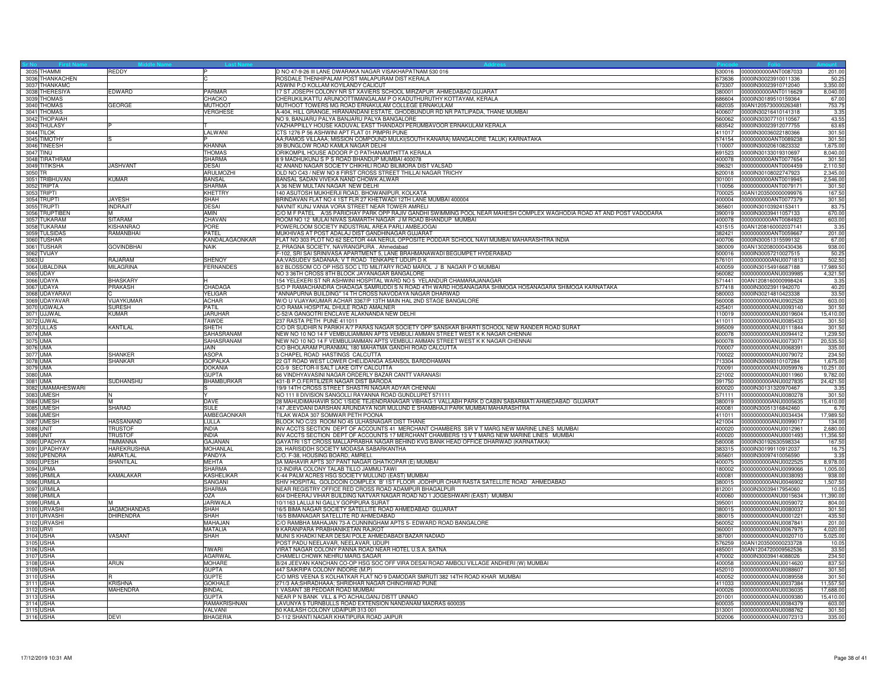|           | 3035 THAMMI                | REDDY                             |                                 | D NO 47-9-26 III LANE DWARAKA NAGAR VISAKHAPATNAM 530 016                                                              | 530016           | 0000000000ANT0087033                                | 201.00           |
|-----------|----------------------------|-----------------------------------|---------------------------------|------------------------------------------------------------------------------------------------------------------------|------------------|-----------------------------------------------------|------------------|
|           | 3036 THANKACHEN            |                                   |                                 | ROSDALE THENHIPALAM POST MALAPURAM DIST KERALA                                                                         |                  | 673636 0000IN30023910011336                         | 50.2             |
|           | 3037 THANKAMC              |                                   |                                 | ASWINI P.O KOLLAM KOYILANDY CALICUT                                                                                    |                  | 673307 0000IN30023910712040                         | 3.350.00         |
|           | 3038 THERESIYA             | EDWARD                            | PARMAR                          | 17 ST JOSEPH COLONY NR ST XAVIERS SCHOOL MIRZAPUR AHMEDABAD GUJARAT                                                    |                  | 380001 0000000000ANT0116629                         | 8,040.00         |
|           | 3039 THOMAS                |                                   | CHACKO                          | CHERUKILIKATTU ARUNOOTTIMANGALAM P O KADUTHURUTHY KOTTAYAM, KERALA                                                     | 686604           | 0000IN30189510159364                                | 67.0             |
|           | 3040 THOMAS                | GEORGE                            | <b>MUTHOOT</b>                  | MUTHOOT TOWERS MG ROAD ERNAKULAM COLLEGE ERNAKULAM                                                                     | 682035           | 00AN1205730000263481                                | 753.7            |
|           | 3041 THOMAS                |                                   | VERGHESE                        | A-404, HILL GRANGE, HIRANANDANI ESTATE, GHODBUNDUR RD NR PATLIPADA, THANE MUMBAI                                       | 400607           | 0000IN30216410141318                                | 3.3 <sup>5</sup> |
|           | 3042 THOPAIAH              |                                   |                                 | NO 9. BANJARU PALYA BANJARU PALYA BANGALORE                                                                            | 560062           | 0000IN30307710110567                                | 43.55            |
|           | 3043 THULASY               |                                   |                                 | VAZHAPPILLY HOUSE KADUVAL EAST THANDADI PERUMBAVOOR ERNAKULAM KERALA                                                   |                  | 683542 0000IN30023912077755                         | 63.65            |
|           | 3044 TILOK                 |                                   | LALWANI                         | CTS 1276 P 56 ASHWINI APT FLAT 01 PIMPRI PUNE                                                                          |                  | 411017 0000IN30036022180366                         | 301.50           |
|           | 3045 TIMOTHY               |                                   |                                 | AA;RAMOS VILLAAA; MISSION COMPOUND MULKI(SOUTH KANARA) MANGALORE TALUK) KARNATAKA                                      | 574154           | 0000000000ANT0089238                                | 301.5            |
|           | 3046 TINEESH               |                                   | KHANNA                          | 39 BUNGLOW ROAD KAMLA NAGAR DELHI                                                                                      | 110007           | 0000IN30020610823332                                | 1,675.0          |
| 3047 TINU |                            |                                   | <b>THOMAS</b>                   | ORIKOMPIL HOUSE ADOOR P O PATHANAMTHITTA KERALA                                                                        |                  | 691523 0000IN30133019310697                         | 8,040.00         |
|           | 3048 TIRATHRAM             |                                   | <b>SHARMA</b>                   | 8 9 MADHUKUNJ S P S ROAD BHANDUP MUMBAI 400078                                                                         |                  | 400078 0000000000ANT0077654                         | 301.50           |
|           | 3049 TITIKSHA              | <b>JASHVANT</b>                   | DESAI                           | 42 ANAND NAGAR SOCIETY CHIKHILI ROAD BILIMORA DIST VALSAD                                                              | 396321           | 0000000000ANT0004459                                | 2,110.50         |
| 3050 TR   |                            |                                   | <b>ARULMOZHI</b>                | OLD NO C43 / NEW NO 8 FIRST CROSS STREET THILLAI NAGAR TRICHY                                                          | 620018           | 0000lN30108022747923                                | 2,345.0          |
|           | 3051 TRIBHUVAN             | <b>KUMAR</b>                      | <b>BANSAL</b>                   | BANSAL SADAN VIVEKA NAND CHOWK ALWAR                                                                                   | 301001           | 0000000000ANT0019945                                | 2,546.00         |
|           | 3052 TRIPTA                |                                   | SHARMA                          | A 36 NEW MULTAN NAGAR NEW DELHI                                                                                        | 110056           | 0000000000ANT0079171                                | 301.50           |
|           | 3053 TRIPTI                |                                   | KHETTRY                         | 140 ASUTOSH MUKHERJI ROAD, BHOWANIPUR, KOLKATA                                                                         |                  | 700025 00AN1203500000099976                         | 167.50           |
|           | 3054 TRUPT                 | <b>JAYESH</b>                     | SHAH                            | BRINDAVAN FLAT NO 4 1ST FLR 27 KHETWADI 12TH LANE MUMBAI 400004                                                        |                  | 400004 0000000000ANT0077379                         | 301.50           |
|           | 3055 TRUPTI                | <b>INDRAJIT</b>                   | <b>DESAI</b>                    | NAVNIT KUNJ VANIA VORA STREET NEAR TOWER AMRELI                                                                        | 365601           | 0000IN30103924153411                                | 83.7             |
|           | 3056 TRUPTIBEN             |                                   | <b>AMIN</b>                     | C/O M F PATEL A/35 PARICHAY PARK OPP RAJIV GANDHI SWIMMING POOL NEAR MAHESH COMPLEX WAGHODIA ROAD AT AND POST VADODARA | 390019           | 0000lN30039411057133                                | 670.0            |
|           | 3057 TUKARAM               | <b>SITARAM</b>                    | CHAVAN                          | ROOM NO 12 MULAI NIVAS SAMARTH NAGAR J M ROAD BHANDUP MUMBAI                                                           | 400078           | 0000000000ANT0084923                                | 603.00           |
|           | 3058 TUKARAM               | KISHANRAO                         | PORE                            | POWERLOOM SOCIETY INDUSTRIAL AREA PARLI AMBEJOGAI                                                                      |                  | 431515 00AN1208160002037141                         | 3.35             |
|           | 3059 TULSIDAS              | RAMANBHAI                         | PATEL                           | MUKHIVAS AT POST ADALAJ DIST GANDHINAGAR GUJARAT                                                                       | 382421           | 0000000000ANT0059667                                | 201.00           |
|           | 3060 TUSHAR                |                                   | KANDALAGAONKAR                  | FLAT NO 303 PLOT NO 62 SECTOR 44A NERUL OPPOSITE PODDAR SCHOOL NAVI MUMBAI MAHARASHTRA INDIA                           | 400706           | 0000lN30051315599132                                | 67.00            |
|           | 3061 TUSHAR                | <b>GOVINDBHAI</b>                 | <b>NAIK</b>                     | 2, PRAGNA SOCIETY, NAVRANGPURA. Ahmedabad                                                                              | 380009           | 00AN1302080000430436                                | 938.00           |
|           | 3062 TVIJAY                |                                   |                                 | F-102, SRI SAI SRINIVASA APARTMENT 5, LANE BRAHMANAWADI BEGUMPET HYDERABAD                                             | 500016           | 0000lN30057210027515                                | 50.25            |
| 3063 U    |                            | RAJARAM                           | SHENOY                          | AA;VASUDEV SADANAA; V T ROAD TENKAPET UDUPI D K                                                                        | 576101           | 0000000000ANU0071813                                | 502.50           |
|           | 3064 UBALDINA              | MILAGRINA                         | <b>ERNANDES</b>                 | 8/2 BLOSSOM CO OP HSG SOC LTD MILITARY ROAD MAROL J B NAGAR P O MUMBAI                                                 | 400059           | 0000lN30154916687188                                | 17,989.5         |
|           | 3065 UDAY                  |                                   |                                 | NO 3 36TH CROSS 8TH BLOCK JAYANAGAR BANGALORE                                                                          |                  | 560082 0000000000ANU0039985                         | 4,321.50         |
|           | 3066 UDAYA                 | <b>BHASKARY</b>                   |                                 | 154 YELEKERI ST NR ASHWINI HOSPITAL WARD NO 5 YELANDUR CHAMARAJANAGAR                                                  |                  | 571441 00AN1208160000998424                         | 3.35             |
|           | 3067 UDAYA                 | PRAKASH                           | CHADAGA                         | S/O P RAMACHANDRA CHADAGA SAMRUDDI S N ROAD 4TH WARD HOSANAGARA SHIMOGA HOSANAGARA SHIMOGA KARNATAKA                   |                  |                                                     | 40.20            |
|           | 3068 UDAYARAVI             |                                   | YELIGAR                         | ANNAPURNA BUILDING" 14 TH CROSS NAVODAYA NAGAR DHARWAD                                                                 | 580003           | 0000lN30214810423338                                | 33.50            |
|           | 3069 UDAYAVAR              | <b>JIJAYKUMAR</b>                 | <b>ACHAR</b>                    | W/O U VIJAYAKUMAR ACHAR 3367/P 13TH MAIN HAL 2ND STAGE BANGALORE                                                       | 560008           | 0000000000ANU0902528                                | 603.00           |
|           | 3070 UGWALA                | SURESH                            | PATIL                           | C/O RAMA HOSPITAL DHULE ROAD AMALNER                                                                                   | 425401           | 0000000000ANU0093140                                | 301.50           |
|           | 3071 UJJWAL                | <b>KUMAR</b>                      | <b>JARUHAF</b>                  | C-52/A GANGOTRI ENCLAVE ALAKNANDA NEW DELHI                                                                            | 110019           | 0000000000ANU0019604                                | 15,410.00        |
|           | 3072 UJWAL                 |                                   | TAWDE                           | 237 RASTA PETH PUNE 411011                                                                                             | 411011           | 0000000000ANU0085433                                | 301.50           |
|           | 3073 ULLAS                 | KANTILAL                          | <b>SHETH</b>                    | C/O DR SUDHIR N PARIKH A/7 PARAS NAGAR SOCIETY OPP SANSKAR BHARTI SCHOOL NEW RANDER ROAD SURAT                         | 395009           | 0000000000ANU0111844                                | 301.5            |
| 3074 UMA  |                            |                                   | SAHASRANAM                      | NEW NO 10 NO 14 F VEMBULIAMMAN APTS VEMBULI AMMAN STREET WEST K K NAGAR CHENNAI                                        | 600078           | 0000000000ANU0094412                                | 1,239.5          |
| 3075 UMA  |                            |                                   | SAHASRANAM                      | NEW NO 10 NO 14 F VEMBULIAMMAN APTS VEMBULI AMMAN STREET WEST K K NAGAR CHENNAI                                        | 600078           | 0000000000ANU0073071                                | 20,535.5         |
| 3076 UMA  |                            |                                   | JAIN                            | C/O BHOLARAM PURANMAL 180 MAHATMA GANDHI ROAD CALCUTTA                                                                 |                  | 700007 0000000000ANU0068391                         | 335.00           |
| 3077 UMA  |                            | SHANKER                           | <b>ASOPA</b>                    | 3 CHAPEL ROAD HASTINGS CALCUTTA                                                                                        |                  | 700022 0000000000ANU0079072                         | 234.5            |
|           | 3078 UMA                   | <b>SHANKAR</b>                    | GOPALKA                         | 22 GT ROAD WEST LOWER CHELIDANGA ASANSOL BARDDHAMAN                                                                    |                  | 713304 0000IN30069310107284                         | 1,675.00         |
|           | 3079 UMA                   |                                   | DOKANIA                         | CG-9 SECTOR-II SALT LAKE CITY CALCUTTA                                                                                 | 700091           | 0000000000ANU0059976                                | 10,251.0         |
| 3080 UMA  |                            |                                   | <b>GUPTA</b>                    | 66 VINDHYAVASINI NAGAR ORDERLY BAZAR CANTT VARANASI                                                                    | 221002           | 0000000000ANU0011960                                | 9,782.0          |
| 3081 UMA  |                            | SUDHANSHU                         | BHAMBURKAR                      | 431-B P.O.FERTILIZER NAGAR DIST BARODA                                                                                 | 391750           | 0000000000ANU0027835                                | 24,421.50        |
|           | 3082 UMAMAHESWARI          |                                   |                                 | 19/9 14TH CROSS STREET SHASTRI NAGAR ADYAR CHENNAI                                                                     |                  | 600020 0000IN30131320970467                         | 3.35             |
|           | 3083 UMESH                 |                                   |                                 | NO 111 II DIVISION SANGOLLI RAYANNA ROAD GUNDLUPET 571111                                                              | 571111           | 0000000000ANU0080278                                | 301.50           |
|           | 3084 UMESH                 |                                   | DAVE                            | 28 MAHUDIMAHAVIR SOC 1/SIDE TEJENDRANAGAR VIBHAG-1 VALLABH PARK D CABIN SABARMATI AHMEDABAD GUJARAT                    | 380019           | 0000000000ANU0005635                                | 15,410.0         |
|           | 3085 UMESH                 | <b>SHARAD</b>                     | <b>SULE</b>                     | 147 JEEVDANI DARSHAN ARUNDAYA NGR MULUND E SHAMBHAJI PARK MUMBAI MAHARASHTRA                                           | 400081           | 0000lN30051316842460                                | 6.7              |
|           | 3086 UMESH                 |                                   | AMBEGAONKAR                     | TILAK WADA 307 SOMWAR PETH POONA                                                                                       |                  | 411011 0000000000ANU0034434                         | 17,989.50        |
|           | 3087 UMESH                 | <b>HASSANAND</b>                  | LULLA                           | BLOCK NO C/23 ROOM NO 45 ULHASNAGAR DIST THANE                                                                         |                  | 421004 0000000000ANU0099017                         | 134.00           |
| 3088 UNIT |                            | <b>TRUSTOF</b>                    | <b>INDIA</b>                    | INV ACCTS SECTION DEPT OF ACCOUNTS 41 MERCHANT CHAMBERS SIR V T MARG NEW MARINE LINES MUMBAI                           | 400020           | 0000000000ANU0012961                                | 2.680.0          |
| 3089 UNIT |                            | <b>TRUSTOF</b>                    | <b>INDIA</b>                    | INV ACCTS SECTION DEPT OF ACCOUNTS 17 MERCHANT CHAMBERS 13 V T MARG NEW MARINE LINES MUMBAI                            | 400020           | 0000000000ANU0001493                                | 11,356.5         |
|           | 3090 UPADHYA               | TIMMANNA                          | <b>GAJANAN</b>                  | GAYATRI 1ST CROSS MALLAPRABHA NAGAR BEHIND KVG BANK HEAD OFFICE DHARWAD (KARNATAKA)                                    | 580008           | 0000lN30192630598334                                | 167.50           |
|           | 3091 UPADHYAY              | HAREKRUSHNA                       | <b>MOHANLAL</b>                 | 28, HARISIDDH SOCIETY MODASA SABARKANTHA                                                                               |                  | 383315 0000IN30199110912037                         | 16.7             |
|           | 3092 UPENDRA               | AMRATLAL                          | PANDYA                          | C/O. F-38, HOUSING BOARD, AMRELI.                                                                                      |                  | 365601 0000IN30097410056590                         | 3.35             |
|           | 3093 UPESH                 | <b>SHANTILAL</b>                  | <b>MEHTA</b>                    | 3A MAHAVIR APTS 307 PANT NAGAR GHATKOPAR (E) MUMBAI                                                                    | 400075           | 0000000000ANU0022525                                | 8,978.00         |
|           | 3094 UPMA                  |                                   | <b>SHARMA</b>                   | 12-INDIRA COLONY TALAB TILLO JAMMU-TAWI                                                                                | 180002           | 0000000000ANU0099066                                | 1,005.00         |
|           | 3095 URMILA                | KAMALAKAR                         | <b>KASHELIKAR</b>               | K-44 PALM ACRES HSG SOCIETY MULUND (EAST) MUMBAI                                                                       |                  | 400081 0000000000ANU0038093                         | 938.00           |
|           | 3096 URMILA                |                                   | SANGANI                         | SHIV HOSPITAL GOLDCOIN COMPLEX 'B' 1ST FLOOR JODHPUR CHAR RASTA SATELLITE ROAD AHMEDABAD                               |                  | 380015 0000000000ANU0046902                         | 1,507.50         |
|           | 3097 URMILA                |                                   | SHARMA                          | NEAR REGISTRY OFFICE RED CROSS ROAD ADAMPUR BHAGALPUR                                                                  | 812001           | 0000IN30039417954060                                | 10.05            |
|           | 3098 URMILA                |                                   | <b>ASC</b>                      | 604 DHEERAJ VIHAR BUILDING NATVAR NAGAR ROAD NO 1 JOGESHWARI (EAST) MUMBAI                                             | 400060           | 0000000000ANU0015634                                | 11,390.00        |
|           | 3099 URMILA<br>3100 URVASH | <b>JAGMOHANDAS</b>                | JARIWALA<br><b>SHAH</b>         | 10/1163 LALUJI NI GALLY GOPIPURA SURAT                                                                                 | 395001<br>380015 | 0000000000ANU0059072<br>0000000000ANLJ0080037       | 804.0<br>301.50  |
|           |                            |                                   |                                 | 16/5 BIMA NAGAR SOCIETY SATELLITE ROAD AHMEDABAD GUJARAT                                                               |                  |                                                     |                  |
|           | 3101 URVASHI               | <b>DHIRENDRA</b>                  | SHAH                            | 16/5 BIMANAGAR SATELLITE RD AHMEDABAD                                                                                  | 380015           | 0000000000ANU0001221                                | 435.5            |
|           | 3102 URVASHI               |                                   | <b>MAHAJAN</b>                  | C/O RAMBHA MAHAJAN 73-A CUNNINGHAM APTS 5- EDWARD ROAD BANGALORE                                                       | 560052           | 0000000000ANU0087841                                | 201.00           |
|           | 3103 URVI                  | <b>VASANT</b>                     | MATALIA                         | 9 KARANPARA PRABHANIKETAN RAJKOT                                                                                       | 360001           | 0000000000ANU0067975                                | 4,020.0          |
|           | 3104 USHA<br>3105 USHA     |                                   | SHAH                            | MUNIS KHADKI NEAR DESAI POLE AHMEDABADI BAZAR NADIAD<br>POST PADU NEELAVAR, NEELAVAR, UDUPI                            | 387001           | 0000000000ANU0020710<br>576259 00AN1203500000233728 | 5,025.0<br>10.05 |
|           |                            |                                   |                                 |                                                                                                                        |                  |                                                     |                  |
|           | 3106 USHA                  |                                   | TIWARI                          | VIRAT NAGAR COLONY PANNA ROAD NEAR HOTEL U.S.A. SATNA                                                                  |                  | 485001 00AN1204720009562536                         | 33.50            |
|           | 3107 USHA                  |                                   | <b>AGARWAL</b>                  | CHAMELI CHOWK NEHRU MARG SAGAR                                                                                         | 470002<br>400058 | 0000IN30039414088026                                | 234.50           |
|           | 3108 USHA                  | ARUN                              | <b>MOHARE</b>                   | B/24 JEEVAN KANCHAN CO-OP HSG SOC OFF VIRA DESAI ROAD AMBOLI VILLAGE ANDHERI (W) MUMBAI                                |                  | 0000000000ANU0014620                                | 837.5            |
|           | 3109 USHA<br>3110 USHA     |                                   | <b>GUPTA</b><br><b>GUPTE</b>    | 447 SAIKRIPA COLONY INDORE (M.P)<br>C/O MRS VEENA S KOLHATKAR FLAT NO 9 DAMODAR SMRUTI 382 14TH ROAD KHAR MUMBAI       | 452010<br>400052 | 0000000000ANU0088607<br>0000000000ANU0089558        | 301.50<br>301.50 |
|           |                            |                                   |                                 |                                                                                                                        |                  |                                                     |                  |
|           | 3111 USHA                  | <b>KRISHNA</b><br><b>MAHENDRA</b> | <b>GOKHALE</b><br><b>BINDAL</b> | 271/3 AA;SHRADHAAA; SHRIDHAR NAGAR CHINCHWAD PUNE                                                                      |                  | 411033 0000000000ANU0037384<br>0000000000ANU0036035 | 11,557.50        |
|           | 3112 USHA                  |                                   |                                 | 1 VASANT 3B PEDDAR ROAD MUMBAI                                                                                         | 400026           |                                                     | 17,688.00        |
|           | 3113 USHA                  |                                   | <b>GUPTA</b>                    | NEAR P N BANK VILL & PO ACHALGANJ DISTT UNNAO<br>LAVUNYA 5 TURNBULLS ROAD EXTENSION NANDANAM MADRAS 600035             | 201001           | 0000000000ANU0009380                                | 15,410.00        |
|           | 3114 USHA                  |                                   | RAMAKRISHNAN                    |                                                                                                                        | 600035           | 0000000000ANU0084379                                | 603.0            |
|           | 3115 USHA                  |                                   | VALVANI                         | 50 KAILASH COLONY UDAIPUR 313 001                                                                                      |                  | 313001 0000000000ANU0088762                         | 301.50           |
| 3116 USHA |                            | <b>DEVI</b>                       | <b>BHAGERIA</b>                 | D-112 SHANTI NAGAR KHATIPURA ROAD JAIPUR                                                                               |                  | 302006 0000000000ANU0072313                         | 335.00           |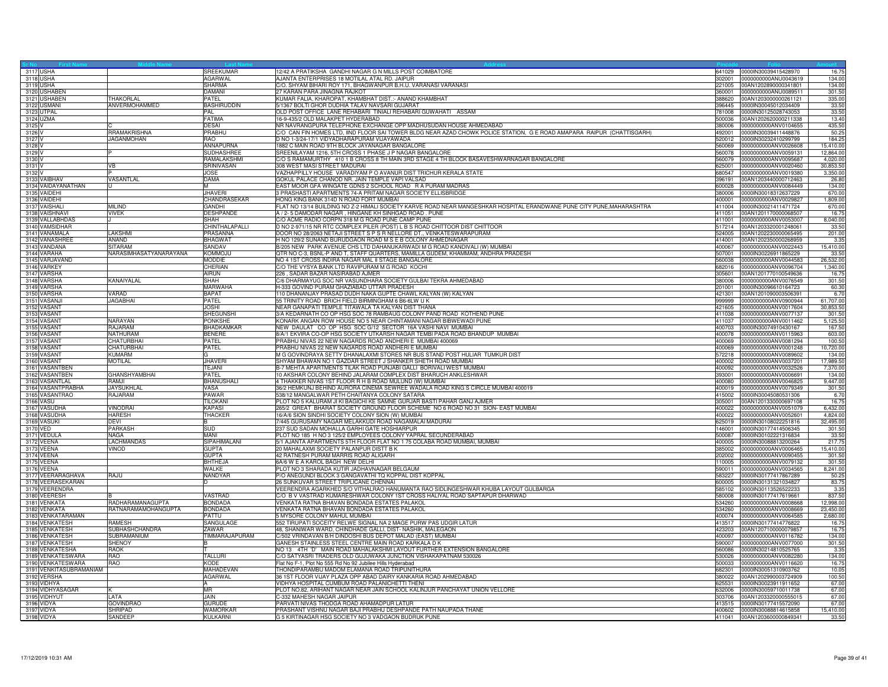|          | 3117 USHA                  |                        | SREEKUMAR                        | 12/42 A PRATIKSHA GANDHI NAGAR G N MILLS POST COIMBATORE<br>641029                                                                      | 0000IN30039415428970                                | 16.7                |
|----------|----------------------------|------------------------|----------------------------------|-----------------------------------------------------------------------------------------------------------------------------------------|-----------------------------------------------------|---------------------|
|          | 3118 USHA                  |                        | <b>AGARWAL</b>                   | AJANTA ENTERPRISES 18 MOTILAL ATAL RD. JAIPUR<br>302001                                                                                 | 0000000000ANU0043619                                | 134.0               |
|          | 3119 USHA                  |                        | <b>SHARMA</b>                    | C/O. SHYAM BIHARI ROY 171, BHAGWANPUR B.H.U. VARANASI VARANASI<br>221005                                                                | 00AN1202890000341801                                | 134.00              |
|          | 3120 USHABEN               |                        | DAMANI                           | 27 KARAN PARA JINAGNA RAJKOT                                                                                                            | 360001 0000000000ANU0089511                         | 301.50              |
|          | 3121 USHABEN               | THAKORLAL              | PATEL                            | KUMAR FALIA, KHAROPAT, KHAMBHAT DIST.:- ANAND KHAMBHAT<br>388620                                                                        | 00AN1203000000261121                                | 335.00              |
|          | 3122 USMANI                | ANVERMOHAMMED          | <b>BASHIRUDDIN</b>               | 5/1367 BOLTI GHOR DUDHIA TALAV NAVSARI GUJARAT<br>396445                                                                                | 0000IN30045012034409                                | 33.50               |
|          | 3123 UTPAL                 |                        | PAI                              | OLD POST OFFICE LANE REHABARI TINIALI REHABARI GUWAHATI ASSAM<br>781008                                                                 | 0000IN30125028743053                                | 33.50               |
|          | 3124 UZMA                  |                        | <b>FATIMA</b>                    | 16-9-435/2 OLD MALAKPET HYDERABAD<br>500036                                                                                             | 00AN1202620000211338                                | 13.40               |
| 3125 V   |                            |                        | <b>DESAI</b>                     | NR NAVRANGPURA TELEPHONE EXCHANGE OPP MADHUSUDAN HOUSE AHMEDABAD<br>380006                                                              | 0000000000ANV0104655                                | 435.50              |
| 3126 V   |                            | <b>RRAMAKRISHNA</b>    | PRABHU                           | C/O CAN FIN HOMES LTD. IIND FLOOR SAI TOWER BLDG NEAR AZAD CHOWK POLICE STATION. G E ROAD AMAPARA RAIPUR (CHATTISGARH)<br>492001        | 0000IN30039411448876                                | 50.25               |
| 3127     |                            | <b>JAGANMOHAN</b>      | RAO                              | D NO 1-3/24-17/1 VIDYADHARAPURAM VIJAYAWADA<br>520012                                                                                   | 0000IN30232410299799                                | 184.25              |
| 3128     |                            |                        | ANNAPURNA                        | 1882 C MAIN ROAD 9TH BLOCK JAYANAGAR BANGALORE<br>560069                                                                                | 0000000000ANV0026608                                | 15,410.00           |
| 3129 V   |                            |                        | <b>SUDHASHREE</b>                | SREENILAYAM 1216, 5TH CROSS 1 PHASE J P NAGAR BANGALORE<br>560078                                                                       | 0000000000ANV0059131                                | 12,864.00           |
| 3130 V   |                            |                        | RAMALAKSHMI                      | C/O S RAMAMURTHY 410 1 B CROSS 8 TH MAIN 3RD STAGE 4 TH BLOCK BASAVESHWARNAGAR BANGALORE<br>560079                                      | 0000000000ANV0095687                                | 4,020.00            |
| 3131     |                            | <b>VB</b>              | <b>SRINIVASAN</b>                | 308 WEST MASI STREET MADURAI<br>625001                                                                                                  | 0000000000ANV0020460                                | 30.853.5            |
| 3132     |                            |                        | JOSE                             | VAZHAPPILLY HOUSE VARADIYAM P O AVANUR DIST TRICHUR KERALA STATE<br>680547                                                              | 0000000000ANV0019380                                | 3,350.00            |
|          | 3133 VAIBHAV               | VASANTLAL              | <b>DAMA</b>                      | GOKUL PALACE CHANOD NR. JAIN TEMPLE VAPI VALSAD<br>396191                                                                               | 00AN1203440000712463                                | 26.80               |
|          | 3134 VAIDAYANATHAN         |                        | м                                | EAST MOOR GFA WINGATE GDNS 2 SCHOOL ROAD R A PURAM MADRAS<br>600028                                                                     | 0000000000ANV0084449                                | 134.00              |
|          | 3135 VAIDEHI               |                        | <b>JHAVERI</b>                   | 3 PRASHASTI APARTMENTS 74-A PRITAM NAGAR SOCIETY ELLISBRIDGE<br>380006                                                                  | 0000IN30018312637229                                | 670.00              |
|          | 3136 VAIDEHI               |                        | <b>CHANDRASEKAR</b>              | HONG KING BANK 314D N ROAD FORT MUMBAI<br>400001                                                                                        | 0000000000ANV0029827                                | 1.809.00            |
|          | 3137 VAISHALI              | <b>MILIND</b>          | <b>GANDHI</b>                    | FLAT NO 13/14 BUILDING NO Z-2 HIMALI SOCIETY KARVE ROAD NEAR MANGESHKAR HOSPITAL ERANDWANE PUNE CITY PUNE,MAHARASHTRA                   | 411004 0000lN30021411471724                         | 670.00              |
|          | 3138 VAISHNAVI             | <b>VIVEK</b>           | <b>DESHPANDE</b>                 | A / 2- 5 DAMODAR NAGAR, HINGANE KH SINHGAD ROAD. PUNE<br>411051                                                                         | 00AN1201170000068507                                | 16.7                |
|          | 3139 VALLABHDAS            |                        | SHAH                             | C/O ACME RADIO CORPN 318 M G ROAD PUNE CAMP PUNE<br>411001                                                                              | 0000000000ANV0053007                                | 8,040.00            |
|          | 3140 VAMSIDHAR             |                        | CHINTHALAPALLI                   | D NO 2-971/15 NR RTC COMPLEX PILER (POST) L B S ROAD CHITTOOR DIST CHITTOOR                                                             | 517214 00AN1203320001248061                         | 33.50               |
|          | 3141 VANAMALA              | LAKSHMI                | PRASANNA                         | DOOR NO 28/2063 NETAJI STREET S P S R NELLORE DT., VENKATESWARAPURAM<br>524005                                                          | 00AN1202230000065495                                | 201.00              |
|          | 3142 VANASHREE             | ANAND                  | <b>BHAGWAT</b>                   | H NO 129/2 SUNAND BURUDGAON ROAD M S E B COLONY AHMEDNAGAR<br>414001                                                                    | 00AN1202350000268959                                | 3.3 <sup>2</sup>    |
|          | 3143 VANDANA               | <b>SITARAM</b>         | <b>SANDAV</b>                    | B/205 NEW PARK AVENUE CHS LTD DAHANUKARWADI M G ROAD KANDIVALI (W) MUMBAI<br>400067                                                     | 0000000000ANV0022443                                | 15,410.00           |
|          | 3144 VARAHA                | NARASIMHASATYANARAYANA | <b>KOMMOJU</b>                   | QTR NO C-3, BSNL-P AND T, STAFF QUARTERS, MAMILLA GUDEM, KHAMMAM, ANDHRA PRADESH<br>507001                                              | 0000lN30226911865229                                | 33.5                |
|          | 3145 VARJAVAND             |                        | MODDIE                           | NO 4 1ST CROSS INDIRA NAGAR MAL II STAGE BANGALORE<br>560038                                                                            | 0000000000ANV0044583                                | 26,532.00           |
|          | 3146 VARKEY                |                        | CHERIAN                          | C/O THE VYSYA BANK LTD RAVIPURAM M G ROAD KOCHI<br>682016                                                                               | 0000000000ANV0096704                                | 1,340.0             |
|          | 3147 VARSHA                |                        | AIRUN<br><b>SHAH</b>             | 226, SADAR BAZAR NASIRABAD AJMER<br>305601                                                                                              | 00AN1201770100549636<br>380006 0000000000ANV0076549 | 16.7                |
|          | 3148 VARSHA                | KANAIYALAL             |                                  | C/6 DHARMAYUG SOC NR VASUNDHARA SOCIETY GULBAI TEKRA AHMEDABAD                                                                          |                                                     | 301.50              |
|          | 3149 VARSHA                |                        | <b>MARWAHA</b>                   | H-333 GOVIND PURAM GHAZIABAD UTTAR PRADESH<br>201001                                                                                    | 0000IN30096610164723                                | 60.30               |
|          | 3150 VARSHA                | VARAD                  | <b>BAPAT</b>                     | 110 DHANANJAY PRASAD DUDH NAKA GUPTE CHAWL KALYAN (W) KALYAN<br>421301<br>55 TRINITY ROAD BRICH FIELD BIRMINGHAM 6 B6-6LW U K<br>999999 | 00AN1201090003506391                                | 6.70                |
|          | 3151 VASANJI               | <b>JAGABHAI</b>        | PATEL                            | NEAR GANAPATI TEMPLE TITAWALA TA KALYAN DIST THANA                                                                                      | 0000000000ANV0900944                                | 61,707.00           |
|          | 3152 VASANT<br>3153 VASANT |                        | <b>JOSHI</b><br><b>SHEGUNSHI</b> | 421605<br>3/A KEDARNATH CO OP HSG SOC 78 RAMBAUG COLONY PAND ROAD KOTHEND PUNE<br>411038                                                | 0000000000ANV0017604<br>0000000000ANV0077137        | 30,853.5<br>301.50  |
|          |                            | <b>NARAYAN</b>         | <b>PONKSHE</b>                   | 411037                                                                                                                                  | 0000000000ANV0011462                                |                     |
|          | 3154 VASANT                | <b>RAJARAM</b>         | BHADKAMKAR                       | KONARK ANGAN ROW HOUSE NO 5 NEAR CHINTAMANI NAGAR BIBWEWADI PUNE<br>NEW DAULAT CO OP HSG SOC G/12 SECTOR 16A VASHINAVI MUMBAI<br>400703 | 0000IN30074910430167                                | 5,125.5             |
|          | 3155 VASANT                | NATHURAM               | <b>BENERE</b>                    | 8/A/1 EKVIRA CO-OP HSG SOCIETY UTKARSH NAGAR TEMBI PADA ROAD BHANDUP MUMBAI<br>400078                                                   | 0000000000ANV0115963                                | 167.50<br>603.0     |
|          | 3156 VASANT<br>3157 VASANT | CHATURBHAI             | PATEL                            | PRABHU NIVAS 22 NEW NAGARDS ROAD ANDHERI E MUMBAI 400069                                                                                | 400069  0000000000ANV0081294                        | 100.50              |
|          | 3158 VASANT                | <b>CHATURBHAI</b>      | <b>PATEL</b>                     | PRABHU NIVAS 22 NEW NAGARDS ROAD ANDHERI E MUMBAI                                                                                       | 400069 0000000000ANV0001248                         | 10,720.00           |
|          | 3159 VASANT                | <b>KUMARM</b>          |                                  | M G GOVINDRAYA SETTY DHANALAXMI STORES NR BUS STAND POST HULIAR TUMKUR DIST                                                             | 572218 0000000000ANV0089602                         |                     |
|          | 3160 VASANT                | <b>MOTILAL</b>         | <b>JHAVERI</b>                   | SHYAM BHAWAN NO 1 GAZDAR STREET J SHANKER SHETH ROAD MUMBAI<br>400002                                                                   | 0000000000ANV0037201                                | 134.00<br>17,989.50 |
|          | 3161 VASANTBEN             |                        | <b><i>TEJANI</i></b>             | B-7 MEHTA APARTMENTS TILAK ROAD PUNJABI GALLI BORIVALI WEST MUMBAI<br>400092                                                            | 0000000000ANV0032526                                | 7,370.0             |
|          | 3162 VASANTBEN             | <b>GHANSHYAMBHAI</b>   | PATEL                            | 10 AKSHAR COLONY BEHIND JALARAM COMPLEX DIST BHARUCH ANKLESHWAR<br>393001                                                               | 0000000000ANV0006691                                | 134.0               |
|          | 3163 VASANTLAL             | RAMJI                  | <b>BHANUSHALI</b>                | 4 THAKKER NIVAS 1ST FLOOR R H B ROAD MULUND (W) MUMBAI<br>400080                                                                        | 0000000000ANV0046825                                | 9.447.00            |
|          | 3164 VASANTPRABHA          | <b>JAYSUKHLAL</b>      | VASA                             | 36/2 HEMKUNJ BEHIND AURORA CINEMA SEWREE WADALA ROAD KING S CIRCLE MUMBAI 400019<br>400019                                              | 0000000000ANV0079349                                | 301.50              |
|          | 3165 VASANTRAO             | RAJARAM                | PAWAR                            | 538/12 MANGALWAR PETH CHAITANYA COLONY SATARA<br>415002                                                                                 | 0000IN30045080531306                                | 6.70                |
|          | 3166 VASU                  |                        | <b>TILOKANI</b>                  | PLOT NO 5 KALURAM JI KI BAGICHI KE SAMNE GURJAR BASTI PAHAR GANJ AJMER<br>305001                                                        | 00AN1201330000697108                                | 16.7                |
|          | 3167 VASUDHA               | <b>VINODRAI</b>        | <b>KAPASI</b>                    | 265/2 GREAT BHARAT SOCIETY GROUND FLOOR SCHEME NO 6 ROAD NO 31 SION- EAST MUMBAI<br>400022                                              | 0000000000ANV0051079                                | 6,432.00            |
|          | 3168 VASUDHA               | <b>HARESH</b>          | THACKER                          | 16/A/6 SION SINDHI SOCIETY COLONY SION (W) MUMBAI                                                                                       | 400022 0000000000ANV0052601                         | 4,824.00            |
|          | 3169 VASUKI                | <b>DEVI</b>            |                                  | 7/445 GURUSAMY NAGAR MELAKKUDI ROAD NAGAMALAI MADURAI                                                                                   | 625019 0000IN30108022251816                         | 32,495.00           |
| 3170 VED |                            | <b>PARKASH</b>         | SUD                              | 237 SUD SADAN MOHALLA GARHI GATE HOSHIARPUR<br>146001                                                                                   | 0000lN30177414506345                                | 301.50              |
|          | 3171 VEDULA                | NAGA                   | MANI                             | PLOT NO 185 H NO 3 125/2 EMPLOYEES COLONY YAPRAL SECUNDERABAD<br>500087                                                                 | 0000lN30102221316834                                | 33.5                |
|          | 3172 VEENA                 | LACHMANDAS             | SIPAHIMALANI                     | 5/1 AJANTA APARTMENTS 5TH FLOOR FLAT NO 1 75 COLABA ROAD MUMBAI, MUMBAI<br>400005                                                       | 0000IN30088813200264                                | 217.7               |
|          | 3173 VEENA                 | VINOD                  | <b>GUPTA</b>                     | 20 MAHALAXMI SOCIETY PALANPUR DISTT B K<br>385002                                                                                       | 0000000000ANV0006465                                | 15,410.00           |
|          | 3174 VEENA                 |                        | <b>GUPTA</b>                     | 42 RATNESH PURAM MARRIS ROAD ALIGARH<br>202002                                                                                          | 0000000000ANV0090455                                | 301.50              |
|          | 3175 VEENA                 |                        | BHTHEJA                          | 6A/6 W E A KAROL BAGH NEW DELHI<br>110005                                                                                               | 0000000000ANV0079132                                | 301.5               |
|          | 3176 VEENA                 |                        | WALKE                            | PLOT NO 3 SHARADA KUTIR JADHAVNAGAR BELGAUM<br>590011                                                                                   | 0000000000ANV0034565                                | 8,241.0             |
|          | 3177 VEERARAGHAVA          | RAJU                   | NANDYAR                          | P/O ANEGUNDI BLOCK 3 GANGAVATHI TO KOPPAL DIST KOPPAL<br>583227                                                                         | 0000lN30177417867289                                | 50.2                |
|          | 3178 VEERASEKARAN          |                        | D                                | 26 SUNKUVAR STREET TRIPLICANE CHENNAL                                                                                                   | 600005 0000IN30131321034827                         | 83.7                |
|          | 3179 VEERENDRA             |                        |                                  | VEERENDRA AGARKHED S/O VITHALRAO HANUMANTA RAO SIDLINGESHWAR KHUBA LAYOUT GULBARGA                                                      | 585102 0000IN30113526522233                         | 3.35                |
|          | 3180 VEERESH               |                        | VASTRAD                          | C/O B V VASTRAD KUMARESHWAR COLONY 1ST CROSS HALIYAL ROAD SAPTAPUR DHARWAD<br>580008                                                    | 0000IN30177417619661                                | 837.50              |
|          | 3181 VENKATA               | RADHARAMANAGUPTA       | <b>BONDADA</b>                   | VENKATA RATNA BHAVAN BONDADA ESTATES PALAKOL<br>534260                                                                                  | 0000000000ANV0008668                                | 12,998.0            |
|          | 3182 VENKATA               | RATNARAMAMOHANGUPTA    | <b>BONDADA</b>                   | VENKATA RATNA BHAVAN BONDADA ESTATES PALAKOL<br>534260                                                                                  | 0000000000ANV0008669                                | 23,450.0            |
|          | 3183 VENKATARAMAN          |                        | PATTU                            | 5 MYSORE COLONY MAHUL MUMBAI                                                                                                            | 400074 0000000000ANV0064585                         | 2,680.0             |
|          | 3184 VENKATESH             | <b>RAMESH</b>          | SANGULAGE                        | 552 TIRUPATI SOCEITY RELWE SIGNAL NA 2 MAGE PURW PAS UDGIR LATUR                                                                        | 413517 0000IN30177414776822                         | 16.75               |
|          | 3185 VENKATESH             | <b>SUBHASHCHANDRA</b>  | ZAWAR                            | 48, SHANIWAR WARD, CHINDHADE GALLI, DIST- NASHIK, MALEGAON<br>423203                                                                    | 00AN1207100000079857                                | 16.75               |
|          | 3186 VENKATESH             | SUBRAMANIUM            | <b>TIMMARAJAPURAM</b>            | C/502 VRINDAVAN B/H DINDOSHI BUS DEPOT MALAD (EAST) MUMBAI<br>400097                                                                    | 0000000000ANV0116782                                | 134.00              |
|          | 3187 VENKATESH             | <b>SHENOY</b>          |                                  | GANESH STAINLESS STEEL CENTRE MAIN ROAD KARKALA D K<br>590007                                                                           | 0000000000ANV0077000                                | 301.50              |
|          | 3188 VENKATESHA            | <b>RAOK</b>            |                                  | NO 13 4TH 'D' MAIN ROAD MAHALAKSHMI LAYOUT FURTHER EXTENSION BANGALORE                                                                  | 560086 0000IN30214810525765                         | 3.35                |
|          | 3189 VENKATESWARA          | RAO                    | TALLURI                          | C/O SATYASRI TRADERS OLD GUJUWAKA JUNCTION VISHAKAPATNAM 530026                                                                         | 530026 0000000000ANV0082280                         | 134.00              |
|          | 3190 VENKATESWARA          | <b>RAO</b>             | KODE                             | Flat No F-1, Plot No 555 Rd No 92 Jubilee Hills Hyderabad<br>500033                                                                     | 0000000000ANV0116620                                | 16.75               |
|          | 3191 VENKITASUBRAMANIAM    |                        | MAHADEVAN                        | THONDIPARAMBU MADOM ELAMANA ROAD TRIPUNITHURA<br>682301                                                                                 | 0000lN30051310903762                                | 10.0                |
|          | 3192 VERSHA                |                        | <b>AGARWAL</b>                   | 36 1ST FLOOR VIJAY PLAZA OPP ABAD DAIRY KANKARIA ROAD AHMEDABAD<br>380022                                                               | 00AN1202990003724909                                | 100.50              |
|          | 3193 VIDHYA                |                        |                                  | VIDHYA HOSPITAL CUMBUM ROAD PALANICHETTI THENI<br>625531                                                                                | 0000lN30023911911652                                | 67.00               |
|          | 3194 VIDHYASAGAR           |                        | <b>MR</b>                        | PLOT NO.82, ARIHANT NAGAR NEAR JAIN SCHOOL KALINJUR PANCHAYAT UNION VELLORE                                                             | 632006 0000IN30059710011738                         | 67.00               |
|          | 3195 VIDHYUT               | <b>LATA</b>            | <b>JAIN</b>                      | C-332 MAHESH NAGAR JAIPUR<br>303706                                                                                                     | 00AN1203320000555015                                | 67.00               |
|          | 3196 VIDYA                 | <b>GOVINDRAO</b>       | <b>GURUDE</b>                    | PARVATI NIVAS THODGA ROAD AHAMADPUR LATUR<br>413515                                                                                     | 0000lN30177415572090                                | 67.00               |
|          | 3197 VIDYA                 | SHRIPAD                | <b>WAMORKAR</b>                  | PRASHANT VISHNU NAGAR BAJI PRABHU DESHPANDE PATH NAUPADA THANE<br>400602                                                                | 0000lN30088814615858                                | 15,410.00           |
|          | 3198 VIDYA                 | SANDEEP                | KULKARNI                         | G 5 KIRTINAGAR HSG SOCIETY NO 3 VADGAON BUDRUK PUNE                                                                                     | 411041 00AN1203600000849341                         | 33.50               |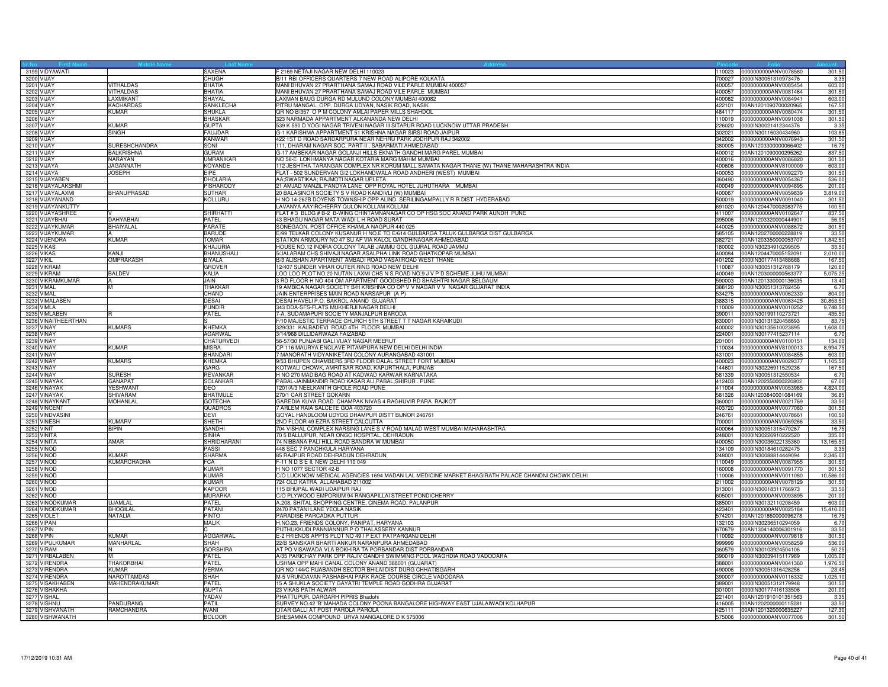| 3199 VIDYAWATI<br><b>SAXENA</b><br>F 2169 NETAJI NAGAR NEW DELHI 110023<br>10023 0000000000ANV0078580<br>301.50<br>3200 VIJAY<br>B/11 RBI OFFICERS QUARTERS 7 NEW ROAD ALIPORE KOLKATA<br>CHUGH<br>700027<br>0000IN30051310973476<br>3.3<br>3201 VIJAY<br><b>VITHALDAS</b><br><b>BHATIA</b><br>MANI BHUVAN 27 PRARTHANA SAMAJ ROAD VILE PARLE MUMBAI 400057<br>0000000000ANV0085454<br>603.0<br>400057<br><b>VITHALDAS</b><br>MANI BHUVAN 27 PRARTHANA SAMAJ ROAD VILE PARLE MUMBAI<br>3202 VIJAY<br><b>BHATIA</b><br>400057 0000000000ANV0081464<br>301.5<br>LAXMAN BAUG DURGA RD MULUND COLONY MUMBAI 400082<br>3203 VIJAY<br>LAXMIKANT<br>SHAYAL<br>400082 0000000000ANV0084941<br>603.00<br>3204 VIJAY<br><b>KACHARDAS</b><br>SANKLECHA<br>PITRU MANGAL, OPP. DURGA UDYAN, NASIK ROAD, NASIK<br>167.5<br>422101 00AN1201090700020965<br>3205 VIJAY<br><b>KUMAR</b><br>SHUKLA<br>QR NO B/357 O P M COLONY AMLAI PAPER MILLS SHAHDOL<br>0000000000ANV0080474<br>301.5<br>484117<br>323 NARMADA APPARTMENT ALKANANDA NEW DELHI<br>3206 VIJAY<br><b>BHASKAR</b><br>0000000000ANV0091038<br>301.5<br>110019<br>3207 VIJAY<br>539 K 590 D YOGI NAGAR TRIVENI NAGAR III SITAPUR ROAD LUCKNOW UTTAR PRADESH<br><b>KUMAR</b><br><b>GUPTA</b><br>226020<br>0000IN30021412344376<br>3.35<br>G-1 KARISHMA APPARTMENT 51 KRISHNA NAGAR SIRSI ROAD JAIPUR<br>103.8<br>3208 VIJAY<br><b>SINGH</b><br>FAUJDAR<br>302021<br>0000IN30116030434960<br>3209 VIJAY<br>KANWAR<br>422 1ST D ROAD SARDARPURA NEAR NEHRU PARK JODHPUR RAJ 342002<br>342002<br>0000000000ANV0076943<br>301.50<br>3210 VIJAY<br>SURESHCHANDRA<br>SONI<br>111, DHARAM NAGAR SOC, PART-II, SABARMATI AHMEDABAD<br>380005<br>00AN1203300000066402<br>16.7<br>3211 VIJAY<br><b>BALKRISHNA</b><br><b>GURAM</b><br>G-17 AMBEKAR NAGAR GOLANJI HILLS EKNATH GANDHI MARG PAREL MUMBAI<br>00AN1201090000295262<br>837.5<br>400012<br>3212 VIJAY<br><b>UMRANIKAR</b><br>NO 56-E LOKHMANYA NAGAR KOTARIA MARG MAHIM MUMBAI<br>301.50<br>NARAYAN<br>400016 0000000000ANV0086820<br>112 JESHTHA TARANGAN COMPLEX NR KORUM MALL SAMATA NAGAR THANE (W) THANE MAHARASHTRA INDIA<br>3213 VIJAYA<br>KOYANDE<br>JAGANNATH<br>400606 0000000000ANV8100009<br>603.0<br>3214 VIJAYA<br><b>JOSEPH</b><br>EIPE<br>FLAT - 502 SUNDERVAN G/2 LOKHANDWALA ROAD ANDHERI (WEST) MUMBAI<br>400053<br>0000000000ANV0092270<br>301.5<br>3215 VIJAYABEN<br>DHOLARIA<br>AA;SWASTIKAA; RAJMOTI NAGAR UPLETA<br>360490<br>0000000000ANV0054367<br>536.0<br>3216 VIJAYALAKSHMI<br><b>PISHARODY</b><br>21 AMJAD MANZIL PANDYA LANE OPP ROYAL HOTEL JUHUTHARA MUMBAI<br>0000000000ANV0094695<br>201.0<br>400049<br>3217 VIJAYALAXMI<br><b>BHANUPRASAD</b><br>20 BALASINOR SOCIETY S V ROAD KANDIVLI (W) MUMBAI<br>0000000000ANV0059839<br>3,819.0<br>SUTHAR<br>400067<br>KOLLURU<br>H NO 14-262B DOYENS TOWNSHIP OPP ALIND SERILINGAMPALLY R R DIST HYDERABAD<br>3218 VIJAYANAND<br>0000000000ANV0091040<br>500019<br>301.5<br>3219 VIJAYANKUTTY<br>LAVANYA AAYIRCHERRY QULON KOLLAM KOLLAM<br>691020<br>00AN1204470002083775<br>100.5<br>FLAT #3 BLDG # B-2 B-WING CHINTAMNANAGAR CO OP HSG SOC ANAND PARK AUNDH PUNE<br>SHIRHATTI<br>837.5<br>3220 VIJAYASHREE<br>411007 0000000000ANV0102647<br>3221 VIJAYBHAI<br>DAHYABHAI<br><b>PATEL</b><br>43 BHAGU NAGAR MATA WADI L H ROAD SURAT<br>00AN1203320000444901<br>56.9<br>395006<br>3222 VIJAYKUMAR<br>BHAIYALAL<br>PARATE<br>SONEGAON, POST OFFICE KHAMLA NAGPUR 440 025<br>440025 0000000000ANV0088672<br>301.50<br><b>BARUDE</b><br>E/99 TELKAR COLONY KUSANUR H NO.E TO E/614 GULBARGA TALUK GULBARGA DIST GULBARGA<br>3223 VIJAYKUMAR<br>585105 00AN1202700000228819<br>33.5<br>3224 VIJENDRA<br>KUMAR<br><b>TOMAR</b><br>STATION ARMOURY NO 47 SU AF VIA KALOL GANDHINAGAR AHMEDABAD<br>382721<br>00AN1203350000053707<br>1,842.5<br>3225 VIKAS<br>HOUSE NO.12 INDIRA COLONY TALAB JAMMU GOL GUJRAL ROAD JAMMU<br>KHAJURIA<br>180002<br>0000IN30234910299505<br>33.5<br>5/JALARAM CHS SHIVAJI NAGAR ASALPHA LINK ROAD GHATKOPAR MUMBAI<br>3226 VIKAS<br>KANJI<br><b>BHANUSHALI</b><br>400084<br>00AN1204470005152091<br>2,010.0<br>3227 VIKIL<br>OMPRAKASH<br><b>BIYALA</b><br>B/3 ALISHAN APARTMENT AMBADI ROAD VASAI ROAD WEST THANE<br>401202 0000IN30177413488668<br>167.50<br>12/407 SUNDER VIHAR OUTER RING ROAD NEW DELHI<br>120.60<br>3228 VIKRAM<br><b>GROVER</b><br>0000lN30051312768179<br>110087<br><b>BALDEV</b><br>LOO LOO PLOT NO.20 NUTAN LAXMI CHS N S ROAD NO.9 J V P D SCHEME JUHU MUMBAI<br>5,075.2<br>3229 VIKRAM<br>KALIA<br>400049<br>00AN1203000000563377<br>3230 VIKRAMKUMAR<br>3 RD FLOOR H NO 404 OM APARTMENT GOODSHED RD SHASHTRI NAGAR BELGAUM<br>JAIN.<br>00AN1201330000136035<br>13.4<br>590003<br>3231 VIMAL<br>19 AMBICA NAGAR SOCIETY B/H KRISHNA CO OP V V NAGAR V V NAGAR GUJARAT INDIA<br>M<br>THAKKAR<br>388120 0000IN30051313782456<br>6.7<br>3232 VIMAL<br>CHAND<br>JAIN ENTERPRISES MAIN ROAD NARSAPUR (A P)<br>534275  0000000000ANV0062330<br>804.00<br>3233 VIMALABEN<br><b>DESAI</b><br>DESAI HAVELI P.O. BAKROL ANAND GUJARAT<br>388315 0000000000ANV0063425<br>30,853.5<br>3234 VIMLA<br><b>PUNDIR</b><br>343 DDA-SFS-FLATS MUKHERJI NAGAR DELHI<br>0000000000ANV0010252<br>9,748.5<br>10009<br>3235 VIMLABEN<br><b>PATEL</b><br>7-A, SUDAMAPURI SOCIETY MANJALPUR BARODA<br>0000lN30199110273721<br>435.5<br>390011<br>F/10 MAJESTIC TERRACE CHURCH 5TH STREET T T NAGAR KARAIKUDI<br>3236 VINAITHEERTHAN<br>630001<br>0000lN30131320458693<br>83.7<br><b>KUMARS</b><br>KHEMKA<br>3237 VINAY<br>329/331 KALBADEVI ROAD 4TH FLOOR MUMBAI<br>400002 0000IN30135610023895<br>1,608.0<br>3238 VINAY<br>AGARWAL<br>3/14/968 DILLIDARWAZA FAIZABAD<br>224001<br>0000IN30177415237114<br>6.7<br>3239 VINAY<br>CHATURVEDI<br>56-57/30 PUNJABI GALI VIJAY NAGAR MEERUT<br>201001<br>0000000000ANV0100151<br>134.00<br><b>KUMAR</b><br>CP 116 MAURYA ENCLAVE PITAMPURA NEW DELHI DELHI INDIA<br>8,994.7<br>3240 VINAY<br><b>MISRA</b><br>0000000000ANV8100013<br>110034<br>MANORATH VIDYANIKETAN COLONY AURANGABAD 431001<br>3241 VINAY<br><b>BHANDARI</b><br>431001 0000000000ANV0084855<br>603.0<br>3242 VINAY<br><b>KUMARS</b><br>KHEMKA<br>9/53 BHUPEN CHAMBERS 3RD FLOOR DALAL STREET FORT MUMBAI<br>400023 0000000000ANV0029377<br>1,105.5<br>3243 VINAY<br>GARG<br>KOTWALI CHOWK, AMRITSAR ROAD, KAPURTHALA, PUNJAB<br>144601<br>0000lN30226911529236<br>167.5<br>3244 VINAY<br><b>SURESH</b><br><b>REVANKAR</b><br>H NO 270 MADIBAG ROAD AT KADWAD KARWAR KARNATAKA<br>581339<br>0000lN30051312550534<br>6.7<br>PABAL-JAINMANDIR ROAD KASAR ALI, PABAL, SHIRUR. PUNE<br>67.00<br>3245 VINAYAK<br><b>GANAPAT</b><br><b>SOLANKAR</b><br>00AN1202350000220802<br>412403<br>3246 VINAYAK<br>1201/A/3 NEELKANTH GHOLE ROAD PUNE<br>4,824.00<br><b>YESHWANT</b><br>DEO<br>411004<br>0000000000ANV0053965<br>270/1 CAR STREET GOKARN<br>00AN1203840001084169<br>3247 VINAYAK<br><b>SHIVARAM</b><br>BHATMULE<br>581326<br>36.8<br>GAREDIA KUVA ROAD CHAMPAK NIVAS 4 RAGHUVIR PARA RAJKOT<br>33.5<br>3248 VINAYKANT<br>MOHANLAL<br><b>GOTECHA</b><br>360001<br>0000000000ANV0021769<br>3249 VINCENT<br>QUADROS<br>7 ARLEM RAIA SALCETE GOA 403720<br>403720<br>0000000000ANV0077080<br>301.5<br>3250 VINDVASINI<br><b>DEVI</b><br>GOYAL HANDLOOM UDYOG DHAMPUR DISTT BIJNOR 246761<br>0000000000ANV0078661<br>100.5<br>246761<br>3251 VINESH<br><b>KUMARV</b><br>2ND FLOOR 49 EZRA STREET CALCUTTA<br>700001 0000000000ANV0069266<br>33.5<br>SHETH<br>3252 VINIT<br><b>GANDHI</b><br>704 VISHAL COMPLEX NARSING LANE S V ROAD MALAD WEST MUMBAI MAHARASHTRA<br>400064<br>0000lN30051315470267<br>BIPIN<br>16.7<br>70 5 BALLUPUR, NEAR ONGC HOSPITAL, DEHRADUN<br>335.0<br>3253 VINITA<br>SINHA<br>248001<br>0000IN30226910222520<br>AMAR<br>74 NIBBANA PALI HILL ROAD BANDRA W MUMBAI<br>13,165.5<br>3254 VINITA<br>SHRIDHARANI<br>400050<br>0000lN30036022135360<br>3255 VINOD<br><b>PASSI</b><br>448 SEC 7 PANCHKULA HARYANA<br>0000IN30184610282475<br>3.3<br>134109<br>3256 VINOD<br><b>KUMAR</b><br>SHARMA<br>85 RAJPUR ROAD DEHRADUN DEHRADUN<br>0000lN30088814449094<br>2,345.0<br>248001<br><b>KUMARCHADHA</b><br>FCA<br>3257 VINOD<br>F-11 N D S E II, NEW DELHI 110 049<br>0000000000ANV0087955<br>110049<br>301.5<br>301.5<br>3258 VINOD<br>KUMAR<br>H NO 1077 SECTOR 42-B<br>60008<br>0000000000ANV0091770<br>C/O LUCKNOW MEDICAL AGENCIES 1694 MADAN LAL MEDICINE MARKET BHAGIRATH PALACE CHANDNI CHOWK DELHI<br>3259 VINOD<br><b>KUMAR</b><br>0000000000ANV0011080<br>10,586.0<br>110006<br>3260 VINOD<br><b>KUMAR</b><br>724 OLD KATRA ALLAHABAD 211002<br>211002 0000000000ANV0078129<br>301.5<br>3261 VINOD<br><b>KAPOOR</b><br>115 BHUPAL WADI UDAIPUR RAJ<br>313001 0000IN30018311766973<br>33.5<br><b>MURARKA</b><br>C/O PLYWOOD EMPORIUM 94 RANGAPILLAI STREET PONDICHERRY<br>0000000000ANV0093895<br>201.0<br>3262 VINOD<br>605001<br>3263 VINODKUMAR<br><b>JJAMLAI</b><br>PATEL<br>A.208, SHITAL SHOPPING CENTRE, CINEMA ROAD, PALANPUR<br>85001<br>0000lN30132110208459<br>603.0<br>PATANI<br>3264 VINODKUMAR<br><b>BHOGILAI</b><br>2470 PATANI LANE YEOLA NASIK<br>423401<br>0000000000ANV0025184<br>15,410.0<br>3265 VIOLET<br><b>NATALIA</b><br>PINTO<br>PARADISE PARCADKA PUTTUR<br>574201<br>00AN1201860000096278<br>16.7<br>3266 VIPAN<br>MALIK<br>H.NO.23, FRIENDS COLONY, PANIPAT, HARYANA<br>132103 0000IN30236510294059<br>6.7(<br>3267 VIPIN<br>PUTHUKKUDI PANNIANNUR P O THALASSERY KANNUR<br>00AN1304140006301916<br>33.50<br>670679<br>3268 VIPIN<br><b>KUMAR</b><br><b>AGGARWAL</b><br>E-2 FRIENDS APPTS PLOT NO 49 I P EXT PATPARGANJ DELHI<br>10092<br>0000000000ANV0079818<br>301.5<br><b>SHAH</b><br>22/B SANSKAR BHARTI ANKUR NARANPURA AHMEDABAD<br>536.0<br>3269 VIPULKUMAR<br><b>MANHARLAL</b><br>0000000000ANV0058259<br>999999<br>AT PO VISAWADA VLA BOKHIRA TA PORBANDAR DIST PORBANDAR<br>50.2<br>3270 VIRAM<br><b>GORSHIRA</b><br>360579<br>0000lN30103924504106<br>A/35 PARICHAY PARK OPP RAJIV GANDHI SWIMMING POOL WAGHDIA ROAD VADODARA<br>3271 VIRBALABEN<br>M<br>PATEL<br>390019 0000IN30039415117989<br>1,005.0<br>3272 VIRENDRA<br><b>THAKORBHAI</b><br>PATEL<br>USHMA OPP MAHI CANAL COLONY ANAND 388001 (GUJARAT)<br>388001<br>0000000000ANV0041360<br>1,976.5<br>3273 VIRENDRA<br><b>KUMAR</b><br>VERMA<br>QR NO 144/C RUABANDH SECTOR BHILAI DIST DURG CHHATISGARH<br>0000lN30051316428256<br>23.4<br>490006<br><b>NAROTTAMDAS</b><br><b>SHAH</b><br>M-5 VRUNDAVAN PASHABHAI PARK RACE COURSE CIRCLE VADODARA<br>3274 VIRENDRA<br>0000000000ANV0116332<br>1,025.1<br>390007<br>3275 VISAKHABEN<br>MAHENDRAKUMAR<br>PATEL<br>15 A SHUKLA SOCIETY GAYATRI TEMPLE ROAD GODHRA GUJARAT<br>301.5<br>389001<br>0000lN30051312179948<br>3276 VISHAKHA<br>GUPTA<br>23 VIKAS PATH ALWAR<br>301001<br>0000lN30177416133506<br>201.0<br>YADAV<br>PHATTUPUR, DARGARH PIPRIS Bhadohi<br>00AN1201910101351563<br>3.3<br>3277 VISHAL<br>221401<br>SURVEY NO.42 'B' MAHADA COLONY POONA BANGALORE HIGHWAY EAST UJALAIWADI KOLHAPUR<br>3278 VISHNU<br>PANDURANG<br>PATIL<br>416005 00AN1202000000115281<br>33.5<br>3279 VISHVANATH<br>RAMCHANDRA<br>OTAR GALLI AT POST PAROLA PAROLA<br>425111 00AN1201320000635227<br>127.3<br><b>WANI</b><br>SHESAMMA COMPOUND URVA MANGALORE D K 575006<br>575006 0000000000ANV0077006<br>3280 VISHWANATH<br><b>BOLOOR</b> |  |  |  |        |
|--------------------------------------------------------------------------------------------------------------------------------------------------------------------------------------------------------------------------------------------------------------------------------------------------------------------------------------------------------------------------------------------------------------------------------------------------------------------------------------------------------------------------------------------------------------------------------------------------------------------------------------------------------------------------------------------------------------------------------------------------------------------------------------------------------------------------------------------------------------------------------------------------------------------------------------------------------------------------------------------------------------------------------------------------------------------------------------------------------------------------------------------------------------------------------------------------------------------------------------------------------------------------------------------------------------------------------------------------------------------------------------------------------------------------------------------------------------------------------------------------------------------------------------------------------------------------------------------------------------------------------------------------------------------------------------------------------------------------------------------------------------------------------------------------------------------------------------------------------------------------------------------------------------------------------------------------------------------------------------------------------------------------------------------------------------------------------------------------------------------------------------------------------------------------------------------------------------------------------------------------------------------------------------------------------------------------------------------------------------------------------------------------------------------------------------------------------------------------------------------------------------------------------------------------------------------------------------------------------------------------------------------------------------------------------------------------------------------------------------------------------------------------------------------------------------------------------------------------------------------------------------------------------------------------------------------------------------------------------------------------------------------------------------------------------------------------------------------------------------------------------------------------------------------------------------------------------------------------------------------------------------------------------------------------------------------------------------------------------------------------------------------------------------------------------------------------------------------------------------------------------------------------------------------------------------------------------------------------------------------------------------------------------------------------------------------------------------------------------------------------------------------------------------------------------------------------------------------------------------------------------------------------------------------------------------------------------------------------------------------------------------------------------------------------------------------------------------------------------------------------------------------------------------------------------------------------------------------------------------------------------------------------------------------------------------------------------------------------------------------------------------------------------------------------------------------------------------------------------------------------------------------------------------------------------------------------------------------------------------------------------------------------------------------------------------------------------------------------------------------------------------------------------------------------------------------------------------------------------------------------------------------------------------------------------------------------------------------------------------------------------------------------------------------------------------------------------------------------------------------------------------------------------------------------------------------------------------------------------------------------------------------------------------------------------------------------------------------------------------------------------------------------------------------------------------------------------------------------------------------------------------------------------------------------------------------------------------------------------------------------------------------------------------------------------------------------------------------------------------------------------------------------------------------------------------------------------------------------------------------------------------------------------------------------------------------------------------------------------------------------------------------------------------------------------------------------------------------------------------------------------------------------------------------------------------------------------------------------------------------------------------------------------------------------------------------------------------------------------------------------------------------------------------------------------------------------------------------------------------------------------------------------------------------------------------------------------------------------------------------------------------------------------------------------------------------------------------------------------------------------------------------------------------------------------------------------------------------------------------------------------------------------------------------------------------------------------------------------------------------------------------------------------------------------------------------------------------------------------------------------------------------------------------------------------------------------------------------------------------------------------------------------------------------------------------------------------------------------------------------------------------------------------------------------------------------------------------------------------------------------------------------------------------------------------------------------------------------------------------------------------------------------------------------------------------------------------------------------------------------------------------------------------------------------------------------------------------------------------------------------------------------------------------------------------------------------------------------------------------------------------------------------------------------------------------------------------------------------------------------------------------------------------------------------------------------------------------------------------------------------------------------------------------------------------------------------------------------------------------------------------------------------------------------------------------------------------------------------------------------------------------------------------------------------------------------------------------------------------------------------------------------------------------------------------------------------------------------------------------------------------------------------------------------------------------------------------------------------------------------------------------------------------------------------------------------------------------------------------------------------------------------------------------------------------------------------------------------------------------------------------------------------------------------------------------------------------------------------------------------------------------------------------------------------------------------------------------------------------------------------------------------------------------------------------------------------------------------------------------------------------------------------------------------------------------------------------------------------------------------------------------------------------------------------------------------------------------------------------------------------------------------------------------------------------------------------------------------------------------------------------------------------------------------------------------------------------------------------------------------------------------------------------------------------------------------------------------------------------------------------------------------------------------------------------------------------------------------------------------------------------------------------------------------------------------------------------------------------------------------------------------------------------------------------------------------------------------------------------------------------------------------------------------------------------------------------------------------------------------------------------------------------------------------------------------------------------------------------------------------------------------------------------------------------------------------------------------------------------------------------------------------------------------------------------------------------------------------------------------------------------------------------------------------------------------------------------------------------------------------------------------------------------------------------------------------------------------------------------------------------------------------------------------------------------------------------------|--|--|--|--------|
|                                                                                                                                                                                                                                                                                                                                                                                                                                                                                                                                                                                                                                                                                                                                                                                                                                                                                                                                                                                                                                                                                                                                                                                                                                                                                                                                                                                                                                                                                                                                                                                                                                                                                                                                                                                                                                                                                                                                                                                                                                                                                                                                                                                                                                                                                                                                                                                                                                                                                                                                                                                                                                                                                                                                                                                                                                                                                                                                                                                                                                                                                                                                                                                                                                                                                                                                                                                                                                                                                                                                                                                                                                                                                                                                                                                                                                                                                                                                                                                                                                                                                                                                                                                                                                                                                                                                                                                                                                                                                                                                                                                                                                                                                                                                                                                                                                                                                                                                                                                                                                                                                                                                                                                                                                                                                                                                                                                                                                                                                                                                                                                                                                                                                                                                                                                                                                                                                                                                                                                                                                                                                                                                                                                                                                                                                                                                                                                                                                                                                                                                                                                                                                                                                                                                                                                                                                                                                                                                                                                                                                                                                                                                                                                                                                                                                                                                                                                                                                                                                                                                                                                                                                                                                                                                                                                                                                                                                                                                                                                                                                                                                                                                                                                                                                                                                                                                                                                                                                                                                                                                                                                                                                                                                                                                                                                                                                                                                                                                                                                                                                                                                                                                                                                                                                                                                                                                                                                                                                                                                                                                                                                                                                                                                                                                                                                                                                                                                                                                                                                                                                                                                                                                                                                                                                                                                                                                                                                                                                                                                                                                                                                                                                                                                                                                                                                                                                                                                                                                                                                                                                                                                                                                                                                                                                                                                                                                |  |  |  |        |
|                                                                                                                                                                                                                                                                                                                                                                                                                                                                                                                                                                                                                                                                                                                                                                                                                                                                                                                                                                                                                                                                                                                                                                                                                                                                                                                                                                                                                                                                                                                                                                                                                                                                                                                                                                                                                                                                                                                                                                                                                                                                                                                                                                                                                                                                                                                                                                                                                                                                                                                                                                                                                                                                                                                                                                                                                                                                                                                                                                                                                                                                                                                                                                                                                                                                                                                                                                                                                                                                                                                                                                                                                                                                                                                                                                                                                                                                                                                                                                                                                                                                                                                                                                                                                                                                                                                                                                                                                                                                                                                                                                                                                                                                                                                                                                                                                                                                                                                                                                                                                                                                                                                                                                                                                                                                                                                                                                                                                                                                                                                                                                                                                                                                                                                                                                                                                                                                                                                                                                                                                                                                                                                                                                                                                                                                                                                                                                                                                                                                                                                                                                                                                                                                                                                                                                                                                                                                                                                                                                                                                                                                                                                                                                                                                                                                                                                                                                                                                                                                                                                                                                                                                                                                                                                                                                                                                                                                                                                                                                                                                                                                                                                                                                                                                                                                                                                                                                                                                                                                                                                                                                                                                                                                                                                                                                                                                                                                                                                                                                                                                                                                                                                                                                                                                                                                                                                                                                                                                                                                                                                                                                                                                                                                                                                                                                                                                                                                                                                                                                                                                                                                                                                                                                                                                                                                                                                                                                                                                                                                                                                                                                                                                                                                                                                                                                                                                                                                                                                                                                                                                                                                                                                                                                                                                                                                                                                                |  |  |  |        |
|                                                                                                                                                                                                                                                                                                                                                                                                                                                                                                                                                                                                                                                                                                                                                                                                                                                                                                                                                                                                                                                                                                                                                                                                                                                                                                                                                                                                                                                                                                                                                                                                                                                                                                                                                                                                                                                                                                                                                                                                                                                                                                                                                                                                                                                                                                                                                                                                                                                                                                                                                                                                                                                                                                                                                                                                                                                                                                                                                                                                                                                                                                                                                                                                                                                                                                                                                                                                                                                                                                                                                                                                                                                                                                                                                                                                                                                                                                                                                                                                                                                                                                                                                                                                                                                                                                                                                                                                                                                                                                                                                                                                                                                                                                                                                                                                                                                                                                                                                                                                                                                                                                                                                                                                                                                                                                                                                                                                                                                                                                                                                                                                                                                                                                                                                                                                                                                                                                                                                                                                                                                                                                                                                                                                                                                                                                                                                                                                                                                                                                                                                                                                                                                                                                                                                                                                                                                                                                                                                                                                                                                                                                                                                                                                                                                                                                                                                                                                                                                                                                                                                                                                                                                                                                                                                                                                                                                                                                                                                                                                                                                                                                                                                                                                                                                                                                                                                                                                                                                                                                                                                                                                                                                                                                                                                                                                                                                                                                                                                                                                                                                                                                                                                                                                                                                                                                                                                                                                                                                                                                                                                                                                                                                                                                                                                                                                                                                                                                                                                                                                                                                                                                                                                                                                                                                                                                                                                                                                                                                                                                                                                                                                                                                                                                                                                                                                                                                                                                                                                                                                                                                                                                                                                                                                                                                                                                                                |  |  |  |        |
|                                                                                                                                                                                                                                                                                                                                                                                                                                                                                                                                                                                                                                                                                                                                                                                                                                                                                                                                                                                                                                                                                                                                                                                                                                                                                                                                                                                                                                                                                                                                                                                                                                                                                                                                                                                                                                                                                                                                                                                                                                                                                                                                                                                                                                                                                                                                                                                                                                                                                                                                                                                                                                                                                                                                                                                                                                                                                                                                                                                                                                                                                                                                                                                                                                                                                                                                                                                                                                                                                                                                                                                                                                                                                                                                                                                                                                                                                                                                                                                                                                                                                                                                                                                                                                                                                                                                                                                                                                                                                                                                                                                                                                                                                                                                                                                                                                                                                                                                                                                                                                                                                                                                                                                                                                                                                                                                                                                                                                                                                                                                                                                                                                                                                                                                                                                                                                                                                                                                                                                                                                                                                                                                                                                                                                                                                                                                                                                                                                                                                                                                                                                                                                                                                                                                                                                                                                                                                                                                                                                                                                                                                                                                                                                                                                                                                                                                                                                                                                                                                                                                                                                                                                                                                                                                                                                                                                                                                                                                                                                                                                                                                                                                                                                                                                                                                                                                                                                                                                                                                                                                                                                                                                                                                                                                                                                                                                                                                                                                                                                                                                                                                                                                                                                                                                                                                                                                                                                                                                                                                                                                                                                                                                                                                                                                                                                                                                                                                                                                                                                                                                                                                                                                                                                                                                                                                                                                                                                                                                                                                                                                                                                                                                                                                                                                                                                                                                                                                                                                                                                                                                                                                                                                                                                                                                                                                                                                |  |  |  |        |
|                                                                                                                                                                                                                                                                                                                                                                                                                                                                                                                                                                                                                                                                                                                                                                                                                                                                                                                                                                                                                                                                                                                                                                                                                                                                                                                                                                                                                                                                                                                                                                                                                                                                                                                                                                                                                                                                                                                                                                                                                                                                                                                                                                                                                                                                                                                                                                                                                                                                                                                                                                                                                                                                                                                                                                                                                                                                                                                                                                                                                                                                                                                                                                                                                                                                                                                                                                                                                                                                                                                                                                                                                                                                                                                                                                                                                                                                                                                                                                                                                                                                                                                                                                                                                                                                                                                                                                                                                                                                                                                                                                                                                                                                                                                                                                                                                                                                                                                                                                                                                                                                                                                                                                                                                                                                                                                                                                                                                                                                                                                                                                                                                                                                                                                                                                                                                                                                                                                                                                                                                                                                                                                                                                                                                                                                                                                                                                                                                                                                                                                                                                                                                                                                                                                                                                                                                                                                                                                                                                                                                                                                                                                                                                                                                                                                                                                                                                                                                                                                                                                                                                                                                                                                                                                                                                                                                                                                                                                                                                                                                                                                                                                                                                                                                                                                                                                                                                                                                                                                                                                                                                                                                                                                                                                                                                                                                                                                                                                                                                                                                                                                                                                                                                                                                                                                                                                                                                                                                                                                                                                                                                                                                                                                                                                                                                                                                                                                                                                                                                                                                                                                                                                                                                                                                                                                                                                                                                                                                                                                                                                                                                                                                                                                                                                                                                                                                                                                                                                                                                                                                                                                                                                                                                                                                                                                                                                                |  |  |  |        |
|                                                                                                                                                                                                                                                                                                                                                                                                                                                                                                                                                                                                                                                                                                                                                                                                                                                                                                                                                                                                                                                                                                                                                                                                                                                                                                                                                                                                                                                                                                                                                                                                                                                                                                                                                                                                                                                                                                                                                                                                                                                                                                                                                                                                                                                                                                                                                                                                                                                                                                                                                                                                                                                                                                                                                                                                                                                                                                                                                                                                                                                                                                                                                                                                                                                                                                                                                                                                                                                                                                                                                                                                                                                                                                                                                                                                                                                                                                                                                                                                                                                                                                                                                                                                                                                                                                                                                                                                                                                                                                                                                                                                                                                                                                                                                                                                                                                                                                                                                                                                                                                                                                                                                                                                                                                                                                                                                                                                                                                                                                                                                                                                                                                                                                                                                                                                                                                                                                                                                                                                                                                                                                                                                                                                                                                                                                                                                                                                                                                                                                                                                                                                                                                                                                                                                                                                                                                                                                                                                                                                                                                                                                                                                                                                                                                                                                                                                                                                                                                                                                                                                                                                                                                                                                                                                                                                                                                                                                                                                                                                                                                                                                                                                                                                                                                                                                                                                                                                                                                                                                                                                                                                                                                                                                                                                                                                                                                                                                                                                                                                                                                                                                                                                                                                                                                                                                                                                                                                                                                                                                                                                                                                                                                                                                                                                                                                                                                                                                                                                                                                                                                                                                                                                                                                                                                                                                                                                                                                                                                                                                                                                                                                                                                                                                                                                                                                                                                                                                                                                                                                                                                                                                                                                                                                                                                                                                                                |  |  |  |        |
|                                                                                                                                                                                                                                                                                                                                                                                                                                                                                                                                                                                                                                                                                                                                                                                                                                                                                                                                                                                                                                                                                                                                                                                                                                                                                                                                                                                                                                                                                                                                                                                                                                                                                                                                                                                                                                                                                                                                                                                                                                                                                                                                                                                                                                                                                                                                                                                                                                                                                                                                                                                                                                                                                                                                                                                                                                                                                                                                                                                                                                                                                                                                                                                                                                                                                                                                                                                                                                                                                                                                                                                                                                                                                                                                                                                                                                                                                                                                                                                                                                                                                                                                                                                                                                                                                                                                                                                                                                                                                                                                                                                                                                                                                                                                                                                                                                                                                                                                                                                                                                                                                                                                                                                                                                                                                                                                                                                                                                                                                                                                                                                                                                                                                                                                                                                                                                                                                                                                                                                                                                                                                                                                                                                                                                                                                                                                                                                                                                                                                                                                                                                                                                                                                                                                                                                                                                                                                                                                                                                                                                                                                                                                                                                                                                                                                                                                                                                                                                                                                                                                                                                                                                                                                                                                                                                                                                                                                                                                                                                                                                                                                                                                                                                                                                                                                                                                                                                                                                                                                                                                                                                                                                                                                                                                                                                                                                                                                                                                                                                                                                                                                                                                                                                                                                                                                                                                                                                                                                                                                                                                                                                                                                                                                                                                                                                                                                                                                                                                                                                                                                                                                                                                                                                                                                                                                                                                                                                                                                                                                                                                                                                                                                                                                                                                                                                                                                                                                                                                                                                                                                                                                                                                                                                                                                                                                                                                |  |  |  |        |
|                                                                                                                                                                                                                                                                                                                                                                                                                                                                                                                                                                                                                                                                                                                                                                                                                                                                                                                                                                                                                                                                                                                                                                                                                                                                                                                                                                                                                                                                                                                                                                                                                                                                                                                                                                                                                                                                                                                                                                                                                                                                                                                                                                                                                                                                                                                                                                                                                                                                                                                                                                                                                                                                                                                                                                                                                                                                                                                                                                                                                                                                                                                                                                                                                                                                                                                                                                                                                                                                                                                                                                                                                                                                                                                                                                                                                                                                                                                                                                                                                                                                                                                                                                                                                                                                                                                                                                                                                                                                                                                                                                                                                                                                                                                                                                                                                                                                                                                                                                                                                                                                                                                                                                                                                                                                                                                                                                                                                                                                                                                                                                                                                                                                                                                                                                                                                                                                                                                                                                                                                                                                                                                                                                                                                                                                                                                                                                                                                                                                                                                                                                                                                                                                                                                                                                                                                                                                                                                                                                                                                                                                                                                                                                                                                                                                                                                                                                                                                                                                                                                                                                                                                                                                                                                                                                                                                                                                                                                                                                                                                                                                                                                                                                                                                                                                                                                                                                                                                                                                                                                                                                                                                                                                                                                                                                                                                                                                                                                                                                                                                                                                                                                                                                                                                                                                                                                                                                                                                                                                                                                                                                                                                                                                                                                                                                                                                                                                                                                                                                                                                                                                                                                                                                                                                                                                                                                                                                                                                                                                                                                                                                                                                                                                                                                                                                                                                                                                                                                                                                                                                                                                                                                                                                                                                                                                                                                                |  |  |  |        |
|                                                                                                                                                                                                                                                                                                                                                                                                                                                                                                                                                                                                                                                                                                                                                                                                                                                                                                                                                                                                                                                                                                                                                                                                                                                                                                                                                                                                                                                                                                                                                                                                                                                                                                                                                                                                                                                                                                                                                                                                                                                                                                                                                                                                                                                                                                                                                                                                                                                                                                                                                                                                                                                                                                                                                                                                                                                                                                                                                                                                                                                                                                                                                                                                                                                                                                                                                                                                                                                                                                                                                                                                                                                                                                                                                                                                                                                                                                                                                                                                                                                                                                                                                                                                                                                                                                                                                                                                                                                                                                                                                                                                                                                                                                                                                                                                                                                                                                                                                                                                                                                                                                                                                                                                                                                                                                                                                                                                                                                                                                                                                                                                                                                                                                                                                                                                                                                                                                                                                                                                                                                                                                                                                                                                                                                                                                                                                                                                                                                                                                                                                                                                                                                                                                                                                                                                                                                                                                                                                                                                                                                                                                                                                                                                                                                                                                                                                                                                                                                                                                                                                                                                                                                                                                                                                                                                                                                                                                                                                                                                                                                                                                                                                                                                                                                                                                                                                                                                                                                                                                                                                                                                                                                                                                                                                                                                                                                                                                                                                                                                                                                                                                                                                                                                                                                                                                                                                                                                                                                                                                                                                                                                                                                                                                                                                                                                                                                                                                                                                                                                                                                                                                                                                                                                                                                                                                                                                                                                                                                                                                                                                                                                                                                                                                                                                                                                                                                                                                                                                                                                                                                                                                                                                                                                                                                                                                                                |  |  |  |        |
|                                                                                                                                                                                                                                                                                                                                                                                                                                                                                                                                                                                                                                                                                                                                                                                                                                                                                                                                                                                                                                                                                                                                                                                                                                                                                                                                                                                                                                                                                                                                                                                                                                                                                                                                                                                                                                                                                                                                                                                                                                                                                                                                                                                                                                                                                                                                                                                                                                                                                                                                                                                                                                                                                                                                                                                                                                                                                                                                                                                                                                                                                                                                                                                                                                                                                                                                                                                                                                                                                                                                                                                                                                                                                                                                                                                                                                                                                                                                                                                                                                                                                                                                                                                                                                                                                                                                                                                                                                                                                                                                                                                                                                                                                                                                                                                                                                                                                                                                                                                                                                                                                                                                                                                                                                                                                                                                                                                                                                                                                                                                                                                                                                                                                                                                                                                                                                                                                                                                                                                                                                                                                                                                                                                                                                                                                                                                                                                                                                                                                                                                                                                                                                                                                                                                                                                                                                                                                                                                                                                                                                                                                                                                                                                                                                                                                                                                                                                                                                                                                                                                                                                                                                                                                                                                                                                                                                                                                                                                                                                                                                                                                                                                                                                                                                                                                                                                                                                                                                                                                                                                                                                                                                                                                                                                                                                                                                                                                                                                                                                                                                                                                                                                                                                                                                                                                                                                                                                                                                                                                                                                                                                                                                                                                                                                                                                                                                                                                                                                                                                                                                                                                                                                                                                                                                                                                                                                                                                                                                                                                                                                                                                                                                                                                                                                                                                                                                                                                                                                                                                                                                                                                                                                                                                                                                                                                                                                |  |  |  |        |
|                                                                                                                                                                                                                                                                                                                                                                                                                                                                                                                                                                                                                                                                                                                                                                                                                                                                                                                                                                                                                                                                                                                                                                                                                                                                                                                                                                                                                                                                                                                                                                                                                                                                                                                                                                                                                                                                                                                                                                                                                                                                                                                                                                                                                                                                                                                                                                                                                                                                                                                                                                                                                                                                                                                                                                                                                                                                                                                                                                                                                                                                                                                                                                                                                                                                                                                                                                                                                                                                                                                                                                                                                                                                                                                                                                                                                                                                                                                                                                                                                                                                                                                                                                                                                                                                                                                                                                                                                                                                                                                                                                                                                                                                                                                                                                                                                                                                                                                                                                                                                                                                                                                                                                                                                                                                                                                                                                                                                                                                                                                                                                                                                                                                                                                                                                                                                                                                                                                                                                                                                                                                                                                                                                                                                                                                                                                                                                                                                                                                                                                                                                                                                                                                                                                                                                                                                                                                                                                                                                                                                                                                                                                                                                                                                                                                                                                                                                                                                                                                                                                                                                                                                                                                                                                                                                                                                                                                                                                                                                                                                                                                                                                                                                                                                                                                                                                                                                                                                                                                                                                                                                                                                                                                                                                                                                                                                                                                                                                                                                                                                                                                                                                                                                                                                                                                                                                                                                                                                                                                                                                                                                                                                                                                                                                                                                                                                                                                                                                                                                                                                                                                                                                                                                                                                                                                                                                                                                                                                                                                                                                                                                                                                                                                                                                                                                                                                                                                                                                                                                                                                                                                                                                                                                                                                                                                                                                                |  |  |  |        |
|                                                                                                                                                                                                                                                                                                                                                                                                                                                                                                                                                                                                                                                                                                                                                                                                                                                                                                                                                                                                                                                                                                                                                                                                                                                                                                                                                                                                                                                                                                                                                                                                                                                                                                                                                                                                                                                                                                                                                                                                                                                                                                                                                                                                                                                                                                                                                                                                                                                                                                                                                                                                                                                                                                                                                                                                                                                                                                                                                                                                                                                                                                                                                                                                                                                                                                                                                                                                                                                                                                                                                                                                                                                                                                                                                                                                                                                                                                                                                                                                                                                                                                                                                                                                                                                                                                                                                                                                                                                                                                                                                                                                                                                                                                                                                                                                                                                                                                                                                                                                                                                                                                                                                                                                                                                                                                                                                                                                                                                                                                                                                                                                                                                                                                                                                                                                                                                                                                                                                                                                                                                                                                                                                                                                                                                                                                                                                                                                                                                                                                                                                                                                                                                                                                                                                                                                                                                                                                                                                                                                                                                                                                                                                                                                                                                                                                                                                                                                                                                                                                                                                                                                                                                                                                                                                                                                                                                                                                                                                                                                                                                                                                                                                                                                                                                                                                                                                                                                                                                                                                                                                                                                                                                                                                                                                                                                                                                                                                                                                                                                                                                                                                                                                                                                                                                                                                                                                                                                                                                                                                                                                                                                                                                                                                                                                                                                                                                                                                                                                                                                                                                                                                                                                                                                                                                                                                                                                                                                                                                                                                                                                                                                                                                                                                                                                                                                                                                                                                                                                                                                                                                                                                                                                                                                                                                                                                                                |  |  |  |        |
|                                                                                                                                                                                                                                                                                                                                                                                                                                                                                                                                                                                                                                                                                                                                                                                                                                                                                                                                                                                                                                                                                                                                                                                                                                                                                                                                                                                                                                                                                                                                                                                                                                                                                                                                                                                                                                                                                                                                                                                                                                                                                                                                                                                                                                                                                                                                                                                                                                                                                                                                                                                                                                                                                                                                                                                                                                                                                                                                                                                                                                                                                                                                                                                                                                                                                                                                                                                                                                                                                                                                                                                                                                                                                                                                                                                                                                                                                                                                                                                                                                                                                                                                                                                                                                                                                                                                                                                                                                                                                                                                                                                                                                                                                                                                                                                                                                                                                                                                                                                                                                                                                                                                                                                                                                                                                                                                                                                                                                                                                                                                                                                                                                                                                                                                                                                                                                                                                                                                                                                                                                                                                                                                                                                                                                                                                                                                                                                                                                                                                                                                                                                                                                                                                                                                                                                                                                                                                                                                                                                                                                                                                                                                                                                                                                                                                                                                                                                                                                                                                                                                                                                                                                                                                                                                                                                                                                                                                                                                                                                                                                                                                                                                                                                                                                                                                                                                                                                                                                                                                                                                                                                                                                                                                                                                                                                                                                                                                                                                                                                                                                                                                                                                                                                                                                                                                                                                                                                                                                                                                                                                                                                                                                                                                                                                                                                                                                                                                                                                                                                                                                                                                                                                                                                                                                                                                                                                                                                                                                                                                                                                                                                                                                                                                                                                                                                                                                                                                                                                                                                                                                                                                                                                                                                                                                                                                                                                |  |  |  |        |
|                                                                                                                                                                                                                                                                                                                                                                                                                                                                                                                                                                                                                                                                                                                                                                                                                                                                                                                                                                                                                                                                                                                                                                                                                                                                                                                                                                                                                                                                                                                                                                                                                                                                                                                                                                                                                                                                                                                                                                                                                                                                                                                                                                                                                                                                                                                                                                                                                                                                                                                                                                                                                                                                                                                                                                                                                                                                                                                                                                                                                                                                                                                                                                                                                                                                                                                                                                                                                                                                                                                                                                                                                                                                                                                                                                                                                                                                                                                                                                                                                                                                                                                                                                                                                                                                                                                                                                                                                                                                                                                                                                                                                                                                                                                                                                                                                                                                                                                                                                                                                                                                                                                                                                                                                                                                                                                                                                                                                                                                                                                                                                                                                                                                                                                                                                                                                                                                                                                                                                                                                                                                                                                                                                                                                                                                                                                                                                                                                                                                                                                                                                                                                                                                                                                                                                                                                                                                                                                                                                                                                                                                                                                                                                                                                                                                                                                                                                                                                                                                                                                                                                                                                                                                                                                                                                                                                                                                                                                                                                                                                                                                                                                                                                                                                                                                                                                                                                                                                                                                                                                                                                                                                                                                                                                                                                                                                                                                                                                                                                                                                                                                                                                                                                                                                                                                                                                                                                                                                                                                                                                                                                                                                                                                                                                                                                                                                                                                                                                                                                                                                                                                                                                                                                                                                                                                                                                                                                                                                                                                                                                                                                                                                                                                                                                                                                                                                                                                                                                                                                                                                                                                                                                                                                                                                                                                                                                                |  |  |  |        |
|                                                                                                                                                                                                                                                                                                                                                                                                                                                                                                                                                                                                                                                                                                                                                                                                                                                                                                                                                                                                                                                                                                                                                                                                                                                                                                                                                                                                                                                                                                                                                                                                                                                                                                                                                                                                                                                                                                                                                                                                                                                                                                                                                                                                                                                                                                                                                                                                                                                                                                                                                                                                                                                                                                                                                                                                                                                                                                                                                                                                                                                                                                                                                                                                                                                                                                                                                                                                                                                                                                                                                                                                                                                                                                                                                                                                                                                                                                                                                                                                                                                                                                                                                                                                                                                                                                                                                                                                                                                                                                                                                                                                                                                                                                                                                                                                                                                                                                                                                                                                                                                                                                                                                                                                                                                                                                                                                                                                                                                                                                                                                                                                                                                                                                                                                                                                                                                                                                                                                                                                                                                                                                                                                                                                                                                                                                                                                                                                                                                                                                                                                                                                                                                                                                                                                                                                                                                                                                                                                                                                                                                                                                                                                                                                                                                                                                                                                                                                                                                                                                                                                                                                                                                                                                                                                                                                                                                                                                                                                                                                                                                                                                                                                                                                                                                                                                                                                                                                                                                                                                                                                                                                                                                                                                                                                                                                                                                                                                                                                                                                                                                                                                                                                                                                                                                                                                                                                                                                                                                                                                                                                                                                                                                                                                                                                                                                                                                                                                                                                                                                                                                                                                                                                                                                                                                                                                                                                                                                                                                                                                                                                                                                                                                                                                                                                                                                                                                                                                                                                                                                                                                                                                                                                                                                                                                                                                                                |  |  |  |        |
|                                                                                                                                                                                                                                                                                                                                                                                                                                                                                                                                                                                                                                                                                                                                                                                                                                                                                                                                                                                                                                                                                                                                                                                                                                                                                                                                                                                                                                                                                                                                                                                                                                                                                                                                                                                                                                                                                                                                                                                                                                                                                                                                                                                                                                                                                                                                                                                                                                                                                                                                                                                                                                                                                                                                                                                                                                                                                                                                                                                                                                                                                                                                                                                                                                                                                                                                                                                                                                                                                                                                                                                                                                                                                                                                                                                                                                                                                                                                                                                                                                                                                                                                                                                                                                                                                                                                                                                                                                                                                                                                                                                                                                                                                                                                                                                                                                                                                                                                                                                                                                                                                                                                                                                                                                                                                                                                                                                                                                                                                                                                                                                                                                                                                                                                                                                                                                                                                                                                                                                                                                                                                                                                                                                                                                                                                                                                                                                                                                                                                                                                                                                                                                                                                                                                                                                                                                                                                                                                                                                                                                                                                                                                                                                                                                                                                                                                                                                                                                                                                                                                                                                                                                                                                                                                                                                                                                                                                                                                                                                                                                                                                                                                                                                                                                                                                                                                                                                                                                                                                                                                                                                                                                                                                                                                                                                                                                                                                                                                                                                                                                                                                                                                                                                                                                                                                                                                                                                                                                                                                                                                                                                                                                                                                                                                                                                                                                                                                                                                                                                                                                                                                                                                                                                                                                                                                                                                                                                                                                                                                                                                                                                                                                                                                                                                                                                                                                                                                                                                                                                                                                                                                                                                                                                                                                                                                                                                |  |  |  |        |
|                                                                                                                                                                                                                                                                                                                                                                                                                                                                                                                                                                                                                                                                                                                                                                                                                                                                                                                                                                                                                                                                                                                                                                                                                                                                                                                                                                                                                                                                                                                                                                                                                                                                                                                                                                                                                                                                                                                                                                                                                                                                                                                                                                                                                                                                                                                                                                                                                                                                                                                                                                                                                                                                                                                                                                                                                                                                                                                                                                                                                                                                                                                                                                                                                                                                                                                                                                                                                                                                                                                                                                                                                                                                                                                                                                                                                                                                                                                                                                                                                                                                                                                                                                                                                                                                                                                                                                                                                                                                                                                                                                                                                                                                                                                                                                                                                                                                                                                                                                                                                                                                                                                                                                                                                                                                                                                                                                                                                                                                                                                                                                                                                                                                                                                                                                                                                                                                                                                                                                                                                                                                                                                                                                                                                                                                                                                                                                                                                                                                                                                                                                                                                                                                                                                                                                                                                                                                                                                                                                                                                                                                                                                                                                                                                                                                                                                                                                                                                                                                                                                                                                                                                                                                                                                                                                                                                                                                                                                                                                                                                                                                                                                                                                                                                                                                                                                                                                                                                                                                                                                                                                                                                                                                                                                                                                                                                                                                                                                                                                                                                                                                                                                                                                                                                                                                                                                                                                                                                                                                                                                                                                                                                                                                                                                                                                                                                                                                                                                                                                                                                                                                                                                                                                                                                                                                                                                                                                                                                                                                                                                                                                                                                                                                                                                                                                                                                                                                                                                                                                                                                                                                                                                                                                                                                                                                                                                                |  |  |  |        |
|                                                                                                                                                                                                                                                                                                                                                                                                                                                                                                                                                                                                                                                                                                                                                                                                                                                                                                                                                                                                                                                                                                                                                                                                                                                                                                                                                                                                                                                                                                                                                                                                                                                                                                                                                                                                                                                                                                                                                                                                                                                                                                                                                                                                                                                                                                                                                                                                                                                                                                                                                                                                                                                                                                                                                                                                                                                                                                                                                                                                                                                                                                                                                                                                                                                                                                                                                                                                                                                                                                                                                                                                                                                                                                                                                                                                                                                                                                                                                                                                                                                                                                                                                                                                                                                                                                                                                                                                                                                                                                                                                                                                                                                                                                                                                                                                                                                                                                                                                                                                                                                                                                                                                                                                                                                                                                                                                                                                                                                                                                                                                                                                                                                                                                                                                                                                                                                                                                                                                                                                                                                                                                                                                                                                                                                                                                                                                                                                                                                                                                                                                                                                                                                                                                                                                                                                                                                                                                                                                                                                                                                                                                                                                                                                                                                                                                                                                                                                                                                                                                                                                                                                                                                                                                                                                                                                                                                                                                                                                                                                                                                                                                                                                                                                                                                                                                                                                                                                                                                                                                                                                                                                                                                                                                                                                                                                                                                                                                                                                                                                                                                                                                                                                                                                                                                                                                                                                                                                                                                                                                                                                                                                                                                                                                                                                                                                                                                                                                                                                                                                                                                                                                                                                                                                                                                                                                                                                                                                                                                                                                                                                                                                                                                                                                                                                                                                                                                                                                                                                                                                                                                                                                                                                                                                                                                                                                                                |  |  |  |        |
|                                                                                                                                                                                                                                                                                                                                                                                                                                                                                                                                                                                                                                                                                                                                                                                                                                                                                                                                                                                                                                                                                                                                                                                                                                                                                                                                                                                                                                                                                                                                                                                                                                                                                                                                                                                                                                                                                                                                                                                                                                                                                                                                                                                                                                                                                                                                                                                                                                                                                                                                                                                                                                                                                                                                                                                                                                                                                                                                                                                                                                                                                                                                                                                                                                                                                                                                                                                                                                                                                                                                                                                                                                                                                                                                                                                                                                                                                                                                                                                                                                                                                                                                                                                                                                                                                                                                                                                                                                                                                                                                                                                                                                                                                                                                                                                                                                                                                                                                                                                                                                                                                                                                                                                                                                                                                                                                                                                                                                                                                                                                                                                                                                                                                                                                                                                                                                                                                                                                                                                                                                                                                                                                                                                                                                                                                                                                                                                                                                                                                                                                                                                                                                                                                                                                                                                                                                                                                                                                                                                                                                                                                                                                                                                                                                                                                                                                                                                                                                                                                                                                                                                                                                                                                                                                                                                                                                                                                                                                                                                                                                                                                                                                                                                                                                                                                                                                                                                                                                                                                                                                                                                                                                                                                                                                                                                                                                                                                                                                                                                                                                                                                                                                                                                                                                                                                                                                                                                                                                                                                                                                                                                                                                                                                                                                                                                                                                                                                                                                                                                                                                                                                                                                                                                                                                                                                                                                                                                                                                                                                                                                                                                                                                                                                                                                                                                                                                                                                                                                                                                                                                                                                                                                                                                                                                                                                                                                |  |  |  |        |
|                                                                                                                                                                                                                                                                                                                                                                                                                                                                                                                                                                                                                                                                                                                                                                                                                                                                                                                                                                                                                                                                                                                                                                                                                                                                                                                                                                                                                                                                                                                                                                                                                                                                                                                                                                                                                                                                                                                                                                                                                                                                                                                                                                                                                                                                                                                                                                                                                                                                                                                                                                                                                                                                                                                                                                                                                                                                                                                                                                                                                                                                                                                                                                                                                                                                                                                                                                                                                                                                                                                                                                                                                                                                                                                                                                                                                                                                                                                                                                                                                                                                                                                                                                                                                                                                                                                                                                                                                                                                                                                                                                                                                                                                                                                                                                                                                                                                                                                                                                                                                                                                                                                                                                                                                                                                                                                                                                                                                                                                                                                                                                                                                                                                                                                                                                                                                                                                                                                                                                                                                                                                                                                                                                                                                                                                                                                                                                                                                                                                                                                                                                                                                                                                                                                                                                                                                                                                                                                                                                                                                                                                                                                                                                                                                                                                                                                                                                                                                                                                                                                                                                                                                                                                                                                                                                                                                                                                                                                                                                                                                                                                                                                                                                                                                                                                                                                                                                                                                                                                                                                                                                                                                                                                                                                                                                                                                                                                                                                                                                                                                                                                                                                                                                                                                                                                                                                                                                                                                                                                                                                                                                                                                                                                                                                                                                                                                                                                                                                                                                                                                                                                                                                                                                                                                                                                                                                                                                                                                                                                                                                                                                                                                                                                                                                                                                                                                                                                                                                                                                                                                                                                                                                                                                                                                                                                                                                                |  |  |  |        |
|                                                                                                                                                                                                                                                                                                                                                                                                                                                                                                                                                                                                                                                                                                                                                                                                                                                                                                                                                                                                                                                                                                                                                                                                                                                                                                                                                                                                                                                                                                                                                                                                                                                                                                                                                                                                                                                                                                                                                                                                                                                                                                                                                                                                                                                                                                                                                                                                                                                                                                                                                                                                                                                                                                                                                                                                                                                                                                                                                                                                                                                                                                                                                                                                                                                                                                                                                                                                                                                                                                                                                                                                                                                                                                                                                                                                                                                                                                                                                                                                                                                                                                                                                                                                                                                                                                                                                                                                                                                                                                                                                                                                                                                                                                                                                                                                                                                                                                                                                                                                                                                                                                                                                                                                                                                                                                                                                                                                                                                                                                                                                                                                                                                                                                                                                                                                                                                                                                                                                                                                                                                                                                                                                                                                                                                                                                                                                                                                                                                                                                                                                                                                                                                                                                                                                                                                                                                                                                                                                                                                                                                                                                                                                                                                                                                                                                                                                                                                                                                                                                                                                                                                                                                                                                                                                                                                                                                                                                                                                                                                                                                                                                                                                                                                                                                                                                                                                                                                                                                                                                                                                                                                                                                                                                                                                                                                                                                                                                                                                                                                                                                                                                                                                                                                                                                                                                                                                                                                                                                                                                                                                                                                                                                                                                                                                                                                                                                                                                                                                                                                                                                                                                                                                                                                                                                                                                                                                                                                                                                                                                                                                                                                                                                                                                                                                                                                                                                                                                                                                                                                                                                                                                                                                                                                                                                                                                                                |  |  |  |        |
|                                                                                                                                                                                                                                                                                                                                                                                                                                                                                                                                                                                                                                                                                                                                                                                                                                                                                                                                                                                                                                                                                                                                                                                                                                                                                                                                                                                                                                                                                                                                                                                                                                                                                                                                                                                                                                                                                                                                                                                                                                                                                                                                                                                                                                                                                                                                                                                                                                                                                                                                                                                                                                                                                                                                                                                                                                                                                                                                                                                                                                                                                                                                                                                                                                                                                                                                                                                                                                                                                                                                                                                                                                                                                                                                                                                                                                                                                                                                                                                                                                                                                                                                                                                                                                                                                                                                                                                                                                                                                                                                                                                                                                                                                                                                                                                                                                                                                                                                                                                                                                                                                                                                                                                                                                                                                                                                                                                                                                                                                                                                                                                                                                                                                                                                                                                                                                                                                                                                                                                                                                                                                                                                                                                                                                                                                                                                                                                                                                                                                                                                                                                                                                                                                                                                                                                                                                                                                                                                                                                                                                                                                                                                                                                                                                                                                                                                                                                                                                                                                                                                                                                                                                                                                                                                                                                                                                                                                                                                                                                                                                                                                                                                                                                                                                                                                                                                                                                                                                                                                                                                                                                                                                                                                                                                                                                                                                                                                                                                                                                                                                                                                                                                                                                                                                                                                                                                                                                                                                                                                                                                                                                                                                                                                                                                                                                                                                                                                                                                                                                                                                                                                                                                                                                                                                                                                                                                                                                                                                                                                                                                                                                                                                                                                                                                                                                                                                                                                                                                                                                                                                                                                                                                                                                                                                                                                                                                |  |  |  |        |
|                                                                                                                                                                                                                                                                                                                                                                                                                                                                                                                                                                                                                                                                                                                                                                                                                                                                                                                                                                                                                                                                                                                                                                                                                                                                                                                                                                                                                                                                                                                                                                                                                                                                                                                                                                                                                                                                                                                                                                                                                                                                                                                                                                                                                                                                                                                                                                                                                                                                                                                                                                                                                                                                                                                                                                                                                                                                                                                                                                                                                                                                                                                                                                                                                                                                                                                                                                                                                                                                                                                                                                                                                                                                                                                                                                                                                                                                                                                                                                                                                                                                                                                                                                                                                                                                                                                                                                                                                                                                                                                                                                                                                                                                                                                                                                                                                                                                                                                                                                                                                                                                                                                                                                                                                                                                                                                                                                                                                                                                                                                                                                                                                                                                                                                                                                                                                                                                                                                                                                                                                                                                                                                                                                                                                                                                                                                                                                                                                                                                                                                                                                                                                                                                                                                                                                                                                                                                                                                                                                                                                                                                                                                                                                                                                                                                                                                                                                                                                                                                                                                                                                                                                                                                                                                                                                                                                                                                                                                                                                                                                                                                                                                                                                                                                                                                                                                                                                                                                                                                                                                                                                                                                                                                                                                                                                                                                                                                                                                                                                                                                                                                                                                                                                                                                                                                                                                                                                                                                                                                                                                                                                                                                                                                                                                                                                                                                                                                                                                                                                                                                                                                                                                                                                                                                                                                                                                                                                                                                                                                                                                                                                                                                                                                                                                                                                                                                                                                                                                                                                                                                                                                                                                                                                                                                                                                                                                                |  |  |  |        |
|                                                                                                                                                                                                                                                                                                                                                                                                                                                                                                                                                                                                                                                                                                                                                                                                                                                                                                                                                                                                                                                                                                                                                                                                                                                                                                                                                                                                                                                                                                                                                                                                                                                                                                                                                                                                                                                                                                                                                                                                                                                                                                                                                                                                                                                                                                                                                                                                                                                                                                                                                                                                                                                                                                                                                                                                                                                                                                                                                                                                                                                                                                                                                                                                                                                                                                                                                                                                                                                                                                                                                                                                                                                                                                                                                                                                                                                                                                                                                                                                                                                                                                                                                                                                                                                                                                                                                                                                                                                                                                                                                                                                                                                                                                                                                                                                                                                                                                                                                                                                                                                                                                                                                                                                                                                                                                                                                                                                                                                                                                                                                                                                                                                                                                                                                                                                                                                                                                                                                                                                                                                                                                                                                                                                                                                                                                                                                                                                                                                                                                                                                                                                                                                                                                                                                                                                                                                                                                                                                                                                                                                                                                                                                                                                                                                                                                                                                                                                                                                                                                                                                                                                                                                                                                                                                                                                                                                                                                                                                                                                                                                                                                                                                                                                                                                                                                                                                                                                                                                                                                                                                                                                                                                                                                                                                                                                                                                                                                                                                                                                                                                                                                                                                                                                                                                                                                                                                                                                                                                                                                                                                                                                                                                                                                                                                                                                                                                                                                                                                                                                                                                                                                                                                                                                                                                                                                                                                                                                                                                                                                                                                                                                                                                                                                                                                                                                                                                                                                                                                                                                                                                                                                                                                                                                                                                                                                                                |  |  |  |        |
|                                                                                                                                                                                                                                                                                                                                                                                                                                                                                                                                                                                                                                                                                                                                                                                                                                                                                                                                                                                                                                                                                                                                                                                                                                                                                                                                                                                                                                                                                                                                                                                                                                                                                                                                                                                                                                                                                                                                                                                                                                                                                                                                                                                                                                                                                                                                                                                                                                                                                                                                                                                                                                                                                                                                                                                                                                                                                                                                                                                                                                                                                                                                                                                                                                                                                                                                                                                                                                                                                                                                                                                                                                                                                                                                                                                                                                                                                                                                                                                                                                                                                                                                                                                                                                                                                                                                                                                                                                                                                                                                                                                                                                                                                                                                                                                                                                                                                                                                                                                                                                                                                                                                                                                                                                                                                                                                                                                                                                                                                                                                                                                                                                                                                                                                                                                                                                                                                                                                                                                                                                                                                                                                                                                                                                                                                                                                                                                                                                                                                                                                                                                                                                                                                                                                                                                                                                                                                                                                                                                                                                                                                                                                                                                                                                                                                                                                                                                                                                                                                                                                                                                                                                                                                                                                                                                                                                                                                                                                                                                                                                                                                                                                                                                                                                                                                                                                                                                                                                                                                                                                                                                                                                                                                                                                                                                                                                                                                                                                                                                                                                                                                                                                                                                                                                                                                                                                                                                                                                                                                                                                                                                                                                                                                                                                                                                                                                                                                                                                                                                                                                                                                                                                                                                                                                                                                                                                                                                                                                                                                                                                                                                                                                                                                                                                                                                                                                                                                                                                                                                                                                                                                                                                                                                                                                                                                                                                |  |  |  |        |
|                                                                                                                                                                                                                                                                                                                                                                                                                                                                                                                                                                                                                                                                                                                                                                                                                                                                                                                                                                                                                                                                                                                                                                                                                                                                                                                                                                                                                                                                                                                                                                                                                                                                                                                                                                                                                                                                                                                                                                                                                                                                                                                                                                                                                                                                                                                                                                                                                                                                                                                                                                                                                                                                                                                                                                                                                                                                                                                                                                                                                                                                                                                                                                                                                                                                                                                                                                                                                                                                                                                                                                                                                                                                                                                                                                                                                                                                                                                                                                                                                                                                                                                                                                                                                                                                                                                                                                                                                                                                                                                                                                                                                                                                                                                                                                                                                                                                                                                                                                                                                                                                                                                                                                                                                                                                                                                                                                                                                                                                                                                                                                                                                                                                                                                                                                                                                                                                                                                                                                                                                                                                                                                                                                                                                                                                                                                                                                                                                                                                                                                                                                                                                                                                                                                                                                                                                                                                                                                                                                                                                                                                                                                                                                                                                                                                                                                                                                                                                                                                                                                                                                                                                                                                                                                                                                                                                                                                                                                                                                                                                                                                                                                                                                                                                                                                                                                                                                                                                                                                                                                                                                                                                                                                                                                                                                                                                                                                                                                                                                                                                                                                                                                                                                                                                                                                                                                                                                                                                                                                                                                                                                                                                                                                                                                                                                                                                                                                                                                                                                                                                                                                                                                                                                                                                                                                                                                                                                                                                                                                                                                                                                                                                                                                                                                                                                                                                                                                                                                                                                                                                                                                                                                                                                                                                                                                                                                                |  |  |  |        |
|                                                                                                                                                                                                                                                                                                                                                                                                                                                                                                                                                                                                                                                                                                                                                                                                                                                                                                                                                                                                                                                                                                                                                                                                                                                                                                                                                                                                                                                                                                                                                                                                                                                                                                                                                                                                                                                                                                                                                                                                                                                                                                                                                                                                                                                                                                                                                                                                                                                                                                                                                                                                                                                                                                                                                                                                                                                                                                                                                                                                                                                                                                                                                                                                                                                                                                                                                                                                                                                                                                                                                                                                                                                                                                                                                                                                                                                                                                                                                                                                                                                                                                                                                                                                                                                                                                                                                                                                                                                                                                                                                                                                                                                                                                                                                                                                                                                                                                                                                                                                                                                                                                                                                                                                                                                                                                                                                                                                                                                                                                                                                                                                                                                                                                                                                                                                                                                                                                                                                                                                                                                                                                                                                                                                                                                                                                                                                                                                                                                                                                                                                                                                                                                                                                                                                                                                                                                                                                                                                                                                                                                                                                                                                                                                                                                                                                                                                                                                                                                                                                                                                                                                                                                                                                                                                                                                                                                                                                                                                                                                                                                                                                                                                                                                                                                                                                                                                                                                                                                                                                                                                                                                                                                                                                                                                                                                                                                                                                                                                                                                                                                                                                                                                                                                                                                                                                                                                                                                                                                                                                                                                                                                                                                                                                                                                                                                                                                                                                                                                                                                                                                                                                                                                                                                                                                                                                                                                                                                                                                                                                                                                                                                                                                                                                                                                                                                                                                                                                                                                                                                                                                                                                                                                                                                                                                                                                                                |  |  |  |        |
|                                                                                                                                                                                                                                                                                                                                                                                                                                                                                                                                                                                                                                                                                                                                                                                                                                                                                                                                                                                                                                                                                                                                                                                                                                                                                                                                                                                                                                                                                                                                                                                                                                                                                                                                                                                                                                                                                                                                                                                                                                                                                                                                                                                                                                                                                                                                                                                                                                                                                                                                                                                                                                                                                                                                                                                                                                                                                                                                                                                                                                                                                                                                                                                                                                                                                                                                                                                                                                                                                                                                                                                                                                                                                                                                                                                                                                                                                                                                                                                                                                                                                                                                                                                                                                                                                                                                                                                                                                                                                                                                                                                                                                                                                                                                                                                                                                                                                                                                                                                                                                                                                                                                                                                                                                                                                                                                                                                                                                                                                                                                                                                                                                                                                                                                                                                                                                                                                                                                                                                                                                                                                                                                                                                                                                                                                                                                                                                                                                                                                                                                                                                                                                                                                                                                                                                                                                                                                                                                                                                                                                                                                                                                                                                                                                                                                                                                                                                                                                                                                                                                                                                                                                                                                                                                                                                                                                                                                                                                                                                                                                                                                                                                                                                                                                                                                                                                                                                                                                                                                                                                                                                                                                                                                                                                                                                                                                                                                                                                                                                                                                                                                                                                                                                                                                                                                                                                                                                                                                                                                                                                                                                                                                                                                                                                                                                                                                                                                                                                                                                                                                                                                                                                                                                                                                                                                                                                                                                                                                                                                                                                                                                                                                                                                                                                                                                                                                                                                                                                                                                                                                                                                                                                                                                                                                                                                                                                |  |  |  |        |
|                                                                                                                                                                                                                                                                                                                                                                                                                                                                                                                                                                                                                                                                                                                                                                                                                                                                                                                                                                                                                                                                                                                                                                                                                                                                                                                                                                                                                                                                                                                                                                                                                                                                                                                                                                                                                                                                                                                                                                                                                                                                                                                                                                                                                                                                                                                                                                                                                                                                                                                                                                                                                                                                                                                                                                                                                                                                                                                                                                                                                                                                                                                                                                                                                                                                                                                                                                                                                                                                                                                                                                                                                                                                                                                                                                                                                                                                                                                                                                                                                                                                                                                                                                                                                                                                                                                                                                                                                                                                                                                                                                                                                                                                                                                                                                                                                                                                                                                                                                                                                                                                                                                                                                                                                                                                                                                                                                                                                                                                                                                                                                                                                                                                                                                                                                                                                                                                                                                                                                                                                                                                                                                                                                                                                                                                                                                                                                                                                                                                                                                                                                                                                                                                                                                                                                                                                                                                                                                                                                                                                                                                                                                                                                                                                                                                                                                                                                                                                                                                                                                                                                                                                                                                                                                                                                                                                                                                                                                                                                                                                                                                                                                                                                                                                                                                                                                                                                                                                                                                                                                                                                                                                                                                                                                                                                                                                                                                                                                                                                                                                                                                                                                                                                                                                                                                                                                                                                                                                                                                                                                                                                                                                                                                                                                                                                                                                                                                                                                                                                                                                                                                                                                                                                                                                                                                                                                                                                                                                                                                                                                                                                                                                                                                                                                                                                                                                                                                                                                                                                                                                                                                                                                                                                                                                                                                                                                                |  |  |  |        |
|                                                                                                                                                                                                                                                                                                                                                                                                                                                                                                                                                                                                                                                                                                                                                                                                                                                                                                                                                                                                                                                                                                                                                                                                                                                                                                                                                                                                                                                                                                                                                                                                                                                                                                                                                                                                                                                                                                                                                                                                                                                                                                                                                                                                                                                                                                                                                                                                                                                                                                                                                                                                                                                                                                                                                                                                                                                                                                                                                                                                                                                                                                                                                                                                                                                                                                                                                                                                                                                                                                                                                                                                                                                                                                                                                                                                                                                                                                                                                                                                                                                                                                                                                                                                                                                                                                                                                                                                                                                                                                                                                                                                                                                                                                                                                                                                                                                                                                                                                                                                                                                                                                                                                                                                                                                                                                                                                                                                                                                                                                                                                                                                                                                                                                                                                                                                                                                                                                                                                                                                                                                                                                                                                                                                                                                                                                                                                                                                                                                                                                                                                                                                                                                                                                                                                                                                                                                                                                                                                                                                                                                                                                                                                                                                                                                                                                                                                                                                                                                                                                                                                                                                                                                                                                                                                                                                                                                                                                                                                                                                                                                                                                                                                                                                                                                                                                                                                                                                                                                                                                                                                                                                                                                                                                                                                                                                                                                                                                                                                                                                                                                                                                                                                                                                                                                                                                                                                                                                                                                                                                                                                                                                                                                                                                                                                                                                                                                                                                                                                                                                                                                                                                                                                                                                                                                                                                                                                                                                                                                                                                                                                                                                                                                                                                                                                                                                                                                                                                                                                                                                                                                                                                                                                                                                                                                                                                                                |  |  |  |        |
|                                                                                                                                                                                                                                                                                                                                                                                                                                                                                                                                                                                                                                                                                                                                                                                                                                                                                                                                                                                                                                                                                                                                                                                                                                                                                                                                                                                                                                                                                                                                                                                                                                                                                                                                                                                                                                                                                                                                                                                                                                                                                                                                                                                                                                                                                                                                                                                                                                                                                                                                                                                                                                                                                                                                                                                                                                                                                                                                                                                                                                                                                                                                                                                                                                                                                                                                                                                                                                                                                                                                                                                                                                                                                                                                                                                                                                                                                                                                                                                                                                                                                                                                                                                                                                                                                                                                                                                                                                                                                                                                                                                                                                                                                                                                                                                                                                                                                                                                                                                                                                                                                                                                                                                                                                                                                                                                                                                                                                                                                                                                                                                                                                                                                                                                                                                                                                                                                                                                                                                                                                                                                                                                                                                                                                                                                                                                                                                                                                                                                                                                                                                                                                                                                                                                                                                                                                                                                                                                                                                                                                                                                                                                                                                                                                                                                                                                                                                                                                                                                                                                                                                                                                                                                                                                                                                                                                                                                                                                                                                                                                                                                                                                                                                                                                                                                                                                                                                                                                                                                                                                                                                                                                                                                                                                                                                                                                                                                                                                                                                                                                                                                                                                                                                                                                                                                                                                                                                                                                                                                                                                                                                                                                                                                                                                                                                                                                                                                                                                                                                                                                                                                                                                                                                                                                                                                                                                                                                                                                                                                                                                                                                                                                                                                                                                                                                                                                                                                                                                                                                                                                                                                                                                                                                                                                                                                                                                |  |  |  |        |
|                                                                                                                                                                                                                                                                                                                                                                                                                                                                                                                                                                                                                                                                                                                                                                                                                                                                                                                                                                                                                                                                                                                                                                                                                                                                                                                                                                                                                                                                                                                                                                                                                                                                                                                                                                                                                                                                                                                                                                                                                                                                                                                                                                                                                                                                                                                                                                                                                                                                                                                                                                                                                                                                                                                                                                                                                                                                                                                                                                                                                                                                                                                                                                                                                                                                                                                                                                                                                                                                                                                                                                                                                                                                                                                                                                                                                                                                                                                                                                                                                                                                                                                                                                                                                                                                                                                                                                                                                                                                                                                                                                                                                                                                                                                                                                                                                                                                                                                                                                                                                                                                                                                                                                                                                                                                                                                                                                                                                                                                                                                                                                                                                                                                                                                                                                                                                                                                                                                                                                                                                                                                                                                                                                                                                                                                                                                                                                                                                                                                                                                                                                                                                                                                                                                                                                                                                                                                                                                                                                                                                                                                                                                                                                                                                                                                                                                                                                                                                                                                                                                                                                                                                                                                                                                                                                                                                                                                                                                                                                                                                                                                                                                                                                                                                                                                                                                                                                                                                                                                                                                                                                                                                                                                                                                                                                                                                                                                                                                                                                                                                                                                                                                                                                                                                                                                                                                                                                                                                                                                                                                                                                                                                                                                                                                                                                                                                                                                                                                                                                                                                                                                                                                                                                                                                                                                                                                                                                                                                                                                                                                                                                                                                                                                                                                                                                                                                                                                                                                                                                                                                                                                                                                                                                                                                                                                                                                                |  |  |  |        |
|                                                                                                                                                                                                                                                                                                                                                                                                                                                                                                                                                                                                                                                                                                                                                                                                                                                                                                                                                                                                                                                                                                                                                                                                                                                                                                                                                                                                                                                                                                                                                                                                                                                                                                                                                                                                                                                                                                                                                                                                                                                                                                                                                                                                                                                                                                                                                                                                                                                                                                                                                                                                                                                                                                                                                                                                                                                                                                                                                                                                                                                                                                                                                                                                                                                                                                                                                                                                                                                                                                                                                                                                                                                                                                                                                                                                                                                                                                                                                                                                                                                                                                                                                                                                                                                                                                                                                                                                                                                                                                                                                                                                                                                                                                                                                                                                                                                                                                                                                                                                                                                                                                                                                                                                                                                                                                                                                                                                                                                                                                                                                                                                                                                                                                                                                                                                                                                                                                                                                                                                                                                                                                                                                                                                                                                                                                                                                                                                                                                                                                                                                                                                                                                                                                                                                                                                                                                                                                                                                                                                                                                                                                                                                                                                                                                                                                                                                                                                                                                                                                                                                                                                                                                                                                                                                                                                                                                                                                                                                                                                                                                                                                                                                                                                                                                                                                                                                                                                                                                                                                                                                                                                                                                                                                                                                                                                                                                                                                                                                                                                                                                                                                                                                                                                                                                                                                                                                                                                                                                                                                                                                                                                                                                                                                                                                                                                                                                                                                                                                                                                                                                                                                                                                                                                                                                                                                                                                                                                                                                                                                                                                                                                                                                                                                                                                                                                                                                                                                                                                                                                                                                                                                                                                                                                                                                                                                                                |  |  |  |        |
|                                                                                                                                                                                                                                                                                                                                                                                                                                                                                                                                                                                                                                                                                                                                                                                                                                                                                                                                                                                                                                                                                                                                                                                                                                                                                                                                                                                                                                                                                                                                                                                                                                                                                                                                                                                                                                                                                                                                                                                                                                                                                                                                                                                                                                                                                                                                                                                                                                                                                                                                                                                                                                                                                                                                                                                                                                                                                                                                                                                                                                                                                                                                                                                                                                                                                                                                                                                                                                                                                                                                                                                                                                                                                                                                                                                                                                                                                                                                                                                                                                                                                                                                                                                                                                                                                                                                                                                                                                                                                                                                                                                                                                                                                                                                                                                                                                                                                                                                                                                                                                                                                                                                                                                                                                                                                                                                                                                                                                                                                                                                                                                                                                                                                                                                                                                                                                                                                                                                                                                                                                                                                                                                                                                                                                                                                                                                                                                                                                                                                                                                                                                                                                                                                                                                                                                                                                                                                                                                                                                                                                                                                                                                                                                                                                                                                                                                                                                                                                                                                                                                                                                                                                                                                                                                                                                                                                                                                                                                                                                                                                                                                                                                                                                                                                                                                                                                                                                                                                                                                                                                                                                                                                                                                                                                                                                                                                                                                                                                                                                                                                                                                                                                                                                                                                                                                                                                                                                                                                                                                                                                                                                                                                                                                                                                                                                                                                                                                                                                                                                                                                                                                                                                                                                                                                                                                                                                                                                                                                                                                                                                                                                                                                                                                                                                                                                                                                                                                                                                                                                                                                                                                                                                                                                                                                                                                                                                |  |  |  |        |
|                                                                                                                                                                                                                                                                                                                                                                                                                                                                                                                                                                                                                                                                                                                                                                                                                                                                                                                                                                                                                                                                                                                                                                                                                                                                                                                                                                                                                                                                                                                                                                                                                                                                                                                                                                                                                                                                                                                                                                                                                                                                                                                                                                                                                                                                                                                                                                                                                                                                                                                                                                                                                                                                                                                                                                                                                                                                                                                                                                                                                                                                                                                                                                                                                                                                                                                                                                                                                                                                                                                                                                                                                                                                                                                                                                                                                                                                                                                                                                                                                                                                                                                                                                                                                                                                                                                                                                                                                                                                                                                                                                                                                                                                                                                                                                                                                                                                                                                                                                                                                                                                                                                                                                                                                                                                                                                                                                                                                                                                                                                                                                                                                                                                                                                                                                                                                                                                                                                                                                                                                                                                                                                                                                                                                                                                                                                                                                                                                                                                                                                                                                                                                                                                                                                                                                                                                                                                                                                                                                                                                                                                                                                                                                                                                                                                                                                                                                                                                                                                                                                                                                                                                                                                                                                                                                                                                                                                                                                                                                                                                                                                                                                                                                                                                                                                                                                                                                                                                                                                                                                                                                                                                                                                                                                                                                                                                                                                                                                                                                                                                                                                                                                                                                                                                                                                                                                                                                                                                                                                                                                                                                                                                                                                                                                                                                                                                                                                                                                                                                                                                                                                                                                                                                                                                                                                                                                                                                                                                                                                                                                                                                                                                                                                                                                                                                                                                                                                                                                                                                                                                                                                                                                                                                                                                                                                                                                                |  |  |  |        |
|                                                                                                                                                                                                                                                                                                                                                                                                                                                                                                                                                                                                                                                                                                                                                                                                                                                                                                                                                                                                                                                                                                                                                                                                                                                                                                                                                                                                                                                                                                                                                                                                                                                                                                                                                                                                                                                                                                                                                                                                                                                                                                                                                                                                                                                                                                                                                                                                                                                                                                                                                                                                                                                                                                                                                                                                                                                                                                                                                                                                                                                                                                                                                                                                                                                                                                                                                                                                                                                                                                                                                                                                                                                                                                                                                                                                                                                                                                                                                                                                                                                                                                                                                                                                                                                                                                                                                                                                                                                                                                                                                                                                                                                                                                                                                                                                                                                                                                                                                                                                                                                                                                                                                                                                                                                                                                                                                                                                                                                                                                                                                                                                                                                                                                                                                                                                                                                                                                                                                                                                                                                                                                                                                                                                                                                                                                                                                                                                                                                                                                                                                                                                                                                                                                                                                                                                                                                                                                                                                                                                                                                                                                                                                                                                                                                                                                                                                                                                                                                                                                                                                                                                                                                                                                                                                                                                                                                                                                                                                                                                                                                                                                                                                                                                                                                                                                                                                                                                                                                                                                                                                                                                                                                                                                                                                                                                                                                                                                                                                                                                                                                                                                                                                                                                                                                                                                                                                                                                                                                                                                                                                                                                                                                                                                                                                                                                                                                                                                                                                                                                                                                                                                                                                                                                                                                                                                                                                                                                                                                                                                                                                                                                                                                                                                                                                                                                                                                                                                                                                                                                                                                                                                                                                                                                                                                                                                                                |  |  |  |        |
|                                                                                                                                                                                                                                                                                                                                                                                                                                                                                                                                                                                                                                                                                                                                                                                                                                                                                                                                                                                                                                                                                                                                                                                                                                                                                                                                                                                                                                                                                                                                                                                                                                                                                                                                                                                                                                                                                                                                                                                                                                                                                                                                                                                                                                                                                                                                                                                                                                                                                                                                                                                                                                                                                                                                                                                                                                                                                                                                                                                                                                                                                                                                                                                                                                                                                                                                                                                                                                                                                                                                                                                                                                                                                                                                                                                                                                                                                                                                                                                                                                                                                                                                                                                                                                                                                                                                                                                                                                                                                                                                                                                                                                                                                                                                                                                                                                                                                                                                                                                                                                                                                                                                                                                                                                                                                                                                                                                                                                                                                                                                                                                                                                                                                                                                                                                                                                                                                                                                                                                                                                                                                                                                                                                                                                                                                                                                                                                                                                                                                                                                                                                                                                                                                                                                                                                                                                                                                                                                                                                                                                                                                                                                                                                                                                                                                                                                                                                                                                                                                                                                                                                                                                                                                                                                                                                                                                                                                                                                                                                                                                                                                                                                                                                                                                                                                                                                                                                                                                                                                                                                                                                                                                                                                                                                                                                                                                                                                                                                                                                                                                                                                                                                                                                                                                                                                                                                                                                                                                                                                                                                                                                                                                                                                                                                                                                                                                                                                                                                                                                                                                                                                                                                                                                                                                                                                                                                                                                                                                                                                                                                                                                                                                                                                                                                                                                                                                                                                                                                                                                                                                                                                                                                                                                                                                                                                                                                |  |  |  |        |
|                                                                                                                                                                                                                                                                                                                                                                                                                                                                                                                                                                                                                                                                                                                                                                                                                                                                                                                                                                                                                                                                                                                                                                                                                                                                                                                                                                                                                                                                                                                                                                                                                                                                                                                                                                                                                                                                                                                                                                                                                                                                                                                                                                                                                                                                                                                                                                                                                                                                                                                                                                                                                                                                                                                                                                                                                                                                                                                                                                                                                                                                                                                                                                                                                                                                                                                                                                                                                                                                                                                                                                                                                                                                                                                                                                                                                                                                                                                                                                                                                                                                                                                                                                                                                                                                                                                                                                                                                                                                                                                                                                                                                                                                                                                                                                                                                                                                                                                                                                                                                                                                                                                                                                                                                                                                                                                                                                                                                                                                                                                                                                                                                                                                                                                                                                                                                                                                                                                                                                                                                                                                                                                                                                                                                                                                                                                                                                                                                                                                                                                                                                                                                                                                                                                                                                                                                                                                                                                                                                                                                                                                                                                                                                                                                                                                                                                                                                                                                                                                                                                                                                                                                                                                                                                                                                                                                                                                                                                                                                                                                                                                                                                                                                                                                                                                                                                                                                                                                                                                                                                                                                                                                                                                                                                                                                                                                                                                                                                                                                                                                                                                                                                                                                                                                                                                                                                                                                                                                                                                                                                                                                                                                                                                                                                                                                                                                                                                                                                                                                                                                                                                                                                                                                                                                                                                                                                                                                                                                                                                                                                                                                                                                                                                                                                                                                                                                                                                                                                                                                                                                                                                                                                                                                                                                                                                                                                                |  |  |  |        |
|                                                                                                                                                                                                                                                                                                                                                                                                                                                                                                                                                                                                                                                                                                                                                                                                                                                                                                                                                                                                                                                                                                                                                                                                                                                                                                                                                                                                                                                                                                                                                                                                                                                                                                                                                                                                                                                                                                                                                                                                                                                                                                                                                                                                                                                                                                                                                                                                                                                                                                                                                                                                                                                                                                                                                                                                                                                                                                                                                                                                                                                                                                                                                                                                                                                                                                                                                                                                                                                                                                                                                                                                                                                                                                                                                                                                                                                                                                                                                                                                                                                                                                                                                                                                                                                                                                                                                                                                                                                                                                                                                                                                                                                                                                                                                                                                                                                                                                                                                                                                                                                                                                                                                                                                                                                                                                                                                                                                                                                                                                                                                                                                                                                                                                                                                                                                                                                                                                                                                                                                                                                                                                                                                                                                                                                                                                                                                                                                                                                                                                                                                                                                                                                                                                                                                                                                                                                                                                                                                                                                                                                                                                                                                                                                                                                                                                                                                                                                                                                                                                                                                                                                                                                                                                                                                                                                                                                                                                                                                                                                                                                                                                                                                                                                                                                                                                                                                                                                                                                                                                                                                                                                                                                                                                                                                                                                                                                                                                                                                                                                                                                                                                                                                                                                                                                                                                                                                                                                                                                                                                                                                                                                                                                                                                                                                                                                                                                                                                                                                                                                                                                                                                                                                                                                                                                                                                                                                                                                                                                                                                                                                                                                                                                                                                                                                                                                                                                                                                                                                                                                                                                                                                                                                                                                                                                                                                                                |  |  |  |        |
|                                                                                                                                                                                                                                                                                                                                                                                                                                                                                                                                                                                                                                                                                                                                                                                                                                                                                                                                                                                                                                                                                                                                                                                                                                                                                                                                                                                                                                                                                                                                                                                                                                                                                                                                                                                                                                                                                                                                                                                                                                                                                                                                                                                                                                                                                                                                                                                                                                                                                                                                                                                                                                                                                                                                                                                                                                                                                                                                                                                                                                                                                                                                                                                                                                                                                                                                                                                                                                                                                                                                                                                                                                                                                                                                                                                                                                                                                                                                                                                                                                                                                                                                                                                                                                                                                                                                                                                                                                                                                                                                                                                                                                                                                                                                                                                                                                                                                                                                                                                                                                                                                                                                                                                                                                                                                                                                                                                                                                                                                                                                                                                                                                                                                                                                                                                                                                                                                                                                                                                                                                                                                                                                                                                                                                                                                                                                                                                                                                                                                                                                                                                                                                                                                                                                                                                                                                                                                                                                                                                                                                                                                                                                                                                                                                                                                                                                                                                                                                                                                                                                                                                                                                                                                                                                                                                                                                                                                                                                                                                                                                                                                                                                                                                                                                                                                                                                                                                                                                                                                                                                                                                                                                                                                                                                                                                                                                                                                                                                                                                                                                                                                                                                                                                                                                                                                                                                                                                                                                                                                                                                                                                                                                                                                                                                                                                                                                                                                                                                                                                                                                                                                                                                                                                                                                                                                                                                                                                                                                                                                                                                                                                                                                                                                                                                                                                                                                                                                                                                                                                                                                                                                                                                                                                                                                                                                                                                |  |  |  |        |
|                                                                                                                                                                                                                                                                                                                                                                                                                                                                                                                                                                                                                                                                                                                                                                                                                                                                                                                                                                                                                                                                                                                                                                                                                                                                                                                                                                                                                                                                                                                                                                                                                                                                                                                                                                                                                                                                                                                                                                                                                                                                                                                                                                                                                                                                                                                                                                                                                                                                                                                                                                                                                                                                                                                                                                                                                                                                                                                                                                                                                                                                                                                                                                                                                                                                                                                                                                                                                                                                                                                                                                                                                                                                                                                                                                                                                                                                                                                                                                                                                                                                                                                                                                                                                                                                                                                                                                                                                                                                                                                                                                                                                                                                                                                                                                                                                                                                                                                                                                                                                                                                                                                                                                                                                                                                                                                                                                                                                                                                                                                                                                                                                                                                                                                                                                                                                                                                                                                                                                                                                                                                                                                                                                                                                                                                                                                                                                                                                                                                                                                                                                                                                                                                                                                                                                                                                                                                                                                                                                                                                                                                                                                                                                                                                                                                                                                                                                                                                                                                                                                                                                                                                                                                                                                                                                                                                                                                                                                                                                                                                                                                                                                                                                                                                                                                                                                                                                                                                                                                                                                                                                                                                                                                                                                                                                                                                                                                                                                                                                                                                                                                                                                                                                                                                                                                                                                                                                                                                                                                                                                                                                                                                                                                                                                                                                                                                                                                                                                                                                                                                                                                                                                                                                                                                                                                                                                                                                                                                                                                                                                                                                                                                                                                                                                                                                                                                                                                                                                                                                                                                                                                                                                                                                                                                                                                                                                                |  |  |  |        |
|                                                                                                                                                                                                                                                                                                                                                                                                                                                                                                                                                                                                                                                                                                                                                                                                                                                                                                                                                                                                                                                                                                                                                                                                                                                                                                                                                                                                                                                                                                                                                                                                                                                                                                                                                                                                                                                                                                                                                                                                                                                                                                                                                                                                                                                                                                                                                                                                                                                                                                                                                                                                                                                                                                                                                                                                                                                                                                                                                                                                                                                                                                                                                                                                                                                                                                                                                                                                                                                                                                                                                                                                                                                                                                                                                                                                                                                                                                                                                                                                                                                                                                                                                                                                                                                                                                                                                                                                                                                                                                                                                                                                                                                                                                                                                                                                                                                                                                                                                                                                                                                                                                                                                                                                                                                                                                                                                                                                                                                                                                                                                                                                                                                                                                                                                                                                                                                                                                                                                                                                                                                                                                                                                                                                                                                                                                                                                                                                                                                                                                                                                                                                                                                                                                                                                                                                                                                                                                                                                                                                                                                                                                                                                                                                                                                                                                                                                                                                                                                                                                                                                                                                                                                                                                                                                                                                                                                                                                                                                                                                                                                                                                                                                                                                                                                                                                                                                                                                                                                                                                                                                                                                                                                                                                                                                                                                                                                                                                                                                                                                                                                                                                                                                                                                                                                                                                                                                                                                                                                                                                                                                                                                                                                                                                                                                                                                                                                                                                                                                                                                                                                                                                                                                                                                                                                                                                                                                                                                                                                                                                                                                                                                                                                                                                                                                                                                                                                                                                                                                                                                                                                                                                                                                                                                                                                                                                                                |  |  |  |        |
|                                                                                                                                                                                                                                                                                                                                                                                                                                                                                                                                                                                                                                                                                                                                                                                                                                                                                                                                                                                                                                                                                                                                                                                                                                                                                                                                                                                                                                                                                                                                                                                                                                                                                                                                                                                                                                                                                                                                                                                                                                                                                                                                                                                                                                                                                                                                                                                                                                                                                                                                                                                                                                                                                                                                                                                                                                                                                                                                                                                                                                                                                                                                                                                                                                                                                                                                                                                                                                                                                                                                                                                                                                                                                                                                                                                                                                                                                                                                                                                                                                                                                                                                                                                                                                                                                                                                                                                                                                                                                                                                                                                                                                                                                                                                                                                                                                                                                                                                                                                                                                                                                                                                                                                                                                                                                                                                                                                                                                                                                                                                                                                                                                                                                                                                                                                                                                                                                                                                                                                                                                                                                                                                                                                                                                                                                                                                                                                                                                                                                                                                                                                                                                                                                                                                                                                                                                                                                                                                                                                                                                                                                                                                                                                                                                                                                                                                                                                                                                                                                                                                                                                                                                                                                                                                                                                                                                                                                                                                                                                                                                                                                                                                                                                                                                                                                                                                                                                                                                                                                                                                                                                                                                                                                                                                                                                                                                                                                                                                                                                                                                                                                                                                                                                                                                                                                                                                                                                                                                                                                                                                                                                                                                                                                                                                                                                                                                                                                                                                                                                                                                                                                                                                                                                                                                                                                                                                                                                                                                                                                                                                                                                                                                                                                                                                                                                                                                                                                                                                                                                                                                                                                                                                                                                                                                                                                                                                |  |  |  |        |
|                                                                                                                                                                                                                                                                                                                                                                                                                                                                                                                                                                                                                                                                                                                                                                                                                                                                                                                                                                                                                                                                                                                                                                                                                                                                                                                                                                                                                                                                                                                                                                                                                                                                                                                                                                                                                                                                                                                                                                                                                                                                                                                                                                                                                                                                                                                                                                                                                                                                                                                                                                                                                                                                                                                                                                                                                                                                                                                                                                                                                                                                                                                                                                                                                                                                                                                                                                                                                                                                                                                                                                                                                                                                                                                                                                                                                                                                                                                                                                                                                                                                                                                                                                                                                                                                                                                                                                                                                                                                                                                                                                                                                                                                                                                                                                                                                                                                                                                                                                                                                                                                                                                                                                                                                                                                                                                                                                                                                                                                                                                                                                                                                                                                                                                                                                                                                                                                                                                                                                                                                                                                                                                                                                                                                                                                                                                                                                                                                                                                                                                                                                                                                                                                                                                                                                                                                                                                                                                                                                                                                                                                                                                                                                                                                                                                                                                                                                                                                                                                                                                                                                                                                                                                                                                                                                                                                                                                                                                                                                                                                                                                                                                                                                                                                                                                                                                                                                                                                                                                                                                                                                                                                                                                                                                                                                                                                                                                                                                                                                                                                                                                                                                                                                                                                                                                                                                                                                                                                                                                                                                                                                                                                                                                                                                                                                                                                                                                                                                                                                                                                                                                                                                                                                                                                                                                                                                                                                                                                                                                                                                                                                                                                                                                                                                                                                                                                                                                                                                                                                                                                                                                                                                                                                                                                                                                                                                                |  |  |  |        |
|                                                                                                                                                                                                                                                                                                                                                                                                                                                                                                                                                                                                                                                                                                                                                                                                                                                                                                                                                                                                                                                                                                                                                                                                                                                                                                                                                                                                                                                                                                                                                                                                                                                                                                                                                                                                                                                                                                                                                                                                                                                                                                                                                                                                                                                                                                                                                                                                                                                                                                                                                                                                                                                                                                                                                                                                                                                                                                                                                                                                                                                                                                                                                                                                                                                                                                                                                                                                                                                                                                                                                                                                                                                                                                                                                                                                                                                                                                                                                                                                                                                                                                                                                                                                                                                                                                                                                                                                                                                                                                                                                                                                                                                                                                                                                                                                                                                                                                                                                                                                                                                                                                                                                                                                                                                                                                                                                                                                                                                                                                                                                                                                                                                                                                                                                                                                                                                                                                                                                                                                                                                                                                                                                                                                                                                                                                                                                                                                                                                                                                                                                                                                                                                                                                                                                                                                                                                                                                                                                                                                                                                                                                                                                                                                                                                                                                                                                                                                                                                                                                                                                                                                                                                                                                                                                                                                                                                                                                                                                                                                                                                                                                                                                                                                                                                                                                                                                                                                                                                                                                                                                                                                                                                                                                                                                                                                                                                                                                                                                                                                                                                                                                                                                                                                                                                                                                                                                                                                                                                                                                                                                                                                                                                                                                                                                                                                                                                                                                                                                                                                                                                                                                                                                                                                                                                                                                                                                                                                                                                                                                                                                                                                                                                                                                                                                                                                                                                                                                                                                                                                                                                                                                                                                                                                                                                                                                                                |  |  |  |        |
|                                                                                                                                                                                                                                                                                                                                                                                                                                                                                                                                                                                                                                                                                                                                                                                                                                                                                                                                                                                                                                                                                                                                                                                                                                                                                                                                                                                                                                                                                                                                                                                                                                                                                                                                                                                                                                                                                                                                                                                                                                                                                                                                                                                                                                                                                                                                                                                                                                                                                                                                                                                                                                                                                                                                                                                                                                                                                                                                                                                                                                                                                                                                                                                                                                                                                                                                                                                                                                                                                                                                                                                                                                                                                                                                                                                                                                                                                                                                                                                                                                                                                                                                                                                                                                                                                                                                                                                                                                                                                                                                                                                                                                                                                                                                                                                                                                                                                                                                                                                                                                                                                                                                                                                                                                                                                                                                                                                                                                                                                                                                                                                                                                                                                                                                                                                                                                                                                                                                                                                                                                                                                                                                                                                                                                                                                                                                                                                                                                                                                                                                                                                                                                                                                                                                                                                                                                                                                                                                                                                                                                                                                                                                                                                                                                                                                                                                                                                                                                                                                                                                                                                                                                                                                                                                                                                                                                                                                                                                                                                                                                                                                                                                                                                                                                                                                                                                                                                                                                                                                                                                                                                                                                                                                                                                                                                                                                                                                                                                                                                                                                                                                                                                                                                                                                                                                                                                                                                                                                                                                                                                                                                                                                                                                                                                                                                                                                                                                                                                                                                                                                                                                                                                                                                                                                                                                                                                                                                                                                                                                                                                                                                                                                                                                                                                                                                                                                                                                                                                                                                                                                                                                                                                                                                                                                                                                                                                |  |  |  |        |
|                                                                                                                                                                                                                                                                                                                                                                                                                                                                                                                                                                                                                                                                                                                                                                                                                                                                                                                                                                                                                                                                                                                                                                                                                                                                                                                                                                                                                                                                                                                                                                                                                                                                                                                                                                                                                                                                                                                                                                                                                                                                                                                                                                                                                                                                                                                                                                                                                                                                                                                                                                                                                                                                                                                                                                                                                                                                                                                                                                                                                                                                                                                                                                                                                                                                                                                                                                                                                                                                                                                                                                                                                                                                                                                                                                                                                                                                                                                                                                                                                                                                                                                                                                                                                                                                                                                                                                                                                                                                                                                                                                                                                                                                                                                                                                                                                                                                                                                                                                                                                                                                                                                                                                                                                                                                                                                                                                                                                                                                                                                                                                                                                                                                                                                                                                                                                                                                                                                                                                                                                                                                                                                                                                                                                                                                                                                                                                                                                                                                                                                                                                                                                                                                                                                                                                                                                                                                                                                                                                                                                                                                                                                                                                                                                                                                                                                                                                                                                                                                                                                                                                                                                                                                                                                                                                                                                                                                                                                                                                                                                                                                                                                                                                                                                                                                                                                                                                                                                                                                                                                                                                                                                                                                                                                                                                                                                                                                                                                                                                                                                                                                                                                                                                                                                                                                                                                                                                                                                                                                                                                                                                                                                                                                                                                                                                                                                                                                                                                                                                                                                                                                                                                                                                                                                                                                                                                                                                                                                                                                                                                                                                                                                                                                                                                                                                                                                                                                                                                                                                                                                                                                                                                                                                                                                                                                                                                                |  |  |  |        |
|                                                                                                                                                                                                                                                                                                                                                                                                                                                                                                                                                                                                                                                                                                                                                                                                                                                                                                                                                                                                                                                                                                                                                                                                                                                                                                                                                                                                                                                                                                                                                                                                                                                                                                                                                                                                                                                                                                                                                                                                                                                                                                                                                                                                                                                                                                                                                                                                                                                                                                                                                                                                                                                                                                                                                                                                                                                                                                                                                                                                                                                                                                                                                                                                                                                                                                                                                                                                                                                                                                                                                                                                                                                                                                                                                                                                                                                                                                                                                                                                                                                                                                                                                                                                                                                                                                                                                                                                                                                                                                                                                                                                                                                                                                                                                                                                                                                                                                                                                                                                                                                                                                                                                                                                                                                                                                                                                                                                                                                                                                                                                                                                                                                                                                                                                                                                                                                                                                                                                                                                                                                                                                                                                                                                                                                                                                                                                                                                                                                                                                                                                                                                                                                                                                                                                                                                                                                                                                                                                                                                                                                                                                                                                                                                                                                                                                                                                                                                                                                                                                                                                                                                                                                                                                                                                                                                                                                                                                                                                                                                                                                                                                                                                                                                                                                                                                                                                                                                                                                                                                                                                                                                                                                                                                                                                                                                                                                                                                                                                                                                                                                                                                                                                                                                                                                                                                                                                                                                                                                                                                                                                                                                                                                                                                                                                                                                                                                                                                                                                                                                                                                                                                                                                                                                                                                                                                                                                                                                                                                                                                                                                                                                                                                                                                                                                                                                                                                                                                                                                                                                                                                                                                                                                                                                                                                                                                                                |  |  |  |        |
|                                                                                                                                                                                                                                                                                                                                                                                                                                                                                                                                                                                                                                                                                                                                                                                                                                                                                                                                                                                                                                                                                                                                                                                                                                                                                                                                                                                                                                                                                                                                                                                                                                                                                                                                                                                                                                                                                                                                                                                                                                                                                                                                                                                                                                                                                                                                                                                                                                                                                                                                                                                                                                                                                                                                                                                                                                                                                                                                                                                                                                                                                                                                                                                                                                                                                                                                                                                                                                                                                                                                                                                                                                                                                                                                                                                                                                                                                                                                                                                                                                                                                                                                                                                                                                                                                                                                                                                                                                                                                                                                                                                                                                                                                                                                                                                                                                                                                                                                                                                                                                                                                                                                                                                                                                                                                                                                                                                                                                                                                                                                                                                                                                                                                                                                                                                                                                                                                                                                                                                                                                                                                                                                                                                                                                                                                                                                                                                                                                                                                                                                                                                                                                                                                                                                                                                                                                                                                                                                                                                                                                                                                                                                                                                                                                                                                                                                                                                                                                                                                                                                                                                                                                                                                                                                                                                                                                                                                                                                                                                                                                                                                                                                                                                                                                                                                                                                                                                                                                                                                                                                                                                                                                                                                                                                                                                                                                                                                                                                                                                                                                                                                                                                                                                                                                                                                                                                                                                                                                                                                                                                                                                                                                                                                                                                                                                                                                                                                                                                                                                                                                                                                                                                                                                                                                                                                                                                                                                                                                                                                                                                                                                                                                                                                                                                                                                                                                                                                                                                                                                                                                                                                                                                                                                                                                                                                                                                |  |  |  |        |
|                                                                                                                                                                                                                                                                                                                                                                                                                                                                                                                                                                                                                                                                                                                                                                                                                                                                                                                                                                                                                                                                                                                                                                                                                                                                                                                                                                                                                                                                                                                                                                                                                                                                                                                                                                                                                                                                                                                                                                                                                                                                                                                                                                                                                                                                                                                                                                                                                                                                                                                                                                                                                                                                                                                                                                                                                                                                                                                                                                                                                                                                                                                                                                                                                                                                                                                                                                                                                                                                                                                                                                                                                                                                                                                                                                                                                                                                                                                                                                                                                                                                                                                                                                                                                                                                                                                                                                                                                                                                                                                                                                                                                                                                                                                                                                                                                                                                                                                                                                                                                                                                                                                                                                                                                                                                                                                                                                                                                                                                                                                                                                                                                                                                                                                                                                                                                                                                                                                                                                                                                                                                                                                                                                                                                                                                                                                                                                                                                                                                                                                                                                                                                                                                                                                                                                                                                                                                                                                                                                                                                                                                                                                                                                                                                                                                                                                                                                                                                                                                                                                                                                                                                                                                                                                                                                                                                                                                                                                                                                                                                                                                                                                                                                                                                                                                                                                                                                                                                                                                                                                                                                                                                                                                                                                                                                                                                                                                                                                                                                                                                                                                                                                                                                                                                                                                                                                                                                                                                                                                                                                                                                                                                                                                                                                                                                                                                                                                                                                                                                                                                                                                                                                                                                                                                                                                                                                                                                                                                                                                                                                                                                                                                                                                                                                                                                                                                                                                                                                                                                                                                                                                                                                                                                                                                                                                                                                                |  |  |  |        |
|                                                                                                                                                                                                                                                                                                                                                                                                                                                                                                                                                                                                                                                                                                                                                                                                                                                                                                                                                                                                                                                                                                                                                                                                                                                                                                                                                                                                                                                                                                                                                                                                                                                                                                                                                                                                                                                                                                                                                                                                                                                                                                                                                                                                                                                                                                                                                                                                                                                                                                                                                                                                                                                                                                                                                                                                                                                                                                                                                                                                                                                                                                                                                                                                                                                                                                                                                                                                                                                                                                                                                                                                                                                                                                                                                                                                                                                                                                                                                                                                                                                                                                                                                                                                                                                                                                                                                                                                                                                                                                                                                                                                                                                                                                                                                                                                                                                                                                                                                                                                                                                                                                                                                                                                                                                                                                                                                                                                                                                                                                                                                                                                                                                                                                                                                                                                                                                                                                                                                                                                                                                                                                                                                                                                                                                                                                                                                                                                                                                                                                                                                                                                                                                                                                                                                                                                                                                                                                                                                                                                                                                                                                                                                                                                                                                                                                                                                                                                                                                                                                                                                                                                                                                                                                                                                                                                                                                                                                                                                                                                                                                                                                                                                                                                                                                                                                                                                                                                                                                                                                                                                                                                                                                                                                                                                                                                                                                                                                                                                                                                                                                                                                                                                                                                                                                                                                                                                                                                                                                                                                                                                                                                                                                                                                                                                                                                                                                                                                                                                                                                                                                                                                                                                                                                                                                                                                                                                                                                                                                                                                                                                                                                                                                                                                                                                                                                                                                                                                                                                                                                                                                                                                                                                                                                                                                                                                                                |  |  |  |        |
|                                                                                                                                                                                                                                                                                                                                                                                                                                                                                                                                                                                                                                                                                                                                                                                                                                                                                                                                                                                                                                                                                                                                                                                                                                                                                                                                                                                                                                                                                                                                                                                                                                                                                                                                                                                                                                                                                                                                                                                                                                                                                                                                                                                                                                                                                                                                                                                                                                                                                                                                                                                                                                                                                                                                                                                                                                                                                                                                                                                                                                                                                                                                                                                                                                                                                                                                                                                                                                                                                                                                                                                                                                                                                                                                                                                                                                                                                                                                                                                                                                                                                                                                                                                                                                                                                                                                                                                                                                                                                                                                                                                                                                                                                                                                                                                                                                                                                                                                                                                                                                                                                                                                                                                                                                                                                                                                                                                                                                                                                                                                                                                                                                                                                                                                                                                                                                                                                                                                                                                                                                                                                                                                                                                                                                                                                                                                                                                                                                                                                                                                                                                                                                                                                                                                                                                                                                                                                                                                                                                                                                                                                                                                                                                                                                                                                                                                                                                                                                                                                                                                                                                                                                                                                                                                                                                                                                                                                                                                                                                                                                                                                                                                                                                                                                                                                                                                                                                                                                                                                                                                                                                                                                                                                                                                                                                                                                                                                                                                                                                                                                                                                                                                                                                                                                                                                                                                                                                                                                                                                                                                                                                                                                                                                                                                                                                                                                                                                                                                                                                                                                                                                                                                                                                                                                                                                                                                                                                                                                                                                                                                                                                                                                                                                                                                                                                                                                                                                                                                                                                                                                                                                                                                                                                                                                                                                                                                |  |  |  |        |
|                                                                                                                                                                                                                                                                                                                                                                                                                                                                                                                                                                                                                                                                                                                                                                                                                                                                                                                                                                                                                                                                                                                                                                                                                                                                                                                                                                                                                                                                                                                                                                                                                                                                                                                                                                                                                                                                                                                                                                                                                                                                                                                                                                                                                                                                                                                                                                                                                                                                                                                                                                                                                                                                                                                                                                                                                                                                                                                                                                                                                                                                                                                                                                                                                                                                                                                                                                                                                                                                                                                                                                                                                                                                                                                                                                                                                                                                                                                                                                                                                                                                                                                                                                                                                                                                                                                                                                                                                                                                                                                                                                                                                                                                                                                                                                                                                                                                                                                                                                                                                                                                                                                                                                                                                                                                                                                                                                                                                                                                                                                                                                                                                                                                                                                                                                                                                                                                                                                                                                                                                                                                                                                                                                                                                                                                                                                                                                                                                                                                                                                                                                                                                                                                                                                                                                                                                                                                                                                                                                                                                                                                                                                                                                                                                                                                                                                                                                                                                                                                                                                                                                                                                                                                                                                                                                                                                                                                                                                                                                                                                                                                                                                                                                                                                                                                                                                                                                                                                                                                                                                                                                                                                                                                                                                                                                                                                                                                                                                                                                                                                                                                                                                                                                                                                                                                                                                                                                                                                                                                                                                                                                                                                                                                                                                                                                                                                                                                                                                                                                                                                                                                                                                                                                                                                                                                                                                                                                                                                                                                                                                                                                                                                                                                                                                                                                                                                                                                                                                                                                                                                                                                                                                                                                                                                                                                                                                                |  |  |  |        |
|                                                                                                                                                                                                                                                                                                                                                                                                                                                                                                                                                                                                                                                                                                                                                                                                                                                                                                                                                                                                                                                                                                                                                                                                                                                                                                                                                                                                                                                                                                                                                                                                                                                                                                                                                                                                                                                                                                                                                                                                                                                                                                                                                                                                                                                                                                                                                                                                                                                                                                                                                                                                                                                                                                                                                                                                                                                                                                                                                                                                                                                                                                                                                                                                                                                                                                                                                                                                                                                                                                                                                                                                                                                                                                                                                                                                                                                                                                                                                                                                                                                                                                                                                                                                                                                                                                                                                                                                                                                                                                                                                                                                                                                                                                                                                                                                                                                                                                                                                                                                                                                                                                                                                                                                                                                                                                                                                                                                                                                                                                                                                                                                                                                                                                                                                                                                                                                                                                                                                                                                                                                                                                                                                                                                                                                                                                                                                                                                                                                                                                                                                                                                                                                                                                                                                                                                                                                                                                                                                                                                                                                                                                                                                                                                                                                                                                                                                                                                                                                                                                                                                                                                                                                                                                                                                                                                                                                                                                                                                                                                                                                                                                                                                                                                                                                                                                                                                                                                                                                                                                                                                                                                                                                                                                                                                                                                                                                                                                                                                                                                                                                                                                                                                                                                                                                                                                                                                                                                                                                                                                                                                                                                                                                                                                                                                                                                                                                                                                                                                                                                                                                                                                                                                                                                                                                                                                                                                                                                                                                                                                                                                                                                                                                                                                                                                                                                                                                                                                                                                                                                                                                                                                                                                                                                                                                                                                                                |  |  |  |        |
|                                                                                                                                                                                                                                                                                                                                                                                                                                                                                                                                                                                                                                                                                                                                                                                                                                                                                                                                                                                                                                                                                                                                                                                                                                                                                                                                                                                                                                                                                                                                                                                                                                                                                                                                                                                                                                                                                                                                                                                                                                                                                                                                                                                                                                                                                                                                                                                                                                                                                                                                                                                                                                                                                                                                                                                                                                                                                                                                                                                                                                                                                                                                                                                                                                                                                                                                                                                                                                                                                                                                                                                                                                                                                                                                                                                                                                                                                                                                                                                                                                                                                                                                                                                                                                                                                                                                                                                                                                                                                                                                                                                                                                                                                                                                                                                                                                                                                                                                                                                                                                                                                                                                                                                                                                                                                                                                                                                                                                                                                                                                                                                                                                                                                                                                                                                                                                                                                                                                                                                                                                                                                                                                                                                                                                                                                                                                                                                                                                                                                                                                                                                                                                                                                                                                                                                                                                                                                                                                                                                                                                                                                                                                                                                                                                                                                                                                                                                                                                                                                                                                                                                                                                                                                                                                                                                                                                                                                                                                                                                                                                                                                                                                                                                                                                                                                                                                                                                                                                                                                                                                                                                                                                                                                                                                                                                                                                                                                                                                                                                                                                                                                                                                                                                                                                                                                                                                                                                                                                                                                                                                                                                                                                                                                                                                                                                                                                                                                                                                                                                                                                                                                                                                                                                                                                                                                                                                                                                                                                                                                                                                                                                                                                                                                                                                                                                                                                                                                                                                                                                                                                                                                                                                                                                                                                                                                                                                |  |  |  |        |
|                                                                                                                                                                                                                                                                                                                                                                                                                                                                                                                                                                                                                                                                                                                                                                                                                                                                                                                                                                                                                                                                                                                                                                                                                                                                                                                                                                                                                                                                                                                                                                                                                                                                                                                                                                                                                                                                                                                                                                                                                                                                                                                                                                                                                                                                                                                                                                                                                                                                                                                                                                                                                                                                                                                                                                                                                                                                                                                                                                                                                                                                                                                                                                                                                                                                                                                                                                                                                                                                                                                                                                                                                                                                                                                                                                                                                                                                                                                                                                                                                                                                                                                                                                                                                                                                                                                                                                                                                                                                                                                                                                                                                                                                                                                                                                                                                                                                                                                                                                                                                                                                                                                                                                                                                                                                                                                                                                                                                                                                                                                                                                                                                                                                                                                                                                                                                                                                                                                                                                                                                                                                                                                                                                                                                                                                                                                                                                                                                                                                                                                                                                                                                                                                                                                                                                                                                                                                                                                                                                                                                                                                                                                                                                                                                                                                                                                                                                                                                                                                                                                                                                                                                                                                                                                                                                                                                                                                                                                                                                                                                                                                                                                                                                                                                                                                                                                                                                                                                                                                                                                                                                                                                                                                                                                                                                                                                                                                                                                                                                                                                                                                                                                                                                                                                                                                                                                                                                                                                                                                                                                                                                                                                                                                                                                                                                                                                                                                                                                                                                                                                                                                                                                                                                                                                                                                                                                                                                                                                                                                                                                                                                                                                                                                                                                                                                                                                                                                                                                                                                                                                                                                                                                                                                                                                                                                                                                                |  |  |  |        |
|                                                                                                                                                                                                                                                                                                                                                                                                                                                                                                                                                                                                                                                                                                                                                                                                                                                                                                                                                                                                                                                                                                                                                                                                                                                                                                                                                                                                                                                                                                                                                                                                                                                                                                                                                                                                                                                                                                                                                                                                                                                                                                                                                                                                                                                                                                                                                                                                                                                                                                                                                                                                                                                                                                                                                                                                                                                                                                                                                                                                                                                                                                                                                                                                                                                                                                                                                                                                                                                                                                                                                                                                                                                                                                                                                                                                                                                                                                                                                                                                                                                                                                                                                                                                                                                                                                                                                                                                                                                                                                                                                                                                                                                                                                                                                                                                                                                                                                                                                                                                                                                                                                                                                                                                                                                                                                                                                                                                                                                                                                                                                                                                                                                                                                                                                                                                                                                                                                                                                                                                                                                                                                                                                                                                                                                                                                                                                                                                                                                                                                                                                                                                                                                                                                                                                                                                                                                                                                                                                                                                                                                                                                                                                                                                                                                                                                                                                                                                                                                                                                                                                                                                                                                                                                                                                                                                                                                                                                                                                                                                                                                                                                                                                                                                                                                                                                                                                                                                                                                                                                                                                                                                                                                                                                                                                                                                                                                                                                                                                                                                                                                                                                                                                                                                                                                                                                                                                                                                                                                                                                                                                                                                                                                                                                                                                                                                                                                                                                                                                                                                                                                                                                                                                                                                                                                                                                                                                                                                                                                                                                                                                                                                                                                                                                                                                                                                                                                                                                                                                                                                                                                                                                                                                                                                                                                                                                                                |  |  |  |        |
|                                                                                                                                                                                                                                                                                                                                                                                                                                                                                                                                                                                                                                                                                                                                                                                                                                                                                                                                                                                                                                                                                                                                                                                                                                                                                                                                                                                                                                                                                                                                                                                                                                                                                                                                                                                                                                                                                                                                                                                                                                                                                                                                                                                                                                                                                                                                                                                                                                                                                                                                                                                                                                                                                                                                                                                                                                                                                                                                                                                                                                                                                                                                                                                                                                                                                                                                                                                                                                                                                                                                                                                                                                                                                                                                                                                                                                                                                                                                                                                                                                                                                                                                                                                                                                                                                                                                                                                                                                                                                                                                                                                                                                                                                                                                                                                                                                                                                                                                                                                                                                                                                                                                                                                                                                                                                                                                                                                                                                                                                                                                                                                                                                                                                                                                                                                                                                                                                                                                                                                                                                                                                                                                                                                                                                                                                                                                                                                                                                                                                                                                                                                                                                                                                                                                                                                                                                                                                                                                                                                                                                                                                                                                                                                                                                                                                                                                                                                                                                                                                                                                                                                                                                                                                                                                                                                                                                                                                                                                                                                                                                                                                                                                                                                                                                                                                                                                                                                                                                                                                                                                                                                                                                                                                                                                                                                                                                                                                                                                                                                                                                                                                                                                                                                                                                                                                                                                                                                                                                                                                                                                                                                                                                                                                                                                                                                                                                                                                                                                                                                                                                                                                                                                                                                                                                                                                                                                                                                                                                                                                                                                                                                                                                                                                                                                                                                                                                                                                                                                                                                                                                                                                                                                                                                                                                                                                                                                |  |  |  |        |
|                                                                                                                                                                                                                                                                                                                                                                                                                                                                                                                                                                                                                                                                                                                                                                                                                                                                                                                                                                                                                                                                                                                                                                                                                                                                                                                                                                                                                                                                                                                                                                                                                                                                                                                                                                                                                                                                                                                                                                                                                                                                                                                                                                                                                                                                                                                                                                                                                                                                                                                                                                                                                                                                                                                                                                                                                                                                                                                                                                                                                                                                                                                                                                                                                                                                                                                                                                                                                                                                                                                                                                                                                                                                                                                                                                                                                                                                                                                                                                                                                                                                                                                                                                                                                                                                                                                                                                                                                                                                                                                                                                                                                                                                                                                                                                                                                                                                                                                                                                                                                                                                                                                                                                                                                                                                                                                                                                                                                                                                                                                                                                                                                                                                                                                                                                                                                                                                                                                                                                                                                                                                                                                                                                                                                                                                                                                                                                                                                                                                                                                                                                                                                                                                                                                                                                                                                                                                                                                                                                                                                                                                                                                                                                                                                                                                                                                                                                                                                                                                                                                                                                                                                                                                                                                                                                                                                                                                                                                                                                                                                                                                                                                                                                                                                                                                                                                                                                                                                                                                                                                                                                                                                                                                                                                                                                                                                                                                                                                                                                                                                                                                                                                                                                                                                                                                                                                                                                                                                                                                                                                                                                                                                                                                                                                                                                                                                                                                                                                                                                                                                                                                                                                                                                                                                                                                                                                                                                                                                                                                                                                                                                                                                                                                                                                                                                                                                                                                                                                                                                                                                                                                                                                                                                                                                                                                                                                                |  |  |  |        |
|                                                                                                                                                                                                                                                                                                                                                                                                                                                                                                                                                                                                                                                                                                                                                                                                                                                                                                                                                                                                                                                                                                                                                                                                                                                                                                                                                                                                                                                                                                                                                                                                                                                                                                                                                                                                                                                                                                                                                                                                                                                                                                                                                                                                                                                                                                                                                                                                                                                                                                                                                                                                                                                                                                                                                                                                                                                                                                                                                                                                                                                                                                                                                                                                                                                                                                                                                                                                                                                                                                                                                                                                                                                                                                                                                                                                                                                                                                                                                                                                                                                                                                                                                                                                                                                                                                                                                                                                                                                                                                                                                                                                                                                                                                                                                                                                                                                                                                                                                                                                                                                                                                                                                                                                                                                                                                                                                                                                                                                                                                                                                                                                                                                                                                                                                                                                                                                                                                                                                                                                                                                                                                                                                                                                                                                                                                                                                                                                                                                                                                                                                                                                                                                                                                                                                                                                                                                                                                                                                                                                                                                                                                                                                                                                                                                                                                                                                                                                                                                                                                                                                                                                                                                                                                                                                                                                                                                                                                                                                                                                                                                                                                                                                                                                                                                                                                                                                                                                                                                                                                                                                                                                                                                                                                                                                                                                                                                                                                                                                                                                                                                                                                                                                                                                                                                                                                                                                                                                                                                                                                                                                                                                                                                                                                                                                                                                                                                                                                                                                                                                                                                                                                                                                                                                                                                                                                                                                                                                                                                                                                                                                                                                                                                                                                                                                                                                                                                                                                                                                                                                                                                                                                                                                                                                                                                                                                                                |  |  |  |        |
|                                                                                                                                                                                                                                                                                                                                                                                                                                                                                                                                                                                                                                                                                                                                                                                                                                                                                                                                                                                                                                                                                                                                                                                                                                                                                                                                                                                                                                                                                                                                                                                                                                                                                                                                                                                                                                                                                                                                                                                                                                                                                                                                                                                                                                                                                                                                                                                                                                                                                                                                                                                                                                                                                                                                                                                                                                                                                                                                                                                                                                                                                                                                                                                                                                                                                                                                                                                                                                                                                                                                                                                                                                                                                                                                                                                                                                                                                                                                                                                                                                                                                                                                                                                                                                                                                                                                                                                                                                                                                                                                                                                                                                                                                                                                                                                                                                                                                                                                                                                                                                                                                                                                                                                                                                                                                                                                                                                                                                                                                                                                                                                                                                                                                                                                                                                                                                                                                                                                                                                                                                                                                                                                                                                                                                                                                                                                                                                                                                                                                                                                                                                                                                                                                                                                                                                                                                                                                                                                                                                                                                                                                                                                                                                                                                                                                                                                                                                                                                                                                                                                                                                                                                                                                                                                                                                                                                                                                                                                                                                                                                                                                                                                                                                                                                                                                                                                                                                                                                                                                                                                                                                                                                                                                                                                                                                                                                                                                                                                                                                                                                                                                                                                                                                                                                                                                                                                                                                                                                                                                                                                                                                                                                                                                                                                                                                                                                                                                                                                                                                                                                                                                                                                                                                                                                                                                                                                                                                                                                                                                                                                                                                                                                                                                                                                                                                                                                                                                                                                                                                                                                                                                                                                                                                                                                                                                                                                |  |  |  |        |
|                                                                                                                                                                                                                                                                                                                                                                                                                                                                                                                                                                                                                                                                                                                                                                                                                                                                                                                                                                                                                                                                                                                                                                                                                                                                                                                                                                                                                                                                                                                                                                                                                                                                                                                                                                                                                                                                                                                                                                                                                                                                                                                                                                                                                                                                                                                                                                                                                                                                                                                                                                                                                                                                                                                                                                                                                                                                                                                                                                                                                                                                                                                                                                                                                                                                                                                                                                                                                                                                                                                                                                                                                                                                                                                                                                                                                                                                                                                                                                                                                                                                                                                                                                                                                                                                                                                                                                                                                                                                                                                                                                                                                                                                                                                                                                                                                                                                                                                                                                                                                                                                                                                                                                                                                                                                                                                                                                                                                                                                                                                                                                                                                                                                                                                                                                                                                                                                                                                                                                                                                                                                                                                                                                                                                                                                                                                                                                                                                                                                                                                                                                                                                                                                                                                                                                                                                                                                                                                                                                                                                                                                                                                                                                                                                                                                                                                                                                                                                                                                                                                                                                                                                                                                                                                                                                                                                                                                                                                                                                                                                                                                                                                                                                                                                                                                                                                                                                                                                                                                                                                                                                                                                                                                                                                                                                                                                                                                                                                                                                                                                                                                                                                                                                                                                                                                                                                                                                                                                                                                                                                                                                                                                                                                                                                                                                                                                                                                                                                                                                                                                                                                                                                                                                                                                                                                                                                                                                                                                                                                                                                                                                                                                                                                                                                                                                                                                                                                                                                                                                                                                                                                                                                                                                                                                                                                                                                                |  |  |  |        |
|                                                                                                                                                                                                                                                                                                                                                                                                                                                                                                                                                                                                                                                                                                                                                                                                                                                                                                                                                                                                                                                                                                                                                                                                                                                                                                                                                                                                                                                                                                                                                                                                                                                                                                                                                                                                                                                                                                                                                                                                                                                                                                                                                                                                                                                                                                                                                                                                                                                                                                                                                                                                                                                                                                                                                                                                                                                                                                                                                                                                                                                                                                                                                                                                                                                                                                                                                                                                                                                                                                                                                                                                                                                                                                                                                                                                                                                                                                                                                                                                                                                                                                                                                                                                                                                                                                                                                                                                                                                                                                                                                                                                                                                                                                                                                                                                                                                                                                                                                                                                                                                                                                                                                                                                                                                                                                                                                                                                                                                                                                                                                                                                                                                                                                                                                                                                                                                                                                                                                                                                                                                                                                                                                                                                                                                                                                                                                                                                                                                                                                                                                                                                                                                                                                                                                                                                                                                                                                                                                                                                                                                                                                                                                                                                                                                                                                                                                                                                                                                                                                                                                                                                                                                                                                                                                                                                                                                                                                                                                                                                                                                                                                                                                                                                                                                                                                                                                                                                                                                                                                                                                                                                                                                                                                                                                                                                                                                                                                                                                                                                                                                                                                                                                                                                                                                                                                                                                                                                                                                                                                                                                                                                                                                                                                                                                                                                                                                                                                                                                                                                                                                                                                                                                                                                                                                                                                                                                                                                                                                                                                                                                                                                                                                                                                                                                                                                                                                                                                                                                                                                                                                                                                                                                                                                                                                                                                                                |  |  |  |        |
|                                                                                                                                                                                                                                                                                                                                                                                                                                                                                                                                                                                                                                                                                                                                                                                                                                                                                                                                                                                                                                                                                                                                                                                                                                                                                                                                                                                                                                                                                                                                                                                                                                                                                                                                                                                                                                                                                                                                                                                                                                                                                                                                                                                                                                                                                                                                                                                                                                                                                                                                                                                                                                                                                                                                                                                                                                                                                                                                                                                                                                                                                                                                                                                                                                                                                                                                                                                                                                                                                                                                                                                                                                                                                                                                                                                                                                                                                                                                                                                                                                                                                                                                                                                                                                                                                                                                                                                                                                                                                                                                                                                                                                                                                                                                                                                                                                                                                                                                                                                                                                                                                                                                                                                                                                                                                                                                                                                                                                                                                                                                                                                                                                                                                                                                                                                                                                                                                                                                                                                                                                                                                                                                                                                                                                                                                                                                                                                                                                                                                                                                                                                                                                                                                                                                                                                                                                                                                                                                                                                                                                                                                                                                                                                                                                                                                                                                                                                                                                                                                                                                                                                                                                                                                                                                                                                                                                                                                                                                                                                                                                                                                                                                                                                                                                                                                                                                                                                                                                                                                                                                                                                                                                                                                                                                                                                                                                                                                                                                                                                                                                                                                                                                                                                                                                                                                                                                                                                                                                                                                                                                                                                                                                                                                                                                                                                                                                                                                                                                                                                                                                                                                                                                                                                                                                                                                                                                                                                                                                                                                                                                                                                                                                                                                                                                                                                                                                                                                                                                                                                                                                                                                                                                                                                                                                                                                                                                |  |  |  |        |
|                                                                                                                                                                                                                                                                                                                                                                                                                                                                                                                                                                                                                                                                                                                                                                                                                                                                                                                                                                                                                                                                                                                                                                                                                                                                                                                                                                                                                                                                                                                                                                                                                                                                                                                                                                                                                                                                                                                                                                                                                                                                                                                                                                                                                                                                                                                                                                                                                                                                                                                                                                                                                                                                                                                                                                                                                                                                                                                                                                                                                                                                                                                                                                                                                                                                                                                                                                                                                                                                                                                                                                                                                                                                                                                                                                                                                                                                                                                                                                                                                                                                                                                                                                                                                                                                                                                                                                                                                                                                                                                                                                                                                                                                                                                                                                                                                                                                                                                                                                                                                                                                                                                                                                                                                                                                                                                                                                                                                                                                                                                                                                                                                                                                                                                                                                                                                                                                                                                                                                                                                                                                                                                                                                                                                                                                                                                                                                                                                                                                                                                                                                                                                                                                                                                                                                                                                                                                                                                                                                                                                                                                                                                                                                                                                                                                                                                                                                                                                                                                                                                                                                                                                                                                                                                                                                                                                                                                                                                                                                                                                                                                                                                                                                                                                                                                                                                                                                                                                                                                                                                                                                                                                                                                                                                                                                                                                                                                                                                                                                                                                                                                                                                                                                                                                                                                                                                                                                                                                                                                                                                                                                                                                                                                                                                                                                                                                                                                                                                                                                                                                                                                                                                                                                                                                                                                                                                                                                                                                                                                                                                                                                                                                                                                                                                                                                                                                                                                                                                                                                                                                                                                                                                                                                                                                                                                                                                                |  |  |  |        |
|                                                                                                                                                                                                                                                                                                                                                                                                                                                                                                                                                                                                                                                                                                                                                                                                                                                                                                                                                                                                                                                                                                                                                                                                                                                                                                                                                                                                                                                                                                                                                                                                                                                                                                                                                                                                                                                                                                                                                                                                                                                                                                                                                                                                                                                                                                                                                                                                                                                                                                                                                                                                                                                                                                                                                                                                                                                                                                                                                                                                                                                                                                                                                                                                                                                                                                                                                                                                                                                                                                                                                                                                                                                                                                                                                                                                                                                                                                                                                                                                                                                                                                                                                                                                                                                                                                                                                                                                                                                                                                                                                                                                                                                                                                                                                                                                                                                                                                                                                                                                                                                                                                                                                                                                                                                                                                                                                                                                                                                                                                                                                                                                                                                                                                                                                                                                                                                                                                                                                                                                                                                                                                                                                                                                                                                                                                                                                                                                                                                                                                                                                                                                                                                                                                                                                                                                                                                                                                                                                                                                                                                                                                                                                                                                                                                                                                                                                                                                                                                                                                                                                                                                                                                                                                                                                                                                                                                                                                                                                                                                                                                                                                                                                                                                                                                                                                                                                                                                                                                                                                                                                                                                                                                                                                                                                                                                                                                                                                                                                                                                                                                                                                                                                                                                                                                                                                                                                                                                                                                                                                                                                                                                                                                                                                                                                                                                                                                                                                                                                                                                                                                                                                                                                                                                                                                                                                                                                                                                                                                                                                                                                                                                                                                                                                                                                                                                                                                                                                                                                                                                                                                                                                                                                                                                                                                                                                                                |  |  |  |        |
|                                                                                                                                                                                                                                                                                                                                                                                                                                                                                                                                                                                                                                                                                                                                                                                                                                                                                                                                                                                                                                                                                                                                                                                                                                                                                                                                                                                                                                                                                                                                                                                                                                                                                                                                                                                                                                                                                                                                                                                                                                                                                                                                                                                                                                                                                                                                                                                                                                                                                                                                                                                                                                                                                                                                                                                                                                                                                                                                                                                                                                                                                                                                                                                                                                                                                                                                                                                                                                                                                                                                                                                                                                                                                                                                                                                                                                                                                                                                                                                                                                                                                                                                                                                                                                                                                                                                                                                                                                                                                                                                                                                                                                                                                                                                                                                                                                                                                                                                                                                                                                                                                                                                                                                                                                                                                                                                                                                                                                                                                                                                                                                                                                                                                                                                                                                                                                                                                                                                                                                                                                                                                                                                                                                                                                                                                                                                                                                                                                                                                                                                                                                                                                                                                                                                                                                                                                                                                                                                                                                                                                                                                                                                                                                                                                                                                                                                                                                                                                                                                                                                                                                                                                                                                                                                                                                                                                                                                                                                                                                                                                                                                                                                                                                                                                                                                                                                                                                                                                                                                                                                                                                                                                                                                                                                                                                                                                                                                                                                                                                                                                                                                                                                                                                                                                                                                                                                                                                                                                                                                                                                                                                                                                                                                                                                                                                                                                                                                                                                                                                                                                                                                                                                                                                                                                                                                                                                                                                                                                                                                                                                                                                                                                                                                                                                                                                                                                                                                                                                                                                                                                                                                                                                                                                                                                                                                                                                |  |  |  |        |
|                                                                                                                                                                                                                                                                                                                                                                                                                                                                                                                                                                                                                                                                                                                                                                                                                                                                                                                                                                                                                                                                                                                                                                                                                                                                                                                                                                                                                                                                                                                                                                                                                                                                                                                                                                                                                                                                                                                                                                                                                                                                                                                                                                                                                                                                                                                                                                                                                                                                                                                                                                                                                                                                                                                                                                                                                                                                                                                                                                                                                                                                                                                                                                                                                                                                                                                                                                                                                                                                                                                                                                                                                                                                                                                                                                                                                                                                                                                                                                                                                                                                                                                                                                                                                                                                                                                                                                                                                                                                                                                                                                                                                                                                                                                                                                                                                                                                                                                                                                                                                                                                                                                                                                                                                                                                                                                                                                                                                                                                                                                                                                                                                                                                                                                                                                                                                                                                                                                                                                                                                                                                                                                                                                                                                                                                                                                                                                                                                                                                                                                                                                                                                                                                                                                                                                                                                                                                                                                                                                                                                                                                                                                                                                                                                                                                                                                                                                                                                                                                                                                                                                                                                                                                                                                                                                                                                                                                                                                                                                                                                                                                                                                                                                                                                                                                                                                                                                                                                                                                                                                                                                                                                                                                                                                                                                                                                                                                                                                                                                                                                                                                                                                                                                                                                                                                                                                                                                                                                                                                                                                                                                                                                                                                                                                                                                                                                                                                                                                                                                                                                                                                                                                                                                                                                                                                                                                                                                                                                                                                                                                                                                                                                                                                                                                                                                                                                                                                                                                                                                                                                                                                                                                                                                                                                                                                                                                                |  |  |  |        |
|                                                                                                                                                                                                                                                                                                                                                                                                                                                                                                                                                                                                                                                                                                                                                                                                                                                                                                                                                                                                                                                                                                                                                                                                                                                                                                                                                                                                                                                                                                                                                                                                                                                                                                                                                                                                                                                                                                                                                                                                                                                                                                                                                                                                                                                                                                                                                                                                                                                                                                                                                                                                                                                                                                                                                                                                                                                                                                                                                                                                                                                                                                                                                                                                                                                                                                                                                                                                                                                                                                                                                                                                                                                                                                                                                                                                                                                                                                                                                                                                                                                                                                                                                                                                                                                                                                                                                                                                                                                                                                                                                                                                                                                                                                                                                                                                                                                                                                                                                                                                                                                                                                                                                                                                                                                                                                                                                                                                                                                                                                                                                                                                                                                                                                                                                                                                                                                                                                                                                                                                                                                                                                                                                                                                                                                                                                                                                                                                                                                                                                                                                                                                                                                                                                                                                                                                                                                                                                                                                                                                                                                                                                                                                                                                                                                                                                                                                                                                                                                                                                                                                                                                                                                                                                                                                                                                                                                                                                                                                                                                                                                                                                                                                                                                                                                                                                                                                                                                                                                                                                                                                                                                                                                                                                                                                                                                                                                                                                                                                                                                                                                                                                                                                                                                                                                                                                                                                                                                                                                                                                                                                                                                                                                                                                                                                                                                                                                                                                                                                                                                                                                                                                                                                                                                                                                                                                                                                                                                                                                                                                                                                                                                                                                                                                                                                                                                                                                                                                                                                                                                                                                                                                                                                                                                                                                                                                                                |  |  |  |        |
|                                                                                                                                                                                                                                                                                                                                                                                                                                                                                                                                                                                                                                                                                                                                                                                                                                                                                                                                                                                                                                                                                                                                                                                                                                                                                                                                                                                                                                                                                                                                                                                                                                                                                                                                                                                                                                                                                                                                                                                                                                                                                                                                                                                                                                                                                                                                                                                                                                                                                                                                                                                                                                                                                                                                                                                                                                                                                                                                                                                                                                                                                                                                                                                                                                                                                                                                                                                                                                                                                                                                                                                                                                                                                                                                                                                                                                                                                                                                                                                                                                                                                                                                                                                                                                                                                                                                                                                                                                                                                                                                                                                                                                                                                                                                                                                                                                                                                                                                                                                                                                                                                                                                                                                                                                                                                                                                                                                                                                                                                                                                                                                                                                                                                                                                                                                                                                                                                                                                                                                                                                                                                                                                                                                                                                                                                                                                                                                                                                                                                                                                                                                                                                                                                                                                                                                                                                                                                                                                                                                                                                                                                                                                                                                                                                                                                                                                                                                                                                                                                                                                                                                                                                                                                                                                                                                                                                                                                                                                                                                                                                                                                                                                                                                                                                                                                                                                                                                                                                                                                                                                                                                                                                                                                                                                                                                                                                                                                                                                                                                                                                                                                                                                                                                                                                                                                                                                                                                                                                                                                                                                                                                                                                                                                                                                                                                                                                                                                                                                                                                                                                                                                                                                                                                                                                                                                                                                                                                                                                                                                                                                                                                                                                                                                                                                                                                                                                                                                                                                                                                                                                                                                                                                                                                                                                                                                                                                |  |  |  |        |
|                                                                                                                                                                                                                                                                                                                                                                                                                                                                                                                                                                                                                                                                                                                                                                                                                                                                                                                                                                                                                                                                                                                                                                                                                                                                                                                                                                                                                                                                                                                                                                                                                                                                                                                                                                                                                                                                                                                                                                                                                                                                                                                                                                                                                                                                                                                                                                                                                                                                                                                                                                                                                                                                                                                                                                                                                                                                                                                                                                                                                                                                                                                                                                                                                                                                                                                                                                                                                                                                                                                                                                                                                                                                                                                                                                                                                                                                                                                                                                                                                                                                                                                                                                                                                                                                                                                                                                                                                                                                                                                                                                                                                                                                                                                                                                                                                                                                                                                                                                                                                                                                                                                                                                                                                                                                                                                                                                                                                                                                                                                                                                                                                                                                                                                                                                                                                                                                                                                                                                                                                                                                                                                                                                                                                                                                                                                                                                                                                                                                                                                                                                                                                                                                                                                                                                                                                                                                                                                                                                                                                                                                                                                                                                                                                                                                                                                                                                                                                                                                                                                                                                                                                                                                                                                                                                                                                                                                                                                                                                                                                                                                                                                                                                                                                                                                                                                                                                                                                                                                                                                                                                                                                                                                                                                                                                                                                                                                                                                                                                                                                                                                                                                                                                                                                                                                                                                                                                                                                                                                                                                                                                                                                                                                                                                                                                                                                                                                                                                                                                                                                                                                                                                                                                                                                                                                                                                                                                                                                                                                                                                                                                                                                                                                                                                                                                                                                                                                                                                                                                                                                                                                                                                                                                                                                                                                                                                                |  |  |  |        |
|                                                                                                                                                                                                                                                                                                                                                                                                                                                                                                                                                                                                                                                                                                                                                                                                                                                                                                                                                                                                                                                                                                                                                                                                                                                                                                                                                                                                                                                                                                                                                                                                                                                                                                                                                                                                                                                                                                                                                                                                                                                                                                                                                                                                                                                                                                                                                                                                                                                                                                                                                                                                                                                                                                                                                                                                                                                                                                                                                                                                                                                                                                                                                                                                                                                                                                                                                                                                                                                                                                                                                                                                                                                                                                                                                                                                                                                                                                                                                                                                                                                                                                                                                                                                                                                                                                                                                                                                                                                                                                                                                                                                                                                                                                                                                                                                                                                                                                                                                                                                                                                                                                                                                                                                                                                                                                                                                                                                                                                                                                                                                                                                                                                                                                                                                                                                                                                                                                                                                                                                                                                                                                                                                                                                                                                                                                                                                                                                                                                                                                                                                                                                                                                                                                                                                                                                                                                                                                                                                                                                                                                                                                                                                                                                                                                                                                                                                                                                                                                                                                                                                                                                                                                                                                                                                                                                                                                                                                                                                                                                                                                                                                                                                                                                                                                                                                                                                                                                                                                                                                                                                                                                                                                                                                                                                                                                                                                                                                                                                                                                                                                                                                                                                                                                                                                                                                                                                                                                                                                                                                                                                                                                                                                                                                                                                                                                                                                                                                                                                                                                                                                                                                                                                                                                                                                                                                                                                                                                                                                                                                                                                                                                                                                                                                                                                                                                                                                                                                                                                                                                                                                                                                                                                                                                                                                                                                                                |  |  |  |        |
|                                                                                                                                                                                                                                                                                                                                                                                                                                                                                                                                                                                                                                                                                                                                                                                                                                                                                                                                                                                                                                                                                                                                                                                                                                                                                                                                                                                                                                                                                                                                                                                                                                                                                                                                                                                                                                                                                                                                                                                                                                                                                                                                                                                                                                                                                                                                                                                                                                                                                                                                                                                                                                                                                                                                                                                                                                                                                                                                                                                                                                                                                                                                                                                                                                                                                                                                                                                                                                                                                                                                                                                                                                                                                                                                                                                                                                                                                                                                                                                                                                                                                                                                                                                                                                                                                                                                                                                                                                                                                                                                                                                                                                                                                                                                                                                                                                                                                                                                                                                                                                                                                                                                                                                                                                                                                                                                                                                                                                                                                                                                                                                                                                                                                                                                                                                                                                                                                                                                                                                                                                                                                                                                                                                                                                                                                                                                                                                                                                                                                                                                                                                                                                                                                                                                                                                                                                                                                                                                                                                                                                                                                                                                                                                                                                                                                                                                                                                                                                                                                                                                                                                                                                                                                                                                                                                                                                                                                                                                                                                                                                                                                                                                                                                                                                                                                                                                                                                                                                                                                                                                                                                                                                                                                                                                                                                                                                                                                                                                                                                                                                                                                                                                                                                                                                                                                                                                                                                                                                                                                                                                                                                                                                                                                                                                                                                                                                                                                                                                                                                                                                                                                                                                                                                                                                                                                                                                                                                                                                                                                                                                                                                                                                                                                                                                                                                                                                                                                                                                                                                                                                                                                                                                                                                                                                                                                                                                |  |  |  |        |
|                                                                                                                                                                                                                                                                                                                                                                                                                                                                                                                                                                                                                                                                                                                                                                                                                                                                                                                                                                                                                                                                                                                                                                                                                                                                                                                                                                                                                                                                                                                                                                                                                                                                                                                                                                                                                                                                                                                                                                                                                                                                                                                                                                                                                                                                                                                                                                                                                                                                                                                                                                                                                                                                                                                                                                                                                                                                                                                                                                                                                                                                                                                                                                                                                                                                                                                                                                                                                                                                                                                                                                                                                                                                                                                                                                                                                                                                                                                                                                                                                                                                                                                                                                                                                                                                                                                                                                                                                                                                                                                                                                                                                                                                                                                                                                                                                                                                                                                                                                                                                                                                                                                                                                                                                                                                                                                                                                                                                                                                                                                                                                                                                                                                                                                                                                                                                                                                                                                                                                                                                                                                                                                                                                                                                                                                                                                                                                                                                                                                                                                                                                                                                                                                                                                                                                                                                                                                                                                                                                                                                                                                                                                                                                                                                                                                                                                                                                                                                                                                                                                                                                                                                                                                                                                                                                                                                                                                                                                                                                                                                                                                                                                                                                                                                                                                                                                                                                                                                                                                                                                                                                                                                                                                                                                                                                                                                                                                                                                                                                                                                                                                                                                                                                                                                                                                                                                                                                                                                                                                                                                                                                                                                                                                                                                                                                                                                                                                                                                                                                                                                                                                                                                                                                                                                                                                                                                                                                                                                                                                                                                                                                                                                                                                                                                                                                                                                                                                                                                                                                                                                                                                                                                                                                                                                                                                                                                                |  |  |  |        |
|                                                                                                                                                                                                                                                                                                                                                                                                                                                                                                                                                                                                                                                                                                                                                                                                                                                                                                                                                                                                                                                                                                                                                                                                                                                                                                                                                                                                                                                                                                                                                                                                                                                                                                                                                                                                                                                                                                                                                                                                                                                                                                                                                                                                                                                                                                                                                                                                                                                                                                                                                                                                                                                                                                                                                                                                                                                                                                                                                                                                                                                                                                                                                                                                                                                                                                                                                                                                                                                                                                                                                                                                                                                                                                                                                                                                                                                                                                                                                                                                                                                                                                                                                                                                                                                                                                                                                                                                                                                                                                                                                                                                                                                                                                                                                                                                                                                                                                                                                                                                                                                                                                                                                                                                                                                                                                                                                                                                                                                                                                                                                                                                                                                                                                                                                                                                                                                                                                                                                                                                                                                                                                                                                                                                                                                                                                                                                                                                                                                                                                                                                                                                                                                                                                                                                                                                                                                                                                                                                                                                                                                                                                                                                                                                                                                                                                                                                                                                                                                                                                                                                                                                                                                                                                                                                                                                                                                                                                                                                                                                                                                                                                                                                                                                                                                                                                                                                                                                                                                                                                                                                                                                                                                                                                                                                                                                                                                                                                                                                                                                                                                                                                                                                                                                                                                                                                                                                                                                                                                                                                                                                                                                                                                                                                                                                                                                                                                                                                                                                                                                                                                                                                                                                                                                                                                                                                                                                                                                                                                                                                                                                                                                                                                                                                                                                                                                                                                                                                                                                                                                                                                                                                                                                                                                                                                                                                                                |  |  |  |        |
|                                                                                                                                                                                                                                                                                                                                                                                                                                                                                                                                                                                                                                                                                                                                                                                                                                                                                                                                                                                                                                                                                                                                                                                                                                                                                                                                                                                                                                                                                                                                                                                                                                                                                                                                                                                                                                                                                                                                                                                                                                                                                                                                                                                                                                                                                                                                                                                                                                                                                                                                                                                                                                                                                                                                                                                                                                                                                                                                                                                                                                                                                                                                                                                                                                                                                                                                                                                                                                                                                                                                                                                                                                                                                                                                                                                                                                                                                                                                                                                                                                                                                                                                                                                                                                                                                                                                                                                                                                                                                                                                                                                                                                                                                                                                                                                                                                                                                                                                                                                                                                                                                                                                                                                                                                                                                                                                                                                                                                                                                                                                                                                                                                                                                                                                                                                                                                                                                                                                                                                                                                                                                                                                                                                                                                                                                                                                                                                                                                                                                                                                                                                                                                                                                                                                                                                                                                                                                                                                                                                                                                                                                                                                                                                                                                                                                                                                                                                                                                                                                                                                                                                                                                                                                                                                                                                                                                                                                                                                                                                                                                                                                                                                                                                                                                                                                                                                                                                                                                                                                                                                                                                                                                                                                                                                                                                                                                                                                                                                                                                                                                                                                                                                                                                                                                                                                                                                                                                                                                                                                                                                                                                                                                                                                                                                                                                                                                                                                                                                                                                                                                                                                                                                                                                                                                                                                                                                                                                                                                                                                                                                                                                                                                                                                                                                                                                                                                                                                                                                                                                                                                                                                                                                                                                                                                                                                                                                |  |  |  |        |
|                                                                                                                                                                                                                                                                                                                                                                                                                                                                                                                                                                                                                                                                                                                                                                                                                                                                                                                                                                                                                                                                                                                                                                                                                                                                                                                                                                                                                                                                                                                                                                                                                                                                                                                                                                                                                                                                                                                                                                                                                                                                                                                                                                                                                                                                                                                                                                                                                                                                                                                                                                                                                                                                                                                                                                                                                                                                                                                                                                                                                                                                                                                                                                                                                                                                                                                                                                                                                                                                                                                                                                                                                                                                                                                                                                                                                                                                                                                                                                                                                                                                                                                                                                                                                                                                                                                                                                                                                                                                                                                                                                                                                                                                                                                                                                                                                                                                                                                                                                                                                                                                                                                                                                                                                                                                                                                                                                                                                                                                                                                                                                                                                                                                                                                                                                                                                                                                                                                                                                                                                                                                                                                                                                                                                                                                                                                                                                                                                                                                                                                                                                                                                                                                                                                                                                                                                                                                                                                                                                                                                                                                                                                                                                                                                                                                                                                                                                                                                                                                                                                                                                                                                                                                                                                                                                                                                                                                                                                                                                                                                                                                                                                                                                                                                                                                                                                                                                                                                                                                                                                                                                                                                                                                                                                                                                                                                                                                                                                                                                                                                                                                                                                                                                                                                                                                                                                                                                                                                                                                                                                                                                                                                                                                                                                                                                                                                                                                                                                                                                                                                                                                                                                                                                                                                                                                                                                                                                                                                                                                                                                                                                                                                                                                                                                                                                                                                                                                                                                                                                                                                                                                                                                                                                                                                                                                                                                                |  |  |  |        |
|                                                                                                                                                                                                                                                                                                                                                                                                                                                                                                                                                                                                                                                                                                                                                                                                                                                                                                                                                                                                                                                                                                                                                                                                                                                                                                                                                                                                                                                                                                                                                                                                                                                                                                                                                                                                                                                                                                                                                                                                                                                                                                                                                                                                                                                                                                                                                                                                                                                                                                                                                                                                                                                                                                                                                                                                                                                                                                                                                                                                                                                                                                                                                                                                                                                                                                                                                                                                                                                                                                                                                                                                                                                                                                                                                                                                                                                                                                                                                                                                                                                                                                                                                                                                                                                                                                                                                                                                                                                                                                                                                                                                                                                                                                                                                                                                                                                                                                                                                                                                                                                                                                                                                                                                                                                                                                                                                                                                                                                                                                                                                                                                                                                                                                                                                                                                                                                                                                                                                                                                                                                                                                                                                                                                                                                                                                                                                                                                                                                                                                                                                                                                                                                                                                                                                                                                                                                                                                                                                                                                                                                                                                                                                                                                                                                                                                                                                                                                                                                                                                                                                                                                                                                                                                                                                                                                                                                                                                                                                                                                                                                                                                                                                                                                                                                                                                                                                                                                                                                                                                                                                                                                                                                                                                                                                                                                                                                                                                                                                                                                                                                                                                                                                                                                                                                                                                                                                                                                                                                                                                                                                                                                                                                                                                                                                                                                                                                                                                                                                                                                                                                                                                                                                                                                                                                                                                                                                                                                                                                                                                                                                                                                                                                                                                                                                                                                                                                                                                                                                                                                                                                                                                                                                                                                                                                                                                                                |  |  |  |        |
|                                                                                                                                                                                                                                                                                                                                                                                                                                                                                                                                                                                                                                                                                                                                                                                                                                                                                                                                                                                                                                                                                                                                                                                                                                                                                                                                                                                                                                                                                                                                                                                                                                                                                                                                                                                                                                                                                                                                                                                                                                                                                                                                                                                                                                                                                                                                                                                                                                                                                                                                                                                                                                                                                                                                                                                                                                                                                                                                                                                                                                                                                                                                                                                                                                                                                                                                                                                                                                                                                                                                                                                                                                                                                                                                                                                                                                                                                                                                                                                                                                                                                                                                                                                                                                                                                                                                                                                                                                                                                                                                                                                                                                                                                                                                                                                                                                                                                                                                                                                                                                                                                                                                                                                                                                                                                                                                                                                                                                                                                                                                                                                                                                                                                                                                                                                                                                                                                                                                                                                                                                                                                                                                                                                                                                                                                                                                                                                                                                                                                                                                                                                                                                                                                                                                                                                                                                                                                                                                                                                                                                                                                                                                                                                                                                                                                                                                                                                                                                                                                                                                                                                                                                                                                                                                                                                                                                                                                                                                                                                                                                                                                                                                                                                                                                                                                                                                                                                                                                                                                                                                                                                                                                                                                                                                                                                                                                                                                                                                                                                                                                                                                                                                                                                                                                                                                                                                                                                                                                                                                                                                                                                                                                                                                                                                                                                                                                                                                                                                                                                                                                                                                                                                                                                                                                                                                                                                                                                                                                                                                                                                                                                                                                                                                                                                                                                                                                                                                                                                                                                                                                                                                                                                                                                                                                                                                                                                |  |  |  |        |
|                                                                                                                                                                                                                                                                                                                                                                                                                                                                                                                                                                                                                                                                                                                                                                                                                                                                                                                                                                                                                                                                                                                                                                                                                                                                                                                                                                                                                                                                                                                                                                                                                                                                                                                                                                                                                                                                                                                                                                                                                                                                                                                                                                                                                                                                                                                                                                                                                                                                                                                                                                                                                                                                                                                                                                                                                                                                                                                                                                                                                                                                                                                                                                                                                                                                                                                                                                                                                                                                                                                                                                                                                                                                                                                                                                                                                                                                                                                                                                                                                                                                                                                                                                                                                                                                                                                                                                                                                                                                                                                                                                                                                                                                                                                                                                                                                                                                                                                                                                                                                                                                                                                                                                                                                                                                                                                                                                                                                                                                                                                                                                                                                                                                                                                                                                                                                                                                                                                                                                                                                                                                                                                                                                                                                                                                                                                                                                                                                                                                                                                                                                                                                                                                                                                                                                                                                                                                                                                                                                                                                                                                                                                                                                                                                                                                                                                                                                                                                                                                                                                                                                                                                                                                                                                                                                                                                                                                                                                                                                                                                                                                                                                                                                                                                                                                                                                                                                                                                                                                                                                                                                                                                                                                                                                                                                                                                                                                                                                                                                                                                                                                                                                                                                                                                                                                                                                                                                                                                                                                                                                                                                                                                                                                                                                                                                                                                                                                                                                                                                                                                                                                                                                                                                                                                                                                                                                                                                                                                                                                                                                                                                                                                                                                                                                                                                                                                                                                                                                                                                                                                                                                                                                                                                                                                                                                                                                                |  |  |  |        |
|                                                                                                                                                                                                                                                                                                                                                                                                                                                                                                                                                                                                                                                                                                                                                                                                                                                                                                                                                                                                                                                                                                                                                                                                                                                                                                                                                                                                                                                                                                                                                                                                                                                                                                                                                                                                                                                                                                                                                                                                                                                                                                                                                                                                                                                                                                                                                                                                                                                                                                                                                                                                                                                                                                                                                                                                                                                                                                                                                                                                                                                                                                                                                                                                                                                                                                                                                                                                                                                                                                                                                                                                                                                                                                                                                                                                                                                                                                                                                                                                                                                                                                                                                                                                                                                                                                                                                                                                                                                                                                                                                                                                                                                                                                                                                                                                                                                                                                                                                                                                                                                                                                                                                                                                                                                                                                                                                                                                                                                                                                                                                                                                                                                                                                                                                                                                                                                                                                                                                                                                                                                                                                                                                                                                                                                                                                                                                                                                                                                                                                                                                                                                                                                                                                                                                                                                                                                                                                                                                                                                                                                                                                                                                                                                                                                                                                                                                                                                                                                                                                                                                                                                                                                                                                                                                                                                                                                                                                                                                                                                                                                                                                                                                                                                                                                                                                                                                                                                                                                                                                                                                                                                                                                                                                                                                                                                                                                                                                                                                                                                                                                                                                                                                                                                                                                                                                                                                                                                                                                                                                                                                                                                                                                                                                                                                                                                                                                                                                                                                                                                                                                                                                                                                                                                                                                                                                                                                                                                                                                                                                                                                                                                                                                                                                                                                                                                                                                                                                                                                                                                                                                                                                                                                                                                                                                                                                                                |  |  |  | 301.50 |